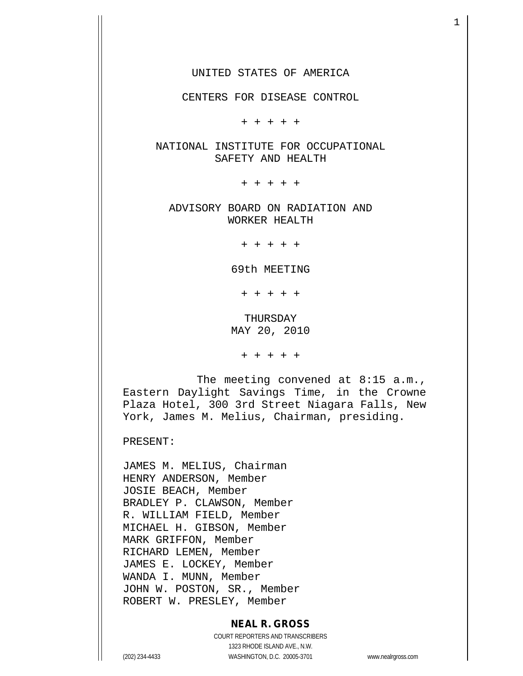CENTERS FOR DISEASE CONTROL

+ + + + +

NATIONAL INSTITUTE FOR OCCUPATIONAL SAFETY AND HEALTH

+ + + + +

ADVISORY BOARD ON RADIATION AND WORKER HEALTH

+ + + + +

69th MEETING

+ + + + +

THURSDAY MAY 20, 2010

+ + + + +

The meeting convened at 8:15 a.m., Eastern Daylight Savings Time, in the Crowne Plaza Hotel, 300 3rd Street Niagara Falls, New York, James M. Melius, Chairman, presiding.

PRESENT:

JAMES M. MELIUS, Chairman HENRY ANDERSON, Member JOSIE BEACH, Member BRADLEY P. CLAWSON, Member R. WILLIAM FIELD, Member MICHAEL H. GIBSON, Member MARK GRIFFON, Member RICHARD LEMEN, Member JAMES E. LOCKEY, Member WANDA I. MUNN, Member JOHN W. POSTON, SR., Member ROBERT W. PRESLEY, Member

### **NEAL R. GROSS**

COURT REPORTERS AND TRANSCRIBERS 1323 RHODE ISLAND AVE., N.W. (202) 234-4433 WASHINGTON, D.C. 20005-3701 www.nealrgross.com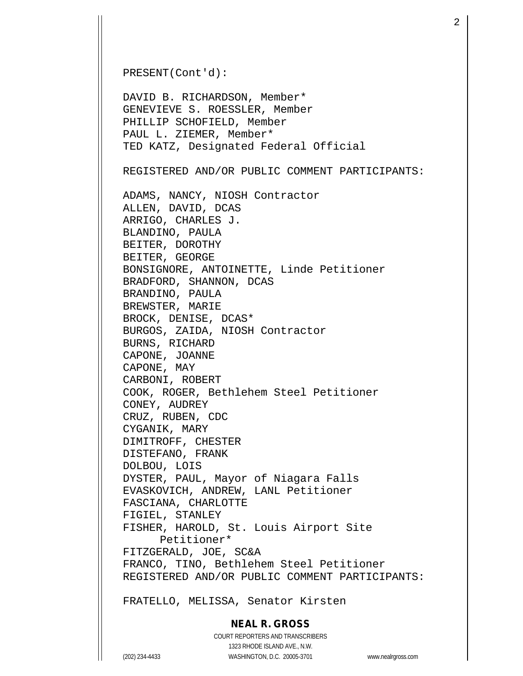```
PRESENT(Cont'd):
DAVID B. RICHARDSON, Member*
GENEVIEVE S. ROESSLER, Member
PHILLIP SCHOFIELD, Member
PAUL L. ZIEMER, Member*
TED KATZ, Designated Federal Official
REGISTERED AND/OR PUBLIC COMMENT PARTICIPANTS:
ADAMS, NANCY, NIOSH Contractor
ALLEN, DAVID, DCAS
ARRIGO, CHARLES J.
BLANDINO, PAULA
BEITER, DOROTHY
BEITER, GEORGE
BONSIGNORE, ANTOINETTE, Linde Petitioner
BRADFORD, SHANNON, DCAS
BRANDINO, PAULA
BREWSTER, MARIE
BROCK, DENISE, DCAS*
BURGOS, ZAIDA, NIOSH Contractor
BURNS, RICHARD
CAPONE, JOANNE
CAPONE, MAY
CARBONI, ROBERT
COOK, ROGER, Bethlehem Steel Petitioner
CONEY, AUDREY
CRUZ, RUBEN, CDC
CYGANIK, MARY
DIMITROFF, CHESTER
DISTEFANO, FRANK 
DOLBOU, LOIS
DYSTER, PAUL, Mayor of Niagara Falls
EVASKOVICH, ANDREW, LANL Petitioner
FASCIANA, CHARLOTTE
FIGIEL, STANLEY
FISHER, HAROLD, St. Louis Airport Site
     Petitioner*
FITZGERALD, JOE, SC&A
FRANCO, TINO, Bethlehem Steel Petitioner
REGISTERED AND/OR PUBLIC COMMENT PARTICIPANTS:
```
FRATELLO, MELISSA, Senator Kirsten

### **NEAL R. GROSS**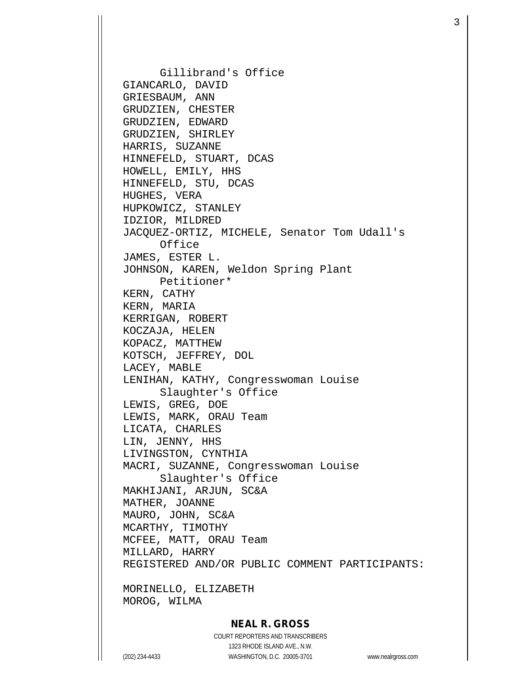Gillibrand's Office GIANCARLO, DAVID GRIESBAUM, ANN GRUDZIEN, CHESTER GRUDZIEN, EDWARD GRUDZIEN, SHIRLEY HARRIS, SUZANNE HINNEFELD, STUART, DCAS HOWELL, EMILY, HHS HINNEFELD, STU, DCAS HUGHES, VERA HUPKOWICZ, STANLEY IDZIOR, MILDRED JACQUEZ-ORTIZ, MICHELE, Senator Tom Udall's Office JAMES, ESTER L. JOHNSON, KAREN, Weldon Spring Plant Petitioner\* KERN, CATHY KERN, MARIA KERRIGAN, ROBERT KOCZAJA, HELEN KOPACZ, MATTHEW KOTSCH, JEFFREY, DOL LACEY, MABLE LENIHAN, KATHY, Congresswoman Louise Slaughter's Office LEWIS, GREG, DOE LEWIS, MARK, ORAU Team LICATA, CHARLES LIN, JENNY, HHS LIVINGSTON, CYNTHIA MACRI, SUZANNE, Congresswoman Louise Slaughter's Office MAKHIJANI, ARJUN, SC&A MATHER, JOANNE MAURO, JOHN, SC&A MCARTHY, TIMOTHY MCFEE, MATT, ORAU Team MILLARD, HARRY REGISTERED AND/OR PUBLIC COMMENT PARTICIPANTS:

MORINELLO, ELIZABETH MOROG, WILMA

# **NEAL R. GROSS**

COURT REPORTERS AND TRANSCRIBERS 1323 RHODE ISLAND AVE., N.W. (202) 234-4433 WASHINGTON, D.C. 20005-3701 www.nealrgross.com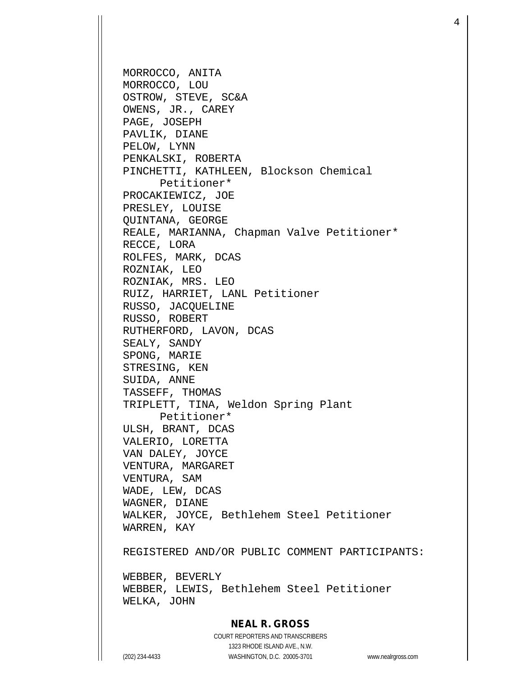MORROCCO, ANITA MORROCCO, LOU OSTROW, STEVE, SC&A OWENS, JR., CAREY PAGE, JOSEPH PAVLIK, DIANE PELOW, LYNN PENKALSKI, ROBERTA PINCHETTI, KATHLEEN, Blockson Chemical Petitioner\* PROCAKIEWICZ, JOE PRESLEY, LOUISE QUINTANA, GEORGE REALE, MARIANNA, Chapman Valve Petitioner\* RECCE, LORA ROLFES, MARK, DCAS ROZNIAK, LEO ROZNIAK, MRS. LEO RUIZ, HARRIET, LANL Petitioner RUSSO, JACQUELINE RUSSO, ROBERT RUTHERFORD, LAVON, DCAS SEALY, SANDY SPONG, MARIE STRESING, KEN SUIDA, ANNE TASSEFF, THOMAS TRIPLETT, TINA, Weldon Spring Plant Petitioner\* ULSH, BRANT, DCAS VALERIO, LORETTA VAN DALEY, JOYCE VENTURA, MARGARET VENTURA, SAM WADE, LEW, DCAS WAGNER, DIANE WALKER, JOYCE, Bethlehem Steel Petitioner WARREN, KAY REGISTERED AND/OR PUBLIC COMMENT PARTICIPANTS: WEBBER, BEVERLY WEBBER, LEWIS, Bethlehem Steel Petitioner

## **NEAL R. GROSS**

COURT REPORTERS AND TRANSCRIBERS 1323 RHODE ISLAND AVE., N.W. (202) 234-4433 WASHINGTON, D.C. 20005-3701 www.nealrgross.com

WELKA, JOHN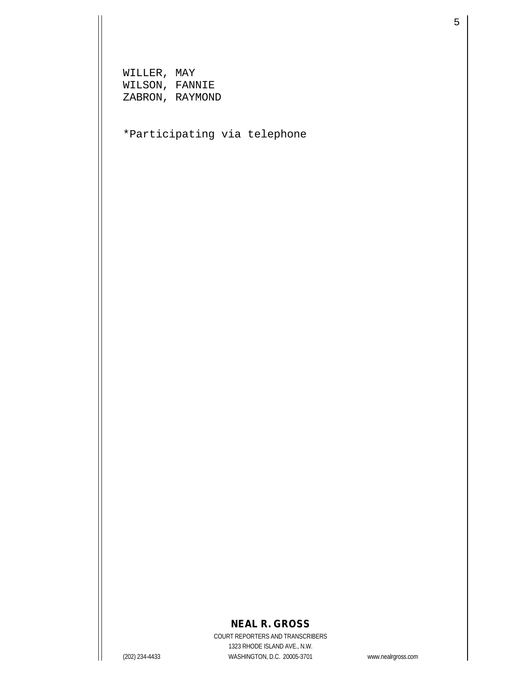WILLER, MAY WILSON, FANNIE ZABRON, RAYMOND

\*Participating via telephone

# **NEAL R. GROSS**

COURT REPORTERS AND TRANSCRIBERS 1323 RHODE ISLAND AVE., N.W. (202) 234-4433 WASHINGTON, D.C. 20005-3701 www.nealrgross.com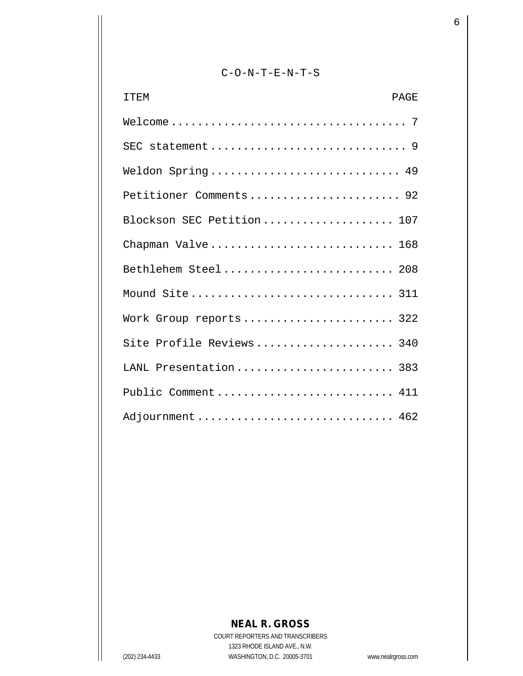# C-O-N-T-E-N-T-S

| <b>ITEM</b><br><b>PAGE</b> |  |
|----------------------------|--|
|                            |  |
|                            |  |
| Weldon Spring 49           |  |
| Petitioner Comments 92     |  |
| Blockson SEC Petition 107  |  |
| Chapman Valve 168          |  |
| Bethlehem Steel 208        |  |
| Mound Site 311             |  |
| Work Group reports 322     |  |
| Site Profile Reviews 340   |  |
| LANL Presentation 383      |  |
| Public Comment 411         |  |
| Adjournment  462           |  |

# **NEAL R. GROSS**

COURT REPORTERS AND TRANSCRIBERS 1323 RHODE ISLAND AVE., N.W. (202) 234-4433 WASHINGTON, D.C. 20005-3701 www.nealrgross.com

 $\sim$  6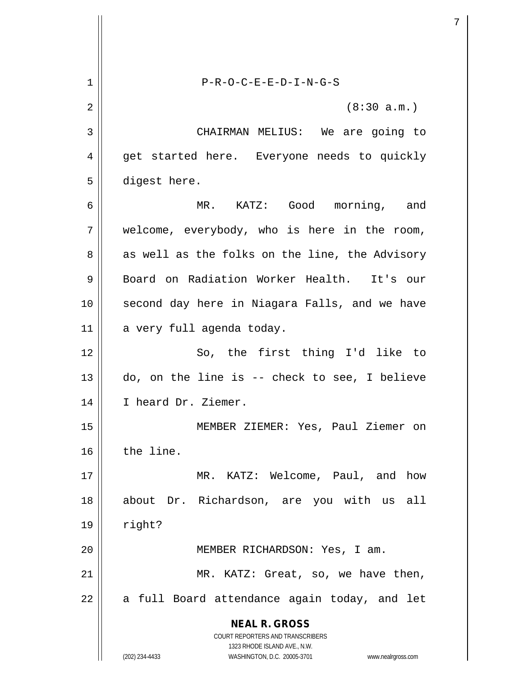**NEAL R. GROSS** COURT REPORTERS AND TRANSCRIBERS 1323 RHODE ISLAND AVE., N.W. (202) 234-4433 WASHINGTON, D.C. 20005-3701 www.nealrgross.com 1 P-R-O-C-E-E-D-I-N-G-S  $2 \parallel$  (8:30 a.m.) 3 CHAIRMAN MELIUS: We are going to 4 || get started here. Everyone needs to quickly 5 | digest here. 6 MR. KATZ: Good morning, and 7 welcome, everybody, who is here in the room, 8 as well as the folks on the line, the Advisory 9 Board on Radiation Worker Health. It's our 10 || second day here in Niagara Falls, and we have 11 a very full agenda today. 12 || So, the first thing I'd like to  $13 \parallel$  do, on the line is -- check to see, I believe 14 || I heard Dr. Ziemer. 15 MEMBER ZIEMER: Yes, Paul Ziemer on 16 the line. 17 MR. KATZ: Welcome, Paul, and how 18 about Dr. Richardson, are you with us all  $19 \parallel$  right? 20 MEMBER RICHARDSON: Yes, I am. 21 | MR. KATZ: Great, so, we have then,  $22$  || a full Board attendance again today, and let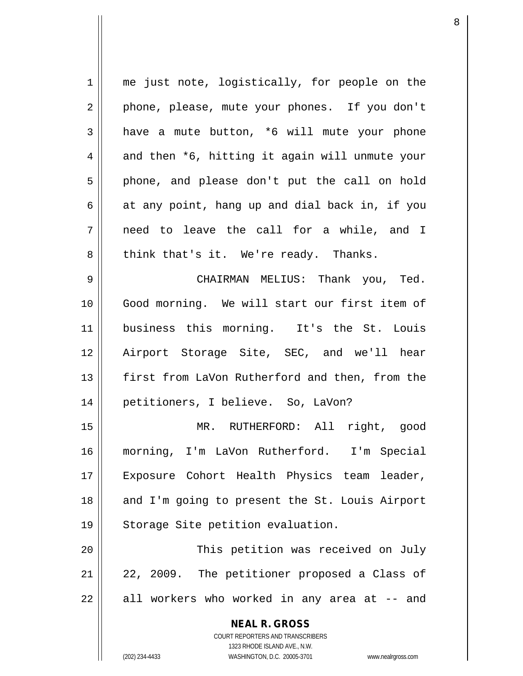| 1  | me just note, logistically, for people on the                       |
|----|---------------------------------------------------------------------|
| 2  | phone, please, mute your phones. If you don't                       |
| 3  | have a mute button, *6 will mute your phone                         |
| 4  | and then *6, hitting it again will unmute your                      |
| 5  | phone, and please don't put the call on hold                        |
| 6  | at any point, hang up and dial back in, if you                      |
| 7  | need to leave the call for a while, and I                           |
| 8  | think that's it. We're ready. Thanks.                               |
| 9  | CHAIRMAN MELIUS: Thank you, Ted.                                    |
| 10 | Good morning. We will start our first item of                       |
| 11 | business this morning. It's the St. Louis                           |
| 12 | Airport Storage Site, SEC, and we'll hear                           |
| 13 | first from LaVon Rutherford and then, from the                      |
| 14 | petitioners, I believe. So, LaVon?                                  |
| 15 | MR. RUTHERFORD: All right, good                                     |
| 16 | morning, I'm LaVon Rutherford. I'm Special                          |
| 17 | Exposure Cohort Health Physics team leader,                         |
| 18 | and I'm going to present the St. Louis Airport                      |
| 19 | Storage Site petition evaluation.                                   |
| 20 | This petition was received on July                                  |
| 21 | 22, 2009. The petitioner proposed a Class of                        |
| 22 | all workers who worked in any area at -- and                        |
|    | <b>NEAL R. GROSS</b>                                                |
|    | COURT REPORTERS AND TRANSCRIBERS                                    |
|    | 1323 RHODE ISLAND AVE., N.W.                                        |
|    | (202) 234-4433<br>WASHINGTON, D.C. 20005-3701<br>www.nealrgross.com |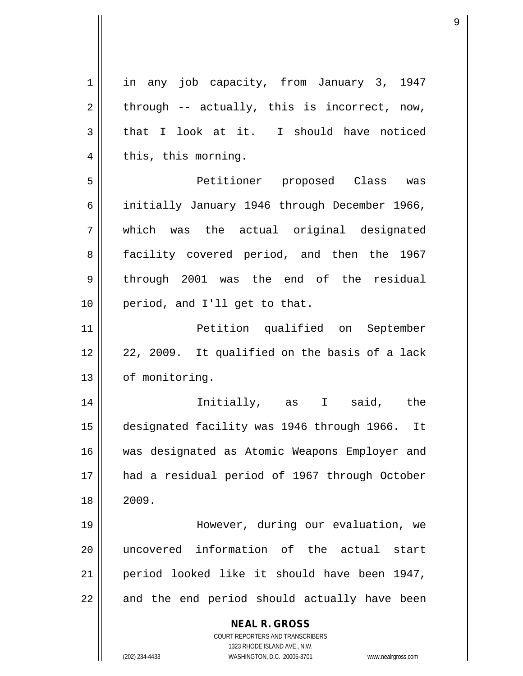| $\mathbf 1$    | in any job capacity, from January 3, 1947                                                           |
|----------------|-----------------------------------------------------------------------------------------------------|
| $\overline{2}$ | through -- actually, this is incorrect, now,                                                        |
| 3              | that I look at it. I should have noticed                                                            |
| 4              | this, this morning.                                                                                 |
| 5              | Petitioner proposed Class was                                                                       |
| 6              | initially January 1946 through December 1966,                                                       |
| 7              | which was the actual original designated                                                            |
| 8              | facility covered period, and then the 1967                                                          |
| 9              | through 2001 was the end of the residual                                                            |
| 10             | period, and I'll get to that.                                                                       |
| 11             | Petition qualified on September                                                                     |
| 12             | 22, 2009. It qualified on the basis of a lack                                                       |
| 13             | of monitoring.                                                                                      |
| 14             | Initially, as I said, the                                                                           |
| 15             | designated facility was 1946 through 1966. It                                                       |
| 16             | was designated as Atomic Weapons Employer and                                                       |
| 17             | had a residual period of 1967 through October                                                       |
| 18             | 2009.                                                                                               |
| 19             | However, during our evaluation, we                                                                  |
| 20             | uncovered information of the actual start                                                           |
|                |                                                                                                     |
| 21             | period looked like it should have been 1947,                                                        |
| 22             | and the end period should actually have been                                                        |
|                | <b>NEAL R. GROSS</b>                                                                                |
|                | COURT REPORTERS AND TRANSCRIBERS                                                                    |
|                | 1323 RHODE ISLAND AVE., N.W.<br>(202) 234-4433<br>WASHINGTON, D.C. 20005-3701<br>www.nealrgross.com |
|                |                                                                                                     |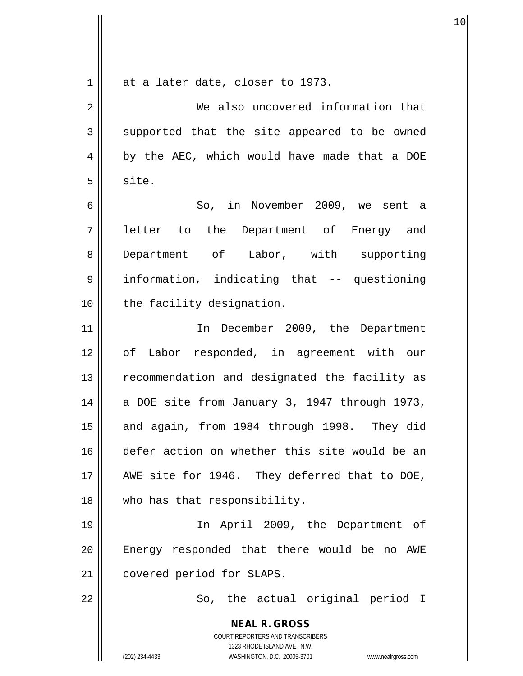| $\mathbf 1$    | at a later date, closer to 1973.                                    |
|----------------|---------------------------------------------------------------------|
| $\sqrt{2}$     | We also uncovered information that                                  |
| $\mathbf{3}$   | supported that the site appeared to be owned                        |
| $\overline{4}$ | by the AEC, which would have made that a DOE                        |
| 5              | site.                                                               |
| 6              | So, in November 2009, we sent a                                     |
| 7              | letter to the Department of Energy and                              |
| 8              | Department of Labor, with supporting                                |
| $\mathsf 9$    | information, indicating that -- questioning                         |
| 10             | the facility designation.                                           |
| 11             | In December 2009, the Department                                    |
| 12             | of Labor responded, in agreement with our                           |
| 13             | recommendation and designated the facility as                       |
| 14             | a DOE site from January 3, 1947 through 1973,                       |
| 15             | and again, from 1984 through 1998. They did                         |
| 16             | defer action on whether this site would be an                       |
| 17             | AWE site for 1946. They deferred that to DOE,                       |
| 18             | who has that responsibility.                                        |
| 19             | In April 2009, the Department of                                    |
| 20             | Energy responded that there would be no AWE                         |
| 21             | covered period for SLAPS.                                           |
| 22             | So, the actual original period I                                    |
|                | <b>NEAL R. GROSS</b>                                                |
|                | COURT REPORTERS AND TRANSCRIBERS<br>1323 RHODE ISLAND AVE., N.W.    |
|                | (202) 234-4433<br>WASHINGTON, D.C. 20005-3701<br>www.nealrgross.com |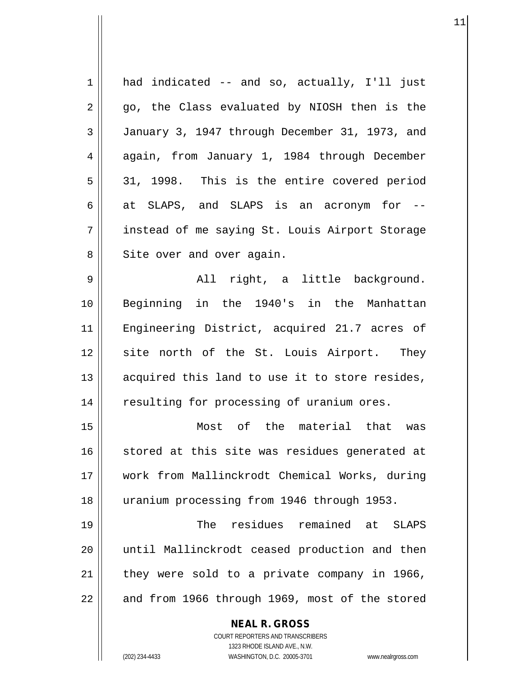| $\mathbf 1$ | had indicated -- and so, actually, I'll just                        |
|-------------|---------------------------------------------------------------------|
| 2           | go, the Class evaluated by NIOSH then is the                        |
| 3           | January 3, 1947 through December 31, 1973, and                      |
| 4           | again, from January 1, 1984 through December                        |
| 5           | 31, 1998. This is the entire covered period                         |
| 6           | at SLAPS, and SLAPS is an acronym for --                            |
| 7           | instead of me saying St. Louis Airport Storage                      |
| 8           | Site over and over again.                                           |
| 9           | All right, a little background.                                     |
| 10          | Beginning in the 1940's in the Manhattan                            |
| 11          | Engineering District, acquired 21.7 acres of                        |
| 12          | site north of the St. Louis Airport. They                           |
| 13          | acquired this land to use it to store resides,                      |
| 14          | resulting for processing of uranium ores.                           |
| 15          | Most of the material that<br>was                                    |
| 16          | stored at this site was residues generated at                       |
| 17          | work from Mallinckrodt Chemical Works, during                       |
| 18          | uranium processing from 1946 through 1953.                          |
| 19          | The residues remained at SLAPS                                      |
| 20          | until Mallinckrodt ceased production and then                       |
| 21          | they were sold to a private company in 1966,                        |
| 22          | and from 1966 through 1969, most of the stored                      |
|             |                                                                     |
|             | <b>NEAL R. GROSS</b><br><b>COURT REPORTERS AND TRANSCRIBERS</b>     |
|             | 1323 RHODE ISLAND AVE., N.W.                                        |
|             | WASHINGTON, D.C. 20005-3701<br>(202) 234-4433<br>www.nealrgross.com |

 $\mathsf{I}$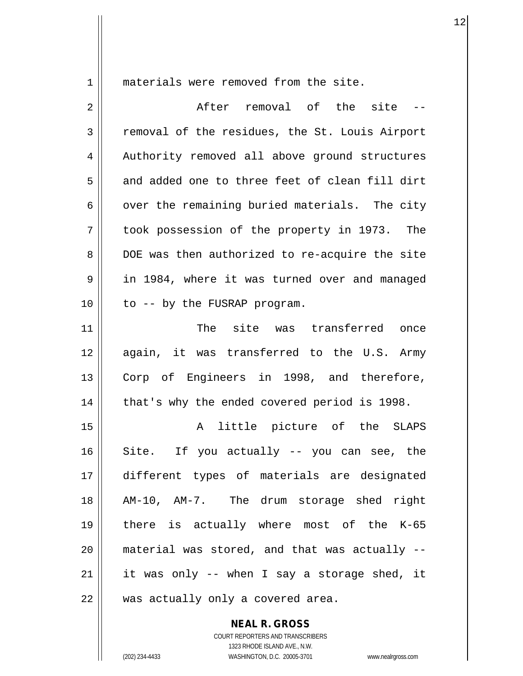1 || materials were removed from the site.

| $\overline{2}$ | After removal of the site --                   |
|----------------|------------------------------------------------|
| 3              | removal of the residues, the St. Louis Airport |
| 4              | Authority removed all above ground structures  |
| 5              | and added one to three feet of clean fill dirt |
| 6              | over the remaining buried materials. The city  |
| 7              | took possession of the property in 1973. The   |
| 8              | DOE was then authorized to re-acquire the site |
| 9              | in 1984, where it was turned over and managed  |
| 10             | to -- by the FUSRAP program.                   |
| 11             | The site was transferred once                  |
| 12             | again, it was transferred to the U.S. Army     |
| 13             | Corp of Engineers in 1998, and therefore,      |
| 14             | that's why the ended covered period is 1998.   |
| 15             | little picture of the SLAPS<br>A               |
| 16             | Site. If you actually -- you can see, the      |
| 17             | different types of materials are designated    |
| 18             | AM-10, AM-7. The drum storage shed right       |
| 19             | there is actually where most of the K-65       |
| 20             | material was stored, and that was actually --  |
| 21             | it was only -- when I say a storage shed, it   |
| 22             | was actually only a covered area.              |

**NEAL R. GROSS**

COURT REPORTERS AND TRANSCRIBERS 1323 RHODE ISLAND AVE., N.W. (202) 234-4433 WASHINGTON, D.C. 20005-3701 www.nealrgross.com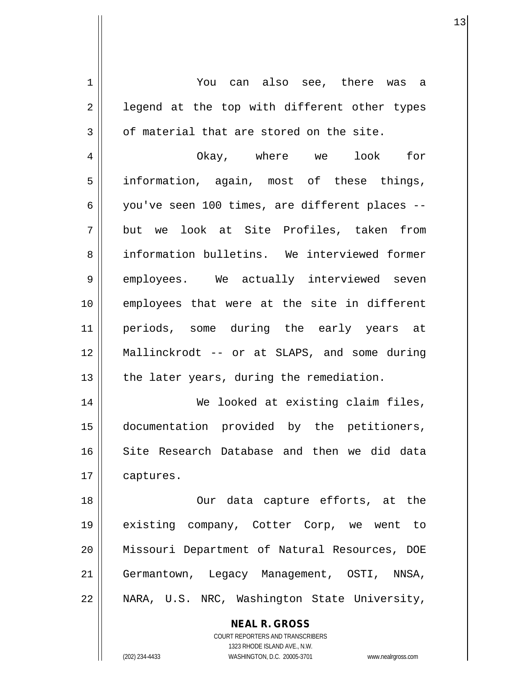**NEAL R. GROSS** 1 You can also see, there was a  $2 \parallel$  legend at the top with different other types  $3 \parallel$  of material that are stored on the site. 4 Okay, where we look for 5 information, again, most of these things, 6 you've seen 100 times, are different places -- 7 but we look at Site Profiles, taken from 8 information bulletins. We interviewed former 9 || employees. We actually interviewed seven 10 || employees that were at the site in different 11 periods, some during the early years at 12 Mallinckrodt -- or at SLAPS, and some during  $13$  || the later years, during the remediation. 14 || We looked at existing claim files, 15 documentation provided by the petitioners, 16 Site Research Database and then we did data 17 | captures. 18 || Our data capture efforts, at the 19 existing company, Cotter Corp, we went to 20 Missouri Department of Natural Resources, DOE 21 | Germantown, Legacy Management, OSTI, NNSA, 22 NARA, U.S. NRC, Washington State University,

> COURT REPORTERS AND TRANSCRIBERS 1323 RHODE ISLAND AVE., N.W.

(202) 234-4433 WASHINGTON, D.C. 20005-3701 www.nealrgross.com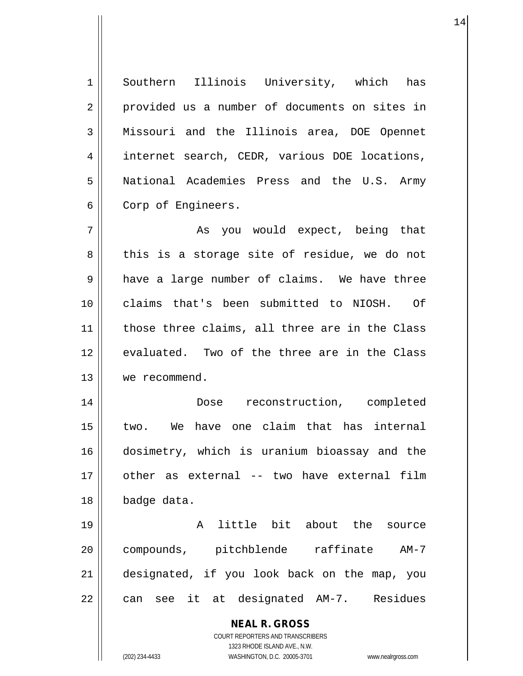1 Southern Illinois University, which has 2 || provided us a number of documents on sites in 3 Missouri and the Illinois area, DOE Opennet 4 || internet search, CEDR, various DOE locations, 5 National Academies Press and the U.S. Army 6 Corp of Engineers. 7 As you would expect, being that  $8 \parallel$  this is a storage site of residue, we do not 9 a have a large number of claims. We have three

10 claims that's been submitted to NIOSH. Of 11 || those three claims, all three are in the Class 12 evaluated. Two of the three are in the Class 13 we recommend.

14 || **Dose** reconstruction, completed 15 two. We have one claim that has internal 16 dosimetry, which is uranium bioassay and the 17 other as external -- two have external film 18 badge data.

19 A little bit about the source 20 compounds, pitchblende raffinate AM-7 21 designated, if you look back on the map, you  $22 \parallel$  can see it at designated AM-7. Residues

> **NEAL R. GROSS** COURT REPORTERS AND TRANSCRIBERS 1323 RHODE ISLAND AVE., N.W.

(202) 234-4433 WASHINGTON, D.C. 20005-3701 www.nealrgross.com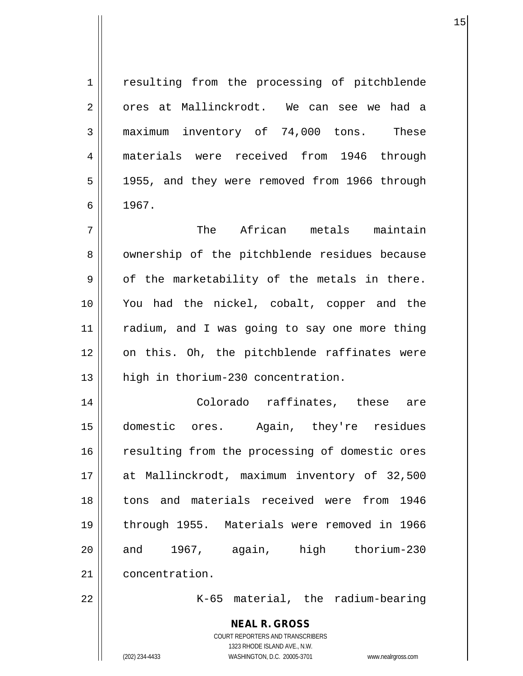| $\mathbf 1$ | resulting from the processing of pitchblende                                                        |
|-------------|-----------------------------------------------------------------------------------------------------|
| 2           | ores at Mallinckrodt. We can see we had a                                                           |
| 3           | maximum inventory of 74,000 tons. These                                                             |
| 4           | materials were received from 1946 through                                                           |
| 5           | 1955, and they were removed from 1966 through                                                       |
| 6           | 1967.                                                                                               |
| 7           | The African metals maintain                                                                         |
| 8           | ownership of the pitchblende residues because                                                       |
| 9           | of the marketability of the metals in there.                                                        |
| 10          | You had the nickel, cobalt, copper and the                                                          |
| 11          | radium, and I was going to say one more thing                                                       |
| 12          | on this. Oh, the pitchblende raffinates were                                                        |
| 13          | high in thorium-230 concentration.                                                                  |
| 14          | Colorado raffinates, these are                                                                      |
| 15          | domestic ores. Again, they're residues                                                              |
| 16          | resulting from the processing of domestic ores                                                      |
| 17          | at Mallinckrodt, maximum inventory of 32,500                                                        |
| 18          | tons and materials received were from<br>1946                                                       |
| 19          | through 1955. Materials were removed in 1966                                                        |
| 20          | and 1967, again, high thorium-230                                                                   |
| 21          | concentration.                                                                                      |
| 22          | K-65 material, the radium-bearing                                                                   |
|             | <b>NEAL R. GROSS</b>                                                                                |
|             | COURT REPORTERS AND TRANSCRIBERS                                                                    |
|             | 1323 RHODE ISLAND AVE., N.W.<br>(202) 234-4433<br>WASHINGTON, D.C. 20005-3701<br>www.nealrgross.com |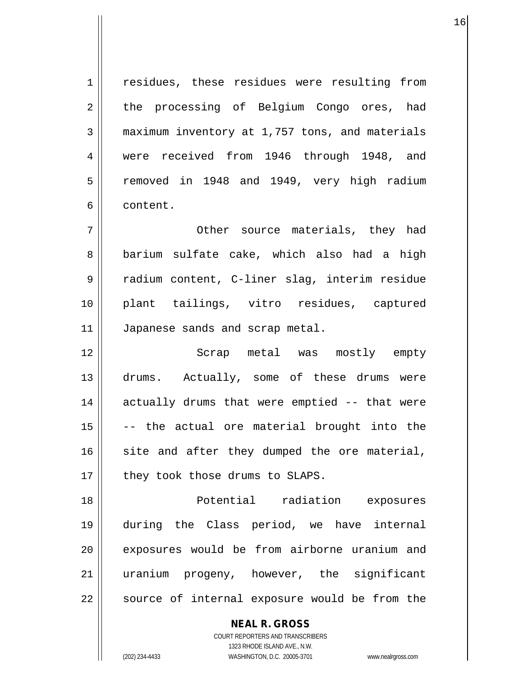1 || residues, these residues were resulting from 2 the processing of Belgium Congo ores, had 3 maximum inventory at 1,757 tons, and materials 4 were received from 1946 through 1948, and 5 | removed in 1948 and 1949, very high radium 6 content.

7 Other source materials, they had 8 barium sulfate cake, which also had a high 9 || radium content, C-liner slag, interim residue 10 plant tailings, vitro residues, captured 11 | Japanese sands and scrap metal.

12 Scrap metal was mostly empty 13 drums. Actually, some of these drums were 14 || actually drums that were emptied -- that were  $15$   $\vert$  -- the actual ore material brought into the  $16$  site and after they dumped the ore material,  $17$  | they took those drums to SLAPS.

18 Potential radiation exposures 19 during the Class period, we have internal 20 || exposures would be from airborne uranium and 21 uranium progeny, however, the significant  $22$  | source of internal exposure would be from the

> COURT REPORTERS AND TRANSCRIBERS 1323 RHODE ISLAND AVE., N.W. (202) 234-4433 WASHINGTON, D.C. 20005-3701 www.nealrgross.com

**NEAL R. GROSS**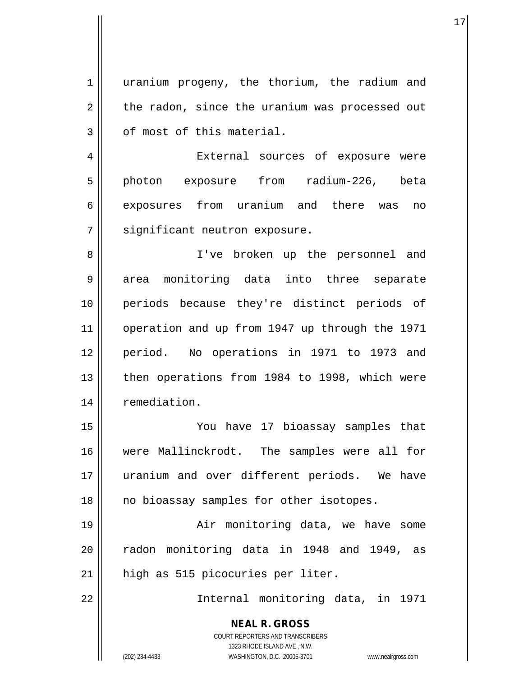| 1              | uranium progeny, the thorium, the radium and                                                        |
|----------------|-----------------------------------------------------------------------------------------------------|
| $\overline{2}$ | the radon, since the uranium was processed out                                                      |
| $\mathbf{3}$   | of most of this material.                                                                           |
| 4              | External sources of exposure were                                                                   |
| 5              | photon exposure from radium-226, beta                                                               |
| 6              | exposures from uranium and there was<br>no                                                          |
| 7              | significant neutron exposure.                                                                       |
| 8              | I've broken up the personnel and                                                                    |
| 9              | area monitoring data into three separate                                                            |
| 10             | periods because they're distinct periods of                                                         |
| 11             | operation and up from 1947 up through the 1971                                                      |
| 12             | period. No operations in 1971 to 1973 and                                                           |
| 13             | then operations from 1984 to 1998, which were                                                       |
| 14             | remediation.                                                                                        |
| 15             | You have 17 bioassay samples that                                                                   |
| 16             | were Mallinckrodt. The samples were all for                                                         |
| 17             | uranium and over different periods. We have                                                         |
| 18             | no bioassay samples for other isotopes.                                                             |
| 19             | Air monitoring data, we have some                                                                   |
| 20             | radon monitoring data in 1948 and 1949, as                                                          |
| 21             | high as 515 picocuries per liter.                                                                   |
| 22             | Internal monitoring data, in 1971                                                                   |
|                | <b>NEAL R. GROSS</b><br>COURT REPORTERS AND TRANSCRIBERS                                            |
|                | 1323 RHODE ISLAND AVE., N.W.<br>WASHINGTON, D.C. 20005-3701<br>(202) 234-4433<br>www.nealrgross.com |

 $\mathsf{l}$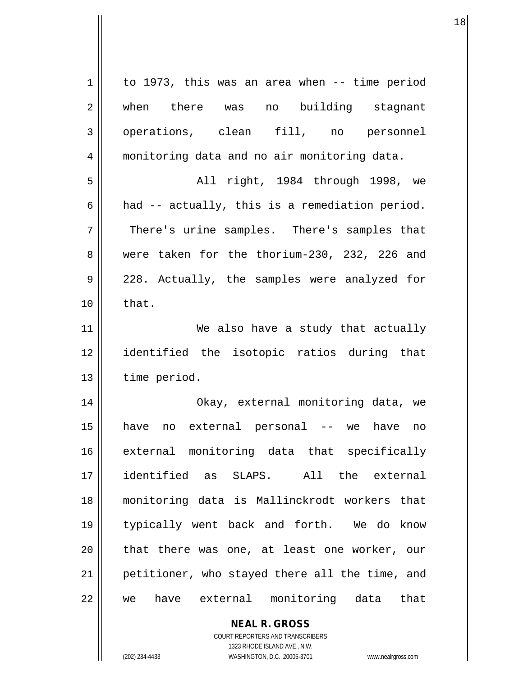| 1           | to 1973, this was an area when -- time period    |
|-------------|--------------------------------------------------|
| 2           | when there was no building stagnant              |
| 3           | operations, clean fill, no personnel             |
| 4           | monitoring data and no air monitoring data.      |
| 5           | All right, 1984 through 1998, we                 |
| 6           | had -- actually, this is a remediation period.   |
| 7           | There's urine samples. There's samples that      |
| 8           | were taken for the thorium-230, 232, 226 and     |
| $\mathsf 9$ | 228. Actually, the samples were analyzed for     |
| 10          | that.                                            |
| 11          | We also have a study that actually               |
| 12          | identified the isotopic ratios during that       |
| 13          | time period.                                     |
| 14          | Okay, external monitoring data, we               |
| 15          | no external personal -- we<br>have<br>have<br>no |
| 16          | external monitoring data that specifically       |
| 17          | identified as SLAPS. All the external            |
| 18          | monitoring data is Mallinckrodt workers that     |
| 19          | typically went back and forth. We do know        |
| 20          | that there was one, at least one worker, our     |
| 21          | petitioner, who stayed there all the time, and   |
| 22          | have external monitoring data that<br>we         |
|             | <b>NEAL R. GROSS</b>                             |

COURT REPORTERS AND TRANSCRIBERS 1323 RHODE ISLAND AVE., N.W.

 $\mathsf{I}$ 

(202) 234-4433 WASHINGTON, D.C. 20005-3701 www.nealrgross.com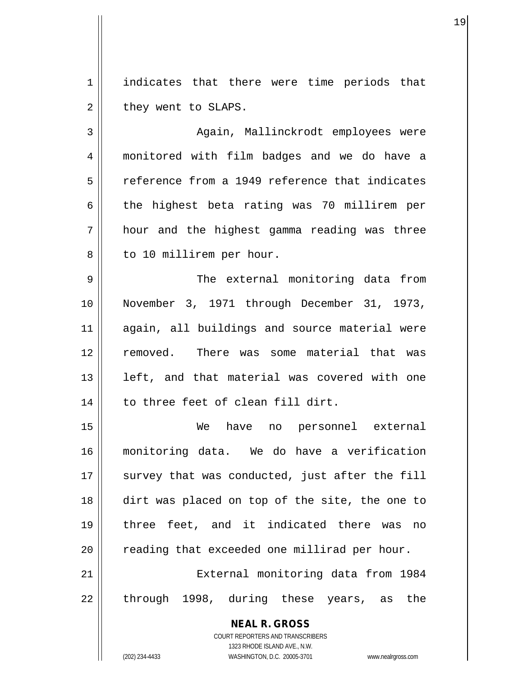1 | indicates that there were time periods that  $2 \parallel$  they went to SLAPS.

3 || Aqain, Mallinckrodt employees were 4 monitored with film badges and we do have a 5 || reference from a 1949 reference that indicates  $6 \parallel$  the highest beta rating was 70 millirem per 7 hour and the highest gamma reading was three 8 | to 10 millirem per hour.

9 The external monitoring data from 10 November 3, 1971 through December 31, 1973, 11 again, all buildings and source material were 12 || removed. There was some material that was 13 || left, and that material was covered with one 14 || to three feet of clean fill dirt.

15 We have no personnel external 16 monitoring data. We do have a verification  $17$   $\parallel$  survey that was conducted, just after the fill 18 dirt was placed on top of the site, the one to 19 three feet, and it indicated there was no  $20$   $\parallel$  reading that exceeded one millirad per hour. 21 External monitoring data from 1984

 $22$  || through 1998, during these years, as the

**NEAL R. GROSS** COURT REPORTERS AND TRANSCRIBERS 1323 RHODE ISLAND AVE., N.W. (202) 234-4433 WASHINGTON, D.C. 20005-3701 www.nealrgross.com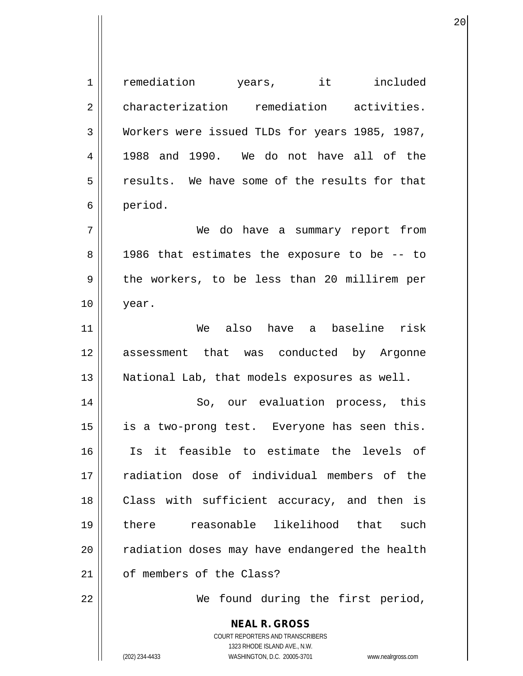| $\mathbf 1$ | remediation years, it included                                                                                                            |
|-------------|-------------------------------------------------------------------------------------------------------------------------------------------|
| 2           | characterization remediation activities.                                                                                                  |
| 3           | Workers were issued TLDs for years 1985, 1987,                                                                                            |
| 4           | 1988 and 1990. We do not have all of the                                                                                                  |
| 5           | results. We have some of the results for that                                                                                             |
| 6           | period.                                                                                                                                   |
| 7           | We do have a summary report from                                                                                                          |
| 8           | 1986 that estimates the exposure to be -- to                                                                                              |
| 9           | the workers, to be less than 20 millirem per                                                                                              |
| 10          | year.                                                                                                                                     |
| 11          | We also have a baseline risk                                                                                                              |
| 12          | assessment that was conducted by Argonne                                                                                                  |
| 13          | National Lab, that models exposures as well.                                                                                              |
| 14          | So, our evaluation process, this                                                                                                          |
| 15          | is a two-prong test. Everyone has seen this.                                                                                              |
| 16          | Is it feasible to estimate the levels of                                                                                                  |
| 17          | radiation dose of individual members of the                                                                                               |
| 18          | Class with sufficient accuracy, and then is                                                                                               |
| 19          | reasonable likelihood that such<br>there                                                                                                  |
| 20          | radiation doses may have endangered the health                                                                                            |
| 21          | of members of the Class?                                                                                                                  |
| 22          | found during the first period,<br>We                                                                                                      |
|             | <b>NEAL R. GROSS</b><br>COURT REPORTERS AND TRANSCRIBERS<br>1323 RHODE ISLAND AVE., N.W.<br>(202) 234-4433<br>WASHINGTON, D.C. 20005-3701 |
|             | www.nealrgross.com                                                                                                                        |

 $\mathsf{I}$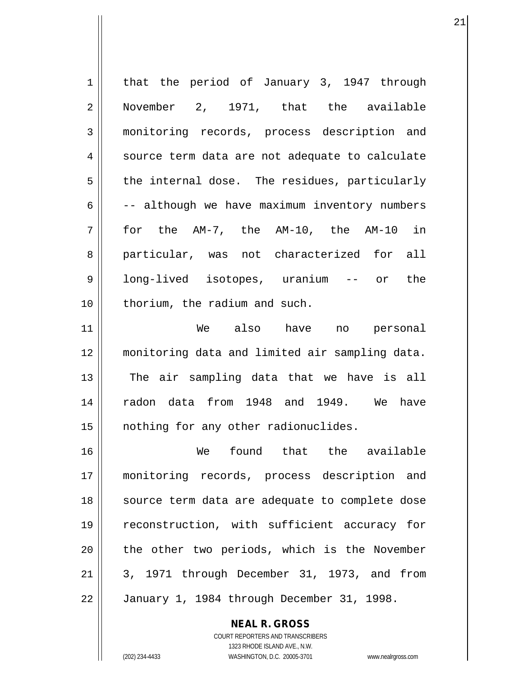1 || that the period of January 3, 1947 through 2 November 2, 1971, that the available 3 monitoring records, process description and  $4 \parallel$  source term data are not adequate to calculate  $5 \parallel$  the internal dose. The residues, particularly  $6 \parallel$  -- although we have maximum inventory numbers 7 for the AM-7, the AM-10, the AM-10 in 8 || particular, was not characterized for all 9 || long-lived isotopes, uranium -- or the 10 || thorium, the radium and such. 11 We also have no personal 12 monitoring data and limited air sampling data. 13 || The air sampling data that we have is all 14 radon data from 1948 and 1949. We have 15 || nothing for any other radionuclides. 16 We found that the available 17 monitoring records, process description and 18 || source term data are adequate to complete dose 19 || reconstruction, with sufficient accuracy for 20 || the other two periods, which is the November  $21 \parallel 3$ , 1971 through December 31, 1973, and from 22 January 1, 1984 through December 31, 1998.

21

COURT REPORTERS AND TRANSCRIBERS 1323 RHODE ISLAND AVE., N.W. (202) 234-4433 WASHINGTON, D.C. 20005-3701 www.nealrgross.com

**NEAL R. GROSS**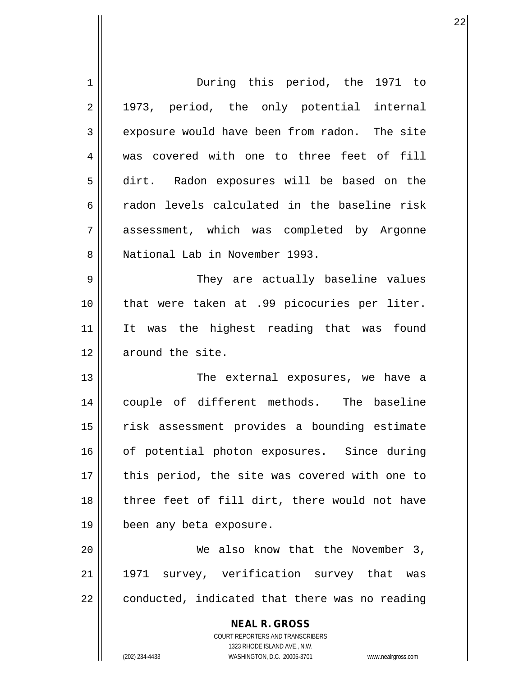| 1  | During this period, the 1971 to                                     |
|----|---------------------------------------------------------------------|
| 2  | 1973, period, the only potential internal                           |
| 3  | exposure would have been from radon. The site                       |
| 4  | was covered with one to three feet of fill                          |
| 5  | dirt. Radon exposures will be based on the                          |
| 6  | radon levels calculated in the baseline risk                        |
| 7  | assessment, which was completed by Argonne                          |
| 8  | National Lab in November 1993.                                      |
| 9  | They are actually baseline values                                   |
| 10 | that were taken at .99 picocuries per liter.                        |
| 11 | It was the highest reading that was found                           |
| 12 | around the site.                                                    |
| 13 | The external exposures, we have a                                   |
| 14 | couple of different methods. The baseline                           |
| 15 | risk assessment provides a bounding estimate                        |
| 16 | of potential photon exposures. Since during                         |
| 17 | this period, the site was covered with one to                       |
| 18 | three feet of fill dirt, there would not have                       |
| 19 | been any beta exposure.                                             |
| 20 | We also know that the November 3,                                   |
| 21 | 1971 survey, verification survey that was                           |
| 22 | conducted, indicated that there was no reading                      |
|    |                                                                     |
|    | <b>NEAL R. GROSS</b><br>COURT REPORTERS AND TRANSCRIBERS            |
|    | 1323 RHODE ISLAND AVE., N.W.                                        |
|    | (202) 234-4433<br>WASHINGTON, D.C. 20005-3701<br>www.nealrgross.com |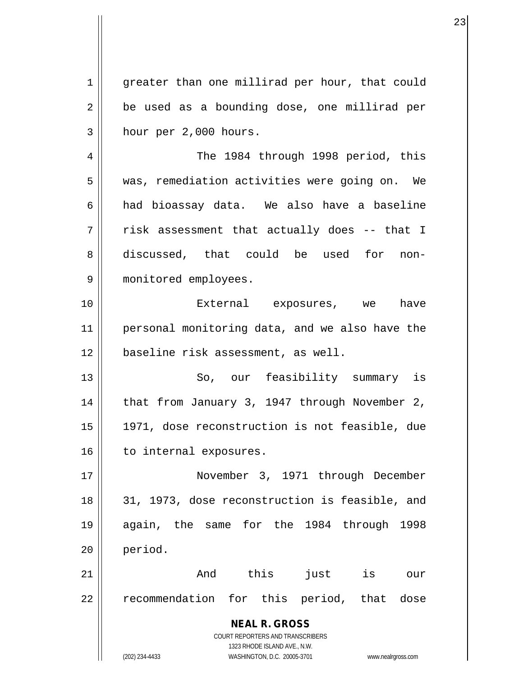1 greater than one millirad per hour, that could  $2 \parallel$  be used as a bounding dose, one millirad per  $3 \parallel$  hour per 2,000 hours.

4 || The 1984 through 1998 period, this 5 | was, remediation activities were going on. We  $6 \parallel$  had bioassay data. We also have a baseline  $7 \parallel$  risk assessment that actually does -- that I 8 discussed, that could be used for non-9 monitored employees.

10 External exposures, we have 11 personal monitoring data, and we also have the 12 baseline risk assessment, as well.

13 || So, our feasibility summary is 14 || that from January 3, 1947 through November 2, 15 1971, dose reconstruction is not feasible, due 16 | to internal exposures.

17 November 3, 1971 through December 18 31, 1973, dose reconstruction is feasible, and 19 again, the same for the 1984 through 1998 20 period.

21 And this just is our 22 || recommendation for this period, that dose

> **NEAL R. GROSS** COURT REPORTERS AND TRANSCRIBERS

> > 1323 RHODE ISLAND AVE., N.W.

(202) 234-4433 WASHINGTON, D.C. 20005-3701 www.nealrgross.com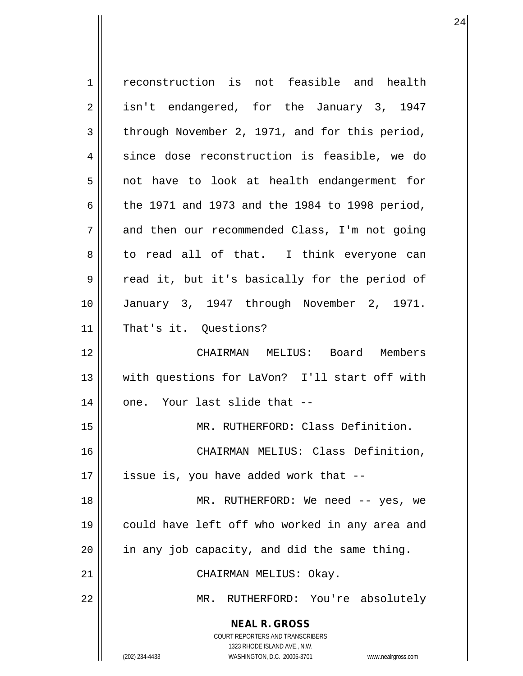| 1  | reconstruction is not feasible and health                           |
|----|---------------------------------------------------------------------|
| 2  | isn't endangered, for the January 3, 1947                           |
| 3  | through November 2, 1971, and for this period,                      |
| 4  | since dose reconstruction is feasible, we do                        |
| 5  | not have to look at health endangerment for                         |
| 6  | the 1971 and 1973 and the 1984 to 1998 period,                      |
| 7  | and then our recommended Class, I'm not going                       |
| 8  | to read all of that. I think everyone can                           |
| 9  | read it, but it's basically for the period of                       |
| 10 | January 3, 1947 through November 2, 1971.                           |
| 11 | That's it. Questions?                                               |
| 12 | CHAIRMAN MELIUS: Board Members                                      |
| 13 | with questions for LaVon? I'll start off with                       |
| 14 | one. Your last slide that --                                        |
| 15 | MR. RUTHERFORD: Class Definition.                                   |
| 16 | CHAIRMAN MELIUS: Class Definition,                                  |
| 17 | issue is, you have added work that --                               |
| 18 | MR. RUTHERFORD: We need -- yes, we                                  |
| 19 | could have left off who worked in any area and                      |
| 20 | in any job capacity, and did the same thing.                        |
| 21 |                                                                     |
|    | CHAIRMAN MELIUS: Okay.                                              |
| 22 | MR. RUTHERFORD: You're absolutely                                   |
|    | <b>NEAL R. GROSS</b>                                                |
|    | <b>COURT REPORTERS AND TRANSCRIBERS</b>                             |
|    | 1323 RHODE ISLAND AVE., N.W.                                        |
|    | WASHINGTON, D.C. 20005-3701<br>(202) 234-4433<br>www.nealrgross.com |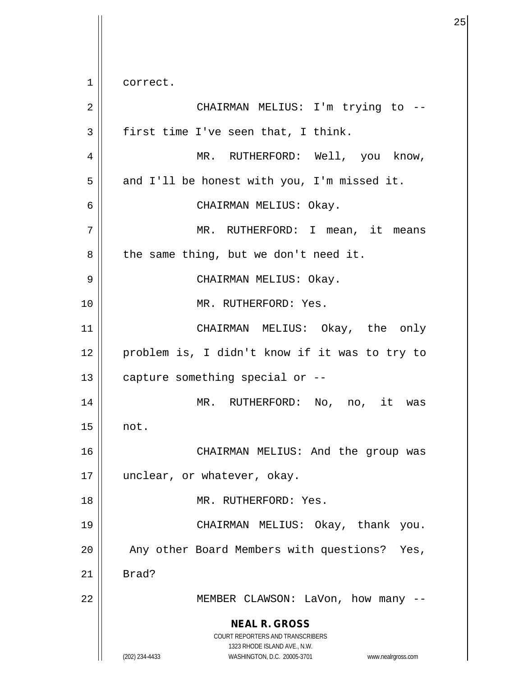$1 \parallel$  correct.

| $\overline{2}$ | CHAIRMAN MELIUS: I'm trying to --                                                                                                                                      |
|----------------|------------------------------------------------------------------------------------------------------------------------------------------------------------------------|
| 3              | first time I've seen that, I think.                                                                                                                                    |
| $\overline{4}$ | MR. RUTHERFORD: Well, you know,                                                                                                                                        |
| 5              | and I'll be honest with you, I'm missed it.                                                                                                                            |
| 6              | CHAIRMAN MELIUS: Okay.                                                                                                                                                 |
| 7              | MR. RUTHERFORD: I mean, it means                                                                                                                                       |
| 8              | the same thing, but we don't need it.                                                                                                                                  |
| 9              | CHAIRMAN MELIUS: Okay.                                                                                                                                                 |
| 10             | MR. RUTHERFORD: Yes.                                                                                                                                                   |
| 11             | CHAIRMAN MELIUS: Okay, the only                                                                                                                                        |
| 12             | problem is, I didn't know if it was to try to                                                                                                                          |
| 13             | capture something special or --                                                                                                                                        |
| 14             | MR. RUTHERFORD: No, no, it was                                                                                                                                         |
| 15             | not.                                                                                                                                                                   |
| 16             | CHAIRMAN MELIUS: And the group was                                                                                                                                     |
| 17             | unclear, or whatever, okay.                                                                                                                                            |
| 18             | MR. RUTHERFORD: Yes.                                                                                                                                                   |
| 19             | CHAIRMAN MELIUS: Okay, thank you.                                                                                                                                      |
| 20             | Any other Board Members with questions?<br>Yes,                                                                                                                        |
| 21             | Brad?                                                                                                                                                                  |
| 22             | MEMBER CLAWSON: LaVon, how many --                                                                                                                                     |
|                | <b>NEAL R. GROSS</b><br><b>COURT REPORTERS AND TRANSCRIBERS</b><br>1323 RHODE ISLAND AVE., N.W.<br>(202) 234-4433<br>WASHINGTON, D.C. 20005-3701<br>www.nealrgross.com |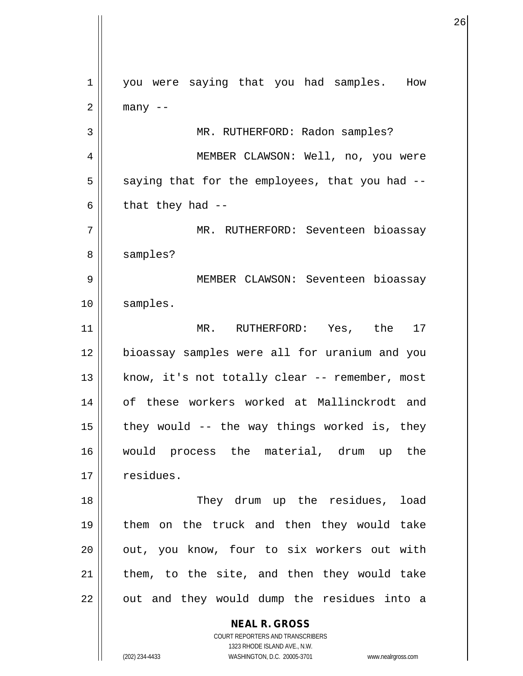**NEAL R. GROSS** COURT REPORTERS AND TRANSCRIBERS 1 || you were saying that you had samples. How  $2 \parallel$  many  $-$ 3 || MR. RUTHERFORD: Radon samples? 4 MEMBER CLAWSON: Well, no, you were  $5 \parallel$  saying that for the employees, that you had --6 | that they had  $-$ 7 || MR. RUTHERFORD: Seventeen bioassay 8 || samples? 9 || MEMBER CLAWSON: Seventeen bioassay 10 samples. 11 MR. RUTHERFORD: Yes, the 17 12 bioassay samples were all for uranium and you 13 || know, it's not totally clear -- remember, most 14 || of these workers worked at Mallinckrodt and 15  $\parallel$  they would -- the way things worked is, they 16 would process the material, drum up the  $17$   $\parallel$  residues. 18 || They drum up the residues, load 19 them on the truck and then they would take 20 || out, you know, four to six workers out with  $21$  | them, to the site, and then they would take  $22$  || out and they would dump the residues into a

1323 RHODE ISLAND AVE., N.W.

(202) 234-4433 WASHINGTON, D.C. 20005-3701 www.nealrgross.com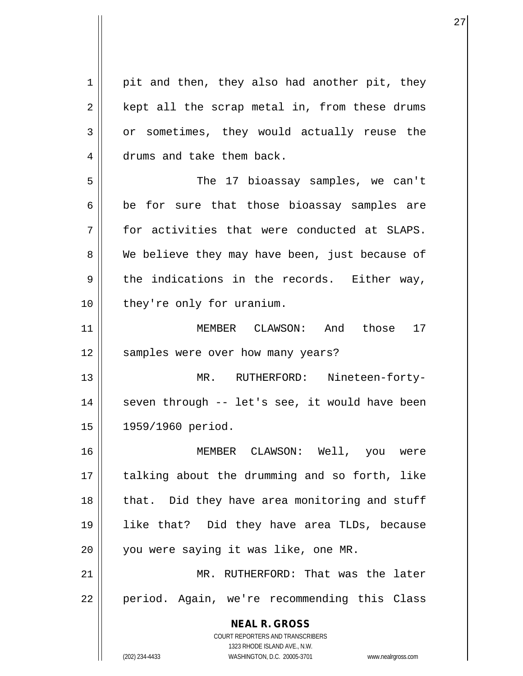**NEAL R. GROSS** COURT REPORTERS AND TRANSCRIBERS 1323 RHODE ISLAND AVE., N.W. (202) 234-4433 WASHINGTON, D.C. 20005-3701 www.nealrgross.com  $1 \parallel$  pit and then, they also had another pit, they  $2 \parallel$  kept all the scrap metal in, from these drums  $3 \parallel$  or sometimes, they would actually reuse the 4 drums and take them back. 5 The 17 bioassay samples, we can't  $6 \parallel$  be for sure that those bioassay samples are  $7$   $\parallel$  for activities that were conducted at SLAPS. 8 We believe they may have been, just because of  $9 \parallel$  the indications in the records. Either way, 10 || they're only for uranium. 11 MEMBER CLAWSON: And those 17 12 || samples were over how many years? 13 MR. RUTHERFORD: Nineteen-forty-14 || seven through -- let's see, it would have been 15 1959/1960 period. 16 MEMBER CLAWSON: Well, you were 17 || talking about the drumming and so forth, like 18 || that. Did they have area monitoring and stuff 19 like that? Did they have area TLDs, because 20 || you were saying it was like, one MR. 21 MR. RUTHERFORD: That was the later 22 || period. Again, we're recommending this Class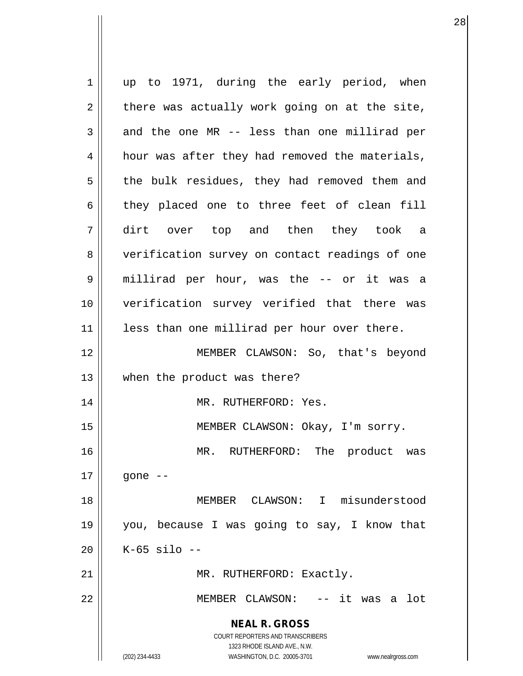**NEAL R. GROSS** COURT REPORTERS AND TRANSCRIBERS 1323 RHODE ISLAND AVE., N.W. (202) 234-4433 WASHINGTON, D.C. 20005-3701 www.nealrgross.com 1 || up to 1971, during the early period, when  $2 \parallel$  there was actually work going on at the site,  $3 \parallel$  and the one MR -- less than one millirad per  $4 \parallel$  hour was after they had removed the materials, 5 || the bulk residues, they had removed them and  $6 \parallel$  they placed one to three feet of clean fill 7 dirt over top and then they took a 8 || verification survey on contact readings of one 9 millirad per hour, was the -- or it was a 10 verification survey verified that there was 11 || less than one millirad per hour over there. 12 MEMBER CLAWSON: So, that's beyond 13 || when the product was there? 14 || MR. RUTHERFORD: Yes. 15 MEMBER CLAWSON: Okay, I'm sorry. 16 MR. RUTHERFORD: The product was  $17 \parallel$  gone  $-$ 18 MEMBER CLAWSON: I misunderstood 19 you, because I was going to say, I know that 20 K-65 silo -- 21 || MR. RUTHERFORD: Exactly. 22 MEMBER CLAWSON: -- it was a lot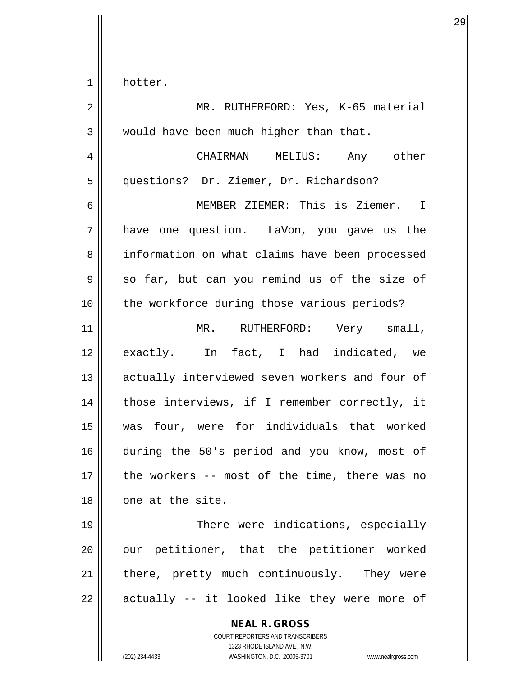$1 \parallel$  hotter.

| $\overline{2}$ | MR. RUTHERFORD: Yes, K-65 material                                                                                                                              |
|----------------|-----------------------------------------------------------------------------------------------------------------------------------------------------------------|
| 3              | would have been much higher than that.                                                                                                                          |
| 4              | CHAIRMAN MELIUS: Any other                                                                                                                                      |
| 5              | questions? Dr. Ziemer, Dr. Richardson?                                                                                                                          |
| 6              | MEMBER ZIEMER: This is Ziemer. I                                                                                                                                |
| 7              | have one question. LaVon, you gave us the                                                                                                                       |
| 8              | information on what claims have been processed                                                                                                                  |
| $\mathsf 9$    | so far, but can you remind us of the size of                                                                                                                    |
| 10             | the workforce during those various periods?                                                                                                                     |
| 11             | MR. RUTHERFORD: Very small,                                                                                                                                     |
| 12             | exactly. In fact, I had indicated, we                                                                                                                           |
| 13             | actually interviewed seven workers and four of                                                                                                                  |
| 14             | those interviews, if I remember correctly, it                                                                                                                   |
| 15             | was four, were for individuals that worked                                                                                                                      |
| 16             | during the 50's period and you know, most of                                                                                                                    |
| 17             | the workers -- most of the time, there was no                                                                                                                   |
| 18             | one at the site.                                                                                                                                                |
| 19             | There were indications, especially                                                                                                                              |
| 20             | our petitioner, that the petitioner worked                                                                                                                      |
| 21             | there, pretty much continuously. They were                                                                                                                      |
| 22             | actually -- it looked like they were more of                                                                                                                    |
|                | <b>NEAL R. GROSS</b><br>COURT REPORTERS AND TRANSCRIBERS<br>1323 RHODE ISLAND AVE., N.W.<br>(202) 234-4433<br>WASHINGTON, D.C. 20005-3701<br>www.nealrgross.com |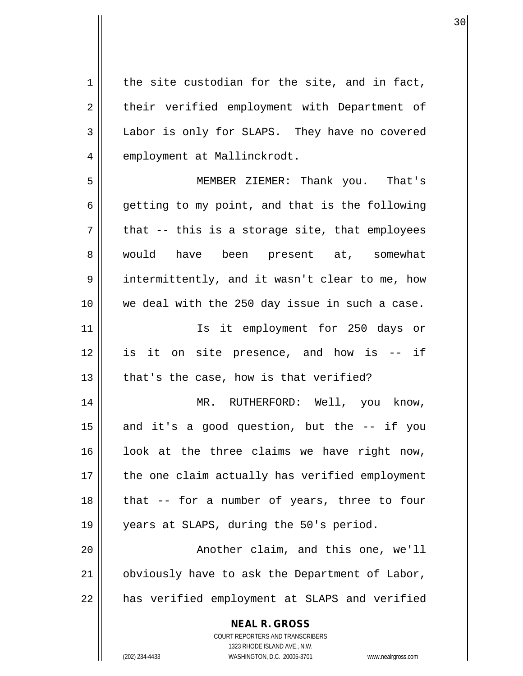**NEAL R. GROSS** COURT REPORTERS AND TRANSCRIBERS 1323 RHODE ISLAND AVE., N.W.  $1 \parallel$  the site custodian for the site, and in fact, 2 || their verified employment with Department of 3 Labor is only for SLAPS. They have no covered 4 | employment at Mallinckrodt. 5 MEMBER ZIEMER: Thank you. That's  $6 \parallel$  getting to my point, and that is the following  $7 \parallel$  that -- this is a storage site, that employees 8 || would have been present at, somewhat 9 || intermittently, and it wasn't clear to me, how 10 || we deal with the 250 day issue in such a case. 11 || Ts it employment for 250 days or 12 is it on site presence, and how is -- if  $13$  || that's the case, how is that verified? 14 MR. RUTHERFORD: Well, you know,  $15$  and it's a good question, but the  $-$  if you 16 || look at the three claims we have right now,  $17$  | the one claim actually has verified employment  $18$  || that -- for a number of years, three to four 19 years at SLAPS, during the 50's period. 20 || Another claim, and this one, we'll 21 obviously have to ask the Department of Labor, 22 || has verified employment at SLAPS and verified

(202) 234-4433 WASHINGTON, D.C. 20005-3701 www.nealrgross.com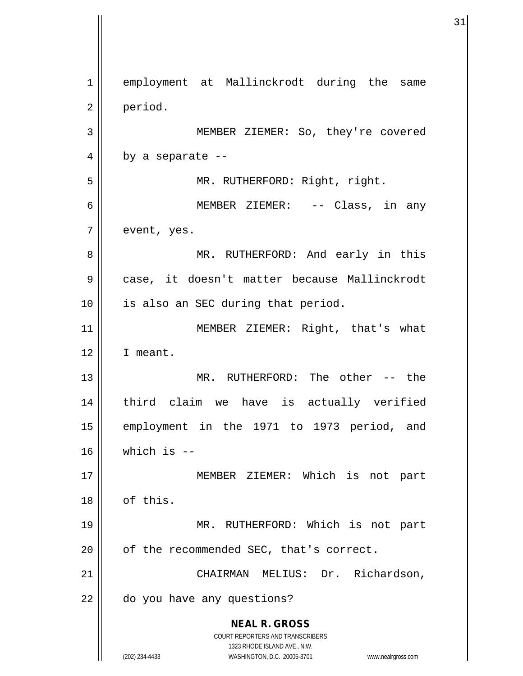**NEAL R. GROSS** COURT REPORTERS AND TRANSCRIBERS 1323 RHODE ISLAND AVE., N.W. (202) 234-4433 WASHINGTON, D.C. 20005-3701 www.nealrgross.com 1 employment at Mallinckrodt during the same 2 period. 3 || MEMBER ZIEMER: So, they're covered  $4 \parallel$  by a separate --5 || MR. RUTHERFORD: Right, right. 6 MEMBER ZIEMER: -- Class, in any  $7 \parallel$  event, yes. 8 MR. RUTHERFORD: And early in this 9 || case, it doesn't matter because Mallinckrodt 10 || is also an SEC during that period. 11 || MEMBER ZIEMER: Right, that's what 12 I meant. 13 MR. RUTHERFORD: The other -- the 14 third claim we have is actually verified 15 employment in the 1971 to 1973 period, and  $16$  which is  $-$ 17 || MEMBER ZIEMER: Which is not part 18 | of this. 19 MR. RUTHERFORD: Which is not part  $20$  | of the recommended SEC, that's correct. 21 | CHAIRMAN MELIUS: Dr. Richardson, 22 | do you have any questions?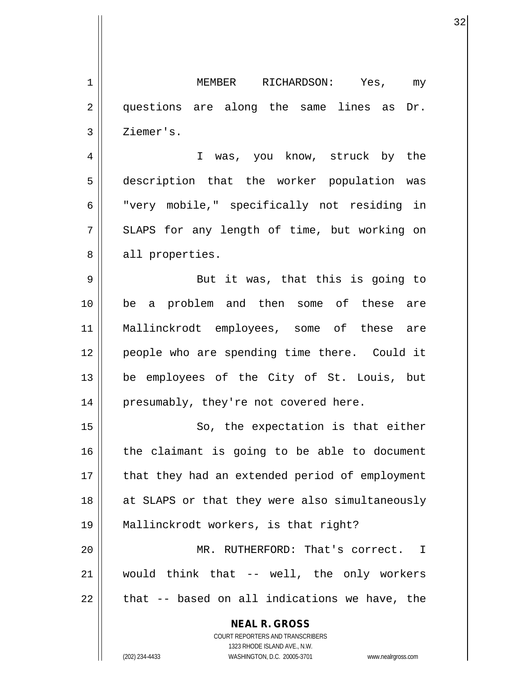**NEAL R. GROSS** COURT REPORTERS AND TRANSCRIBERS 1 MEMBER RICHARDSON: Yes, my 2 || questions are along the same lines as Dr. 3 | Ziemer's. 4 I was, you know, struck by the 5 description that the worker population was 6 Wery mobile," specifically not residing in 7 SLAPS for any length of time, but working on 8 || all properties. 9 || But it was, that this is going to 10 be a problem and then some of these are 11 Mallinckrodt employees, some of these are 12 || people who are spending time there. Could it 13 be employees of the City of St. Louis, but 14 || presumably, they're not covered here. 15 || So, the expectation is that either  $16$  the claimant is going to be able to document 17 || that they had an extended period of employment 18 || at SLAPS or that they were also simultaneously 19 Mallinckrodt workers, is that right? 20 MR. RUTHERFORD: That's correct. I  $21$  would think that -- well, the only workers  $22$  | that -- based on all indications we have, the

1323 RHODE ISLAND AVE., N.W.

(202) 234-4433 WASHINGTON, D.C. 20005-3701 www.nealrgross.com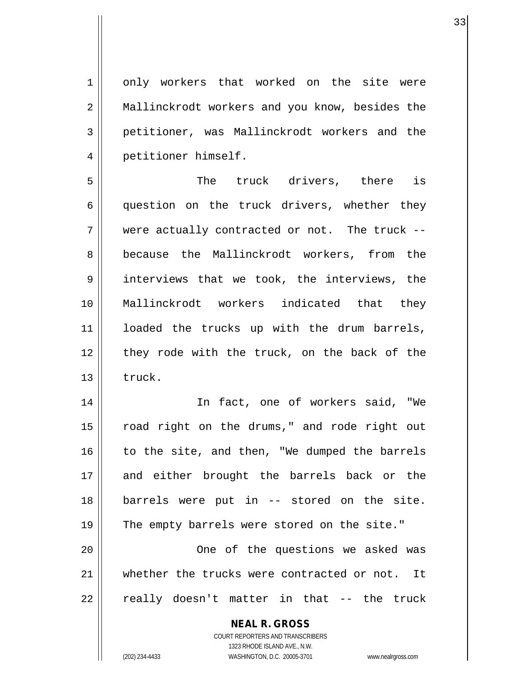1 | only workers that worked on the site were 2 || Mallinckrodt workers and you know, besides the 3 petitioner, was Mallinckrodt workers and the 4 | petitioner himself.

5 The truck drivers, there is 6 question on the truck drivers, whether they 7 were actually contracted or not. The truck -- 8 because the Mallinckrodt workers, from the 9 || interviews that we took, the interviews, the 10 Mallinckrodt workers indicated that they 11 || loaded the trucks up with the drum barrels, 12 || they rode with the truck, on the back of the  $13$   $\parallel$  truck.

14 In fact, one of workers said, "We 15 || road right on the drums," and rode right out  $16$  to the site, and then, "We dumped the barrels 17 and either brought the barrels back or the 18 barrels were put in -- stored on the site. 19 || The empty barrels were stored on the site." 20 || One of the questions we asked was 21 whether the trucks were contracted or not. It  $22 \parallel$  really doesn't matter in that -- the truck

#### **NEAL R. GROSS** COURT REPORTERS AND TRANSCRIBERS

1323 RHODE ISLAND AVE., N.W. (202) 234-4433 WASHINGTON, D.C. 20005-3701 www.nealrgross.com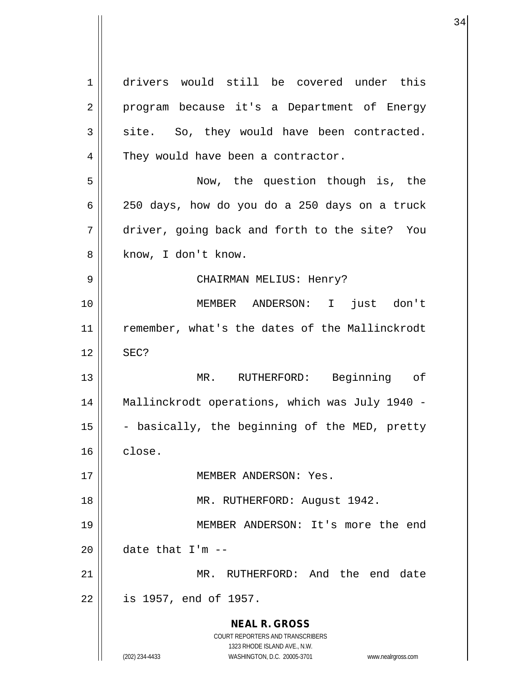**NEAL R. GROSS** COURT REPORTERS AND TRANSCRIBERS 1323 RHODE ISLAND AVE., N.W. (202) 234-4433 WASHINGTON, D.C. 20005-3701 www.nealrgross.com 1 drivers would still be covered under this 2 || program because it's a Department of Energy  $3 \parallel$  site. So, they would have been contracted. 4 | They would have been a contractor. 5 Now, the question though is, the 6 250 days, how do you do a 250 days on a truck 7 driver, going back and forth to the site? You 8 || know, I don't know. 9 CHAIRMAN MELIUS: Henry? 10 MEMBER ANDERSON: I just don't 11 || remember, what's the dates of the Mallinckrodt  $12 \parallel$  SEC? 13 MR. RUTHERFORD: Beginning of 14 Mallinckrodt operations, which was July 1940 - 15  $\parallel$  - basically, the beginning of the MED, pretty  $16 \parallel$  close. 17 MEMBER ANDERSON: Yes. 18 MR. RUTHERFORD: August 1942. 19 MEMBER ANDERSON: It's more the end 20  $\parallel$  date that I'm  $-$ 21 MR. RUTHERFORD: And the end date 22 is 1957, end of 1957.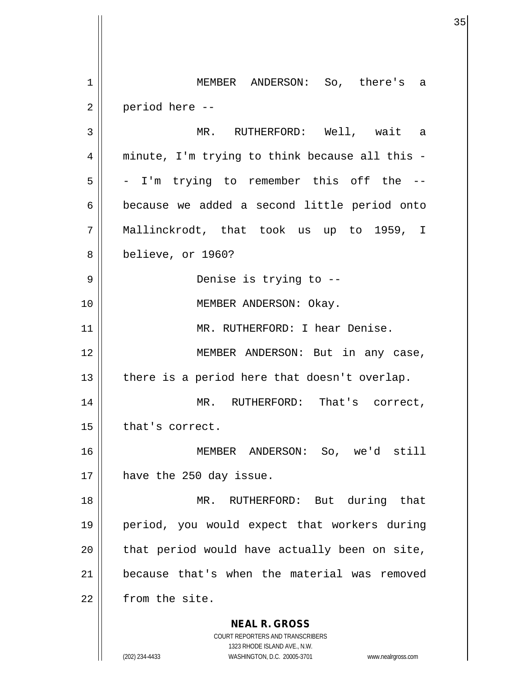**NEAL R. GROSS** COURT REPORTERS AND TRANSCRIBERS 1323 RHODE ISLAND AVE., N.W. (202) 234-4433 WASHINGTON, D.C. 20005-3701 www.nealrgross.com 1 MEMBER ANDERSON: So, there's a  $2 \parallel$  period here  $-$ 3 MR. RUTHERFORD: Well, wait a 4 || minute, I'm trying to think because all this - $5 \parallel$  - I'm trying to remember this off the --6 because we added a second little period onto 7 Mallinckrodt, that took us up to 1959, I 8 believe, or 1960? 9 Denise is trying to -- 10 || MEMBER ANDERSON: Okay. 11 || MR. RUTHERFORD: I hear Denise. 12 || MEMBER ANDERSON: But in any case,  $13$  | there is a period here that doesn't overlap. 14 || MR. RUTHERFORD: That's correct,  $15$  | that's correct. 16 MEMBER ANDERSON: So, we'd still 17 || have the 250 day issue. 18 MR. RUTHERFORD: But during that 19 period, you would expect that workers during  $20$  || that period would have actually been on site, 21 because that's when the material was removed 22 | from the site.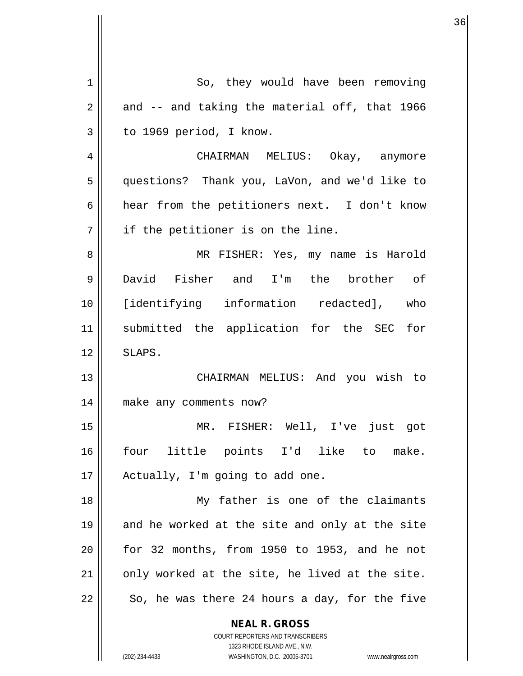| 1  | So, they would have been removing                                   |
|----|---------------------------------------------------------------------|
| 2  | and -- and taking the material off, that 1966                       |
| 3  | to 1969 period, I know.                                             |
| 4  | CHAIRMAN MELIUS: Okay, anymore                                      |
| 5  | questions? Thank you, LaVon, and we'd like to                       |
| 6  | hear from the petitioners next. I don't know                        |
| 7  | if the petitioner is on the line.                                   |
| 8  | MR FISHER: Yes, my name is Harold                                   |
| 9  | David Fisher and I'm the brother of                                 |
| 10 | [identifying information redacted], who                             |
| 11 | submitted the application for the SEC for                           |
| 12 | SLAPS.                                                              |
| 13 | CHAIRMAN MELIUS: And you wish to                                    |
| 14 | make any comments now?                                              |
| 15 | MR. FISHER: Well, I've just got                                     |
| 16 | four little points I'd like to make.                                |
| 17 | Actually, I'm going to add one.                                     |
| 18 | My father is one of the claimants                                   |
| 19 | and he worked at the site and only at the site                      |
| 20 | for 32 months, from 1950 to 1953, and he not                        |
| 21 | only worked at the site, he lived at the site.                      |
| 22 | So, he was there 24 hours a day, for the five                       |
|    | <b>NEAL R. GROSS</b>                                                |
|    | COURT REPORTERS AND TRANSCRIBERS<br>1323 RHODE ISLAND AVE., N.W.    |
|    | (202) 234-4433<br>WASHINGTON, D.C. 20005-3701<br>www.nealrgross.com |

 $\mathbf{\mathcal{H}}$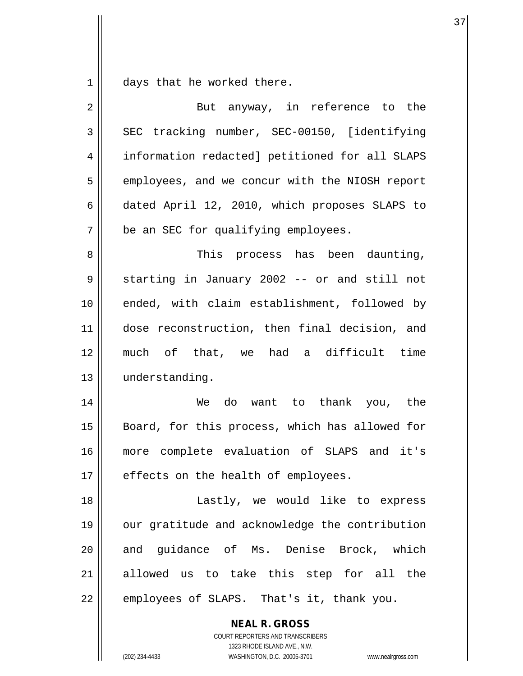$1 \parallel$  days that he worked there.

| 2  | But anyway, in reference to the                                                                                                                                 |
|----|-----------------------------------------------------------------------------------------------------------------------------------------------------------------|
| 3  | SEC tracking number, SEC-00150, [identifying                                                                                                                    |
| 4  | information redacted] petitioned for all SLAPS                                                                                                                  |
| 5  | employees, and we concur with the NIOSH report                                                                                                                  |
| 6  | dated April 12, 2010, which proposes SLAPS to                                                                                                                   |
| 7  | be an SEC for qualifying employees.                                                                                                                             |
| 8  | This process has been daunting,                                                                                                                                 |
| 9  | starting in January 2002 -- or and still not                                                                                                                    |
| 10 | ended, with claim establishment, followed by                                                                                                                    |
| 11 | dose reconstruction, then final decision, and                                                                                                                   |
| 12 | much of that, we had a difficult time                                                                                                                           |
| 13 | understanding.                                                                                                                                                  |
| 14 | We do want to thank you, the                                                                                                                                    |
| 15 | Board, for this process, which has allowed for                                                                                                                  |
| 16 | more complete evaluation of SLAPS and it's                                                                                                                      |
| 17 | effects on the health of employees.                                                                                                                             |
| 18 | Lastly, we would like to express                                                                                                                                |
| 19 | our gratitude and acknowledge the contribution                                                                                                                  |
| 20 | and guidance of Ms. Denise Brock, which                                                                                                                         |
| 21 | allowed us to take this step for all the                                                                                                                        |
| 22 | employees of SLAPS. That's it, thank you.                                                                                                                       |
|    | <b>NEAL R. GROSS</b><br>COURT REPORTERS AND TRANSCRIBERS<br>1323 RHODE ISLAND AVE., N.W.<br>(202) 234-4433<br>WASHINGTON, D.C. 20005-3701<br>www.nealrgross.com |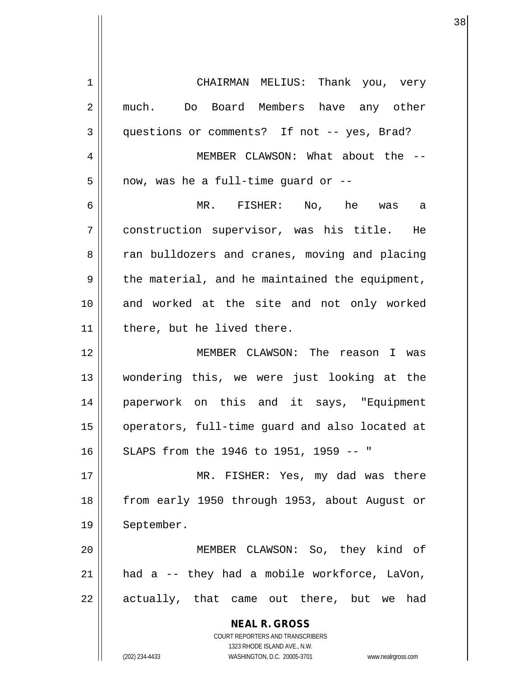| 1  | CHAIRMAN MELIUS: Thank you, very                                    |
|----|---------------------------------------------------------------------|
| 2  | much. Do Board Members have any other                               |
| 3  | questions or comments? If not -- yes, Brad?                         |
| 4  | MEMBER CLAWSON: What about the --                                   |
| 5  | now, was he a full-time quard or --                                 |
| 6  | MR. FISHER: No, he was a                                            |
| 7  | construction supervisor, was his title. He                          |
| 8  | ran bulldozers and cranes, moving and placing                       |
| 9  | the material, and he maintained the equipment,                      |
| 10 | and worked at the site and not only worked                          |
| 11 | there, but he lived there.                                          |
| 12 | MEMBER CLAWSON: The reason I was                                    |
| 13 | wondering this, we were just looking at the                         |
| 14 | paperwork on this and it says, "Equipment                           |
| 15 | operators, full-time guard and also located at                      |
| 16 | SLAPS from the 1946 to 1951, 1959 -- "                              |
| 17 | MR. FISHER: Yes, my dad was there                                   |
| 18 | from early 1950 through 1953, about August or                       |
|    |                                                                     |
| 19 | September.                                                          |
| 20 | MEMBER CLAWSON: So, they kind of                                    |
| 21 | had a -- they had a mobile workforce, LaVon,                        |
| 22 | actually, that came out there, but we had                           |
|    | <b>NEAL R. GROSS</b>                                                |
|    | COURT REPORTERS AND TRANSCRIBERS                                    |
|    | 1323 RHODE ISLAND AVE., N.W.                                        |
|    | (202) 234-4433<br>WASHINGTON, D.C. 20005-3701<br>www.nealrgross.com |

 $\mathsf{I}$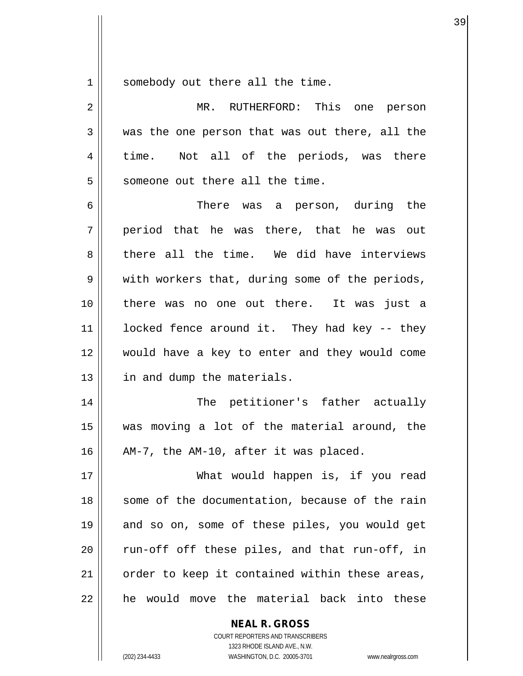$1 \parallel$  somebody out there all the time.

| 2  | MR. RUTHERFORD: This one person                |
|----|------------------------------------------------|
| 3  | was the one person that was out there, all the |
| 4  | time. Not all of the periods, was there        |
| 5  | someone out there all the time.                |
| 6  | There was a person, during the                 |
| 7  | period that he was there, that he was out      |
| 8  | there all the time. We did have interviews     |
| 9  | with workers that, during some of the periods, |
| 10 | there was no one out there. It was just a      |
| 11 | locked fence around it. They had key -- they   |
| 12 | would have a key to enter and they would come  |
| 13 | in and dump the materials.                     |
| 14 | The petitioner's father actually               |
| 15 | was moving a lot of the material around, the   |
| 16 | AM-7, the AM-10, after it was placed.          |
| 17 | What would happen is, if you read              |
| 18 | some of the documentation, because of the rain |
| 19 | and so on, some of these piles, you would get  |
| 20 | run-off off these piles, and that run-off, in  |
| 21 | order to keep it contained within these areas, |
| 22 | he would move the material back into these     |

**NEAL R. GROSS** COURT REPORTERS AND TRANSCRIBERS

1323 RHODE ISLAND AVE., N.W.

(202) 234-4433 WASHINGTON, D.C. 20005-3701 www.nealrgross.com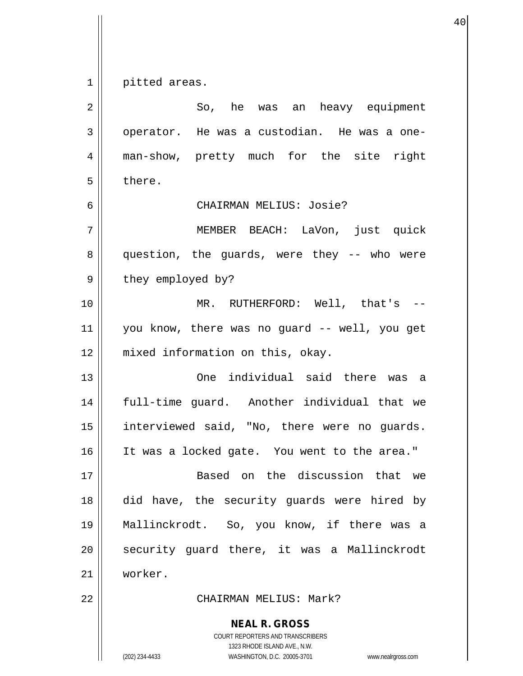$1 \parallel$  pitted areas.

| $\overline{2}$ | So, he was an heavy equipment                                                                                                                                   |
|----------------|-----------------------------------------------------------------------------------------------------------------------------------------------------------------|
| 3              | operator. He was a custodian. He was a one-                                                                                                                     |
| 4              | man-show, pretty much for the site right                                                                                                                        |
| 5              | there.                                                                                                                                                          |
| 6              | CHAIRMAN MELIUS: Josie?                                                                                                                                         |
| 7              | MEMBER BEACH: LaVon, just quick                                                                                                                                 |
| 8              | question, the guards, were they -- who were                                                                                                                     |
| 9              | they employed by?                                                                                                                                               |
| 10             | MR. RUTHERFORD: Well, that's --                                                                                                                                 |
| 11             | you know, there was no guard -- well, you get                                                                                                                   |
| 12             | mixed information on this, okay.                                                                                                                                |
| 13             | One individual said there was a                                                                                                                                 |
| 14             | full-time guard. Another individual that we                                                                                                                     |
| 15             | interviewed said, "No, there were no guards.                                                                                                                    |
| 16             | It was a locked gate. You went to the area."                                                                                                                    |
| 17             | Based on the discussion that we                                                                                                                                 |
| 18             | did have, the security quards were hired by                                                                                                                     |
| 19             | Mallinckrodt. So, you know, if there was a                                                                                                                      |
| 20             | security quard there, it was a Mallinckrodt                                                                                                                     |
| 21             | worker.                                                                                                                                                         |
| 22             | CHAIRMAN MELIUS: Mark?                                                                                                                                          |
|                | <b>NEAL R. GROSS</b><br>COURT REPORTERS AND TRANSCRIBERS<br>1323 RHODE ISLAND AVE., N.W.<br>(202) 234-4433<br>WASHINGTON, D.C. 20005-3701<br>www.nealrgross.com |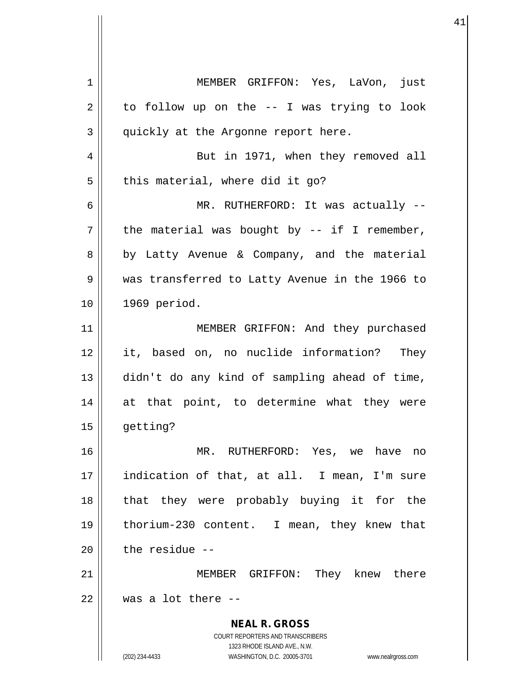**NEAL R. GROSS** COURT REPORTERS AND TRANSCRIBERS 1323 RHODE ISLAND AVE., N.W. (202) 234-4433 WASHINGTON, D.C. 20005-3701 www.nealrgross.com 1 MEMBER GRIFFON: Yes, LaVon, just  $2 \parallel$  to follow up on the -- I was trying to look  $3 \parallel$  quickly at the Argonne report here. 4 || But in 1971, when they removed all  $5$  | this material, where did it go? 6 MR. RUTHERFORD: It was actually --  $7 \parallel$  the material was bought by -- if I remember, 8 || by Latty Avenue & Company, and the material 9 was transferred to Latty Avenue in the 1966 to 10 1969 period. 11 || MEMBER GRIFFON: And they purchased 12 it, based on, no nuclide information? They 13 didn't do any kind of sampling ahead of time, 14 at that point, to determine what they were 15 getting? 16 MR. RUTHERFORD: Yes, we have no 17 indication of that, at all. I mean, I'm sure 18 that they were probably buying it for the 19 thorium-230 content. I mean, they knew that  $20$  | the residue  $-$ 21 MEMBER GRIFFON: They knew there  $22$   $\parallel$  was a lot there --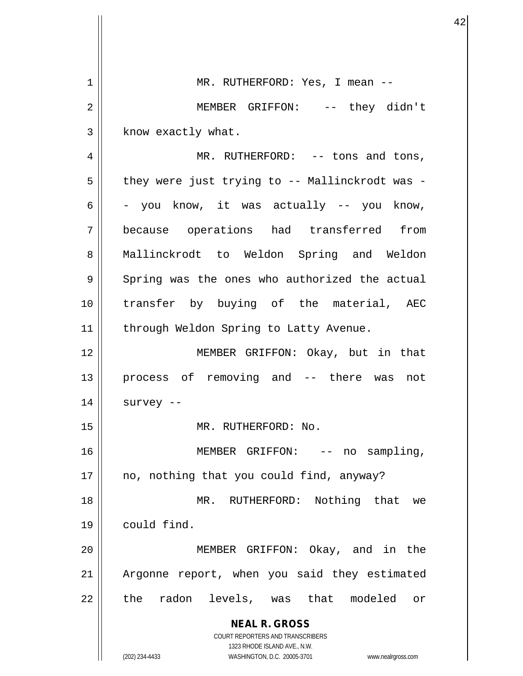| 1  | MR. RUTHERFORD: Yes, I mean --                                      |
|----|---------------------------------------------------------------------|
| 2  | MEMBER GRIFFON: -- they didn't                                      |
| 3  | know exactly what.                                                  |
| 4  | MR. RUTHERFORD: $--$ tons and tons,                                 |
| 5  | they were just trying to -- Mallinckrodt was -                      |
| 6  | - you know, it was actually -- you know,                            |
| 7  | because operations had transferred from                             |
| 8  | Mallinckrodt to Weldon Spring and Weldon                            |
| 9  | Spring was the ones who authorized the actual                       |
| 10 | transfer by buying of the material, AEC                             |
| 11 | through Weldon Spring to Latty Avenue.                              |
| 12 | MEMBER GRIFFON: Okay, but in that                                   |
| 13 | process of removing and -- there was not                            |
| 14 | survey --                                                           |
| 15 | MR. RUTHERFORD: No.                                                 |
| 16 | MEMBER GRIFFON: -- no<br>sampling,                                  |
| 17 | no, nothing that you could find, anyway?                            |
| 18 | MR. RUTHERFORD: Nothing that we                                     |
| 19 | could find.                                                         |
| 20 | MEMBER GRIFFON: Okay, and in the                                    |
| 21 | Argonne report, when you said they estimated                        |
| 22 | the radon levels, was that modeled or                               |
|    | <b>NEAL R. GROSS</b><br><b>COURT REPORTERS AND TRANSCRIBERS</b>     |
|    | 1323 RHODE ISLAND AVE., N.W.                                        |
|    | (202) 234-4433<br>WASHINGTON, D.C. 20005-3701<br>www.nealrgross.com |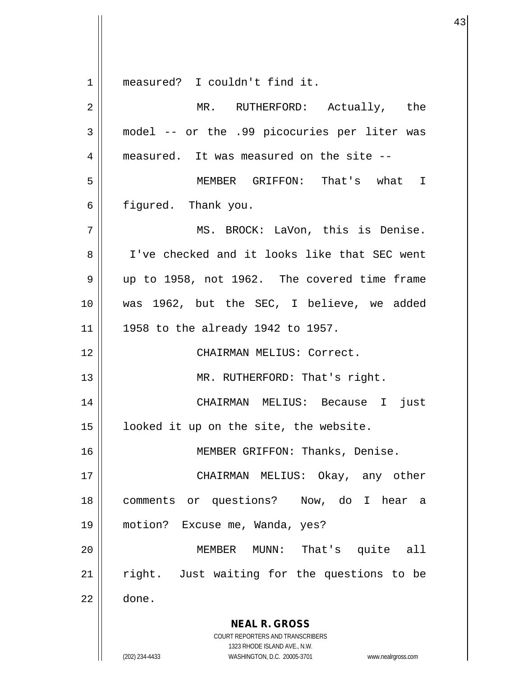**NEAL R. GROSS** COURT REPORTERS AND TRANSCRIBERS 1323 RHODE ISLAND AVE., N.W. 1 measured? I couldn't find it. 2 || MR. RUTHERFORD: Actually, the 3 model -- or the .99 picocuries per liter was 4 measured. It was measured on the site --5 MEMBER GRIFFON: That's what I  $6 \parallel$  figured. Thank you. 7 MS. BROCK: LaVon, this is Denise. 8 I've checked and it looks like that SEC went  $9 \parallel$  up to 1958, not 1962. The covered time frame 10 was 1962, but the SEC, I believe, we added 11 || 1958 to the already 1942 to 1957. 12 CHAIRMAN MELIUS: Correct. 13 || MR. RUTHERFORD: That's right. 14 CHAIRMAN MELIUS: Because I just 15 || looked it up on the site, the website. 16 || MEMBER GRIFFON: Thanks, Denise. 17 || CHAIRMAN MELIUS: Okay, any other 18 comments or questions? Now, do I hear a 19 motion? Excuse me, Wanda, yes? 20 MEMBER MUNN: That's quite all 21 || right. Just waiting for the questions to be  $22 \parallel$  done.

(202) 234-4433 WASHINGTON, D.C. 20005-3701 www.nealrgross.com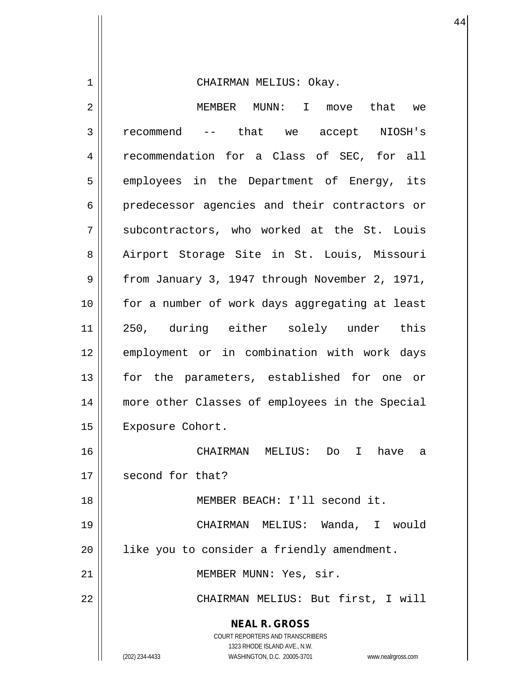1 | CHAIRMAN MELIUS: Okay.

| $\overline{2}$ | MEMBER MUNN: I<br>that we<br>move                                                                                                                                                                                                                                                                                                                                                                                                   |
|----------------|-------------------------------------------------------------------------------------------------------------------------------------------------------------------------------------------------------------------------------------------------------------------------------------------------------------------------------------------------------------------------------------------------------------------------------------|
| 3              | that we accept NIOSH's<br>recommend<br>$\frac{1}{2} \frac{1}{2} \left( \frac{1}{2} \frac{1}{2} \frac{1}{2} \frac{1}{2} \frac{1}{2} \frac{1}{2} \frac{1}{2} \frac{1}{2} \frac{1}{2} \frac{1}{2} \frac{1}{2} \frac{1}{2} \frac{1}{2} \frac{1}{2} \frac{1}{2} \frac{1}{2} \frac{1}{2} \frac{1}{2} \frac{1}{2} \frac{1}{2} \frac{1}{2} \frac{1}{2} \frac{1}{2} \frac{1}{2} \frac{1}{2} \frac{1}{2} \frac{1}{2} \frac{1}{2} \frac{1}{2}$ |
| 4              | recommendation for a Class of SEC, for all                                                                                                                                                                                                                                                                                                                                                                                          |
| 5              | employees in the Department of Energy, its                                                                                                                                                                                                                                                                                                                                                                                          |
| 6              | predecessor agencies and their contractors or                                                                                                                                                                                                                                                                                                                                                                                       |
| 7              | subcontractors, who worked at the St. Louis                                                                                                                                                                                                                                                                                                                                                                                         |
| 8              | Airport Storage Site in St. Louis, Missouri                                                                                                                                                                                                                                                                                                                                                                                         |
| 9              | from January 3, 1947 through November 2, 1971,                                                                                                                                                                                                                                                                                                                                                                                      |
| 10             | for a number of work days aggregating at least                                                                                                                                                                                                                                                                                                                                                                                      |
| 11             | 250, during either solely under this                                                                                                                                                                                                                                                                                                                                                                                                |
| 12             | employment or in combination with work days                                                                                                                                                                                                                                                                                                                                                                                         |
| 13             | for the parameters, established for one or                                                                                                                                                                                                                                                                                                                                                                                          |
| 14             | more other Classes of employees in the Special                                                                                                                                                                                                                                                                                                                                                                                      |
| 15             | Exposure Cohort.                                                                                                                                                                                                                                                                                                                                                                                                                    |
| 16             | CHAIRMAN MELIUS:<br>Do<br>$\mathbf{I}$<br>have<br>а                                                                                                                                                                                                                                                                                                                                                                                 |
| 17             | second for that?                                                                                                                                                                                                                                                                                                                                                                                                                    |
| 18             | MEMBER BEACH: I'll second it.                                                                                                                                                                                                                                                                                                                                                                                                       |
| 19             | CHAIRMAN MELIUS: Wanda, I would                                                                                                                                                                                                                                                                                                                                                                                                     |
| 20             | like you to consider a friendly amendment.                                                                                                                                                                                                                                                                                                                                                                                          |
| 21             | MEMBER MUNN: Yes, sir.                                                                                                                                                                                                                                                                                                                                                                                                              |
| 22             | CHAIRMAN MELIUS: But first, I will                                                                                                                                                                                                                                                                                                                                                                                                  |
|                | <b>NEAL R. GROSS</b><br>COURT REPORTERS AND TRANSCRIBERS<br>1323 RHODE ISLAND AVE., N.W.<br>WASHINGTON, D.C. 20005-3701<br>(202) 234-4433<br>www.nealrgross.com                                                                                                                                                                                                                                                                     |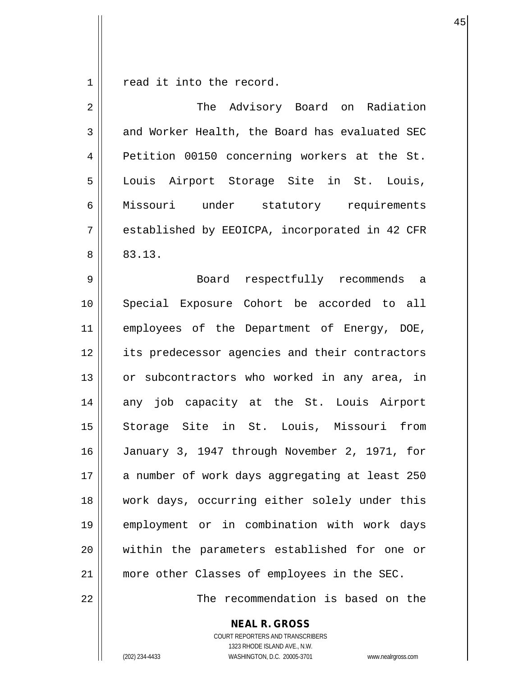$1 \parallel$  read it into the record.

| $\overline{2}$ | The Advisory Board on Radiation                |
|----------------|------------------------------------------------|
| 3              | and Worker Health, the Board has evaluated SEC |
| 4              | Petition 00150 concerning workers at the St.   |
| 5              | Louis Airport Storage Site in St. Louis,       |
| 6              | Missouri under statutory requirements          |
| 7              | established by EEOICPA, incorporated in 42 CFR |
| 8              | 83.13.                                         |
| 9              | Board respectfully recommends a                |
| 10             | Special Exposure Cohort be accorded to all     |
| 11             | employees of the Department of Energy, DOE,    |
| 12             | its predecessor agencies and their contractors |
| 13             | or subcontractors who worked in any area, in   |
| 14             | any job capacity at the St. Louis Airport      |
| 15             | Storage Site in St. Louis, Missouri from       |
| 16             | January 3, 1947 through November 2, 1971, for  |
| 17             | a number of work days aggregating at least 250 |
| 18             | work days, occurring either solely under this  |
| 19             | employment or in combination with work days    |
| 20             | within the parameters established for one or   |
| 21             | more other Classes of employees in the SEC.    |
| 22             | The recommendation is based on the             |

**NEAL R. GROSS**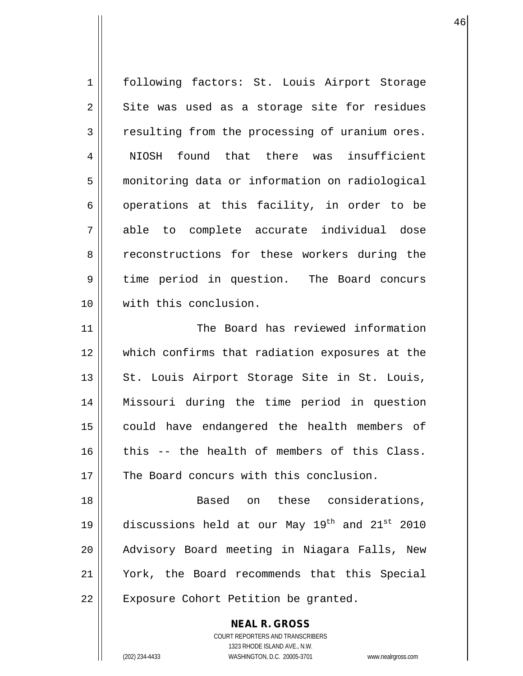1 | following factors: St. Louis Airport Storage  $2 \parallel$  Site was used as a storage site for residues 3 | resulting from the processing of uranium ores. 4 || NIOSH found that there was insufficient 5 monitoring data or information on radiological 6 | operations at this facility, in order to be 7 able to complete accurate individual dose 8 Teconstructions for these workers during the 9 time period in question. The Board concurs 10 with this conclusion. 11 The Board has reviewed information 12 which confirms that radiation exposures at the 13 || St. Louis Airport Storage Site in St. Louis, 14 Missouri during the time period in question 15 could have endangered the health members of  $16$  this -- the health of members of this Class. 17 || The Board concurs with this conclusion. 18 Based on these considerations, 19  $\parallel$  discussions held at our May 19<sup>th</sup> and 21<sup>st</sup> 2010 20 || Advisory Board meeting in Niagara Falls, New 21 York, the Board recommends that this Special 22 || Exposure Cohort Petition be granted.

1323 RHODE ISLAND AVE., N.W. (202) 234-4433 WASHINGTON, D.C. 20005-3701 www.nealrgross.com

**NEAL R. GROSS** COURT REPORTERS AND TRANSCRIBERS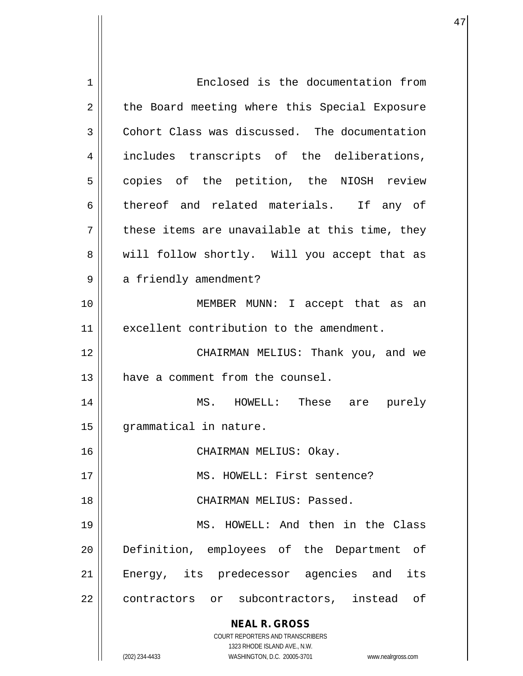| $\mathbf 1$ | Enclosed is the documentation from                                  |
|-------------|---------------------------------------------------------------------|
| 2           | the Board meeting where this Special Exposure                       |
| 3           | Cohort Class was discussed. The documentation                       |
| 4           | includes transcripts of the deliberations,                          |
| 5           | copies of the petition, the NIOSH review                            |
| 6           | thereof and related materials. If any of                            |
| 7           | these items are unavailable at this time, they                      |
| 8           | will follow shortly. Will you accept that as                        |
| 9           | a friendly amendment?                                               |
| 10          | MEMBER MUNN: I accept that as an                                    |
| 11          | excellent contribution to the amendment.                            |
| 12          | CHAIRMAN MELIUS: Thank you, and we                                  |
| 13          | have a comment from the counsel.                                    |
| 14          | MS. HOWELL: These are purely                                        |
| 15          | grammatical in nature.                                              |
| 16          | CHAIRMAN MELIUS: Okay.                                              |
| 17          | MS. HOWELL: First sentence?                                         |
| 18          | CHAIRMAN MELIUS: Passed.                                            |
| 19          | MS. HOWELL: And then in the Class                                   |
| 20          | Definition, employees of the Department<br>of                       |
| 21          | Energy, its predecessor agencies and its                            |
| 22          | contractors or subcontractors, instead of                           |
|             | <b>NEAL R. GROSS</b>                                                |
|             | COURT REPORTERS AND TRANSCRIBERS                                    |
|             | 1323 RHODE ISLAND AVE., N.W.                                        |
|             | (202) 234-4433<br>WASHINGTON, D.C. 20005-3701<br>www.nealrgross.com |

 $\mathsf{l}$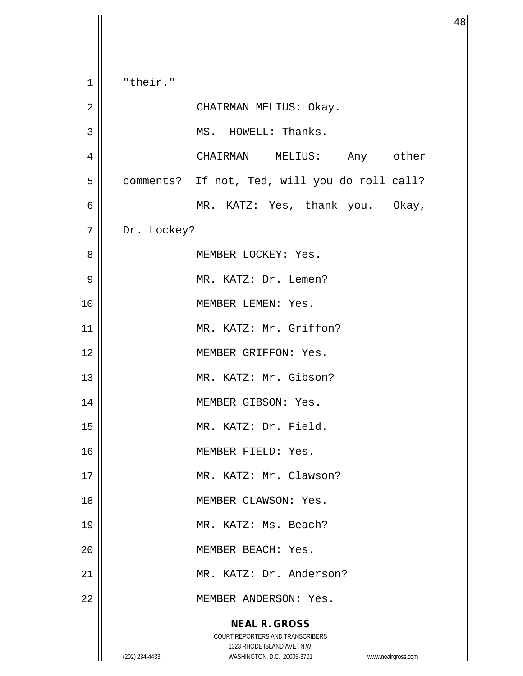**NEAL R. GROSS** COURT REPORTERS AND TRANSCRIBERS 1323 RHODE ISLAND AVE., N.W. (202) 234-4433 WASHINGTON, D.C. 20005-3701 www.nealrgross.com  $1 \parallel$  "their." 2 CHAIRMAN MELIUS: Okay. 3 | MS. HOWELL: Thanks. 4 CHAIRMAN MELIUS: Any other 5 | comments? If not, Ted, will you do roll call? 6 MR. KATZ: Yes, thank you. Okay, 7 | Dr. Lockey? 8 MEMBER LOCKEY: Yes. 9 || MR. KATZ: Dr. Lemen? 10 || MEMBER LEMEN: Yes. 11 || MR. KATZ: Mr. Griffon? 12 MEMBER GRIFFON: Yes. 13 || MR. KATZ: Mr. Gibson? 14 | MEMBER GIBSON: Yes. 15 MR. KATZ: Dr. Field. 16 || MEMBER FIELD: Yes. 17 || MR. KATZ: Mr. Clawson? 18 || MEMBER CLAWSON: Yes. 19 || MR. KATZ: Ms. Beach? 20 MEMBER BEACH: Yes. 21 MR. KATZ: Dr. Anderson? 22 || MEMBER ANDERSON: Yes.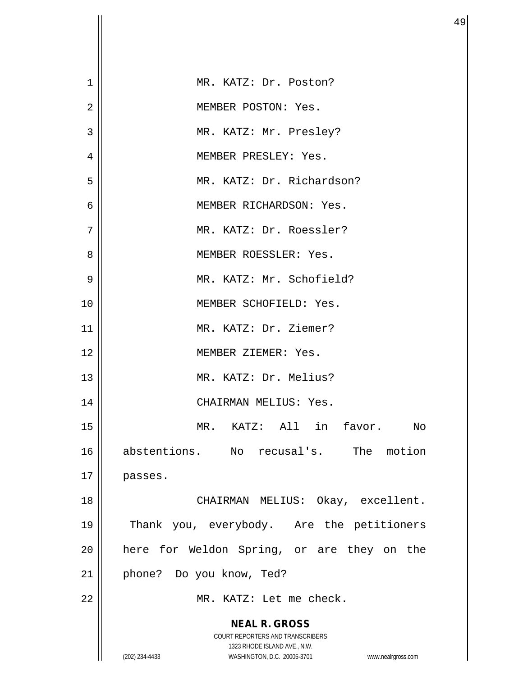| $\mathbf{1}$   | MR. KATZ: Dr. Poston?                                                                               |
|----------------|-----------------------------------------------------------------------------------------------------|
| $\overline{2}$ | MEMBER POSTON: Yes.                                                                                 |
| 3              | MR. KATZ: Mr. Presley?                                                                              |
| 4              | MEMBER PRESLEY: Yes.                                                                                |
| 5              | MR. KATZ: Dr. Richardson?                                                                           |
| 6              | MEMBER RICHARDSON: Yes.                                                                             |
| 7              | MR. KATZ: Dr. Roessler?                                                                             |
| 8              | MEMBER ROESSLER: Yes.                                                                               |
| 9              | MR. KATZ: Mr. Schofield?                                                                            |
| 10             | MEMBER SCHOFIELD: Yes.                                                                              |
| 11             | MR. KATZ: Dr. Ziemer?                                                                               |
| 12             | MEMBER ZIEMER: Yes.                                                                                 |
| 13             | MR. KATZ: Dr. Melius?                                                                               |
| 14             | CHAIRMAN MELIUS: Yes.                                                                               |
| 15             | MR. KATZ: All in favor. No                                                                          |
| 16             | abstentions. No recusal's. The motion                                                               |
| 17             | passes.                                                                                             |
| 18             | CHAIRMAN MELIUS: Okay, excellent.                                                                   |
| 19             | Thank you, everybody. Are the petitioners                                                           |
| 20             | here for Weldon Spring, or are they on the                                                          |
| 21             | phone? Do you know, Ted?                                                                            |
| 22             | MR. KATZ: Let me check.                                                                             |
|                | <b>NEAL R. GROSS</b><br><b>COURT REPORTERS AND TRANSCRIBERS</b>                                     |
|                | 1323 RHODE ISLAND AVE., N.W.<br>(202) 234-4433<br>WASHINGTON, D.C. 20005-3701<br>www.nealrgross.com |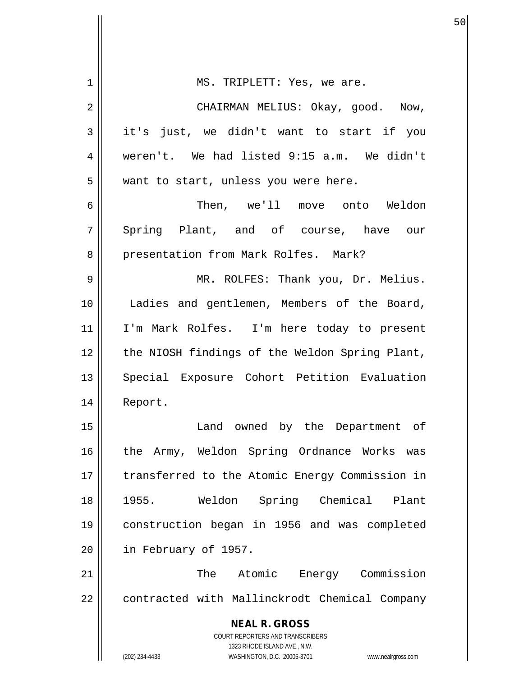| 1  | MS. TRIPLETT: Yes, we are.                                                                          |
|----|-----------------------------------------------------------------------------------------------------|
| 2  | CHAIRMAN MELIUS: Okay, good. Now,                                                                   |
| 3  | it's just, we didn't want to start if you                                                           |
| 4  | weren't. We had listed 9:15 a.m. We didn't                                                          |
| 5  | want to start, unless you were here.                                                                |
| 6  | Then, we'll move onto Weldon                                                                        |
| 7  | Spring Plant, and of course, have our                                                               |
| 8  | presentation from Mark Rolfes. Mark?                                                                |
| 9  | MR. ROLFES: Thank you, Dr. Melius.                                                                  |
| 10 | Ladies and gentlemen, Members of the Board,                                                         |
| 11 | I'm Mark Rolfes. I'm here today to present                                                          |
| 12 | the NIOSH findings of the Weldon Spring Plant,                                                      |
| 13 | Special Exposure Cohort Petition Evaluation                                                         |
| 14 | Report.                                                                                             |
| 15 | Land owned by the Department of                                                                     |
| 16 | the Army, Weldon Spring Ordnance Works<br>was                                                       |
| 17 | transferred to the Atomic Energy Commission in                                                      |
| 18 | 1955.<br>Weldon Spring Chemical Plant                                                               |
| 19 | construction began in 1956 and was completed                                                        |
| 20 | in February of 1957.                                                                                |
| 21 | The<br>Atomic<br>Energy Commission                                                                  |
| 22 | contracted with Mallinckrodt Chemical Company                                                       |
|    | <b>NEAL R. GROSS</b><br><b>COURT REPORTERS AND TRANSCRIBERS</b>                                     |
|    | 1323 RHODE ISLAND AVE., N.W.<br>(202) 234-4433<br>WASHINGTON, D.C. 20005-3701<br>www.nealrgross.com |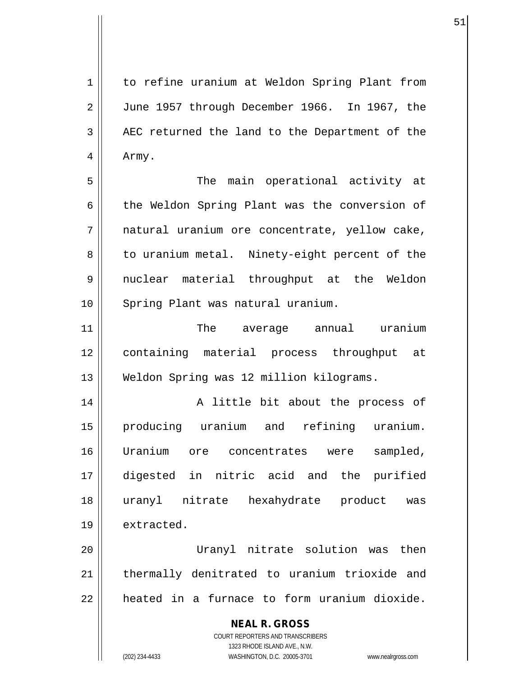1 | to refine uranium at Weldon Spring Plant from 2 June 1957 through December 1966. In 1967, the  $3$  | AEC returned the land to the Department of the 4 | Army.

5 The main operational activity at 6 the Weldon Spring Plant was the conversion of 7 || natural uranium ore concentrate, yellow cake, 8 || to uranium metal. Ninety-eight percent of the 9 nuclear material throughput at the Weldon 10 || Spring Plant was natural uranium.

11 The average annual uranium 12 containing material process throughput at 13 Weldon Spring was 12 million kilograms.

14 || A little bit about the process of 15 producing uranium and refining uranium. 16 Uranium ore concentrates were sampled, 17 digested in nitric acid and the purified 18 uranyl nitrate hexahydrate product was 19 | extracted.

20 Uranyl nitrate solution was then 21 || thermally denitrated to uranium trioxide and  $22$  | heated in a furnace to form uranium dioxide.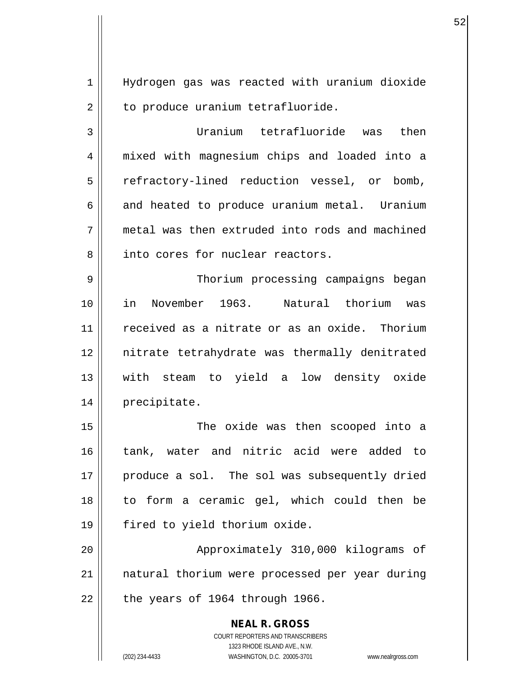1 Hydrogen gas was reacted with uranium dioxide  $2 \parallel$  to produce uranium tetrafluoride.

 $52$ 

3 Uranium tetrafluoride was then 4 mixed with magnesium chips and loaded into a 5 || refractory-lined reduction vessel, or bomb,  $6$  and heated to produce uranium metal. Uranium  $7 \parallel$  metal was then extruded into rods and machined 8 || into cores for nuclear reactors.

9 Thorium processing campaigns began 10 in November 1963. Natural thorium was 11 received as a nitrate or as an oxide. Thorium 12 nitrate tetrahydrate was thermally denitrated 13 with steam to yield a low density oxide 14 precipitate.

15 || The oxide was then scooped into a 16 tank, water and nitric acid were added to 17 || produce a sol. The sol was subsequently dried 18 to form a ceramic gel, which could then be 19 fired to yield thorium oxide.

20 || Approximately 310,000 kilograms of 21 || natural thorium were processed per year during  $22$  | the years of 1964 through 1966.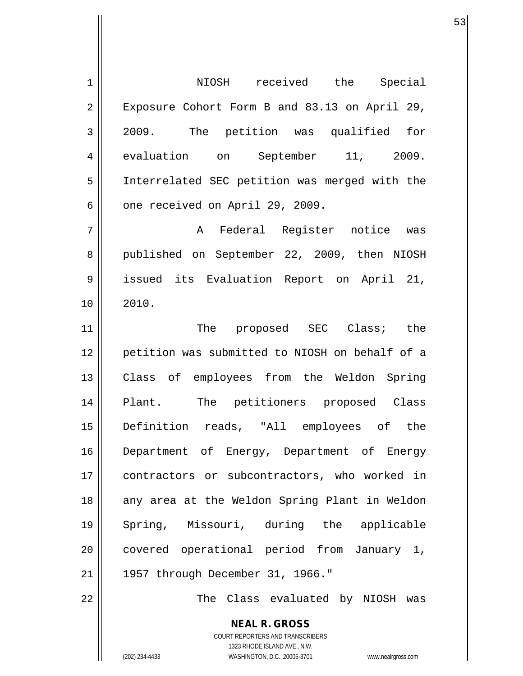**NEAL R. GROSS** COURT REPORTERS AND TRANSCRIBERS 1323 RHODE ISLAND AVE., N.W. 1 || NIOSH received the Special 2 || Exposure Cohort Form B and 83.13 on April 29, 3 2009. The petition was qualified for 4 evaluation on September 11, 2009. 5 Interrelated SEC petition was merged with the  $6 \parallel$  one received on April 29, 2009. 7 A Federal Register notice was 8 published on September 22, 2009, then NIOSH 9 issued its Evaluation Report on April 21,  $10 \parallel 2010.$ 11 || The proposed SEC Class; the 12 petition was submitted to NIOSH on behalf of a 13 Class of employees from the Weldon Spring 14 || Plant. The petitioners proposed Class 15 Definition reads, "All employees of the 16 || Department of Energy, Department of Energy 17 contractors or subcontractors, who worked in 18 || any area at the Weldon Spring Plant in Weldon 19 Spring, Missouri, during the applicable 20 || covered operational period from January 1, 21 || 1957 through December 31, 1966." 22 The Class evaluated by NIOSH was

(202) 234-4433 WASHINGTON, D.C. 20005-3701 www.nealrgross.com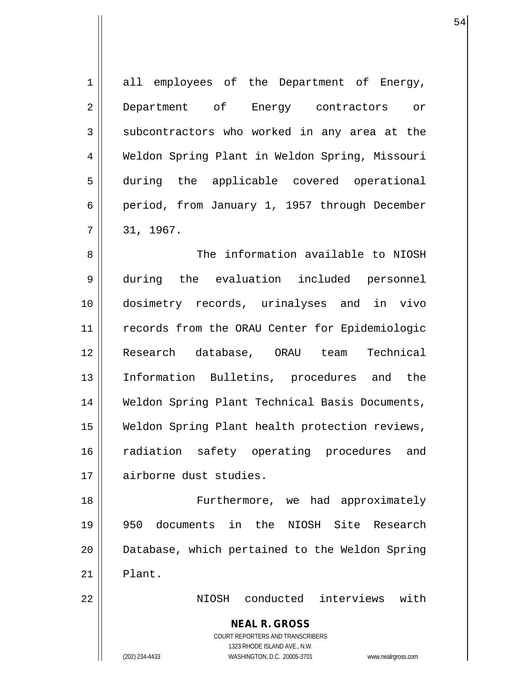1 all employees of the Department of Energy, 2 Department of Energy contractors or  $3 \parallel$  subcontractors who worked in any area at the 4 Weldon Spring Plant in Weldon Spring, Missouri 5 during the applicable covered operational 6 period, from January 1, 1957 through December  $7 \parallel 31, 1967.$ 

8 Society information available to NIOSH 9 during the evaluation included personnel 10 dosimetry records, urinalyses and in vivo 11 || records from the ORAU Center for Epidemiologic 12 Research database, ORAU team Technical 13 Information Bulletins, procedures and the 14 || Weldon Spring Plant Technical Basis Documents, 15 Weldon Spring Plant health protection reviews, 16 || radiation safety operating procedures and 17 airborne dust studies.

18 || Furthermore, we had approximately 19 950 documents in the NIOSH Site Research 20 || Database, which pertained to the Weldon Spring  $21$  | Plant.

22 NIOSH conducted interviews with

**NEAL R. GROSS**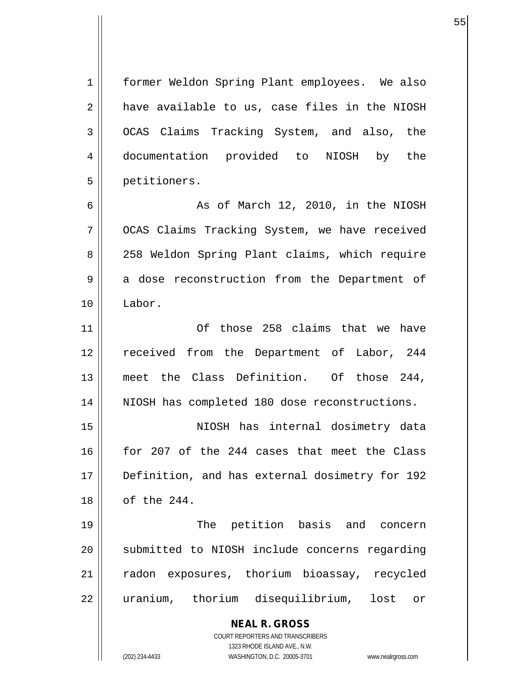**NEAL R. GROSS** COURT REPORTERS AND TRANSCRIBERS 1323 RHODE ISLAND AVE., N.W. 1 | former Weldon Spring Plant employees. We also  $2 \parallel$  have available to us, case files in the NIOSH 3 OCAS Claims Tracking System, and also, the 4 documentation provided to NIOSH by the 5 petitioners.  $6 \parallel$  As of March 12, 2010, in the NIOSH 7 OCAS Claims Tracking System, we have received 8 || 258 Weldon Spring Plant claims, which require 9 a dose reconstruction from the Department of 10 Labor. 11 Of those 258 claims that we have 12 received from the Department of Labor, 244 13 meet the Class Definition. Of those 244, 14 || NIOSH has completed 180 dose reconstructions. 15 NIOSH has internal dosimetry data 16 for 207 of the 244 cases that meet the Class 17 Definition, and has external dosimetry for 192 18 of the 244. 19 || The petition basis and concern 20 || submitted to NIOSH include concerns regarding 21 radon exposures, thorium bioassay, recycled 22 || uranium, thorium disequilibrium, lost or

(202) 234-4433 WASHINGTON, D.C. 20005-3701 www.nealrgross.com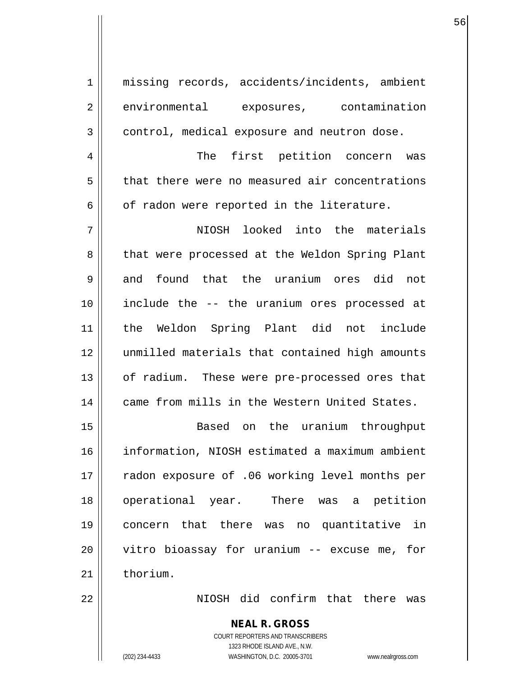1 missing records, accidents/incidents, ambient 2 environmental exposures, contamination 3 | control, medical exposure and neutron dose. 4 The first petition concern was 5 | that there were no measured air concentrations  $6 \parallel$  of radon were reported in the literature. 7 NIOSH looked into the materials 8 || that were processed at the Weldon Spring Plant 9 and found that the uranium ores did not 10 include the -- the uranium ores processed at 11 the Weldon Spring Plant did not include 12 unmilled materials that contained high amounts 13 || of radium. These were pre-processed ores that 14 came from mills in the Western United States. 15 Based on the uranium throughput 16 information, NIOSH estimated a maximum ambient 17 || radon exposure of .06 working level months per 18 operational year. There was a petition 19 concern that there was no quantitative in 20 || vitro bioassay for uranium -- excuse me, for  $21$   $\parallel$  thorium. 22 NIOSH did confirm that there was

> **NEAL R. GROSS** COURT REPORTERS AND TRANSCRIBERS 1323 RHODE ISLAND AVE., N.W.

(202) 234-4433 WASHINGTON, D.C. 20005-3701 www.nealrgross.com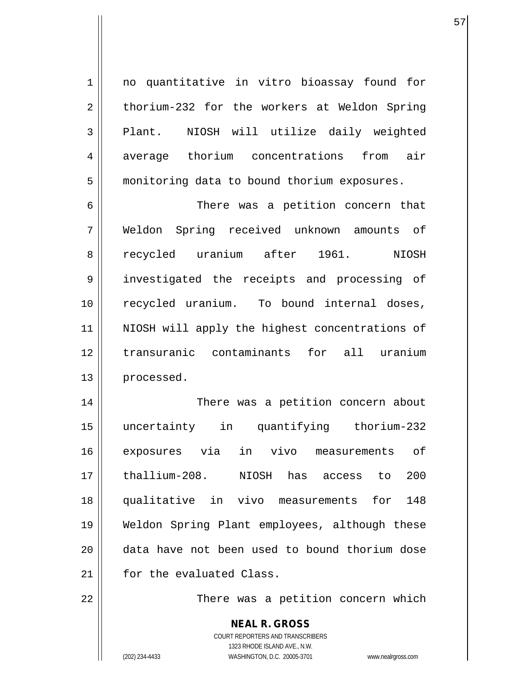1 || no quantitative in vitro bioassay found for  $2 \parallel$  thorium-232 for the workers at Weldon Spring 3 || Plant. NIOSH will utilize daily weighted 4 | average thorium concentrations from air 5 | monitoring data to bound thorium exposures.

6 There was a petition concern that 7 Weldon Spring received unknown amounts of 8 || recycled uranium after 1961. NIOSH 9 || investigated the receipts and processing of 10 || recycled uranium. To bound internal doses, 11 || NIOSH will apply the highest concentrations of 12 transuranic contaminants for all uranium 13 | processed.

14 || There was a petition concern about 15 uncertainty in quantifying thorium-232 16 exposures via in vivo measurements of 17 thallium-208. NIOSH has access to 200 18 qualitative in vivo measurements for 148 19 Weldon Spring Plant employees, although these 20 data have not been used to bound thorium dose 21 | for the evaluated Class.

22 || There was a petition concern which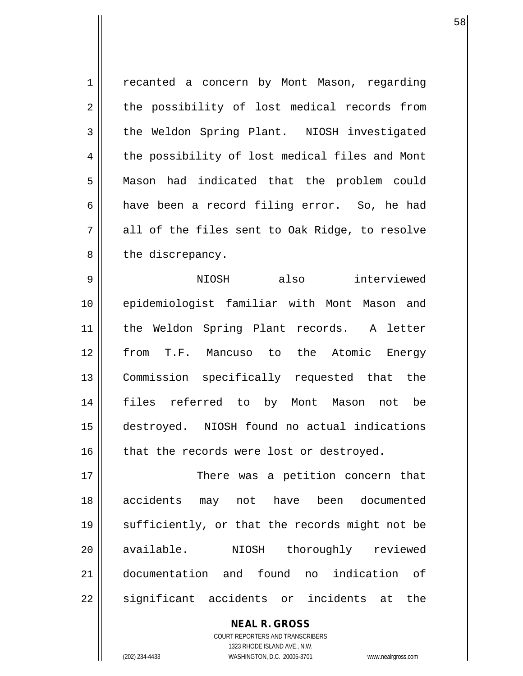1 | recanted a concern by Mont Mason, regarding 2 || the possibility of lost medical records from 3 the Weldon Spring Plant. NIOSH investigated 4 | the possibility of lost medical files and Mont 5 Mason had indicated that the problem could 6 have been a record filing error. So, he had  $7 \parallel$  all of the files sent to Oak Ridge, to resolve 8 || the discrepancy.

9 NIOSH also interviewed 10 epidemiologist familiar with Mont Mason and 11 the Weldon Spring Plant records. A letter 12 from T.F. Mancuso to the Atomic Energy 13 Commission specifically requested that the 14 files referred to by Mont Mason not be 15 destroyed. NIOSH found no actual indications  $16$  | that the records were lost or destroyed.

17 There was a petition concern that 18 accidents may not have been documented 19 || sufficiently, or that the records might not be 20 || available. NIOSH thoroughly reviewed 21 documentation and found no indication of 22 || significant accidents or incidents at the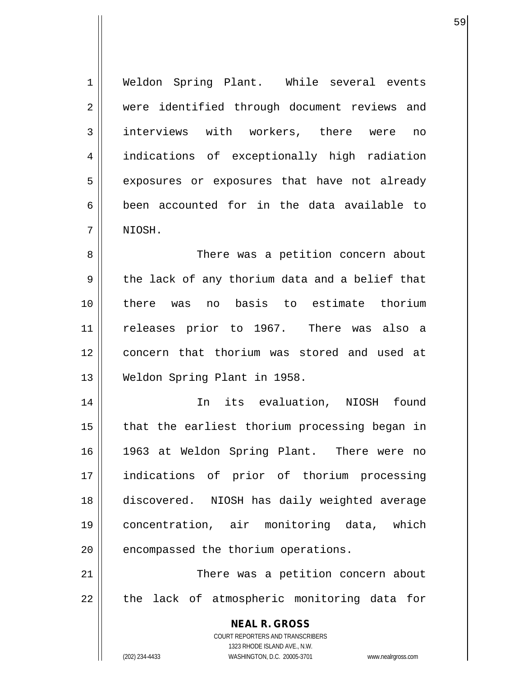1 | Weldon Spring Plant. While several events 2 || were identified through document reviews and 3 interviews with workers, there were no 4 indications of exceptionally high radiation 5 | exposures or exposures that have not already  $6 \parallel$  been accounted for in the data available to 7 NIOSH.

8 There was a petition concern about 9 || the lack of any thorium data and a belief that 10 there was no basis to estimate thorium 11 releases prior to 1967. There was also a 12 || concern that thorium was stored and used at 13 Weldon Spring Plant in 1958.

14 || In its evaluation, NIOSH found  $15$  || that the earliest thorium processing began in 16 1963 at Weldon Spring Plant. There were no 17 indications of prior of thorium processing 18 discovered. NIOSH has daily weighted average 19 concentration, air monitoring data, which  $20$  || encompassed the thorium operations.

21 || There was a petition concern about 22 || the lack of atmospheric monitoring data for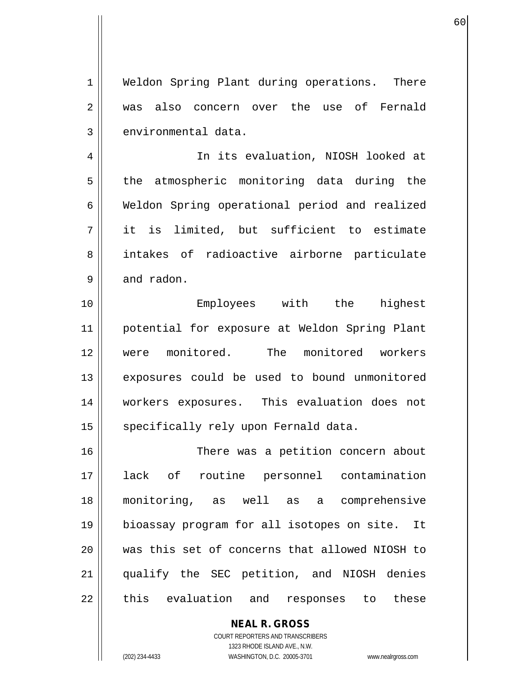1 | Weldon Spring Plant during operations. There 2 was also concern over the use of Fernald  $3$  | environmental data.

60

4 || In its evaluation, NIOSH looked at 5 || the atmospheric monitoring data during the 6 Weldon Spring operational period and realized  $7$  || it is limited, but sufficient to estimate 8 intakes of radioactive airborne particulate  $9 \parallel$  and radon.

10 Employees with the highest 11 potential for exposure at Weldon Spring Plant 12 were monitored. The monitored workers 13 || exposures could be used to bound unmonitored 14 workers exposures. This evaluation does not 15 | specifically rely upon Fernald data.

16 There was a petition concern about 17 lack of routine personnel contamination 18 monitoring, as well as a comprehensive 19 bioassay program for all isotopes on site. It 20 was this set of concerns that allowed NIOSH to 21 qualify the SEC petition, and NIOSH denies 22 || this evaluation and responses to these

> COURT REPORTERS AND TRANSCRIBERS 1323 RHODE ISLAND AVE., N.W. (202) 234-4433 WASHINGTON, D.C. 20005-3701 www.nealrgross.com

**NEAL R. GROSS**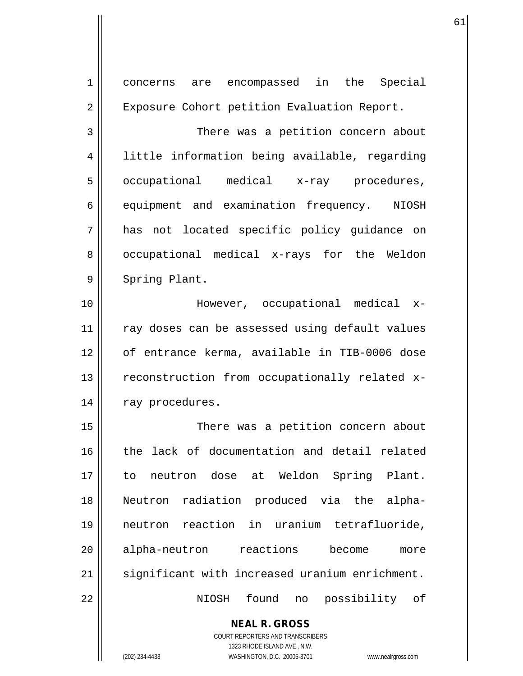| 1  | concerns are encompassed in the Special                             |
|----|---------------------------------------------------------------------|
| 2  | Exposure Cohort petition Evaluation Report.                         |
| 3  | There was a petition concern about                                  |
| 4  | little information being available, regarding                       |
| 5  | occupational medical x-ray procedures,                              |
| 6  | equipment and examination frequency. NIOSH                          |
| 7  | has not located specific policy guidance on                         |
| 8  | occupational medical x-rays for the Weldon                          |
| 9  | Spring Plant.                                                       |
| 10 | However, occupational medical x-                                    |
| 11 | ray doses can be assessed using default values                      |
|    |                                                                     |
| 12 | of entrance kerma, available in TIB-0006 dose                       |
| 13 | reconstruction from occupationally related x-                       |
| 14 | ray procedures.                                                     |
| 15 | There was a petition concern about                                  |
| 16 | the lack of documentation and detail related                        |
| 17 | neutron dose at Weldon Spring Plant.<br>to                          |
| 18 | Neutron radiation produced via the alpha-                           |
| 19 | neutron reaction in uranium tetrafluoride,                          |
| 20 | alpha-neutron reactions become<br>more                              |
| 21 | significant with increased uranium enrichment.                      |
| 22 | found<br>possibility of<br>NIOSH<br>no                              |
|    |                                                                     |
|    | <b>NEAL R. GROSS</b><br>COURT REPORTERS AND TRANSCRIBERS            |
|    | 1323 RHODE ISLAND AVE., N.W.                                        |
|    | (202) 234-4433<br>WASHINGTON, D.C. 20005-3701<br>www.nealrgross.com |

61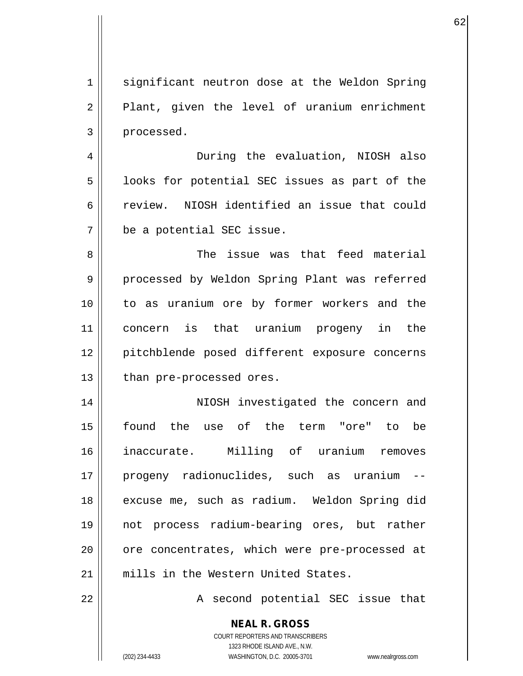1 || significant neutron dose at the Weldon Spring  $2 \parallel$  Plant, given the level of uranium enrichment 3 | processed.

 $\sim$  62

4 During the evaluation, NIOSH also  $5 \parallel$  looks for potential SEC issues as part of the 6 review. NIOSH identified an issue that could 7 be a potential SEC issue.

8 Samue issue was that feed material 9 || processed by Weldon Spring Plant was referred 10 to as uranium ore by former workers and the 11 concern is that uranium progeny in the 12 || pitchblende posed different exposure concerns  $13$  | than pre-processed ores.

14 || NIOSH investigated the concern and 15 found the use of the term "ore" to be 16 inaccurate. Milling of uranium removes 17 progeny radionuclides, such as uranium -- 18 || excuse me, such as radium. Weldon Spring did 19 not process radium-bearing ores, but rather 20 || ore concentrates, which were pre-processed at 21 mills in the Western United States.

22 || A second potential SEC issue that

**NEAL R. GROSS**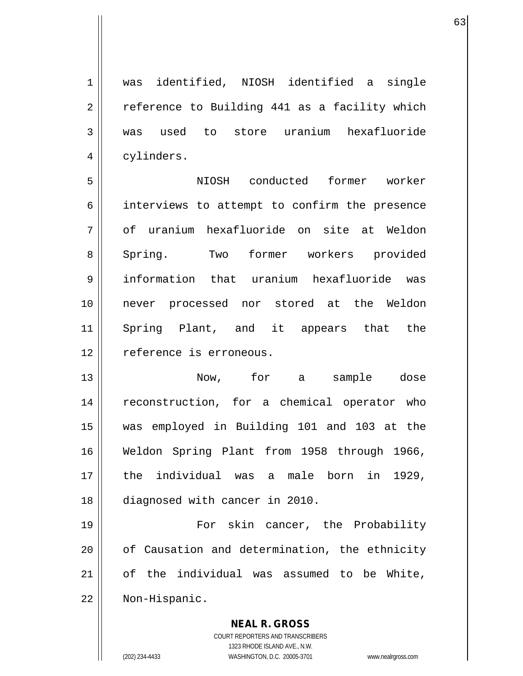1 was identified, NIOSH identified a single 2 | reference to Building 441 as a facility which 3 was used to store uranium hexafluoride 4 | cylinders.

5 NIOSH conducted former worker 6 interviews to attempt to confirm the presence 7 || of uranium hexafluoride on site at Weldon 8 Spring. Two former workers provided 9 information that uranium hexafluoride was 10 never processed nor stored at the Weldon 11 Spring Plant, and it appears that the 12 | reference is erroneous.

13 Now, for a sample dose 14 || reconstruction, for a chemical operator who 15 was employed in Building 101 and 103 at the 16 Weldon Spring Plant from 1958 through 1966, 17 the individual was a male born in 1929, 18 diagnosed with cancer in 2010.

19 || For skin cancer, the Probability 20 || of Causation and determination, the ethnicity 21 of the individual was assumed to be White, 22 Non-Hispanic.

> COURT REPORTERS AND TRANSCRIBERS 1323 RHODE ISLAND AVE., N.W. (202) 234-4433 WASHINGTON, D.C. 20005-3701 www.nealrgross.com

**NEAL R. GROSS**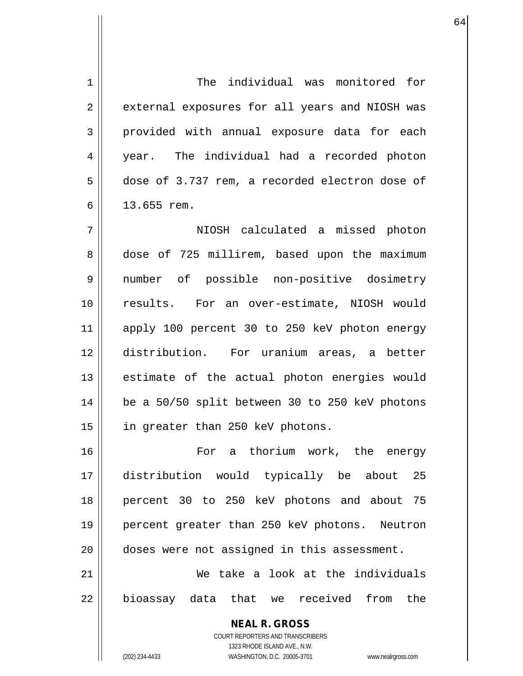1 The individual was monitored for 2 || external exposures for all years and NIOSH was 3 provided with annual exposure data for each 4 year. The individual had a recorded photon 5 dose of 3.737 rem, a recorded electron dose of 6 13.655 rem. 7 NIOSH calculated a missed photon

8 dose of 725 millirem, based upon the maximum 9 number of possible non-positive dosimetry 10 results. For an over-estimate, NIOSH would 11 apply 100 percent 30 to 250 keV photon energy 12 distribution. For uranium areas, a better 13 || estimate of the actual photon energies would  $14$  | be a 50/50 split between 30 to 250 keV photons 15 || in greater than 250 keV photons.

16 For a thorium work, the energy 17 distribution would typically be about 25 18 percent 30 to 250 keV photons and about 75 19 percent greater than 250 keV photons. Neutron 20 doses were not assigned in this assessment. 21 We take a look at the individuals

22 || bioassay data that we received from the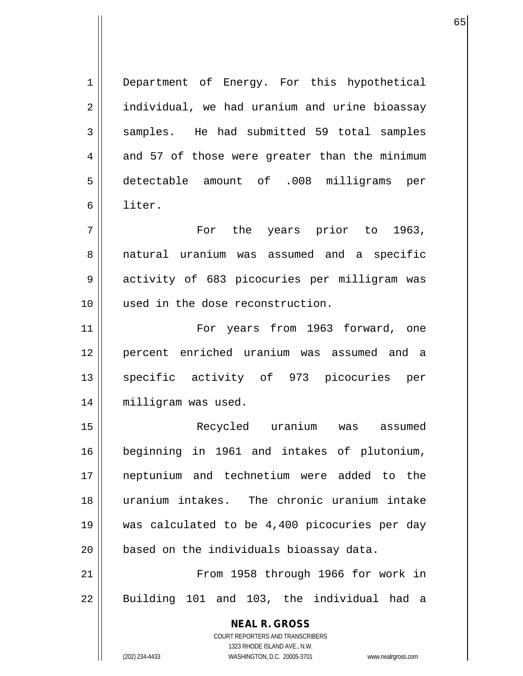**NEAL R. GROSS** COURT REPORTERS AND TRANSCRIBERS 1323 RHODE ISLAND AVE., N.W. 1 || Department of Energy. For this hypothetical 2 | individual, we had uranium and urine bioassay  $3 \parallel$  samples. He had submitted 59 total samples  $4 \parallel$  and 57 of those were greater than the minimum 5 detectable amount of .008 milligrams per 6 liter. 7 For the years prior to 1963, 8 natural uranium was assumed and a specific 9 activity of 683 picocuries per milligram was 10 used in the dose reconstruction. 11 || For years from 1963 forward, one 12 percent enriched uranium was assumed and a 13 || specific activity of 973 picocuries per 14 | milligram was used. 15 Recycled uranium was assumed 16 beginning in 1961 and intakes of plutonium, 17 neptunium and technetium were added to the 18 uranium intakes. The chronic uranium intake 19 was calculated to be 4,400 picocuries per day 20 || based on the individuals bioassay data. 21 || From 1958 through 1966 for work in  $22$  || Building 101 and 103, the individual had a

(202) 234-4433 WASHINGTON, D.C. 20005-3701 www.nealrgross.com

 $\sim$  65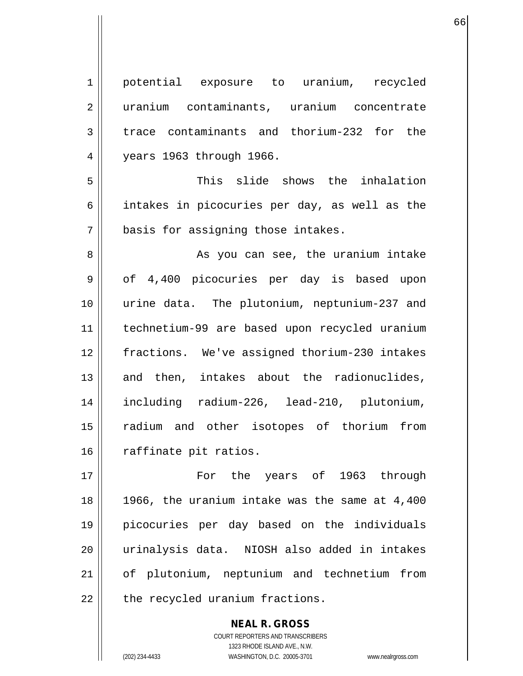**NEAL R. GROSS** 4 years 1963 through 1966. 7 | basis for assigning those intakes. 16 | raffinate pit ratios. 17 For the years of 1963 through 18 1966, the uranium intake was the same at 4,400 19 picocuries per day based on the individuals 20 urinalysis data. NIOSH also added in intakes 21 of plutonium, neptunium and technetium from  $22$  | the recycled uranium fractions.

> COURT REPORTERS AND TRANSCRIBERS 1323 RHODE ISLAND AVE., N.W. (202) 234-4433 WASHINGTON, D.C. 20005-3701 www.nealrgross.com

 $\sim$  66

1 potential exposure to uranium, recycled 2 uranium contaminants, uranium concentrate 3 trace contaminants and thorium-232 for the

5 This slide shows the inhalation 6 | intakes in picocuries per day, as well as the

8 As you can see, the uranium intake 9 || of 4,400 picocuries per day is based upon 10 urine data. The plutonium, neptunium-237 and 11 technetium-99 are based upon recycled uranium 12 fractions. We've assigned thorium-230 intakes  $13$  and then, intakes about the radionuclides, 14 including radium-226, lead-210, plutonium, 15 radium and other isotopes of thorium from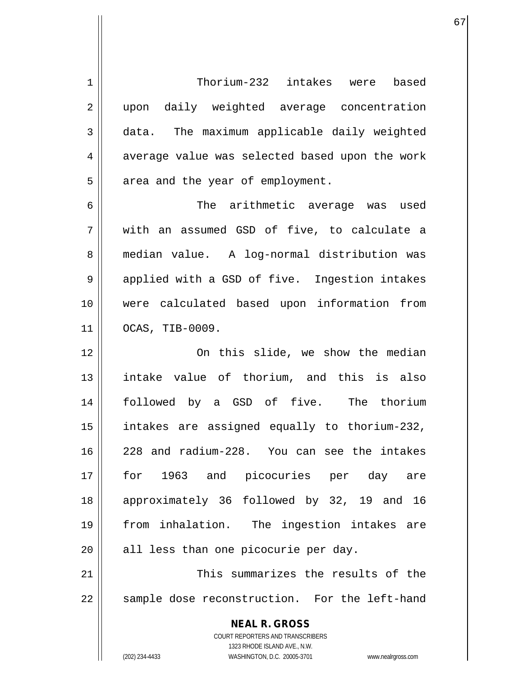**NEAL R. GROSS** COURT REPORTERS AND TRANSCRIBERS 1323 RHODE ISLAND AVE., N.W. (202) 234-4433 WASHINGTON, D.C. 20005-3701 www.nealrgross.com 1 Thorium-232 intakes were based 2 || upon daily weighted average concentration 3 data. The maximum applicable daily weighted 4 average value was selected based upon the work  $5 \parallel$  area and the year of employment. 6 The arithmetic average was used 7 with an assumed GSD of five, to calculate a 8 || median value. A log-normal distribution was 9 || applied with a GSD of five. Ingestion intakes 10 were calculated based upon information from 11 OCAS, TIB-0009. 12 On this slide, we show the median 13 intake value of thorium, and this is also 14 followed by a GSD of five. The thorium 15 intakes are assigned equally to thorium-232, 16 228 and radium-228. You can see the intakes 17 for 1963 and picocuries per day are 18 approximately 36 followed by 32, 19 and 16 19 from inhalation. The ingestion intakes are  $20$  || all less than one picocurie per day. 21 This summarizes the results of the 22 || sample dose reconstruction. For the left-hand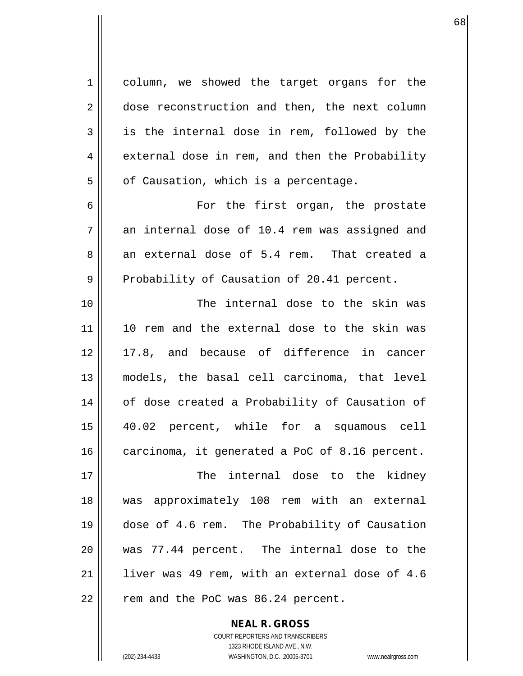1 column, we showed the target organs for the 2 dose reconstruction and then, the next column  $3 \parallel$  is the internal dose in rem, followed by the 4 external dose in rem, and then the Probability  $5 \parallel$  of Causation, which is a percentage. 6 For the first organ, the prostate  $7 \parallel$  an internal dose of 10.4 rem was assigned and  $8 \parallel$  an external dose of 5.4 rem. That created a  $9 \parallel$  Probability of Causation of 20.41 percent. 10 The internal dose to the skin was 11 10 rem and the external dose to the skin was 12 17.8, and because of difference in cancer 13 models, the basal cell carcinoma, that level 14 || of dose created a Probability of Causation of 15 40.02 percent, while for a squamous cell 16 | carcinoma, it generated a PoC of 8.16 percent. 17 The internal dose to the kidney 18 was approximately 108 rem with an external 19 dose of 4.6 rem. The Probability of Causation 20 was 77.44 percent. The internal dose to the 21  $\parallel$  1iver was 49 rem, with an external dose of 4.6  $22$  || rem and the PoC was 86.24 percent.

68

COURT REPORTERS AND TRANSCRIBERS 1323 RHODE ISLAND AVE., N.W. (202) 234-4433 WASHINGTON, D.C. 20005-3701 www.nealrgross.com

**NEAL R. GROSS**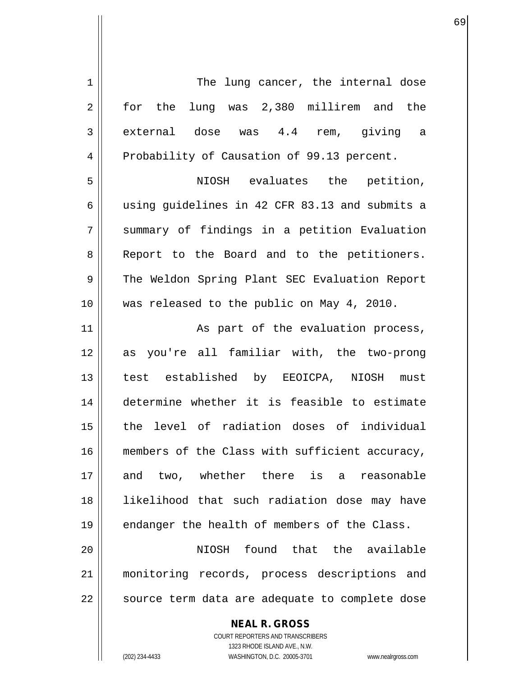| $\mathbf 1$    | The lung cancer, the internal dose             |
|----------------|------------------------------------------------|
| $\overline{2}$ | for the lung was 2,380 millirem and the        |
| 3              | external dose was 4.4 rem, giving a            |
| 4              | Probability of Causation of 99.13 percent.     |
| 5              | NIOSH evaluates the petition,                  |
| 6              | using guidelines in 42 CFR 83.13 and submits a |
| 7              | summary of findings in a petition Evaluation   |
| 8              | Report to the Board and to the petitioners.    |
| 9              | The Weldon Spring Plant SEC Evaluation Report  |
| 10             | was released to the public on May 4, 2010.     |
| 11             | As part of the evaluation process,             |
| 12             | as you're all familiar with, the two-prong     |
| 13             | test established by EEOICPA, NIOSH must        |
| 14             | determine whether it is feasible to estimate   |
| 15             | the level of radiation doses of individual     |
| 16             | members of the Class with sufficient accuracy, |
| 17             | and two, whether there is a reasonable         |
| 18             | likelihood that such radiation dose may have   |
| 19             | endanger the health of members of the Class.   |
| 20             | NIOSH found that the available                 |
| 21             | monitoring records, process descriptions and   |
| 22             | source term data are adequate to complete dose |
|                | <b>NEAL R. GROSS</b>                           |

COURT REPORTERS AND TRANSCRIBERS 1323 RHODE ISLAND AVE., N.W.

 $\prod$ 

(202) 234-4433 WASHINGTON, D.C. 20005-3701 www.nealrgross.com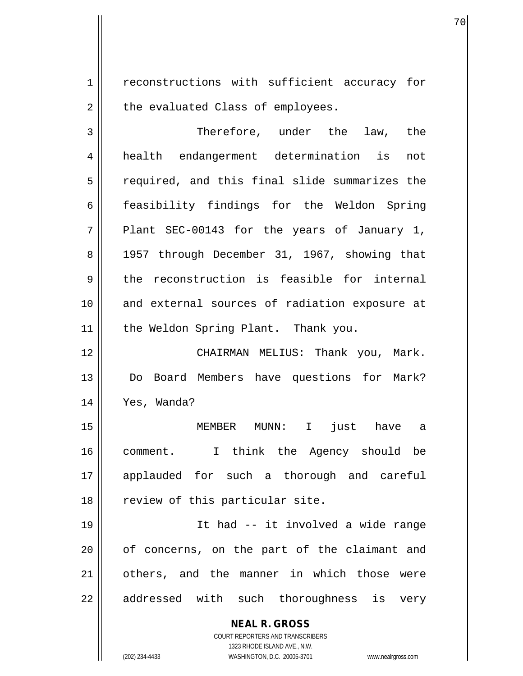1 | reconstructions with sufficient accuracy for  $2 \parallel$  the evaluated Class of employees.

70

3 Therefore, under the law, the 4 health endangerment determination is not 5 || required, and this final slide summarizes the 6 feasibility findings for the Weldon Spring  $7 \parallel$  Plant SEC-00143 for the years of January 1, 8 || 1957 through December 31, 1967, showing that  $9 \parallel$  the reconstruction is feasible for internal 10 and external sources of radiation exposure at 11 || the Weldon Spring Plant. Thank you. 12 CHAIRMAN MELIUS: Thank you, Mark. 13 Do Board Members have questions for Mark?

14 Yes, Wanda?

15 MEMBER MUNN: I just have a 16 comment. I think the Agency should be 17 applauded for such a thorough and careful 18 || review of this particular site.

19 It had -- it involved a wide range 20 || of concerns, on the part of the claimant and 21 || others, and the manner in which those were 22 || addressed with such thoroughness is very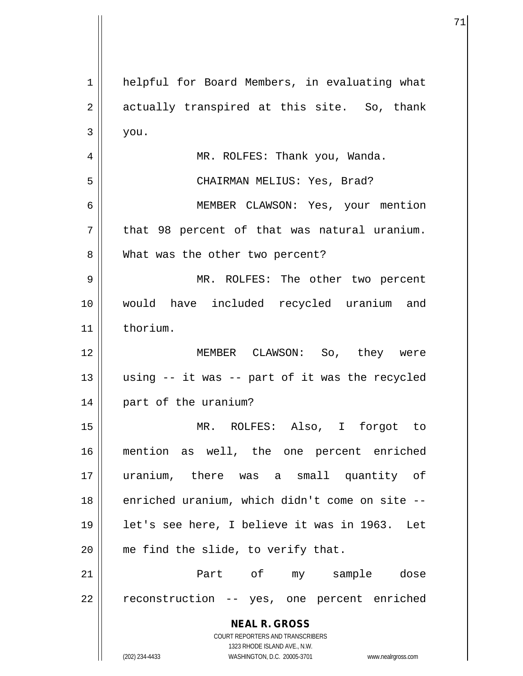| 1              | helpful for Board Members, in evaluating what                                                       |
|----------------|-----------------------------------------------------------------------------------------------------|
| $\overline{2}$ | actually transpired at this site. So, thank                                                         |
| 3              | you.                                                                                                |
| $\overline{4}$ | MR. ROLFES: Thank you, Wanda.                                                                       |
| 5              | CHAIRMAN MELIUS: Yes, Brad?                                                                         |
| 6              | MEMBER CLAWSON: Yes, your mention                                                                   |
| 7              | that 98 percent of that was natural uranium.                                                        |
| 8              | What was the other two percent?                                                                     |
| 9              | MR. ROLFES: The other two percent                                                                   |
| 10             | would have included recycled uranium and                                                            |
| 11             | thorium.                                                                                            |
| 12             | MEMBER CLAWSON: So, they were                                                                       |
| 13             | using -- it was -- part of it was the recycled                                                      |
| 14             | part of the uranium?                                                                                |
| 15             | MR. ROLFES: Also, I forgot to                                                                       |
| 16             | mention as well, the one percent enriched                                                           |
| 17             | uranium, there was a small quantity of                                                              |
| 18             | enriched uranium, which didn't come on site --                                                      |
| 19             | let's see here, I believe it was in 1963. Let                                                       |
| 20             | me find the slide, to verify that.                                                                  |
| 21             | Part of my sample dose                                                                              |
| 22             | reconstruction -- yes, one percent enriched                                                         |
|                | <b>NEAL R. GROSS</b>                                                                                |
|                | COURT REPORTERS AND TRANSCRIBERS                                                                    |
|                | 1323 RHODE ISLAND AVE., N.W.<br>(202) 234-4433<br>WASHINGTON, D.C. 20005-3701<br>www.nealrgross.com |

Ħ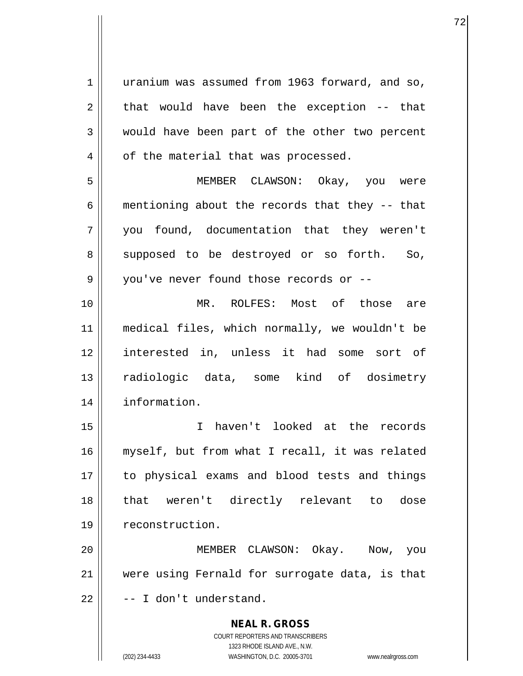**NEAL R. GROSS** COURT REPORTERS AND TRANSCRIBERS 1 uranium was assumed from 1963 forward, and so,  $2 \parallel$  that would have been the exception -- that 3 would have been part of the other two percent  $4 \parallel$  of the material that was processed. 5 MEMBER CLAWSON: Okay, you were 6 | mentioning about the records that they  $-$ - that 7 you found, documentation that they weren't 8 supposed to be destroyed or so forth. So, 9 || you've never found those records or --10 MR. ROLFES: Most of those are 11 medical files, which normally, we wouldn't be 12 interested in, unless it had some sort of 13 radiologic data, some kind of dosimetry 14 information. 15 I haven't looked at the records 16 myself, but from what I recall, it was related 17 to physical exams and blood tests and things 18 that weren't directly relevant to dose 19 | reconstruction. 20 MEMBER CLAWSON: Okay. Now, you 21 || were using Fernald for surrogate data, is that  $22$   $\parallel$  -- I don't understand.

1323 RHODE ISLAND AVE., N.W.

(202) 234-4433 WASHINGTON, D.C. 20005-3701 www.nealrgross.com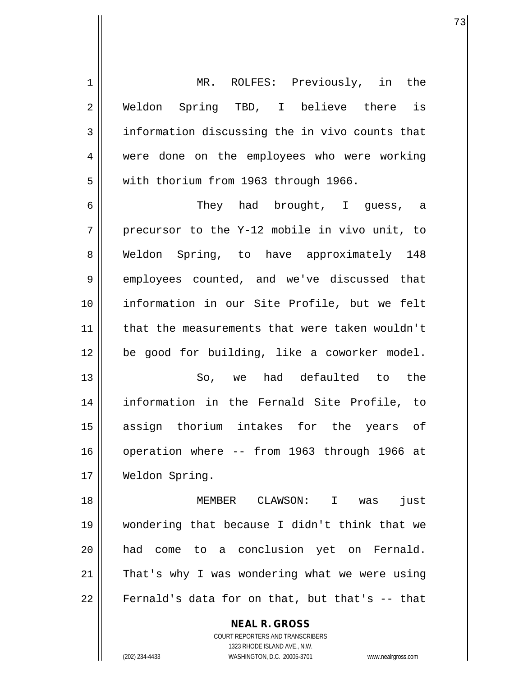| $\mathbf 1$    | MR. ROLFES: Previously, in the                           |
|----------------|----------------------------------------------------------|
| $\overline{2}$ | Weldon Spring TBD, I believe there is                    |
| 3              | information discussing the in vivo counts that           |
| 4              | were done on the employees who were working              |
| 5              | with thorium from 1963 through 1966.                     |
| 6              | They had brought, I guess, a                             |
| 7              | precursor to the Y-12 mobile in vivo unit, to            |
| 8              | Weldon Spring, to have approximately 148                 |
| 9              | employees counted, and we've discussed that              |
| 10             | information in our Site Profile, but we felt             |
| 11             | that the measurements that were taken wouldn't           |
| 12             | be good for building, like a coworker model.             |
| 13             | So, we had defaulted to the                              |
| 14             | information in the Fernald Site Profile, to              |
| 15             | assign thorium intakes for the years of                  |
| 16             | operation where -- from 1963 through 1966 at             |
| 17             | Weldon Spring.                                           |
| 18             | MEMBER CLAWSON: I was<br>just                            |
| 19             | wondering that because I didn't think that we            |
| 20             | had come to a conclusion yet on Fernald.                 |
| 21             | That's why I was wondering what we were using            |
| 22             | Fernald's data for on that, but that's -- that           |
|                | <b>NEAL R. GROSS</b><br>COURT REPORTERS AND TRANSCRIBERS |

1323 RHODE ISLAND AVE., N.W.

 $\prod$ 

(202) 234-4433 WASHINGTON, D.C. 20005-3701 www.nealrgross.com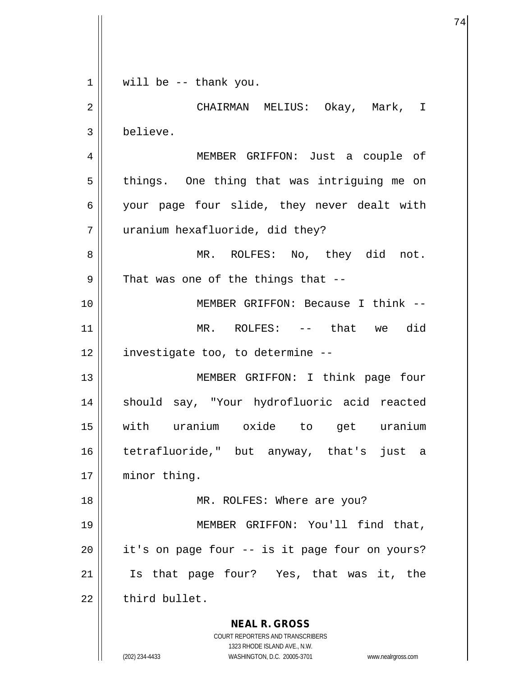**NEAL R. GROSS** COURT REPORTERS AND TRANSCRIBERS 1323 RHODE ISLAND AVE., N.W.  $1 \parallel$  will be -- thank you. 2 CHAIRMAN MELIUS: Okay, Mark, I 3 believe. 4 MEMBER GRIFFON: Just a couple of  $5 \parallel$  things. One thing that was intriguing me on 6 | your page four slide, they never dealt with 7 uranium hexafluoride, did they? 8 MR. ROLFES: No, they did not.  $9$  | That was one of the things that  $-$ 10 || MEMBER GRIFFON: Because I think --11 MR. ROLFES: -- that we did  $12$  | investigate too, to determine  $-$ 13 || MEMBER GRIFFON: I think page four 14 || should say, "Your hydrofluoric acid reacted 15 with uranium oxide to get uranium 16 tetrafluoride," but anyway, that's just a 17 | minor thing. 18 || MR. ROLFES: Where are you? 19 || MEMBER GRIFFON: You'll find that,  $20$  || it's on page four  $-$  is it page four on yours? 21 Is that page four? Yes, that was it, the  $22$   $\parallel$  third bullet.

74

(202) 234-4433 WASHINGTON, D.C. 20005-3701 www.nealrgross.com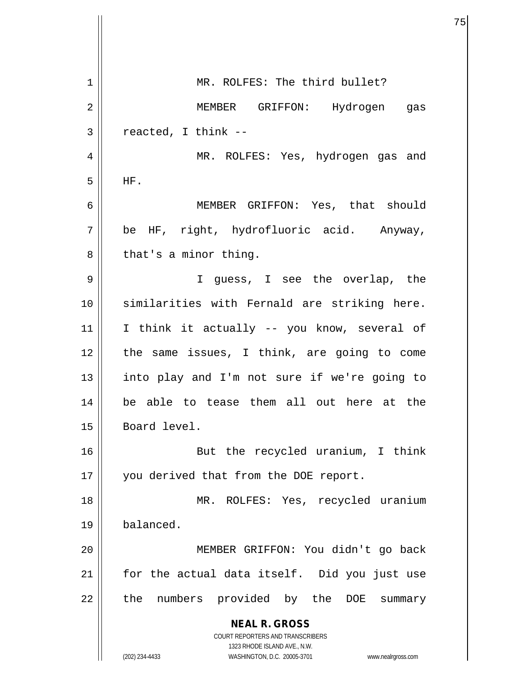**NEAL R. GROSS** COURT REPORTERS AND TRANSCRIBERS 1323 RHODE ISLAND AVE., N.W. (202) 234-4433 WASHINGTON, D.C. 20005-3701 www.nealrgross.com 1 || MR. ROLFES: The third bullet? 2 MEMBER GRIFFON: Hydrogen gas  $3 \parallel$  reacted, I think --4 || MR. ROLFES: Yes, hydrogen gas and  $5$  HF. 6 MEMBER GRIFFON: Yes, that should 7 || be HF, right, hydrofluoric acid. Anyway,  $8 \parallel$  that's a minor thing. 9 I guess, I see the overlap, the 10 similarities with Fernald are striking here.  $11$  I think it actually -- you know, several of 12 the same issues, I think, are going to come 13 || into play and I'm not sure if we're going to 14 be able to tease them all out here at the 15 | Board level. 16 But the recycled uranium, I think 17 || you derived that from the DOE report. 18 MR. ROLFES: Yes, recycled uranium 19 balanced. 20 MEMBER GRIFFON: You didn't go back 21 || for the actual data itself. Did you just use  $22$  || the numbers provided by the DOE summary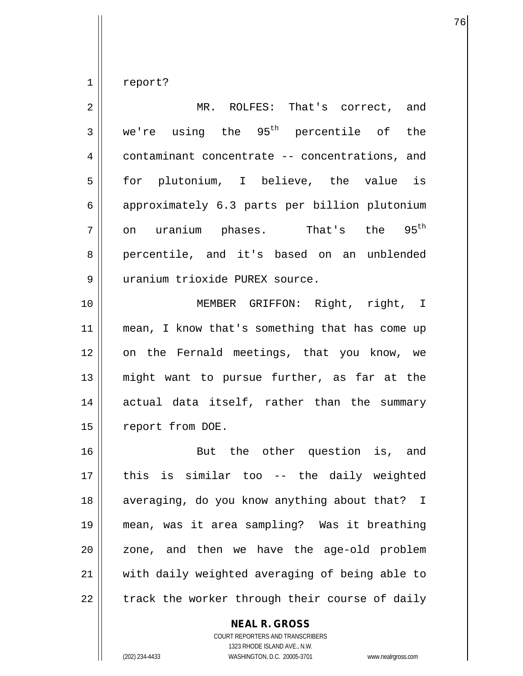$1 \parallel$  report?

| 2  | MR. ROLFES: That's correct, and                    |
|----|----------------------------------------------------|
| 3  | we're using the 95 <sup>th</sup> percentile of the |
| 4  | contaminant concentrate -- concentrations, and     |
| 5  | for plutonium, I believe, the value is             |
| 6  | approximately 6.3 parts per billion plutonium      |
| 7  | on uranium phases. That's the 95 <sup>th</sup>     |
| 8  | percentile, and it's based on an unblended         |
| 9  | uranium trioxide PUREX source.                     |
| 10 | MEMBER GRIFFON: Right, right, I                    |
| 11 | mean, I know that's something that has come up     |
| 12 | on the Fernald meetings, that you know, we         |
| 13 | might want to pursue further, as far at the        |
| 14 | actual data itself, rather than the summary        |
| 15 | report from DOE.                                   |
| 16 | But the other question is, and                     |
| 17 | this is similar too -- the daily weighted          |
| 18 | averaging, do you know anything about that? I      |
| 19 | mean, was it area sampling? Was it breathing       |
| 20 | zone, and then we have the age-old problem         |
| 21 | with daily weighted averaging of being able to     |
| 22 | track the worker through their course of daily     |

## **NEAL R. GROSS**

COURT REPORTERS AND TRANSCRIBERS 1323 RHODE ISLAND AVE., N.W. (202) 234-4433 WASHINGTON, D.C. 20005-3701 www.nealrgross.com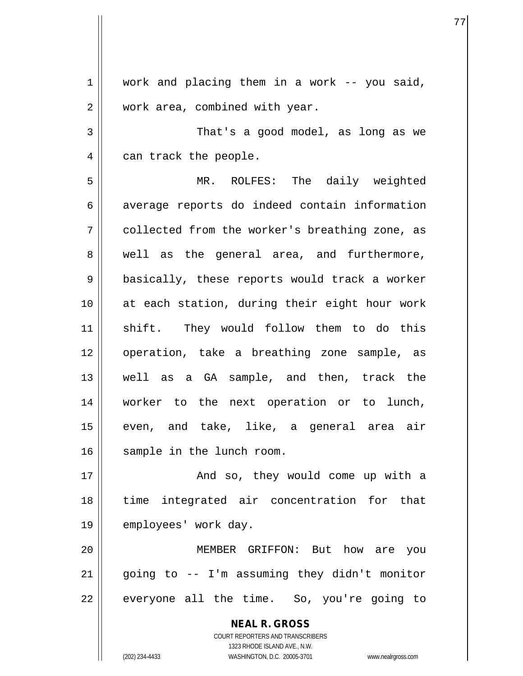$1 \parallel$  work and placing them in a work -- you said, 2 | work area, combined with year. 3 That's a good model, as long as we 4 | can track the people. 5 MR. ROLFES: The daily weighted 6 | average reports do indeed contain information 7 || collected from the worker's breathing zone, as 8 well as the general area, and furthermore, 9 || basically, these reports would track a worker 10 at each station, during their eight hour work 11 || shift. They would follow them to do this 12 operation, take a breathing zone sample, as 13 well as a GA sample, and then, track the 14 worker to the next operation or to lunch, 15 even, and take, like, a general area air 16 || sample in the lunch room. 17 And so, they would come up with a 18 time integrated air concentration for that 19 || employees' work day. 20 MEMBER GRIFFON: But how are you  $21$  | qoing to  $-$  I'm assuming they didn't monitor

77

 $22$  || everyone all the time. So, you're going to

**NEAL R. GROSS** COURT REPORTERS AND TRANSCRIBERS 1323 RHODE ISLAND AVE., N.W. (202) 234-4433 WASHINGTON, D.C. 20005-3701 www.nealrgross.com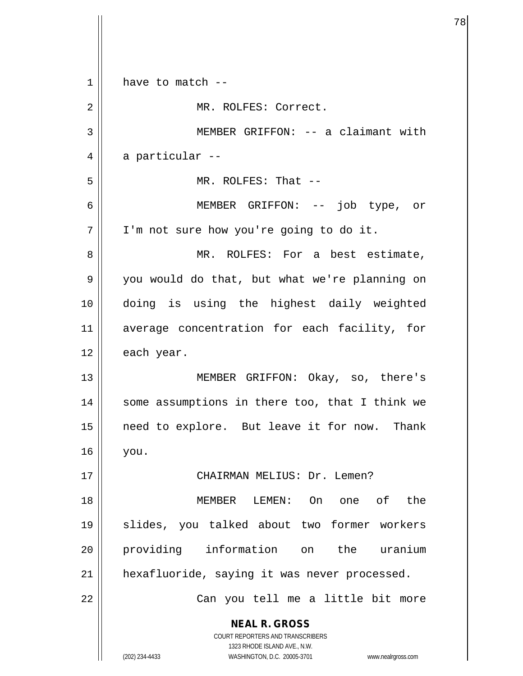| 1  | have to match --                                                                                    |
|----|-----------------------------------------------------------------------------------------------------|
| 2  | MR. ROLFES: Correct.                                                                                |
| 3  | MEMBER GRIFFON: -- a claimant with                                                                  |
| 4  | a particular --                                                                                     |
| 5  | MR. ROLFES: That --                                                                                 |
| 6  | MEMBER GRIFFON: -- job type, or                                                                     |
| 7  | I'm not sure how you're going to do it.                                                             |
| 8  | MR. ROLFES: For a best estimate,                                                                    |
| 9  | you would do that, but what we're planning on                                                       |
| 10 | doing is using the highest daily weighted                                                           |
| 11 | average concentration for each facility, for                                                        |
| 12 | each year.                                                                                          |
| 13 | MEMBER GRIFFON: Okay, so, there's                                                                   |
| 14 | some assumptions in there too, that I think we                                                      |
| 15 | need to explore. But leave it for now. Thank                                                        |
| 16 | you.                                                                                                |
| 17 | CHAIRMAN MELIUS: Dr. Lemen?                                                                         |
| 18 | On one of<br>the<br>MEMBER LEMEN:                                                                   |
| 19 | slides, you talked about two former workers                                                         |
| 20 | providing information on the uranium                                                                |
| 21 | hexafluoride, saying it was never processed.                                                        |
| 22 | Can you tell me a little bit more                                                                   |
|    | <b>NEAL R. GROSS</b>                                                                                |
|    | <b>COURT REPORTERS AND TRANSCRIBERS</b>                                                             |
|    | 1323 RHODE ISLAND AVE., N.W.<br>WASHINGTON, D.C. 20005-3701<br>(202) 234-4433<br>www.nealrgross.com |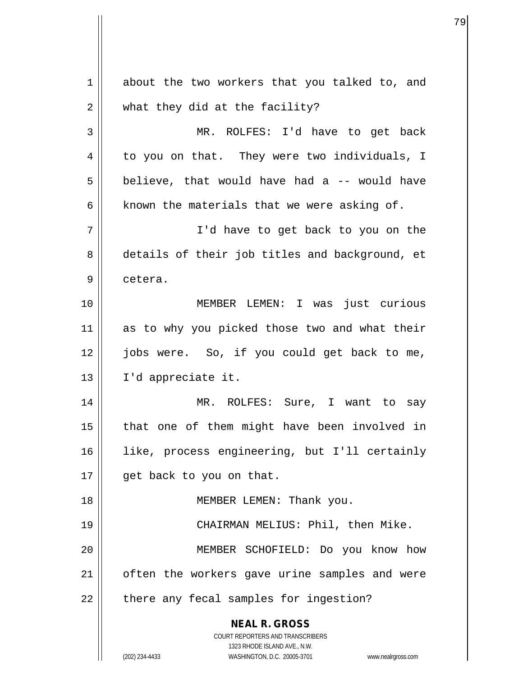**NEAL R. GROSS** COURT REPORTERS AND TRANSCRIBERS 1323 RHODE ISLAND AVE., N.W. (202) 234-4433 WASHINGTON, D.C. 20005-3701 www.nealrgross.com 1 about the two workers that you talked to, and 2 | what they did at the facility? 3 MR. ROLFES: I'd have to get back 4 | to you on that. They were two individuals, I  $5 \parallel$  believe, that would have had a -- would have 6  $\parallel$  known the materials that we were asking of. 7 I'd have to get back to you on the 8 details of their job titles and background, et 9 | cetera. 10 MEMBER LEMEN: I was just curious 11 as to why you picked those two and what their 12 jobs were. So, if you could get back to me, 13 I'd appreciate it. 14 MR. ROLFES: Sure, I want to say 15 || that one of them might have been involved in 16 like, process engineering, but I'll certainly 17 || get back to you on that. 18 || **MEMBER LEMEN:** Thank you. 19 CHAIRMAN MELIUS: Phil, then Mike. 20 MEMBER SCHOFIELD: Do you know how 21 | often the workers gave urine samples and were 22 | there any fecal samples for ingestion?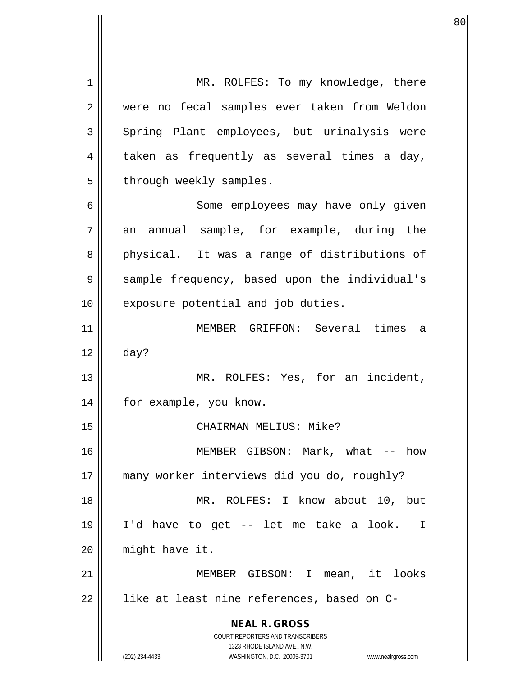**NEAL R. GROSS** COURT REPORTERS AND TRANSCRIBERS 1323 RHODE ISLAND AVE., N.W. (202) 234-4433 WASHINGTON, D.C. 20005-3701 www.nealrgross.com 1 || MR. ROLFES: To my knowledge, there 2 were no fecal samples ever taken from Weldon 3 Spring Plant employees, but urinalysis were  $4 \parallel$  taken as frequently as several times a day,  $5$  | through weekly samples. 6 || Some employees may have only given  $7 \parallel$  an annual sample, for example, during the 8 physical. It was a range of distributions of 9 Sample frequency, based upon the individual's 10 || exposure potential and job duties. 11 MEMBER GRIFFON: Several times a  $12 \parallel$  day? 13 || MR. ROLFES: Yes, for an incident, 14 || for example, you know. 15 CHAIRMAN MELIUS: Mike? 16 MEMBER GIBSON: Mark, what -- how 17 many worker interviews did you do, roughly? 18 MR. ROLFES: I know about 10, but 19 I'd have to get -- let me take a look. I 20 might have it. 21 MEMBER GIBSON: I mean, it looks  $22$  || like at least nine references, based on C-

en and the state of the state of the state of the state of the state of the state of the state of the state of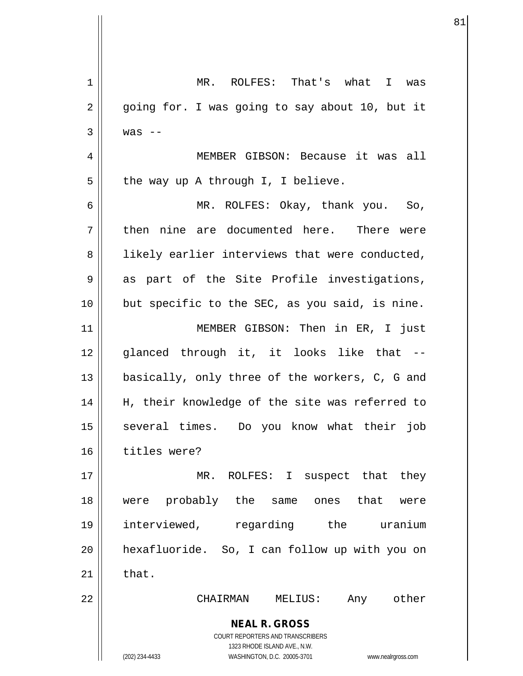| 1              | MR. ROLFES: That's what I was                                                                       |
|----------------|-----------------------------------------------------------------------------------------------------|
| $\overline{2}$ | going for. I was going to say about 10, but it                                                      |
| 3              | was $--$                                                                                            |
| 4              | MEMBER GIBSON: Because it was all                                                                   |
| 5              | the way up A through I, I believe.                                                                  |
| 6              | MR. ROLFES: Okay, thank you. So,                                                                    |
| 7              | then nine are documented here. There were                                                           |
| 8              | likely earlier interviews that were conducted,                                                      |
| 9              | as part of the Site Profile investigations,                                                         |
| 10             | but specific to the SEC, as you said, is nine.                                                      |
| 11             | MEMBER GIBSON: Then in ER, I just                                                                   |
| 12             | glanced through it, it looks like that --                                                           |
| 13             | basically, only three of the workers, C, G and                                                      |
| 14             | H, their knowledge of the site was referred to                                                      |
| 15             | several times. Do you know what their job                                                           |
| 16             | titles were?                                                                                        |
| 17             | MR. ROLFES: I suspect that they                                                                     |
| 18             | probably the same<br>ones that<br>were<br>were                                                      |
| 19             | interviewed, regarding the uranium                                                                  |
| 20             | hexafluoride. So, I can follow up with you on                                                       |
| 21             | that.                                                                                               |
| 22             | Any other<br>CHAIRMAN<br>MELIUS:                                                                    |
|                | <b>NEAL R. GROSS</b><br>COURT REPORTERS AND TRANSCRIBERS                                            |
|                | 1323 RHODE ISLAND AVE., N.W.<br>(202) 234-4433<br>WASHINGTON, D.C. 20005-3701<br>www.nealrgross.com |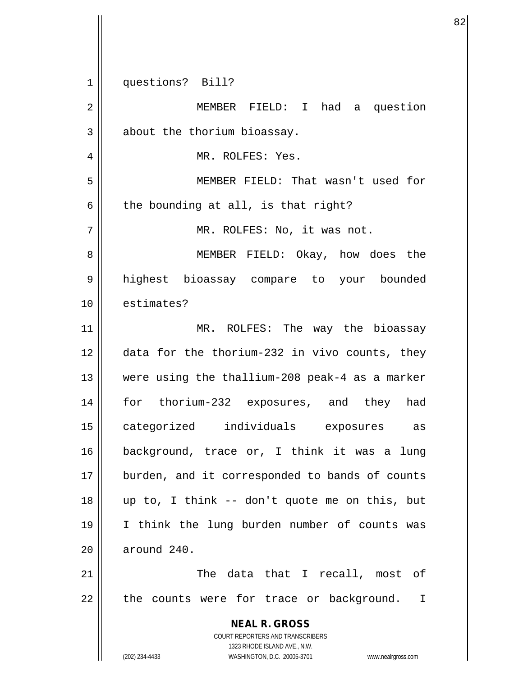**NEAL R. GROSS** COURT REPORTERS AND TRANSCRIBERS 1323 RHODE ISLAND AVE., N.W. (202) 234-4433 WASHINGTON, D.C. 20005-3701 www.nealrgross.com 1 || questions? Bill? 2 | MEMBER FIELD: I had a question  $3$  | about the thorium bioassay. 4 MR. ROLFES: Yes. 5 MEMBER FIELD: That wasn't used for  $6 \parallel$  the bounding at all, is that right? 7 || MR. ROLFES: No, it was not. 8 MEMBER FIELD: Okay, how does the 9 highest bioassay compare to your bounded 10 | estimates? 11 || MR. ROLFES: The way the bioassay 12 data for the thorium-232 in vivo counts, they 13 were using the thallium-208 peak-4 as a marker 14 for thorium-232 exposures, and they had 15 categorized individuals exposures as 16 background, trace or, I think it was a lung 17 || burden, and it corresponded to bands of counts 18 up to, I think -- don't quote me on this, but 19 I think the lung burden number of counts was 20 around 240. 21 The data that I recall, most of 22 || the counts were for trace or background. I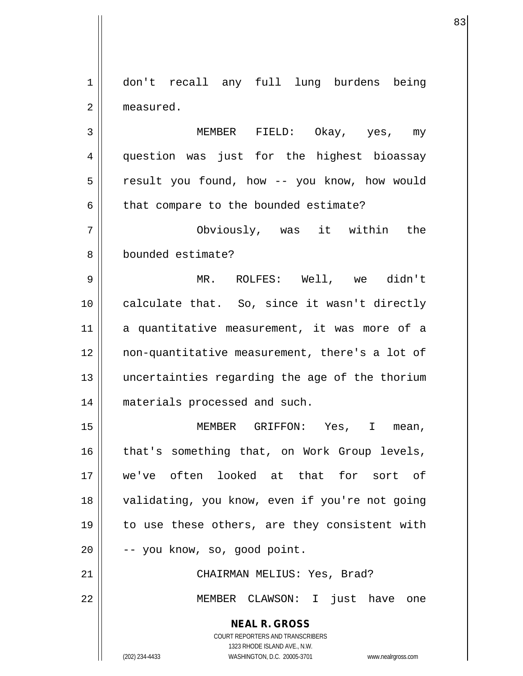1 don't recall any full lung burdens being 2 | measured.

3 MEMBER FIELD: Okay, yes, my 4 || question was just for the highest bioassay 5 | result you found, how -- you know, how would  $6 \parallel$  that compare to the bounded estimate?

7 Obviously, was it within the 8 || bounded estimate?

9 MR. ROLFES: Well, we didn't 10 || calculate that. So, since it wasn't directly 11 a quantitative measurement, it was more of a 12 non-quantitative measurement, there's a lot of 13 uncertainties regarding the age of the thorium 14 || materials processed and such.

15 MEMBER GRIFFON: Yes, I mean, 16 || that's something that, on Work Group levels, 17 we've often looked at that for sort of 18 || validating, you know, even if you're not going 19 || to use these others, are they consistent with  $20$   $\vert$  -- you know, so, good point.

21 || CHAIRMAN MELIUS: Yes, Brad?

22 MEMBER CLAWSON: I just have one

**NEAL R. GROSS**

COURT REPORTERS AND TRANSCRIBERS 1323 RHODE ISLAND AVE., N.W. (202) 234-4433 WASHINGTON, D.C. 20005-3701 www.nealrgross.com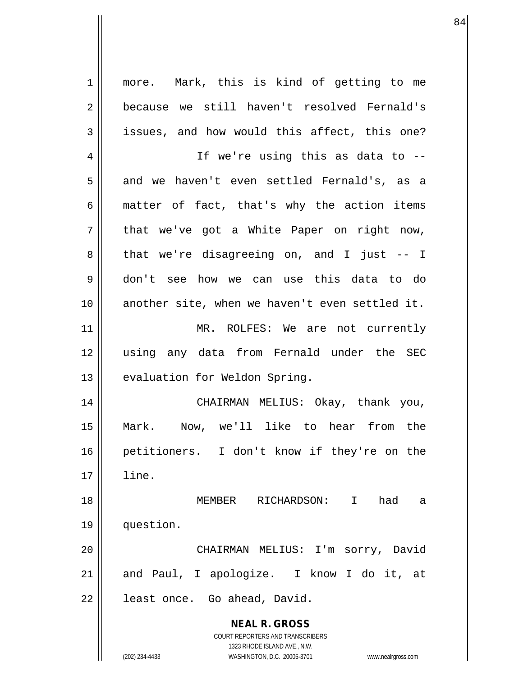**NEAL R. GROSS** COURT REPORTERS AND TRANSCRIBERS 1323 RHODE ISLAND AVE., N.W. (202) 234-4433 WASHINGTON, D.C. 20005-3701 www.nealrgross.com 1 || more. Mark, this is kind of getting to me 2 because we still haven't resolved Fernald's  $3 \parallel$  issues, and how would this affect, this one? 4 || If we're using this as data to -- $5 \parallel$  and we haven't even settled Fernald's, as a 6  $\parallel$  matter of fact, that's why the action items  $7 \parallel$  that we've got a White Paper on right now, 8 || that we're disagreeing on, and I just -- I 9 don't see how we can use this data to do 10 another site, when we haven't even settled it. 11 || MR. ROLFES: We are not currently 12 using any data from Fernald under the SEC 13 || evaluation for Weldon Spring. 14 CHAIRMAN MELIUS: Okay, thank you, 15 Mark. Now, we'll like to hear from the 16 petitioners. I don't know if they're on the 17 line. 18 MEMBER RICHARDSON: I had a 19 question. 20 CHAIRMAN MELIUS: I'm sorry, David 21 || and Paul, I apologize. I know I do it, at 22 | least once. Go ahead, David.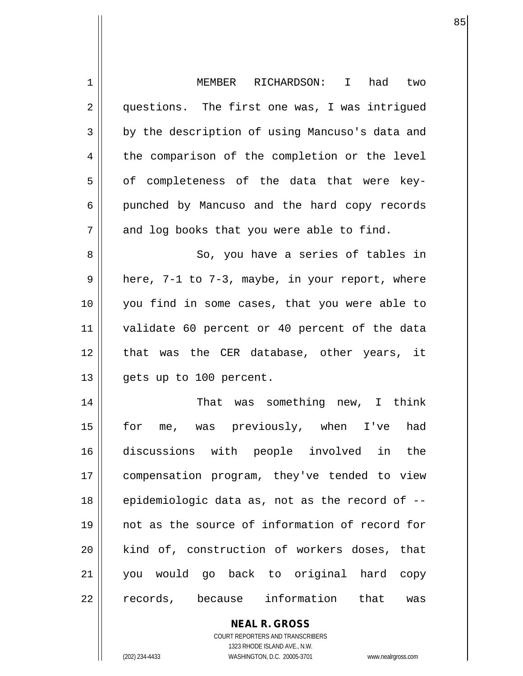| 1  | MEMBER RICHARDSON: I had two                   |
|----|------------------------------------------------|
| 2  | questions. The first one was, I was intrigued  |
| 3  | by the description of using Mancuso's data and |
| 4  | the comparison of the completion or the level  |
| 5  | of completeness of the data that were key-     |
| 6  | punched by Mancuso and the hard copy records   |
| 7  | and log books that you were able to find.      |
| 8  | So, you have a series of tables in             |
| 9  | here, 7-1 to 7-3, maybe, in your report, where |
| 10 | you find in some cases, that you were able to  |
| 11 | validate 60 percent or 40 percent of the data  |
| 12 | that was the CER database, other years, it     |
| 13 | gets up to 100 percent.                        |
| 14 | That was something new, I think                |
| 15 | for me, was previously, when I've<br>had       |
| 16 | discussions with people involved in the        |
| 17 | compensation program, they've tended to view   |
| 18 | epidemiologic data as, not as the record of -- |
| 19 | not as the source of information of record for |
| 20 | kind of, construction of workers doses, that   |
| 21 | you would go back to original hard copy        |
| 22 | records, because information that<br>was       |
|    |                                                |

en andere de la constantin de la constantin de la constantin de la constantin de la constantin de la constanti

**NEAL R. GROSS** COURT REPORTERS AND TRANSCRIBERS

 $\mathsf{II}$ 

1323 RHODE ISLAND AVE., N.W. (202) 234-4433 WASHINGTON, D.C. 20005-3701 www.nealrgross.com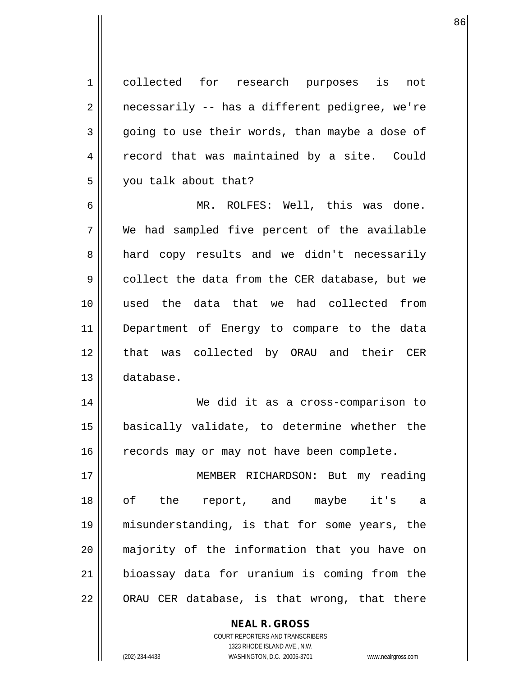1<sup>|</sup> collected for research purposes is not  $2 \parallel$  necessarily -- has a different pedigree, we're  $3 \parallel$  going to use their words, than maybe a dose of 4 | record that was maintained by a site. Could 5 you talk about that?

en de la construction de la construction de la construction de la construction de la construction de la constr<br>La construction de la construction de la construction de la construction de la construction de la construction

6 MR. ROLFES: Well, this was done. 7 We had sampled five percent of the available 8 || hard copy results and we didn't necessarily 9 collect the data from the CER database, but we 10 used the data that we had collected from 11 Department of Energy to compare to the data 12 || that was collected by ORAU and their CER 13 database.

14 We did it as a cross-comparison to 15 basically validate, to determine whether the 16 | records may or may not have been complete.

17 MEMBER RICHARDSON: But my reading 18 of the report, and maybe it's a 19 misunderstanding, is that for some years, the 20 majority of the information that you have on 21 bioassay data for uranium is coming from the  $22 \parallel$  ORAU CER database, is that wrong, that there

> COURT REPORTERS AND TRANSCRIBERS 1323 RHODE ISLAND AVE., N.W. (202) 234-4433 WASHINGTON, D.C. 20005-3701 www.nealrgross.com

**NEAL R. GROSS**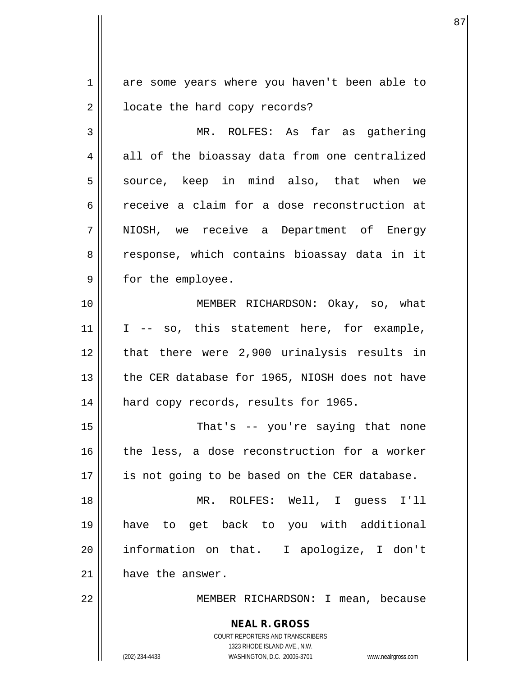1 are some years where you haven't been able to 2 | locate the hard copy records? 3 MR. ROLFES: As far as gathering  $4 \parallel$  all of the bioassay data from one centralized 5 || source, keep in mind also, that when we 6 receive a claim for a dose reconstruction at 7 NIOSH, we receive a Department of Energy 8 || response, which contains bioassay data in it 9 || for the employee. 10 || MEMBER RICHARDSON: Okay, so, what  $11$  | I -- so, this statement here, for example,  $12$  || that there were 2,900 urinalysis results in 13 || the CER database for 1965, NIOSH does not have 14 || hard copy records, results for 1965. 15 || That's -- you're saying that none 16 || the less, a dose reconstruction for a worker 17 || is not going to be based on the CER database. 18 MR. ROLFES: Well, I guess I'll 19 have to get back to you with additional 20 information on that. I apologize, I don't 21 | have the answer. 22 || MEMBER RICHARDSON: I mean, because

> **NEAL R. GROSS** COURT REPORTERS AND TRANSCRIBERS 1323 RHODE ISLAND AVE., N.W.

(202) 234-4433 WASHINGTON, D.C. 20005-3701 www.nealrgross.com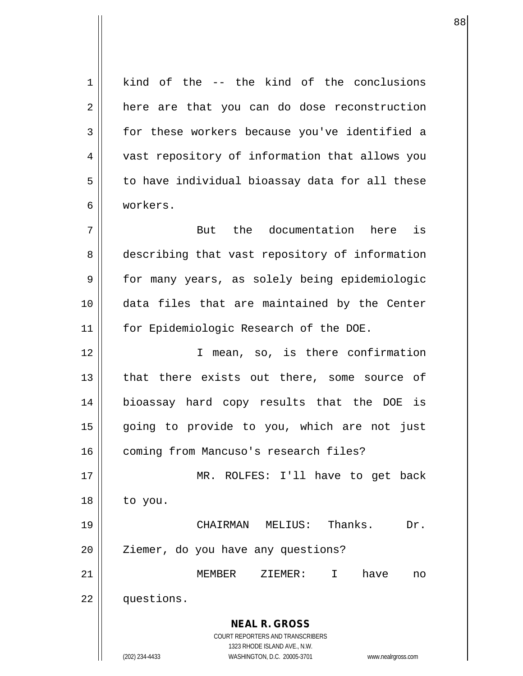**NEAL R. GROSS** COURT REPORTERS AND TRANSCRIBERS 1323 RHODE ISLAND AVE., N.W. (202) 234-4433 WASHINGTON, D.C. 20005-3701 www.nealrgross.com 1 kind of the -- the kind of the conclusions 2 | here are that you can do dose reconstruction 3 for these workers because you've identified a 4 | vast repository of information that allows you  $5 \parallel$  to have individual bioassay data for all these 6 workers. 7 But the documentation here is 8 describing that vast repository of information 9 || for many years, as solely being epidemiologic 10 data files that are maintained by the Center 11 || for Epidemiologic Research of the DOE. 12 || T mean, so, is there confirmation 13 || that there exists out there, some source of 14 bioassay hard copy results that the DOE is 15 || going to provide to you, which are not just 16 | coming from Mancuso's research files? 17 MR. ROLFES: I'll have to get back  $18 \parallel$  to you. 19 CHAIRMAN MELIUS: Thanks. Dr. 20 || Ziemer, do you have any questions? 21 MEMBER ZIEMER: I have no 22 | questions.

en andere de la constantin de la constantin de la constantin de la constantin de la constantin de la constanti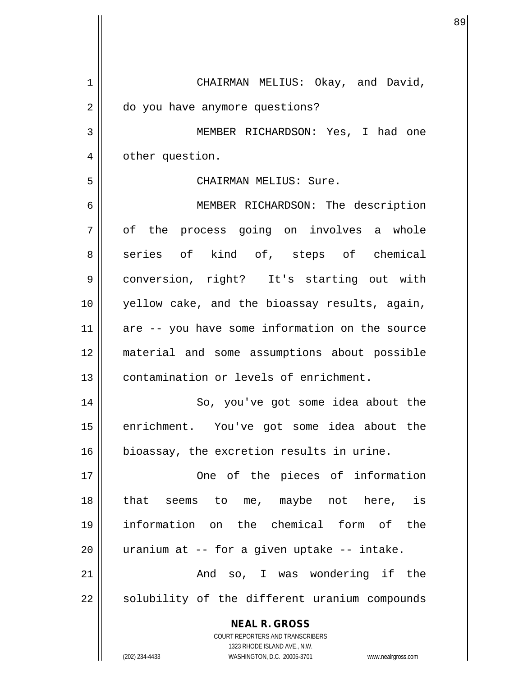| 1  | CHAIRMAN MELIUS: Okay, and David,                                |
|----|------------------------------------------------------------------|
| 2  | do you have anymore questions?                                   |
| 3  | MEMBER RICHARDSON: Yes, I had one                                |
| 4  | other question.                                                  |
| 5  | CHAIRMAN MELIUS: Sure.                                           |
| 6  | MEMBER RICHARDSON: The description                               |
| 7  | of the process going on involves a whole                         |
| 8  | series of kind of, steps of chemical                             |
| 9  | conversion, right? It's starting out with                        |
| 10 | yellow cake, and the bioassay results, again,                    |
| 11 | are -- you have some information on the source                   |
| 12 | material and some assumptions about possible                     |
| 13 | contamination or levels of enrichment.                           |
| 14 | So, you've got some idea about the                               |
| 15 | enrichment. You've got some idea about the                       |
| 16 | bioassay, the excretion results in urine.                        |
| 17 | One of the pieces of information                                 |
| 18 | that seems to me, maybe not here, is                             |
| 19 | information on the chemical form of the                          |
| 20 | uranium at -- for a given uptake -- intake.                      |
| 21 | And so, I was wondering if the                                   |
| 22 | solubility of the different uranium compounds                    |
|    | <b>NEAL R. GROSS</b>                                             |
|    | COURT REPORTERS AND TRANSCRIBERS<br>1323 RHODE ISLAND AVE., N.W. |
|    | (202) 234-4433<br>WASHINGTON, D.C. 20005-3701 www.nealrgross.com |

e e seu constructivo de la constructivo de la constructivo de la constructivo de la constructivo de la constru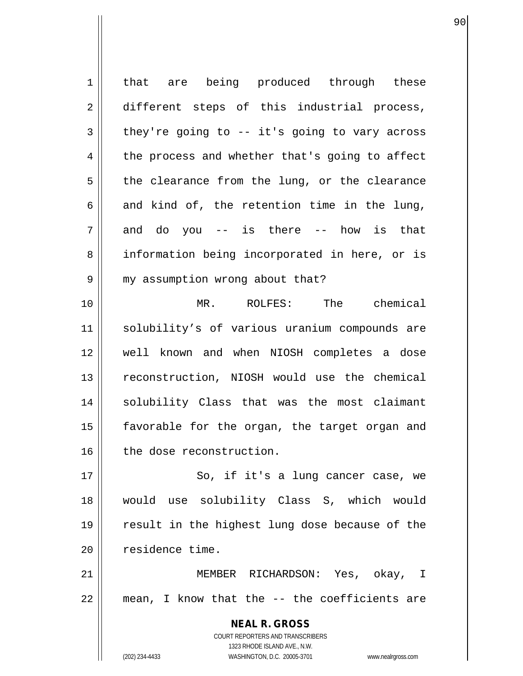**NEAL R. GROSS** COURT REPORTERS AND TRANSCRIBERS 1323 RHODE ISLAND AVE., N.W. (202) 234-4433 WASHINGTON, D.C. 20005-3701 www.nealrgross.com 1 || that are being produced through these 2 different steps of this industrial process,  $3 \parallel$  they're going to -- it's going to vary across  $4 \parallel$  the process and whether that's going to affect  $5$  the clearance from the lung, or the clearance 6 and kind of, the retention time in the lung,  $7 \parallel$  and do you -- is there -- how is that 8 || information being incorporated in here, or is 9 | my assumption wrong about that? 10 MR. ROLFES: The chemical 11 solubility's of various uranium compounds are 12 well known and when NIOSH completes a dose 13 || reconstruction, NIOSH would use the chemical 14 || solubility Class that was the most claimant 15 || favorable for the organ, the target organ and 16 | the dose reconstruction. 17 || So, if it's a lung cancer case, we 18 would use solubility Class S, which would 19 result in the highest lung dose because of the 20 | residence time. 21 || MEMBER RICHARDSON: Yes, okay, I  $22$  || mean, I know that the  $-$ - the coefficients are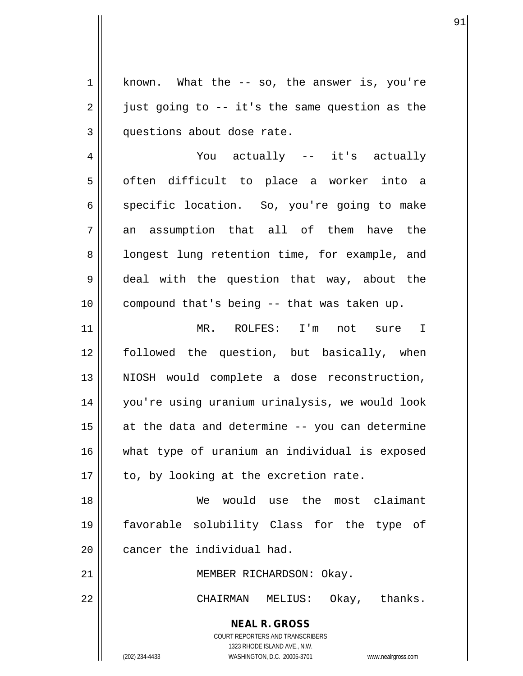**NEAL R. GROSS** 1 | known. What the -- so, the answer is, you're  $2 \parallel$  just going to -- it's the same question as the 3 || questions about dose rate. 4 You actually -- it's actually 5 | often difficult to place a worker into a 6 specific location. So, you're going to make  $7 \parallel$  an assumption that all of them have the 8 || longest lung retention time, for example, and 9 || deal with the question that way, about the  $10$  | compound that's being -- that was taken up. 11 MR. ROLFES: I'm not sure I 12 followed the question, but basically, when 13 || NIOSH would complete a dose reconstruction, 14 you're using uranium urinalysis, we would look  $15$  at the data and determine -- you can determine 16 what type of uranium an individual is exposed  $17$  | to, by looking at the excretion rate. 18 We would use the most claimant 19 favorable solubility Class for the type of 20 | cancer the individual had. 21 || MEMBER RICHARDSON: Okay. 22 CHAIRMAN MELIUS: Okay, thanks.

> COURT REPORTERS AND TRANSCRIBERS 1323 RHODE ISLAND AVE., N.W.

(202) 234-4433 WASHINGTON, D.C. 20005-3701 www.nealrgross.com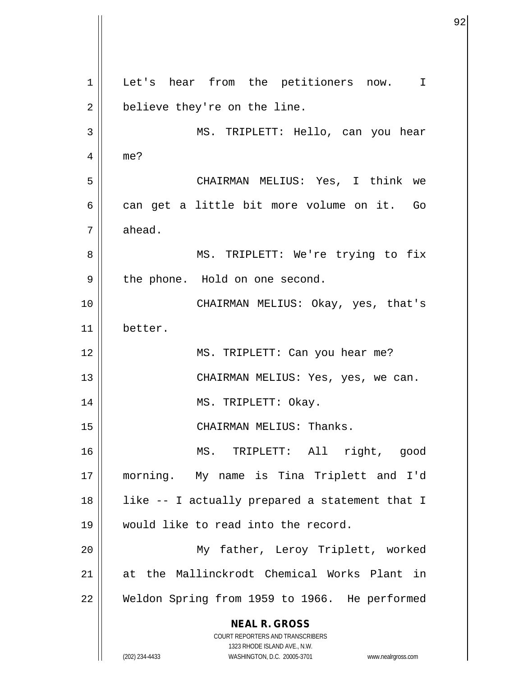**NEAL R. GROSS** COURT REPORTERS AND TRANSCRIBERS 1323 RHODE ISLAND AVE., N.W. (202) 234-4433 WASHINGTON, D.C. 20005-3701 www.nealrgross.com 1 Let's hear from the petitioners now. I  $2 \parallel$  believe they're on the line. 3 MS. TRIPLETT: Hello, can you hear 4 me? 5 CHAIRMAN MELIUS: Yes, I think we  $6 \parallel$  can get a little bit more volume on it. Go  $7 \parallel$  ahead. 8 || MS. TRIPLETT: We're trying to fix 9 || the phone. Hold on one second. 10 CHAIRMAN MELIUS: Okay, yes, that's 11 better. 12 || MS. TRIPLETT: Can you hear me? 13 CHAIRMAN MELIUS: Yes, yes, we can. 14 MS. TRIPLETT: Okay. 15 || CHAIRMAN MELIUS: Thanks. 16 MS. TRIPLETT: All right, good 17 morning. My name is Tina Triplett and I'd 18 like -- I actually prepared a statement that I 19 would like to read into the record. 20 My father, Leroy Triplett, worked 21 at the Mallinckrodt Chemical Works Plant in 22 Weldon Spring from 1959 to 1966. He performed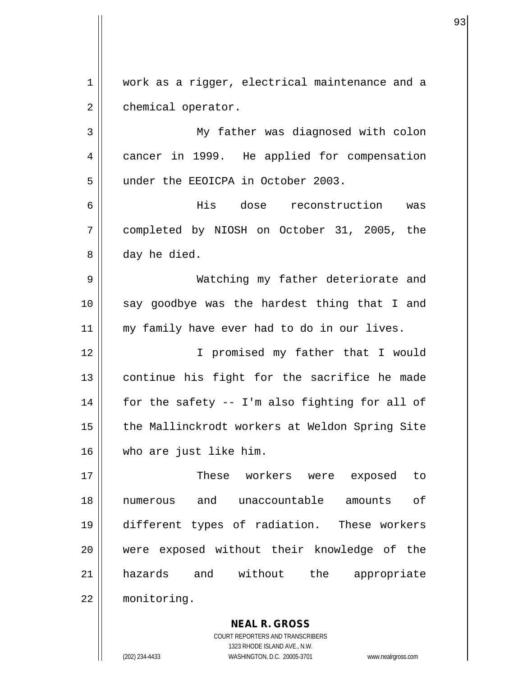1 | work as a rigger, electrical maintenance and a 2 | chemical operator.

3 My father was diagnosed with colon 4 cancer in 1999. He applied for compensation 5 || under the EEOICPA in October 2003.

6 His dose reconstruction was 7 completed by NIOSH on October 31, 2005, the 8 day he died.

9 Watching my father deteriorate and 10 || say goodbye was the hardest thing that I and 11 || my family have ever had to do in our lives.

12 || I promised my father that I would 13 continue his fight for the sacrifice he made  $14$  | for the safety -- I'm also fighting for all of 15 | the Mallinckrodt workers at Weldon Spring Site 16 who are just like him.

17 These workers were exposed to 18 numerous and unaccountable amounts of 19 different types of radiation. These workers 20 || were exposed without their knowledge of the 21 hazards and without the appropriate 22 monitoring.

> COURT REPORTERS AND TRANSCRIBERS 1323 RHODE ISLAND AVE., N.W. (202) 234-4433 WASHINGTON, D.C. 20005-3701 www.nealrgross.com

**NEAL R. GROSS**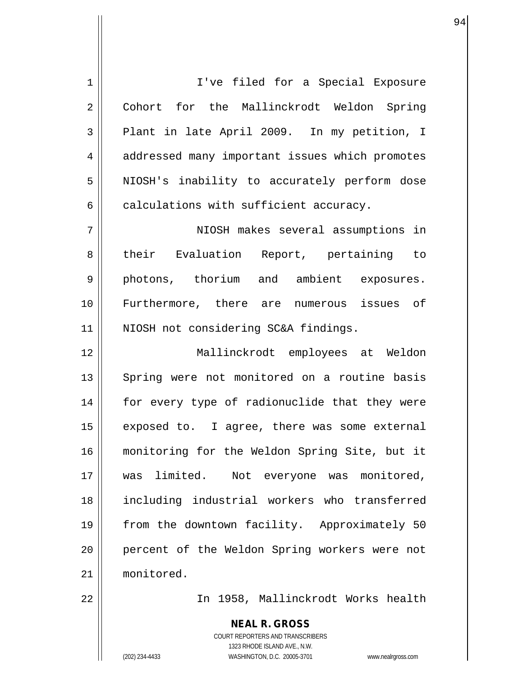1 || I've filed for a Special Exposure 2 Cohort for the Mallinckrodt Weldon Spring  $3 \parallel$  Plant in late April 2009. In my petition, I 4 | addressed many important issues which promotes 5 || NIOSH's inability to accurately perform dose  $6 \parallel$  calculations with sufficient accuracy. 7 NIOSH makes several assumptions in 8 || their Evaluation Report, pertaining to 9 photons, thorium and ambient exposures. 10 Furthermore, there are numerous issues of 11 || NIOSH not considering SC&A findings. 12 Mallinckrodt employees at Weldon 13 || Spring were not monitored on a routine basis 14 || for every type of radionuclide that they were  $15$  exposed to. I agree, there was some external 16 monitoring for the Weldon Spring Site, but it 17 was limited. Not everyone was monitored, 18 including industrial workers who transferred 19 from the downtown facility. Approximately 50 20 percent of the Weldon Spring workers were not 21 monitored.

94

22 In 1958, Mallinckrodt Works health

**NEAL R. GROSS** COURT REPORTERS AND TRANSCRIBERS 1323 RHODE ISLAND AVE., N.W. (202) 234-4433 WASHINGTON, D.C. 20005-3701 www.nealrgross.com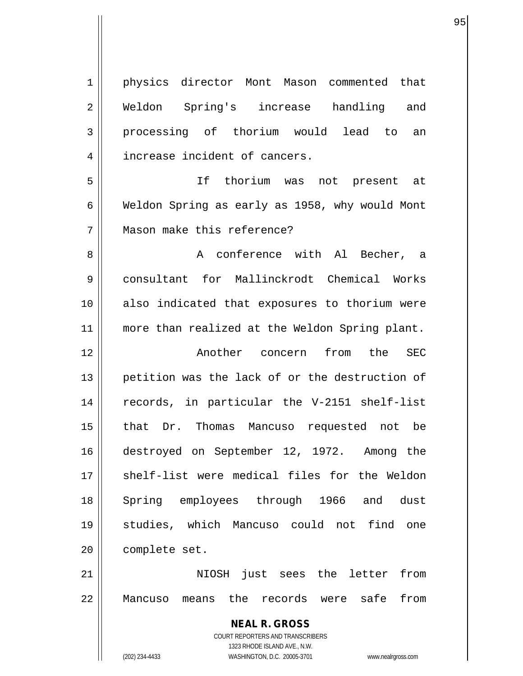**NEAL R. GROSS** COURT REPORTERS AND TRANSCRIBERS 1323 RHODE ISLAND AVE., N.W. 1 | physics director Mont Mason commented that 2 || Weldon Spring's increase handling and 3 processing of thorium would lead to an 4 | increase incident of cancers. 5 If thorium was not present at 6 Weldon Spring as early as 1958, why would Mont 7 || Mason make this reference? 8 A conference with Al Becher, a 9 || consultant for Mallinckrodt Chemical Works 10 also indicated that exposures to thorium were 11 || more than realized at the Weldon Spring plant. 12 Another concern from the SEC 13 || petition was the lack of or the destruction of 14 records, in particular the V-2151 shelf-list 15 that Dr. Thomas Mancuso requested not be 16 destroyed on September 12, 1972. Among the 17 shelf-list were medical files for the Weldon 18 Spring employees through 1966 and dust 19 studies, which Mancuso could not find one 20 | complete set. 21 NIOSH just sees the letter from 22 Mancuso means the records were safe from

(202) 234-4433 WASHINGTON, D.C. 20005-3701 www.nealrgross.com

en de la construction de la construction de la construction de la construction de la construction de la constr<br>1950 : la construction de la construction de la construction de la construction de la construction de la const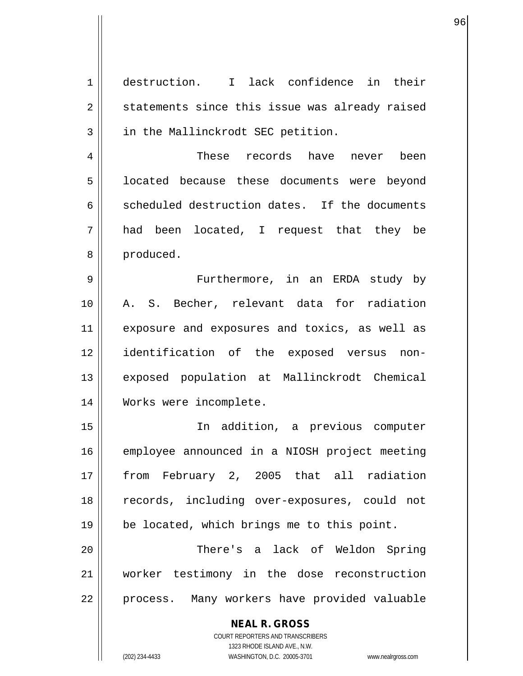1 destruction. I lack confidence in their 2 || statements since this issue was already raised 3 || in the Mallinckrodt SEC petition. 4 These records have never been 5 | located because these documents were beyond 6 scheduled destruction dates. If the documents 7 had been located, I request that they be 8 | produced. 9 || Furthermore, in an ERDA study by 10 A. S. Becher, relevant data for radiation 11 exposure and exposures and toxics, as well as 12 identification of the exposed versus non-13 exposed population at Mallinckrodt Chemical 14 Works were incomplete. 15 In addition, a previous computer 16 employee announced in a NIOSH project meeting 17 from February 2, 2005 that all radiation 18 records, including over-exposures, could not 19 | be located, which brings me to this point. 20 There's a lack of Weldon Spring 21 worker testimony in the dose reconstruction 22 || process. Many workers have provided valuable

> **NEAL R. GROSS** COURT REPORTERS AND TRANSCRIBERS 1323 RHODE ISLAND AVE., N.W.

(202) 234-4433 WASHINGTON, D.C. 20005-3701 www.nealrgross.com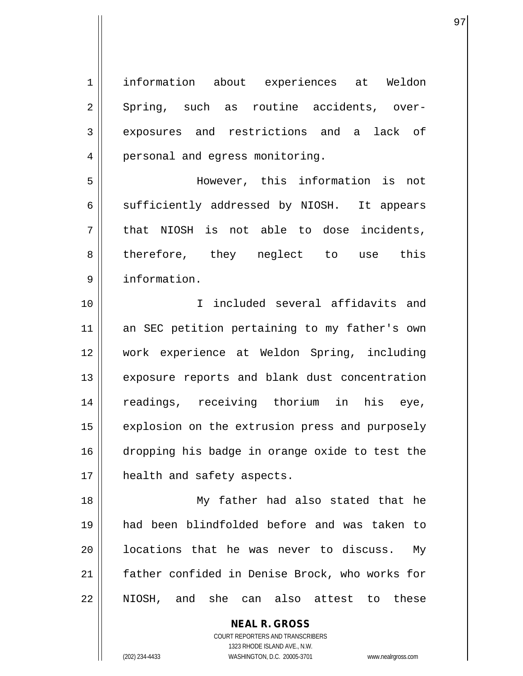1 information about experiences at Weldon 2 || Spring, such as routine accidents, over-3 exposures and restrictions and a lack of 4 | personal and egress monitoring. 5 However, this information is not 6 sufficiently addressed by NIOSH. It appears  $7 \parallel$  that NIOSH is not able to dose incidents, 8 || therefore, they neglect to use this 9 information. 10 I included several affidavits and 11 || an SEC petition pertaining to my father's own 12 work experience at Weldon Spring, including 13 || exposure reports and blank dust concentration 14 readings, receiving thorium in his eye, 15 | explosion on the extrusion press and purposely 16 dropping his badge in orange oxide to test the 17 || health and safety aspects. 18 My father had also stated that he 19 had been blindfolded before and was taken to 20 || locations that he was never to discuss. My 21 father confided in Denise Brock, who works for

22 NIOSH, and she can also attest to these

COURT REPORTERS AND TRANSCRIBERS 1323 RHODE ISLAND AVE., N.W. (202) 234-4433 WASHINGTON, D.C. 20005-3701 www.nealrgross.com

**NEAL R. GROSS**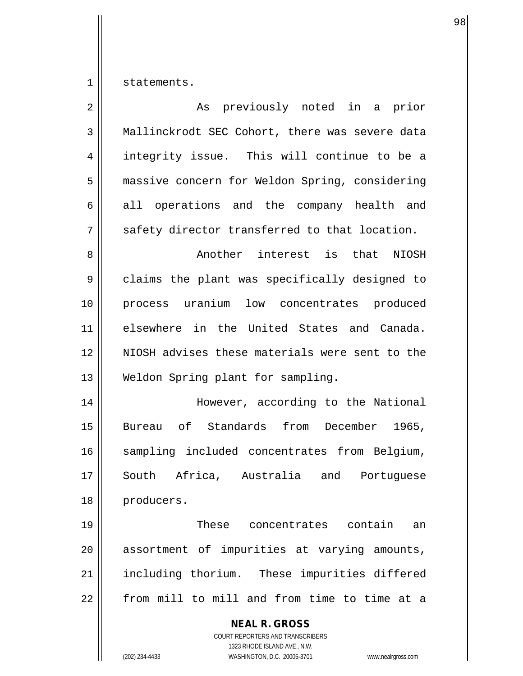$1 \parallel$  statements.

| $\overline{2}$ | As previously noted in a prior                                                                                                                                  |
|----------------|-----------------------------------------------------------------------------------------------------------------------------------------------------------------|
| $\mathfrak{Z}$ | Mallinckrodt SEC Cohort, there was severe data                                                                                                                  |
| 4              | integrity issue. This will continue to be a                                                                                                                     |
| 5              | massive concern for Weldon Spring, considering                                                                                                                  |
| 6              | all operations and the company health and                                                                                                                       |
| 7              | safety director transferred to that location.                                                                                                                   |
| 8              | Another interest is that NIOSH                                                                                                                                  |
| 9              | claims the plant was specifically designed to                                                                                                                   |
| 10             | process uranium low concentrates produced                                                                                                                       |
| 11             | elsewhere in the United States and Canada.                                                                                                                      |
| 12             | NIOSH advises these materials were sent to the                                                                                                                  |
| 13             | Weldon Spring plant for sampling.                                                                                                                               |
| 14             | However, according to the National                                                                                                                              |
| 15             | Bureau of Standards from December 1965,                                                                                                                         |
| 16             | sampling included concentrates from Belgium,                                                                                                                    |
| 17             | South Africa, Australia and Portuguese                                                                                                                          |
| 18             | producers.                                                                                                                                                      |
| 19             | These concentrates contain<br>an                                                                                                                                |
| 20             | assortment of impurities at varying amounts,                                                                                                                    |
| 21             | including thorium. These impurities differed                                                                                                                    |
| 22             | from mill to mill and from time to time at a                                                                                                                    |
|                | <b>NEAL R. GROSS</b><br>COURT REPORTERS AND TRANSCRIBERS<br>1323 RHODE ISLAND AVE., N.W.<br>(202) 234-4433<br>WASHINGTON, D.C. 20005-3701<br>www.nealrgross.com |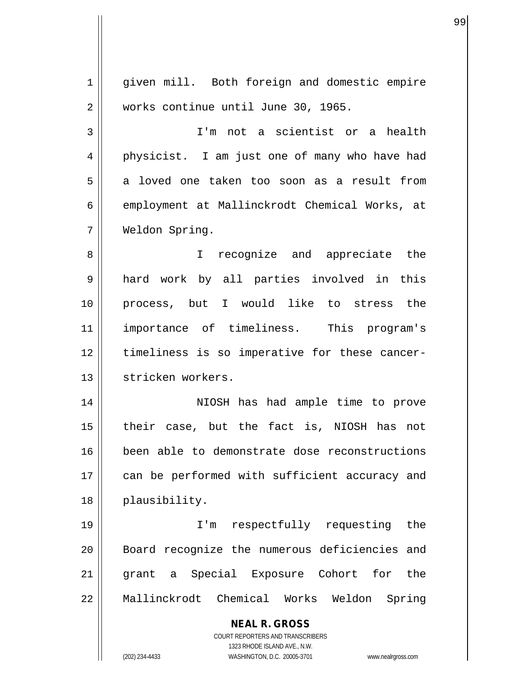$\overline{\mathsf{I}}$ 

 $\mathbf{\mathcal{H}}$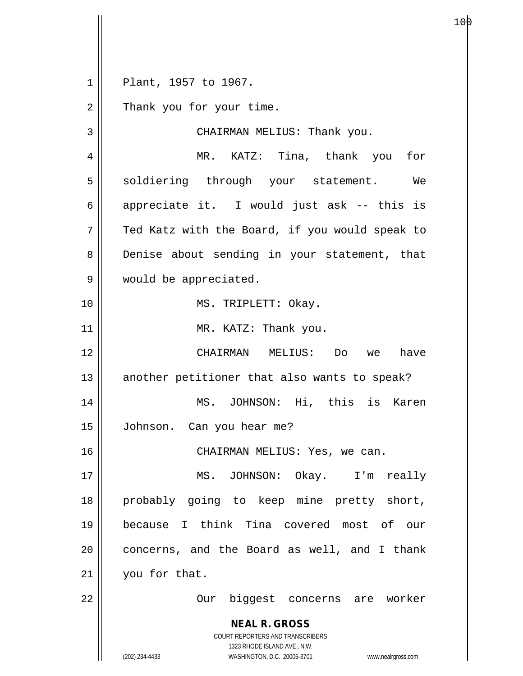1 Plant, 1957 to 1967.

2 | Thank you for your time.

**NEAL R. GROSS** 3 || CHAIRMAN MELIUS: Thank you. 4 MR. KATZ: Tina, thank you for 5 || soldiering through your statement. We 6 || appreciate it. I would just ask  $-$ - this is  $7 \parallel$  Ted Katz with the Board, if you would speak to 8 Denise about sending in your statement, that 9 || would be appreciated. 10 || MS. TRIPLETT: Okay. 11 || MR. KATZ: Thank you. 12 CHAIRMAN MELIUS: Do we have  $13$  another petitioner that also wants to speak? 14 MS. JOHNSON: Hi, this is Karen 15 Johnson. Can you hear me? 16 CHAIRMAN MELIUS: Yes, we can. 17 MS. JOHNSON: Okay. I'm really 18 probably going to keep mine pretty short, 19 because I think Tina covered most of our  $20$  || concerns, and the Board as well, and I thank 21 | you for that. 22 || Our biggest concerns are worker

> COURT REPORTERS AND TRANSCRIBERS 1323 RHODE ISLAND AVE., N.W.

(202) 234-4433 WASHINGTON, D.C. 20005-3701 www.nealrgross.com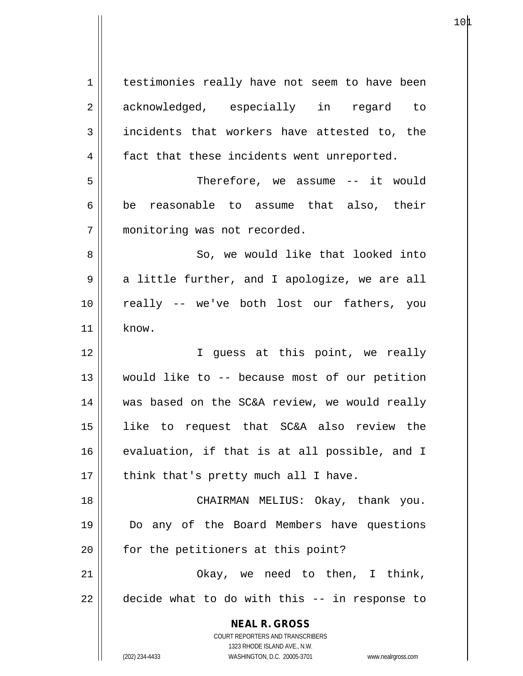| 1          | testimonies really have not seem to have been                       |
|------------|---------------------------------------------------------------------|
| 2          | acknowledged, especially in regard to                               |
| 3          | incidents that workers have attested to, the                        |
| 4          | fact that these incidents went unreported.                          |
| 5          | Therefore, we assume -- it would                                    |
| $\epsilon$ | be reasonable to assume that also, their                            |
| 7          | monitoring was not recorded.                                        |
| 8          | So, we would like that looked into                                  |
| 9          | a little further, and I apologize, we are all                       |
| 10         | really -- we've both lost our fathers, you                          |
| 11         | know.                                                               |
| 12         | I guess at this point, we really                                    |
| 13         | would like to -- because most of our petition                       |
| 14         | was based on the SC&A review, we would really                       |
| 15         | like to request that SC&A also review the                           |
| 16         | evaluation, if that is at all possible, and I                       |
| 17         | think that's pretty much all I have.                                |
| 18         | CHAIRMAN MELIUS: Okay, thank you.                                   |
| 19         | Do any of the Board Members have questions                          |
| 20         | for the petitioners at this point?                                  |
| 21         | Okay, we need to then, I think,                                     |
| 22         | decide what to do with this -- in response to                       |
|            | <b>NEAL R. GROSS</b>                                                |
|            | COURT REPORTERS AND TRANSCRIBERS                                    |
|            | 1323 RHODE ISLAND AVE., N.W.                                        |
|            | (202) 234-4433<br>WASHINGTON, D.C. 20005-3701<br>www.nealrgross.com |

 $10\text{\AA}$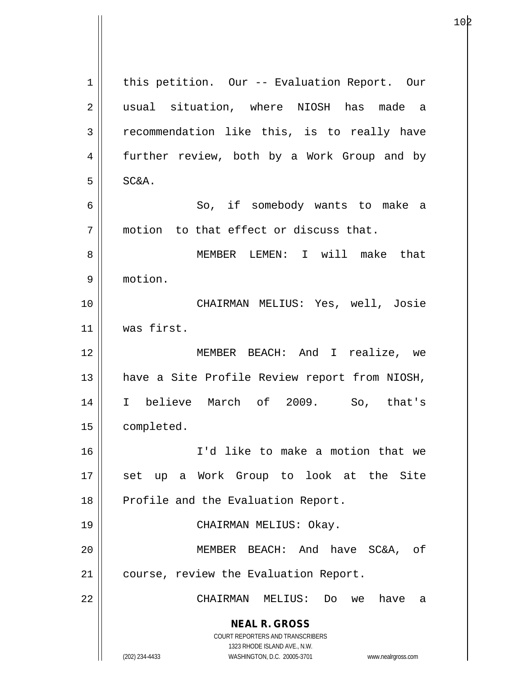**NEAL R. GROSS** COURT REPORTERS AND TRANSCRIBERS 1323 RHODE ISLAND AVE., N.W. (202) 234-4433 WASHINGTON, D.C. 20005-3701 www.nealrgross.com 1 | this petition. Our -- Evaluation Report. Our 2 || usual situation, where NIOSH has made a 3 Tecommendation like this, is to really have 4 || further review, both by a Work Group and by  $5 \parallel$  SC&A. 6 So, if somebody wants to make a  $7$  || motion to that effect or discuss that. 8 MEMBER LEMEN: I will make that 9 motion. 10 CHAIRMAN MELIUS: Yes, well, Josie 11 was first. 12 MEMBER BEACH: And I realize, we 13 || have a Site Profile Review report from NIOSH, 14 I believe March of 2009. So, that's 15 | completed. 16 I'd like to make a motion that we 17 || set up a Work Group to look at the Site 18 || Profile and the Evaluation Report. 19 CHAIRMAN MELIUS: Okay. 20 MEMBER BEACH: And have SC&A, of 21 | course, review the Evaluation Report. 22 CHAIRMAN MELIUS: Do we have a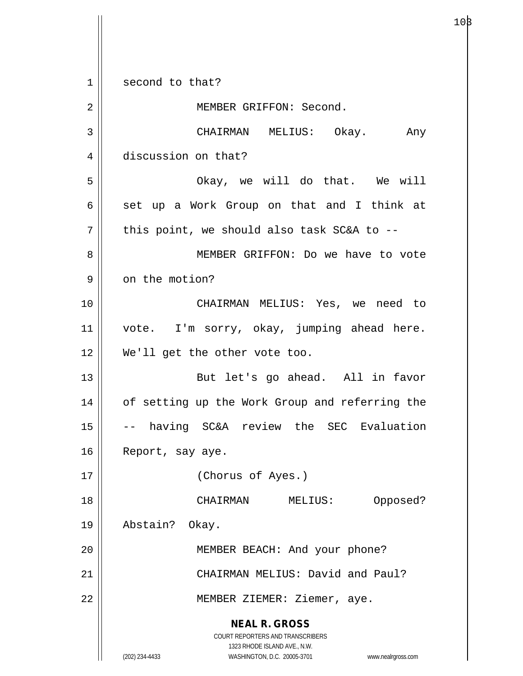**NEAL R. GROSS** COURT REPORTERS AND TRANSCRIBERS 1323 RHODE ISLAND AVE., N.W. (202) 234-4433 WASHINGTON, D.C. 20005-3701 www.nealrgross.com 1 || second to that? 2 || MEMBER GRIFFON: Second. 3 CHAIRMAN MELIUS: Okay. Any 4 discussion on that? 5 Okay, we will do that. We will  $6 \parallel$  set up a Work Group on that and I think at  $7$  | this point, we should also task SC&A to --8 || MEMBER GRIFFON: Do we have to vote 9 | on the motion? 10 CHAIRMAN MELIUS: Yes, we need to 11 || vote. I'm sorry, okay, jumping ahead here. 12 We'll get the other vote too. 13 || But let's go ahead. All in favor 14 || of setting up the Work Group and referring the 15 -- having SC&A review the SEC Evaluation 16 | Report, say aye. 17 (Chorus of Ayes.) 18 CHAIRMAN MELIUS: Opposed? 19 Abstain? Okay. 20 MEMBER BEACH: And your phone? 21 **CHAIRMAN MELIUS:** David and Paul? 22 || MEMBER ZIEMER: Ziemer, aye.

 $10\beta$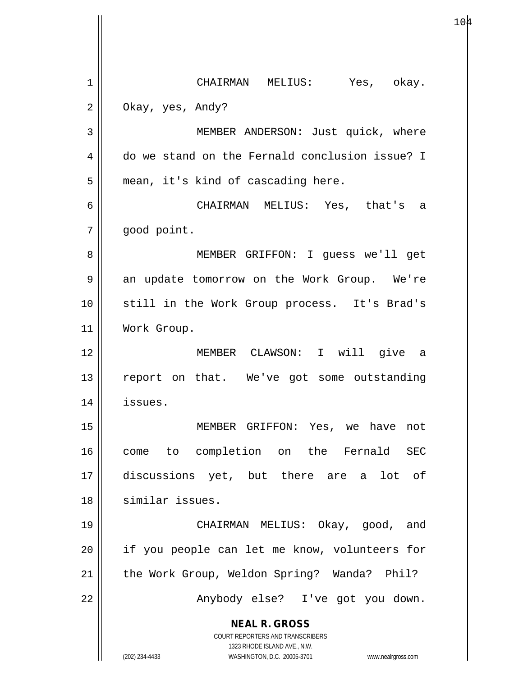**NEAL R. GROSS** COURT REPORTERS AND TRANSCRIBERS 1323 RHODE ISLAND AVE., N.W. (202) 234-4433 WASHINGTON, D.C. 20005-3701 www.nealrgross.com 1 CHAIRMAN MELIUS: Yes, okay. 2 **Okay**, yes, Andy? 3 || MEMBER ANDERSON: Just quick, where 4 do we stand on the Fernald conclusion issue? I  $5 \parallel$  mean, it's kind of cascading here. 6 CHAIRMAN MELIUS: Yes, that's a 7 | qood point. 8 MEMBER GRIFFON: I guess we'll get 9 an update tomorrow on the Work Group. We're 10 still in the Work Group process. It's Brad's 11 | Work Group. 12 MEMBER CLAWSON: I will give a 13 || report on that. We've got some outstanding 14 issues. 15 MEMBER GRIFFON: Yes, we have not 16 come to completion on the Fernald SEC 17 discussions yet, but there are a lot of 18 similar issues. 19 CHAIRMAN MELIUS: Okay, good, and 20 || if you people can let me know, volunteers for 21 || the Work Group, Weldon Spring? Wanda? Phil? 22 Anybody else? I've got you down.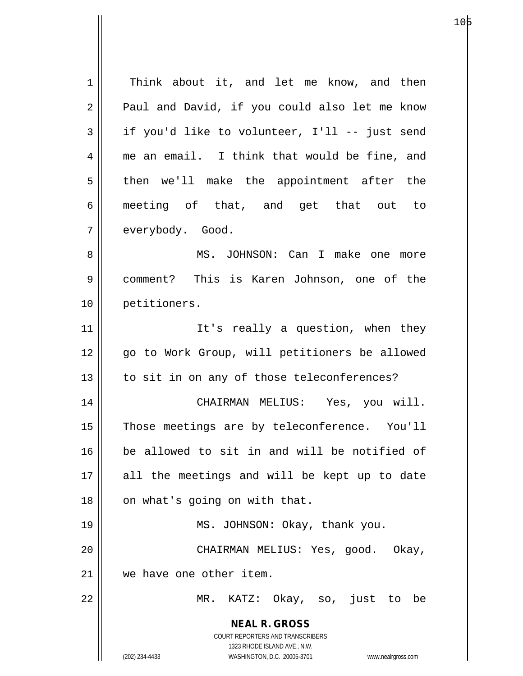**NEAL R. GROSS** COURT REPORTERS AND TRANSCRIBERS 1323 RHODE ISLAND AVE., N.W. (202) 234-4433 WASHINGTON, D.C. 20005-3701 www.nealrgross.com 1 | Think about it, and let me know, and then  $2 \parallel$  Paul and David, if you could also let me know  $3 \parallel$  if you'd like to volunteer, I'll -- just send 4 me an email. I think that would be fine, and  $5 \parallel$  then we'll make the appointment after the 6 meeting of that, and get that out to 7 | everybody. Good. 8 MS. JOHNSON: Can I make one more 9 comment? This is Karen Johnson, one of the 10 petitioners. 11 || It's really a question, when they 12 || qo to Work Group, will petitioners be allowed 13 || to sit in on any of those teleconferences? 14 CHAIRMAN MELIUS: Yes, you will. 15 || Those meetings are by teleconference. You'll 16 be allowed to sit in and will be notified of 17 || all the meetings and will be kept up to date  $18$  | on what's going on with that. 19 MS. JOHNSON: Okay, thank you. 20 CHAIRMAN MELIUS: Yes, good. Okay, 21 we have one other item. 22 MR. KATZ: Okay, so, just to be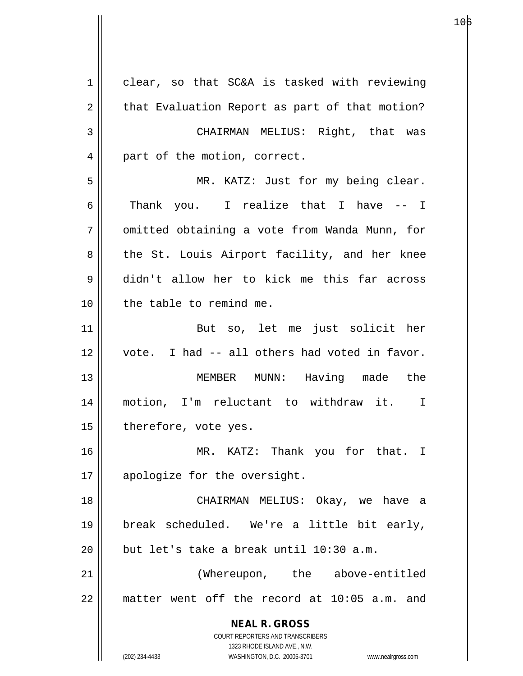**NEAL R. GROSS** COURT REPORTERS AND TRANSCRIBERS 1323 RHODE ISLAND AVE., N.W. (202) 234-4433 WASHINGTON, D.C. 20005-3701 www.nealrgross.com 1 | clear, so that SC&A is tasked with reviewing  $2 \parallel$  that Evaluation Report as part of that motion? 3 CHAIRMAN MELIUS: Right, that was 4 || part of the motion, correct. 5 MR. KATZ: Just for my being clear.  $6$  || Thank you. I realize that I have  $-1$ 7 | omitted obtaining a vote from Wanda Munn, for 8 || the St. Louis Airport facility, and her knee 9 didn't allow her to kick me this far across 10 || the table to remind me. 11 || But so, let me just solicit her 12 vote. I had -- all others had voted in favor. 13 || MEMBER MUNN: Having made the 14 motion, I'm reluctant to withdraw it. I  $15$  | therefore, vote yes. 16 MR. KATZ: Thank you for that. I  $17 \parallel$  apologize for the oversight. 18 CHAIRMAN MELIUS: Okay, we have a 19 break scheduled. We're a little bit early, 20  $\parallel$  but let's take a break until 10:30 a.m. 21 (Whereupon, the above-entitled 22 matter went off the record at 10:05 a.m. and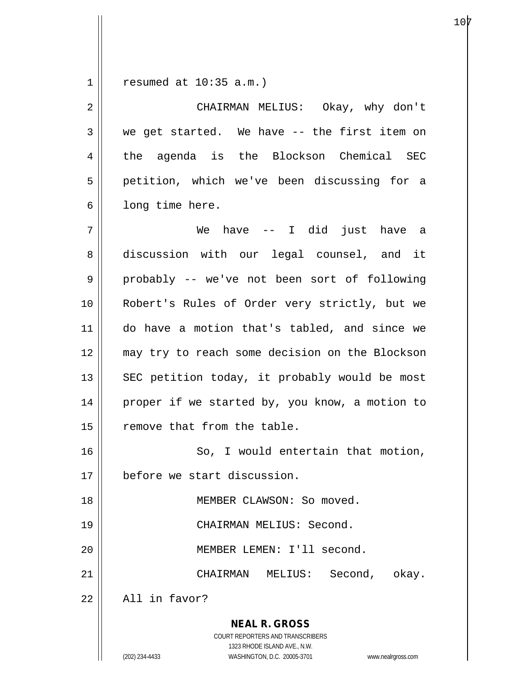$1$  resumed at 10:35 a.m.)

| $\overline{2}$ | CHAIRMAN MELIUS: Okay, why don't                                                                                                                                       |
|----------------|------------------------------------------------------------------------------------------------------------------------------------------------------------------------|
| $\mathfrak{Z}$ | we get started. We have -- the first item on                                                                                                                           |
| 4              | the agenda is the Blockson Chemical SEC                                                                                                                                |
| 5              | petition, which we've been discussing for a                                                                                                                            |
| 6              | long time here.                                                                                                                                                        |
| 7              | We have -- I did just have a                                                                                                                                           |
| 8              | discussion with our legal counsel, and it                                                                                                                              |
| 9              | probably -- we've not been sort of following                                                                                                                           |
| 10             | Robert's Rules of Order very strictly, but we                                                                                                                          |
| 11             | do have a motion that's tabled, and since we                                                                                                                           |
| 12             | may try to reach some decision on the Blockson                                                                                                                         |
| 13             | SEC petition today, it probably would be most                                                                                                                          |
| 14             | proper if we started by, you know, a motion to                                                                                                                         |
| 15             | remove that from the table.                                                                                                                                            |
| 16             | So, I would entertain that motion,                                                                                                                                     |
| 17             | before we start discussion.                                                                                                                                            |
| 18             | MEMBER CLAWSON: So moved.                                                                                                                                              |
| 19             | CHAIRMAN MELIUS: Second.                                                                                                                                               |
| 20             | MEMBER LEMEN: I'll second.                                                                                                                                             |
| 21             | CHAIRMAN<br>Second,<br>MELIUS:<br>okay.                                                                                                                                |
| 22             | All in favor?                                                                                                                                                          |
|                | <b>NEAL R. GROSS</b><br><b>COURT REPORTERS AND TRANSCRIBERS</b><br>1323 RHODE ISLAND AVE., N.W.<br>(202) 234-4433<br>WASHINGTON, D.C. 20005-3701<br>www.nealrgross.com |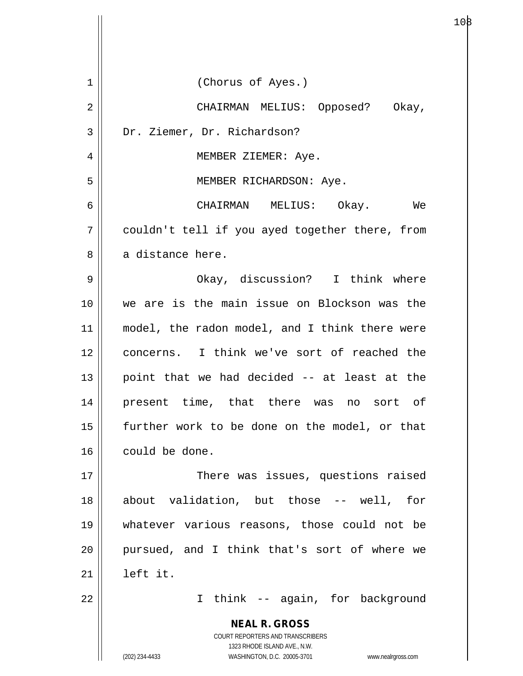| $\mathbf 1$ | (Chorus of Ayes.)                                                                        |
|-------------|------------------------------------------------------------------------------------------|
| 2           | CHAIRMAN MELIUS: Opposed? Okay,                                                          |
| 3           | Dr. Ziemer, Dr. Richardson?                                                              |
| 4           | MEMBER ZIEMER: Aye.                                                                      |
| 5           | MEMBER RICHARDSON: Aye.                                                                  |
| 6           | CHAIRMAN MELIUS: Okay. We                                                                |
| 7           | couldn't tell if you ayed together there, from                                           |
| 8           | a distance here.                                                                         |
| 9           | Okay, discussion? I think where                                                          |
| 10          | we are is the main issue on Blockson was the                                             |
| 11          | model, the radon model, and I think there were                                           |
| 12          | concerns. I think we've sort of reached the                                              |
| 13          | point that we had decided -- at least at the                                             |
| 14          | present time, that there was no sort of                                                  |
| 15          | further work to be done on the model, or that                                            |
| 16          | could be done.                                                                           |
| 17          | There was issues, questions raised                                                       |
| 18          | about validation, but those -- well, for                                                 |
| 19          | whatever various reasons, those could not be                                             |
| 20          | pursued, and I think that's sort of where we                                             |
| 21          | left it.                                                                                 |
| 22          | I think -- again, for background                                                         |
|             | <b>NEAL R. GROSS</b><br>COURT REPORTERS AND TRANSCRIBERS<br>1323 RHODE ISLAND AVE., N.W. |
|             | (202) 234-4433<br>WASHINGTON, D.C. 20005-3701<br>www.nealrgross.com                      |

Ħ

 $10\beta$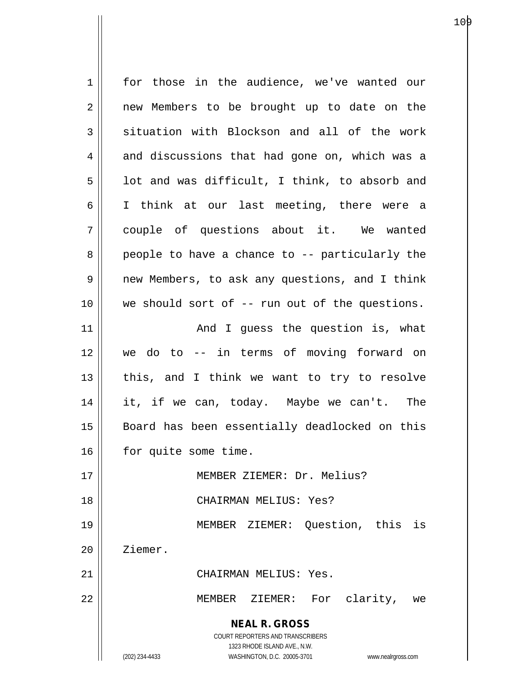**NEAL R. GROSS** COURT REPORTERS AND TRANSCRIBERS 1323 RHODE ISLAND AVE., N.W. (202) 234-4433 WASHINGTON, D.C. 20005-3701 www.nealrgross.com 1 for those in the audience, we've wanted our 2 || new Members to be brought up to date on the  $3 \parallel$  situation with Blockson and all of the work  $4 \parallel$  and discussions that had gone on, which was a  $5 \parallel$  1ot and was difficult, I think, to absorb and 6 || I think at our last meeting, there were a 7 couple of questions about it. We wanted  $8 \parallel$  people to have a chance to -- particularly the 9 new Members, to ask any questions, and I think 10 || we should sort of -- run out of the questions. 11 || The Mand I guess the question is, what 12 we do to -- in terms of moving forward on  $13$  || this, and I think we want to try to resolve 14 it, if we can, today. Maybe we can't. The 15 || Board has been essentially deadlocked on this 16 | for quite some time. 17 MEMBER ZIEMER: Dr. Melius? 18 CHAIRMAN MELIUS: Yes? 19 MEMBER ZIEMER: Question, this is 20 | Ziemer. 21 CHAIRMAN MELIUS: Yes. 22 MEMBER ZIEMER: For clarity, we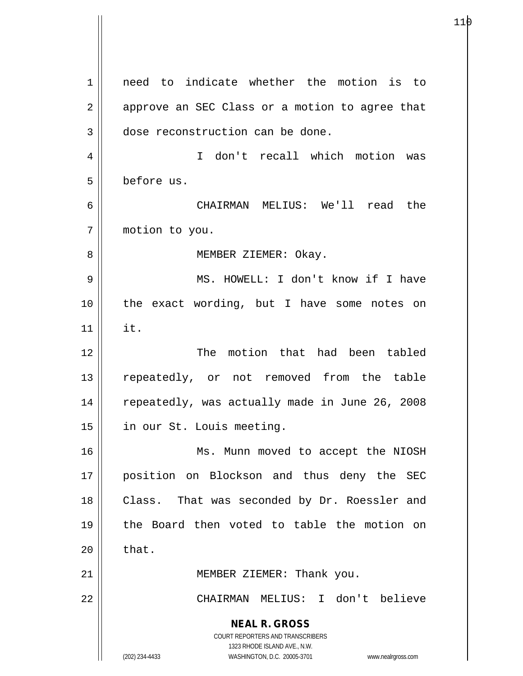**NEAL R. GROSS** COURT REPORTERS AND TRANSCRIBERS 1323 RHODE ISLAND AVE., N.W. (202) 234-4433 WASHINGTON, D.C. 20005-3701 www.nealrgross.com 1 need to indicate whether the motion is to  $2 \parallel$  approve an SEC Class or a motion to agree that 3 dose reconstruction can be done. 4 I don't recall which motion was 5 before us. 6 CHAIRMAN MELIUS: We'll read the 7 motion to you. 8 | | MEMBER ZIEMER: Okay. 9 MS. HOWELL: I don't know if I have 10 || the exact wording, but I have some notes on  $11$  it. 12 The motion that had been tabled 13 || repeatedly, or not removed from the table 14 || repeatedly, was actually made in June 26, 2008 15 | in our St. Louis meeting. 16 || Ms. Munn moved to accept the NIOSH 17 position on Blockson and thus deny the SEC 18 || Class. That was seconded by Dr. Roessler and 19 the Board then voted to table the motion on  $20$   $\parallel$  that. 21 || MEMBER ZIEMER: Thank you. 22 CHAIRMAN MELIUS: I don't believe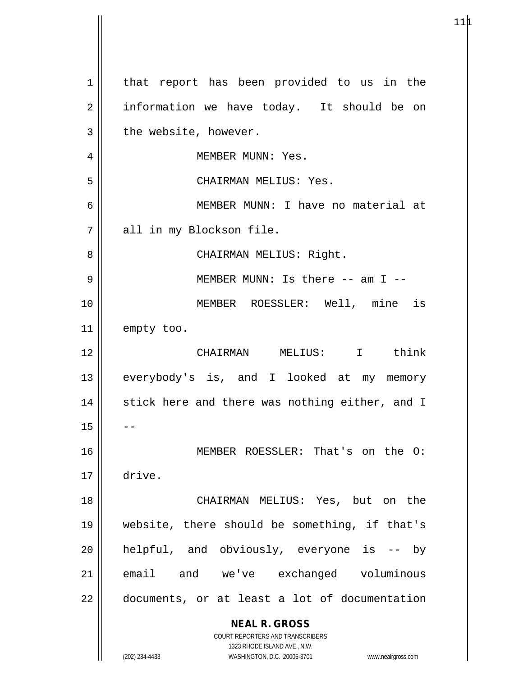**NEAL R. GROSS** COURT REPORTERS AND TRANSCRIBERS 1323 RHODE ISLAND AVE., N.W. (202) 234-4433 WASHINGTON, D.C. 20005-3701 www.nealrgross.com 1 | that report has been provided to us in the 2 | information we have today. It should be on  $3 \parallel$  the website, however. 4 || MEMBER MUNN: Yes. 5 CHAIRMAN MELIUS: Yes. 6 MEMBER MUNN: I have no material at 7 all in my Blockson file. 8 CHAIRMAN MELIUS: Right. 9 || MEMBER MUNN: Is there -- am I --10 MEMBER ROESSLER: Well, mine is 11 empty too. 12 CHAIRMAN MELIUS: I think 13 || everybody's is, and I looked at my memory  $14$  || stick here and there was nothing either, and I  $15$ 16 MEMBER ROESSLER: That's on the O: 17 drive. 18 CHAIRMAN MELIUS: Yes, but on the 19 website, there should be something, if that's  $20$  || helpful, and obviously, everyone is  $-$  by 21 email and we've exchanged voluminous 22 | documents, or at least a lot of documentation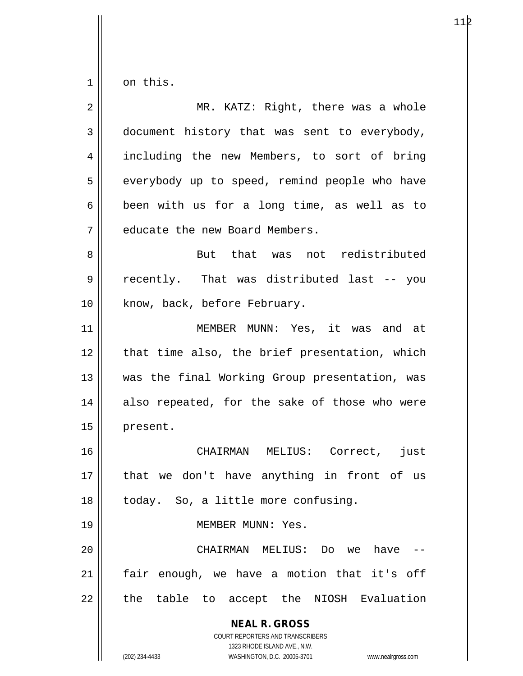$1 \parallel$  on this.

| $\overline{2}$ | MR. KATZ: Right, there was a whole                                                                                                                              |
|----------------|-----------------------------------------------------------------------------------------------------------------------------------------------------------------|
| 3              | document history that was sent to everybody,                                                                                                                    |
| 4              | including the new Members, to sort of bring                                                                                                                     |
| 5              | everybody up to speed, remind people who have                                                                                                                   |
| 6              | been with us for a long time, as well as to                                                                                                                     |
| 7              | educate the new Board Members.                                                                                                                                  |
| 8              | But that was not redistributed                                                                                                                                  |
| 9              | recently. That was distributed last -- you                                                                                                                      |
| 10             | know, back, before February.                                                                                                                                    |
| 11             | MEMBER MUNN: Yes, it was and at                                                                                                                                 |
| 12             | that time also, the brief presentation, which                                                                                                                   |
| 13             | was the final Working Group presentation, was                                                                                                                   |
| 14             | also repeated, for the sake of those who were                                                                                                                   |
| 15             | present.                                                                                                                                                        |
| 16             | CHAIRMAN MELIUS: Correct, just                                                                                                                                  |
| 17             | that we don't have anything in front of us                                                                                                                      |
| 18             | today. So, a little more confusing.                                                                                                                             |
| 19             | MEMBER MUNN: Yes.                                                                                                                                               |
| 20             | have<br>CHAIRMAN MELIUS: Do we                                                                                                                                  |
| 21             | fair enough, we have a motion that it's off                                                                                                                     |
| 22             | the table to accept the NIOSH Evaluation                                                                                                                        |
|                | <b>NEAL R. GROSS</b><br>COURT REPORTERS AND TRANSCRIBERS<br>1323 RHODE ISLAND AVE., N.W.<br>(202) 234-4433<br>WASHINGTON, D.C. 20005-3701<br>www.nealrgross.com |

 $11\beta$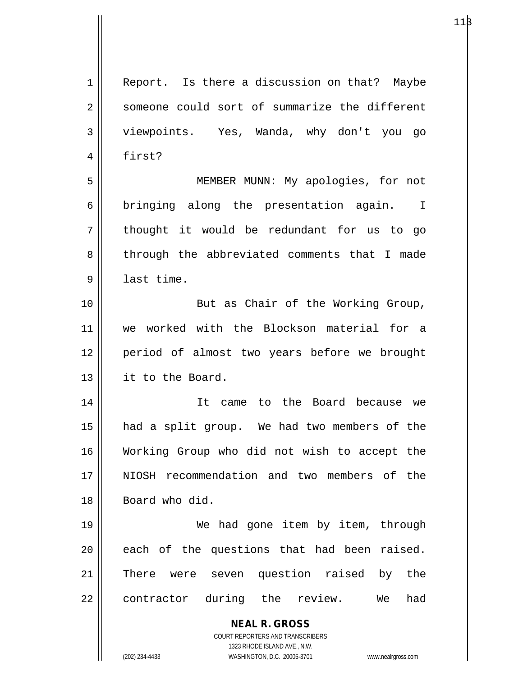| $\mathbf 1$ | Report. Is there a discussion on that? Maybe                            |
|-------------|-------------------------------------------------------------------------|
| 2           | someone could sort of summarize the different                           |
| 3           | viewpoints. Yes, Wanda, why don't you go                                |
| 4           | first?                                                                  |
| 5           | MEMBER MUNN: My apologies, for not                                      |
| 6           | bringing along the presentation again. I                                |
| 7           | thought it would be redundant for us to go                              |
| 8           | through the abbreviated comments that I made                            |
| 9           | last time.                                                              |
| 10          | But as Chair of the Working Group,                                      |
| 11          | we worked with the Blockson material for a                              |
| 12          | period of almost two years before we brought                            |
| 13          | it to the Board.                                                        |
| 14          | to the Board because we<br>It came                                      |
| 15          | had a split group. We had two members of the                            |
| 16          | Working Group who did not wish to accept the                            |
| 17          | NIOSH recommendation and two members of the                             |
| 18          | Board who did.                                                          |
| 19          | We had gone item by item, through                                       |
| 20          | each of the questions that had been raised.                             |
| 21          | seven question raised<br>by the<br>There were                           |
| 22          | during the review.<br>contractor<br>We<br>had                           |
|             |                                                                         |
|             | <b>NEAL R. GROSS</b>                                                    |
|             | <b>COURT REPORTERS AND TRANSCRIBERS</b><br>1323 RHODE ISLAND AVE., N.W. |
|             | (202) 234-4433<br>WASHINGTON, D.C. 20005-3701<br>www.nealrgross.com     |

 $11\beta$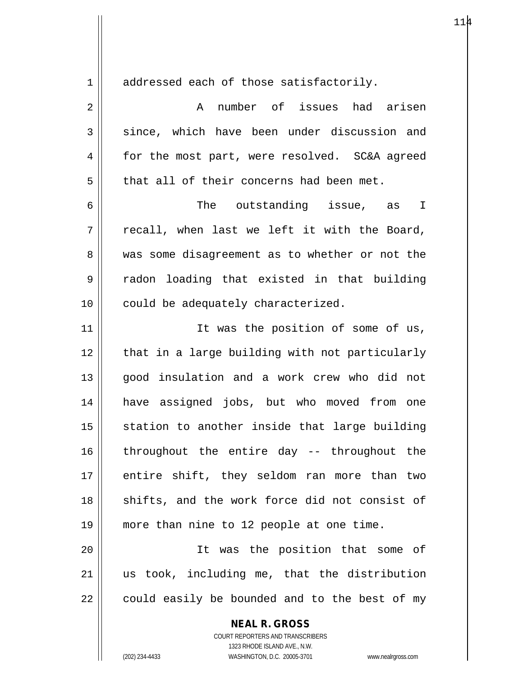1 addressed each of those satisfactorily.

2 A number of issues had arisen  $3 \parallel$  since, which have been under discussion and 4 for the most part, were resolved. SC&A agreed  $5$  | that all of their concerns had been met. 6  $\parallel$  6 The outstanding issue, as I  $7 \parallel$  recall, when last we left it with the Board, 8 was some disagreement as to whether or not the 9 radon loading that existed in that building 10 || could be adequately characterized. 11 || Tt was the position of some of us, 12 || that in a large building with not particularly 13 || qood insulation and a work crew who did not 14 have assigned jobs, but who moved from one  $15$  station to another inside that large building 16 || throughout the entire day -- throughout the 17 || entire shift, they seldom ran more than two 18 || shifts, and the work force did not consist of 19 more than nine to 12 people at one time. 20 It was the position that some of  $21$  us took, including me, that the distribution  $22$  | could easily be bounded and to the best of my

**NEAL R. GROSS**

COURT REPORTERS AND TRANSCRIBERS 1323 RHODE ISLAND AVE., N.W. (202) 234-4433 WASHINGTON, D.C. 20005-3701 www.nealrgross.com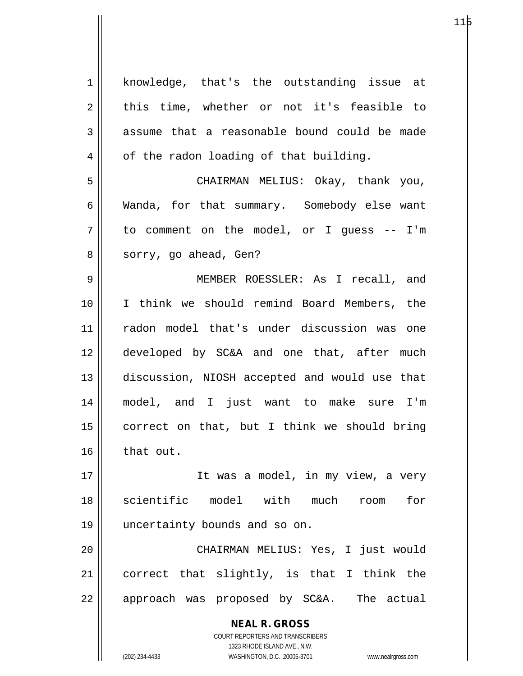| $\mathbf 1$    | knowledge, that's the outstanding issue at                                                          |
|----------------|-----------------------------------------------------------------------------------------------------|
| $\sqrt{2}$     | this time, whether or not it's feasible to                                                          |
| $\mathfrak{Z}$ | assume that a reasonable bound could be made                                                        |
| 4              | of the radon loading of that building.                                                              |
| 5              | CHAIRMAN MELIUS: Okay, thank you,                                                                   |
| 6              | Wanda, for that summary. Somebody else want                                                         |
| 7              | to comment on the model, or I guess -- I'm                                                          |
| 8              | sorry, go ahead, Gen?                                                                               |
| 9              | MEMBER ROESSLER: As I recall, and                                                                   |
| 10             | I think we should remind Board Members, the                                                         |
| 11             | radon model that's under discussion was one                                                         |
| 12             | developed by SC&A and one that, after much                                                          |
| 13             | discussion, NIOSH accepted and would use that                                                       |
| 14             | model, and I just want to make sure I'm                                                             |
| 15             | correct on that, but I think we should bring                                                        |
| 16             | that out.                                                                                           |
| 17             | It was a model, in my view, a very                                                                  |
| 18             | scientific<br>model with much<br>for<br>room                                                        |
| 19             | uncertainty bounds and so on.                                                                       |
| 20             | CHAIRMAN MELIUS: Yes, I just would                                                                  |
| 21             | correct that slightly, is that I think the                                                          |
| 22             | approach was proposed by SC&A. The actual                                                           |
|                | <b>NEAL R. GROSS</b>                                                                                |
|                | COURT REPORTERS AND TRANSCRIBERS                                                                    |
|                | 1323 RHODE ISLAND AVE., N.W.<br>(202) 234-4433<br>WASHINGTON, D.C. 20005-3701<br>www.nealrgross.com |
|                |                                                                                                     |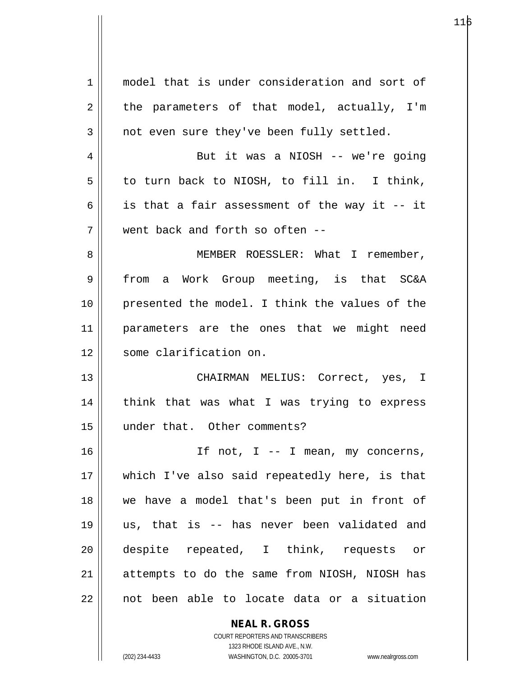| 1  | model that is under consideration and sort of  |
|----|------------------------------------------------|
| 2  | the parameters of that model, actually, I'm    |
| 3  | not even sure they've been fully settled.      |
| 4  | But it was a NIOSH -- we're going              |
| 5  | to turn back to NIOSH, to fill in. I think,    |
| 6  | is that a fair assessment of the way it -- it  |
| 7  | went back and forth so often --                |
| 8  | MEMBER ROESSLER: What I remember,              |
| 9  | a Work Group meeting, is that SC&A<br>from     |
| 10 | presented the model. I think the values of the |
| 11 | parameters are the ones that we might need     |
| 12 | some clarification on.                         |
| 13 | CHAIRMAN MELIUS: Correct, yes, I               |
| 14 | think that was what I was trying to express    |
| 15 | under that. Other comments?                    |
| 16 | If not, I -- I mean, my concerns,              |
| 17 | which I've also said repeatedly here, is that  |
| 18 | we have a model that's been put in front of    |
| 19 | us, that is -- has never been validated and    |
| 20 | despite repeated, I think, requests or         |
| 21 | attempts to do the same from NIOSH, NIOSH has  |
| 22 | not been able to locate data or a situation    |
|    | <b>NEAL R. GROSS</b>                           |

116

COURT REPORTERS AND TRANSCRIBERS 1323 RHODE ISLAND AVE., N.W. (202) 234-4433 WASHINGTON, D.C. 20005-3701 www.nealrgross.com

 $\mathsf{II}$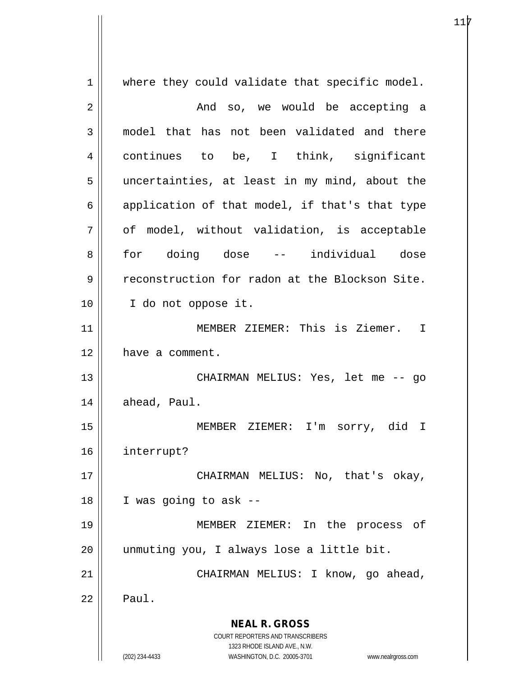**NEAL R. GROSS** COURT REPORTERS AND TRANSCRIBERS 1323 RHODE ISLAND AVE., N.W. (202) 234-4433 WASHINGTON, D.C. 20005-3701 www.nealrgross.com 1 || where they could validate that specific model. 2 And so, we would be accepting a 3 model that has not been validated and there 4 continues to be, I think, significant 5 uncertainties, at least in my mind, about the 6  $\parallel$  application of that model, if that's that type  $7 \parallel$  of model, without validation, is acceptable 8 for doing dose -- individual dose 9 reconstruction for radon at the Blockson Site. 10 I do not oppose it. 11 || MEMBER ZIEMER: This is Ziemer. I 12 | have a comment. 13 CHAIRMAN MELIUS: Yes, let me -- go  $14$  | ahead, Paul. 15 MEMBER ZIEMER: I'm sorry, did I 16 interrupt? 17 || CHAIRMAN MELIUS: No, that's okay,  $18$  | I was going to ask --19 MEMBER ZIEMER: In the process of 20 || unmuting you, I always lose a little bit. 21 || CHAIRMAN MELIUS: I know, go ahead,  $22 \parallel$  Paul.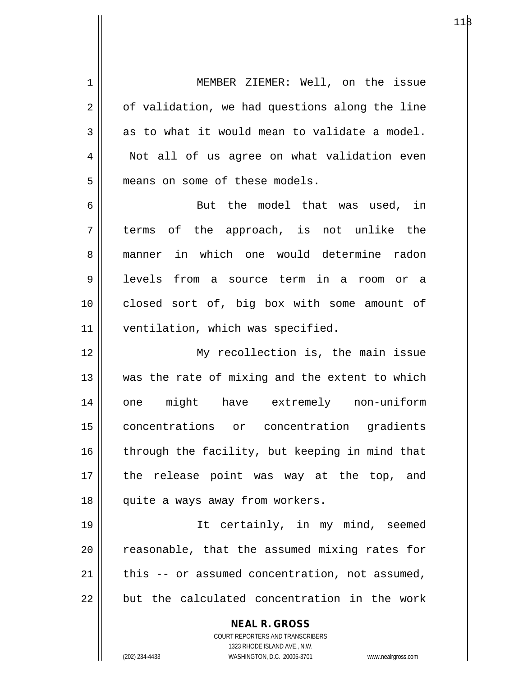1 | MEMBER ZIEMER: Well, on the issue  $2 \parallel$  of validation, we had questions along the line  $3 \parallel$  as to what it would mean to validate a model. 4 | Not all of us agree on what validation even 5 || means on some of these models.

 $6 \parallel$  But the model that was used, in  $7 \parallel$  terms of the approach, is not unlike the 8 manner in which one would determine radon 9 levels from a source term in a room or a 10 || closed sort of, big box with some amount of 11 | ventilation, which was specified.

12 || My recollection is, the main issue  $13$  || was the rate of mixing and the extent to which 14 one might have extremely non-uniform 15 concentrations or concentration gradients  $16$  through the facility, but keeping in mind that 17 || the release point was way at the top, and 18 || quite a ways away from workers.

19 It certainly, in my mind, seemed  $\parallel$  reasonable, that the assumed mixing rates for | this  $-$  or assumed concentration, not assumed,  $\parallel$  but the calculated concentration in the work

> **NEAL R. GROSS** COURT REPORTERS AND TRANSCRIBERS

1323 RHODE ISLAND AVE., N.W. (202) 234-4433 WASHINGTON, D.C. 20005-3701 www.nealrgross.com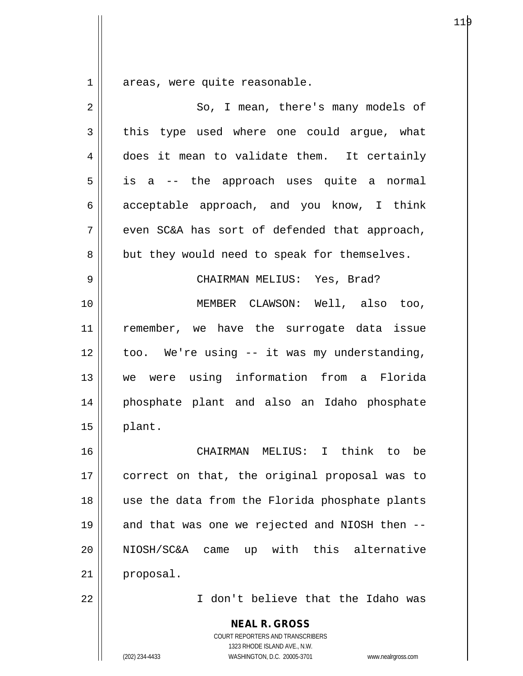$1$  areas, were quite reasonable.

| $\mathbf 2$ | So, I mean, there's many models of                                                                                                                              |
|-------------|-----------------------------------------------------------------------------------------------------------------------------------------------------------------|
| 3           | this type used where one could argue, what                                                                                                                      |
| 4           | does it mean to validate them. It certainly                                                                                                                     |
| 5           | is a -- the approach uses quite a normal                                                                                                                        |
| 6           | acceptable approach, and you know, I think                                                                                                                      |
| 7           | even SC&A has sort of defended that approach,                                                                                                                   |
| 8           | but they would need to speak for themselves.                                                                                                                    |
| 9           | CHAIRMAN MELIUS: Yes, Brad?                                                                                                                                     |
| 10          | MEMBER CLAWSON: Well, also too,                                                                                                                                 |
| 11          | remember, we have the surrogate data issue                                                                                                                      |
| 12          | too. We're using -- it was my understanding,                                                                                                                    |
| 13          | we were using information from a Florida                                                                                                                        |
| 14          | phosphate plant and also an Idaho phosphate                                                                                                                     |
| 15          | plant.                                                                                                                                                          |
| 16          | CHAIRMAN MELIUS: I think to be                                                                                                                                  |
| 17          | correct on that, the original proposal was to                                                                                                                   |
| 18          | use the data from the Florida phosphate plants                                                                                                                  |
| 19          | and that was one we rejected and NIOSH then --                                                                                                                  |
| 20          | NIOSH/SC&A came up with this alternative                                                                                                                        |
| 21          | proposal.                                                                                                                                                       |
| 22          | I don't believe that the Idaho was                                                                                                                              |
|             | <b>NEAL R. GROSS</b><br>COURT REPORTERS AND TRANSCRIBERS<br>1323 RHODE ISLAND AVE., N.W.<br>(202) 234-4433<br>WASHINGTON, D.C. 20005-3701<br>www.nealrgross.com |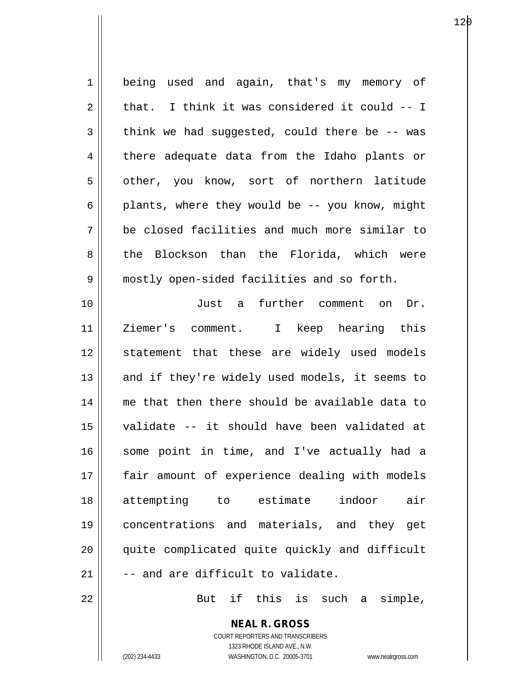| $\mathbf 1$ | being used and again, that's my memory of                |
|-------------|----------------------------------------------------------|
| 2           | that. I think it was considered it could -- I            |
| 3           | think we had suggested, could there be -- was            |
| 4           | there adequate data from the Idaho plants or             |
| 5           | other, you know, sort of northern latitude               |
| 6           | plants, where they would be -- you know, might           |
| 7           | be closed facilities and much more similar to            |
| 8           | the Blockson than the Florida, which were                |
| 9           | mostly open-sided facilities and so forth.               |
| 10          | Just a further comment on<br>Dr.                         |
| 11          | Ziemer's comment. I keep hearing this                    |
| 12          | statement that these are widely used models              |
| 13          | and if they're widely used models, it seems to           |
| 14          | me that then there should be available data to           |
| 15          | validate -- it should have been validated at             |
| 16          | some point in time, and I've actually had a              |
| 17          | fair amount of experience dealing with models            |
| 18          | indoor<br>attempting to estimate<br>air                  |
| 19          | concentrations and materials, and they get               |
| 20          | quite complicated quite quickly and difficult            |
| 21          | -- and are difficult to validate.                        |
| 22          | But if this is such a simple,                            |
|             | <b>NEAL R. GROSS</b><br>COURT REPORTERS AND TRANSCRIBERS |

1323 RHODE ISLAND AVE., N.W.

 $\prod$ 

(202) 234-4433 WASHINGTON, D.C. 20005-3701 www.nealrgross.com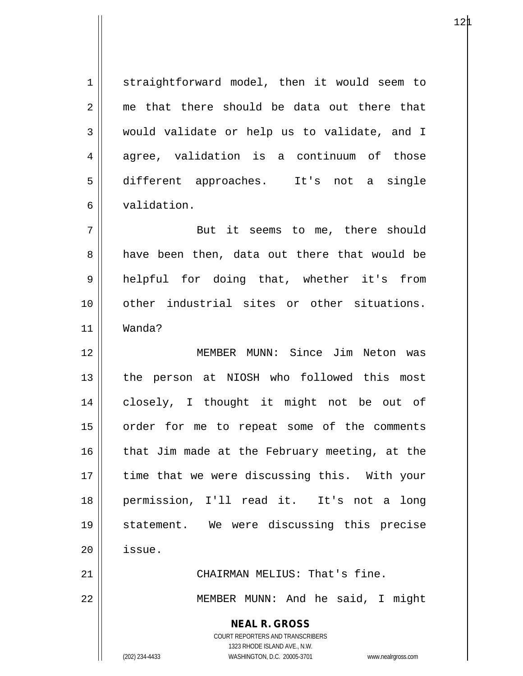1 straightforward model, then it would seem to  $2 \parallel$  me that there should be data out there that 3 would validate or help us to validate, and I  $4 \parallel$  agree, validation is a continuum of those 5 different approaches. It's not a single 6 validation.

7 || But it seems to me, there should 8 aab been then, data out there that would be 9 helpful for doing that, whether it's from 10 other industrial sites or other situations. 11 Wanda?

12 MEMBER MUNN: Since Jim Neton was 13 || the person at NIOSH who followed this most 14 closely, I thought it might not be out of 15 || order for me to repeat some of the comments 16  $\parallel$  that Jim made at the February meeting, at the 17 || time that we were discussing this. With your 18 permission, I'll read it. It's not a long 19 statement. We were discussing this precise 20 issue.

21 || CHAIRMAN MELIUS: That's fine.

22 || MEMBER MUNN: And he said, I might

**NEAL R. GROSS**

COURT REPORTERS AND TRANSCRIBERS 1323 RHODE ISLAND AVE., N.W. (202) 234-4433 WASHINGTON, D.C. 20005-3701 www.nealrgross.com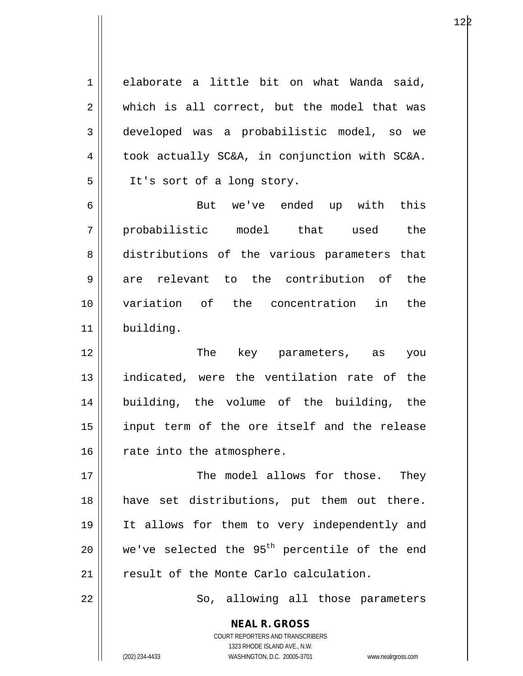1 elaborate a little bit on what Wanda said, 2 which is all correct, but the model that was 3 developed was a probabilistic model, so we  $4 \parallel$  took actually SC&A, in conjunction with SC&A. 5 || It's sort of a long story.

6 But we've ended up with this 7 probabilistic model that used the 8 distributions of the various parameters that  $9 \parallel$  are relevant to the contribution of the 10 variation of the concentration in the 11 building.

12 The key parameters, as you 13 indicated, were the ventilation rate of the 14 building, the volume of the building, the 15 input term of the ore itself and the release  $16$  rate into the atmosphere.

17 The model allows for those. They 18 have set distributions, put them out there. 19 It allows for them to very independently and 20  $\parallel$  we've selected the 95<sup>th</sup> percentile of the end 21 | result of the Monte Carlo calculation.

22 || So, allowing all those parameters

**NEAL R. GROSS** COURT REPORTERS AND TRANSCRIBERS 1323 RHODE ISLAND AVE., N.W.

(202) 234-4433 WASHINGTON, D.C. 20005-3701 www.nealrgross.com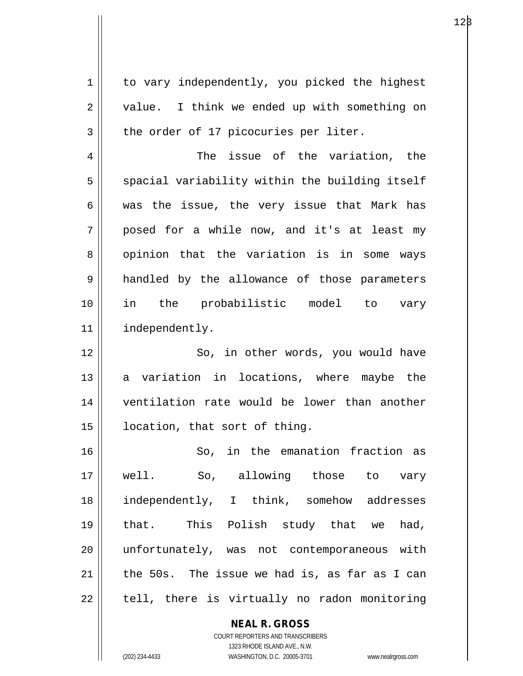| 1  | to vary independently, you picked the highest  |
|----|------------------------------------------------|
| 2  | value. I think we ended up with something on   |
| 3  | the order of 17 picocuries per liter.          |
| 4  | The issue of the variation, the                |
| 5  | spacial variability within the building itself |
| 6  | was the issue, the very issue that Mark has    |
| 7  | posed for a while now, and it's at least my    |
| 8  | opinion that the variation is in some ways     |
| 9  | handled by the allowance of those parameters   |
| 10 | in the probabilistic model to vary             |
| 11 | independently.                                 |
| 12 | So, in other words, you would have             |
| 13 | a variation in locations, where maybe the      |
| 14 | ventilation rate would be lower than another   |
| 15 | location, that sort of thing.                  |
| 16 | So, in the emanation fraction as               |
| 17 | well. So, allowing those to vary               |
| 18 | independently, I think, somehow addresses      |
| 19 | that. This Polish study that we had,           |
| 20 | unfortunately, was not contemporaneous with    |
| 21 | the 50s. The issue we had is, as far as I can  |
| 22 | tell, there is virtually no radon monitoring   |
|    |                                                |

COURT REPORTERS AND TRANSCRIBERS 1323 RHODE ISLAND AVE., N.W. (202) 234-4433 WASHINGTON, D.C. 20005-3701 www.nealrgross.com

**NEAL R. GROSS**

 $12\beta$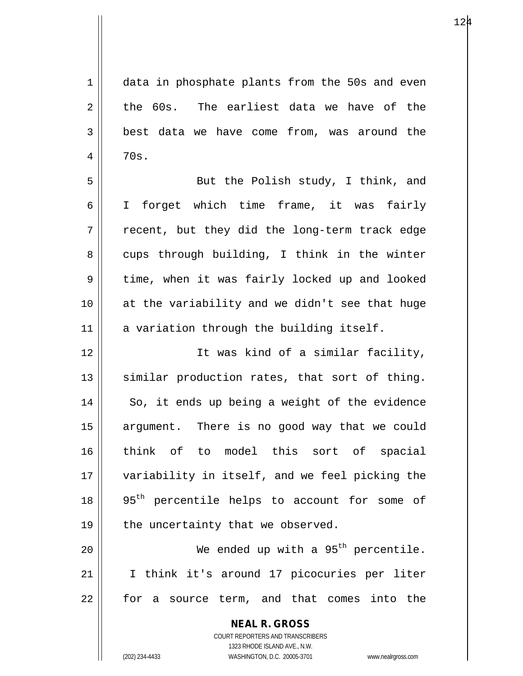$124$ 

| 1              | data in phosphate plants from the 50s and even           |
|----------------|----------------------------------------------------------|
| $\overline{2}$ | the 60s. The earliest data we have of the                |
| 3              | best data we have come from, was around the              |
| 4              | 70s.                                                     |
| 5              | But the Polish study, I think, and                       |
| 6              | I forget which time frame, it was fairly                 |
| 7              | recent, but they did the long-term track edge            |
| 8              | cups through building, I think in the winter             |
| $\mathsf 9$    | time, when it was fairly locked up and looked            |
| 10             | at the variability and we didn't see that huge           |
| 11             | a variation through the building itself.                 |
| 12             | It was kind of a similar facility,                       |
| 13             | similar production rates, that sort of thing.            |
| 14             | So, it ends up being a weight of the evidence            |
| 15             | argument. There is no good way that we could             |
| 16             | think of to model this sort of spacial                   |
| 17             | variability in itself, and we feel picking the           |
| 18             | 95 <sup>th</sup> percentile helps to account for some of |
| 19             | the uncertainty that we observed.                        |
| 20             | We ended up with a 95 <sup>th</sup> percentile.          |
| 21             | I think it's around 17 picocuries per liter              |
| 22             | for a source term, and that comes into the               |
|                | <b>NEAL R. GROSS</b>                                     |

COURT REPORTERS AND TRANSCRIBERS 1323 RHODE ISLAND AVE., N.W. (202) 234-4433 WASHINGTON, D.C. 20005-3701 www.nealrgross.com

 $\mathop{\text{||}}$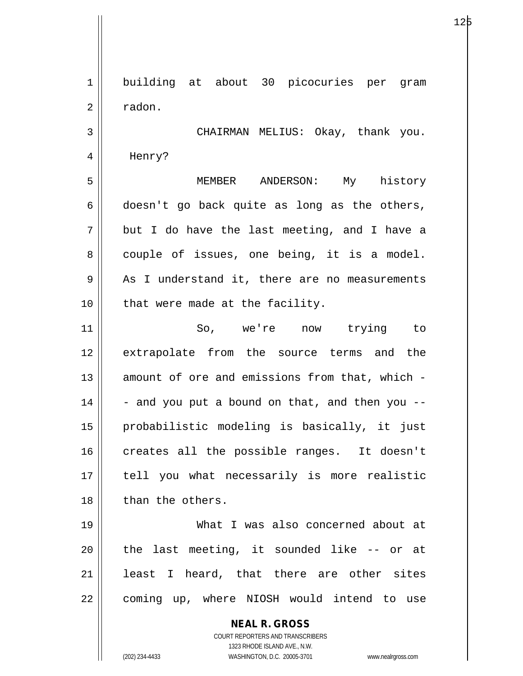**NEAL R. GROSS** COURT REPORTERS AND TRANSCRIBERS 1 || building at about 30 picocuries per gram 2 | radon. 3 CHAIRMAN MELIUS: Okay, thank you. 4 || Henry? 5 MEMBER ANDERSON: My history  $6 \parallel$  doesn't go back quite as long as the others,  $7 \parallel$  but I do have the last meeting, and I have a  $8 \parallel$  couple of issues, one being, it is a model.  $9 \parallel$  As I understand it, there are no measurements  $10$  | that were made at the facility. 11 So, we're now trying to 12 extrapolate from the source terms and the 13 || amount of ore and emissions from that, which - $14$   $\parallel$  - and you put a bound on that, and then you --15 probabilistic modeling is basically, it just 16 creates all the possible ranges. It doesn't 17 || tell you what necessarily is more realistic 18 || than the others. 19 What I was also concerned about at 20  $\parallel$  the last meeting, it sounded like -- or at  $21$  || least I heard, that there are other sites 22 || coming up, where NIOSH would intend to use

1323 RHODE ISLAND AVE., N.W.

(202) 234-4433 WASHINGTON, D.C. 20005-3701 www.nealrgross.com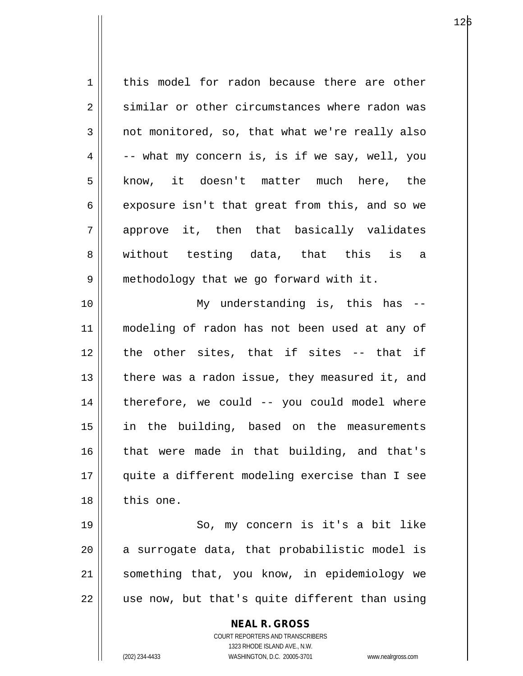**NEAL R. GROSS** 1 | this model for radon because there are other 2 similar or other circumstances where radon was  $3 \parallel$  not monitored, so, that what we're really also  $4 \parallel$  -- what my concern is, is if we say, well, you 5 || know, it doesn't matter much here, the 6 exposure isn't that great from this, and so we 7 approve it, then that basically validates 8 || without testing data, that this is a 9 || methodology that we go forward with it. 10 || My understanding is, this has --11 modeling of radon has not been used at any of 12 the other sites, that if sites -- that if 13  $\parallel$  there was a radon issue, they measured it, and 14 therefore, we could -- you could model where 15 in the building, based on the measurements 16 || that were made in that building, and that's 17 quite a different modeling exercise than I see 18 this one. 19 || So, my concern is it's a bit like  $20$  || a surrogate data, that probabilistic model is 21 || something that, you know, in epidemiology we  $22$   $\parallel$  use now, but that's quite different than using

> COURT REPORTERS AND TRANSCRIBERS 1323 RHODE ISLAND AVE., N.W.

(202) 234-4433 WASHINGTON, D.C. 20005-3701 www.nealrgross.com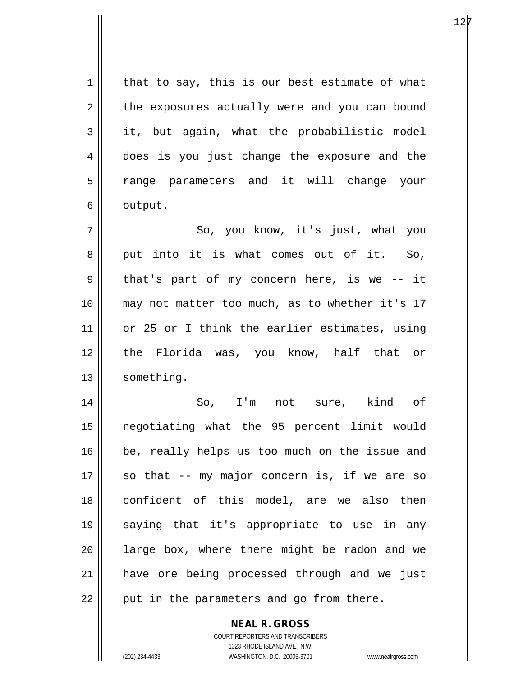$1 \parallel$  that to say, this is our best estimate of what 2 | the exposures actually were and you can bound  $3 \parallel$  it, but again, what the probabilistic model 4 does is you just change the exposure and the 5 || range parameters and it will change your  $6 \parallel$  output.

7 || So, you know, it's just, what you 8 put into it is what comes out of it. So,  $9 \parallel$  that's part of my concern here, is we -- it 10 || may not matter too much, as to whether it's 17 11 || or 25 or I think the earlier estimates, using 12 || the Florida was, you know, half that or 13 | something.

14 So, I'm not sure, kind of 15 negotiating what the 95 percent limit would 16 || be, really helps us too much on the issue and 17 || so that -- my major concern is, if we are so 18 confident of this model, are we also then 19 saying that it's appropriate to use in any  $20$  || large box, where there might be radon and we 21 have ore being processed through and we just  $22$  || put in the parameters and go from there.

## **NEAL R. GROSS**

COURT REPORTERS AND TRANSCRIBERS 1323 RHODE ISLAND AVE., N.W. (202) 234-4433 WASHINGTON, D.C. 20005-3701 www.nealrgross.com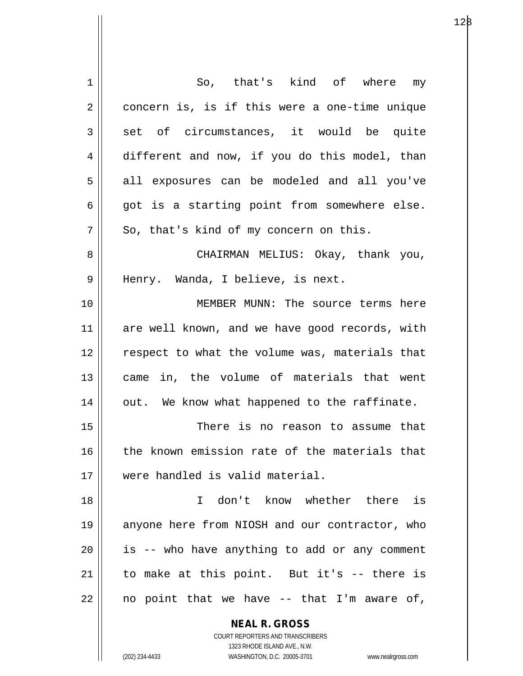| 1  | So, that's kind of where my                                         |
|----|---------------------------------------------------------------------|
| 2  | concern is, is if this were a one-time unique                       |
| 3  | set of circumstances, it would be quite                             |
| 4  | different and now, if you do this model, than                       |
| 5  | all exposures can be modeled and all you've                         |
| 6  | got is a starting point from somewhere else.                        |
| 7  | So, that's kind of my concern on this.                              |
| 8  | CHAIRMAN MELIUS: Okay, thank you,                                   |
| 9  | Henry. Wanda, I believe, is next.                                   |
| 10 | MEMBER MUNN: The source terms here                                  |
| 11 | are well known, and we have good records, with                      |
| 12 | respect to what the volume was, materials that                      |
| 13 | came in, the volume of materials that went                          |
| 14 | out. We know what happened to the raffinate.                        |
| 15 | There is no reason to assume that                                   |
| 16 | the known emission rate of the materials that                       |
| 17 | were handled is valid material.                                     |
| 18 | I don't know whether there is                                       |
| 19 | anyone here from NIOSH and our contractor, who                      |
| 20 | is -- who have anything to add or any comment                       |
| 21 | to make at this point. But it's -- there is                         |
| 22 | no point that we have -- that I'm aware of,                         |
|    |                                                                     |
|    | <b>NEAL R. GROSS</b><br>COURT REPORTERS AND TRANSCRIBERS            |
|    | 1323 RHODE ISLAND AVE., N.W.                                        |
|    | (202) 234-4433<br>WASHINGTON, D.C. 20005-3701<br>www.nealrgross.com |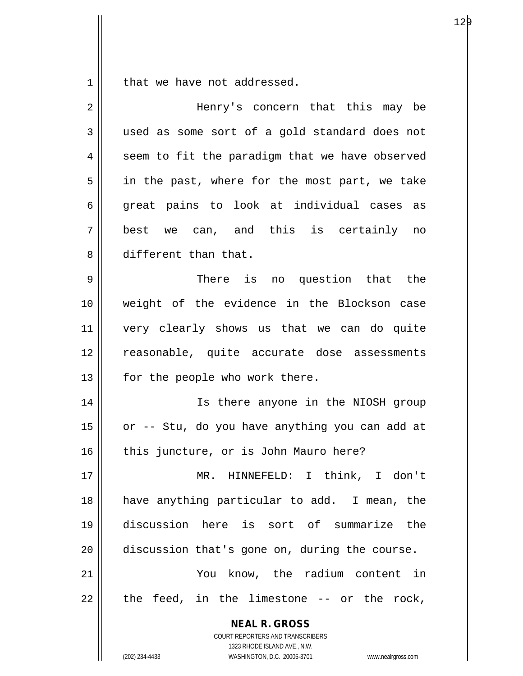$1 \parallel$  that we have not addressed.

| 2  | Henry's concern that this may be                                                                                                                                       |
|----|------------------------------------------------------------------------------------------------------------------------------------------------------------------------|
| 3  | used as some sort of a gold standard does not                                                                                                                          |
| 4  | seem to fit the paradigm that we have observed                                                                                                                         |
| 5  | in the past, where for the most part, we take                                                                                                                          |
| 6  | great pains to look at individual cases as                                                                                                                             |
| 7  | best we can, and this is certainly no                                                                                                                                  |
| 8  | different than that.                                                                                                                                                   |
| 9  | There is no question that the                                                                                                                                          |
| 10 | weight of the evidence in the Blockson case                                                                                                                            |
| 11 | very clearly shows us that we can do quite                                                                                                                             |
| 12 | reasonable, quite accurate dose assessments                                                                                                                            |
| 13 | for the people who work there.                                                                                                                                         |
| 14 | Is there anyone in the NIOSH group                                                                                                                                     |
| 15 | or -- Stu, do you have anything you can add at                                                                                                                         |
| 16 | this juncture, or is John Mauro here?                                                                                                                                  |
| 17 | MR. HINNEFELD: I think, I don't                                                                                                                                        |
| 18 | have anything particular to add. I mean, the                                                                                                                           |
| 19 | discussion here is sort of summarize the                                                                                                                               |
| 20 | discussion that's gone on, during the course.                                                                                                                          |
| 21 | You know, the radium content in                                                                                                                                        |
| 22 | the feed, in the limestone $-$ or the rock,                                                                                                                            |
|    | <b>NEAL R. GROSS</b><br><b>COURT REPORTERS AND TRANSCRIBERS</b><br>1323 RHODE ISLAND AVE., N.W.<br>(202) 234-4433<br>WASHINGTON, D.C. 20005-3701<br>www.nealrgross.com |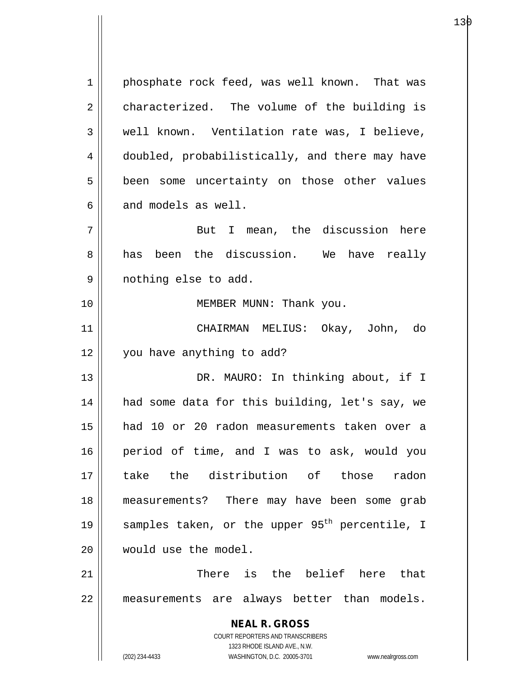**NEAL R. GROSS** COURT REPORTERS AND TRANSCRIBERS 1323 RHODE ISLAND AVE., N.W. (202) 234-4433 WASHINGTON, D.C. 20005-3701 www.nealrgross.com 1 | phosphate rock feed, was well known. That was  $2 \parallel$  characterized. The volume of the building is 3 || well known. Ventilation rate was, I believe, 4 doubled, probabilistically, and there may have 5 | been some uncertainty on those other values  $6$  || and models as well. 7 But I mean, the discussion here  $8 \parallel$  has been the discussion. We have really 9 nothing else to add. 10 || MEMBER MUNN: Thank you. 11 CHAIRMAN MELIUS: Okay, John, do 12 | vou have anything to add? 13 || DR. MAURO: In thinking about, if I 14 || had some data for this building, let's say, we 15 had 10 or 20 radon measurements taken over a 16 period of time, and I was to ask, would you 17 take the distribution of those radon 18 measurements? There may have been some grab 19  $\parallel$  samples taken, or the upper 95<sup>th</sup> percentile, I 20  $\parallel$  would use the model. 21 || There is the belief here that 22 measurements are always better than models.

е процессовательно производство в достаточность производство в достаточность при производство в достаточность <br>В 130 местоположение при производство в село в 130 место в 130 место в 130 место в 130 место в 130 место в 130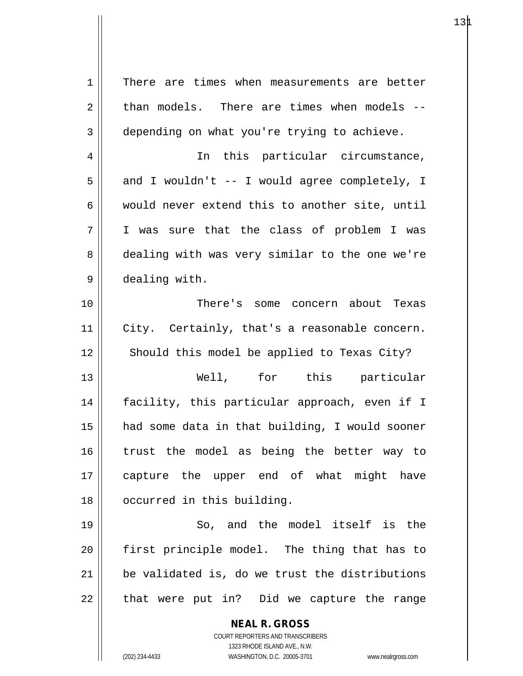| $\mathbf 1$ | There are times when measurements are better                        |
|-------------|---------------------------------------------------------------------|
| 2           | than models. There are times when models --                         |
| 3           | depending on what you're trying to achieve.                         |
| 4           | In this particular circumstance,                                    |
| 5           | and I wouldn't -- I would agree completely, I                       |
| 6           | would never extend this to another site, until                      |
| 7           | I was sure that the class of problem I was                          |
| 8           | dealing with was very similar to the one we're                      |
| 9           | dealing with.                                                       |
| 10          | There's some concern about Texas                                    |
| 11          | City. Certainly, that's a reasonable concern.                       |
| 12          | Should this model be applied to Texas City?                         |
| 13          | Well, for this particular                                           |
| 14          | facility, this particular approach, even if I                       |
| 15          | had some data in that building, I would sooner                      |
| 16          | trust the model as being the better way to                          |
| 17          | capture the upper end of what might<br>have                         |
| 18          | occurred in this building.                                          |
| 19          | So, and the model itself is the                                     |
| 20          | first principle model. The thing that has to                        |
| 21          | be validated is, do we trust the distributions                      |
| 22          | that were put in? Did we capture the range                          |
|             | <b>NEAL R. GROSS</b>                                                |
|             | COURT REPORTERS AND TRANSCRIBERS                                    |
|             | 1323 RHODE ISLAND AVE., N.W.                                        |
|             | (202) 234-4433<br>WASHINGTON, D.C. 20005-3701<br>www.nealrgross.com |

 $\mathsf{I}$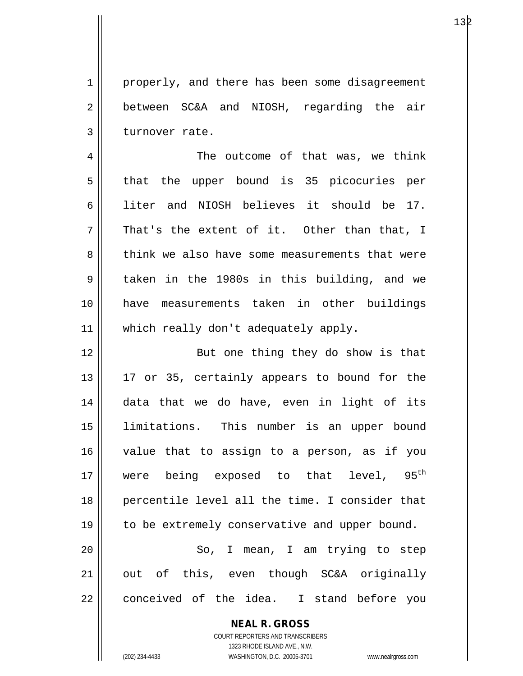1 properly, and there has been some disagreement 2 between SC&A and NIOSH, regarding the air  $3$  || turnover rate.

4 The outcome of that was, we think  $5 \parallel$  that the upper bound is 35 picocuries per 6 liter and NIOSH believes it should be 17.  $7 \parallel$  That's the extent of it. Other than that, I 8 think we also have some measurements that were 9 taken in the 1980s in this building, and we 10 have measurements taken in other buildings 11 || which really don't adequately apply.

12 || But one thing they do show is that 13 || 17 or 35, certainly appears to bound for the 14 data that we do have, even in light of its 15 limitations. This number is an upper bound 16 value that to assign to a person, as if you 17 were being exposed to that level,  $95<sup>th</sup>$ 18 percentile level all the time. I consider that 19 || to be extremely conservative and upper bound. 20 || So, I mean, I am trying to step 21 || out of this, even though SC&A originally

22 conceived of the idea. I stand before you

**NEAL R. GROSS** COURT REPORTERS AND TRANSCRIBERS 1323 RHODE ISLAND AVE., N.W.

(202) 234-4433 WASHINGTON, D.C. 20005-3701 www.nealrgross.com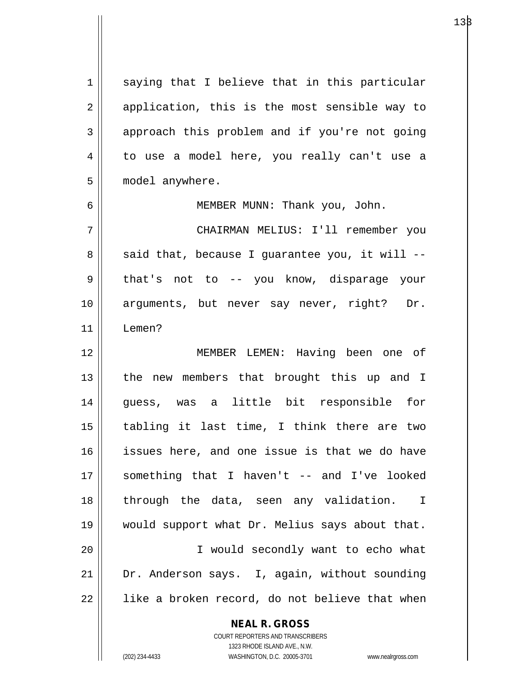1 || saying that I believe that in this particular  $2 \parallel$  application, this is the most sensible way to  $3 \parallel$  approach this problem and if you're not going 4 || to use a model here, you really can't use a 5 | model anywhere.

6 MEMBER MUNN: Thank you, John.

7 CHAIRMAN MELIUS: I'll remember you  $8 \parallel$  said that, because I guarantee you, it will --9 || that's not to -- you know, disparage your 10 arguments, but never say never, right? Dr. 11 Lemen?

12 MEMBER LEMEN: Having been one of 13 || the new members that brought this up and I 14 guess, was a little bit responsible for 15  $\parallel$  tabling it last time, I think there are two 16 issues here, and one issue is that we do have 17 something that I haven't -- and I've looked 18 through the data, seen any validation. I 19 would support what Dr. Melius says about that. 20 I would secondly want to echo what 21 Dr. Anderson says. I, again, without sounding  $22 \parallel$  like a broken record, do not believe that when

**NEAL R. GROSS**

COURT REPORTERS AND TRANSCRIBERS 1323 RHODE ISLAND AVE., N.W. (202) 234-4433 WASHINGTON, D.C. 20005-3701 www.nealrgross.com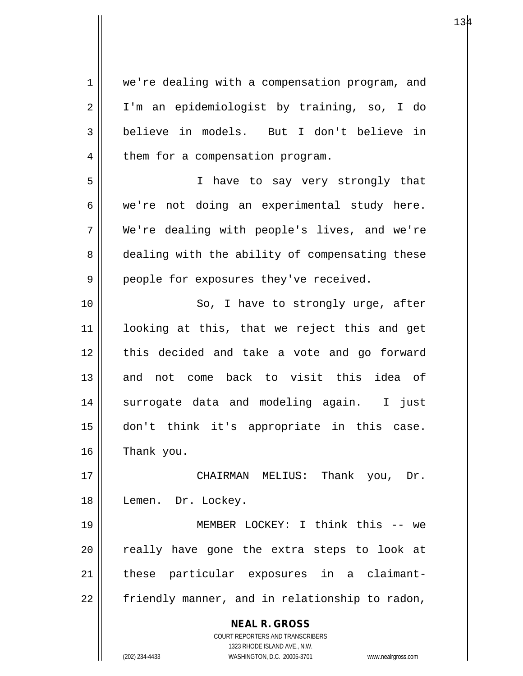**NEAL R. GROSS** COURT REPORTERS AND TRANSCRIBERS 1323 RHODE ISLAND AVE., N.W. (202) 234-4433 WASHINGTON, D.C. 20005-3701 www.nealrgross.com 1 | we're dealing with a compensation program, and 2 I'm an epidemiologist by training, so, I do 3 believe in models. But I don't believe in  $4$  | them for a compensation program. 5 I have to say very strongly that  $6 \parallel$  we're not doing an experimental study here. 7 We're dealing with people's lives, and we're 8 dealing with the ability of compensating these 9 || people for exposures they've received. 10 || So, I have to strongly urge, after 11 looking at this, that we reject this and get 12 || this decided and take a vote and go forward 13 and not come back to visit this idea of 14 || surrogate data and modeling again. I just 15 don't think it's appropriate in this case.  $16$  Thank you. 17 CHAIRMAN MELIUS: Thank you, Dr. 18 || Lemen. Dr. Lockey. 19 || MEMBER LOCKEY: I think this -- we 20 || really have gone the extra steps to look at 21 || these particular exposures in a claimant- $22$  | friendly manner, and in relationship to radon,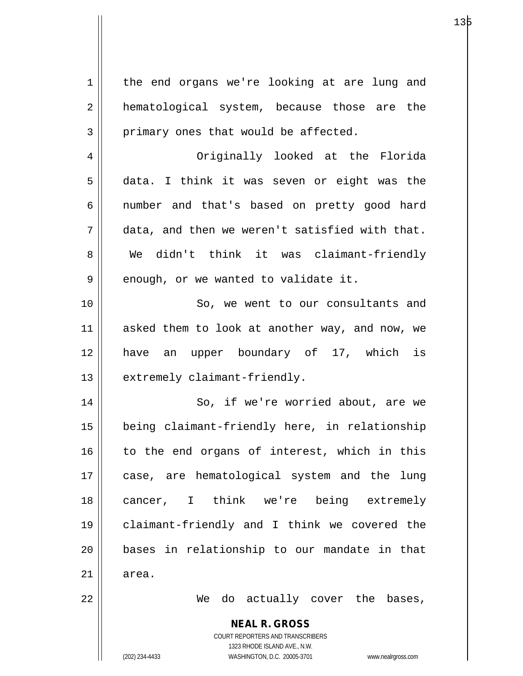**NEAL R. GROSS** COURT REPORTERS AND TRANSCRIBERS 1 || the end organs we're looking at are lung and 2 || hematological system, because those are the  $3 \parallel$  primary ones that would be affected. 4 Originally looked at the Florida  $5 \parallel$  data. I think it was seven or eight was the 6 || number and that's based on pretty good hard  $7 \parallel$  data, and then we weren't satisfied with that. 8 We didn't think it was claimant-friendly  $9 \parallel$  enough, or we wanted to validate it. 10 || So, we went to our consultants and 11 asked them to look at another way, and now, we 12 have an upper boundary of 17, which is  $13$  | extremely claimant-friendly. 14 || So, if we're worried about, are we 15 being claimant-friendly here, in relationship 16 to the end organs of interest, which in this 17 case, are hematological system and the lung 18 || cancer, I think we're being extremely 19 claimant-friendly and I think we covered the 20 bases in relationship to our mandate in that  $21 \parallel$  area. 22 We do actually cover the bases,

1323 RHODE ISLAND AVE., N.W.

(202) 234-4433 WASHINGTON, D.C. 20005-3701 www.nealrgross.com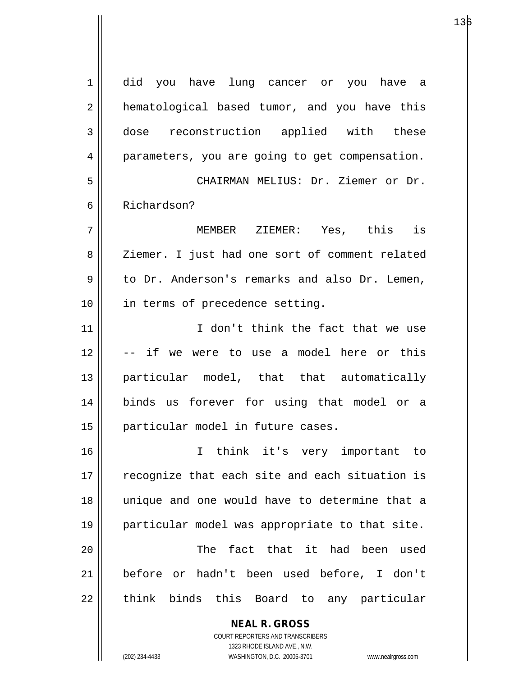| $\mathbf 1$ | did you have lung cancer or you have a         |
|-------------|------------------------------------------------|
| 2           | hematological based tumor, and you have this   |
| 3           | dose reconstruction applied with these         |
| 4           | parameters, you are going to get compensation. |
| 5           | CHAIRMAN MELIUS: Dr. Ziemer or Dr.             |
| 6           | Richardson?                                    |
| 7           | MEMBER ZIEMER: Yes, this is                    |
| 8           | Ziemer. I just had one sort of comment related |
| 9           | to Dr. Anderson's remarks and also Dr. Lemen,  |
| 10          | in terms of precedence setting.                |
| 11          | I don't think the fact that we use             |
| 12          | -- if we were to use a model here or this      |
| 13          | particular model, that that automatically      |
| 14          | binds us forever for using that model or a     |
| 15          | particular model in future cases.              |
| 16          | I think it's very important to                 |
| 17          | recognize that each site and each situation is |
| 18          | unique and one would have to determine that a  |
| 19          | particular model was appropriate to that site. |
| 20          | The fact that it had been used                 |
| 21          | before or hadn't been used before, I don't     |
| 22          | think binds this Board to any particular       |
|             | <b>NEAL R. GROSS</b>                           |

COURT REPORTERS AND TRANSCRIBERS 1323 RHODE ISLAND AVE., N.W.

 $\prod$ 

(202) 234-4433 WASHINGTON, D.C. 20005-3701 www.nealrgross.com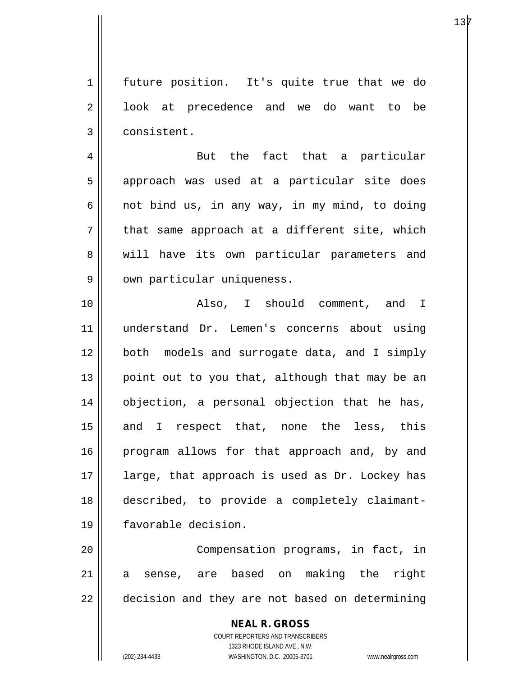1 || future position. It's quite true that we do 2 | look at precedence and we do want to be 3 | consistent.

4 But the fact that a particular 5 || approach was used at a particular site does 6  $\parallel$  not bind us, in any way, in my mind, to doing  $7 \parallel$  that same approach at a different site, which 8 || will have its own particular parameters and 9 || own particular uniqueness.

10 Also, I should comment, and I 11 understand Dr. Lemen's concerns about using 12 both models and surrogate data, and I simply 13 || point out to you that, although that may be an 14 objection, a personal objection that he has, 15 || and I respect that, none the less, this 16 || program allows for that approach and, by and 17 || large, that approach is used as Dr. Lockey has 18 described, to provide a completely claimant-19 favorable decision.

20 || Compensation programs, in fact, in 21 a sense, are based on making the right 22 decision and they are not based on determining

> **NEAL R. GROSS** COURT REPORTERS AND TRANSCRIBERS 1323 RHODE ISLAND AVE., N.W. (202) 234-4433 WASHINGTON, D.C. 20005-3701 www.nealrgross.com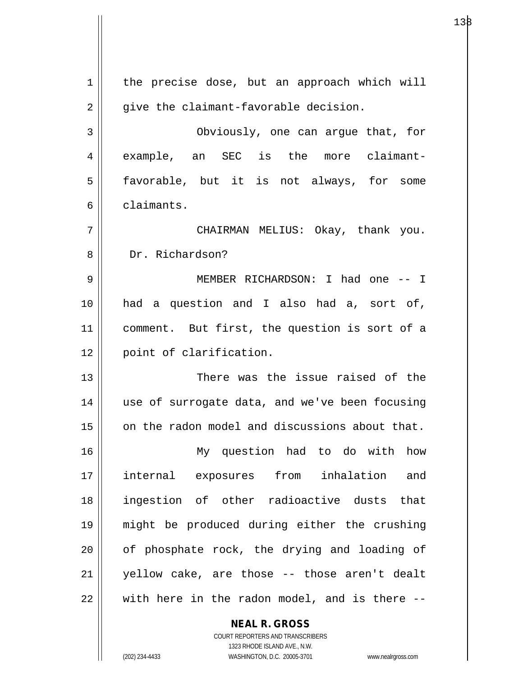$1 \parallel$  the precise dose, but an approach which will  $2 \parallel$  give the claimant-favorable decision. 3 Obviously, one can argue that, for 4 example, an SEC is the more claimant-5 | favorable, but it is not always, for some 6 claimants. 7 CHAIRMAN MELIUS: Okay, thank you. 8 Dr. Richardson? 9 || MEMBER RICHARDSON: I had one -- I 10 had a question and I also had a, sort of, 11 comment. But first, the question is sort of a 12 point of clarification. 13 There was the issue raised of the 14 || use of surrogate data, and we've been focusing 15 || on the radon model and discussions about that. 16 My question had to do with how 17 internal exposures from inhalation and 18 ingestion of other radioactive dusts that 19 might be produced during either the crushing  $20$  | of phosphate rock, the drying and loading of 21 yellow cake, are those -- those aren't dealt  $22$   $\parallel$  with here in the radon model, and is there --

 $138$ 

COURT REPORTERS AND TRANSCRIBERS 1323 RHODE ISLAND AVE., N.W. (202) 234-4433 WASHINGTON, D.C. 20005-3701 www.nealrgross.com

**NEAL R. GROSS**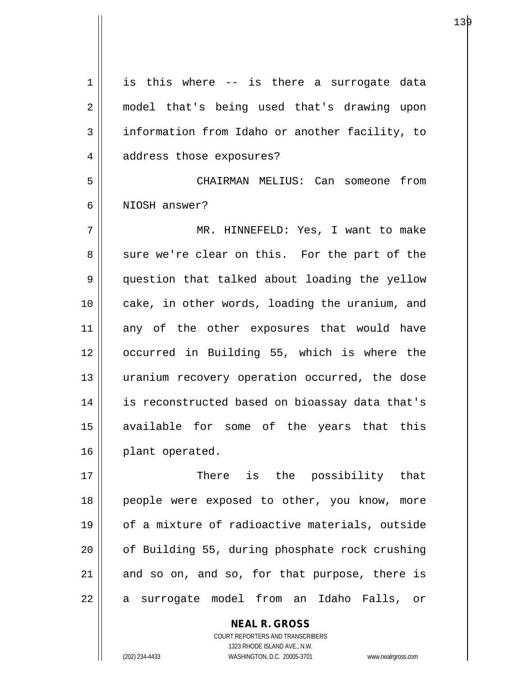$1 \parallel$  is this where -- is there a surrogate data 2 || model that's being used that's drawing upon 3 | information from Idaho or another facility, to 4 | address those exposures? 5 CHAIRMAN MELIUS: Can someone from 6 NIOSH answer? 7 MR. HINNEFELD: Yes, I want to make 8 sure we're clear on this. For the part of the 9 question that talked about loading the yellow 10 || cake, in other words, loading the uranium, and 11 any of the other exposures that would have 12 occurred in Building 55, which is where the 13 || uranium recovery operation occurred, the dose 14 is reconstructed based on bioassay data that's 15 available for some of the years that this 16 | plant operated. 17 There is the possibility that 18 || people were exposed to other, you know, more 19 of a mixture of radioactive materials, outside 20 || of Building 55, during phosphate rock crushing  $21$  and so on, and so, for that purpose, there is

22 || a surrogate model from an Idaho Falls, or

COURT REPORTERS AND TRANSCRIBERS 1323 RHODE ISLAND AVE., N.W. (202) 234-4433 WASHINGTON, D.C. 20005-3701 www.nealrgross.com

**NEAL R. GROSS**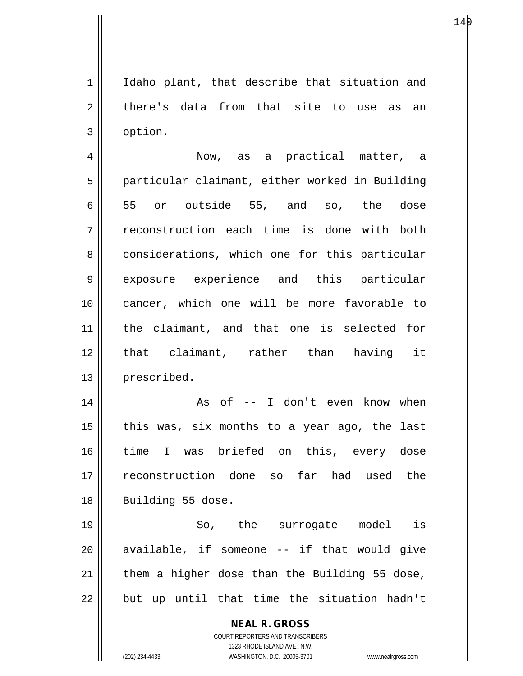1 || Idaho plant, that describe that situation and  $2 \parallel$  there's data from that site to use as an 3 option.

4 Now, as a practical matter, a 5 | particular claimant, either worked in Building 6  $\parallel$  55 or outside 55, and so, the dose 7 || reconstruction each time is done with both 8 considerations, which one for this particular 9 exposure experience and this particular 10 cancer, which one will be more favorable to 11 the claimant, and that one is selected for 12 || that claimant, rather than having it 13 | prescribed.

14 || As of -- I don't even know when 15  $\parallel$  this was, six months to a year ago, the last 16 time I was briefed on this, every dose 17 reconstruction done so far had used the 18 || Building 55 dose.

19 || So, the surrogate model is available, if someone  $-$  if that would give | them a higher dose than the Building 55 dose, || but up until that time the situation hadn't

> **NEAL R. GROSS** COURT REPORTERS AND TRANSCRIBERS 1323 RHODE ISLAND AVE., N.W. (202) 234-4433 WASHINGTON, D.C. 20005-3701 www.nealrgross.com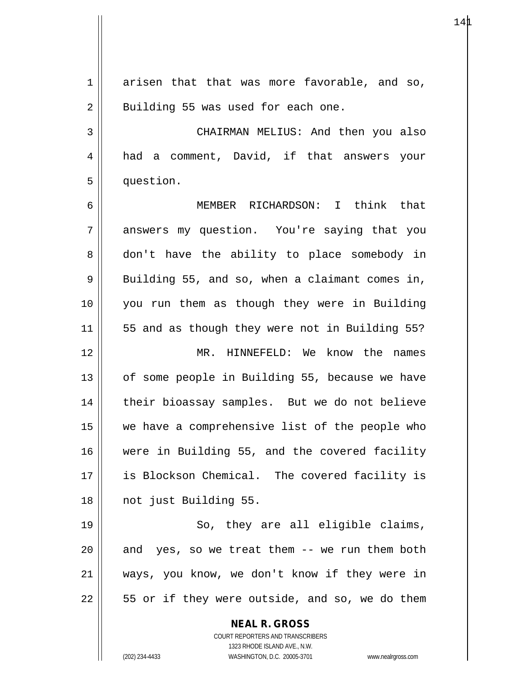**NEAL R. GROSS** COURT REPORTERS AND TRANSCRIBERS  $1 \parallel$  arisen that that was more favorable, and so,  $2 \parallel$  Building 55 was used for each one. 3 | CHAIRMAN MELIUS: And then you also 4 || had a comment, David, if that answers your 5 | question. 6 MEMBER RICHARDSON: I think that 7 answers my question. You're saying that you 8 don't have the ability to place somebody in 9 || Building 55, and so, when a claimant comes in, 10 you run them as though they were in Building 11 || 55 and as though they were not in Building 55? 12 MR. HINNEFELD: We know the names 13 || of some people in Building 55, because we have 14 || their bioassay samples. But we do not believe 15 we have a comprehensive list of the people who 16 were in Building 55, and the covered facility 17 is Blockson Chemical. The covered facility is 18 || not just Building 55. 19 || So, they are all eligible claims,  $20$  || and yes, so we treat them  $-$  we run them both 21 ways, you know, we don't know if they were in  $22$  || 55 or if they were outside, and so, we do them

1323 RHODE ISLAND AVE., N.W.

(202) 234-4433 WASHINGTON, D.C. 20005-3701 www.nealrgross.com

 $14\mu$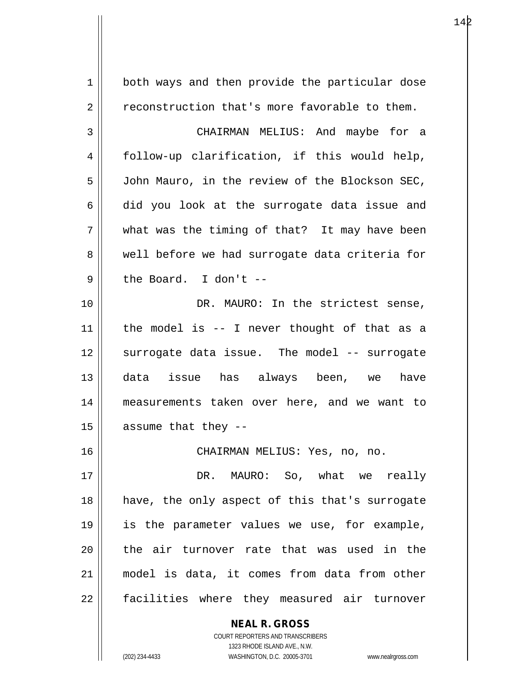**NEAL R. GROSS** 1 | both ways and then provide the particular dose  $2 \parallel$  reconstruction that's more favorable to them. 3 CHAIRMAN MELIUS: And maybe for a 4 follow-up clarification, if this would help, 5 | John Mauro, in the review of the Blockson SEC,  $6 \parallel$  did you look at the surrogate data issue and  $7 \parallel$  what was the timing of that? It may have been 8 Well before we had surrogate data criteria for  $9 \parallel$  the Board. I don't --10 DR. MAURO: In the strictest sense,  $11$  | the model is -- I never thought of that as a 12 || surrogate data issue. The model -- surrogate 13 data issue has always been, we have 14 measurements taken over here, and we want to  $15$  | assume that they --16 CHAIRMAN MELIUS: Yes, no, no. 17 DR. MAURO: So, what we really 18 have, the only aspect of this that's surrogate 19 is the parameter values we use, for example, 20 || the air turnover rate that was used in the 21 model is data, it comes from data from other 22 || facilities where they measured air turnover

> COURT REPORTERS AND TRANSCRIBERS 1323 RHODE ISLAND AVE., N.W.

(202) 234-4433 WASHINGTON, D.C. 20005-3701 www.nealrgross.com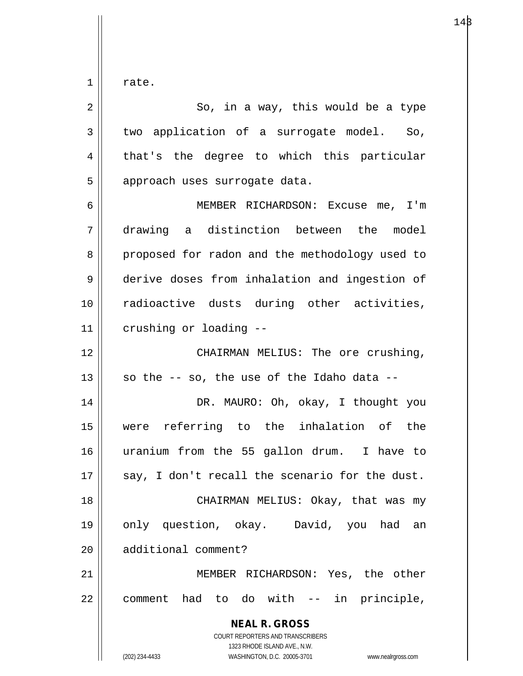$1 \parallel$  rate.

| $\overline{2}$ | So, in a way, this would be a type                                                                                                                                     |
|----------------|------------------------------------------------------------------------------------------------------------------------------------------------------------------------|
| 3              | two application of a surrogate model. So,                                                                                                                              |
| 4              | that's the degree to which this particular                                                                                                                             |
| 5              | approach uses surrogate data.                                                                                                                                          |
| 6              | MEMBER RICHARDSON: Excuse me, I'm                                                                                                                                      |
| 7              | drawing a distinction between the model                                                                                                                                |
| 8              | proposed for radon and the methodology used to                                                                                                                         |
| 9              | derive doses from inhalation and ingestion of                                                                                                                          |
| 10             | radioactive dusts during other activities,                                                                                                                             |
| 11             | crushing or loading --                                                                                                                                                 |
| 12             | CHAIRMAN MELIUS: The ore crushing,                                                                                                                                     |
| 13             | so the -- so, the use of the Idaho data --                                                                                                                             |
| 14             | DR. MAURO: Oh, okay, I thought you                                                                                                                                     |
| 15             | were referring to the inhalation of the                                                                                                                                |
| 16             | uranium from the 55 gallon drum. I have to                                                                                                                             |
| 17             | say, I don't recall the scenario for the dust.                                                                                                                         |
| 18             | CHAIRMAN MELIUS: Okay, that was my                                                                                                                                     |
| 19             | only question, okay. David, you had<br>an                                                                                                                              |
| 20             | additional comment?                                                                                                                                                    |
| 21             | MEMBER RICHARDSON: Yes, the other                                                                                                                                      |
| 22             | comment had to do with -- in principle,                                                                                                                                |
|                | <b>NEAL R. GROSS</b><br><b>COURT REPORTERS AND TRANSCRIBERS</b><br>1323 RHODE ISLAND AVE., N.W.<br>(202) 234-4433<br>WASHINGTON, D.C. 20005-3701<br>www.nealrgross.com |

 $14\beta$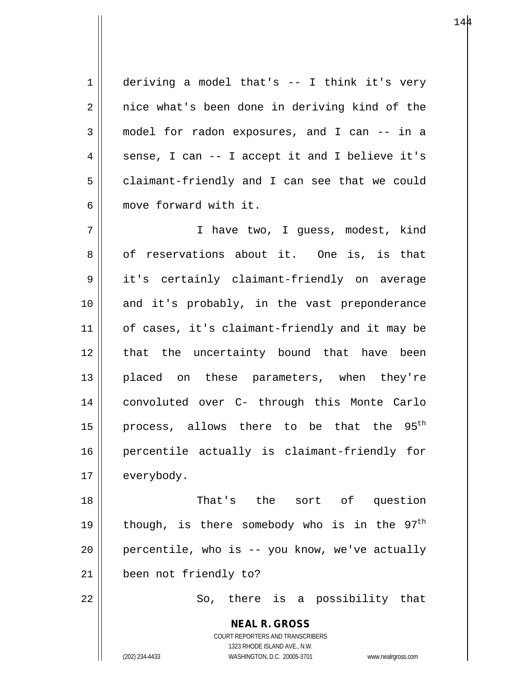1 deriving a model that's -- I think it's very  $2 \parallel$  nice what's been done in deriving kind of the 3 model for radon exposures, and I can -- in a  $4 \parallel$  sense, I can -- I accept it and I believe it's 5 | claimant-friendly and I can see that we could 6 || move forward with it.

7 || Thave two, I quess, modest, kind 8 of reservations about it. One is, is that 9 || it's certainly claimant-friendly on average 10 || and it's probably, in the vast preponderance 11 | of cases, it's claimant-friendly and it may be 12 || that the uncertainty bound that have been 13 placed on these parameters, when they're 14 convoluted over C- through this Monte Carlo 15 || process, allows there to be that the  $95<sup>th</sup>$ 16 percentile actually is claimant-friendly for 17 | everybody.

18 That's the sort of question 19 || though, is there somebody who is in the  $97<sup>th</sup>$  $20$  | percentile, who is  $-$  you know, we've actually 21 been not friendly to?

 $22 \parallel$  So, there is a possibility that

**NEAL R. GROSS** COURT REPORTERS AND TRANSCRIBERS 1323 RHODE ISLAND AVE., N.W. (202) 234-4433 WASHINGTON, D.C. 20005-3701 www.nealrgross.com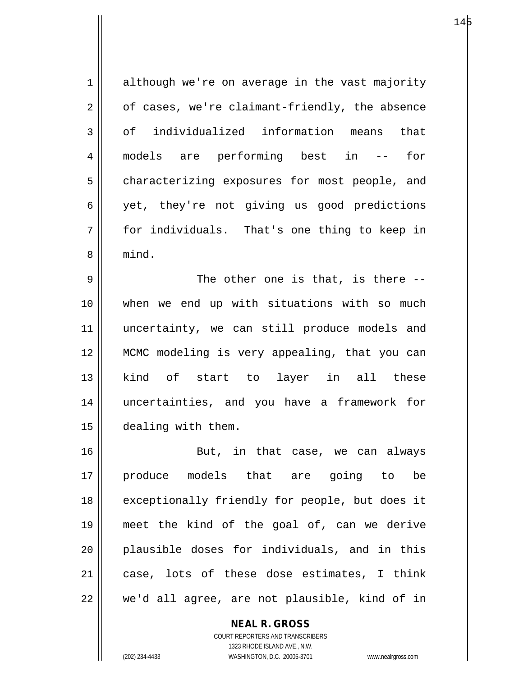1 although we're on average in the vast majority  $2 \parallel$  of cases, we're claimant-friendly, the absence  $3 \parallel$  of individualized information means that 4 models are performing best in -- for 5 | characterizing exposures for most people, and 6 || yet, they're not giving us good predictions 7 for individuals. That's one thing to keep in 8 mind.  $9 \parallel$  The other one is that, is there --10 when we end up with situations with so much 11 uncertainty, we can still produce models and 12 MCMC modeling is very appealing, that you can 13 kind of start to layer in all these 14 uncertainties, and you have a framework for 15 dealing with them. 16 || But, in that case, we can always 17 produce models that are going to be

18 || exceptionally friendly for people, but does it 19 meet the kind of the goal of, can we derive 20 plausible doses for individuals, and in this 21 case, lots of these dose estimates, I think 22 || we'd all agree, are not plausible, kind of in

> COURT REPORTERS AND TRANSCRIBERS 1323 RHODE ISLAND AVE., N.W. (202) 234-4433 WASHINGTON, D.C. 20005-3701 www.nealrgross.com

**NEAL R. GROSS**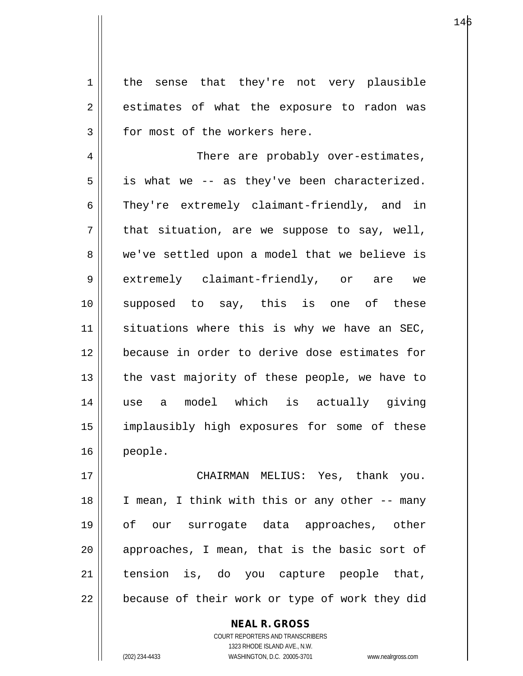1 | the sense that they're not very plausible  $2 \parallel$  estimates of what the exposure to radon was  $3 \parallel$  for most of the workers here.

4 | There are probably over-estimates,  $5 \parallel$  is what we -- as they've been characterized. 6 They're extremely claimant-friendly, and in  $7 \parallel$  that situation, are we suppose to say, well, 8 we've settled upon a model that we believe is 9 extremely claimant-friendly, or are we 10 supposed to say, this is one of these 11 || situations where this is why we have an SEC, 12 because in order to derive dose estimates for  $13$  || the vast majority of these people, we have to 14 use a model which is actually giving 15 implausibly high exposures for some of these 16 people.

17 CHAIRMAN MELIUS: Yes, thank you. 18 || I mean, I think with this or any other -- many 19 of our surrogate data approaches, other  $20$  || approaches, I mean, that is the basic sort of  $21$  tension is, do you capture people that,  $22$  | because of their work or type of work they did

> COURT REPORTERS AND TRANSCRIBERS 1323 RHODE ISLAND AVE., N.W. (202) 234-4433 WASHINGTON, D.C. 20005-3701 www.nealrgross.com

**NEAL R. GROSS**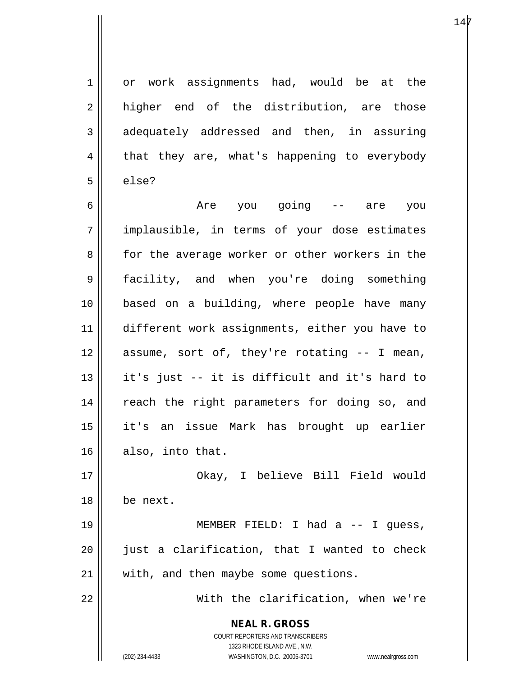1 or work assignments had, would be at the  $2 \parallel$  higher end of the distribution, are those  $3 \parallel$  adequately addressed and then, in assuring  $4 \parallel$  that they are, what's happening to everybody  $5 \parallel$  else?

6 Are you going -- are you  $7$  || implausible, in terms of your dose estimates 8 || for the average worker or other workers in the 9 facility, and when you're doing something 10 based on a building, where people have many 11 different work assignments, either you have to  $12$  assume, sort of, they're rotating  $-$  I mean, 13  $\parallel$  it's just -- it is difficult and it's hard to 14 || reach the right parameters for doing so, and 15 it's an issue Mark has brought up earlier 16 also, into that.

17 Okay, I believe Bill Field would 18 be next.

19 || MEMBER FIELD: I had a -- I guess,  $20$  || just a clarification, that I wanted to check 21 || with, and then maybe some questions.

22 With the clarification, when we're

**NEAL R. GROSS** COURT REPORTERS AND TRANSCRIBERS

1323 RHODE ISLAND AVE., N.W.

(202) 234-4433 WASHINGTON, D.C. 20005-3701 www.nealrgross.com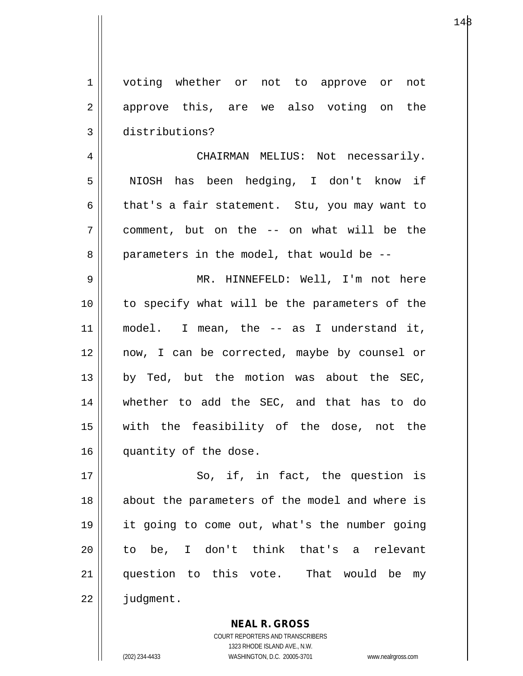1 voting whether or not to approve or not 2 approve this, are we also voting on the 3 distributions?

4 | CHAIRMAN MELIUS: Not necessarily. 5 || NIOSH has been hedging, I don't know if 6 that's a fair statement. Stu, you may want to 7 comment, but on the -- on what will be the  $8 \parallel$  parameters in the model, that would be  $-$ 

9 || MR. HINNEFELD: Well, I'm not here 10 to specify what will be the parameters of the 11 model. I mean, the -- as I understand it, 12 now, I can be corrected, maybe by counsel or  $13$  by Ted, but the motion was about the SEC, 14 whether to add the SEC, and that has to do 15 with the feasibility of the dose, not the 16 || quantity of the dose.

17 || So, if, in fact, the question is 18 || about the parameters of the model and where is 19 it going to come out, what's the number going 20 to be, I don't think that's a relevant 21 question to this vote. That would be my 22 | judgment.

> **NEAL R. GROSS** COURT REPORTERS AND TRANSCRIBERS

> > 1323 RHODE ISLAND AVE., N.W.

(202) 234-4433 WASHINGTON, D.C. 20005-3701 www.nealrgross.com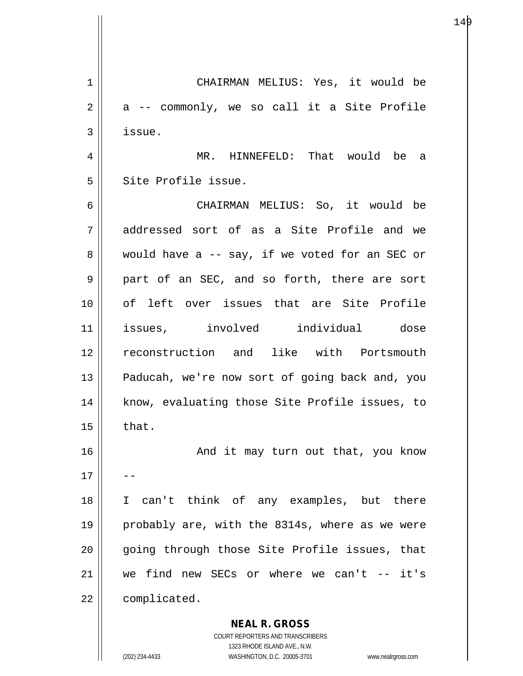**NEAL R. GROSS** 1 CHAIRMAN MELIUS: Yes, it would be  $2 \parallel$  a -- commonly, we so call it a Site Profile  $3 \parallel$  issue. 4 MR. HINNEFELD: That would be a 5 Site Profile issue. 6 CHAIRMAN MELIUS: So, it would be 7 addressed sort of as a Site Profile and we  $8 \parallel$  would have a -- say, if we voted for an SEC or 9 || part of an SEC, and so forth, there are sort 10 of left over issues that are Site Profile 11 issues, involved individual dose 12 reconstruction and like with Portsmouth 13 || Paducah, we're now sort of going back and, you 14 || know, evaluating those Site Profile issues, to  $15 \parallel$  that. 16 || And it may turn out that, you know  $17$ 18 I can't think of any examples, but there 19 || probably are, with the 8314s, where as we were 20 || qoing through those Site Profile issues, that 21 we find new SECs or where we can't -- it's 22 | complicated.

> COURT REPORTERS AND TRANSCRIBERS 1323 RHODE ISLAND AVE., N.W.

(202) 234-4433 WASHINGTON, D.C. 20005-3701 www.nealrgross.com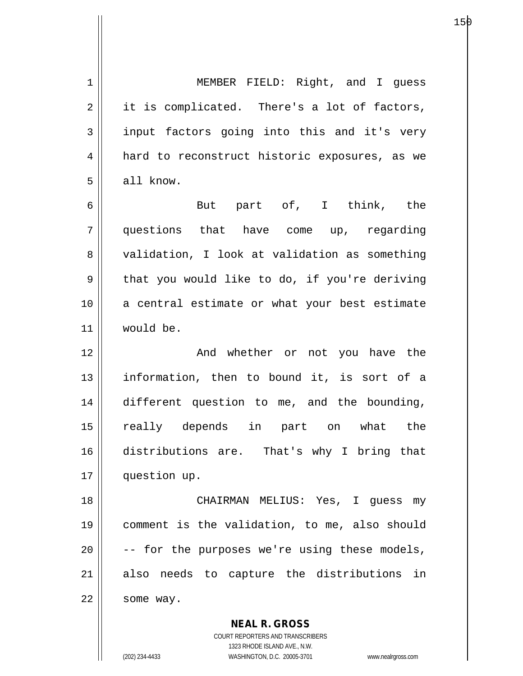1 | MEMBER FIELD: Right, and I guess  $2 \parallel$  it is complicated. There's a lot of factors,  $3 \parallel$  input factors going into this and it's very 4 | hard to reconstruct historic exposures, as we  $5 \parallel$  all know. 6 But part of, I think, the 7 questions that have come up, regarding 8 validation, I look at validation as something  $9 \parallel$  that you would like to do, if you're deriving 10 a central estimate or what your best estimate 11 would be. 12 || The Moviether or not you have the 13 || information, then to bound it, is sort of a 14 different question to me, and the bounding, 15 really depends in part on what the 16 distributions are. That's why I bring that 17 question up. 18 || CHAIRMAN MELIUS: Yes, I guess my 19 comment is the validation, to me, also should 20  $\vert$  -- for the purposes we're using these models,  $21$  also needs to capture the distributions in  $22$  | some way.

> COURT REPORTERS AND TRANSCRIBERS 1323 RHODE ISLAND AVE., N.W. (202) 234-4433 WASHINGTON, D.C. 20005-3701 www.nealrgross.com

**NEAL R. GROSS**

е процессовательно производство в составляют в 15р по 15р по 15р по 15р по 15р по 15р по 15р по 15р по 15р по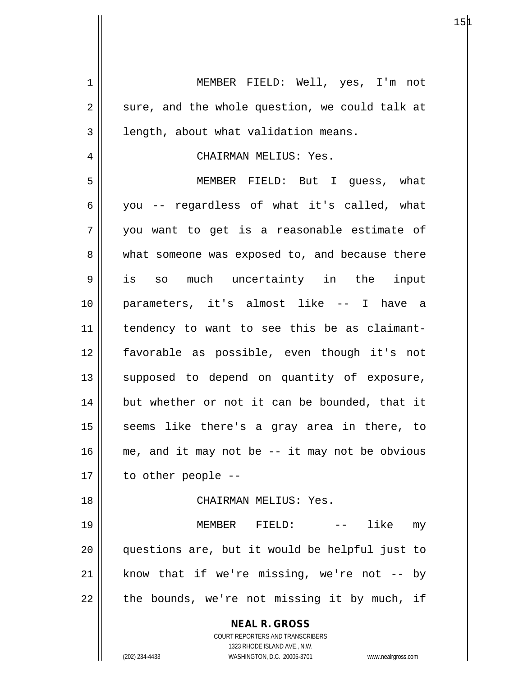**NEAL R. GROSS** COURT REPORTERS AND TRANSCRIBERS 1323 RHODE ISLAND AVE., N.W. (202) 234-4433 WASHINGTON, D.C. 20005-3701 www.nealrgross.com 1 MEMBER FIELD: Well, yes, I'm not  $2 \parallel$  sure, and the whole question, we could talk at  $3 \parallel$  length, about what validation means. 4 CHAIRMAN MELIUS: Yes. 5 MEMBER FIELD: But I guess, what 6 you -- regardless of what it's called, what 7 you want to get is a reasonable estimate of 8 what someone was exposed to, and because there 9 is so much uncertainty in the input 10 parameters, it's almost like -- I have a 11 tendency to want to see this be as claimant-12 favorable as possible, even though it's not 13 || supposed to depend on quantity of exposure, 14 || but whether or not it can be bounded, that it 15 || seems like there's a gray area in there, to  $16$  me, and it may not be  $-$  it may not be obvious  $17 \parallel$  to other people --18 CHAIRMAN MELIUS: Yes. 19 MEMBER FIELD: -- like my 20 questions are, but it would be helpful just to  $21$  know that if we're missing, we're not -- by  $22$  || the bounds, we're not missing it by much, if

 $15\text{\AA}$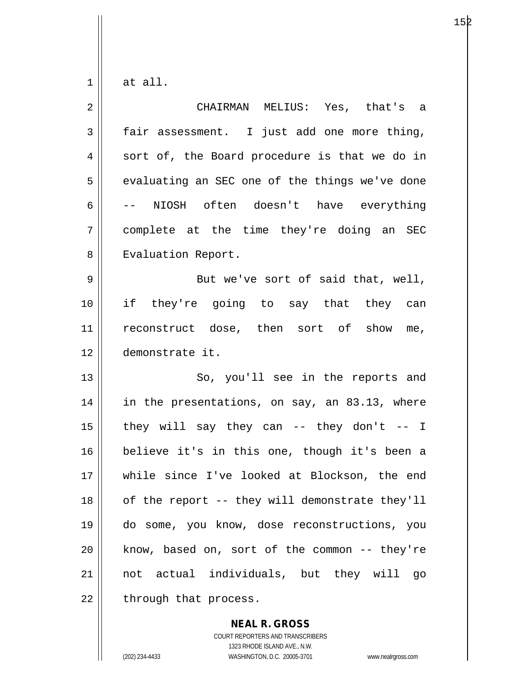$1 \parallel$  at all.

| $\overline{2}$ | CHAIRMAN MELIUS: Yes, that's a                 |
|----------------|------------------------------------------------|
| $\mathfrak{Z}$ | fair assessment. I just add one more thing,    |
| 4              | sort of, the Board procedure is that we do in  |
| 5              | evaluating an SEC one of the things we've done |
| 6              | NIOSH often doesn't have everything            |
| 7              | complete at the time they're doing an SEC      |
| 8              | Evaluation Report.                             |
| 9              | But we've sort of said that, well,             |
| $10$           | if they're going to say that they can          |
| 11             | reconstruct dose, then sort of show me,        |
| 12             | demonstrate it.                                |
| 13             | So, you'll see in the reports and              |
| 14             | in the presentations, on say, an 83.13, where  |
| 15             | they will say they can -- they don't -- I      |
| 16             | believe it's in this one, though it's been a   |
| 17             | while since I've looked at Blockson, the end   |
| 18             | of the report -- they will demonstrate they'll |
| 19             | do some, you know, dose reconstructions, you   |
| 20             | know, based on, sort of the common -- they're  |
| 21             | not actual individuals, but they will go       |
| 22             | through that process.                          |

**NEAL R. GROSS**

COURT REPORTERS AND TRANSCRIBERS 1323 RHODE ISLAND AVE., N.W. (202) 234-4433 WASHINGTON, D.C. 20005-3701 www.nealrgross.com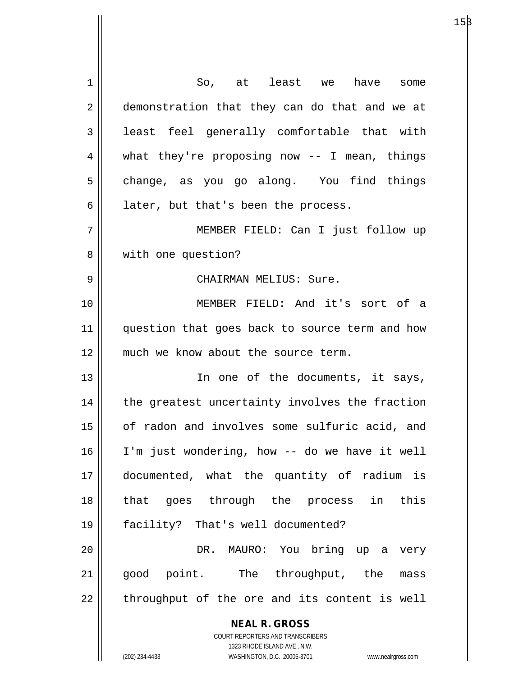| $\mathbf 1$    | So, at least we<br>have some                                        |
|----------------|---------------------------------------------------------------------|
| $\overline{2}$ | demonstration that they can do that and we at                       |
| 3              | least feel generally comfortable that with                          |
| 4              | what they're proposing now $-$ - I mean, things                     |
| 5              | change, as you go along. You find things                            |
| 6              | later, but that's been the process.                                 |
| 7              | MEMBER FIELD: Can I just follow up                                  |
| 8              | with one question?                                                  |
| 9              | CHAIRMAN MELIUS: Sure.                                              |
| 10             | MEMBER FIELD: And it's sort of a                                    |
| 11             | question that goes back to source term and how                      |
| 12             | much we know about the source term.                                 |
| 13             | In one of the documents, it says,                                   |
| 14             | the greatest uncertainty involves the fraction                      |
| 15             | of radon and involves some sulfuric acid, and                       |
| 16             | I'm just wondering, how -- do we have it well                       |
| 17             | documented, what the quantity of radium is                          |
| 18             | that goes through the process in this                               |
| 19             | facility? That's well documented?                                   |
|                |                                                                     |
| 20             | DR. MAURO: You bring up a very                                      |
| 21             | good point. The throughput, the<br>mass                             |
| 22             | throughput of the ore and its content is well                       |
|                | <b>NEAL R. GROSS</b>                                                |
|                | COURT REPORTERS AND TRANSCRIBERS<br>1323 RHODE ISLAND AVE., N.W.    |
|                | WASHINGTON, D.C. 20005-3701<br>(202) 234-4433<br>www.nealrgross.com |

 $\mathsf{I}$ 

 $15\beta$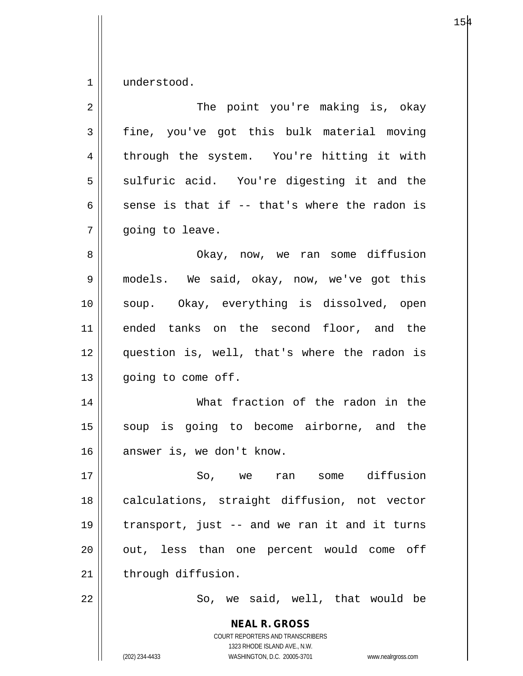$1$  understood.

| $\overline{2}$ | The point you're making is, okay                                                                                                                                       |
|----------------|------------------------------------------------------------------------------------------------------------------------------------------------------------------------|
| $\mathfrak{Z}$ | fine, you've got this bulk material moving                                                                                                                             |
| $\overline{4}$ | through the system. You're hitting it with                                                                                                                             |
| 5              | sulfuric acid. You're digesting it and the                                                                                                                             |
| 6              | sense is that if -- that's where the radon is                                                                                                                          |
| 7              | going to leave.                                                                                                                                                        |
| 8              | Okay, now, we ran some diffusion                                                                                                                                       |
| $\mathsf 9$    | models. We said, okay, now, we've got this                                                                                                                             |
| 10             | soup. Okay, everything is dissolved, open                                                                                                                              |
| 11             | ended tanks on the second floor, and the                                                                                                                               |
| 12             | question is, well, that's where the radon is                                                                                                                           |
| 13             | going to come off.                                                                                                                                                     |
| 14             | What fraction of the radon in the                                                                                                                                      |
| 15             | soup is going to become airborne, and the                                                                                                                              |
| 16             | answer is, we don't know.                                                                                                                                              |
| 17             | So, we ran some diffusion                                                                                                                                              |
| 18             | calculations, straight diffusion, not vector                                                                                                                           |
| 19             | transport, just -- and we ran it and it turns                                                                                                                          |
| 20             | out, less than one percent would come off                                                                                                                              |
| 21             | through diffusion.                                                                                                                                                     |
| 22             | So, we said, well, that would be                                                                                                                                       |
|                | <b>NEAL R. GROSS</b><br><b>COURT REPORTERS AND TRANSCRIBERS</b><br>1323 RHODE ISLAND AVE., N.W.<br>(202) 234-4433<br>WASHINGTON, D.C. 20005-3701<br>www.nealrgross.com |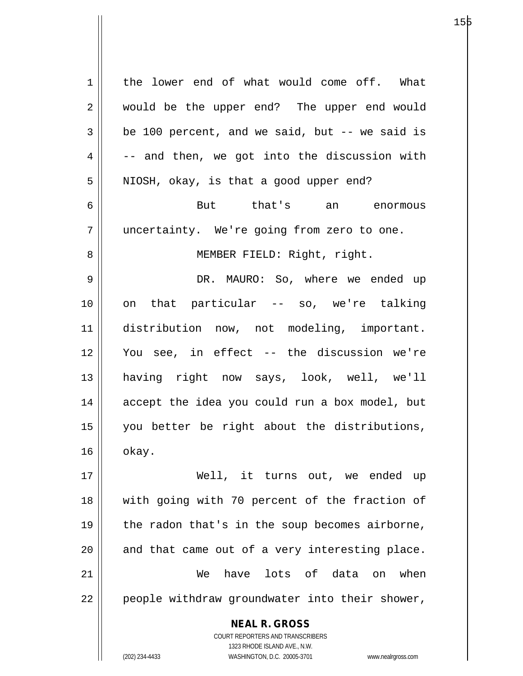1 | the lower end of what would come off. What 2 || would be the upper end? The upper end would  $3 \parallel$  be 100 percent, and we said, but -- we said is  $4 \parallel$  -- and then, we got into the discussion with  $5 \parallel$  NIOSH, okay, is that a good upper end? 6 But that's an enormous 7 uncertainty. We're going from zero to one. 8 || MEMBER FIELD: Right, right. 9 DR. MAURO: So, where we ended up 10 on that particular -- so, we're talking 11 distribution now, not modeling, important. 12 You see, in effect -- the discussion we're 13 having right now says, look, well, we'll 14 accept the idea you could run a box model, but 15 you better be right about the distributions,

 $16 \parallel \quad$  okay.

17 Well, it turns out, we ended up 18 with going with 70 percent of the fraction of 19  $\parallel$  the radon that's in the soup becomes airborne,  $20$  and that came out of a very interesting place. 21 We have lots of data on when 22 || people withdraw groundwater into their shower,

> COURT REPORTERS AND TRANSCRIBERS 1323 RHODE ISLAND AVE., N.W. (202) 234-4433 WASHINGTON, D.C. 20005-3701 www.nealrgross.com

**NEAL R. GROSS**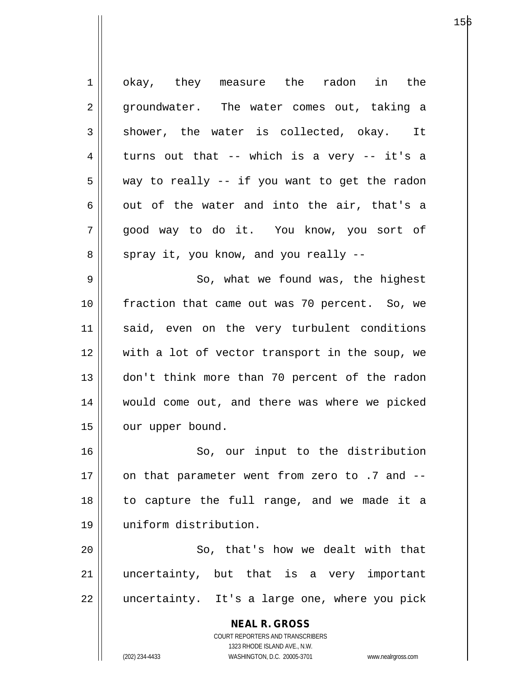**NEAL R. GROSS** COURT REPORTERS AND TRANSCRIBERS 1323 RHODE ISLAND AVE., N.W. (202) 234-4433 WASHINGTON, D.C. 20005-3701 www.nealrgross.com 1 || okay, they measure the radon in the 2 || groundwater. The water comes out, taking a  $3 \parallel$  shower, the water is collected, okay. It  $4 \parallel$  turns out that -- which is a very -- it's a  $5 \parallel$  way to really -- if you want to get the radon  $6 \parallel$  out of the water and into the air, that's a 7 good way to do it. You know, you sort of  $8 \parallel$  spray it, you know, and you really  $-$ 9 || So, what we found was, the highest 10 fraction that came out was 70 percent. So, we 11 || said, even on the very turbulent conditions 12 with a lot of vector transport in the soup, we 13 don't think more than 70 percent of the radon 14 would come out, and there was where we picked 15 | our upper bound. 16 || So, our input to the distribution 17  $\parallel$  on that parameter went from zero to .7 and  $-$ 18 to capture the full range, and we made it a 19 uniform distribution. 20 || So, that's how we dealt with that 21 || uncertainty, but that is a very important 22 || uncertainty. It's a large one, where you pick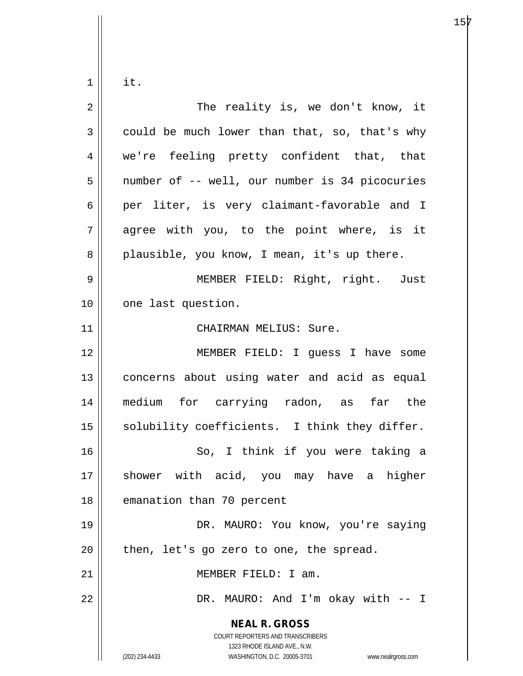$1 \parallel$  it.

| 2            | The reality is, we don't know, it                                                                                                                               |
|--------------|-----------------------------------------------------------------------------------------------------------------------------------------------------------------|
| $\mathbf{3}$ | could be much lower than that, so, that's why                                                                                                                   |
| 4            | we're feeling pretty confident that, that                                                                                                                       |
| 5            | number of -- well, our number is 34 picocuries                                                                                                                  |
| 6            | per liter, is very claimant-favorable and I                                                                                                                     |
| 7            | agree with you, to the point where, is it                                                                                                                       |
| 8            | plausible, you know, I mean, it's up there.                                                                                                                     |
| 9            | MEMBER FIELD: Right, right. Just                                                                                                                                |
| 10           | one last question.                                                                                                                                              |
| 11           | CHAIRMAN MELIUS: Sure.                                                                                                                                          |
| 12           | MEMBER FIELD: I guess I have some                                                                                                                               |
| 13           | concerns about using water and acid as equal                                                                                                                    |
| 14           | medium for carrying radon, as far the                                                                                                                           |
| 15           | solubility coefficients. I think they differ.                                                                                                                   |
| 16           | So, I think if you were taking a                                                                                                                                |
| 17           | shower with acid, you may have a higher                                                                                                                         |
| 18           | emanation than 70 percent                                                                                                                                       |
| 19           | DR. MAURO: You know, you're saying                                                                                                                              |
| 20           | then, let's go zero to one, the spread.                                                                                                                         |
| 21           | MEMBER FIELD: I am.                                                                                                                                             |
| 22           | DR. MAURO: And I'm okay with -- I                                                                                                                               |
|              | <b>NEAL R. GROSS</b><br>COURT REPORTERS AND TRANSCRIBERS<br>1323 RHODE ISLAND AVE., N.W.<br>(202) 234-4433<br>WASHINGTON, D.C. 20005-3701<br>www.nealrgross.com |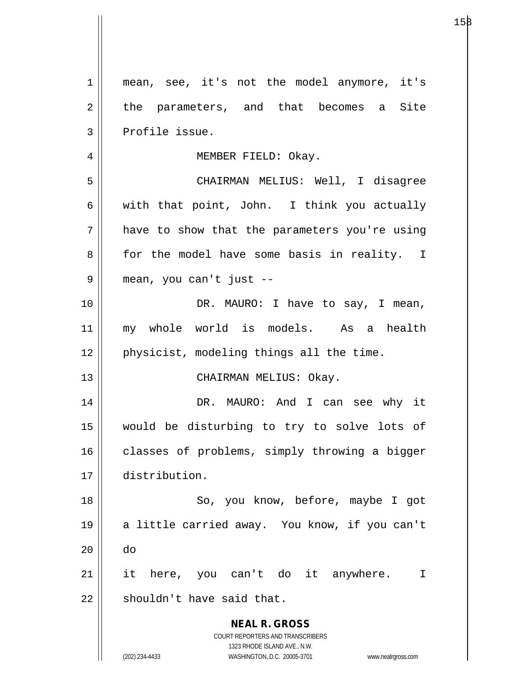**NEAL R. GROSS** COURT REPORTERS AND TRANSCRIBERS 1323 RHODE ISLAND AVE., N.W. (202) 234-4433 WASHINGTON, D.C. 20005-3701 www.nealrgross.com 1 || mean, see, it's not the model anymore, it's 2 the parameters, and that becomes a Site  $3$  | Profile issue. 4 | MEMBER FIELD: Okay. 5 CHAIRMAN MELIUS: Well, I disagree 6 with that point, John. I think you actually  $7 \parallel$  have to show that the parameters you're using 8 || for the model have some basis in reality. I 9 mean, you can't just -- 10 DR. MAURO: I have to say, I mean, 11 my whole world is models. As a health 12 || physicist, modeling things all the time. 13 || CHAIRMAN MELIUS: Okay. 14 DR. MAURO: And I can see why it 15 would be disturbing to try to solve lots of 16 | classes of problems, simply throwing a bigger 17 distribution. 18 || So, you know, before, maybe I got 19 || a little carried away. You know, if you can't 20 do 21 it here, you can't do it anywhere. I  $22$   $\parallel$  shouldn't have said that.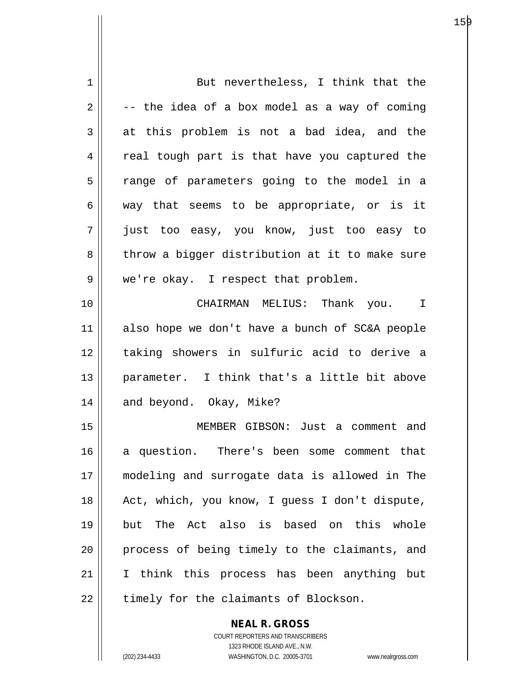| 1  | But nevertheless, I think that the             |
|----|------------------------------------------------|
| 2  | -- the idea of a box model as a way of coming  |
| 3  | at this problem is not a bad idea, and the     |
| 4  | real tough part is that have you captured the  |
| 5  | range of parameters going to the model in a    |
| 6  | way that seems to be appropriate, or is it     |
| 7  | just too easy, you know, just too easy to      |
| 8  | throw a bigger distribution at it to make sure |
| 9  | we're okay. I respect that problem.            |
| 10 | CHAIRMAN MELIUS: Thank you. I                  |
| 11 | also hope we don't have a bunch of SC&A people |
| 12 | taking showers in sulfuric acid to derive a    |
| 13 | parameter. I think that's a little bit above   |
| 14 | and beyond. Okay, Mike?                        |
| 15 | MEMBER GIBSON: Just a comment and              |
| 16 | a question. There's been some comment that     |
| 17 | modeling and surrogate data is allowed in The  |
| 18 | Act, which, you know, I guess I don't dispute, |
| 19 | but The Act also is based on this whole        |
| 20 | process of being timely to the claimants, and  |
| 21 | I think this process has been anything but     |
| 22 | timely for the claimants of Blockson.          |
|    |                                                |

COURT REPORTERS AND TRANSCRIBERS 1323 RHODE ISLAND AVE., N.W. (202) 234-4433 WASHINGTON, D.C. 20005-3701 www.nealrgross.com

**NEAL R. GROSS**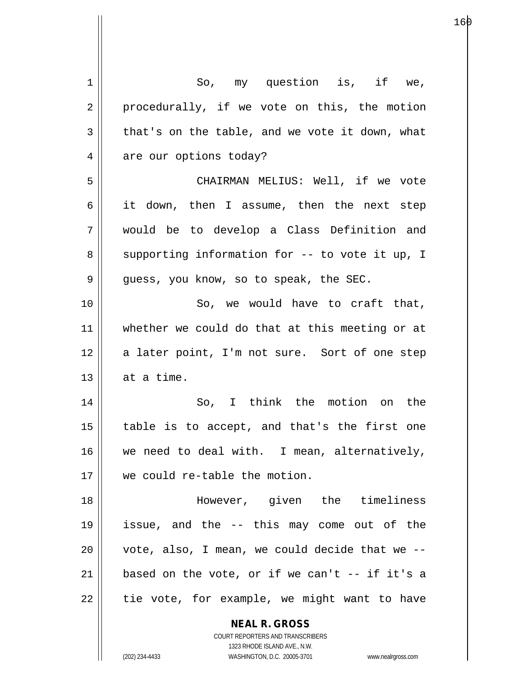| 1  | So, my question is, if we,                                       |
|----|------------------------------------------------------------------|
| 2  | procedurally, if we vote on this, the motion                     |
| 3  | that's on the table, and we vote it down, what                   |
| 4  | are our options today?                                           |
| 5  | CHAIRMAN MELIUS: Well, if we vote                                |
| 6  | it down, then I assume, then the next step                       |
| 7  | would be to develop a Class Definition and                       |
| 8  | supporting information for -- to vote it up, I                   |
| 9  | quess, you know, so to speak, the SEC.                           |
| 10 | So, we would have to craft that,                                 |
| 11 | whether we could do that at this meeting or at                   |
| 12 | a later point, I'm not sure. Sort of one step                    |
| 13 | at a time.                                                       |
| 14 | So, I think the motion on the                                    |
| 15 | table is to accept, and that's the first one                     |
| 16 | we need to deal with. I mean, alternatively,                     |
| 17 | we could re-table the motion.                                    |
| 18 | However, given the timeliness                                    |
| 19 | issue, and the -- this may come out of the                       |
| 20 | vote, also, I mean, we could decide that we --                   |
| 21 | based on the vote, or if we can't $-$ if it's a                  |
| 22 | tie vote, for example, we might want to have                     |
|    | <b>NEAL R. GROSS</b>                                             |
|    | COURT REPORTERS AND TRANSCRIBERS                                 |
|    | 1323 RHODE ISLAND AVE., N.W.                                     |
|    | (202) 234-4433<br>WASHINGTON, D.C. 20005-3701 www.nealrgross.com |

е процессовательно производство в подводността в подводство в село в село в село в село в село в село в село в<br>В 160 млн на село в село в село в село в село в село в село в село в село в село в село в село в село в село в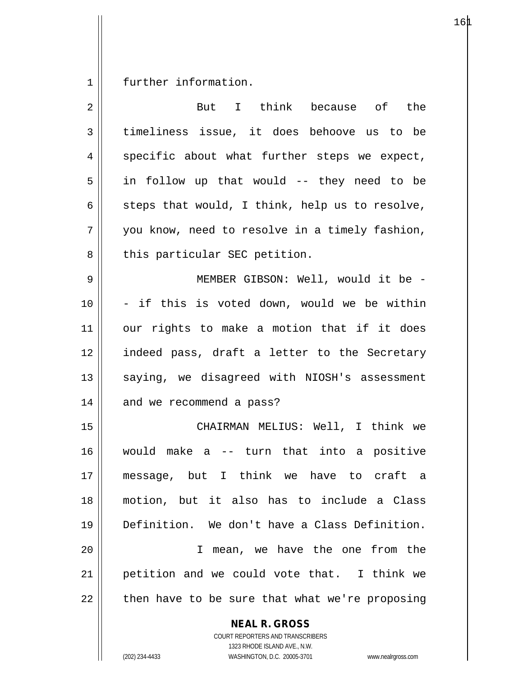1 | further information.

| 2  | But I think because of the                               |
|----|----------------------------------------------------------|
| 3  | timeliness issue, it does behoove us to be               |
| 4  | specific about what further steps we expect,             |
| 5  | in follow up that would -- they need to be               |
| 6  | steps that would, I think, help us to resolve,           |
| 7  | you know, need to resolve in a timely fashion,           |
| 8  | this particular SEC petition.                            |
| 9  | MEMBER GIBSON: Well, would it be -                       |
| 10 | - if this is voted down, would we be within              |
| 11 | our rights to make a motion that if it does              |
| 12 | indeed pass, draft a letter to the Secretary             |
| 13 | saying, we disagreed with NIOSH's assessment             |
| 14 | and we recommend a pass?                                 |
| 15 | CHAIRMAN MELIUS: Well, I think we                        |
| 16 | would make a -- turn that into a positive                |
| 17 | message, but I think we have to craft a                  |
| 18 | motion, but it also has to include a Class               |
| 19 | Definition. We don't have a Class Definition.            |
| 20 | mean, we have the one from the<br>T.                     |
| 21 | petition and we could vote that. I think we              |
| 22 | then have to be sure that what we're proposing           |
|    | <b>NEAL R. GROSS</b><br>COURT REPORTERS AND TRANSCRIBERS |

1323 RHODE ISLAND AVE., N.W.

 $\mathop{\text{||}}$ 

(202) 234-4433 WASHINGTON, D.C. 20005-3701 www.nealrgross.com

 $16\text{\AA}$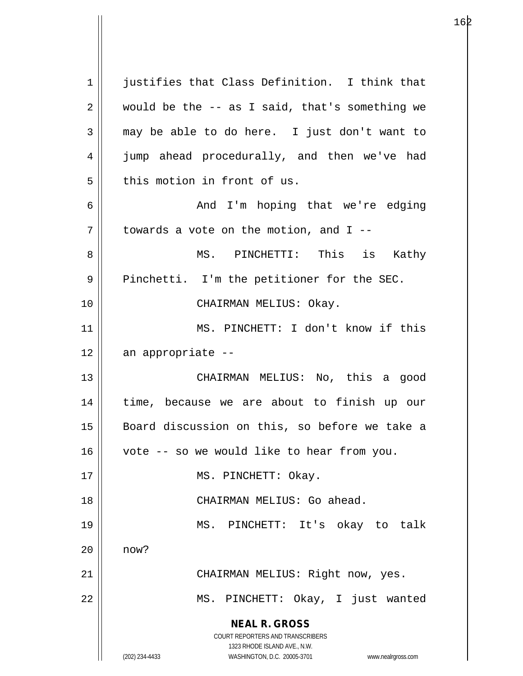**NEAL R. GROSS** COURT REPORTERS AND TRANSCRIBERS 1323 RHODE ISLAND AVE., N.W. (202) 234-4433 WASHINGTON, D.C. 20005-3701 www.nealrgross.com 1 || justifies that Class Definition. I think that  $2 \parallel$  would be the -- as I said, that's something we  $3 \parallel$  may be able to do here. I just don't want to 4 || jump ahead procedurally, and then we've had 5 this motion in front of us. 6 And I'm hoping that we're edging  $7 \parallel$  towards a vote on the motion, and I --8 MS. PINCHETTI: This is Kathy 9 | Pinchetti. I'm the petitioner for the SEC. 10 CHAIRMAN MELIUS: Okay. 11 MS. PINCHETT: I don't know if this 12 an appropriate -- 13 CHAIRMAN MELIUS: No, this a good 14 || time, because we are about to finish up our 15 || Board discussion on this, so before we take a 16 vote -- so we would like to hear from you. 17 || MS. PINCHETT: Okay. 18 || CHAIRMAN MELIUS: Go ahead. 19 MS. PINCHETT: It's okay to talk 20 now? 21 | CHAIRMAN MELIUS: Right now, yes. 22 || MS. PINCHETT: Okay, I just wanted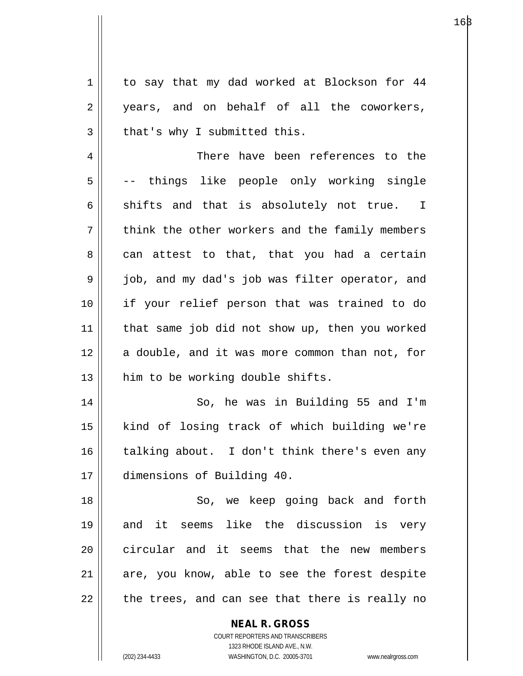1 to say that my dad worked at Blockson for 44 2 years, and on behalf of all the coworkers,  $3 \parallel$  that's why I submitted this.

4 There have been references to the 5 || -- things like people only working single 6 shifts and that is absolutely not true. I 7 || think the other workers and the family members  $8 \parallel$  can attest to that, that you had a certain 9 || job, and my dad's job was filter operator, and 10 if your relief person that was trained to do 11 that same job did not show up, then you worked 12 || a double, and it was more common than not, for 13 || him to be working double shifts.

14 || So, he was in Building 55 and I'm 15 kind of losing track of which building we're 16 talking about. I don't think there's even any 17 dimensions of Building 40.

18 || So, we keep going back and forth 19 and it seems like the discussion is very 20 circular and it seems that the new members  $21$  are, you know, able to see the forest despite  $22 \parallel$  the trees, and can see that there is really no

> **NEAL R. GROSS** COURT REPORTERS AND TRANSCRIBERS 1323 RHODE ISLAND AVE., N.W.

(202) 234-4433 WASHINGTON, D.C. 20005-3701 www.nealrgross.com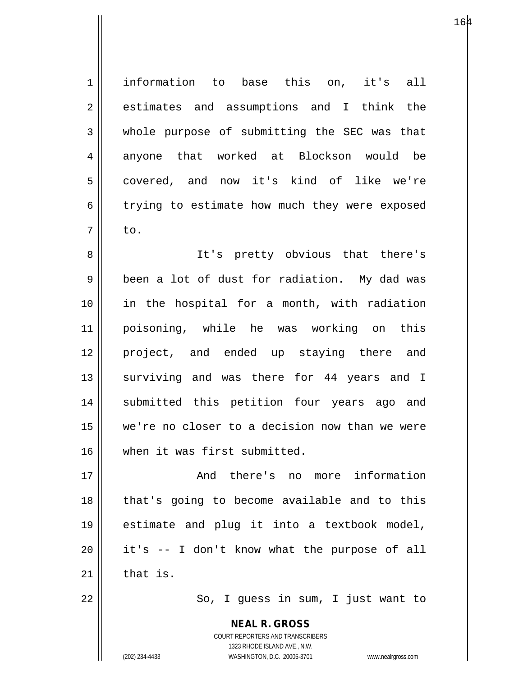1<sup>|</sup> information to base this on, it's all 2 estimates and assumptions and I think the 3 whole purpose of submitting the SEC was that 4 anyone that worked at Blockson would be 5 covered, and now it's kind of like we're 6 trying to estimate how much they were exposed  $7 \parallel$  to. 8 || It's pretty obvious that there's 9 | been a lot of dust for radiation. My dad was 10 in the hospital for a month, with radiation 11 poisoning, while he was working on this 12 project, and ended up staying there and 13 || surviving and was there for 44 years and I 14 || submitted this petition four years ago and 15 we're no closer to a decision now than we were 16 when it was first submitted. 17 And there's no more information 18 || that's going to become available and to this 19 estimate and plug it into a textbook model,  $20$  || it's  $-$  I don't know what the purpose of all  $21$  | that is.

22 || So, I guess in sum, I just want to

**NEAL R. GROSS** COURT REPORTERS AND TRANSCRIBERS 1323 RHODE ISLAND AVE., N.W. (202) 234-4433 WASHINGTON, D.C. 20005-3701 www.nealrgross.com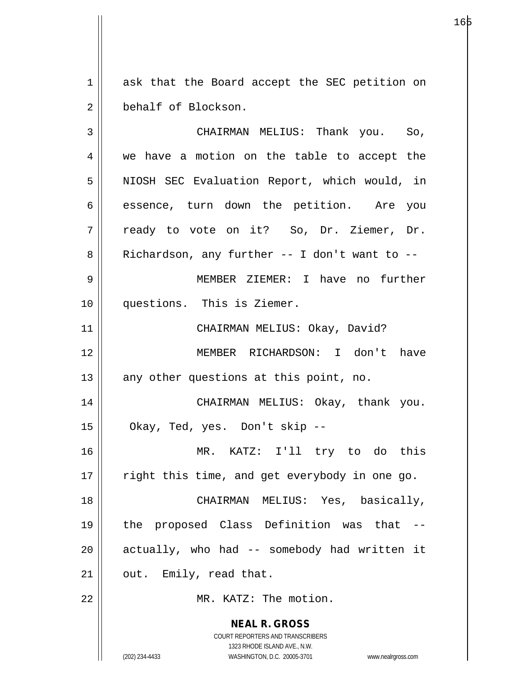1 ask that the Board accept the SEC petition on 2 behalf of Blockson.

**NEAL R. GROSS** COURT REPORTERS AND TRANSCRIBERS 1323 RHODE ISLAND AVE., N.W. 3 CHAIRMAN MELIUS: Thank you. So, 4 we have a motion on the table to accept the 5 || NIOSH SEC Evaluation Report, which would, in 6 || essence, turn down the petition. Are you 7 || ready to vote on it? So, Dr. Ziemer, Dr.  $8 \parallel$  Richardson, any further -- I don't want to --9 MEMBER ZIEMER: I have no further 10 questions. This is Ziemer. 11 CHAIRMAN MELIUS: Okay, David? 12 MEMBER RICHARDSON: I don't have  $13$  || any other questions at this point, no. 14 CHAIRMAN MELIUS: Okay, thank you. 15 Okay, Ted, yes. Don't skip -- 16 MR. KATZ: I'll try to do this  $17$  || right this time, and get everybody in one go. 18 CHAIRMAN MELIUS: Yes, basically, 19 the proposed Class Definition was that --  $20$  || actually, who had  $-$  somebody had written it  $21$  | out. Emily, read that. 22 MR. KATZ: The motion.

(202) 234-4433 WASHINGTON, D.C. 20005-3701 www.nealrgross.com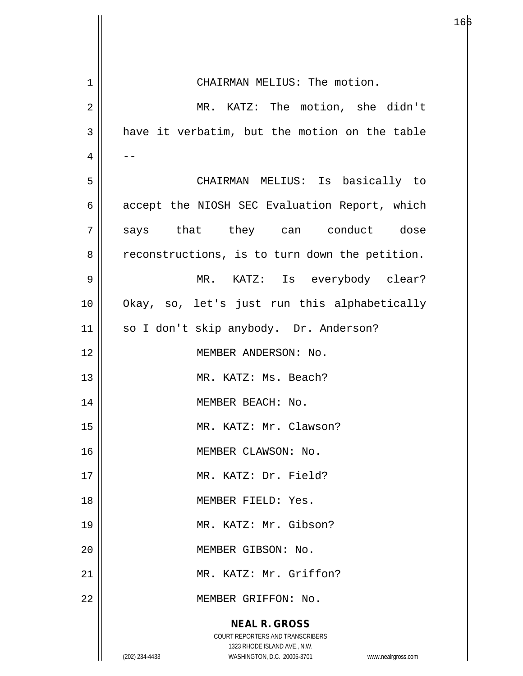| $\mathbf 1$    | CHAIRMAN MELIUS: The motion.                                        |
|----------------|---------------------------------------------------------------------|
| $\overline{c}$ | MR. KATZ: The motion, she didn't                                    |
| 3              | have it verbatim, but the motion on the table                       |
| 4              |                                                                     |
| 5              | CHAIRMAN MELIUS: Is basically to                                    |
| б              | accept the NIOSH SEC Evaluation Report, which                       |
| 7              | says that they can conduct dose                                     |
| 8              | reconstructions, is to turn down the petition.                      |
| 9              | MR. KATZ: Is everybody clear?                                       |
| 10             | Okay, so, let's just run this alphabetically                        |
| 11             | so I don't skip anybody. Dr. Anderson?                              |
| 12             | MEMBER ANDERSON: No.                                                |
| 13             | MR. KATZ: Ms. Beach?                                                |
| 14             | MEMBER BEACH: No.                                                   |
| 15             | MR. KATZ: Mr. Clawson?                                              |
| 16             | MEMBER CLAWSON: No.                                                 |
| 17             | MR. KATZ: Dr. Field?                                                |
| 18             | MEMBER FIELD: Yes.                                                  |
| 19             | MR. KATZ: Mr. Gibson?                                               |
| 20             | MEMBER GIBSON: No.                                                  |
| 21             | MR. KATZ: Mr. Griffon?                                              |
| 22             | MEMBER GRIFFON: No.                                                 |
|                | <b>NEAL R. GROSS</b>                                                |
|                | COURT REPORTERS AND TRANSCRIBERS<br>1323 RHODE ISLAND AVE., N.W.    |
|                | (202) 234-4433<br>WASHINGTON, D.C. 20005-3701<br>www.nealrgross.com |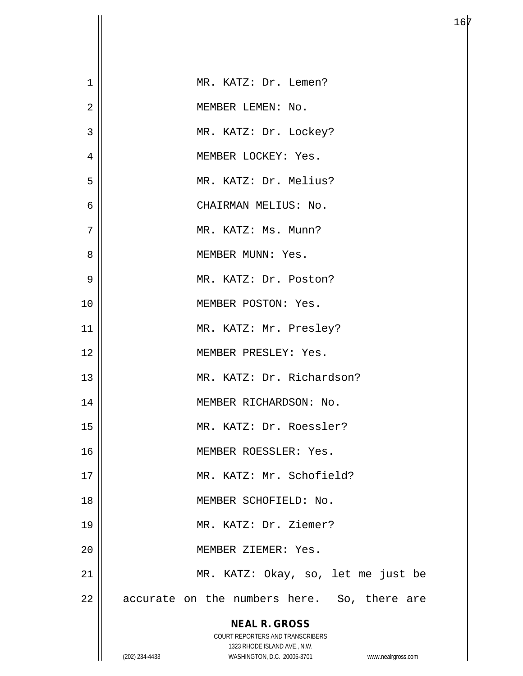| $\mathbf{1}$ | MR. KATZ: Dr. Lemen?                                                |
|--------------|---------------------------------------------------------------------|
| 2            | MEMBER LEMEN: No.                                                   |
| 3            | MR. KATZ: Dr. Lockey?                                               |
| 4            | MEMBER LOCKEY: Yes.                                                 |
| 5            | MR. KATZ: Dr. Melius?                                               |
| 6            | CHAIRMAN MELIUS: No.                                                |
| 7            | MR. KATZ: Ms. Munn?                                                 |
| 8            | MEMBER MUNN: Yes.                                                   |
| 9            | MR. KATZ: Dr. Poston?                                               |
| 10           | MEMBER POSTON: Yes.                                                 |
| 11           | MR. KATZ: Mr. Presley?                                              |
| 12           | MEMBER PRESLEY: Yes.                                                |
| 13           | MR. KATZ: Dr. Richardson?                                           |
| 14           | MEMBER RICHARDSON: No.                                              |
| 15           | MR. KATZ: Dr. Roessler?                                             |
| 16           | MEMBER ROESSLER: Yes.                                               |
| 17           | MR. KATZ: Mr. Schofield?                                            |
| 18           | MEMBER SCHOFIELD: No.                                               |
| 19           | MR. KATZ: Dr. Ziemer?                                               |
| 20           | MEMBER ZIEMER: Yes.                                                 |
| 21           | MR. KATZ: Okay, so, let me just be                                  |
| 22           | accurate on the numbers here. So, there are                         |
|              | <b>NEAL R. GROSS</b>                                                |
|              | COURT REPORTERS AND TRANSCRIBERS<br>1323 RHODE ISLAND AVE., N.W.    |
|              | (202) 234-4433<br>WASHINGTON, D.C. 20005-3701<br>www.nealrgross.com |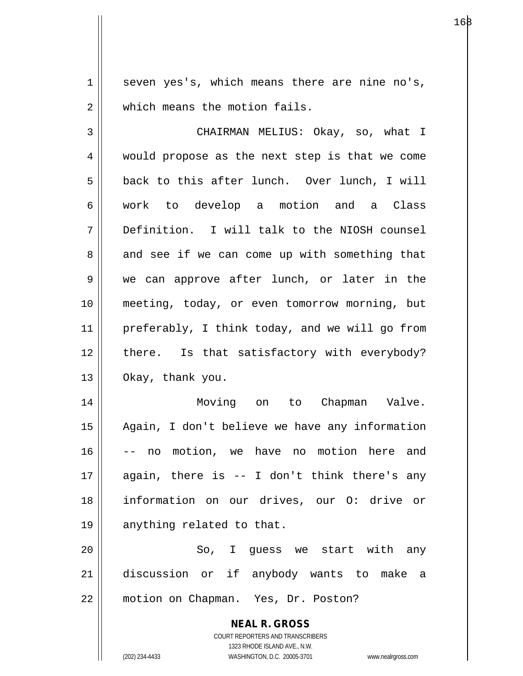$1 \parallel$  seven yes's, which means there are nine no's, 2 || which means the motion fails.

3 CHAIRMAN MELIUS: Okay, so, what I 4 || would propose as the next step is that we come  $5 \parallel$  back to this after lunch. Over lunch, I will 6 work to develop a motion and a Class 7 Definition. I will talk to the NIOSH counsel  $8 \parallel$  and see if we can come up with something that 9 || we can approve after lunch, or later in the 10 meeting, today, or even tomorrow morning, but 11 || preferably, I think today, and we will go from 12 || there. Is that satisfactory with everybody? 13 Okay, thank you.

14 Moving on to Chapman Valve. 15 Again, I don't believe we have any information 16 -- no motion, we have no motion here and 17 again, there is -- I don't think there's any 18 information on our drives, our O: drive or 19 || anything related to that.

20 || So, I quess we start with any 21 discussion or if anybody wants to make a 22 motion on Chapman. Yes, Dr. Poston?

> **NEAL R. GROSS** COURT REPORTERS AND TRANSCRIBERS 1323 RHODE ISLAND AVE., N.W. (202) 234-4433 WASHINGTON, D.C. 20005-3701 www.nealrgross.com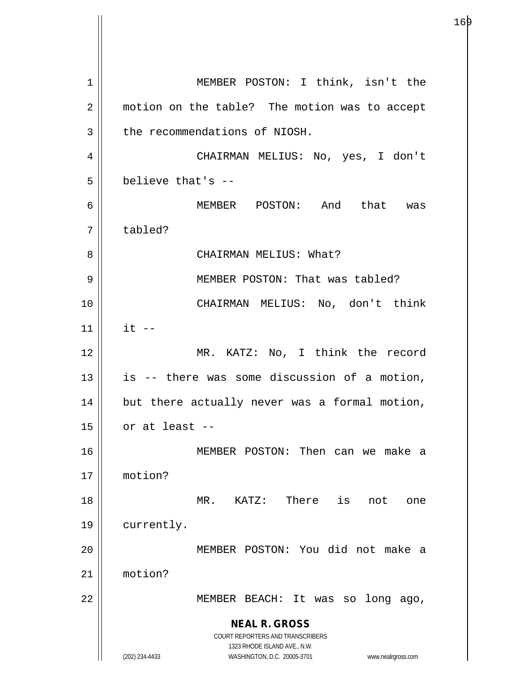**NEAL R. GROSS** COURT REPORTERS AND TRANSCRIBERS 1323 RHODE ISLAND AVE., N.W. (202) 234-4433 WASHINGTON, D.C. 20005-3701 www.nealrgross.com 1 || MEMBER POSTON: I think, isn't the 2 || motion on the table? The motion was to accept  $3$  | the recommendations of NIOSH. 4 CHAIRMAN MELIUS: No, yes, I don't  $5$   $\parallel$  believe that's --6 MEMBER POSTON: And that was 7 | tabled? 8 CHAIRMAN MELIUS: What? 9 || MEMBER POSTON: That was tabled? 10 CHAIRMAN MELIUS: No, don't think  $11$  | it --12 || MR. KATZ: No, I think the record  $13$  is -- there was some discussion of a motion, 14 || but there actually never was a formal motion,  $15$  | or at least --16 MEMBER POSTON: Then can we make a 17 motion? 18 MR. KATZ: There is not one 19 | currently. 20 MEMBER POSTON: You did not make a 21 motion? 22 || MEMBER BEACH: It was so long ago,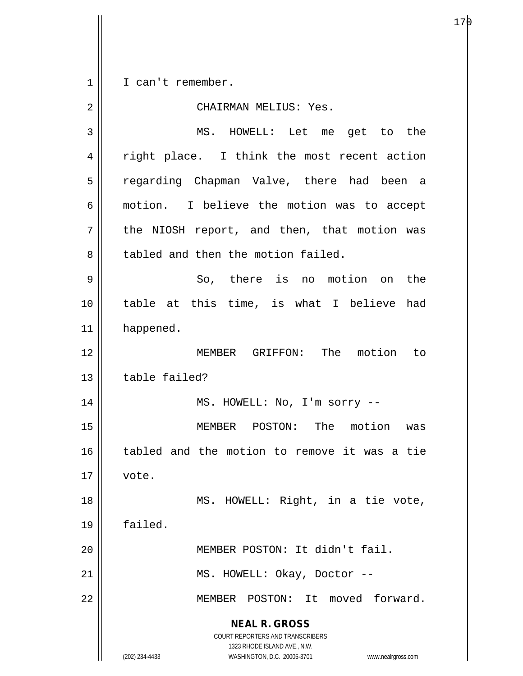**NEAL R. GROSS** COURT REPORTERS AND TRANSCRIBERS 1323 RHODE ISLAND AVE., N.W. 1 || I can't remember. 2 CHAIRMAN MELIUS: Yes. 3 MS. HOWELL: Let me get to the 4 || right place. I think the most recent action 5 || regarding Chapman Valve, there had been a 6 || motion. I believe the motion was to accept  $7$  the NIOSH report, and then, that motion was 8 tabled and then the motion failed.  $9 \parallel$  So, there is no motion on the 10 table at this time, is what I believe had 11 | happened. 12 MEMBER GRIFFON: The motion to 13 decry table failed? 14 || MS. HOWELL: No, I'm sorry --15 MEMBER POSTON: The motion was 16 || tabled and the motion to remove it was a tie  $17 \parallel$  vote. 18 || MS. HOWELL: Right, in a tie vote, 19 failed. 20 || MEMBER POSTON: It didn't fail. 21 || MS. HOWELL: Okay, Doctor --22 || MEMBER POSTON: It moved forward.

(202) 234-4433 WASHINGTON, D.C. 20005-3701 www.nealrgross.com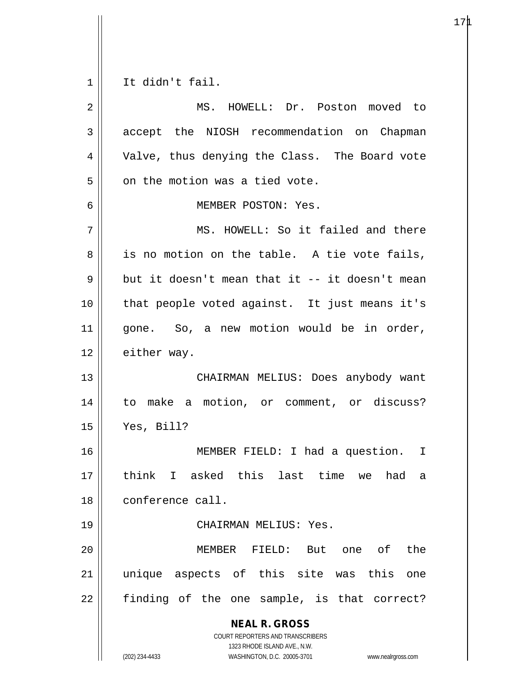$1 \parallel$  It didn't fail.

| 2  | MS. HOWELL: Dr. Poston moved to                                                                                                                                        |
|----|------------------------------------------------------------------------------------------------------------------------------------------------------------------------|
| 3  | accept the NIOSH recommendation on Chapman                                                                                                                             |
| 4  | Valve, thus denying the Class. The Board vote                                                                                                                          |
| 5  | on the motion was a tied vote.                                                                                                                                         |
| 6  | MEMBER POSTON: Yes.                                                                                                                                                    |
| 7  | MS. HOWELL: So it failed and there                                                                                                                                     |
| 8  | is no motion on the table. A tie vote fails,                                                                                                                           |
| 9  | but it doesn't mean that it -- it doesn't mean                                                                                                                         |
| 10 | that people voted against. It just means it's                                                                                                                          |
| 11 | gone. So, a new motion would be in order,                                                                                                                              |
| 12 | either way.                                                                                                                                                            |
| 13 | CHAIRMAN MELIUS: Does anybody want                                                                                                                                     |
| 14 | to make a motion, or comment, or discuss?                                                                                                                              |
| 15 | Yes, Bill?                                                                                                                                                             |
| 16 | MEMBER FIELD: I had a question. I                                                                                                                                      |
| 17 | think<br>I asked this last time we<br>had<br>а                                                                                                                         |
| 18 | conference call.                                                                                                                                                       |
| 19 | CHAIRMAN MELIUS: Yes.                                                                                                                                                  |
| 20 | the<br>But one of<br>MEMBER<br>FIELD:                                                                                                                                  |
| 21 | unique aspects of this site was this<br>one                                                                                                                            |
| 22 | finding of the one sample, is that correct?                                                                                                                            |
|    | <b>NEAL R. GROSS</b><br><b>COURT REPORTERS AND TRANSCRIBERS</b><br>1323 RHODE ISLAND AVE., N.W.<br>(202) 234-4433<br>WASHINGTON, D.C. 20005-3701<br>www.nealrgross.com |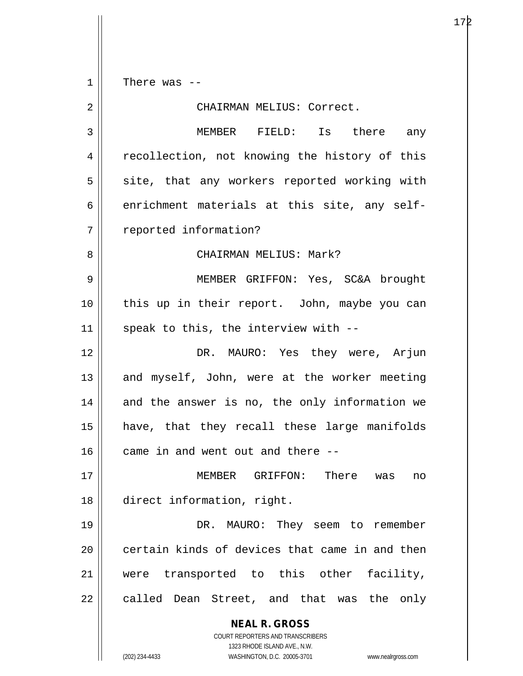$1 \parallel$  There was --

| 2  | CHAIRMAN MELIUS: Correct.                                                                                                                                       |
|----|-----------------------------------------------------------------------------------------------------------------------------------------------------------------|
| 3  | MEMBER FIELD: Is there any                                                                                                                                      |
| 4  | recollection, not knowing the history of this                                                                                                                   |
| 5  | site, that any workers reported working with                                                                                                                    |
| 6  | enrichment materials at this site, any self-                                                                                                                    |
| 7  | reported information?                                                                                                                                           |
| 8  | CHAIRMAN MELIUS: Mark?                                                                                                                                          |
| 9  | MEMBER GRIFFON: Yes, SC&A brought                                                                                                                               |
| 10 | this up in their report. John, maybe you can                                                                                                                    |
| 11 | speak to this, the interview with --                                                                                                                            |
| 12 | DR. MAURO: Yes they were, Arjun                                                                                                                                 |
| 13 | and myself, John, were at the worker meeting                                                                                                                    |
| 14 | and the answer is no, the only information we                                                                                                                   |
| 15 | have, that they recall these large manifolds                                                                                                                    |
| 16 | came in and went out and there --                                                                                                                               |
| 17 | MEMBER GRIFFON: There was<br>no                                                                                                                                 |
| 18 | direct information, right.                                                                                                                                      |
| 19 | DR. MAURO: They seem to remember                                                                                                                                |
| 20 | certain kinds of devices that came in and then                                                                                                                  |
| 21 | transported to this other facility,<br>were                                                                                                                     |
| 22 | called Dean Street, and that was the<br>only                                                                                                                    |
|    | <b>NEAL R. GROSS</b><br>COURT REPORTERS AND TRANSCRIBERS<br>1323 RHODE ISLAND AVE., N.W.<br>(202) 234-4433<br>WASHINGTON, D.C. 20005-3701<br>www.nealrgross.com |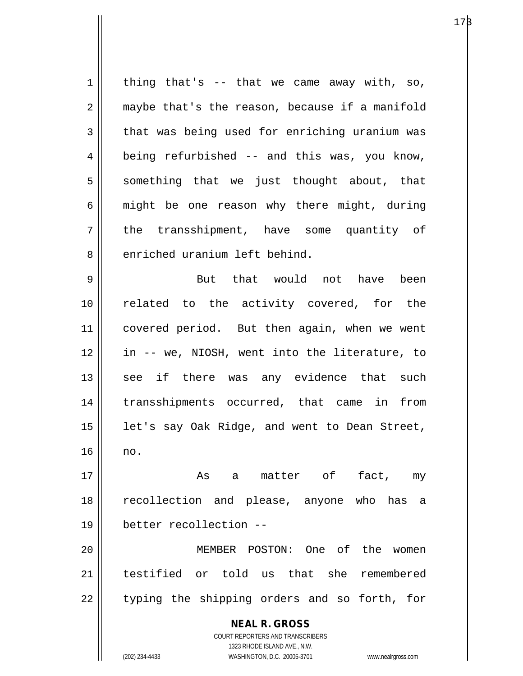$1 \parallel$  thing that's -- that we came away with, so, 2 | maybe that's the reason, because if a manifold  $3 \parallel$  that was being used for enriching uranium was  $4 \parallel$  being refurbished -- and this was, you know,  $5 \parallel$  something that we just thought about, that  $6 \parallel$  might be one reason why there might, during 7 || the transshipment, have some quantity of 8 enriched uranium left behind. 9 But that would not have been

10 related to the activity covered, for the 11 | covered period. But then again, when we went 12 in -- we, NIOSH, went into the literature, to 13 || see if there was any evidence that such 14 transshipments occurred, that came in from  $15$  | let's say Oak Ridge, and went to Dean Street, 16 no.

17 As a matter of fact, my 18 recollection and please, anyone who has a 19 better recollection --

20 MEMBER POSTON: One of the women 21 testified or told us that she remembered 22 || typing the shipping orders and so forth, for

> **NEAL R. GROSS** COURT REPORTERS AND TRANSCRIBERS 1323 RHODE ISLAND AVE., N.W. (202) 234-4433 WASHINGTON, D.C. 20005-3701 www.nealrgross.com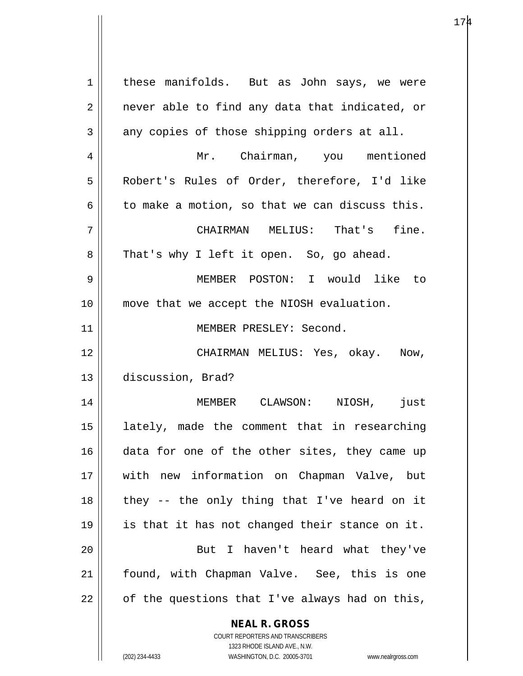**NEAL R. GROSS** COURT REPORTERS AND TRANSCRIBERS 1323 RHODE ISLAND AVE., N.W. 1 | these manifolds. But as John says, we were  $2 \parallel$  never able to find any data that indicated, or  $3 \parallel$  any copies of those shipping orders at all. 4 Mr. Chairman, you mentioned 5 Robert's Rules of Order, therefore, I'd like  $6 \parallel$  to make a motion, so that we can discuss this. 7 CHAIRMAN MELIUS: That's fine. 8 || That's why I left it open. So, go ahead. 9 MEMBER POSTON: I would like to 10 move that we accept the NIOSH evaluation. 11 || MEMBER PRESLEY: Second. 12 CHAIRMAN MELIUS: Yes, okay. Now, 13 discussion, Brad? 14 MEMBER CLAWSON: NIOSH, just 15 lately, made the comment that in researching 16 data for one of the other sites, they came up 17 with new information on Chapman Valve, but  $18$  || they -- the only thing that I've heard on it 19 || is that it has not changed their stance on it. 20 || But I haven't heard what they've 21 || found, with Chapman Valve. See, this is one  $22$  | of the questions that I've always had on this,

 $174$ 

(202) 234-4433 WASHINGTON, D.C. 20005-3701 www.nealrgross.com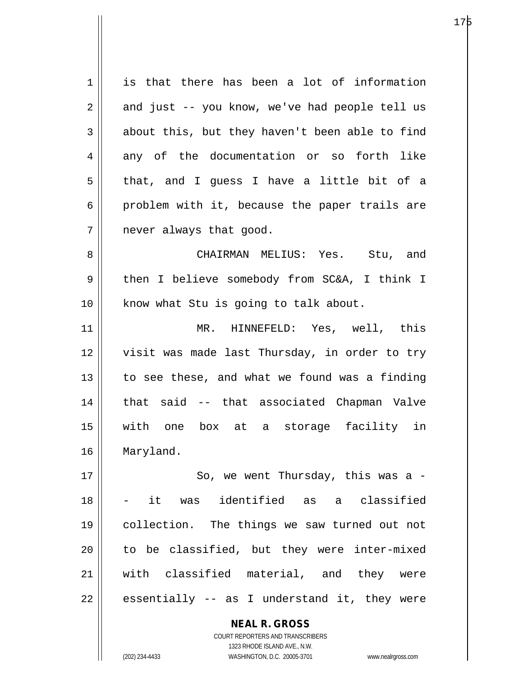| 1           | is that there has been a lot of information    |
|-------------|------------------------------------------------|
| 2           | and just -- you know, we've had people tell us |
| 3           | about this, but they haven't been able to find |
| 4           | any of the documentation or so forth like      |
| 5           | that, and I guess I have a little bit of a     |
| 6           | problem with it, because the paper trails are  |
| 7           | never always that good.                        |
| 8           | CHAIRMAN MELIUS: Yes. Stu, and                 |
| $\mathsf 9$ | then I believe somebody from SC&A, I think I   |
| 10          | know what Stu is going to talk about.          |
| 11          | MR. HINNEFELD: Yes, well, this                 |
| 12          | visit was made last Thursday, in order to try  |
| 13          | to see these, and what we found was a finding  |
| 14          | that said -- that associated Chapman Valve     |
| 15          | with<br>one box at a storage facility in       |
| 16          | Maryland.                                      |
| 17          | So, we went Thursday, this was a -             |
| 18          | - it was identified as a classified            |
| 19          | collection. The things we saw turned out not   |
| 20          | to be classified, but they were inter-mixed    |
| 21          | with classified material, and they were        |
| 22          | essentially -- as I understand it, they were   |
|             | <b>NEAL R. GROSS</b>                           |

COURT REPORTERS AND TRANSCRIBERS 1323 RHODE ISLAND AVE., N.W.

 $\mathbf{\mathsf{I}}$ 

 $\mathsf{l}$ 

(202) 234-4433 WASHINGTON, D.C. 20005-3701 www.nealrgross.com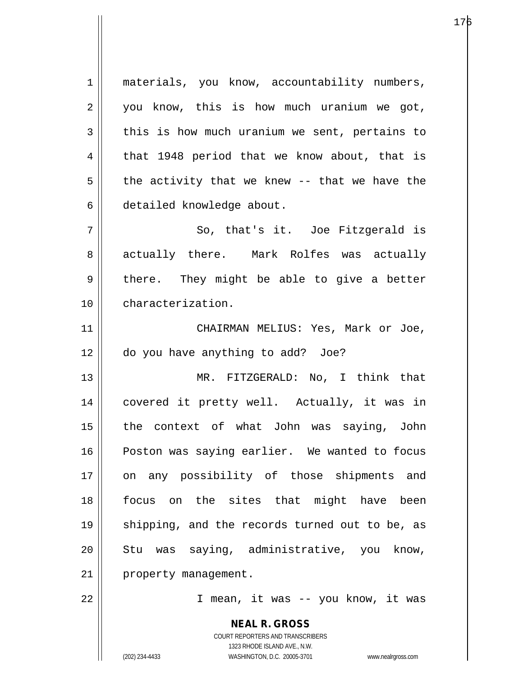1 || materials, you know, accountability numbers,  $2 \parallel$  you know, this is how much uranium we got,  $3 \parallel$  this is how much uranium we sent, pertains to  $4 \parallel$  that 1948 period that we know about, that is  $5 \parallel$  the activity that we knew -- that we have the 6 detailed knowledge about.  $7 \parallel$  So, that's it. Joe Fitzgerald is 8 actually there. Mark Rolfes was actually  $9 \parallel$  there. They might be able to give a better 10 characterization. 11 || CHAIRMAN MELIUS: Yes, Mark or Joe, 12 do you have anything to add? Joe? 13 || MR. FITZGERALD: No, I think that 14 covered it pretty well. Actually, it was in 15 || the context of what John was saying, John 16 || Poston was saying earlier. We wanted to focus 17 || on any possibility of those shipments and 18 focus on the sites that might have been 19 || shipping, and the records turned out to be, as 20 || Stu was saying, administrative, you know, 21 | property management. 22 || T mean, it was -- you know, it was

> COURT REPORTERS AND TRANSCRIBERS 1323 RHODE ISLAND AVE., N.W. (202) 234-4433 WASHINGTON, D.C. 20005-3701 www.nealrgross.com

**NEAL R. GROSS**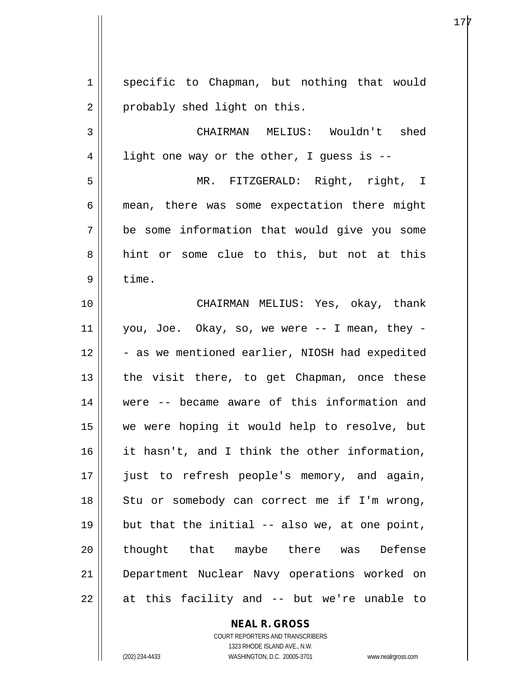1 || specific to Chapman, but nothing that would 2 | probably shed light on this. 3 CHAIRMAN MELIUS: Wouldn't shed  $4 \parallel$  light one way or the other, I guess is --5 MR. FITZGERALD: Right, right, I 6 mean, there was some expectation there might 7 be some information that would give you some 8 hint or some clue to this, but not at this  $9 \parallel$  time. 10 CHAIRMAN MELIUS: Yes, okay, thank  $11$  | you, Joe. Okay, so, we were  $-$ - I mean, they - $12$   $\parallel$  - as we mentioned earlier, NIOSH had expedited  $13$  || the visit there, to get Chapman, once these 14 were -- became aware of this information and 15 we were hoping it would help to resolve, but 16 it hasn't, and I think the other information, 17 || just to refresh people's memory, and again, 18 || Stu or somebody can correct me if I'm wrong, 19  $\parallel$  but that the initial -- also we, at one point, 20 || thought that maybe there was Defense 21 Department Nuclear Navy operations worked on  $22 \parallel$  at this facility and  $-$  but we're unable to

> **NEAL R. GROSS** COURT REPORTERS AND TRANSCRIBERS 1323 RHODE ISLAND AVE., N.W.

(202) 234-4433 WASHINGTON, D.C. 20005-3701 www.nealrgross.com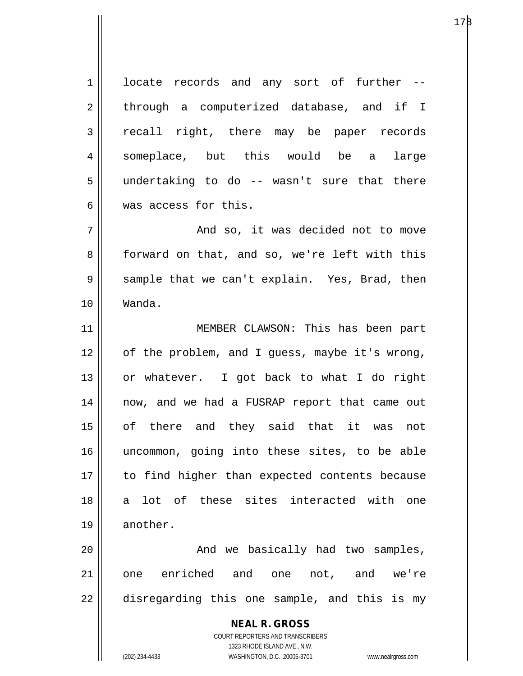$1 \parallel$  locate records and any sort of further  $-$ 2 || through a computerized database, and if I 3 recall right, there may be paper records 4 || someplace, but this would be a large  $5$  || undertaking to do -- wasn't sure that there 6 Was access for this. 7 And so, it was decided not to move 8 | forward on that, and so, we're left with this  $9 \parallel$  sample that we can't explain. Yes, Brad, then 10 Wanda. 11 || MEMBER CLAWSON: This has been part 12 || of the problem, and I guess, maybe it's wrong, 13 or whatever. I got back to what I do right 14 now, and we had a FUSRAP report that came out 15 of there and they said that it was not 16 uncommon, going into these sites, to be able 17 || to find higher than expected contents because

19 || another.

20 And we basically had two samples, 21 one enriched and one not, and we're  $22$   $\parallel$  disregarding this one sample, and this is my

18 a lot of these sites interacted with one

**NEAL R. GROSS** COURT REPORTERS AND TRANSCRIBERS 1323 RHODE ISLAND AVE., N.W.

(202) 234-4433 WASHINGTON, D.C. 20005-3701 www.nealrgross.com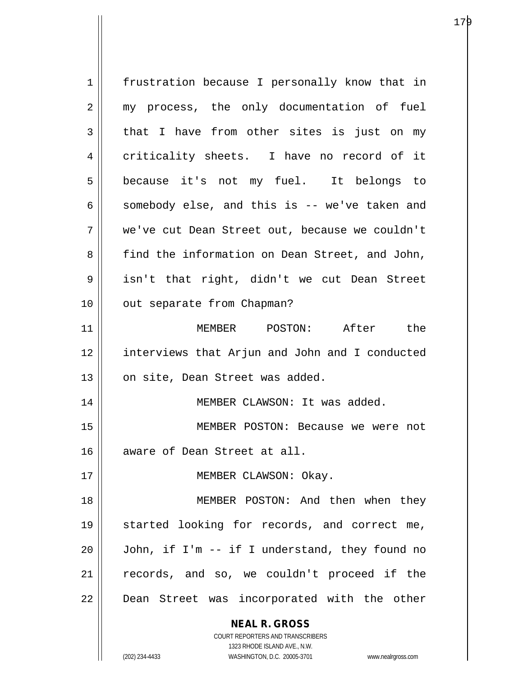| 1  | frustration because I personally know that in                       |
|----|---------------------------------------------------------------------|
| 2  | my process, the only documentation of fuel                          |
| 3  | that I have from other sites is just on my                          |
| 4  | criticality sheets. I have no record of it                          |
| 5  | because it's not my fuel. It belongs to                             |
| 6  | somebody else, and this is -- we've taken and                       |
| 7  | we've cut Dean Street out, because we couldn't                      |
| 8  | find the information on Dean Street, and John,                      |
| 9  | isn't that right, didn't we cut Dean Street                         |
| 10 | out separate from Chapman?                                          |
| 11 | MEMBER POSTON: After the                                            |
| 12 | interviews that Arjun and John and I conducted                      |
| 13 | on site, Dean Street was added.                                     |
| 14 | MEMBER CLAWSON: It was added.                                       |
| 15 | MEMBER POSTON: Because we were not                                  |
| 16 | aware of Dean Street at all.                                        |
| 17 | MEMBER CLAWSON: Okay.                                               |
| 18 | MEMBER POSTON: And then when they                                   |
| 19 | started looking for records, and correct me,                        |
| 20 | John, if I'm -- if I understand, they found no                      |
| 21 | records, and so, we couldn't proceed if the                         |
| 22 | Dean Street was incorporated with the other                         |
|    | <b>NEAL R. GROSS</b>                                                |
|    | COURT REPORTERS AND TRANSCRIBERS                                    |
|    | 1323 RHODE ISLAND AVE., N.W.                                        |
|    | (202) 234-4433<br>WASHINGTON, D.C. 20005-3701<br>www.nealrgross.com |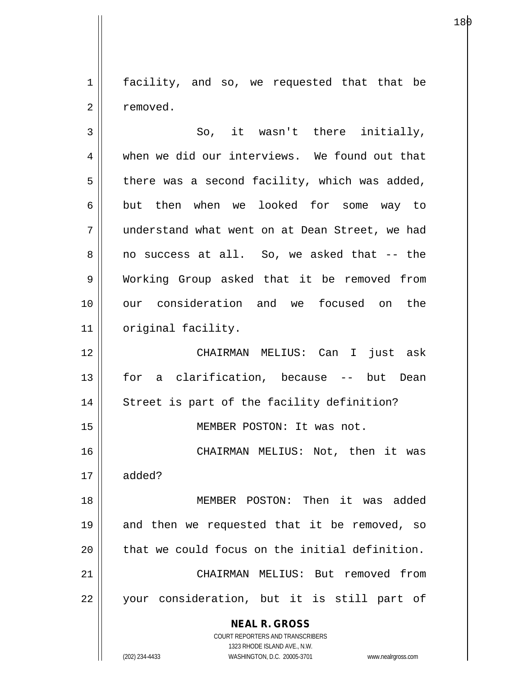1 | facility, and so, we requested that that be 2 | removed.

**NEAL R. GROSS** COURT REPORTERS AND TRANSCRIBERS  $3 \parallel$  So, it wasn't there initially, 4 when we did our interviews. We found out that  $5 \parallel$  there was a second facility, which was added, 6 but then when we looked for some way to 7 understand what went on at Dean Street, we had 8 no success at all. So, we asked that -- the 9 Working Group asked that it be removed from 10 our consideration and we focused on the 11 | original facility. 12 CHAIRMAN MELIUS: Can I just ask 13 for a clarification, because -- but Dean 14 || Street is part of the facility definition? 15 MEMBER POSTON: It was not. 16 CHAIRMAN MELIUS: Not, then it was 17 added? 18 MEMBER POSTON: Then it was added 19 || and then we requested that it be removed, so  $20$  that we could focus on the initial definition. 21 CHAIRMAN MELIUS: But removed from 22 || your consideration, but it is still part of

1323 RHODE ISLAND AVE., N.W.

(202) 234-4433 WASHINGTON, D.C. 20005-3701 www.nealrgross.com

е процессователи в последникото на 18 реку на 18 реку во 18 реку во 18 реку во 18 реку во 18 реку 1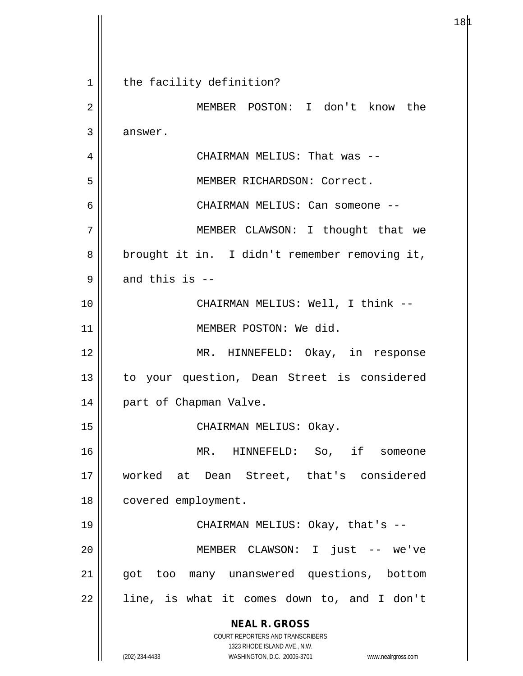**NEAL R. GROSS** COURT REPORTERS AND TRANSCRIBERS 1323 RHODE ISLAND AVE., N.W. (202) 234-4433 WASHINGTON, D.C. 20005-3701 www.nealrgross.com 1 || the facility definition? 2 MEMBER POSTON: I don't know the 3 answer. 4 CHAIRMAN MELIUS: That was -- 5 || MEMBER RICHARDSON: Correct. 6 CHAIRMAN MELIUS: Can someone -- 7 MEMBER CLAWSON: I thought that we 8 || brought it in. I didn't remember removing it,  $9 \parallel$  and this is --10 CHAIRMAN MELIUS: Well, I think -- 11 || MEMBER POSTON: We did. 12 || MR. HINNEFELD: Okay, in response 13 to your question, Dean Street is considered 14 | part of Chapman Valve. 15 || CHAIRMAN MELIUS: Okay. 16 MR. HINNEFELD: So, if someone 17 worked at Dean Street, that's considered 18 | covered employment. 19 CHAIRMAN MELIUS: Okay, that's -- 20 MEMBER CLAWSON: I just -- we've 21 || got too many unanswered questions, bottom 22 || line, is what it comes down to, and I don't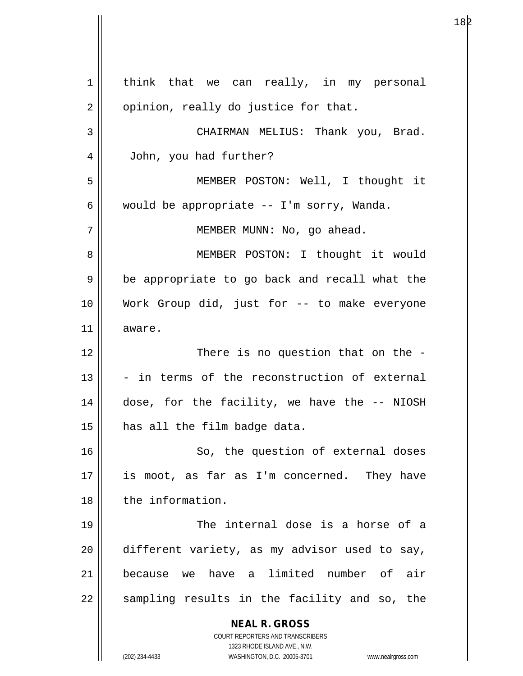**NEAL R. GROSS** COURT REPORTERS AND TRANSCRIBERS 1323 RHODE ISLAND AVE., N.W. (202) 234-4433 WASHINGTON, D.C. 20005-3701 www.nealrgross.com  $1 \parallel$  think that we can really, in my personal  $2 \parallel$  opinion, really do justice for that. 3 CHAIRMAN MELIUS: Thank you, Brad. 4 John, you had further? 5 MEMBER POSTON: Well, I thought it 6 | would be appropriate  $-$  I'm sorry, Wanda. 7 || MEMBER MUNN: No, go ahead. 8 || MEMBER POSTON: I thought it would 9 || be appropriate to go back and recall what the 10 Work Group did, just for -- to make everyone 11 aware. 12 || There is no question that on the - $13$   $\parallel$  - in terms of the reconstruction of external 14 dose, for the facility, we have the -- NIOSH  $15$  | has all the film badge data. 16 || So, the question of external doses  $17$  || is moot, as far as I'm concerned. They have 18 | the information. 19 The internal dose is a horse of a  $20$  | different variety, as my advisor used to say, 21 because we have a limited number of air 22 || sampling results in the facility and so, the

 $18\text{p}$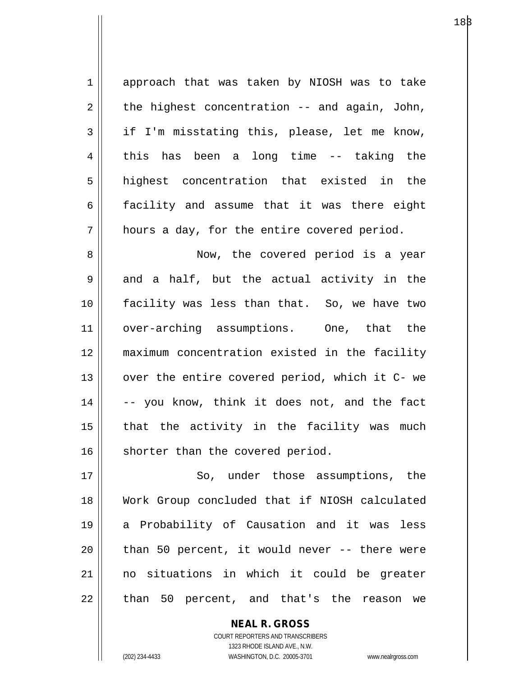| $\mathbf 1$ | approach that was taken by NIOSH was to take    |
|-------------|-------------------------------------------------|
| 2           | the highest concentration -- and again, John,   |
| 3           | if I'm misstating this, please, let me know,    |
| 4           | this has been a long time -- taking the         |
| 5           | highest concentration that existed in the       |
| 6           | facility and assume that it was there eight     |
| 7           | hours a day, for the entire covered period.     |
| 8           | Now, the covered period is a year               |
| $\mathsf 9$ | and a half, but the actual activity in the      |
| 10          | facility was less than that. So, we have two    |
| 11          | over-arching assumptions. One, that the         |
| 12          | maximum concentration existed in the facility   |
| 13          | over the entire covered period, which it C- we  |
| 14          | -- you know, think it does not, and the fact    |
| 15          | that the activity in the facility was much      |
| 16          | shorter than the covered period.                |
| 17          | So, under those assumptions, the                |
| 18          | Work Group concluded that if NIOSH calculated   |
| 19          | a Probability of Causation and it was less      |
| 20          | than 50 percent, it would never -- there were   |
| 21          | no situations in which it could be greater      |
| 22          | than 50 percent, and that's the<br>reason<br>we |

**NEAL R. GROSS** COURT REPORTERS AND TRANSCRIBERS 1323 RHODE ISLAND AVE., N.W. (202) 234-4433 WASHINGTON, D.C. 20005-3701 www.nealrgross.com

 $\mathbf{\mathsf{I}}$ 

 $18\beta$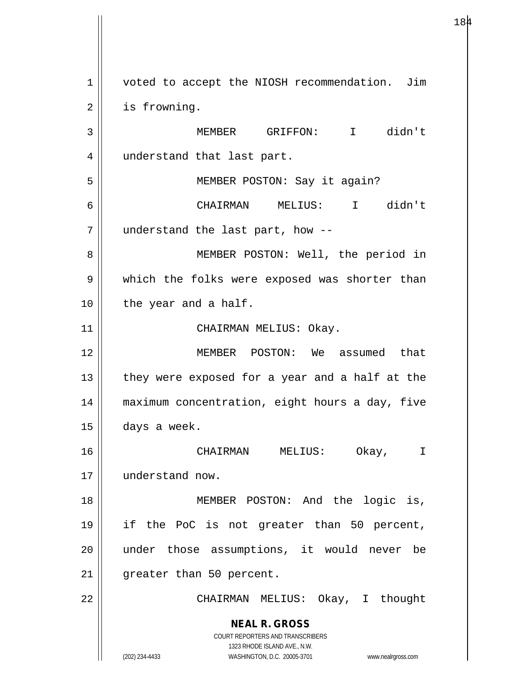**NEAL R. GROSS** COURT REPORTERS AND TRANSCRIBERS 1323 RHODE ISLAND AVE., N.W. 1 | voted to accept the NIOSH recommendation. Jim 2 | is frowning. 3 MEMBER GRIFFON: I didn't 4 || understand that last part. 5 MEMBER POSTON: Say it again? 6 CHAIRMAN MELIUS: I didn't 7 understand the last part, how -- 8 || MEMBER POSTON: Well, the period in 9 || which the folks were exposed was shorter than 10 || the year and a half. 11 || CHAIRMAN MELIUS: Okay. 12 MEMBER POSTON: We assumed that  $13$  || they were exposed for a year and a half at the 14 maximum concentration, eight hours a day, five  $15$   $\vert$  days a week. 16 CHAIRMAN MELIUS: Okay, I 17 understand now. 18 || MEMBER POSTON: And the logic is, 19 if the PoC is not greater than 50 percent, 20 under those assumptions, it would never be 21 | greater than 50 percent. 22 CHAIRMAN MELIUS: Okay, I thought

 $184$ 

(202) 234-4433 WASHINGTON, D.C. 20005-3701 www.nealrgross.com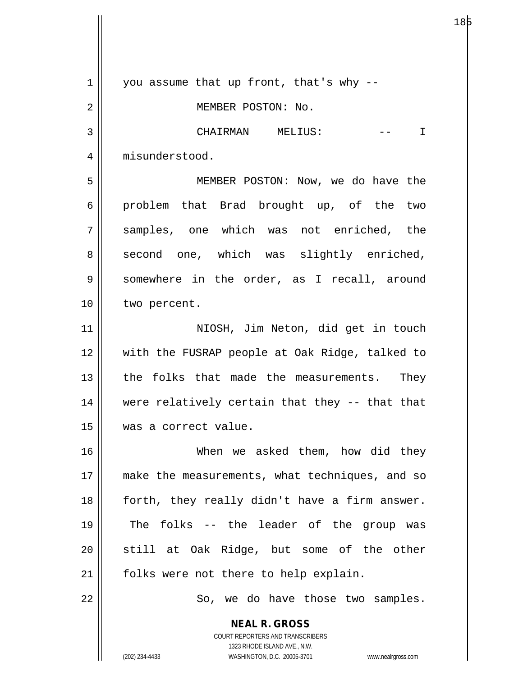**NEAL R. GROSS** COURT REPORTERS AND TRANSCRIBERS 1323 RHODE ISLAND AVE., N.W.  $1 \parallel$  you assume that up front, that's why --2 || MEMBER POSTON: No. 3 CHAIRMAN MELIUS: -- I 4 | misunderstood. 5 MEMBER POSTON: Now, we do have the  $6 \parallel$  problem that Brad brought up, of the two 7 samples, one which was not enriched, the 8 second one, which was slightly enriched, 9 | somewhere in the order, as I recall, around 10 | two percent. 11 || NIOSH, Jim Neton, did get in touch 12 with the FUSRAP people at Oak Ridge, talked to 13 || the folks that made the measurements. They 14 were relatively certain that they -- that that 15 was a correct value. 16 When we asked them, how did they 17 || make the measurements, what techniques, and so  $18$  | forth, they really didn't have a firm answer. 19 The folks -- the leader of the group was  $20$  still at Oak Ridge, but some of the other  $21$  | folks were not there to help explain. 22 | So, we do have those two samples.

(202) 234-4433 WASHINGTON, D.C. 20005-3701 www.nealrgross.com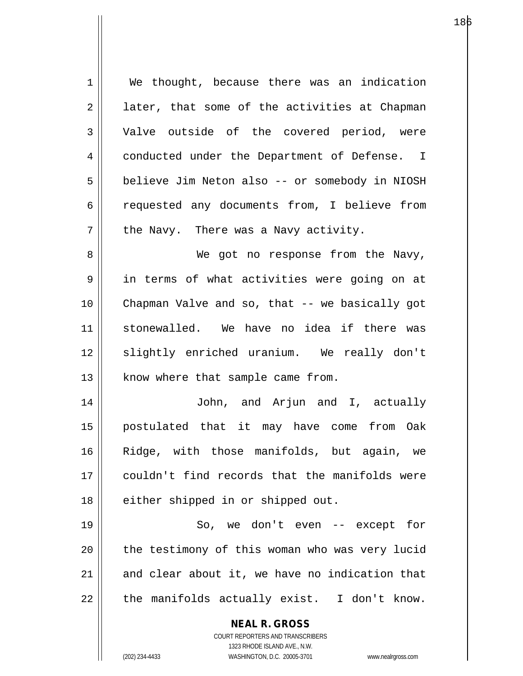**NEAL R. GROSS** COURT REPORTERS AND TRANSCRIBERS 1323 RHODE ISLAND AVE., N.W. 1 We thought, because there was an indication  $2 \parallel$  later, that some of the activities at Chapman 3 Valve outside of the covered period, were 4 | conducted under the Department of Defense. I 5 | believe Jim Neton also -- or somebody in NIOSH 6 || requested any documents from, I believe from  $7 \parallel$  the Navy. There was a Navy activity. 8 We got no response from the Navy, 9 in terms of what activities were going on at 10 Chapman Valve and so, that -- we basically got 11 stonewalled. We have no idea if there was 12 || slightly enriched uranium. We really don't 13 || know where that sample came from. 14 John, and Arjun and I, actually 15 postulated that it may have come from Oak 16 Ridge, with those manifolds, but again, we 17 couldn't find records that the manifolds were 18 || either shipped in or shipped out. 19 || So, we don't even -- except for 20 || the testimony of this woman who was very lucid  $21$  and clear about it, we have no indication that  $22$  | the manifolds actually exist. I don't know.

(202) 234-4433 WASHINGTON, D.C. 20005-3701 www.nealrgross.com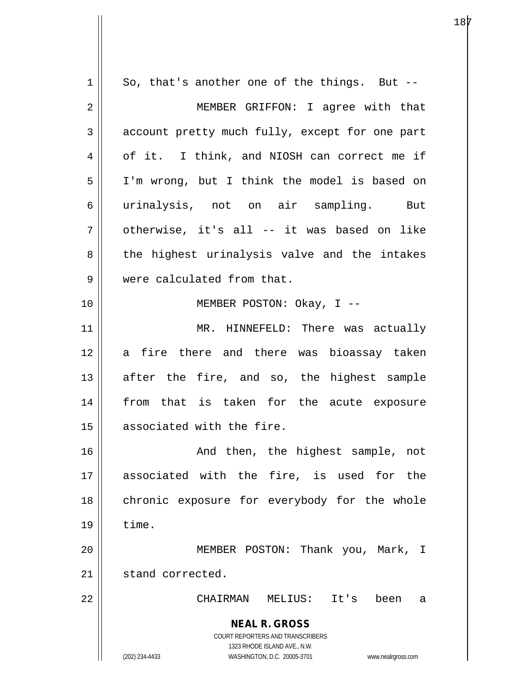**NEAL R. GROSS** COURT REPORTERS AND TRANSCRIBERS 1323 RHODE ISLAND AVE., N.W. (202) 234-4433 WASHINGTON, D.C. 20005-3701 www.nealrgross.com  $1 \parallel$  So, that's another one of the things. But --2 || MEMBER GRIFFON: I agree with that 3 account pretty much fully, except for one part 4 | of it. I think, and NIOSH can correct me if 5 I'm wrong, but I think the model is based on 6 urinalysis, not on air sampling. But  $7$  || otherwise, it's all -- it was based on like 8 || the highest urinalysis valve and the intakes 9 Were calculated from that. 10 MEMBER POSTON: Okay, I -- 11 || MR. HINNEFELD: There was actually 12 a fire there and there was bioassay taken  $13$  after the fire, and so, the highest sample 14 || from that is taken for the acute exposure 15 || associated with the fire. 16 || The Movid then, the highest sample, not 17 associated with the fire, is used for the 18 || chronic exposure for everybody for the whole  $19 \parallel$  time. 20 MEMBER POSTON: Thank you, Mark, I 21 | stand corrected. 22 CHAIRMAN MELIUS: It's been a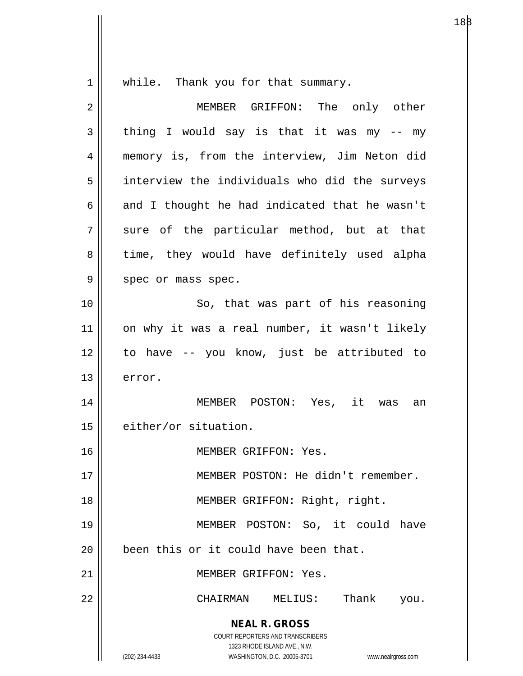$1 \parallel$  while. Thank you for that summary.

| 2  | MEMBER GRIFFON: The only other                                                                                                                                  |
|----|-----------------------------------------------------------------------------------------------------------------------------------------------------------------|
| 3  | thing I would say is that it was my -- my                                                                                                                       |
| 4  | memory is, from the interview, Jim Neton did                                                                                                                    |
| 5  | interview the individuals who did the surveys                                                                                                                   |
| 6  | and I thought he had indicated that he wasn't                                                                                                                   |
| 7  | sure of the particular method, but at that                                                                                                                      |
| 8  | time, they would have definitely used alpha                                                                                                                     |
| 9  | spec or mass spec.                                                                                                                                              |
| 10 | So, that was part of his reasoning                                                                                                                              |
| 11 | on why it was a real number, it wasn't likely                                                                                                                   |
| 12 | to have -- you know, just be attributed to                                                                                                                      |
| 13 | error.                                                                                                                                                          |
| 14 | MEMBER POSTON: Yes, it was an                                                                                                                                   |
| 15 | either/or situation.                                                                                                                                            |
| 16 | MEMBER GRIFFON: Yes.                                                                                                                                            |
| 17 | MEMBER POSTON: He didn't remember.                                                                                                                              |
| 18 | MEMBER GRIFFON: Right, right.                                                                                                                                   |
| 19 | MEMBER POSTON: So, it could have                                                                                                                                |
| 20 | been this or it could have been that.                                                                                                                           |
| 21 | MEMBER GRIFFON: Yes.                                                                                                                                            |
| 22 | Thank<br>CHAIRMAN<br>MELIUS:<br>you.                                                                                                                            |
|    | <b>NEAL R. GROSS</b><br>COURT REPORTERS AND TRANSCRIBERS<br>1323 RHODE ISLAND AVE., N.W.<br>(202) 234-4433<br>WASHINGTON, D.C. 20005-3701<br>www.nealrgross.com |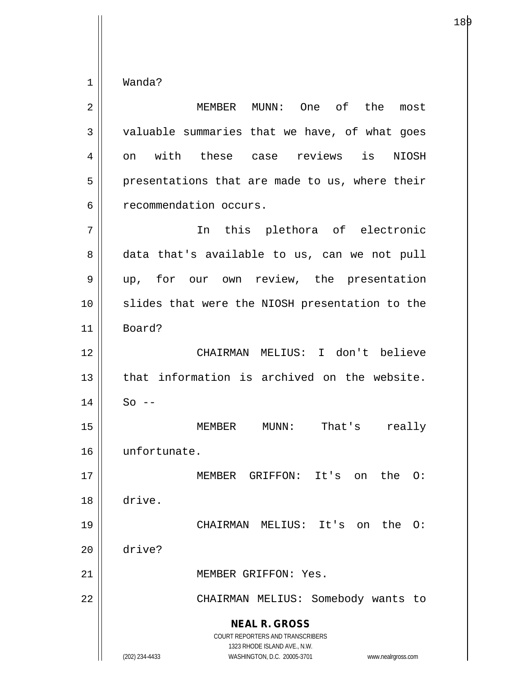$1 \parallel$  Wanda?

| 2  | MEMBER MUNN: One of the<br>most                                                                                                                                        |
|----|------------------------------------------------------------------------------------------------------------------------------------------------------------------------|
| 3  | valuable summaries that we have, of what goes                                                                                                                          |
| 4  | on with these case reviews is NIOSH                                                                                                                                    |
| 5  | presentations that are made to us, where their                                                                                                                         |
| 6  | recommendation occurs.                                                                                                                                                 |
| 7  | In this plethora of electronic                                                                                                                                         |
| 8  | data that's available to us, can we not pull                                                                                                                           |
| 9  | up, for our own review, the presentation                                                                                                                               |
| 10 | slides that were the NIOSH presentation to the                                                                                                                         |
| 11 | Board?                                                                                                                                                                 |
| 12 | CHAIRMAN MELIUS: I don't believe                                                                                                                                       |
| 13 | that information is archived on the website.                                                                                                                           |
| 14 | $So$ --                                                                                                                                                                |
| 15 | MEMBER MUNN: That's<br>really                                                                                                                                          |
| 16 | unfortunate.                                                                                                                                                           |
| 17 | MEMBER GRIFFON: It's<br>the 0:<br>on                                                                                                                                   |
| 18 | drive.                                                                                                                                                                 |
| 19 | CHAIRMAN MELIUS: It's on<br>the<br>$\Omega$ :                                                                                                                          |
| 20 | drive?                                                                                                                                                                 |
| 21 | MEMBER GRIFFON: Yes.                                                                                                                                                   |
| 22 | CHAIRMAN MELIUS: Somebody wants to                                                                                                                                     |
|    | <b>NEAL R. GROSS</b><br><b>COURT REPORTERS AND TRANSCRIBERS</b><br>1323 RHODE ISLAND AVE., N.W.<br>WASHINGTON, D.C. 20005-3701<br>(202) 234-4433<br>www.nealrgross.com |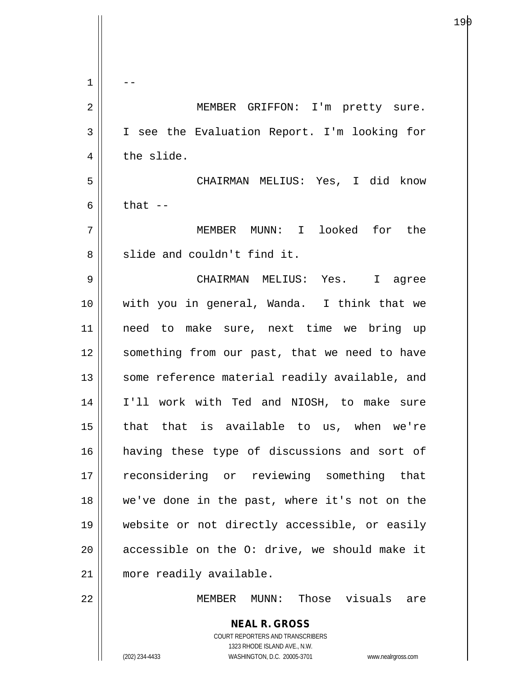| 1      |                                                                                          |
|--------|------------------------------------------------------------------------------------------|
| 2      | MEMBER GRIFFON: I'm pretty sure.                                                         |
| 3      | I see the Evaluation Report. I'm looking for                                             |
| 4      | the slide.                                                                               |
| 5      | CHAIRMAN MELIUS: Yes, I did know                                                         |
| 6      | that $-$                                                                                 |
| 7      | MEMBER MUNN: I looked for the                                                            |
| 8      | slide and couldn't find it.                                                              |
| 9      | CHAIRMAN MELIUS: Yes. I agree                                                            |
| 10     | with you in general, Wanda. I think that we                                              |
| 11     | need to make sure, next time we bring up                                                 |
| 12     | something from our past, that we need to have                                            |
| 13     | some reference material readily available, and                                           |
| 14     | I'll work with Ted and NIOSH, to make sure                                               |
| $15\,$ | that that is available to us, when we're                                                 |
| 16     | having these type of discussions and sort of                                             |
| 17     | reconsidering or reviewing something that                                                |
| 18     | we've done in the past, where it's not on the                                            |
| 19     | website or not directly accessible, or easily                                            |
| 20     | accessible on the O: drive, we should make it                                            |
| 21     | more readily available.                                                                  |
| 22     | MEMBER MUNN: Those visuals are                                                           |
|        | <b>NEAL R. GROSS</b><br>COURT REPORTERS AND TRANSCRIBERS<br>1323 RHODE ISLAND AVE., N.W. |
|        | (202) 234-4433<br>WASHINGTON, D.C. 20005-3701<br>www.nealrgross.com                      |

Ħ  $\overline{\phantom{a}}$ 

е процессователи в последници по процессователи в подата в селото на 19 рока в 19 рока в 19 рока в 19 рока в 1<br>Последници последници по производителности по производите на 19 рока в 19 рока в 19 рока в 19 рока в 19 рока в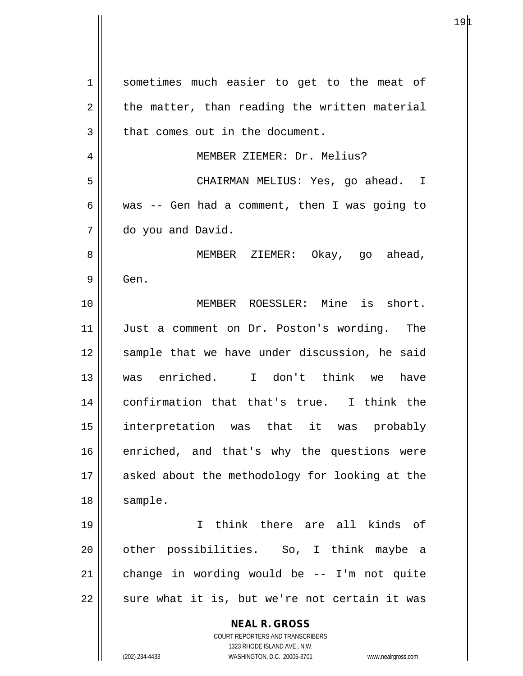**NEAL R. GROSS** COURT REPORTERS AND TRANSCRIBERS 1323 RHODE ISLAND AVE., N.W. (202) 234-4433 WASHINGTON, D.C. 20005-3701 www.nealrgross.com 1 || sometimes much easier to get to the meat of  $2 \parallel$  the matter, than reading the written material 3 || that comes out in the document. 4 | MEMBER ZIEMER: Dr. Melius? 5 CHAIRMAN MELIUS: Yes, go ahead. I 6 was -- Gen had a comment, then I was going to 7 do you and David. 8 || MEMBER ZIEMER: Okay, qo ahead,  $9 \parallel$  Gen. 10 MEMBER ROESSLER: Mine is short. 11 Just a comment on Dr. Poston's wording. The 12 || sample that we have under discussion, he said 13 was enriched. I don't think we have 14 confirmation that that's true. I think the 15 interpretation was that it was probably 16 enriched, and that's why the questions were 17 || asked about the methodology for looking at the 18 | sample. 19 I think there are all kinds of 20 || other possibilities. So, I think maybe a  $21$  change in wording would be -- I'm not quite  $22$  || sure what it is, but we're not certain it was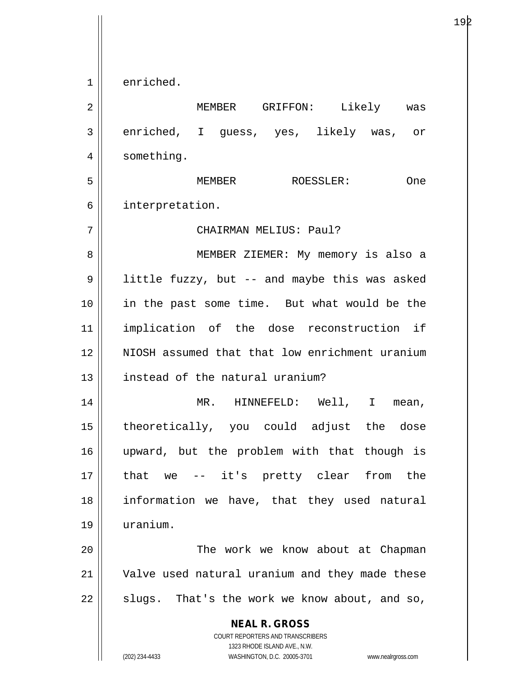**NEAL R. GROSS** COURT REPORTERS AND TRANSCRIBERS 1323 RHODE ISLAND AVE., N.W. 1 enriched. 2 MEMBER GRIFFON: Likely was 3 enriched, I guess, yes, likely was, or 4 | something. 5 MEMBER ROESSLER: One 6 || interpretation. 7 CHAIRMAN MELIUS: Paul? 8 || MEMBER ZIEMER: My memory is also a 9 || little fuzzy, but -- and maybe this was asked 10 || in the past some time. But what would be the 11 implication of the dose reconstruction if 12 NIOSH assumed that that low enrichment uranium 13 **instead of the natural uranium?** 14 MR. HINNEFELD: Well, I mean, 15 theoretically, you could adjust the dose 16 upward, but the problem with that though is 17 || that we -- it's pretty clear from the 18 information we have, that they used natural 19 uranium. 20 The work we know about at Chapman 21 Valve used natural uranium and they made these  $22$  || slugs. That's the work we know about, and so,

(202) 234-4433 WASHINGTON, D.C. 20005-3701 www.nealrgross.com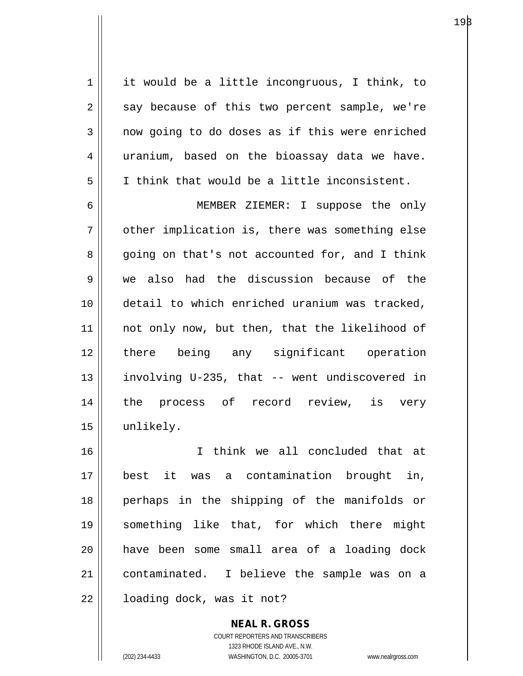$1 \parallel$  it would be a little incongruous, I think, to  $2 \parallel$  say because of this two percent sample, we're  $3 \parallel$  now going to do doses as if this were enriched  $4 \parallel$  uranium, based on the bioassay data we have.  $5 \parallel$  I think that would be a little inconsistent. 6 MEMBER ZIEMER: I suppose the only  $7 \parallel$  other implication is, there was something else 8 going on that's not accounted for, and I think 9 we also had the discussion because of the 10 detail to which enriched uranium was tracked, 11 || not only now, but then, that the likelihood of 12 there being any significant operation 13 involving U-235, that -- went undiscovered in 14 the process of record review, is very 15 unlikely. 16 I think we all concluded that at 17 best it was a contamination brought in, 18 perhaps in the shipping of the manifolds or

> COURT REPORTERS AND TRANSCRIBERS 1323 RHODE ISLAND AVE., N.W. (202) 234-4433 WASHINGTON, D.C. 20005-3701 www.nealrgross.com

**NEAL R. GROSS**

19 something like that, for which there might

20 have been some small area of a loading dock

21 contaminated. I believe the sample was on a

22 | loading dock, was it not?

 $19\beta$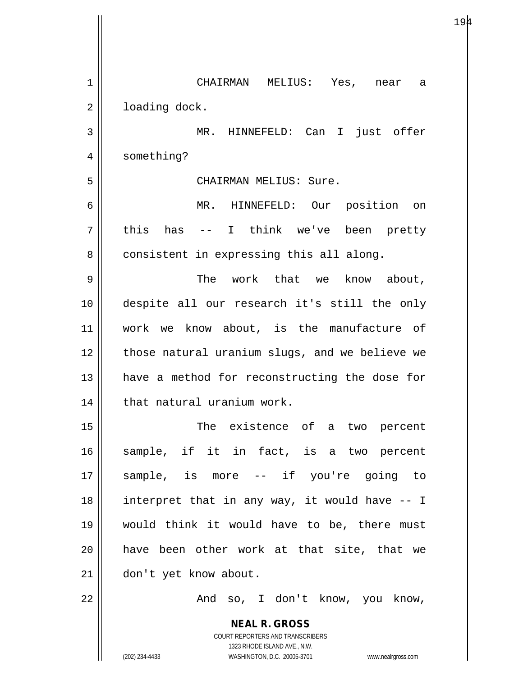| $\mathbf 1$ | CHAIRMAN<br>MELIUS: Yes, near<br>a                                  |
|-------------|---------------------------------------------------------------------|
| 2           | loading dock.                                                       |
| 3           | MR. HINNEFELD: Can I just offer                                     |
| 4           | something?                                                          |
| 5           | CHAIRMAN MELIUS: Sure.                                              |
| 6           | $MR$ .<br>HINNEFELD: Our position<br>on                             |
| 7           | I think we've been pretty<br>this<br>has                            |
| 8           | consistent in expressing this all along.                            |
| 9           | The work that we know about,                                        |
| 10          | despite all our research it's still the only                        |
| 11          | work we know about, is the manufacture of                           |
| 12          | those natural uranium slugs, and we believe we                      |
| 13          | have a method for reconstructing the dose for                       |
| 14          | that natural uranium work.                                          |
| 15          | The existence of a two percent                                      |
| 16          | sample, if it in fact, is a two percent                             |
| 17          | sample, is more -- if you're going to                               |
| 18          | interpret that in any way, it would have -- I                       |
| 19          | would think it would have to be, there must                         |
| 20          | have been other work at that site, that we                          |
| 21          | don't yet know about.                                               |
| 22          | And so, I don't know, you know,                                     |
|             | <b>NEAL R. GROSS</b>                                                |
|             | COURT REPORTERS AND TRANSCRIBERS<br>1323 RHODE ISLAND AVE., N.W.    |
|             | (202) 234-4433<br>WASHINGTON, D.C. 20005-3701<br>www.nealrgross.com |

 $194$ 

 $\mathsf{I}$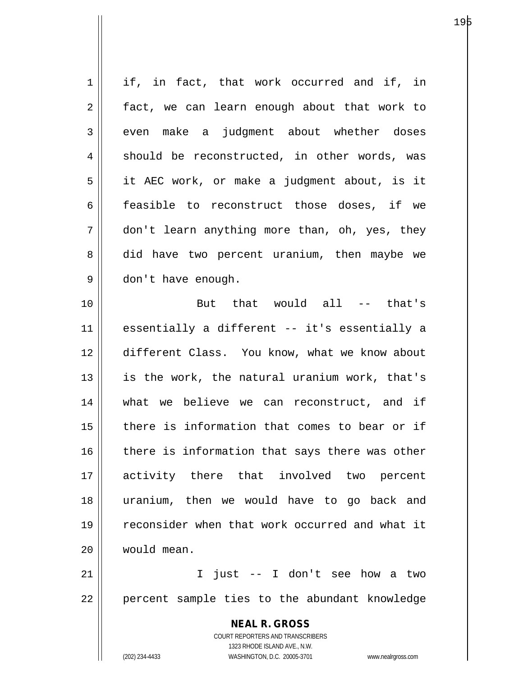| $\mathbf 1$    | if, in fact, that work occurred and if, in                          |
|----------------|---------------------------------------------------------------------|
| $\overline{2}$ | fact, we can learn enough about that work to                        |
| 3              | even make a judgment about whether doses                            |
| 4              | should be reconstructed, in other words, was                        |
| 5              | it AEC work, or make a judgment about, is it                        |
| 6              | feasible to reconstruct those doses, if we                          |
| 7              | don't learn anything more than, oh, yes, they                       |
| 8              | did have two percent uranium, then maybe we                         |
| 9              | don't have enough.                                                  |
| 10             | But that would all -- that's                                        |
| 11             | essentially a different -- it's essentially a                       |
| 12             | different Class. You know, what we know about                       |
| 13             | is the work, the natural uranium work, that's                       |
| 14             | what we believe we can reconstruct, and if                          |
| 15             | there is information that comes to bear or if                       |
| 16             | there is information that says there was other                      |
| 17             | activity there that involved two percent                            |
| 18             | uranium, then we would have to go back and                          |
| 19             | reconsider when that work occurred and what it                      |
| 20             | would mean.                                                         |
| 21             | I just -- I don't see how a two                                     |
| 22             | percent sample ties to the abundant knowledge                       |
|                | <b>NEAL R. GROSS</b>                                                |
|                | COURT REPORTERS AND TRANSCRIBERS                                    |
|                | 1323 RHODE ISLAND AVE., N.W.                                        |
|                | (202) 234-4433<br>WASHINGTON, D.C. 20005-3701<br>www.nealrgross.com |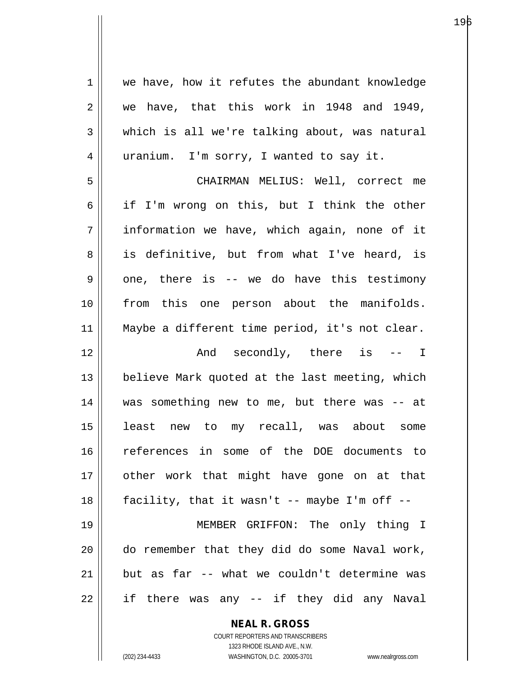1 | we have, how it refutes the abundant knowledge  $2 \parallel$  we have, that this work in 1948 and 1949,  $3 \parallel$  which is all we're talking about, was natural 4 || uranium. I'm sorry, I wanted to say it. 5 CHAIRMAN MELIUS: Well, correct me  $6 \parallel$  if I'm wrong on this, but I think the other 7 information we have, which again, none of it 8 || is definitive, but from what I've heard, is  $9 \parallel$  one, there is -- we do have this testimony 10 from this one person about the manifolds. 11 Maybe a different time period, it's not clear. 12 || The Mode secondly, there is -- I 13  $\parallel$  believe Mark quoted at the last meeting, which 14 || was something new to me, but there was -- at 15 least new to my recall, was about some 16 references in some of the DOE documents to 17 || other work that might have gone on at that  $18$  || facility, that it wasn't  $-$  maybe I'm off  $-$ 19 MEMBER GRIFFON: The only thing I 20 do remember that they did do some Naval work, 21 but as far  $-$  what we couldn't determine was  $22 \parallel$  if there was any -- if they did any Naval

> **NEAL R. GROSS** COURT REPORTERS AND TRANSCRIBERS

1323 RHODE ISLAND AVE., N.W. (202) 234-4433 WASHINGTON, D.C. 20005-3701 www.nealrgross.com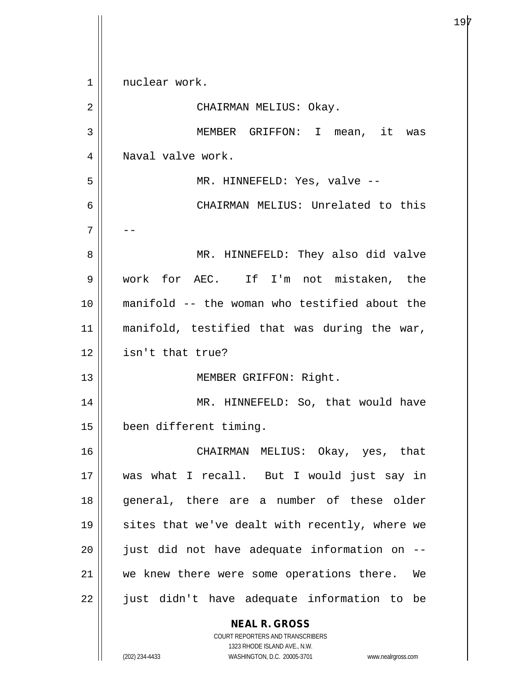**NEAL R. GROSS** COURT REPORTERS AND TRANSCRIBERS 1323 RHODE ISLAND AVE., N.W. 1 || nuclear work. 2 || CHAIRMAN MELIUS: Okay. 3 MEMBER GRIFFON: I mean, it was 4 || Naval valve work. 5 MR. HINNEFELD: Yes, valve -- 6 CHAIRMAN MELIUS: Unrelated to this 7 || --8 MR. HINNEFELD: They also did valve 9 work for AEC. If I'm not mistaken, the 10 manifold -- the woman who testified about the 11 || manifold, testified that was during the war, 12 isn't that true? 13 || MEMBER GRIFFON: Right. 14 MR. HINNEFELD: So, that would have 15 been different timing. 16 CHAIRMAN MELIUS: Okay, yes, that 17 was what I recall. But I would just say in 18 general, there are a number of these older 19  $\parallel$  sites that we've dealt with recently, where we  $20$  || just did not have adequate information on  $-$ 21 || we knew there were some operations there. We 22 || just didn't have adequate information to be

(202) 234-4433 WASHINGTON, D.C. 20005-3701 www.nealrgross.com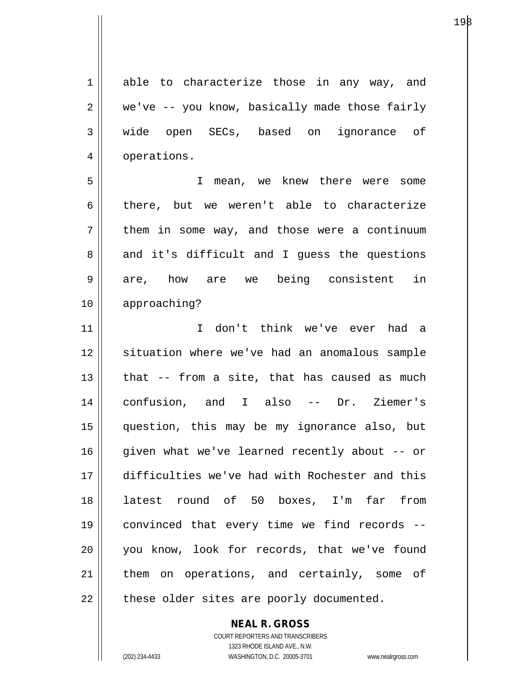1 able to characterize those in any way, and  $2 \parallel$  we've -- you know, basically made those fairly 3 wide open SECs, based on ignorance of 4 | operations.

5 I mean, we knew there were some 6 there, but we weren't able to characterize  $7 \parallel$  them in some way, and those were a continuum  $8 \parallel$  and it's difficult and I guess the questions 9 are, how are we being consistent in 10 approaching?

11 I don't think we've ever had a 12 || situation where we've had an anomalous sample  $13$  | that  $-$  from a site, that has caused as much 14 confusion, and I also -- Dr. Ziemer's 15 question, this may be my ignorance also, but 16 || given what we've learned recently about -- or 17 difficulties we've had with Rochester and this 18 latest round of 50 boxes, I'm far from 19 convinced that every time we find records -- 20 you know, look for records, that we've found 21 || them on operations, and certainly, some of  $22$  || these older sites are poorly documented.

> COURT REPORTERS AND TRANSCRIBERS 1323 RHODE ISLAND AVE., N.W. (202) 234-4433 WASHINGTON, D.C. 20005-3701 www.nealrgross.com

**NEAL R. GROSS**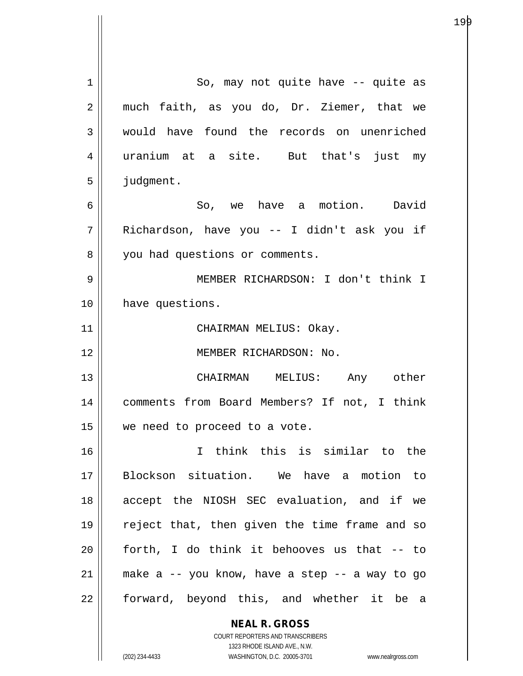| 1  | So, may not quite have -- quite as                       |
|----|----------------------------------------------------------|
| 2  | much faith, as you do, Dr. Ziemer, that we               |
| 3  | would have found the records on unenriched               |
| 4  | uranium at a site. But that's just my                    |
| 5  | judgment.                                                |
| 6  | So, we have a motion. David                              |
| 7  | Richardson, have you -- I didn't ask you if              |
| 8  | you had questions or comments.                           |
| 9  | MEMBER RICHARDSON: I don't think I                       |
| 10 | have questions.                                          |
| 11 | CHAIRMAN MELIUS: Okay.                                   |
| 12 | MEMBER RICHARDSON: No.                                   |
| 13 | CHAIRMAN MELIUS: Any other                               |
| 14 | comments from Board Members? If not, I think             |
| 15 | we need to proceed to a vote.                            |
| 16 | I think this is similar to the                           |
| 17 | Blockson situation. We have a motion to                  |
| 18 | accept the NIOSH SEC evaluation, and if we               |
| 19 | reject that, then given the time frame and so            |
| 20 | forth, I do think it behooves us that -- to              |
| 21 | make a -- you know, have a step -- a way to go           |
| 22 | forward, beyond this, and whether it be a                |
|    | <b>NEAL R. GROSS</b><br>COURT REPORTERS AND TRANSCRIBERS |

 $\mathsf{II}$ 

1323 RHODE ISLAND AVE., N.W. (202) 234-4433 WASHINGTON, D.C. 20005-3701 www.nealrgross.com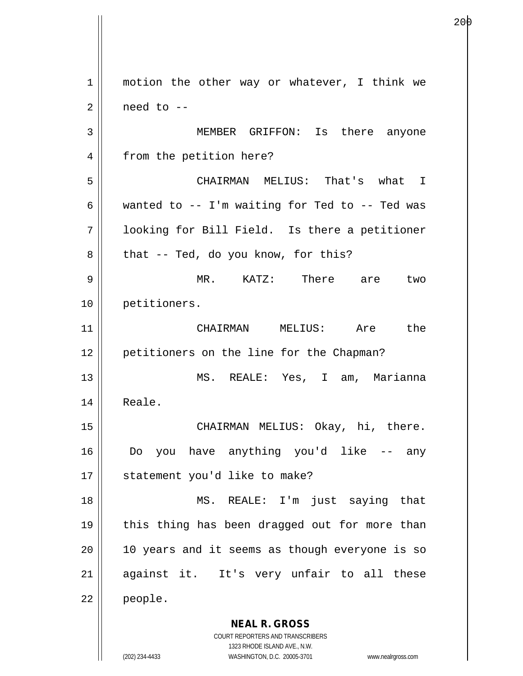**NEAL R. GROSS** COURT REPORTERS AND TRANSCRIBERS 1 || motion the other way or whatever, I think we  $2 \parallel$  need to  $-$ 3 MEMBER GRIFFON: Is there anyone 4 | from the petition here? 5 CHAIRMAN MELIUS: That's what I 6 | wanted to  $-$  I'm waiting for Ted to  $-$  Ted was 7 looking for Bill Field. Is there a petitioner  $8 \parallel$  that -- Ted, do you know, for this? 9 MR. KATZ: There are two 10 petitioners. 11 CHAIRMAN MELIUS: Are the 12 || petitioners on the line for the Chapman? 13 MS. REALE: Yes, I am, Marianna 14 | Reale. 15 || CHAIRMAN MELIUS: Okay, hi, there. 16 Do you have anything you'd like -- any 17 || statement you'd like to make? 18 MS. REALE: I'm just saying that 19 || this thing has been dragged out for more than  $20$  | 10 years and it seems as though everyone is so 21 || against it. It's very unfair to all these 22 people.

е производство на селото на 1920 година в 2001 година в 2014 година в 2014 година в 2014 година и 2014 година<br>В 1920 година в 2014 година в 2014 година в 2014 година в 2014 година в 2014 година в 2014 година в 2014 годин

1323 RHODE ISLAND AVE., N.W.

(202) 234-4433 WASHINGTON, D.C. 20005-3701 www.nealrgross.com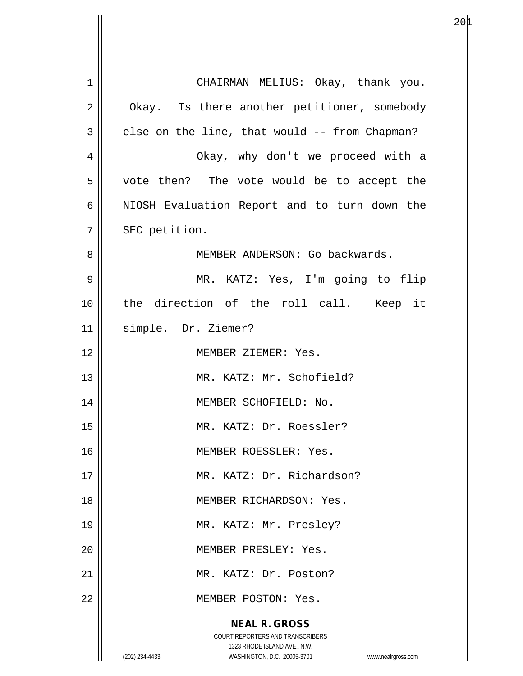**NEAL R. GROSS** COURT REPORTERS AND TRANSCRIBERS 1323 RHODE ISLAND AVE., N.W. (202) 234-4433 WASHINGTON, D.C. 20005-3701 www.nealrgross.com 1 CHAIRMAN MELIUS: Okay, thank you. 2 | Okay. Is there another petitioner, somebody  $3 \parallel$  else on the line, that would -- from Chapman? 4 Okay, why don't we proceed with a 5 || vote then? The vote would be to accept the 6 | NIOSH Evaluation Report and to turn down the 7 | SEC petition. 8 MEMBER ANDERSON: Go backwards. 9 MR. KATZ: Yes, I'm going to flip 10 the direction of the roll call. Keep it 11 simple. Dr. Ziemer? 12 MEMBER ZIEMER: Yes. 13 || MR. KATZ: Mr. Schofield? 14 || MEMBER SCHOFIELD: No. 15 MR. KATZ: Dr. Roessler? 16 || MEMBER ROESSLER: Yes. 17 MR. KATZ: Dr. Richardson? 18 MEMBER RICHARDSON: Yes. 19 || MR. KATZ: Mr. Presley? 20 MEMBER PRESLEY: Yes. 21 MR. KATZ: Dr. Poston? 22 | MEMBER POSTON: Yes.

 $20\text{\AA}$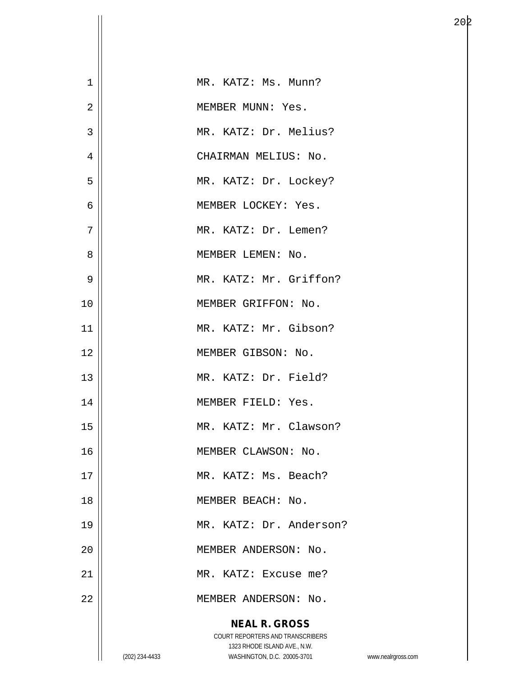| $\mathbf 1$    |                | MR. KATZ: Ms. Munn?                                         |                    |
|----------------|----------------|-------------------------------------------------------------|--------------------|
| $\overline{2}$ |                | MEMBER MUNN: Yes.                                           |                    |
| 3              |                | MR. KATZ: Dr. Melius?                                       |                    |
| $\overline{4}$ |                | CHAIRMAN MELIUS: No.                                        |                    |
| 5              |                | MR. KATZ: Dr. Lockey?                                       |                    |
| 6              |                | MEMBER LOCKEY: Yes.                                         |                    |
| 7              |                | MR. KATZ: Dr. Lemen?                                        |                    |
| 8              |                | MEMBER LEMEN: No.                                           |                    |
| 9              |                | MR. KATZ: Mr. Griffon?                                      |                    |
| 10             |                | MEMBER GRIFFON: No.                                         |                    |
| 11             |                | MR. KATZ: Mr. Gibson?                                       |                    |
| 12             |                | MEMBER GIBSON: No.                                          |                    |
| 13             |                | MR. KATZ: Dr. Field?                                        |                    |
| 14             |                | MEMBER FIELD: Yes.                                          |                    |
| 15             |                | MR. KATZ: Mr. Clawson?                                      |                    |
| 16             |                | MEMBER CLAWSON: No.                                         |                    |
| 17             |                | MR. KATZ: Ms. Beach?                                        |                    |
| 18             |                | MEMBER BEACH: No.                                           |                    |
| 19             |                | MR. KATZ: Dr. Anderson?                                     |                    |
| 20             |                | MEMBER ANDERSON: No.                                        |                    |
| 21             |                | MR. KATZ: Excuse me?                                        |                    |
| 22             |                | MEMBER ANDERSON: No.                                        |                    |
|                |                | <b>NEAL R. GROSS</b>                                        |                    |
|                |                | COURT REPORTERS AND TRANSCRIBERS                            |                    |
|                | (202) 234-4433 | 1323 RHODE ISLAND AVE., N.W.<br>WASHINGTON, D.C. 20005-3701 | www.nealrgross.com |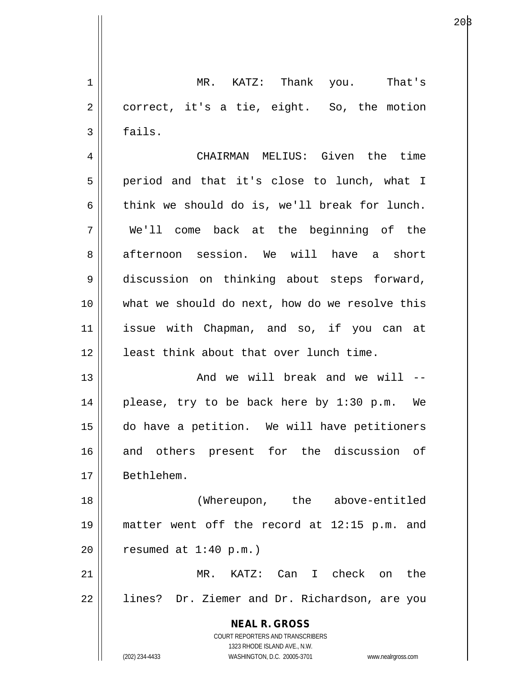1 MR. KATZ: Thank you. That's 2 | correct, it's a tie, eight. So, the motion  $3 \parallel$  fails.

4 CHAIRMAN MELIUS: Given the time 5 || period and that it's close to lunch, what I  $6 \parallel$  think we should do is, we'll break for lunch. 7 We'll come back at the beginning of the 8 afternoon session. We will have a short 9 discussion on thinking about steps forward, 10 what we should do next, how do we resolve this 11 issue with Chapman, and so, if you can at 12 || least think about that over lunch time. 13 And we will break and we will --

14 please, try to be back here by 1:30 p.m. We 15 do have a petition. We will have petitioners 16 and others present for the discussion of 17 Bethlehem.

18 (Whereupon, the above-entitled 19 matter went off the record at 12:15 p.m. and  $20$  | resumed at 1:40 p.m.)

21 MR. KATZ: Can I check on the 22 || lines? Dr. Ziemer and Dr. Richardson, are you

> **NEAL R. GROSS** COURT REPORTERS AND TRANSCRIBERS 1323 RHODE ISLAND AVE., N.W. (202) 234-4433 WASHINGTON, D.C. 20005-3701 www.nealrgross.com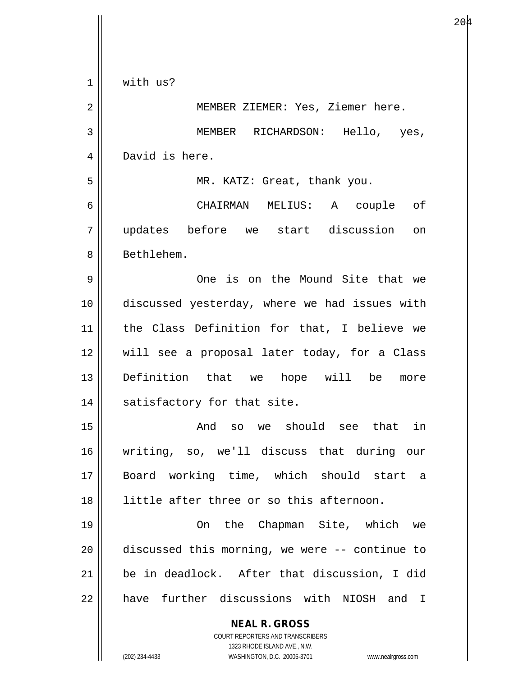| $\mathbf 1$ | with us?                                                            |
|-------------|---------------------------------------------------------------------|
| 2           | MEMBER ZIEMER: Yes, Ziemer here.                                    |
| 3           | MEMBER RICHARDSON: Hello, yes,                                      |
| 4           | David is here.                                                      |
| 5           | MR. KATZ: Great, thank you.                                         |
| 6           | CHAIRMAN MELIUS: A couple of                                        |
| 7           | updates before we start discussion<br>on                            |
| 8           | Bethlehem.                                                          |
| 9           | One is on the Mound Site that we                                    |
| 10          | discussed yesterday, where we had issues with                       |
| 11          | the Class Definition for that, I believe we                         |
| 12          | will see a proposal later today, for a Class                        |
| 13          | Definition that we hope will be<br>more                             |
| 14          | satisfactory for that site.                                         |
| 15          | And so we should see that in                                        |
| 16          | writing, so, we'll discuss that during our                          |
| 17          | Board working time, which should start a                            |
| 18          | little after three or so this afternoon.                            |
| 19          | On the Chapman Site, which we                                       |
| 20          | discussed this morning, we were -- continue to                      |
| 21          | be in deadlock. After that discussion, I did                        |
| 22          | have further discussions with NIOSH and I                           |
|             | <b>NEAL R. GROSS</b><br>COURT REPORTERS AND TRANSCRIBERS            |
|             | 1323 RHODE ISLAND AVE., N.W.                                        |
|             | (202) 234-4433<br>WASHINGTON, D.C. 20005-3701<br>www.nealrgross.com |

 $\overline{\phantom{a}}$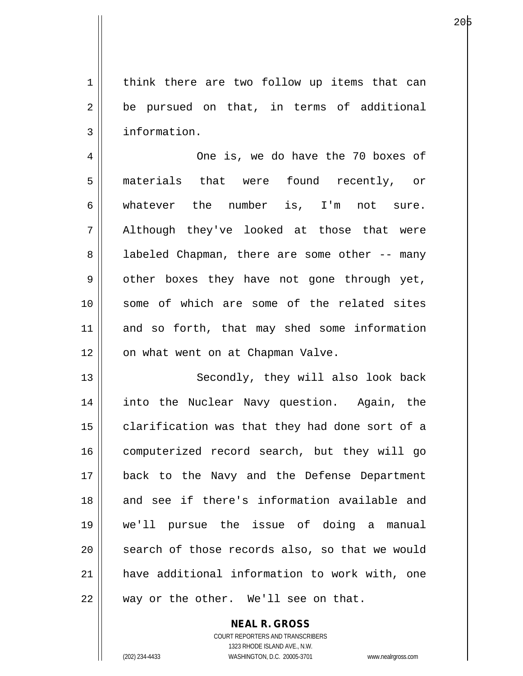1 | think there are two follow up items that can  $2 \parallel$  be pursued on that, in terms of additional 3 | information.

4 One is, we do have the 70 boxes of 5 materials that were found recently, or 6 whatever the number is, I'm not sure. 7 || Although they've looked at those that were 8 || labeled Chapman, there are some other -- many 9 || other boxes they have not gone through yet, 10 || some of which are some of the related sites 11 and so forth, that may shed some information 12 | on what went on at Chapman Valve.

13 || Secondly, they will also look back 14 into the Nuclear Navy question. Again, the 15 | clarification was that they had done sort of a 16 || computerized record search, but they will go 17 back to the Navy and the Defense Department 18 and see if there's information available and 19 we'll pursue the issue of doing a manual 20 || search of those records also, so that we would 21 have additional information to work with, one  $22$  || way or the other. We'll see on that.

> COURT REPORTERS AND TRANSCRIBERS 1323 RHODE ISLAND AVE., N.W. (202) 234-4433 WASHINGTON, D.C. 20005-3701 www.nealrgross.com

**NEAL R. GROSS**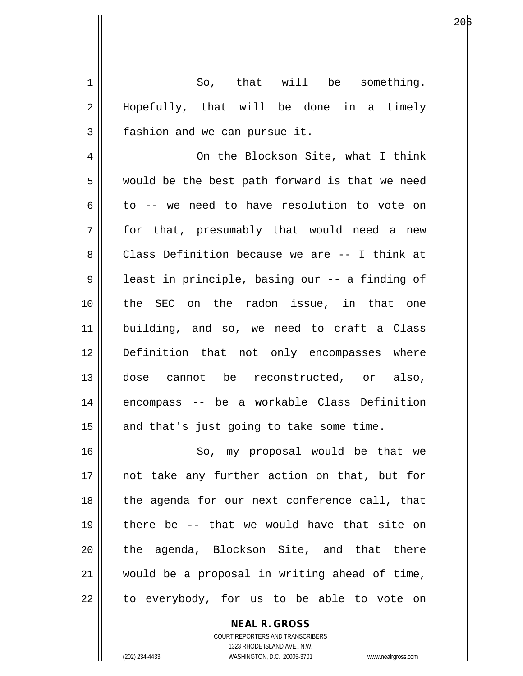$1 \parallel$  So, that will be something. 2 || Hopefully, that will be done in a timely 3 | fashion and we can pursue it.

4 || On the Blockson Site, what I think 5 || would be the best path forward is that we need  $6 \parallel$  to -- we need to have resolution to vote on 7 for that, presumably that would need a new 8 Class Definition because we are -- I think at 9 || least in principle, basing our -- a finding of 10 the SEC on the radon issue, in that one 11 building, and so, we need to craft a Class 12 Definition that not only encompasses where 13 dose cannot be reconstructed, or also, 14 encompass -- be a workable Class Definition  $15$  and that's just going to take some time.

16 || So, my proposal would be that we 17 || not take any further action on that, but for 18 || the agenda for our next conference call, that 19 there be -- that we would have that site on 20 the agenda, Blockson Site, and that there 21 would be a proposal in writing ahead of time,  $22$  || to everybody, for us to be able to vote on

> **NEAL R. GROSS** COURT REPORTERS AND TRANSCRIBERS 1323 RHODE ISLAND AVE., N.W. (202) 234-4433 WASHINGTON, D.C. 20005-3701 www.nealrgross.com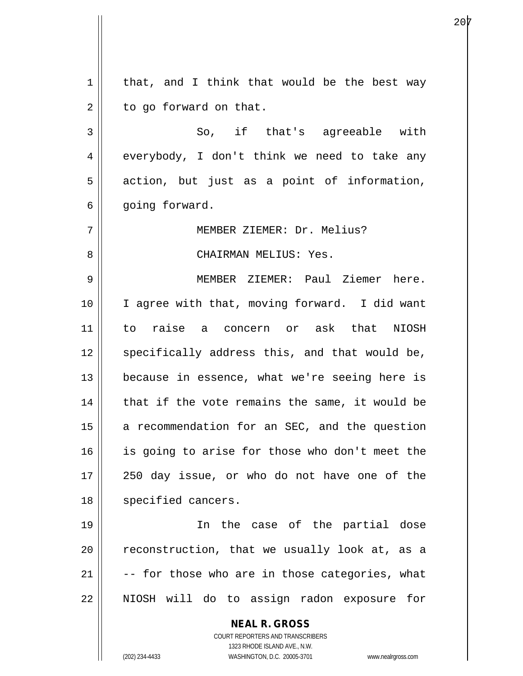**NEAL R. GROSS** COURT REPORTERS AND TRANSCRIBERS 1323 RHODE ISLAND AVE., N.W.  $1 \parallel$  that, and I think that would be the best way  $2 \parallel$  to go forward on that. 3 So, if that's agreeable with  $4 \parallel$  everybody, I don't think we need to take any  $5 \parallel$  action, but just as a point of information,  $6 \parallel$  going forward. 7 MEMBER ZIEMER: Dr. Melius? 8 CHAIRMAN MELIUS: Yes. 9 MEMBER ZIEMER: Paul Ziemer here. 10 || I agree with that, moving forward. I did want 11 to raise a concern or ask that NIOSH 12 || specifically address this, and that would be, 13 || because in essence, what we're seeing here is  $14$  | that if the vote remains the same, it would be  $15$  a recommendation for an SEC, and the question 16 || is going to arise for those who don't meet the 17 250 day issue, or who do not have one of the 18 || specified cancers. 19 In the case of the partial dose  $20$   $\parallel$  reconstruction, that we usually look at, as a  $21$   $\vert$  -- for those who are in those categories, what 22 || NIOSH will do to assign radon exposure for

(202) 234-4433 WASHINGTON, D.C. 20005-3701 www.nealrgross.com

е производите последни представителни под 20<mark>7</mark> године.<br>В 1930 године под 2014 године под 2014 године под 2014 године под 2014 године под 2014 године под 2014 године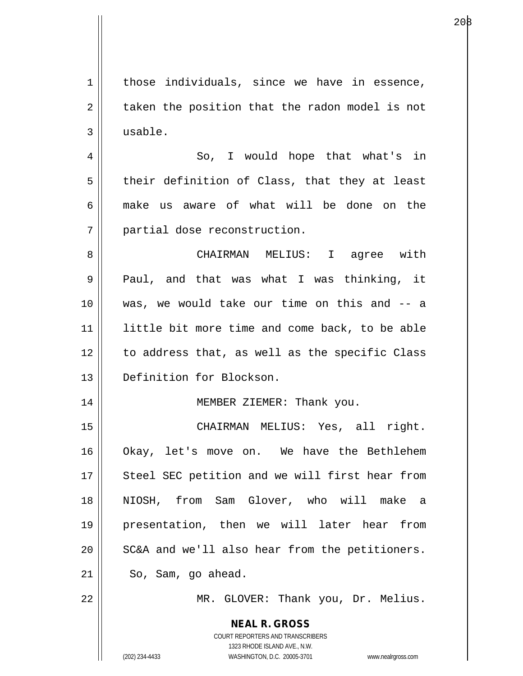**NEAL R. GROSS** COURT REPORTERS AND TRANSCRIBERS 1323 RHODE ISLAND AVE., N.W.  $1$  those individuals, since we have in essence,  $2 \parallel$  taken the position that the radon model is not 3 usable. 4 So, I would hope that what's in  $5 \parallel$  their definition of Class, that they at least 6 make us aware of what will be done on the 7 || partial dose reconstruction. 8 CHAIRMAN MELIUS: I agree with 9 || Paul, and that was what I was thinking, it 10 was, we would take our time on this and -- a 11 little bit more time and come back, to be able 12 || to address that, as well as the specific Class 13 Definition for Blockson. 14 MEMBER ZIEMER: Thank you. 15 CHAIRMAN MELIUS: Yes, all right. 16 Okay, let's move on. We have the Bethlehem 17 || Steel SEC petition and we will first hear from 18 NIOSH, from Sam Glover, who will make a 19 presentation, then we will later hear from  $20$   $\vert$  SC&A and we'll also hear from the petitioners.  $21$  So, Sam, go ahead. 22 || MR. GLOVER: Thank you, Dr. Melius.

(202) 234-4433 WASHINGTON, D.C. 20005-3701 www.nealrgross.com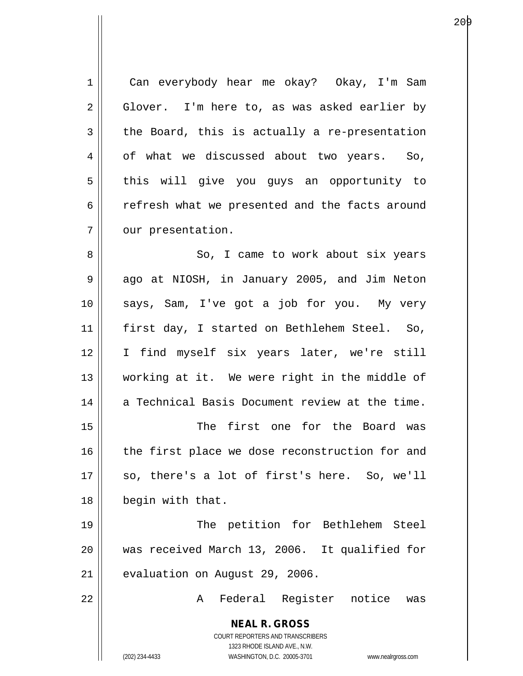**NEAL R. GROSS** COURT REPORTERS AND TRANSCRIBERS 1323 RHODE ISLAND AVE., N.W. (202) 234-4433 WASHINGTON, D.C. 20005-3701 www.nealrgross.com 1 Can everybody hear me okay? Okay, I'm Sam  $2 \parallel$  Glover. I'm here to, as was asked earlier by  $3 \parallel$  the Board, this is actually a re-presentation 4 | of what we discussed about two years. So, 5 | this will give you guys an opportunity to 6 c refresh what we presented and the facts around 7 | our presentation. 8 So, I came to work about six years 9 || ago at NIOSH, in January 2005, and Jim Neton 10 says, Sam, I've got a job for you. My very 11 first day, I started on Bethlehem Steel. So, 12 I find myself six years later, we're still 13 working at it. We were right in the middle of 14 || a Technical Basis Document review at the time. 15 The first one for the Board was 16 || the first place we dose reconstruction for and  $17 \parallel$  so, there's a lot of first's here. So, we'll 18 | begin with that. 19 || The petition for Bethlehem Steel 20 was received March 13, 2006. It qualified for  $21$  | evaluation on August 29, 2006. 22 A Federal Register notice was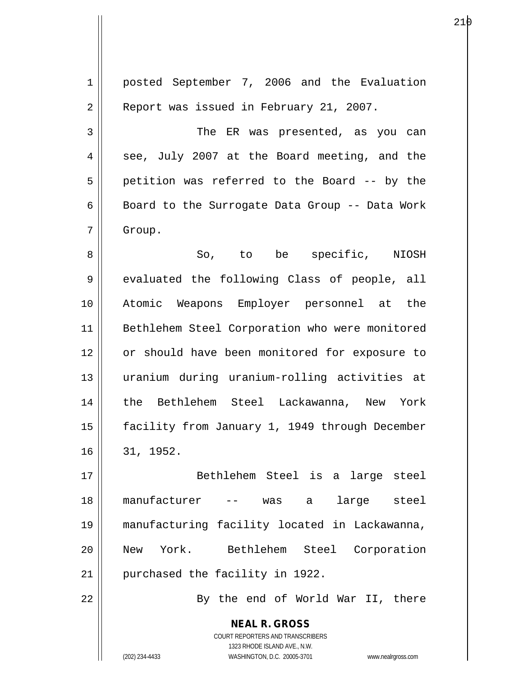| $\mathbf 1$    | posted September 7, 2006 and the Evaluation                                                         |
|----------------|-----------------------------------------------------------------------------------------------------|
| $\overline{2}$ | Report was issued in February 21, 2007.                                                             |
| 3              | The ER was presented, as you can                                                                    |
| 4              | see, July 2007 at the Board meeting, and the                                                        |
| 5              | petition was referred to the Board -- by the                                                        |
| 6              | Board to the Surrogate Data Group -- Data Work                                                      |
| 7              | Group.                                                                                              |
| 8              | So, to be specific, NIOSH                                                                           |
| $\mathsf 9$    | evaluated the following Class of people, all                                                        |
| 10             | Atomic Weapons Employer personnel at the                                                            |
| 11             | Bethlehem Steel Corporation who were monitored                                                      |
| 12             | or should have been monitored for exposure to                                                       |
| 13             | uranium during uranium-rolling activities at                                                        |
| 14             | the Bethlehem Steel Lackawanna, New York                                                            |
| 15             | facility from January 1, 1949 through December                                                      |
| 16             | 31, 1952.                                                                                           |
| 17             | Bethlehem Steel is a large steel                                                                    |
| 18             | manufacturer<br>large steel<br>-- was a                                                             |
| 19             | manufacturing facility located in Lackawanna,                                                       |
| 20             | New York. Bethlehem Steel Corporation                                                               |
| 21             | purchased the facility in 1922.                                                                     |
|                |                                                                                                     |
| 22             | By the end of World War II, there                                                                   |
|                | <b>NEAL R. GROSS</b>                                                                                |
|                | <b>COURT REPORTERS AND TRANSCRIBERS</b>                                                             |
|                | 1323 RHODE ISLAND AVE., N.W.<br>WASHINGTON, D.C. 20005-3701<br>(202) 234-4433<br>www.nealrgross.com |
|                |                                                                                                     |

е в селото на 1920 година в 21 реки в 21 реки в 21 реки в 21 реки в 21 реки в 21 реки в 21 реки в 2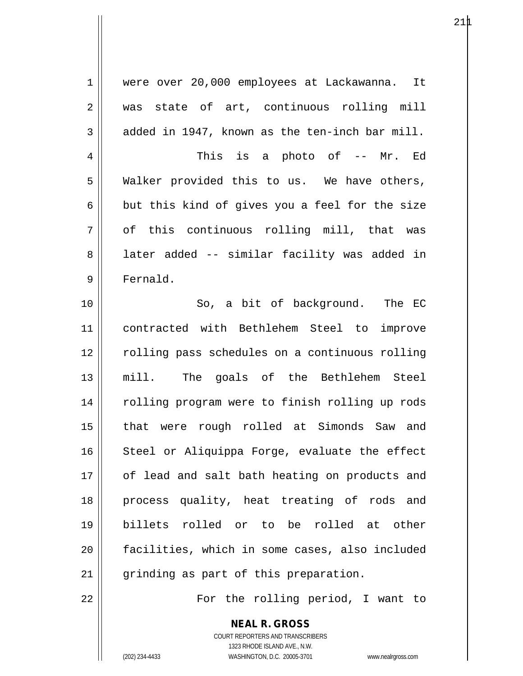1 were over 20,000 employees at Lackawanna. It 2 was state of art, continuous rolling mill  $3 \parallel$  added in 1947, known as the ten-inch bar mill. 4 This is a photo of -- Mr. Ed  $5 \parallel$  Walker provided this to us. We have others,  $6 \parallel$  but this kind of gives you a feel for the size  $7 \parallel$  of this continuous rolling mill, that was 8 | later added -- similar facility was added in 9 Fernald. 10 || So, a bit of background. The EC 11 contracted with Bethlehem Steel to improve 12 || rolling pass schedules on a continuous rolling 13 mill. The goals of the Bethlehem Steel 14 || rolling program were to finish rolling up rods 15 that were rough rolled at Simonds Saw and  $16$  Steel or Aliquippa Forge, evaluate the effect 17 || of lead and salt bath heating on products and 18 process quality, heat treating of rods and 19 billets rolled or to be rolled at other 20 facilities, which in some cases, also included 21 || grinding as part of this preparation.

22 For the rolling period, I want to

**NEAL R. GROSS** COURT REPORTERS AND TRANSCRIBERS

1323 RHODE ISLAND AVE., N.W.

(202) 234-4433 WASHINGTON, D.C. 20005-3701 www.nealrgross.com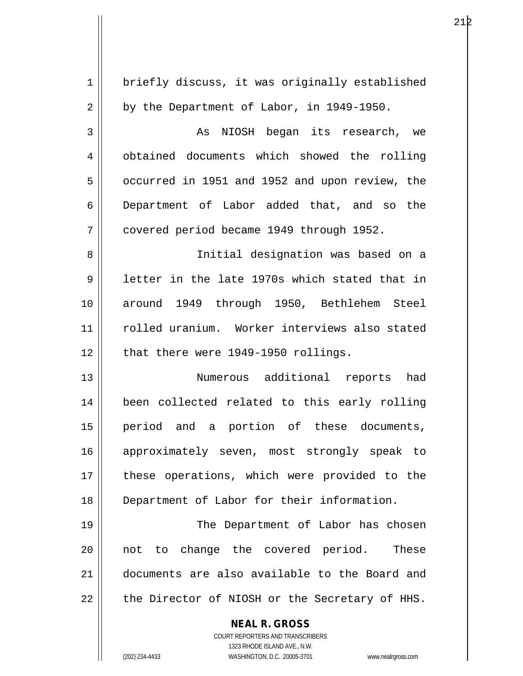| $\mathbf 1$ | briefly discuss, it was originally established                      |
|-------------|---------------------------------------------------------------------|
| 2           | by the Department of Labor, in 1949-1950.                           |
| 3           | NIOSH began its research, we<br>As                                  |
| 4           | obtained documents which showed the rolling                         |
| 5           | occurred in 1951 and 1952 and upon review, the                      |
| 6           | Department of Labor added that, and so the                          |
| 7           | covered period became 1949 through 1952.                            |
| 8           | Initial designation was based on a                                  |
| 9           | letter in the late 1970s which stated that in                       |
| 10          | around 1949 through 1950, Bethlehem Steel                           |
| 11          | rolled uranium. Worker interviews also stated                       |
| 12          | that there were 1949-1950 rollings.                                 |
| 13          | Numerous additional reports had                                     |
| 14          | been collected related to this early rolling                        |
| 15          | period and a portion of these documents,                            |
| 16          | approximately seven, most strongly speak to                         |
| 17          | these operations, which were provided to the                        |
| 18          | Department of Labor for their information.                          |
| 19          | The Department of Labor has chosen                                  |
| 20          | not to change the covered period.<br>These                          |
| 21          | documents are also available to the Board and                       |
| 22          | the Director of NIOSH or the Secretary of HHS.                      |
|             | <b>NEAL R. GROSS</b>                                                |
|             | COURT REPORTERS AND TRANSCRIBERS                                    |
|             | 1323 RHODE ISLAND AVE., N.W.                                        |
|             | (202) 234-4433<br>WASHINGTON, D.C. 20005-3701<br>www.nealrgross.com |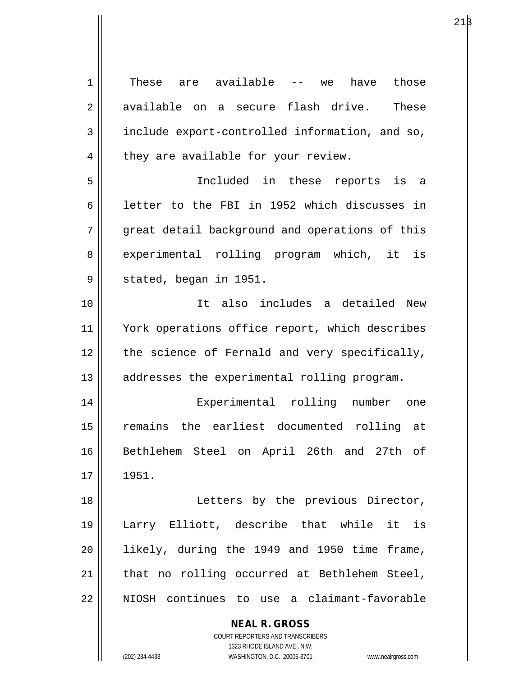| $\mathbf 1$ | These are available<br>those<br>have<br>$---$ we                    |
|-------------|---------------------------------------------------------------------|
| 2           | available on a secure flash drive.<br>These                         |
| 3           | include export-controlled information, and so,                      |
| 4           | they are available for your review.                                 |
| 5           | Included in these reports is a                                      |
| 6           | letter to the FBI in 1952 which discusses in                        |
| 7           | great detail background and operations of this                      |
| 8           | experimental rolling program which, it is                           |
| 9           | stated, began in 1951.                                              |
| 10          | It also includes a detailed<br>New                                  |
| 11          | York operations office report, which describes                      |
| 12          | the science of Fernald and very specifically,                       |
| 13          | addresses the experimental rolling program.                         |
| 14          | Experimental rolling<br>number<br>one                               |
| 15          | remains the earliest documented rolling at                          |
| 16          | Bethlehem Steel on April 26th and 27th of                           |
| 17          | 1951.                                                               |
| 18          | Letters by the previous Director,                                   |
| 19          | Larry Elliott, describe that while it is                            |
| 20          | likely, during the 1949 and 1950 time frame,                        |
| 21          | that no rolling occurred at Bethlehem Steel,                        |
| 22          | NIOSH continues to use a claimant-favorable                         |
|             | <b>NEAL R. GROSS</b>                                                |
|             | <b>COURT REPORTERS AND TRANSCRIBERS</b>                             |
|             | 1323 RHODE ISLAND AVE., N.W.                                        |
|             | (202) 234-4433<br>WASHINGTON, D.C. 20005-3701<br>www.nealrgross.com |

 $21\beta$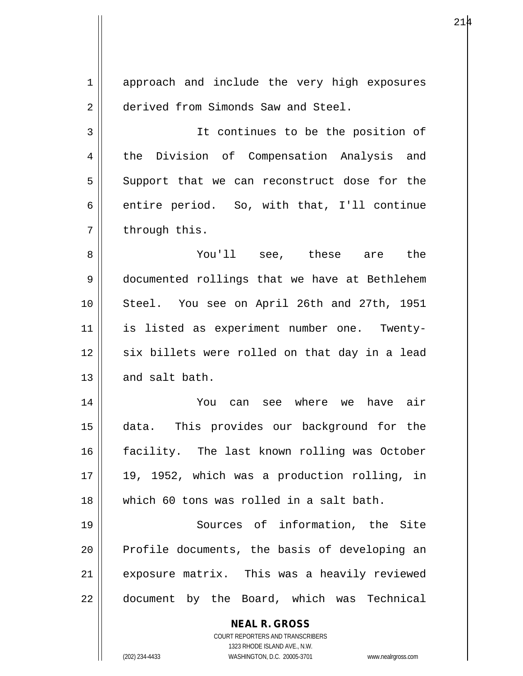| $\mathbf 1$ | approach and include the very high exposures                                                        |
|-------------|-----------------------------------------------------------------------------------------------------|
| 2           | derived from Simonds Saw and Steel.                                                                 |
| 3           | It continues to be the position of                                                                  |
| 4           | the Division of Compensation Analysis and                                                           |
| 5           | Support that we can reconstruct dose for the                                                        |
| 6           | entire period. So, with that, I'll continue                                                         |
| 7           | through this.                                                                                       |
| 8           | You'll see, these are the                                                                           |
| 9           | documented rollings that we have at Bethlehem                                                       |
| 10          | Steel. You see on April 26th and 27th, 1951                                                         |
| 11          | is listed as experiment number one. Twenty-                                                         |
| 12          | six billets were rolled on that day in a lead                                                       |
| 13          | and salt bath.                                                                                      |
| 14          | can see where we<br>have air<br>You                                                                 |
| 15          | This provides our background for the<br>data.                                                       |
| 16          | facility. The last known rolling was October                                                        |
| 17          | 19, 1952, which was a production rolling, in                                                        |
| 18          | which 60 tons was rolled in a salt bath.                                                            |
| 19          | Sources of information, the Site                                                                    |
| 20          | Profile documents, the basis of developing an                                                       |
| 21          | exposure matrix. This was a heavily reviewed                                                        |
| 22          | document by the Board, which was Technical                                                          |
|             | <b>NEAL R. GROSS</b>                                                                                |
|             | COURT REPORTERS AND TRANSCRIBERS                                                                    |
|             | 1323 RHODE ISLAND AVE., N.W.<br>(202) 234-4433<br>WASHINGTON, D.C. 20005-3701<br>www.nealrgross.com |

 $\mathsf{I}$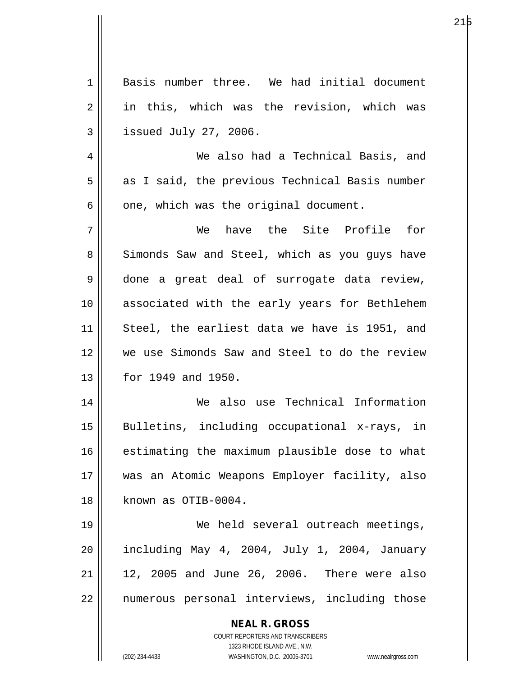| $\mathbf 1$ | Basis number three. We had initial document                         |
|-------------|---------------------------------------------------------------------|
| 2           | in this, which was the revision, which was                          |
| 3           | issued July 27, 2006.                                               |
| 4           | We also had a Technical Basis, and                                  |
| 5           | as I said, the previous Technical Basis number                      |
| 6           | one, which was the original document.                               |
| 7           | We have the Site Profile for                                        |
| 8           | Simonds Saw and Steel, which as you guys have                       |
| 9           | done a great deal of surrogate data review,                         |
| 10          | associated with the early years for Bethlehem                       |
| 11          | Steel, the earliest data we have is 1951, and                       |
| 12          | we use Simonds Saw and Steel to do the review                       |
| 13          | for 1949 and 1950.                                                  |
| 14          | We also use Technical Information                                   |
| 15          | Bulletins, including occupational x-rays, in                        |
| 16          |                                                                     |
|             | estimating the maximum plausible dose to what                       |
| 17          | was an Atomic Weapons Employer facility, also                       |
| 18          | known as OTIB-0004.                                                 |
| 19          | We held several outreach meetings,                                  |
| 20          | including May 4, 2004, July 1, 2004, January                        |
| 21          | 12, 2005 and June 26, 2006. There were also                         |
| 22          | numerous personal interviews, including those                       |
|             | <b>NEAL R. GROSS</b>                                                |
|             | COURT REPORTERS AND TRANSCRIBERS                                    |
|             | 1323 RHODE ISLAND AVE., N.W.                                        |
|             | (202) 234-4433<br>WASHINGTON, D.C. 20005-3701<br>www.nealrgross.com |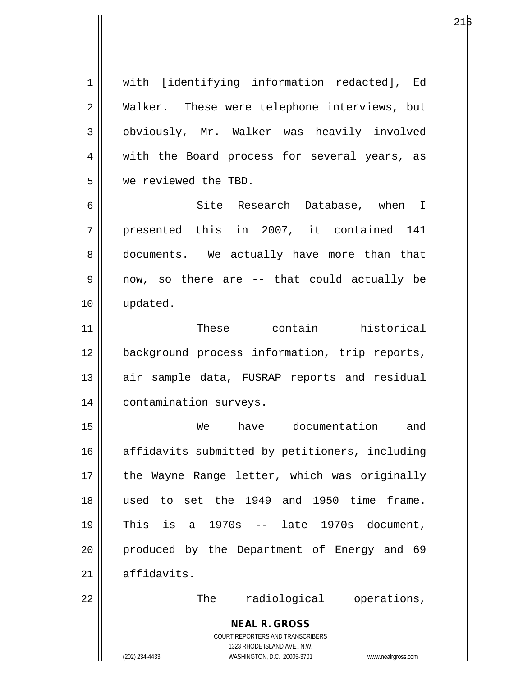1 || with [identifying information redacted], Ed 2 Walker. These were telephone interviews, but 3 | obviously, Mr. Walker was heavily involved 4 || with the Board process for several years, as 5 we reviewed the TBD. 6 || Site Research Database, when I

7 || presented this in 2007, it contained 141 8 || documents. We actually have more than that  $9 \parallel$  now, so there are -- that could actually be 10 updated.

11 These contain historical 12 background process information, trip reports, 13 || air sample data, FUSRAP reports and residual 14 | contamination surveys.

15 We have documentation and 16 || affidavits submitted by petitioners, including 17 || the Wayne Range letter, which was originally 18 used to set the 1949 and 1950 time frame. 19 This is a 1970s -- late 1970s document, 20 || produced by the Department of Energy and 69  $21$  affidavits.

22 || The radiological operations,

**NEAL R. GROSS** COURT REPORTERS AND TRANSCRIBERS 1323 RHODE ISLAND AVE., N.W.

(202) 234-4433 WASHINGTON, D.C. 20005-3701 www.nealrgross.com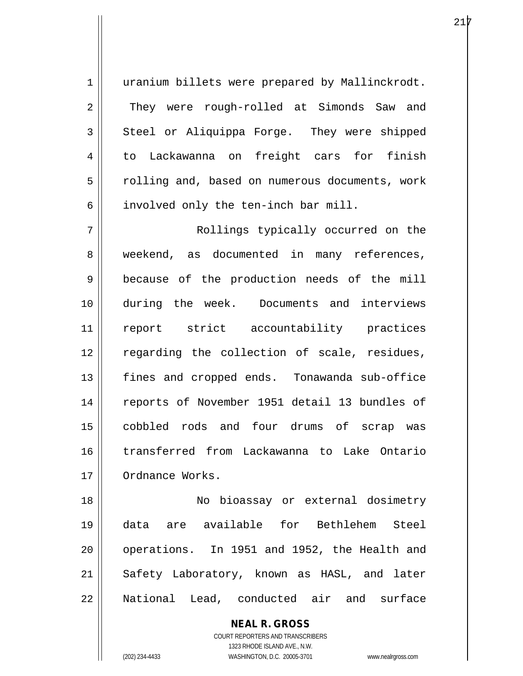1 || uranium billets were prepared by Mallinckrodt. 2 They were rough-rolled at Simonds Saw and  $3 \parallel$  Steel or Aliquippa Forge. They were shipped 4 to Lackawanna on freight cars for finish 5 | rolling and, based on numerous documents, work  $6 \parallel$  involved only the ten-inch bar mill.

7 || Rollings typically occurred on the 8 weekend, as documented in many references, 9 because of the production needs of the mill 10 during the week. Documents and interviews 11 report strict accountability practices 12 || regarding the collection of scale, residues, 13 fines and cropped ends. Tonawanda sub-office 14 || reports of November 1951 detail 13 bundles of 15 cobbled rods and four drums of scrap was 16 transferred from Lackawanna to Lake Ontario 17 | Ordnance Works.

18 No bioassay or external dosimetry 19 data are available for Bethlehem Steel 20 || operations. In 1951 and 1952, the Health and 21 || Safety Laboratory, known as HASL, and later 22 National Lead, conducted air and surface

> **NEAL R. GROSS** COURT REPORTERS AND TRANSCRIBERS 1323 RHODE ISLAND AVE., N.W. (202) 234-4433 WASHINGTON, D.C. 20005-3701 www.nealrgross.com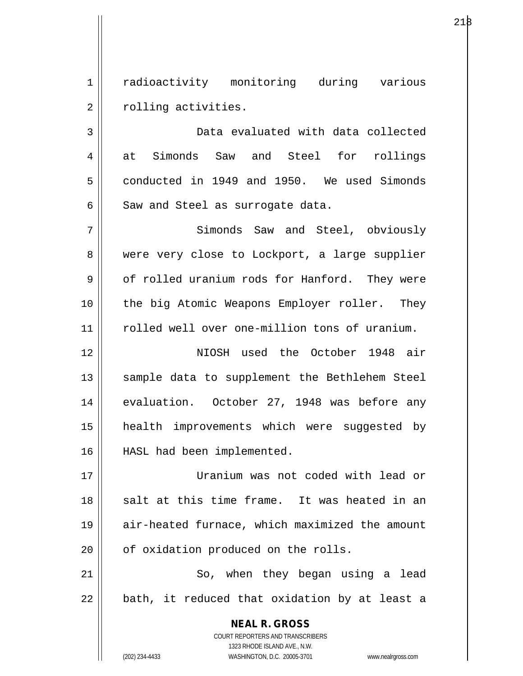1 || radioactivity monitoring during various 2 | rolling activities.

3 Data evaluated with data collected 4 at Simonds Saw and Steel for rollings  $5 \parallel$  conducted in 1949 and 1950. We used Simonds  $6 \parallel$  Saw and Steel as surrogate data.

7 || Simonds Saw and Steel, obviously 8 were very close to Lockport, a large supplier 9 | of rolled uranium rods for Hanford. They were 10 || the big Atomic Weapons Employer roller. They 11 rolled well over one-million tons of uranium.

12 NIOSH used the October 1948 air 13 || sample data to supplement the Bethlehem Steel 14 || evaluation. October 27, 1948 was before any 15 health improvements which were suggested by 16 HASL had been implemented.

17 Uranium was not coded with lead or 18 || salt at this time frame. It was heated in an 19 air-heated furnace, which maximized the amount  $20$  |  $\sigma$  of oxidation produced on the rolls.

21 || So, when they began using a lead  $22$  || bath, it reduced that oxidation by at least a

> **NEAL R. GROSS** COURT REPORTERS AND TRANSCRIBERS 1323 RHODE ISLAND AVE., N.W. (202) 234-4433 WASHINGTON, D.C. 20005-3701 www.nealrgross.com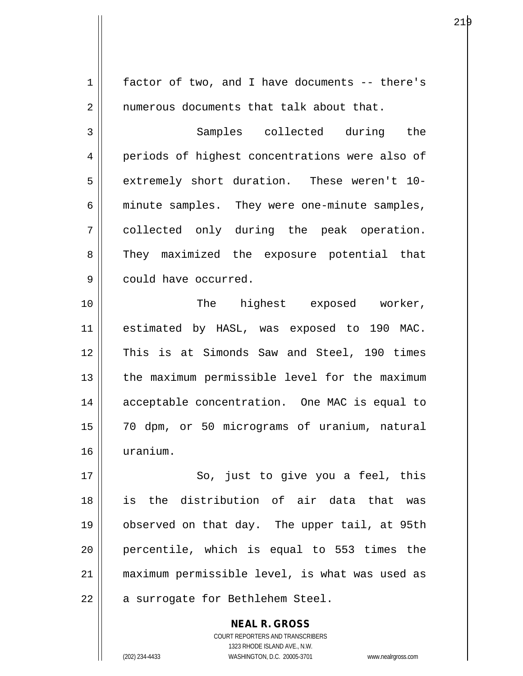| $\mathbf 1$ | factor of two, and I have documents -- there's |
|-------------|------------------------------------------------|
| 2           | numerous documents that talk about that.       |
| 3           | Samples collected during the                   |
| 4           | periods of highest concentrations were also of |
| 5           | extremely short duration. These weren't 10-    |
| 6           | minute samples. They were one-minute samples,  |
| 7           | collected only during the peak operation.      |
| 8           | They maximized the exposure potential that     |
| 9           | could have occurred.                           |
| 10          | The highest exposed worker,                    |
| 11          | estimated by HASL, was exposed to 190 MAC.     |
| 12          | This is at Simonds Saw and Steel, 190 times    |
| 13          | the maximum permissible level for the maximum  |
| 14          | acceptable concentration. One MAC is equal to  |
| 15          | 70 dpm, or 50 micrograms of uranium, natural   |
| 16          | uranium.                                       |
| 17          | So, just to give you a feel, this              |
| 18          | is the distribution of air data that was       |
| 19          | observed on that day. The upper tail, at 95th  |
| 20          | percentile, which is equal to 553 times the    |
| 21          | maximum permissible level, is what was used as |
| 22          | a surrogate for Bethlehem Steel.               |
|             |                                                |

COURT REPORTERS AND TRANSCRIBERS 1323 RHODE ISLAND AVE., N.W. (202) 234-4433 WASHINGTON, D.C. 20005-3701 www.nealrgross.com

**NEAL R. GROSS**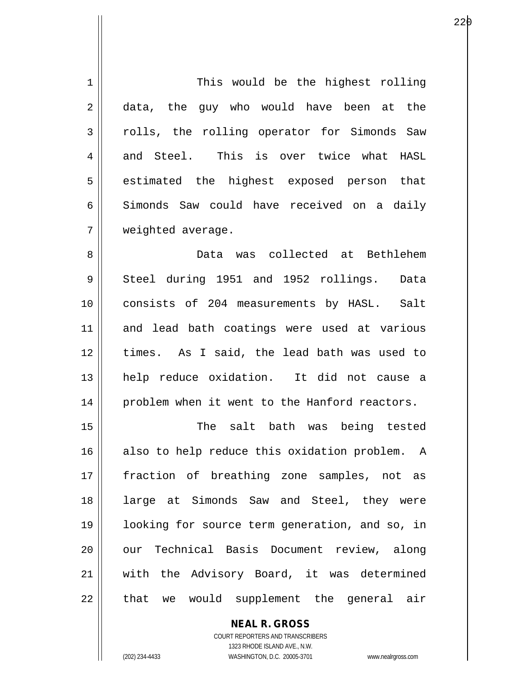| 1  | This would be the highest rolling              |
|----|------------------------------------------------|
| 2  | data, the guy who would have been at the       |
| 3  | rolls, the rolling operator for Simonds Saw    |
| 4  | and Steel. This is over twice what HASL        |
| 5  | estimated the highest exposed person that      |
| 6  | Simonds Saw could have received on a daily     |
| 7  | weighted average.                              |
| 8  | Data was collected at Bethlehem                |
| 9  | Steel during 1951 and 1952 rollings.<br>Data   |
| 10 | consists of 204 measurements by HASL. Salt     |
| 11 | and lead bath coatings were used at various    |
| 12 | times. As I said, the lead bath was used to    |
| 13 | help reduce oxidation. It did not cause a      |
| 14 | problem when it went to the Hanford reactors.  |
| 15 | salt bath was being tested<br>The              |
| 16 | also to help reduce this oxidation problem. A  |
| 17 | fraction of breathing zone samples, not as     |
| 18 | large at Simonds Saw and Steel, they were      |
| 19 | looking for source term generation, and so, in |
| 20 | our Technical Basis Document review, along     |
| 21 | with the Advisory Board, it was determined     |
| 22 | that we would supplement the general<br>air    |

**NEAL R. GROSS** COURT REPORTERS AND TRANSCRIBERS 1323 RHODE ISLAND AVE., N.W.

 $\mathsf{II}$ 

(202) 234-4433 WASHINGTON, D.C. 20005-3701 www.nealrgross.com

е производите производите на 1920 година в 22 река во 1940 године и 1940 године и 1940 година и 1940 године пр<br>В 1940 година в 1940 година в 1940 година в 1940 година в 1940 година в 1940 година в 1940 година в 1940 годин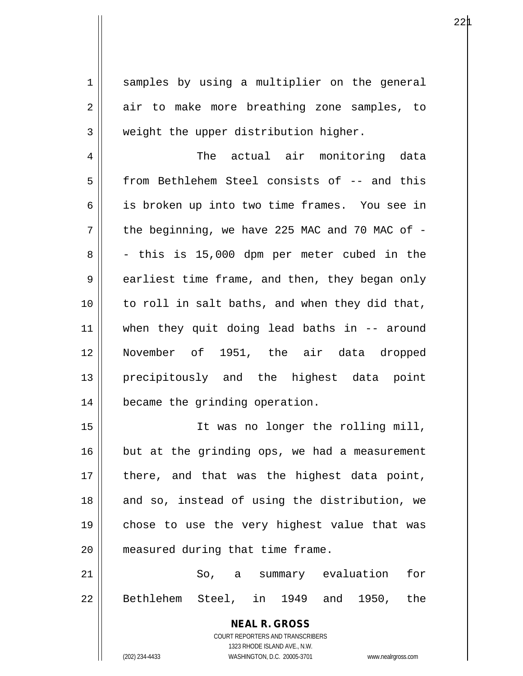1 || samples by using a multiplier on the general 2 air to make more breathing zone samples, to  $3 \parallel$  weight the upper distribution higher.

4 The actual air monitoring data 5 | from Bethlehem Steel consists of -- and this 6 || is broken up into two time frames. You see in  $7 \parallel$  the beginning, we have 225 MAC and 70 MAC of - $8 \parallel$  - this is 15,000 dpm per meter cubed in the  $9 \parallel$  earliest time frame, and then, they began only  $10$  | to roll in salt baths, and when they did that, 11 when they quit doing lead baths in -- around 12 November of 1951, the air data dropped 13 || precipitously and the highest data point 14 | became the grinding operation.

15 It was no longer the rolling mill,  $16$  but at the grinding ops, we had a measurement  $17$  || there, and that was the highest data point, 18 || and so, instead of using the distribution, we 19 chose to use the very highest value that was 20 || measured during that time frame.

21 || So, a summary evaluation for 22 || Bethlehem Steel, in 1949 and 1950, the

> **NEAL R. GROSS** COURT REPORTERS AND TRANSCRIBERS 1323 RHODE ISLAND AVE., N.W. (202) 234-4433 WASHINGTON, D.C. 20005-3701 www.nealrgross.com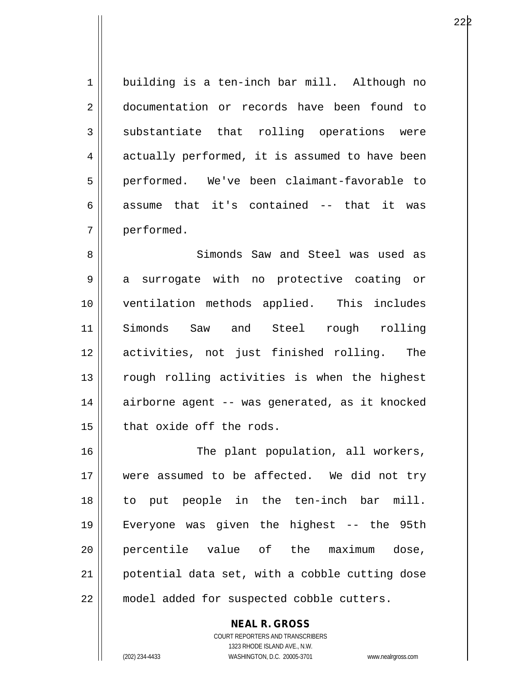1 building is a ten-inch bar mill. Although no 2 documentation or records have been found to 3 substantiate that rolling operations were  $4 \parallel$  actually performed, it is assumed to have been 5 performed. We've been claimant-favorable to 6 assume that it's contained  $-$  that it was 7 performed.

8 Simonds Saw and Steel was used as 9 || a surrogate with no protective coating or 10 ventilation methods applied. This includes 11 Simonds Saw and Steel rough rolling 12 activities, not just finished rolling. The 13 || rough rolling activities is when the highest 14 || airborne agent -- was generated, as it knocked  $15$  | that oxide off the rods.

16 || The plant population, all workers, 17 were assumed to be affected. We did not try 18 to put people in the ten-inch bar mill. 19 Everyone was given the highest -- the 95th 20 percentile value of the maximum dose, 21 potential data set, with a cobble cutting dose 22 || model added for suspected cobble cutters.

> COURT REPORTERS AND TRANSCRIBERS 1323 RHODE ISLAND AVE., N.W. (202) 234-4433 WASHINGTON, D.C. 20005-3701 www.nealrgross.com

**NEAL R. GROSS**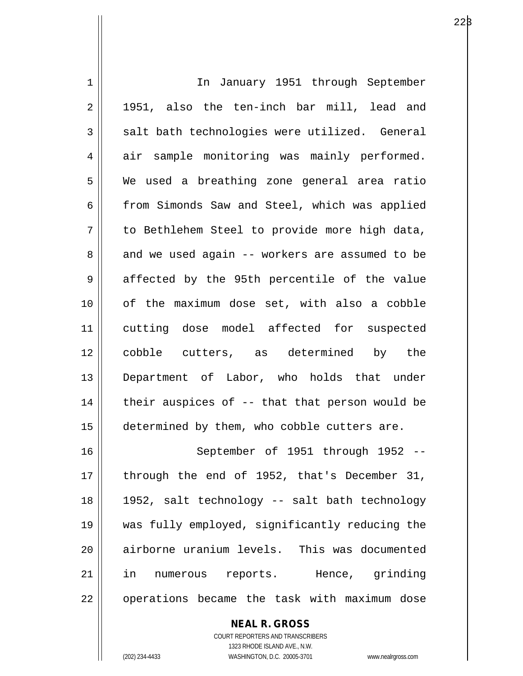| $\mathbf 1$ | In January 1951 through September              |
|-------------|------------------------------------------------|
| 2           | 1951, also the ten-inch bar mill, lead and     |
| 3           | salt bath technologies were utilized. General  |
| 4           | air sample monitoring was mainly performed.    |
| 5           | We used a breathing zone general area ratio    |
| 6           | from Simonds Saw and Steel, which was applied  |
| 7           | to Bethlehem Steel to provide more high data,  |
| 8           | and we used again -- workers are assumed to be |
| 9           | affected by the 95th percentile of the value   |
| 10          | of the maximum dose set, with also a cobble    |
| 11          | cutting dose model affected for suspected      |
| 12          | cobble cutters, as determined by the           |
| 13          | Department of Labor, who holds that under      |
| 14          | their auspices of -- that that person would be |
| 15          | determined by them, who cobble cutters are.    |
| 16          | September of 1951 through 1952 --              |
| 17          | through the end of 1952, that's December 31,   |
| 18          | 1952, salt technology -- salt bath technology  |
| 19          | was fully employed, significantly reducing the |
| 20          | airborne uranium levels. This was documented   |
| 21          | in numerous reports. Hence, grinding           |
| 22          | operations became the task with maximum dose   |

COURT REPORTERS AND TRANSCRIBERS 1323 RHODE ISLAND AVE., N.W. (202) 234-4433 WASHINGTON, D.C. 20005-3701 www.nealrgross.com

**NEAL R. GROSS**

 $22\beta$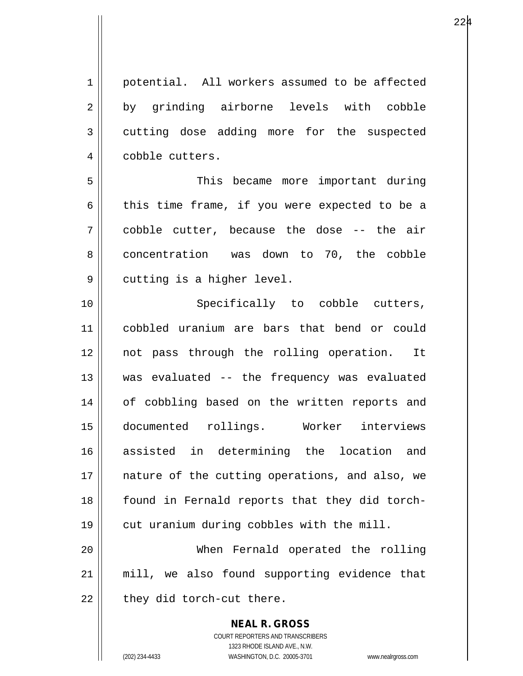1 | potential. All workers assumed to be affected 2 by grinding airborne levels with cobble 3 cutting dose adding more for the suspected 4 | cobble cutters. 5 This became more important during

6 this time frame, if you were expected to be a 7 cobble cutter, because the dose -- the air 8 concentration was down to 70, the cobble 9 | cutting is a higher level.

10 || Specifically to cobble cutters, 11 cobbled uranium are bars that bend or could 12 not pass through the rolling operation. It 13 was evaluated -- the frequency was evaluated 14 || of cobbling based on the written reports and 15 documented rollings. Worker interviews 16 assisted in determining the location and 17 || nature of the cutting operations, and also, we 18 || found in Fernald reports that they did torch-19 || cut uranium during cobbles with the mill.

20 When Fernald operated the rolling 21 mill, we also found supporting evidence that  $22$  | they did torch-cut there.

> **NEAL R. GROSS** COURT REPORTERS AND TRANSCRIBERS 1323 RHODE ISLAND AVE., N.W. (202) 234-4433 WASHINGTON, D.C. 20005-3701 www.nealrgross.com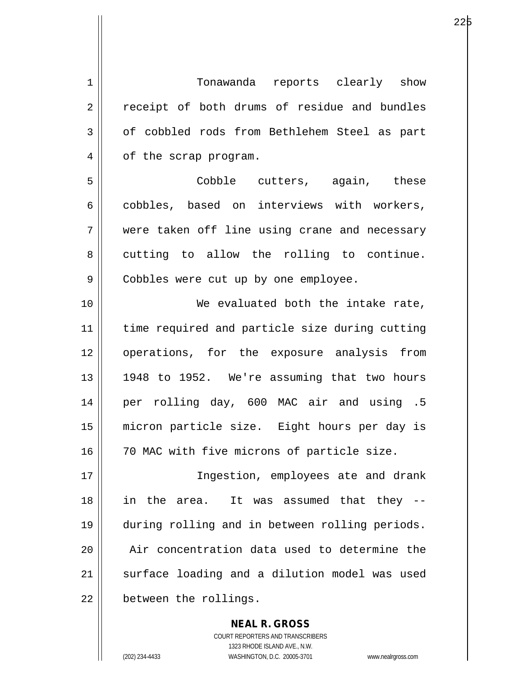1 || Tonawanda reports clearly show 2 || receipt of both drums of residue and bundles 3 | of cobbled rods from Bethlehem Steel as part 4 || of the scrap program. 5 Cobble cutters, again, these 6 cobbles, based on interviews with workers, 7 were taken off line using crane and necessary 8 || cutting to allow the rolling to continue. 9 | Cobbles were cut up by one employee. 10 We evaluated both the intake rate, 11 time required and particle size during cutting 12 operations, for the exposure analysis from 13 || 1948 to 1952. We're assuming that two hours 14 per rolling day, 600 MAC air and using .5 15 micron particle size. Eight hours per day is 16 || 70 MAC with five microns of particle size. 17 || **Ingestion, employees ate and drank** 18 in the area. It was assumed that they -- 19 during rolling and in between rolling periods. 20 || Air concentration data used to determine the 21 || surface loading and a dilution model was used 22 | between the rollings.

> COURT REPORTERS AND TRANSCRIBERS 1323 RHODE ISLAND AVE., N.W. (202) 234-4433 WASHINGTON, D.C. 20005-3701 www.nealrgross.com

**NEAL R. GROSS**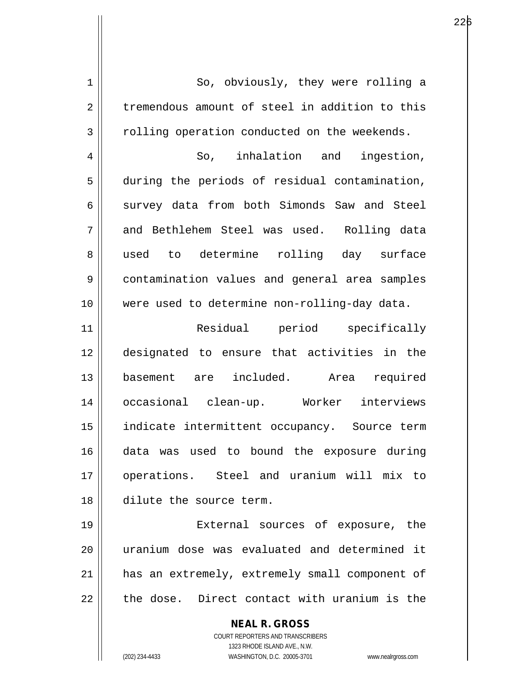| $\mathbf 1$    | So, obviously, they were rolling a                                                                  |
|----------------|-----------------------------------------------------------------------------------------------------|
| $\overline{2}$ | tremendous amount of steel in addition to this                                                      |
| 3              | rolling operation conducted on the weekends.                                                        |
| 4              | So, inhalation and ingestion,                                                                       |
| 5              | during the periods of residual contamination,                                                       |
| 6              | survey data from both Simonds Saw and Steel                                                         |
| 7              | and Bethlehem Steel was used. Rolling data                                                          |
| 8              | used to determine rolling day surface                                                               |
| 9              | contamination values and general area samples                                                       |
| 10             | were used to determine non-rolling-day data.                                                        |
| 11             | Residual period specifically                                                                        |
| 12             | designated to ensure that activities in the                                                         |
| 13             | basement are included. Area required                                                                |
| 14             | occasional clean-up. Worker interviews                                                              |
| 15             | indicate intermittent occupancy. Source term                                                        |
| 16             | data was used to bound the exposure during                                                          |
| 17             | operations. Steel and uranium will mix to                                                           |
| 18             | dilute the source term.                                                                             |
| 19             | External sources of exposure, the                                                                   |
| 20             | uranium dose was evaluated and determined it                                                        |
| 21             | has an extremely, extremely small component of                                                      |
| 22             | the dose. Direct contact with uranium is the                                                        |
|                | <b>NEAL R. GROSS</b>                                                                                |
|                | <b>COURT REPORTERS AND TRANSCRIBERS</b>                                                             |
|                | 1323 RHODE ISLAND AVE., N.W.<br>(202) 234-4433<br>WASHINGTON, D.C. 20005-3701<br>www.nealrgross.com |
|                |                                                                                                     |

 $\mathsf{I}$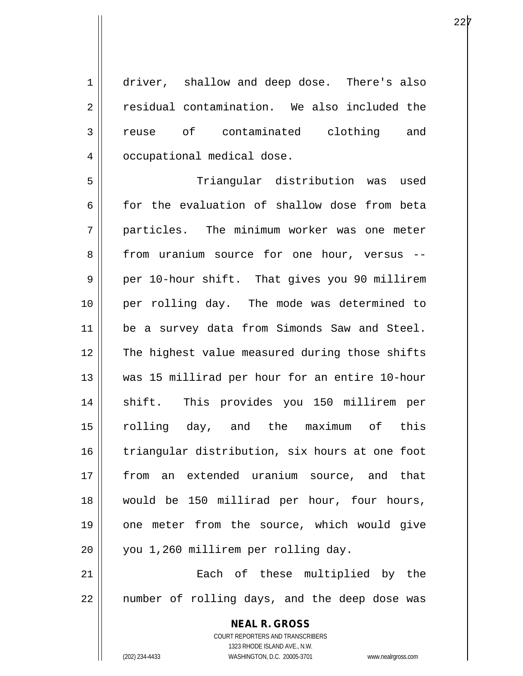1 driver, shallow and deep dose. There's also 2 residual contamination. We also included the 3 reuse of contaminated clothing and 4 | occupational medical dose.

5 Triangular distribution was used 6 for the evaluation of shallow dose from beta 7 particles. The minimum worker was one meter 8 from uranium source for one hour, versus --9 || per 10-hour shift. That gives you 90 millirem 10 per rolling day. The mode was determined to 11 || be a survey data from Simonds Saw and Steel. 12 The highest value measured during those shifts 13 was 15 millirad per hour for an entire 10-hour 14 || shift. This provides you 150 millirem per 15 rolling day, and the maximum of this 16 triangular distribution, six hours at one foot 17 from an extended uranium source, and that 18 || would be 150 millirad per hour, four hours, 19 || one meter from the source, which would give 20 | you 1,260 millirem per rolling day.

21 || **Each** of these multiplied by the  $22$  || number of rolling days, and the deep dose was

> COURT REPORTERS AND TRANSCRIBERS 1323 RHODE ISLAND AVE., N.W. (202) 234-4433 WASHINGTON, D.C. 20005-3701 www.nealrgross.com

**NEAL R. GROSS**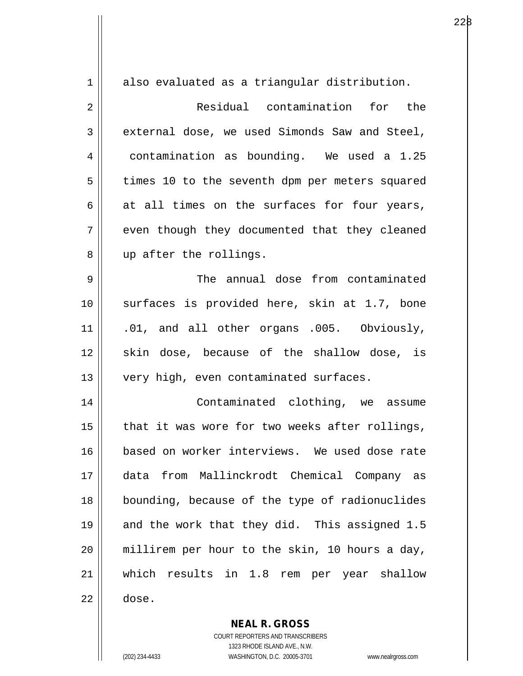| $\mathbf 1$ | also evaluated as a triangular distribution.   |
|-------------|------------------------------------------------|
| 2           | Residual contamination for the                 |
| 3           | external dose, we used Simonds Saw and Steel,  |
| 4           | contamination as bounding. We used a 1.25      |
| 5           | times 10 to the seventh dpm per meters squared |
| 6           | at all times on the surfaces for four years,   |
| 7           | even though they documented that they cleaned  |
| 8           | up after the rollings.                         |
| 9           | The annual dose from contaminated              |
| 10          | surfaces is provided here, skin at 1.7, bone   |
| 11          | .01, and all other organs .005. Obviously,     |
| 12          | skin dose, because of the shallow dose, is     |
| 13          | very high, even contaminated surfaces.         |
| 14          | Contaminated clothing, we assume               |
| 15          | that it was wore for two weeks after rollings, |
| 16          | based on worker interviews. We used dose rate  |
| 17          | from Mallinckrodt Chemical Company as<br>data  |
| 18          | bounding, because of the type of radionuclides |
| 19          | and the work that they did. This assigned 1.5  |
| 20          | millirem per hour to the skin, 10 hours a day, |
| 21          | which results in 1.8 rem per year shallow      |
| 22          | dose.                                          |

**NEAL R. GROSS** COURT REPORTERS AND TRANSCRIBERS

1323 RHODE ISLAND AVE., N.W.

(202) 234-4433 WASHINGTON, D.C. 20005-3701 www.nealrgross.com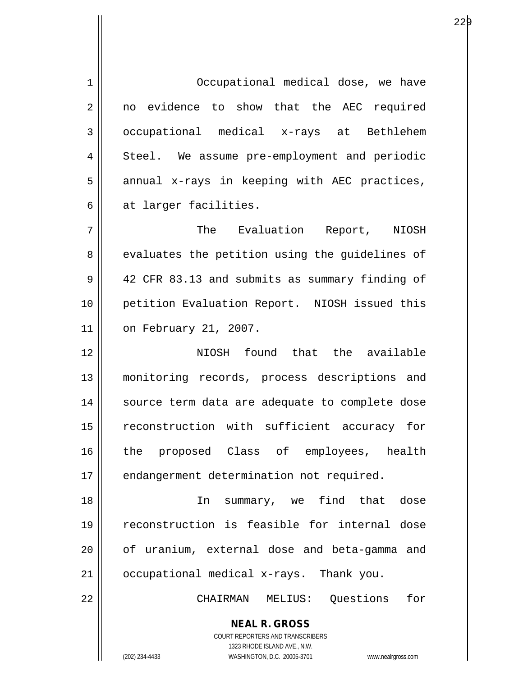**NEAL R. GROSS** COURT REPORTERS AND TRANSCRIBERS 1 | Occupational medical dose, we have 2 || no evidence to show that the AEC required 3 occupational medical x-rays at Bethlehem 4 Steel. We assume pre-employment and periodic  $5$  annual x-rays in keeping with AEC practices, 6 at larger facilities. 7 The Evaluation Report, NIOSH 8 || evaluates the petition using the guidelines of 9 42 CFR 83.13 and submits as summary finding of 10 || petition Evaluation Report. NIOSH issued this 11 on February 21, 2007. 12 NIOSH found that the available 13 monitoring records, process descriptions and 14 || source term data are adequate to complete dose 15 reconstruction with sufficient accuracy for 16 the proposed Class of employees, health 17 | endangerment determination not required. 18 In summary, we find that dose 19 reconstruction is feasible for internal dose 20 || of uranium, external dose and beta-gamma and 21 occupational medical x-rays. Thank you. 22 CHAIRMAN MELIUS: Questions for

1323 RHODE ISLAND AVE., N.W.

(202) 234-4433 WASHINGTON, D.C. 20005-3701 www.nealrgross.com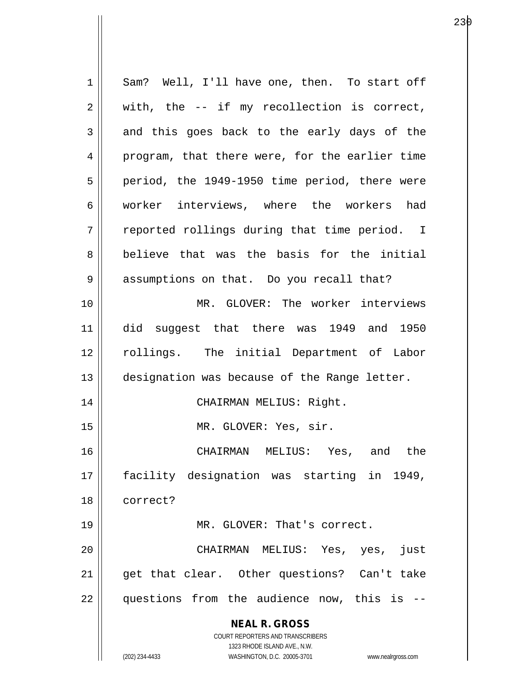**NEAL R. GROSS** COURT REPORTERS AND TRANSCRIBERS 1323 RHODE ISLAND AVE., N.W. (202) 234-4433 WASHINGTON, D.C. 20005-3701 www.nealrgross.com 1 Sam? Well, I'll have one, then. To start off  $2 \parallel$  with, the -- if my recollection is correct,  $3 \parallel$  and this goes back to the early days of the 4 program, that there were, for the earlier time  $5 \parallel$  period, the 1949-1950 time period, there were 6 worker interviews, where the workers had  $7 \parallel$  reported rollings during that time period. I 8 believe that was the basis for the initial 9 || assumptions on that. Do you recall that? 10 MR. GLOVER: The worker interviews 11 did suggest that there was 1949 and 1950 12 || rollings. The initial Department of Labor 13 || designation was because of the Range letter. 14 CHAIRMAN MELIUS: Right. 15 || MR. GLOVER: Yes, sir. 16 CHAIRMAN MELIUS: Yes, and the 17 facility designation was starting in 1949, 18 correct? 19 || MR. GLOVER: That's correct. 20 CHAIRMAN MELIUS: Yes, yes, just 21 || get that clear. Other questions? Can't take  $22$  || questions from the audience now, this is  $-$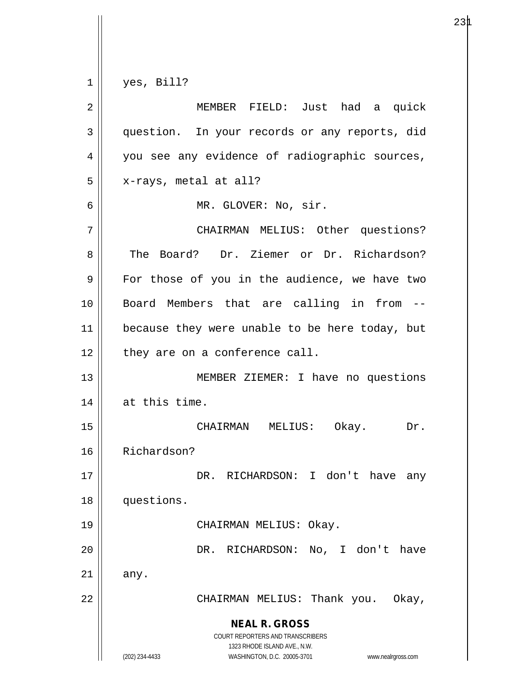$1 \parallel$  yes, Bill?

| $\overline{2}$ | MEMBER FIELD: Just had a quick                                                                                                                                         |
|----------------|------------------------------------------------------------------------------------------------------------------------------------------------------------------------|
| 3              | question. In your records or any reports, did                                                                                                                          |
| 4              | you see any evidence of radiographic sources,                                                                                                                          |
| 5              | x-rays, metal at all?                                                                                                                                                  |
| 6              | MR. GLOVER: No, sir.                                                                                                                                                   |
| 7              | CHAIRMAN MELIUS: Other questions?                                                                                                                                      |
| 8              | The Board? Dr. Ziemer or Dr. Richardson?                                                                                                                               |
| 9              | For those of you in the audience, we have two                                                                                                                          |
| 10             | Board Members that are calling in from --                                                                                                                              |
| 11             | because they were unable to be here today, but                                                                                                                         |
| 12             | they are on a conference call.                                                                                                                                         |
| 13             | MEMBER ZIEMER: I have no questions                                                                                                                                     |
| 14             | at this time.                                                                                                                                                          |
| 15             | CHAIRMAN MELIUS: Okay.<br>Dr.                                                                                                                                          |
| 16             | Richardson?                                                                                                                                                            |
| 17             | DR. RICHARDSON: I don't have any                                                                                                                                       |
| 18             | questions.                                                                                                                                                             |
| 19             | CHAIRMAN MELIUS: Okay.                                                                                                                                                 |
| 20             | RICHARDSON:<br>No, I don't have<br>DR.                                                                                                                                 |
| 21             | any.                                                                                                                                                                   |
| 22             | CHAIRMAN MELIUS: Thank you.<br>Okay,                                                                                                                                   |
|                | <b>NEAL R. GROSS</b><br><b>COURT REPORTERS AND TRANSCRIBERS</b><br>1323 RHODE ISLAND AVE., N.W.<br>(202) 234-4433<br>WASHINGTON, D.C. 20005-3701<br>www.nealrgross.com |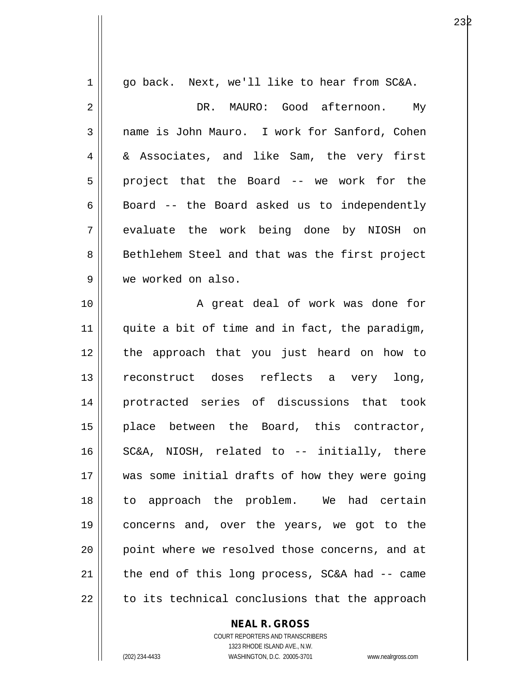| 1  | go back. Next, we'll like to hear from SC&A.   |
|----|------------------------------------------------|
| 2  | DR. MAURO: Good afternoon.<br>Му               |
| 3  | name is John Mauro. I work for Sanford, Cohen  |
| 4  | & Associates, and like Sam, the very first     |
| 5  | project that the Board -- we work for the      |
| 6  | Board -- the Board asked us to independently   |
| 7  | evaluate the work being done by NIOSH on       |
| 8  | Bethlehem Steel and that was the first project |
| 9  | we worked on also.                             |
| 10 | A great deal of work was done for              |
| 11 | quite a bit of time and in fact, the paradigm, |
| 12 | the approach that you just heard on how to     |
| 13 | reconstruct doses reflects a very long,        |
| 14 | protracted series of discussions that took     |
| 15 | place between the Board, this contractor,      |
| 16 | SC&A, NIOSH, related to -- initially, there    |
| 17 | was some initial drafts of how they were going |
| 18 | to approach the problem. We had certain        |
| 19 | concerns and, over the years, we got to the    |
| 20 | point where we resolved those concerns, and at |
| 21 | the end of this long process, SC&A had -- came |
| 22 | to its technical conclusions that the approach |
|    |                                                |

**NEAL R. GROSS**

COURT REPORTERS AND TRANSCRIBERS 1323 RHODE ISLAND AVE., N.W. (202) 234-4433 WASHINGTON, D.C. 20005-3701 www.nealrgross.com

 $\mathsf{II}$ 

232 and 232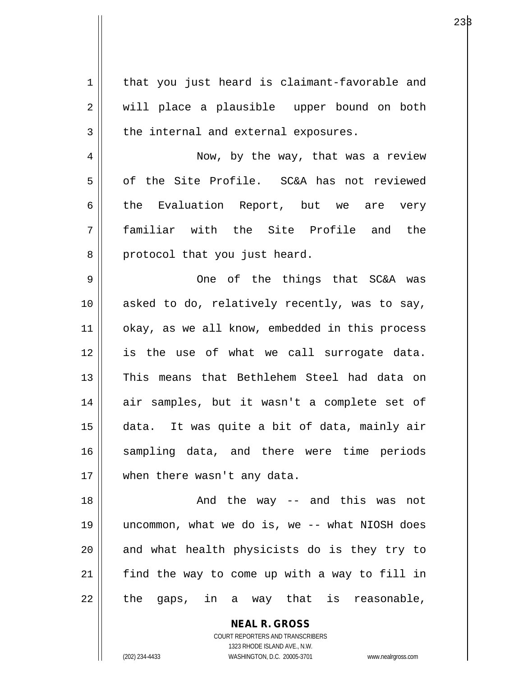| $\mathbf 1$ | that you just heard is claimant-favorable and  |
|-------------|------------------------------------------------|
| 2           | will place a plausible upper bound on both     |
| 3           | the internal and external exposures.           |
| 4           | Now, by the way, that was a review             |
| 5           | of the Site Profile. SC&A has not reviewed     |
| 6           | the Evaluation Report, but we are very         |
| 7           | familiar with the Site Profile and the         |
| 8           | protocol that you just heard.                  |
| 9           | One of the things that SC&A was                |
| 10          | asked to do, relatively recently, was to say,  |
| 11          | okay, as we all know, embedded in this process |
| 12          | is the use of what we call surrogate data.     |
| 13          | This means that Bethlehem Steel had data on    |
| 14          | air samples, but it wasn't a complete set of   |
| 15          | data. It was quite a bit of data, mainly air   |
| 16          | sampling data, and there were time periods     |
| 17          | when there wasn't any data.                    |
| 18          | And the way -- and this was not                |
| 19          | uncommon, what we do is, we -- what NIOSH does |
| 20          | and what health physicists do is they try to   |
| 21          | find the way to come up with a way to fill in  |
| 22          | the gaps, in a way that is reasonable,         |

**NEAL R. GROSS** COURT REPORTERS AND TRANSCRIBERS 1323 RHODE ISLAND AVE., N.W. (202) 234-4433 WASHINGTON, D.C. 20005-3701 www.nealrgross.com

 $\mathsf{II}$ 

 $23\beta$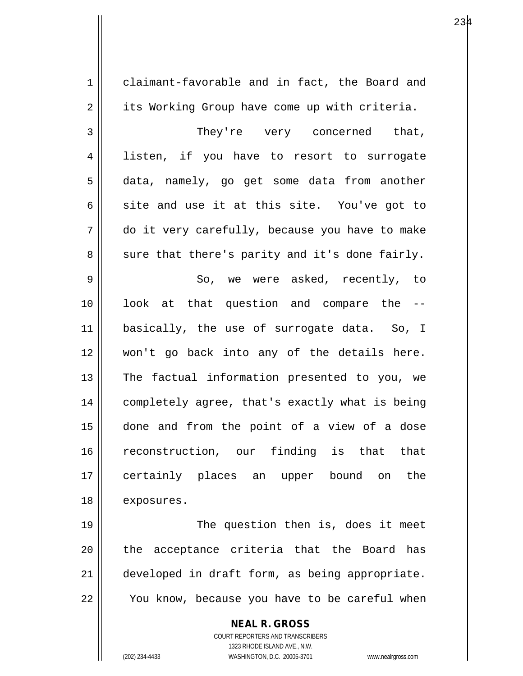**NEAL R. GROSS** COURT REPORTERS AND TRANSCRIBERS 1 claimant-favorable and in fact, the Board and 2 | its Working Group have come up with criteria. 3 They're very concerned that, 4 || listen, if you have to resort to surrogate 5 data, namely, go get some data from another  $6$  site and use it at this site. You've got to 7 do it very carefully, because you have to make  $8 \parallel$  sure that there's parity and it's done fairly. 9 || So, we were asked, recently, to 10 look at that question and compare the -- 11 basically, the use of surrogate data. So, I 12 won't go back into any of the details here.  $13$  The factual information presented to you, we 14 | completely agree, that's exactly what is being 15 done and from the point of a view of a dose 16 reconstruction, our finding is that that 17 certainly places an upper bound on the 18 | exposures. 19 || The question then is, does it meet 20 || the acceptance criteria that the Board has 21 developed in draft form, as being appropriate.  $22$   $\parallel$  You know, because you have to be careful when

1323 RHODE ISLAND AVE., N.W.

(202) 234-4433 WASHINGTON, D.C. 20005-3701 www.nealrgross.com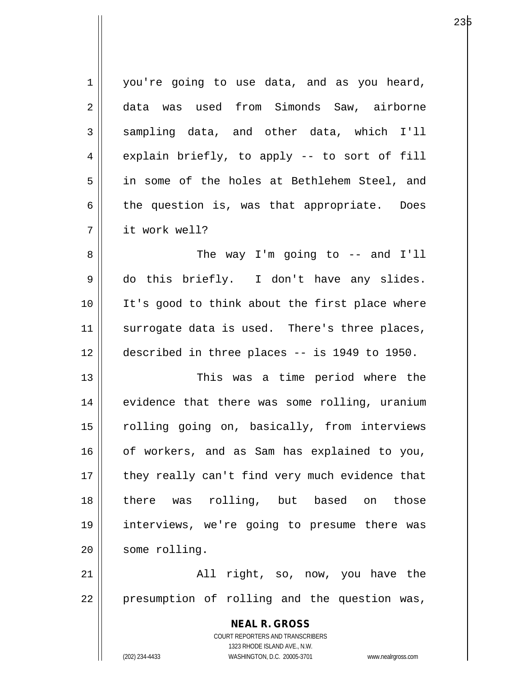| 1  | you're going to use data, and as you heard,                         |
|----|---------------------------------------------------------------------|
| 2  | data was used from Simonds Saw, airborne                            |
| 3  | sampling data, and other data, which I'll                           |
| 4  | explain briefly, to apply -- to sort of fill                        |
| 5  | in some of the holes at Bethlehem Steel, and                        |
| 6  | the question is, was that appropriate. Does                         |
| 7  | it work well?                                                       |
| 8  | The way I'm going to $-$ and I'll                                   |
| 9  | do this briefly. I don't have any slides.                           |
| 10 | It's good to think about the first place where                      |
| 11 | surrogate data is used. There's three places,                       |
| 12 | described in three places -- is 1949 to 1950.                       |
| 13 | This was a time period where the                                    |
| 14 | evidence that there was some rolling, uranium                       |
| 15 | rolling going on, basically, from interviews                        |
| 16 | of workers, and as Sam has explained to you,                        |
| 17 | they really can't find very much evidence that                      |
| 18 | there was rolling, but based<br>those<br>on                         |
| 19 | interviews, we're going to presume there was                        |
| 20 | some rolling.                                                       |
| 21 | All right, so, now, you have the                                    |
| 22 | presumption of rolling and the question was,                        |
|    |                                                                     |
|    | <b>NEAL R. GROSS</b>                                                |
|    | COURT REPORTERS AND TRANSCRIBERS<br>1323 RHODE ISLAND AVE., N.W.    |
|    | (202) 234-4433<br>WASHINGTON, D.C. 20005-3701<br>www.nealrgross.com |

е в селото на 1923 година в 23 река во 1920 година в 23 река во 1940 година, кои 1940 година и 1940 година и 1<br>В 1940 година в 1940 година в 1940 година в 1940 година в 1940 година в 1940 година в 1940 година в 1940 годин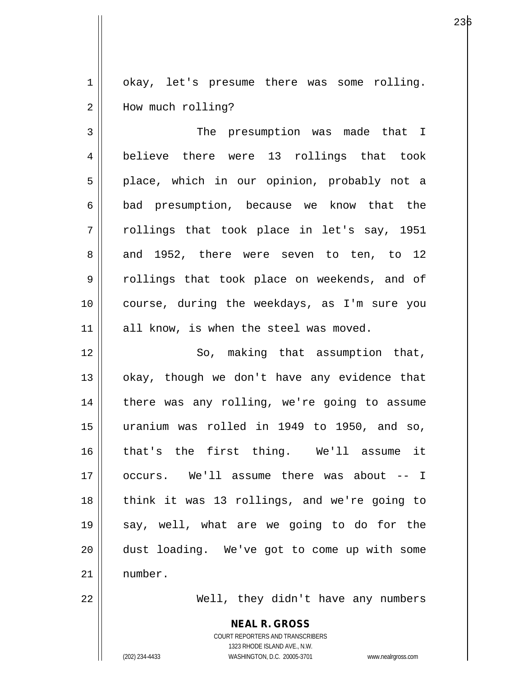1 || okay, let's presume there was some rolling. 2 | How much rolling?

3 || The presumption was made that I 4 believe there were 13 rollings that took 5 || place, which in our opinion, probably not a 6 | bad presumption, because we know that the  $7 \parallel$  rollings that took place in let's say, 1951  $8 \parallel$  and 1952, there were seven to ten, to 12 9 || rollings that took place on weekends, and of 10 course, during the weekdays, as I'm sure you 11 || all know, is when the steel was moved.

12 || So, making that assumption that,  $13$  | okay, though we don't have any evidence that 14 || there was any rolling, we're going to assume 15 uranium was rolled in 1949 to 1950, and so, 16 that's the first thing. We'll assume it 17 occurs. We'll assume there was about -- I 18 || think it was 13 rollings, and we're going to 19 say, well, what are we going to do for the 20 dust loading. We've got to come up with some 21 number.

22 Well, they didn't have any numbers

**NEAL R. GROSS** COURT REPORTERS AND TRANSCRIBERS 1323 RHODE ISLAND AVE., N.W. (202) 234-4433 WASHINGTON, D.C. 20005-3701 www.nealrgross.com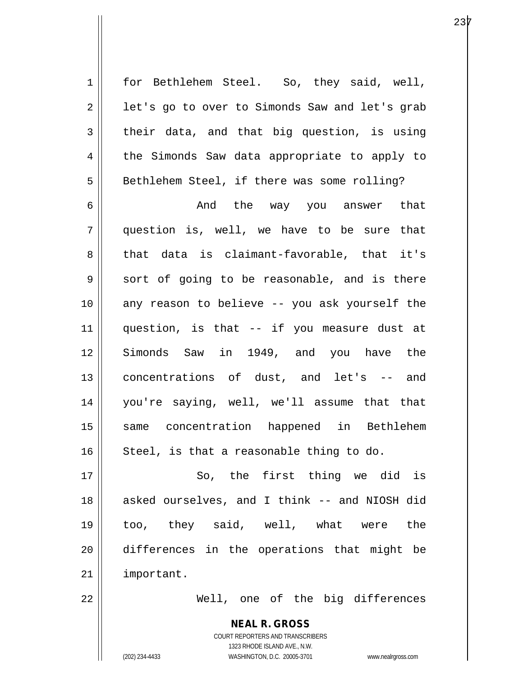$2 \parallel$  let's go to over to Simonds Saw and let's grab  $3 \parallel$  their data, and that big question, is using 4 || the Simonds Saw data appropriate to apply to 5 | Bethlehem Steel, if there was some rolling? 6 And the way you answer that

1 | for Bethlehem Steel. So, they said, well,

7 question is, well, we have to be sure that 8 that data is claimant-favorable, that it's  $9 \parallel$  sort of going to be reasonable, and is there 10 any reason to believe -- you ask yourself the 11 question, is that -- if you measure dust at 12 Simonds Saw in 1949, and you have the 13 || concentrations of dust, and let's -- and 14 you're saying, well, we'll assume that that 15 same concentration happened in Bethlehem  $16$  Steel, is that a reasonable thing to do.

17 || So, the first thing we did is 18 || asked ourselves, and I think -- and NIOSH did 19 too, they said, well, what were the 20 differences in the operations that might be 21 | important.

22 Well, one of the big differences

**NEAL R. GROSS** COURT REPORTERS AND TRANSCRIBERS 1323 RHODE ISLAND AVE., N.W. (202) 234-4433 WASHINGTON, D.C. 20005-3701 www.nealrgross.com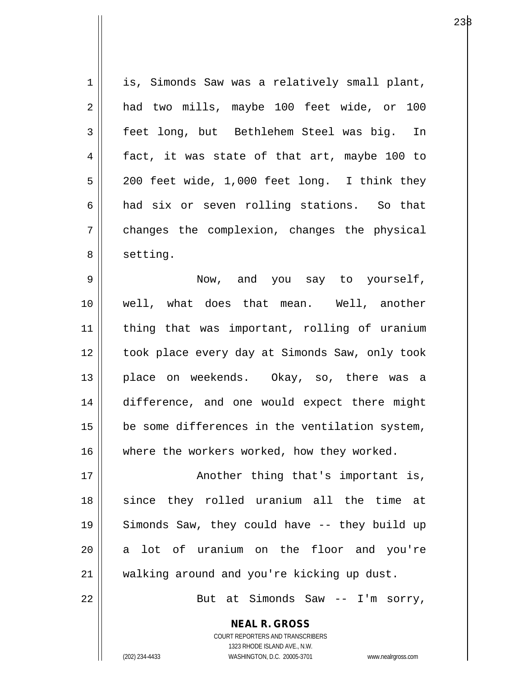1 || is, Simonds Saw was a relatively small plant, 2 || had two mills, maybe 100 feet wide, or 100 3 feet long, but Bethlehem Steel was big. In  $4 \parallel$  fact, it was state of that art, maybe 100 to  $5 \parallel 200$  feet wide, 1,000 feet long. I think they 6 and six or seven rolling stations. So that 7 changes the complexion, changes the physical 8 | setting. 9 Now, and you say to yourself, 10 well, what does that mean. Well, another 11 thing that was important, rolling of uranium 12 || took place every day at Simonds Saw, only took 13 || place on weekends. Okay, so, there was a 14 difference, and one would expect there might  $15$  | be some differences in the ventilation system, 16 where the workers worked, how they worked. 17 || Another thing that's important is, 18 since they rolled uranium all the time at 19 Simonds Saw, they could have -- they build up 20 a lot of uranium on the floor and you're

22 || But at Simonds Saw -- I'm sorry,

**NEAL R. GROSS** COURT REPORTERS AND TRANSCRIBERS 1323 RHODE ISLAND AVE., N.W.

21 walking around and you're kicking up dust.

(202) 234-4433 WASHINGTON, D.C. 20005-3701 www.nealrgross.com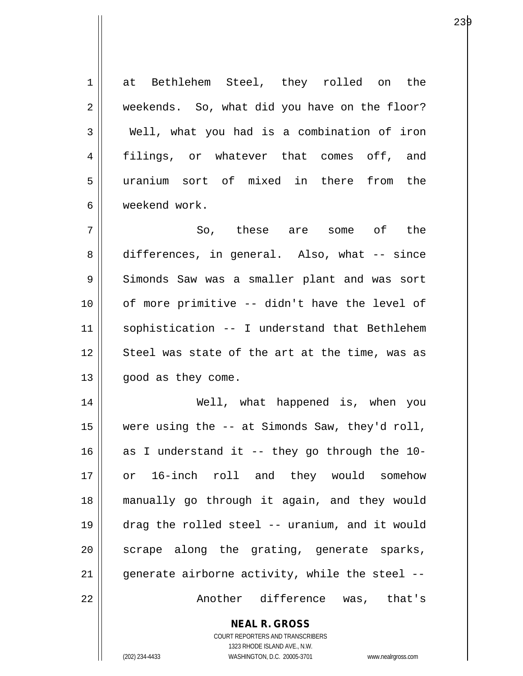1 at Bethlehem Steel, they rolled on the 2 weekends. So, what did you have on the floor?  $3 \parallel$  Well, what you had is a combination of iron 4 filings, or whatever that comes off, and 5 uranium sort of mixed in there from the 6 weekend work.  $7 \parallel$  So, these are some of the 8 || differences, in general. Also, what -- since 9 Simonds Saw was a smaller plant and was sort  $10$  | of more primitive  $-$  didn't have the level of 11 sophistication -- I understand that Bethlehem 12 || Steel was state of the art at the time, was as 13 | good as they come. 14 Well, what happened is, when you 15 were using the -- at Simonds Saw, they'd roll, 16  $\parallel$  as I understand it -- they go through the 10-17 or 16-inch roll and they would somehow 18 manually go through it again, and they would 19 drag the rolled steel -- uranium, and it would 20 || scrape along the grating, generate sparks, 21  $\parallel$  generate airborne activity, while the steel --22 Another difference was, that's

> **NEAL R. GROSS** COURT REPORTERS AND TRANSCRIBERS 1323 RHODE ISLAND AVE., N.W.

(202) 234-4433 WASHINGTON, D.C. 20005-3701 www.nealrgross.com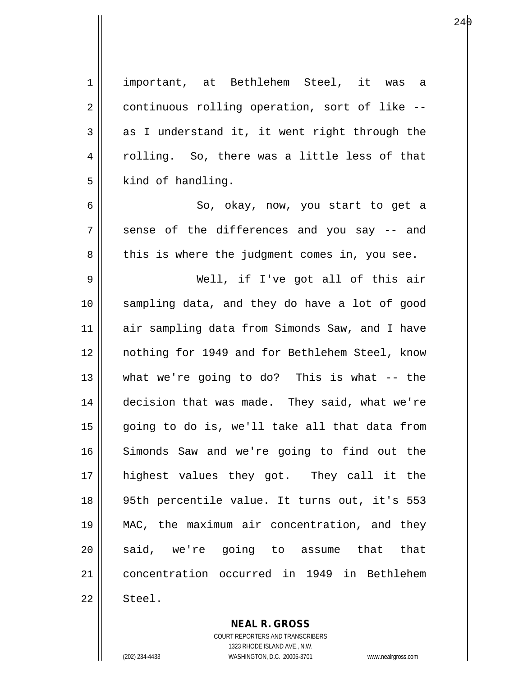1 important, at Bethlehem Steel, it was a  $2 \parallel$  continuous rolling operation, sort of like  $3 \parallel$  as I understand it, it went right through the 4 || rolling. So, there was a little less of that  $5 \parallel$  kind of handling. 6 So, okay, now, you start to get a  $7 \parallel$  sense of the differences and you say  $-$  and  $8 \parallel$  this is where the judgment comes in, you see. 9 Well, if I've got all of this air 10 sampling data, and they do have a lot of good 11 || air sampling data from Simonds Saw, and I have 12 nothing for 1949 and for Bethlehem Steel, know  $13$  || what we're going to do? This is what -- the 14 decision that was made. They said, what we're 15 going to do is, we'll take all that data from 16 Simonds Saw and we're going to find out the 17 highest values they got. They call it the 18 95th percentile value. It turns out, it's 553 19 MAC, the maximum air concentration, and they 20 || said, we're going to assume that that 21 concentration occurred in 1949 in Bethlehem  $22 \parallel$  Steel.

240

**NEAL R. GROSS** COURT REPORTERS AND TRANSCRIBERS

1323 RHODE ISLAND AVE., N.W. (202) 234-4433 WASHINGTON, D.C. 20005-3701 www.nealrgross.com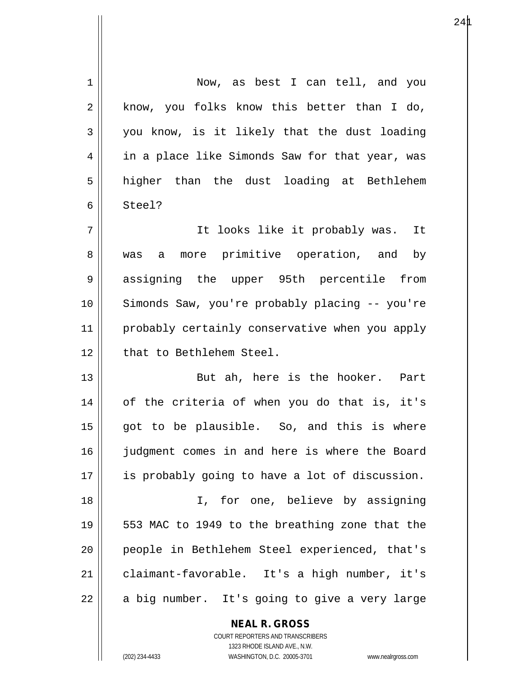| 1  | Now, as best I can tell, and you               |
|----|------------------------------------------------|
| 2  | know, you folks know this better than I do,    |
| 3  | you know, is it likely that the dust loading   |
| 4  | in a place like Simonds Saw for that year, was |
| 5  | higher than the dust loading at Bethlehem      |
| 6  | Steel?                                         |
| 7  | It looks like it probably was. It              |
| 8  | was a more primitive operation, and by         |
| 9  | assigning the upper 95th percentile from       |
| 10 | Simonds Saw, you're probably placing -- you're |
| 11 | probably certainly conservative when you apply |
| 12 | that to Bethlehem Steel.                       |
| 13 | But ah, here is the hooker. Part               |
| 14 | of the criteria of when you do that is, it's   |
| 15 | got to be plausible. So, and this is where     |
| 16 | judgment comes in and here is where the Board  |
| 17 | is probably going to have a lot of discussion. |
| 18 | I, for one, believe by assigning               |
| 19 | 553 MAC to 1949 to the breathing zone that the |
| 20 | people in Bethlehem Steel experienced, that's  |
| 21 | claimant-favorable. It's a high number, it's   |
| 22 | a big number. It's going to give a very large  |

**NEAL R. GROSS** COURT REPORTERS AND TRANSCRIBERS

1323 RHODE ISLAND AVE., N.W.

(202) 234-4433 WASHINGTON, D.C. 20005-3701 www.nealrgross.com

 $\mathsf{II}$ 

 $\mathsf{I}$ 

 $24\text{µ}$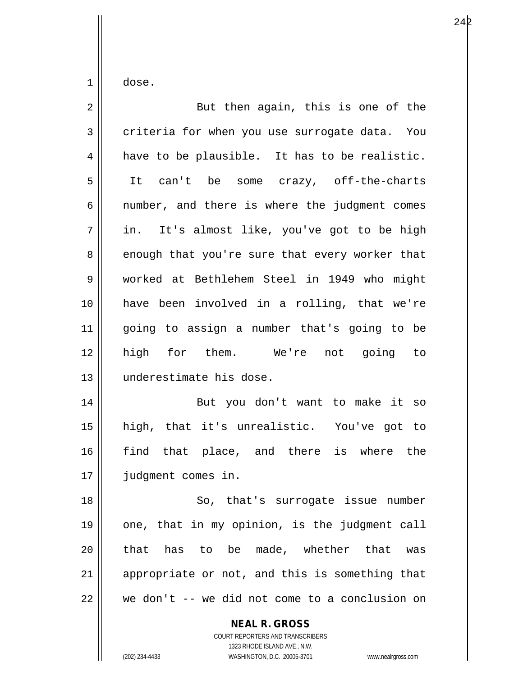$1 \parallel$  dose.

| $\overline{2}$ | But then again, this is one of the                              |
|----------------|-----------------------------------------------------------------|
| 3              | criteria for when you use surrogate data. You                   |
| 4              | have to be plausible. It has to be realistic.                   |
| 5              | It can't be some crazy, off-the-charts                          |
| 6              | number, and there is where the judgment comes                   |
| 7              | in. It's almost like, you've got to be high                     |
| 8              | enough that you're sure that every worker that                  |
| 9              | worked at Bethlehem Steel in 1949 who might                     |
| 10             | have been involved in a rolling, that we're                     |
| 11             | going to assign a number that's going to be                     |
| 12             | high for them. We're not going to                               |
| 13             | underestimate his dose.                                         |
| 14             | But you don't want to make it so                                |
| 15             | high, that it's unrealistic. You've got to                      |
| 16             | find that place, and there is where the                         |
| 17             | judgment comes in.                                              |
| 18             | So, that's surrogate issue number                               |
| 19             | one, that in my opinion, is the judgment call                   |
| 20             | has to be made, whether that was<br>that                        |
| 21             | appropriate or not, and this is something that                  |
| 22             | we don't -- we did not come to a conclusion on                  |
|                | <b>NEAL R. GROSS</b><br><b>COURT REPORTERS AND TRANSCRIBERS</b> |

1323 RHODE ISLAND AVE., N.W.

 $\mathop{\text{||}}$ 

(202) 234-4433 WASHINGTON, D.C. 20005-3701 www.nealrgross.com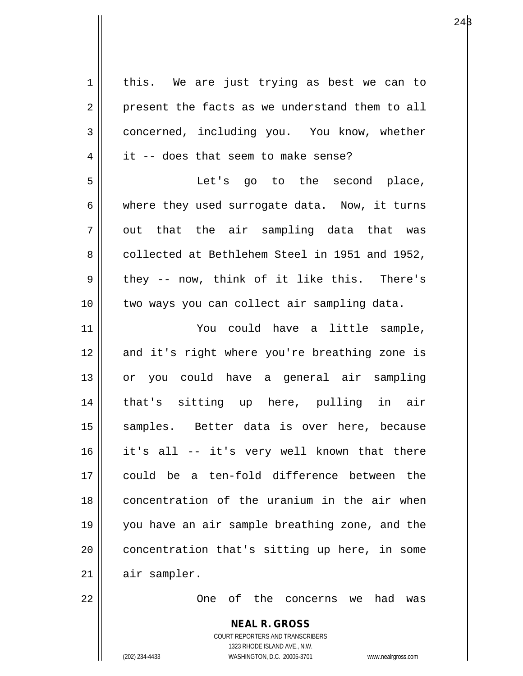| $\mathbf 1$    | this. We are just trying as best we can to               |
|----------------|----------------------------------------------------------|
| $\sqrt{2}$     | present the facts as we understand them to all           |
| $\mathfrak{Z}$ | concerned, including you. You know, whether              |
| 4              | it -- does that seem to make sense?                      |
| 5              | Let's go to the second place,                            |
| 6              | where they used surrogate data. Now, it turns            |
| 7              | out that the air sampling data that was                  |
| 8              | collected at Bethlehem Steel in 1951 and 1952,           |
| 9              | they -- now, think of it like this. There's              |
| 10             | two ways you can collect air sampling data.              |
| 11             | You could have a little sample,                          |
| 12             | and it's right where you're breathing zone is            |
| 13             | or you could have a general air sampling                 |
| 14             | that's sitting up here, pulling in air                   |
| 15             | samples. Better data is over here, because               |
| 16             | it's all -- it's very well known that there              |
| 17             | could be a ten-fold difference between the               |
| 18             | concentration of the uranium in the air when             |
| 19             | you have an air sample breathing zone, and the           |
| 20             | concentration that's sitting up here, in some            |
| 21             | air sampler.                                             |
| 22             | One of the concerns we<br>had<br>was                     |
|                | <b>NEAL R. GROSS</b><br>COURT REPORTERS AND TRANSCRIBERS |

1323 RHODE ISLAND AVE., N.W.

 $\begin{array}{c} \hline \end{array}$ 

(202) 234-4433 WASHINGTON, D.C. 20005-3701 www.nealrgross.com

 $24\beta$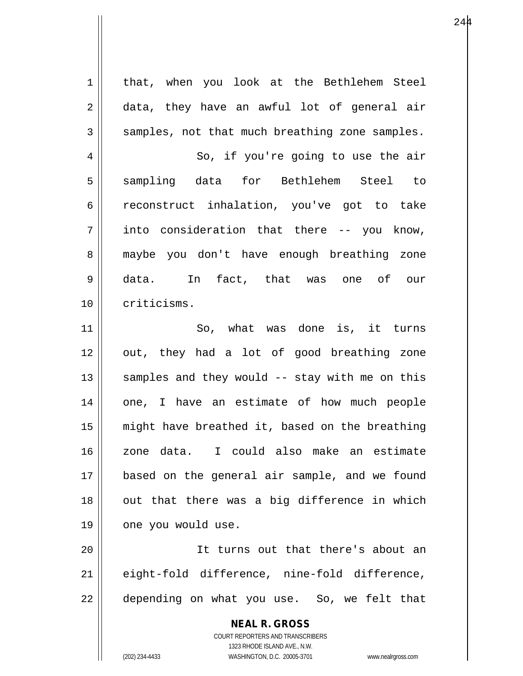**NEAL R. GROSS** COURT REPORTERS AND TRANSCRIBERS 1323 RHODE ISLAND AVE., N.W. 1 | that, when you look at the Bethlehem Steel 2 data, they have an awful lot of general air  $3 \parallel$  samples, not that much breathing zone samples. 4 || So, if you're going to use the air 5 sampling data for Bethlehem Steel to 6 ceconstruct inhalation, you've got to take  $7 \parallel$  into consideration that there -- you know, 8 maybe you don't have enough breathing zone 9 data. In fact, that was one of our 10 | criticisms. 11 So, what was done is, it turns 12 || out, they had a lot of good breathing zone 13  $\parallel$  samples and they would -- stay with me on this 14 || one, I have an estimate of how much people 15 || might have breathed it, based on the breathing 16 zone data. I could also make an estimate 17 based on the general air sample, and we found  $18$  || out that there was a big difference in which 19 | one you would use. 20 It turns out that there's about an 21 eight-fold difference, nine-fold difference,  $22$  || depending on what you use. So, we felt that

(202) 234-4433 WASHINGTON, D.C. 20005-3701 www.nealrgross.com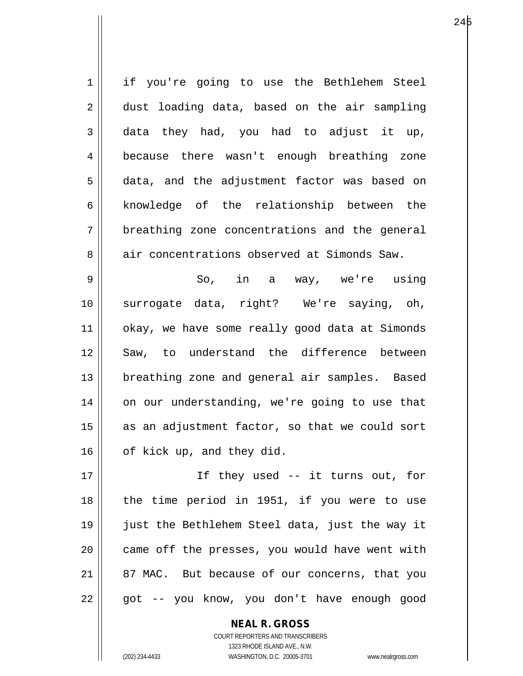1 || if you're going to use the Bethlehem Steel 2 dust loading data, based on the air sampling  $3 \parallel$  data they had, you had to adjust it up, 4 || because there wasn't enough breathing zone 5 data, and the adjustment factor was based on 6 || knowledge of the relationship between the  $7 \parallel$  breathing zone concentrations and the general 8 air concentrations observed at Simonds Saw. 9 So, in a way, we're using 10 surrogate data, right? We're saying, oh, 11 || okay, we have some really good data at Simonds 12 Saw, to understand the difference between 13 || breathing zone and general air samples. Based 14 || on our understanding, we're going to use that  $15$  as an adjustment factor, so that we could sort

17 If they used -- it turns out, for 18 || the time period in 1951, if you were to use 19 just the Bethlehem Steel data, just the way it  $20$  || came off the presses, you would have went with 21 || 87 MAC. But because of our concerns, that you  $22 \parallel$  got -- you know, you don't have enough good

> COURT REPORTERS AND TRANSCRIBERS 1323 RHODE ISLAND AVE., N.W. (202) 234-4433 WASHINGTON, D.C. 20005-3701 www.nealrgross.com

**NEAL R. GROSS**

16 | of kick up, and they did.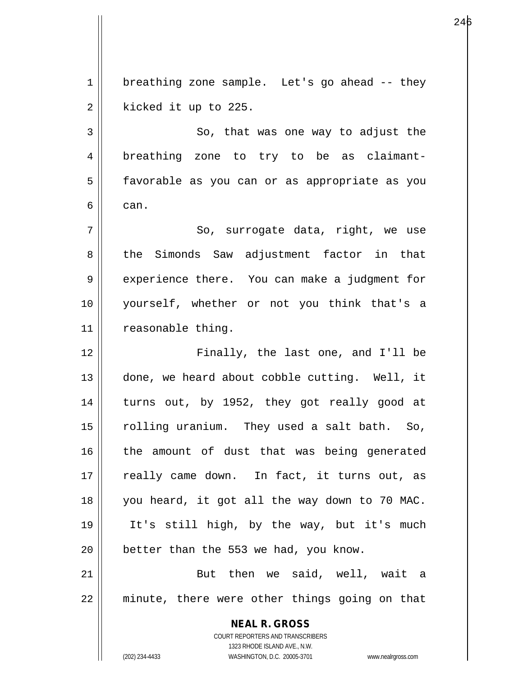$1 \parallel$  breathing zone sample. Let's go ahead -- they  $2 \parallel$  kicked it up to 225.

3 So, that was one way to adjust the 4 || breathing zone to try to be as claimant-5 || favorable as you can or as appropriate as you  $6 \parallel$  can.

7 || So, surrogate data, right, we use 8 || the Simonds Saw adjustment factor in that 9 experience there. You can make a judgment for 10 yourself, whether or not you think that's a 11 | reasonable thing.

12 Finally, the last one, and I'll be 13 || done, we heard about cobble cutting. Well, it 14 turns out, by 1952, they got really good at 15 || rolling uranium. They used a salt bath. So, 16 || the amount of dust that was being generated 17 || really came down. In fact, it turns out, as 18 you heard, it got all the way down to 70 MAC. 19 It's still high, by the way, but it's much  $20$  | better than the 553 we had, you know.

21 But then we said, well, wait a 22 minute, there were other things going on that

> **NEAL R. GROSS** COURT REPORTERS AND TRANSCRIBERS 1323 RHODE ISLAND AVE., N.W. (202) 234-4433 WASHINGTON, D.C. 20005-3701 www.nealrgross.com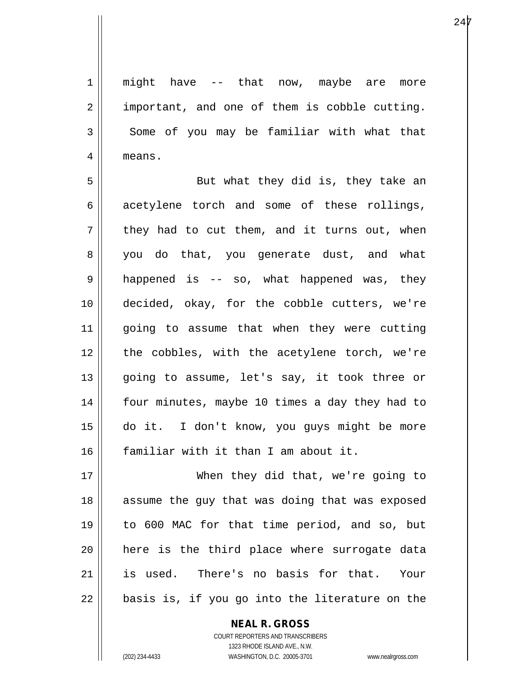1 || might have -- that now, maybe are more  $2 \parallel$  important, and one of them is cobble cutting.  $3 \parallel$  Some of you may be familiar with what that 4 | means.

5 || But what they did is, they take an 6 || acetylene torch and some of these rollings,  $7 \parallel$  they had to cut them, and it turns out, when 8 you do that, you generate dust, and what  $9 \parallel$  happened is -- so, what happened was, they 10 decided, okay, for the cobble cutters, we're 11 going to assume that when they were cutting 12 || the cobbles, with the acetylene torch, we're 13 || going to assume, let's say, it took three or 14 || four minutes, maybe 10 times a day they had to 15 do it. I don't know, you guys might be more 16 familiar with it than I am about it.

17 When they did that, we're going to 18 || assume the guy that was doing that was exposed 19 to 600 MAC for that time period, and so, but 20 here is the third place where surrogate data 21 is used. There's no basis for that. Your  $22 \parallel$  basis is, if you go into the literature on the

> COURT REPORTERS AND TRANSCRIBERS 1323 RHODE ISLAND AVE., N.W. (202) 234-4433 WASHINGTON, D.C. 20005-3701 www.nealrgross.com

**NEAL R. GROSS**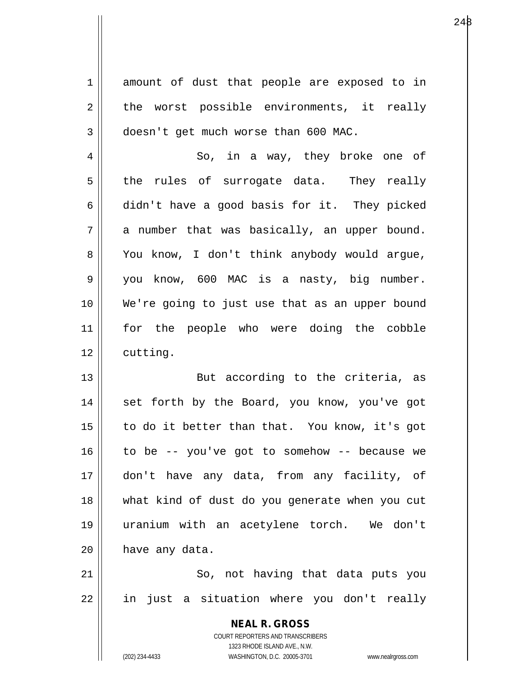**NEAL R. GROSS** COURT REPORTERS AND TRANSCRIBERS 1323 RHODE ISLAND AVE., N.W. 1 amount of dust that people are exposed to in  $2 \parallel$  the worst possible environments, it really  $3 \parallel$  doesn't get much worse than 600 MAC. 4 || So, in a way, they broke one of  $5 \parallel$  the rules of surrogate data. They really  $6 \parallel$  didn't have a good basis for it. They picked  $7 \parallel$  a number that was basically, an upper bound. 8 | You know, I don't think anybody would argue, 9 you know, 600 MAC is a nasty, big number. 10 We're going to just use that as an upper bound 11 for the people who were doing the cobble  $12 \parallel$  cutting. 13 || But according to the criteria, as 14 || set forth by the Board, you know, you've got 15 to do it better than that. You know, it's got  $16$  to be -- you've got to somehow -- because we 17 don't have any data, from any facility, of 18 what kind of dust do you generate when you cut 19 uranium with an acetylene torch. We don't  $20$  | have any data. 21 || So, not having that data puts you 22 || in just a situation where you don't really

(202) 234-4433 WASHINGTON, D.C. 20005-3701 www.nealrgross.com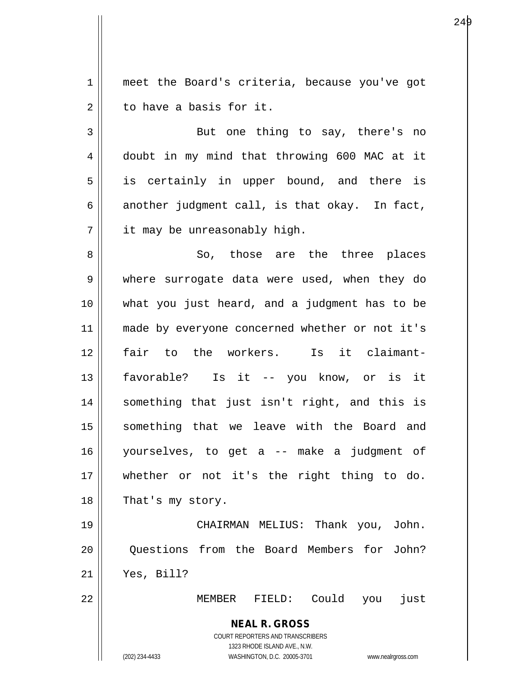1 meet the Board's criteria, because you've got 2 d to have a basis for it.

3 || But one thing to say, there's no 4 doubt in my mind that throwing 600 MAC at it 5 || is certainly in upper bound, and there is 6 another judgment call, is that okay. In fact, 7 | it may be unreasonably high.

8 So, those are the three places 9 where surrogate data were used, when they do 10 what you just heard, and a judgment has to be 11 || made by everyone concerned whether or not it's 12 fair to the workers. Is it claimant-13 favorable? Is it -- you know, or is it 14 something that just isn't right, and this is 15 || something that we leave with the Board and 16 yourselves, to get a -- make a judgment of 17 whether or not it's the right thing to do. 18 || That's my story.

19 CHAIRMAN MELIUS: Thank you, John. 20 Questions from the Board Members for John? 21 Yes, Bill?

22 MEMBER FIELD: Could you just

**NEAL R. GROSS** COURT REPORTERS AND TRANSCRIBERS

1323 RHODE ISLAND AVE., N.W.

(202) 234-4433 WASHINGTON, D.C. 20005-3701 www.nealrgross.com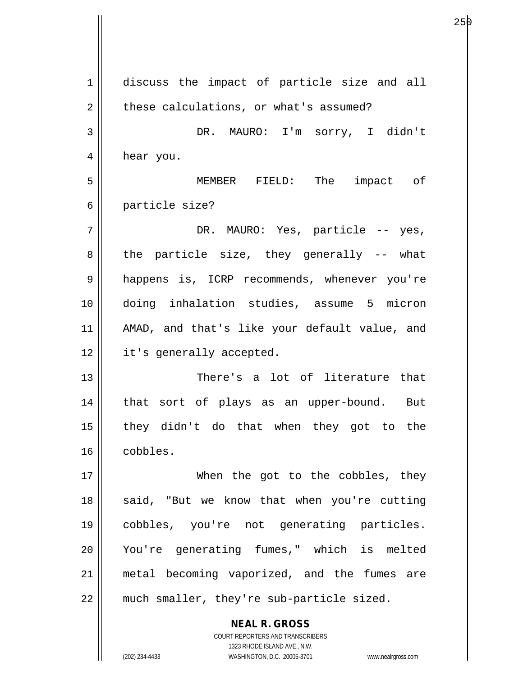**NEAL R. GROSS** 1 discuss the impact of particle size and all  $2 \parallel$  these calculations, or what's assumed? 3 DR. MAURO: I'm sorry, I didn't 4 | hear you. 5 MEMBER FIELD: The impact of 6 particle size? 7 DR. MAURO: Yes, particle -- yes,  $8 \parallel$  the particle size, they generally -- what 9 || happens is, ICRP recommends, whenever you're 10 doing inhalation studies, assume 5 micron 11 AMAD, and that's like your default value, and 12 | it's generally accepted. 13 There's a lot of literature that 14 || that sort of plays as an upper-bound. But 15 they didn't do that when they got to the 16 cobbles. 17 || When the got to the cobbles, they 18 || said, "But we know that when you're cutting 19 cobbles, you're not generating particles. 20 You're generating fumes," which is melted 21 metal becoming vaporized, and the fumes are 22 || much smaller, they're sub-particle sized.

> COURT REPORTERS AND TRANSCRIBERS 1323 RHODE ISLAND AVE., N.W.

(202) 234-4433 WASHINGTON, D.C. 20005-3701 www.nealrgross.com

е производите производите на 1936 година од 25 року на 1940 године и 1940 године и 1940 године и 1940 године п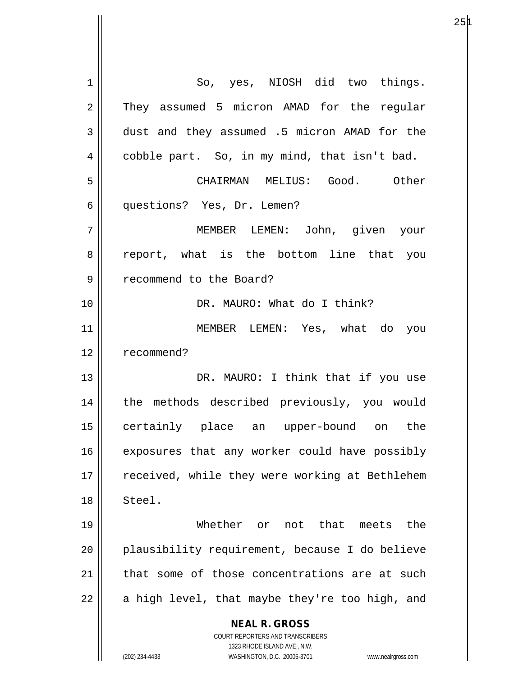**NEAL R. GROSS** COURT REPORTERS AND TRANSCRIBERS 1323 RHODE ISLAND AVE., N.W. (202) 234-4433 WASHINGTON, D.C. 20005-3701 www.nealrgross.com 1 || So, yes, NIOSH did two things. 2 They assumed 5 micron AMAD for the regular 3 dust and they assumed .5 micron AMAD for the 4 | cobble part. So, in my mind, that isn't bad. 5 CHAIRMAN MELIUS: Good. Other 6 questions? Yes, Dr. Lemen? 7 MEMBER LEMEN: John, given your 8 || report, what is the bottom line that you 9 | recommend to the Board? 10 DR. MAURO: What do I think? 11 MEMBER LEMEN: Yes, what do you 12 | recommend? 13 || DR. MAURO: I think that if you use 14 || the methods described previously, you would 15 certainly place an upper-bound on the 16 || exposures that any worker could have possibly 17 || received, while they were working at Bethlehem 18 Steel. 19 Whether or not that meets the 20 || plausibility requirement, because I do believe 21 that some of those concentrations are at such  $22 \parallel$  a high level, that maybe they're too high, and

 $25\text{\AA}$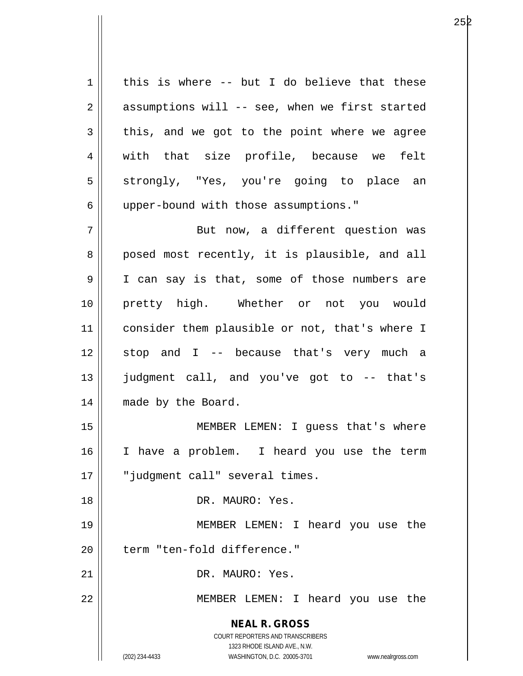**NEAL R. GROSS** COURT REPORTERS AND TRANSCRIBERS 1323 RHODE ISLAND AVE., N.W. (202) 234-4433 WASHINGTON, D.C. 20005-3701 www.nealrgross.com  $1 \parallel$  this is where -- but I do believe that these  $2 \parallel$  assumptions will -- see, when we first started  $3 \parallel$  this, and we got to the point where we agree 4 || with that size profile, because we felt 5 Strongly, "Yes, you're going to place an 6 | upper-bound with those assumptions." 7 || But now, a different question was 8 posed most recently, it is plausible, and all 9 I I can say is that, some of those numbers are 10 pretty high. Whether or not you would 11 | consider them plausible or not, that's where I  $12$  stop and I -- because that's very much a 13 judgment call, and you've got to -- that's 14 | made by the Board. 15 || MEMBER LEMEN: I guess that's where 16 I have a problem. I heard you use the term 17 || "judqment call" several times. 18 DR. MAURO: Yes. 19 MEMBER LEMEN: I heard you use the 20 | term "ten-fold difference." 21 || DR. MAURO: Yes. 22 || MEMBER LEMEN: I heard you use the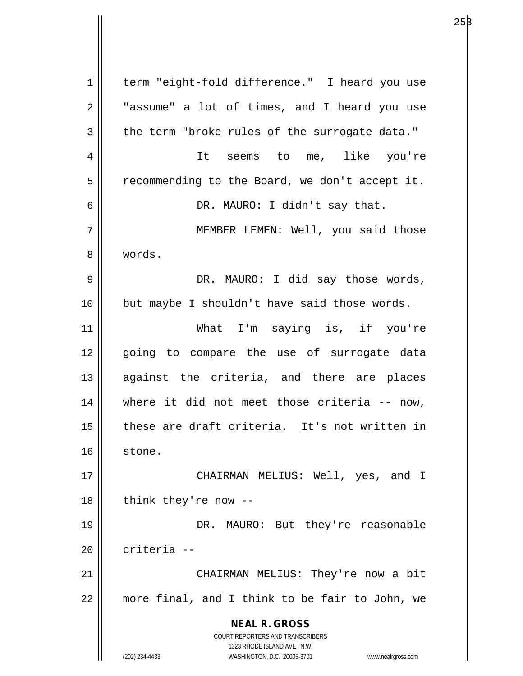**NEAL R. GROSS** COURT REPORTERS AND TRANSCRIBERS 1323 RHODE ISLAND AVE., N.W. (202) 234-4433 WASHINGTON, D.C. 20005-3701 www.nealrgross.com 1 | term "eight-fold difference." I heard you use 2 || "assume" a lot of times, and I heard you use  $3 \parallel$  the term "broke rules of the surrogate data." 4 It seems to me, like you're  $5 \parallel$  recommending to the Board, we don't accept it. 6 DR. MAURO: I didn't say that. 7 MEMBER LEMEN: Well, you said those 8 words. 9 DR. MAURO: I did say those words, 10 but maybe I shouldn't have said those words. 11 What I'm saying is, if you're 12 || qoing to compare the use of surrogate data 13 || against the criteria, and there are places 14 where it did not meet those criteria -- now, 15 || these are draft criteria. It's not written in 16 stone. 17 CHAIRMAN MELIUS: Well, yes, and I  $18$  || think they're now --19 DR. MAURO: But they're reasonable 20 criteria -- 21 || CHAIRMAN MELIUS: They're now a bit 22 more final, and I think to be fair to John, we

 $25\beta$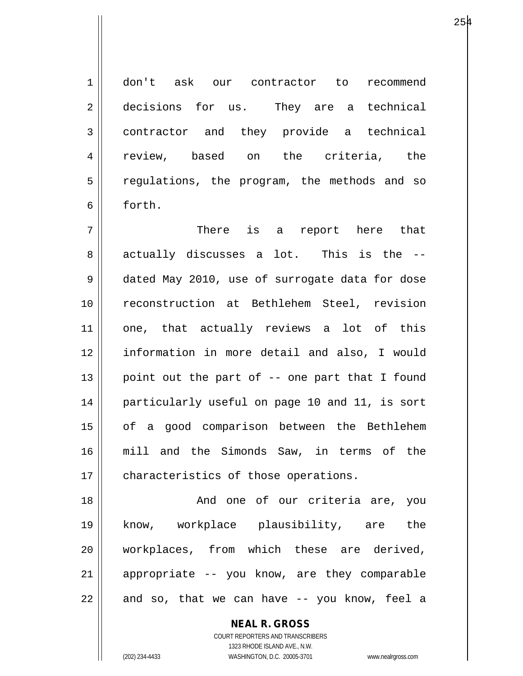1 don't ask our contractor to recommend 2 decisions for us. They are a technical 3 || contractor and they provide a technical 4 || review, based on the criteria, the 5 || regulations, the program, the methods and so 6 forth.

7 There is a report here that 8 actually discusses a lot. This is the --9 dated May 2010, use of surrogate data for dose 10 reconstruction at Bethlehem Steel, revision 11 || one, that actually reviews a lot of this 12 information in more detail and also, I would 13 || point out the part of  $-$  one part that I found 14 particularly useful on page 10 and 11, is sort 15 || of a good comparison between the Bethlehem 16 mill and the Simonds Saw, in terms of the 17 | characteristics of those operations.

18 And one of our criteria are, you 19 know, workplace plausibility, are the 20 workplaces, from which these are derived, 21 || appropriate -- you know, are they comparable  $22 \parallel$  and so, that we can have -- you know, feel a

> **NEAL R. GROSS** COURT REPORTERS AND TRANSCRIBERS 1323 RHODE ISLAND AVE., N.W. (202) 234-4433 WASHINGTON, D.C. 20005-3701 www.nealrgross.com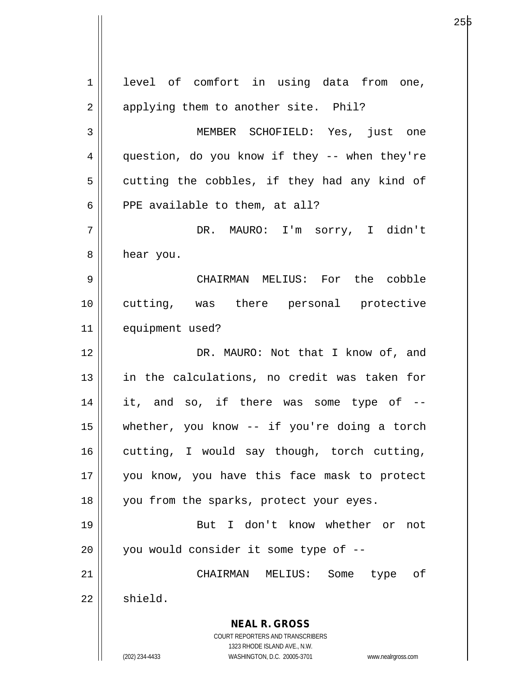**NEAL R. GROSS** COURT REPORTERS AND TRANSCRIBERS 1323 RHODE ISLAND AVE., N.W. (202) 234-4433 WASHINGTON, D.C. 20005-3701 www.nealrgross.com 1 || level of comfort in using data from one, 2 || applying them to another site. Phil? 3 MEMBER SCHOFIELD: Yes, just one 4 || question, do you know if they -- when they're  $5 \parallel$  cutting the cobbles, if they had any kind of  $6$  || PPE available to them, at all? 7 DR. MAURO: I'm sorry, I didn't 8 | hear you. 9 CHAIRMAN MELIUS: For the cobble 10 cutting, was there personal protective 11 equipment used? 12 || DR. MAURO: Not that I know of, and 13 in the calculations, no credit was taken for 14 || it, and so, if there was some type of --15 whether, you know -- if you're doing a torch  $16$  cutting, I would say though, torch cutting, 17 you know, you have this face mask to protect 18 || you from the sparks, protect your eyes. 19 || But I don't know whether or not  $20$  | you would consider it some type of  $-$ 21 CHAIRMAN MELIUS: Some type of  $22 \parallel$  shield.

е производите производите на 1936 година од 25 рануари 25 рануари 25 рануари 25 рануари 25 рануари 25 рануари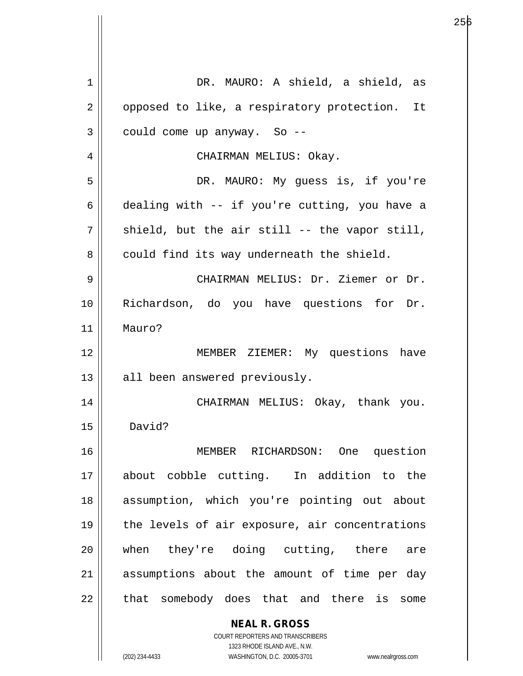| 1  | DR. MAURO: A shield, a shield,<br>as                                                                |
|----|-----------------------------------------------------------------------------------------------------|
| 2  | opposed to like, a respiratory protection. It                                                       |
| 3  | could come up anyway. So --                                                                         |
| 4  | CHAIRMAN MELIUS: Okay.                                                                              |
| 5  | DR. MAURO: My guess is, if you're                                                                   |
| 6  | dealing with -- if you're cutting, you have a                                                       |
| 7  | shield, but the air still -- the vapor still,                                                       |
| 8  | could find its way underneath the shield.                                                           |
| 9  | CHAIRMAN MELIUS: Dr. Ziemer or Dr.                                                                  |
| 10 | Richardson, do you have questions for Dr.                                                           |
| 11 | Mauro?                                                                                              |
| 12 | MEMBER ZIEMER: My questions have                                                                    |
| 13 | all been answered previously.                                                                       |
| 14 | CHAIRMAN MELIUS: Okay, thank you.                                                                   |
| 15 | David?                                                                                              |
| 16 | MEMBER RICHARDSON: One question                                                                     |
| 17 | about cobble cutting. In addition to the                                                            |
| 18 | assumption, which you're pointing out about                                                         |
| 19 | the levels of air exposure, air concentrations                                                      |
| 20 | when they're doing cutting, there are                                                               |
| 21 | assumptions about the amount of time per day                                                        |
| 22 | that somebody does that and there is some                                                           |
|    | <b>NEAL R. GROSS</b>                                                                                |
|    | COURT REPORTERS AND TRANSCRIBERS                                                                    |
|    | 1323 RHODE ISLAND AVE., N.W.<br>WASHINGTON, D.C. 20005-3701<br>(202) 234-4433<br>www.nealrgross.com |

е производите производите на 1946 године на 1946 године на 1946 године и 1946 године при представление од 195

 $\mathbf{\mathcal{L}}$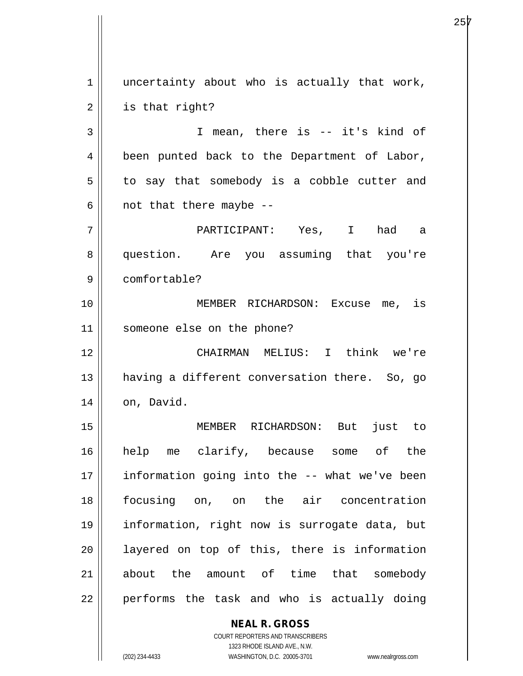**NEAL R. GROSS**  $1 \parallel$  uncertainty about who is actually that work,  $2 \parallel$  is that right? 3 || T mean, there is -- it's kind of 4 || been punted back to the Department of Labor,  $5 \parallel$  to say that somebody is a cobble cutter and  $6 \parallel$  not that there maybe --7 PARTICIPANT: Yes, I had a 8 question. Are you assuming that you're 9 comfortable? 10 MEMBER RICHARDSON: Excuse me, is 11 someone else on the phone? 12 CHAIRMAN MELIUS: I think we're 13 || having a different conversation there. So, go  $14$  | on, David. 15 MEMBER RICHARDSON: But just to 16 help me clarify, because some of the 17 || information going into the -- what we've been 18 focusing on, on the air concentration 19 information, right now is surrogate data, but 20 || layered on top of this, there is information 21 about the amount of time that somebody 22 || performs the task and who is actually doing

> COURT REPORTERS AND TRANSCRIBERS 1323 RHODE ISLAND AVE., N.W.

(202) 234-4433 WASHINGTON, D.C. 20005-3701 www.nealrgross.com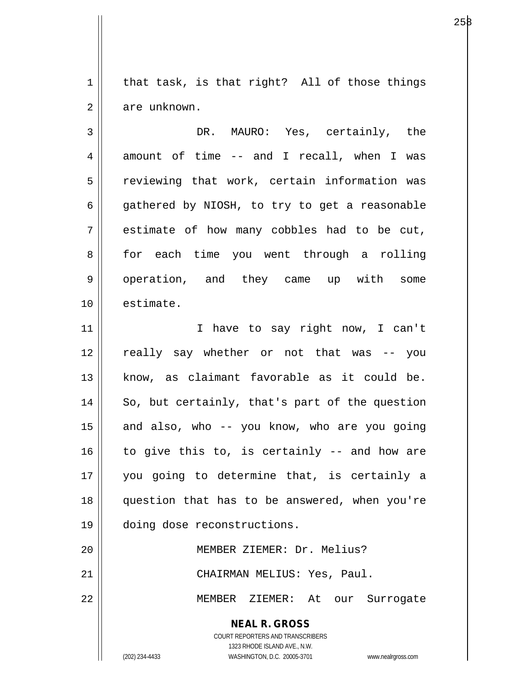$1 \parallel$  that task, is that right? All of those things 2 | are unknown.

3 DR. MAURO: Yes, certainly, the  $4 \parallel$  amount of time -- and I recall, when I was  $5 \parallel$  reviewing that work, certain information was  $6 \parallel$  gathered by NIOSH, to try to get a reasonable  $7 \parallel$  estimate of how many cobbles had to be cut, 8 for each time you went through a rolling 9 || operation, and they came up with some 10 estimate.

11 || Thave to say right now, I can't 12 really say whether or not that was -- you 13 know, as claimant favorable as it could be.  $14$  So, but certainly, that's part of the question  $15$  and also, who -- you know, who are you going  $16$  to give this to, is certainly -- and how are 17 you going to determine that, is certainly a 18 question that has to be answered, when you're 19 doing dose reconstructions. 20 MEMBER ZIEMER: Dr. Melius?

21 || CHAIRMAN MELIUS: Yes, Paul.

22 MEMBER ZIEMER: At our Surrogate

**NEAL R. GROSS** COURT REPORTERS AND TRANSCRIBERS

1323 RHODE ISLAND AVE., N.W.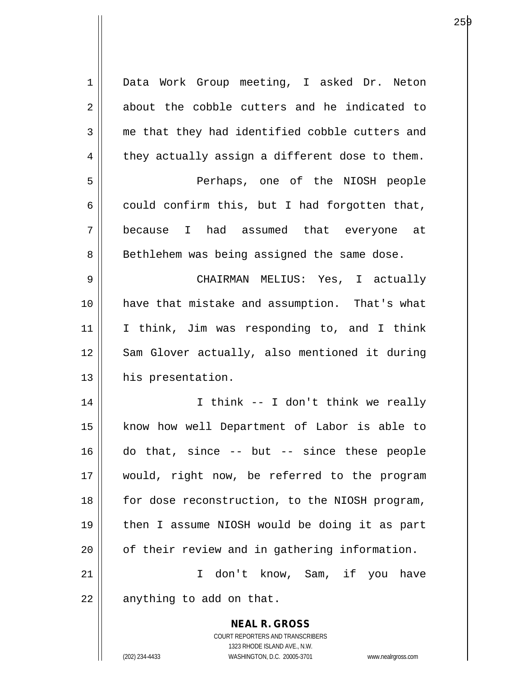| $\mathbf 1$ | Data Work Group meeting, I asked Dr. Neton               |
|-------------|----------------------------------------------------------|
| 2           | about the cobble cutters and he indicated to             |
| 3           | me that they had identified cobble cutters and           |
| 4           | they actually assign a different dose to them.           |
| 5           | Perhaps, one of the NIOSH people                         |
| 6           | could confirm this, but I had forgotten that,            |
| 7           | because I had assumed that everyone at                   |
| 8           | Bethlehem was being assigned the same dose.              |
| 9           | CHAIRMAN MELIUS: Yes, I actually                         |
| 10          | have that mistake and assumption. That's what            |
| 11          | I think, Jim was responding to, and I think              |
| 12          | Sam Glover actually, also mentioned it during            |
| 13          | his presentation.                                        |
| 14          | I think -- I don't think we really                       |
| 15          | know how well Department of Labor is able to             |
| 16          | do that, since $-$ but $-$ since these people            |
| 17          | would, right now, be referred to the program             |
| 18          | for dose reconstruction, to the NIOSH program,           |
| 19          | then I assume NIOSH would be doing it as part            |
| 20          | of their review and in gathering information.            |
| 21          | don't know, Sam, if you have<br>I.                       |
| 22          | anything to add on that.                                 |
|             | <b>NEAL R. GROSS</b><br>COURT REPORTERS AND TRANSCRIBERS |

1323 RHODE ISLAND AVE., N.W.

 $\mathsf{II}$ 

(202) 234-4433 WASHINGTON, D.C. 20005-3701 www.nealrgross.com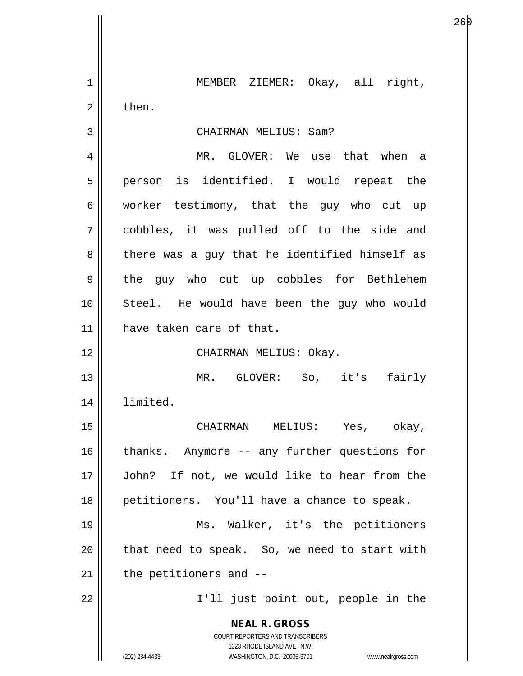**NEAL R. GROSS** COURT REPORTERS AND TRANSCRIBERS 1323 RHODE ISLAND AVE., N.W. (202) 234-4433 WASHINGTON, D.C. 20005-3701 www.nealrgross.com 1 || MEMBER ZIEMER: Okay, all right,  $2 \parallel$  then. 3 CHAIRMAN MELIUS: Sam? 4 MR. GLOVER: We use that when a 5 || person is identified. I would repeat the 6 worker testimony, that the guy who cut up 7 cobbles, it was pulled off to the side and  $8 \parallel$  there was a guy that he identified himself as 9 || the guy who cut up cobbles for Bethlehem 10 Steel. He would have been the guy who would 11 have taken care of that. 12 || CHAIRMAN MELIUS: Okay. 13 MR. GLOVER: So, it's fairly 14 limited. 15 CHAIRMAN MELIUS: Yes, okay, 16 || thanks. Anymore -- any further questions for 17 John? If not, we would like to hear from the 18 || petitioners. You'll have a chance to speak. 19 Ms. Walker, it's the petitioners  $20$  || that need to speak. So, we need to start with  $21$  | the petitioners and  $-$ 22 || T'll just point out, people in the

е процессионално производство на 1960 година в 1960 година од 26 року 1960 година од 26 року 1960 година од 19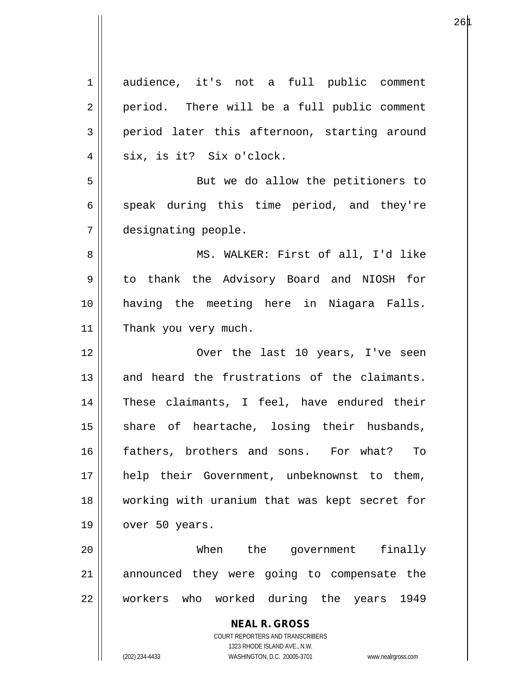| $\mathbf 1$ | audience, it's not a full public comment                                                            |
|-------------|-----------------------------------------------------------------------------------------------------|
| 2           | period. There will be a full public comment                                                         |
| 3           | period later this afternoon, starting around                                                        |
| 4           | six, is it? Six o'clock.                                                                            |
| 5           | But we do allow the petitioners to                                                                  |
| 6           | speak during this time period, and they're                                                          |
| 7           | designating people.                                                                                 |
| 8           | MS. WALKER: First of all, I'd like                                                                  |
| 9           | to thank the Advisory Board and NIOSH for                                                           |
| 10          | having the meeting here in Niagara Falls.                                                           |
| 11          | Thank you very much.                                                                                |
| 12          | Over the last 10 years, I've seen                                                                   |
| 13          | and heard the frustrations of the claimants.                                                        |
| 14          | These claimants, I feel, have endured their                                                         |
|             |                                                                                                     |
| 15          | share of heartache, losing their husbands,                                                          |
| 16          | fathers, brothers and sons. For what?<br>To                                                         |
| 17          | help their Government, unbeknownst to them,                                                         |
| 18          | working with uranium that was kept secret for                                                       |
| 19          | over 50 years.                                                                                      |
| 20          | When the government finally                                                                         |
| 21          | announced they were going to compensate the                                                         |
| 22          | workers who worked during the years<br>1949                                                         |
|             | <b>NEAL R. GROSS</b>                                                                                |
|             | COURT REPORTERS AND TRANSCRIBERS                                                                    |
|             | 1323 RHODE ISLAND AVE., N.W.<br>(202) 234-4433<br>WASHINGTON, D.C. 20005-3701<br>www.nealrgross.com |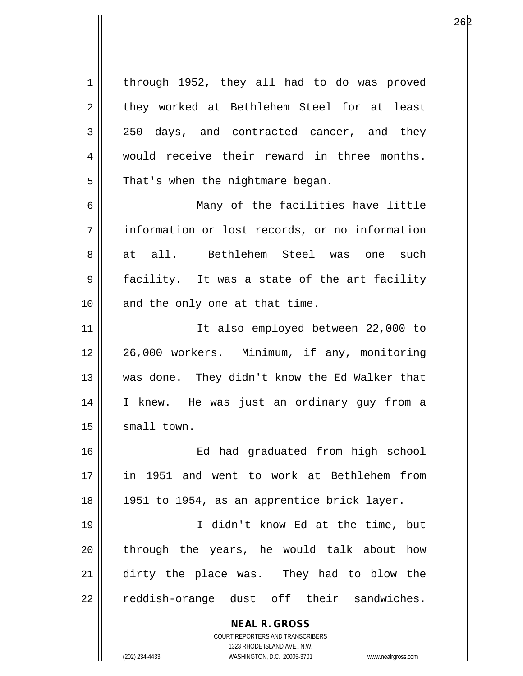**NEAL R. GROSS** COURT REPORTERS AND TRANSCRIBERS 1323 RHODE ISLAND AVE., N.W. (202) 234-4433 WASHINGTON, D.C. 20005-3701 www.nealrgross.com 1 | through 1952, they all had to do was proved 2 they worked at Bethlehem Steel for at least 3 250 days, and contracted cancer, and they 4 || would receive their reward in three months.  $5 \parallel$  That's when the nightmare began. 6 Many of the facilities have little 7 information or lost records, or no information 8 at all. Bethlehem Steel was one such 9 facility. It was a state of the art facility  $10$  || and the only one at that time. 11 || Tt also employed between 22,000 to 12 || 26,000 workers. Minimum, if any, monitoring 13 was done. They didn't know the Ed Walker that 14 I knew. He was just an ordinary guy from a  $15$   $\parallel$  small town. 16 Ed had graduated from high school 17 in 1951 and went to work at Bethlehem from 18 || 1951 to 1954, as an apprentice brick layer. 19 I didn't know Ed at the time, but 20 || through the years, he would talk about how 21 dirty the place was. They had to blow the 22 || reddish-orange dust off their sandwiches.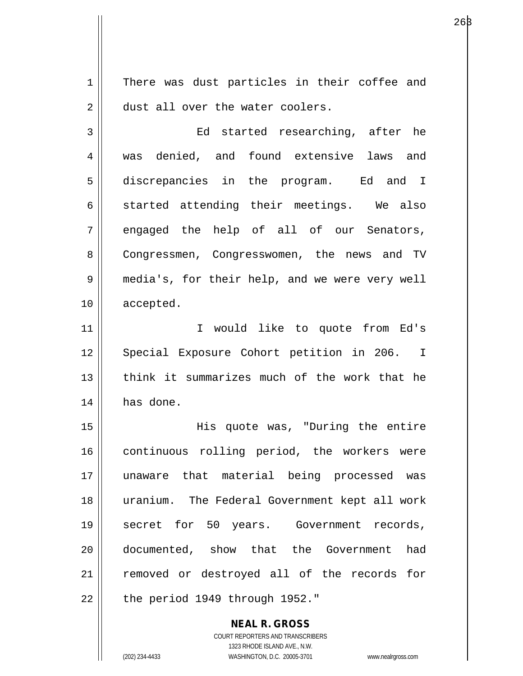1 There was dust particles in their coffee and 2 dust all over the water coolers.

3 Ed started researching, after he 4 was denied, and found extensive laws and 5 discrepancies in the program. Ed and I  $6 \parallel$  started attending their meetings. We also  $7 \parallel$  engaged the help of all of our Senators, 8 Congressmen, Congresswomen, the news and TV 9 || media's, for their help, and we were very well 10 accepted.

11 || T would like to quote from Ed's 12 || Special Exposure Cohort petition in 206. I 13 think it summarizes much of the work that he 14 has done.

15 His quote was, "During the entire 16 || continuous rolling period, the workers were 17 unaware that material being processed was 18 uranium. The Federal Government kept all work 19 || secret for 50 years. Government records, 20 documented, show that the Government had 21 || removed or destroyed all of the records for  $22$  | the period 1949 through 1952."

> **NEAL R. GROSS** COURT REPORTERS AND TRANSCRIBERS 1323 RHODE ISLAND AVE., N.W. (202) 234-4433 WASHINGTON, D.C. 20005-3701 www.nealrgross.com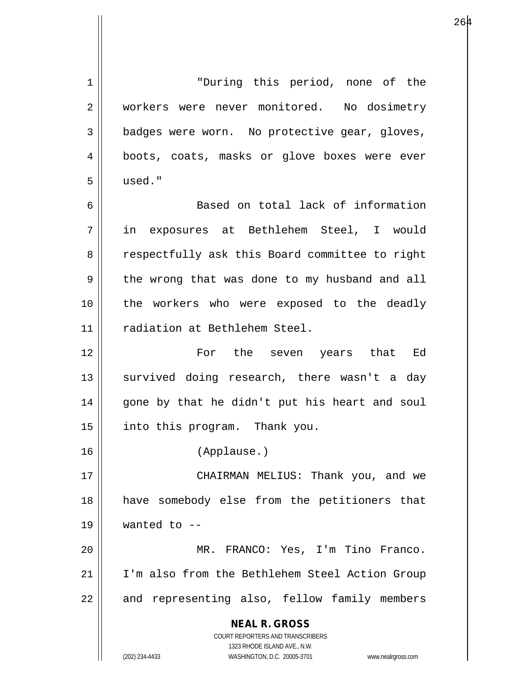**NEAL R. GROSS** COURT REPORTERS AND TRANSCRIBERS 1323 RHODE ISLAND AVE., N.W. (202) 234-4433 WASHINGTON, D.C. 20005-3701 www.nealrgross.com 1 "During this period, none of the 2 | workers were never monitored. No dosimetry  $3 \parallel$  badges were worn. No protective gear, gloves, 4 || boots, coats, masks or glove boxes were ever 5 used." 6 || Based on total lack of information 7 in exposures at Bethlehem Steel, I would 8 || respectfully ask this Board committee to right  $9 \parallel$  the wrong that was done to my husband and all 10 the workers who were exposed to the deadly 11 radiation at Bethlehem Steel. 12 For the seven years that Ed 13 || survived doing research, there wasn't a day 14 || gone by that he didn't put his heart and soul 15 | into this program. Thank you. 16 (Applause.) 17 CHAIRMAN MELIUS: Thank you, and we 18 have somebody else from the petitioners that  $19$  | wanted to  $-$ 20 MR. FRANCO: Yes, I'm Tino Franco. 21 I'm also from the Bethlehem Steel Action Group 22 || and representing also, fellow family members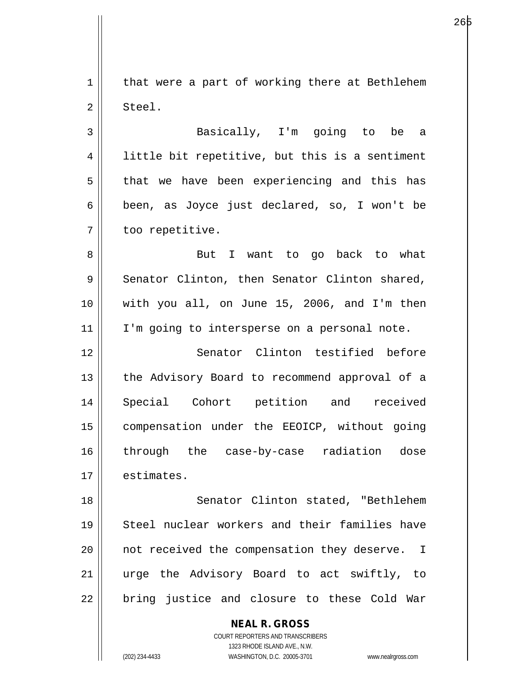$1 \parallel$  that were a part of working there at Bethlehem 2 Steel.

е процесс производство на 1965 године в 1965 године производство на 1965 године и 1965 године при 1965 године<br>В 1965 године при 1965 године при 1965 године при 1965 године при 1965 године при 1965 године при 1965 године

3 Basically, I'm going to be a 4 | little bit repetitive, but this is a sentiment  $5 \parallel$  that we have been experiencing and this has 6 | been, as Joyce just declared, so, I won't be 7 | too repetitive.

8 || But I want to go back to what  $9 \parallel$  Senator Clinton, then Senator Clinton shared, 10 with you all, on June 15, 2006, and I'm then  $11$  | I'm going to intersperse on a personal note.

12 || Senator Clinton testified before 13 || the Advisory Board to recommend approval of a 14 Special Cohort petition and received 15 compensation under the EEOICP, without going 16 through the case-by-case radiation dose  $17$   $\parallel$  estimates.

18 || Senator Clinton stated, "Bethlehem 19 Steel nuclear workers and their families have 20 || not received the compensation they deserve. I 21 urge the Advisory Board to act swiftly, to  $22$  || bring justice and closure to these Cold War

**NEAL R. GROSS**

COURT REPORTERS AND TRANSCRIBERS 1323 RHODE ISLAND AVE., N.W. (202) 234-4433 WASHINGTON, D.C. 20005-3701 www.nealrgross.com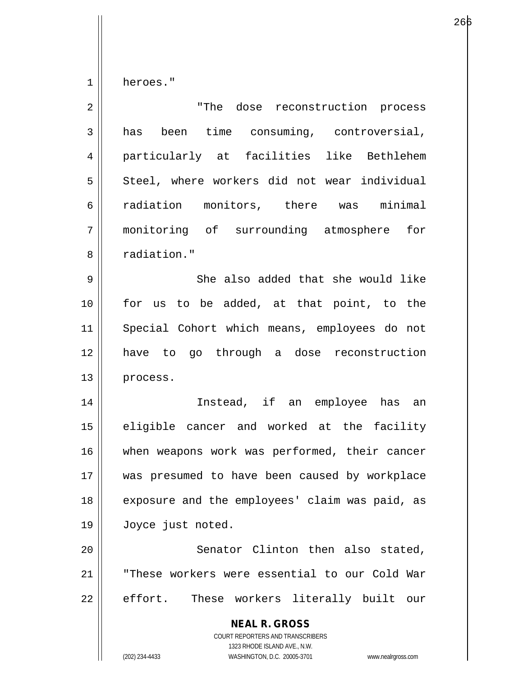$1 \parallel$  heroes."

| $\overline{2}$ | "The dose reconstruction process                                                                                                                                |
|----------------|-----------------------------------------------------------------------------------------------------------------------------------------------------------------|
| $\mathbf{3}$   | been time consuming, controversial,<br>has                                                                                                                      |
| 4              | particularly at facilities like Bethlehem                                                                                                                       |
| 5              | Steel, where workers did not wear individual                                                                                                                    |
| 6              | radiation monitors, there was minimal                                                                                                                           |
| 7              | monitoring of surrounding atmosphere<br>for                                                                                                                     |
| 8              | radiation."                                                                                                                                                     |
| 9              | She also added that she would like                                                                                                                              |
| 10             | for us to be added, at that point, to the                                                                                                                       |
| 11             | Special Cohort which means, employees do not                                                                                                                    |
| 12             | have to go through a dose reconstruction                                                                                                                        |
| 13             | process.                                                                                                                                                        |
| 14             | Instead, if an employee has an                                                                                                                                  |
| 15             | eligible cancer and worked at the facility                                                                                                                      |
| 16             | when weapons work was performed, their cancer                                                                                                                   |
| 17             | was presumed to have been caused by workplace                                                                                                                   |
| 18             | exposure and the employees' claim was paid, as                                                                                                                  |
| 19             | Joyce just noted.                                                                                                                                               |
| 20             | Senator Clinton then also stated,                                                                                                                               |
| 21             | "These workers were essential to our Cold War                                                                                                                   |
| 22             | effort.<br>These workers literally built our                                                                                                                    |
|                | <b>NEAL R. GROSS</b><br>COURT REPORTERS AND TRANSCRIBERS<br>1323 RHODE ISLAND AVE., N.W.<br>(202) 234-4433<br>WASHINGTON, D.C. 20005-3701<br>www.nealrgross.com |
|                |                                                                                                                                                                 |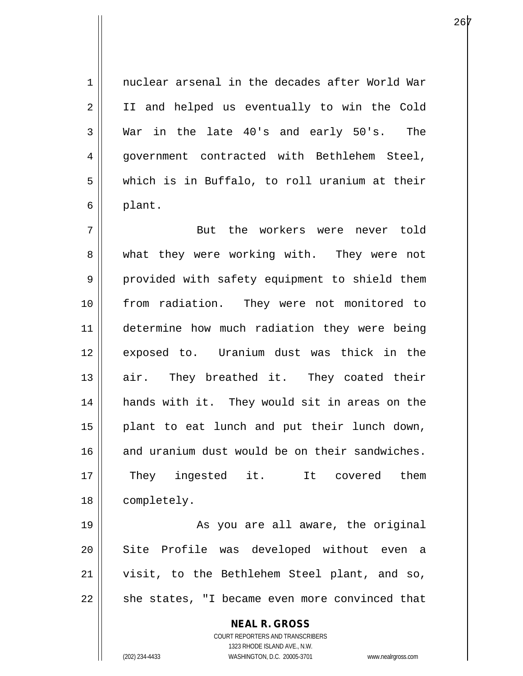1 || nuclear arsenal in the decades after World War 2 || II and helped us eventually to win the Cold 3 War in the late 40's and early 50's. The 4 || government contracted with Bethlehem Steel,  $5 \parallel$  which is in Buffalo, to roll uranium at their  $6 \parallel$  plant.

7 But the workers were never told 8 what they were working with. They were not 9 || provided with safety equipment to shield them 10 from radiation. They were not monitored to 11 || determine how much radiation they were being 12 exposed to. Uranium dust was thick in the 13 air. They breathed it. They coated their 14 hands with it. They would sit in areas on the 15 plant to eat lunch and put their lunch down, 16 and uranium dust would be on their sandwiches. 17 || They ingested it. It covered them 18 | completely.

19 || As you are all aware, the original 20 || Site Profile was developed without even a 21 visit, to the Bethlehem Steel plant, and so,  $22$   $\parallel$  she states, "I became even more convinced that

> **NEAL R. GROSS** COURT REPORTERS AND TRANSCRIBERS 1323 RHODE ISLAND AVE., N.W. (202) 234-4433 WASHINGTON, D.C. 20005-3701 www.nealrgross.com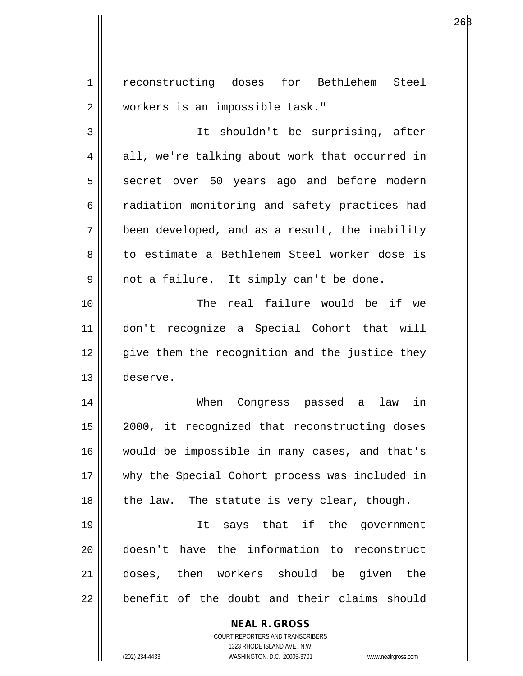**NEAL R. GROSS** 1 | reconstructing doses for Bethlehem Steel 2 | workers is an impossible task." 3 It shouldn't be surprising, after  $4 \parallel$  all, we're talking about work that occurred in 5 || secret over 50 years ago and before modern 6 | radiation monitoring and safety practices had  $7 \parallel$  been developed, and as a result, the inability 8 to estimate a Bethlehem Steel worker dose is  $9 \parallel$  not a failure. It simply can't be done. 10 The real failure would be if we 11 don't recognize a Special Cohort that will 12 || qive them the recognition and the justice they 13 deserve. 14 When Congress passed a law in 15 2000, it recognized that reconstructing doses 16 would be impossible in many cases, and that's 17 why the Special Cohort process was included in  $18$  || the law. The statute is very clear, though. 19 It says that if the government 20 doesn't have the information to reconstruct 21 doses, then workers should be given the  $22$   $\parallel$  benefit of the doubt and their claims should

> COURT REPORTERS AND TRANSCRIBERS 1323 RHODE ISLAND AVE., N.W.

(202) 234-4433 WASHINGTON, D.C. 20005-3701 www.nealrgross.com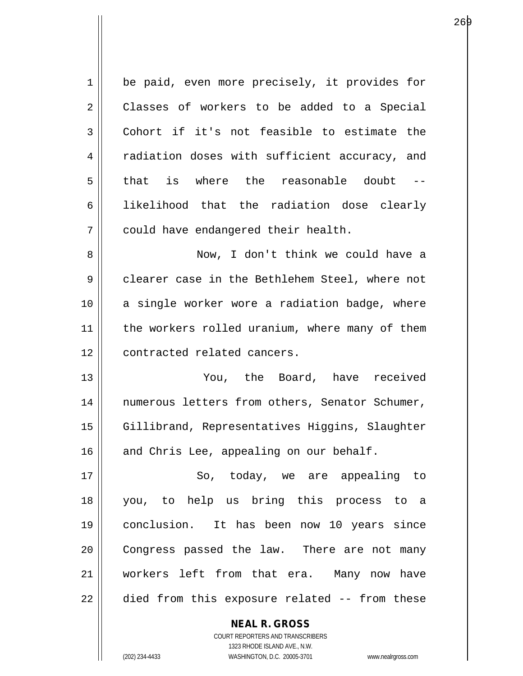1 | be paid, even more precisely, it provides for 2 | Classes of workers to be added to a Special  $3 \parallel$  Cohort if it's not feasible to estimate the 4 | radiation doses with sufficient accuracy, and  $5$  that is where the reasonable doubt 6 || likelihood that the radiation dose clearly  $7 \parallel$  could have endangered their health. 8 || Now, I don't think we could have a 9 clearer case in the Bethlehem Steel, where not 10 || a single worker wore a radiation badge, where 11 || the workers rolled uranium, where many of them 12 || contracted related cancers.

13 You, the Board, have received 14 || numerous letters from others, Senator Schumer, 15 | Gillibrand, Representatives Higgins, Slaughter  $16$  and Chris Lee, appealing on our behalf.

17 || So, today, we are appealing to 18 you, to help us bring this process to a 19 conclusion. It has been now 10 years since 20 || Congress passed the law. There are not many 21 workers left from that era. Many now have 22 || died from this exposure related -- from these

> **NEAL R. GROSS** COURT REPORTERS AND TRANSCRIBERS 1323 RHODE ISLAND AVE., N.W. (202) 234-4433 WASHINGTON, D.C. 20005-3701 www.nealrgross.com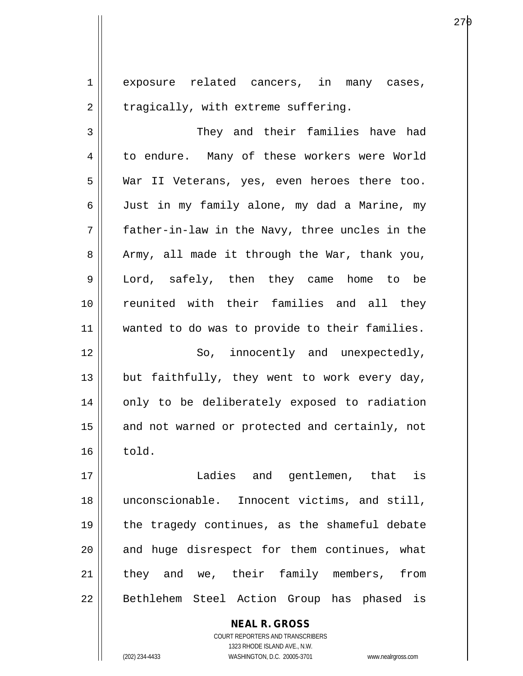1 exposure related cancers, in many cases,  $2 \parallel$  tragically, with extreme suffering.

3 || They and their families have had 4 to endure. Many of these workers were World 5 War II Veterans, yes, even heroes there too. 6 Just in my family alone, my dad a Marine, my 7 father-in-law in the Navy, three uncles in the  $8 \parallel$  Army, all made it through the War, thank you, 9 Lord, safely, then they came home to be 10 reunited with their families and all they 11 || wanted to do was to provide to their families.

12 || So, innocently and unexpectedly, 13  $\parallel$  but faithfully, they went to work every day, 14 || only to be deliberately exposed to radiation 15 || and not warned or protected and certainly, not  $16 \parallel$  told.

17 Ladies and gentlemen, that is 18 || unconscionable. Innocent victims, and still, 19 || the tragedy continues, as the shameful debate  $20$  || and huge disrespect for them continues, what 21 || they and we, their family members, from 22 || Bethlehem Steel Action Group has phased is

> COURT REPORTERS AND TRANSCRIBERS 1323 RHODE ISLAND AVE., N.W. (202) 234-4433 WASHINGTON, D.C. 20005-3701 www.nealrgross.com

**NEAL R. GROSS**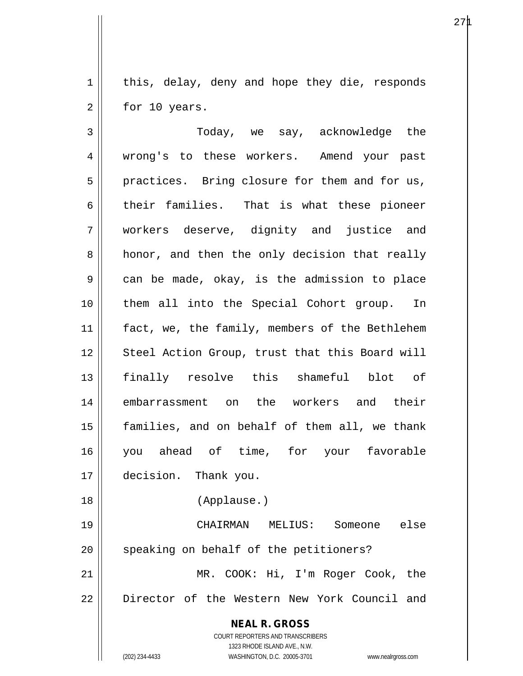1 | this, delay, deny and hope they die, responds  $2 \parallel$  for 10 years.

**NEAL R. GROSS** COURT REPORTERS AND TRANSCRIBERS 1323 RHODE ISLAND AVE., N.W. (202) 234-4433 WASHINGTON, D.C. 20005-3701 www.nealrgross.com 3 Today, we say, acknowledge the 4 || wrong's to these workers. Amend your past  $5 \parallel$  practices. Bring closure for them and for us,  $6$  their families. That is what these pioneer 7 workers deserve, dignity and justice and 8 || honor, and then the only decision that really  $9 \parallel$  can be made, okay, is the admission to place 10 them all into the Special Cohort group. In 11 || fact, we, the family, members of the Bethlehem 12 || Steel Action Group, trust that this Board will 13 finally resolve this shameful blot of 14 embarrassment on the workers and their 15 families, and on behalf of them all, we thank 16 you ahead of time, for your favorable 17 decision. Thank you. 18 (Applause.) 19 CHAIRMAN MELIUS: Someone else 20 || speaking on behalf of the petitioners? 21 MR. COOK: Hi, I'm Roger Cook, the 22 || Director of the Western New York Council and

 $27\mu$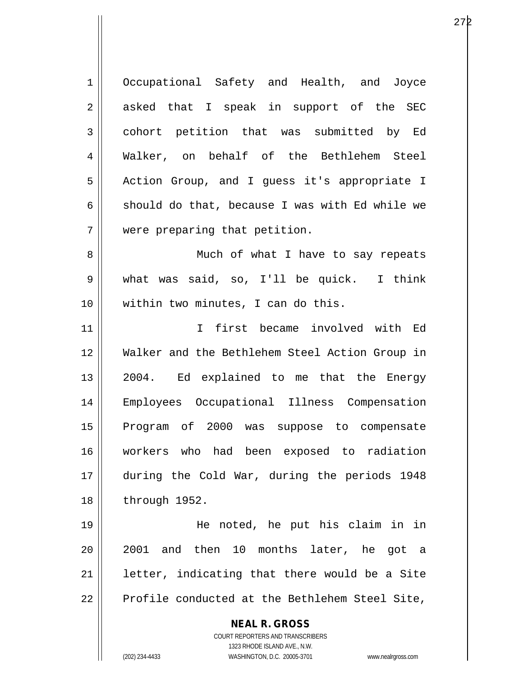**NEAL R. GROSS** COURT REPORTERS AND TRANSCRIBERS 1 | Occupational Safety and Health, and Joyce  $2 \parallel$  asked that I speak in support of the SEC 3 cohort petition that was submitted by Ed 4 Walker, on behalf of the Bethlehem Steel 5 | Action Group, and I guess it's appropriate I 6 should do that, because I was with Ed while we 7 were preparing that petition. 8 || Much of what I have to say repeats 9 what was said, so, I'll be quick. I think 10 || within two minutes, I can do this. 11 I first became involved with Ed 12 Walker and the Bethlehem Steel Action Group in 13 || 2004. Ed explained to me that the Energy 14 Employees Occupational Illness Compensation 15 || Program of 2000 was suppose to compensate 16 workers who had been exposed to radiation 17 during the Cold War, during the periods 1948 18 | through 1952. 19 He noted, he put his claim in in 20 2001 and then 10 months later, he got a  $21$  | letter, indicating that there would be a Site  $22$  | Profile conducted at the Bethlehem Steel Site,

1323 RHODE ISLAND AVE., N.W.

(202) 234-4433 WASHINGTON, D.C. 20005-3701 www.nealrgross.com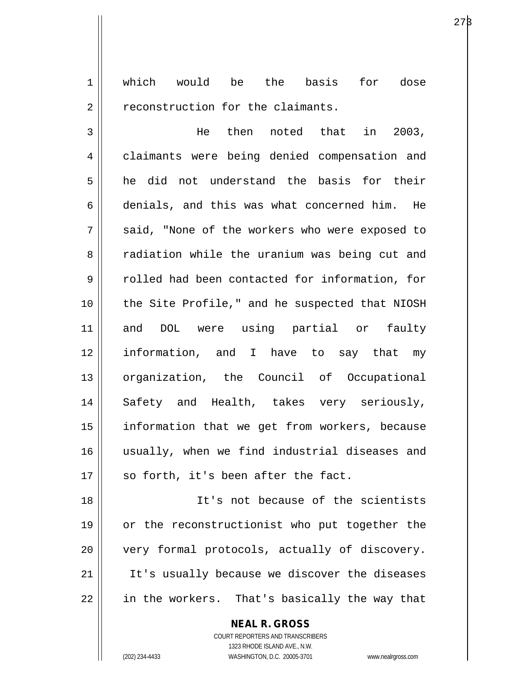1 which would be the basis for dose 2 | reconstruction for the claimants.

3 He then noted that in 2003, 4 | claimants were being denied compensation and 5 he did not understand the basis for their 6 denials, and this was what concerned him. He  $7 \parallel$  said, "None of the workers who were exposed to 8 T radiation while the uranium was being cut and 9 Tolled had been contacted for information, for 10 || the Site Profile," and he suspected that NIOSH 11 and DOL were using partial or faulty 12 information, and I have to say that my 13 organization, the Council of Occupational 14 Safety and Health, takes very seriously, 15 || information that we get from workers, because 16 usually, when we find industrial diseases and  $17$  | so forth, it's been after the fact.

18 It's not because of the scientists 19 || or the reconstructionist who put together the 20 || very formal protocols, actually of discovery.  $21$  || It's usually because we discover the diseases 22 || in the workers. That's basically the way that

## **NEAL R. GROSS**

COURT REPORTERS AND TRANSCRIBERS 1323 RHODE ISLAND AVE., N.W. (202) 234-4433 WASHINGTON, D.C. 20005-3701 www.nealrgross.com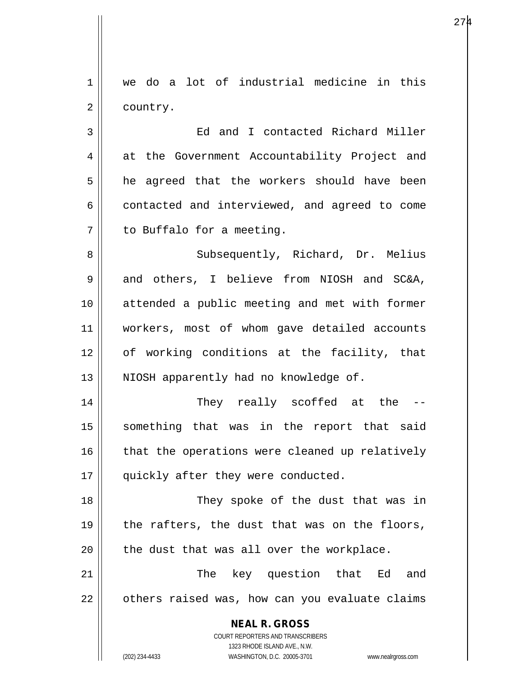**NEAL R. GROSS** COURT REPORTERS AND TRANSCRIBERS 1323 RHODE ISLAND AVE., N.W. 1 we do a lot of industrial medicine in this 2 | country. 3 Ed and I contacted Richard Miller 4 at the Government Accountability Project and 5 **h** he agreed that the workers should have been  $6 \parallel$  contacted and interviewed, and agreed to come 7 | to Buffalo for a meeting. 8 || Subsequently, Richard, Dr. Melius 9 and others, I believe from NIOSH and SC&A, 10 attended a public meeting and met with former 11 workers, most of whom gave detailed accounts 12 of working conditions at the facility, that 13 || NIOSH apparently had no knowledge of. 14 They really scoffed at the -- 15 || something that was in the report that said  $16$  | that the operations were cleaned up relatively 17 || quickly after they were conducted. 18 || They spoke of the dust that was in 19  $\parallel$  the rafters, the dust that was on the floors,  $20$  | the dust that was all over the workplace. 21 The key question that Ed and  $22$  |  $\circ$  others raised was, how can you evaluate claims

(202) 234-4433 WASHINGTON, D.C. 20005-3701 www.nealrgross.com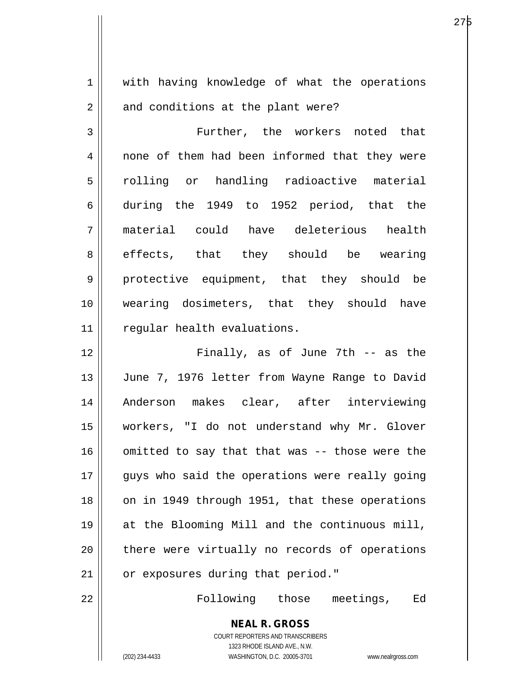1 || with having knowledge of what the operations  $2 \parallel$  and conditions at the plant were?

3 Further, the workers noted that 4 || none of them had been informed that they were 5 || rolling or handling radioactive material 6 during the 1949 to 1952 period, that the 7 material could have deleterious health 8 || effects, that they should be wearing 9 || protective equipment, that they should be 10 || wearing dosimeters, that they should have 11 || regular health evaluations.

12 Finally, as of June 7th -- as the 13 || June 7, 1976 letter from Wayne Range to David 14 Anderson makes clear, after interviewing 15 workers, "I do not understand why Mr. Glover  $16$  | omitted to say that that was -- those were the 17 || guys who said the operations were really going 18 || on in 1949 through 1951, that these operations 19 at the Blooming Mill and the continuous mill, 20 || there were virtually no records of operations 21 | or exposures during that period."

22 Following those meetings, Ed

**NEAL R. GROSS** COURT REPORTERS AND TRANSCRIBERS 1323 RHODE ISLAND AVE., N.W.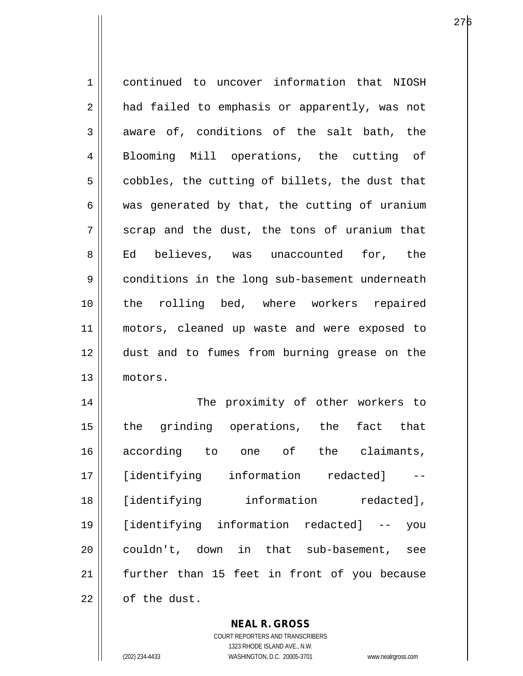| $\mathbf 1$ | continued to uncover information that NIOSH    |
|-------------|------------------------------------------------|
| 2           | had failed to emphasis or apparently, was not  |
| 3           | aware of, conditions of the salt bath, the     |
| 4           | Blooming Mill operations, the cutting of       |
| 5           | cobbles, the cutting of billets, the dust that |
| 6           | was generated by that, the cutting of uranium  |
| 7           | scrap and the dust, the tons of uranium that   |
| 8           | Ed believes, was unaccounted for, the          |
| 9           | conditions in the long sub-basement underneath |
| 10          | the rolling bed, where workers repaired        |
| 11          | motors, cleaned up waste and were exposed to   |
| 12          | dust and to fumes from burning grease on the   |
| 13          | motors.                                        |
| 14          | The proximity of other workers to              |
| 15          | the grinding operations, the fact that         |
| 16          | according to one of the claimants,             |
| 17          | [identifying information redacted]             |
| 18          | [identifying information<br>redacted],         |
| 19          | [identifying information redacted] --<br>you   |
| 20          | couldn't, down in that sub-basement,<br>see    |
| 21          | further than 15 feet in front of you because   |
| 22          | of the dust.                                   |

**NEAL R. GROSS** COURT REPORTERS AND TRANSCRIBERS

1323 RHODE ISLAND AVE., N.W. (202) 234-4433 WASHINGTON, D.C. 20005-3701 www.nealrgross.com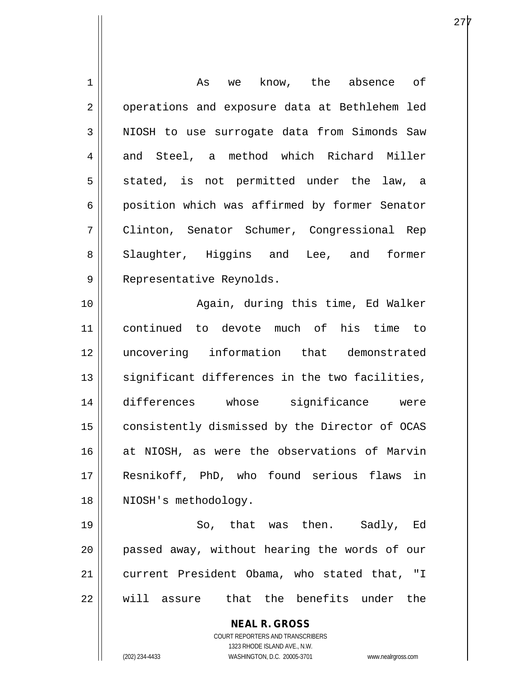| 1  | As we know, the absence of                                          |
|----|---------------------------------------------------------------------|
| 2  | operations and exposure data at Bethlehem led                       |
| 3  | NIOSH to use surrogate data from Simonds Saw                        |
| 4  | and Steel, a method which Richard Miller                            |
| 5  | stated, is not permitted under the law, a                           |
| 6  | position which was affirmed by former Senator                       |
| 7  | Clinton, Senator Schumer, Congressional Rep                         |
| 8  | Slaughter, Higgins and Lee, and former                              |
| 9  | Representative Reynolds.                                            |
| 10 | Again, during this time, Ed Walker                                  |
| 11 | continued to devote much of his time to                             |
| 12 | uncovering information that demonstrated                            |
| 13 | significant differences in the two facilities,                      |
| 14 | differences whose significance were                                 |
| 15 | consistently dismissed by the Director of OCAS                      |
| 16 | at NIOSH, as were the observations of Marvin                        |
| 17 | Resnikoff, PhD, who found serious flaws in                          |
| 18 | NIOSH's methodology.                                                |
| 19 | So, that was then. Sadly, Ed                                        |
| 20 | passed away, without hearing the words of our                       |
| 21 | current President Obama, who stated that, "I                        |
| 22 | will assure that the benefits under the                             |
|    | <b>NEAL R. GROSS</b>                                                |
|    | <b>COURT REPORTERS AND TRANSCRIBERS</b>                             |
|    | 1323 RHODE ISLAND AVE., N.W.                                        |
|    | WASHINGTON, D.C. 20005-3701<br>(202) 234-4433<br>www.nealrgross.com |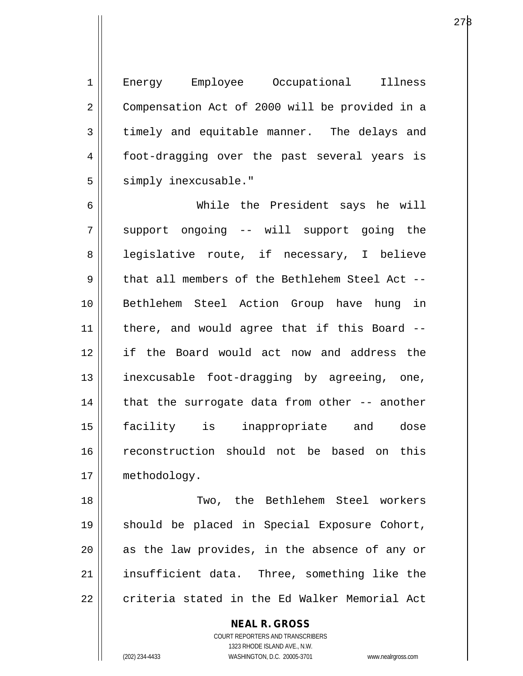1 || Energy Employee Occupational Illness 2 | Compensation Act of 2000 will be provided in a  $3 \parallel$  timely and equitable manner. The delays and 4 || foot-dragging over the past several years is 5 | simply inexcusable."

6 While the President says he will 7 || support ongoing -- will support going the 8 || legislative route, if necessary, I believe 9 that all members of the Bethlehem Steel Act --10 Bethlehem Steel Action Group have hung in 11 there, and would agree that if this Board -- 12 if the Board would act now and address the 13 || inexcusable foot-dragging by agreeing, one,  $14$  | that the surrogate data from other -- another 15 facility is inappropriate and dose 16 reconstruction should not be based on this 17 | methodology.

18 Two, the Bethlehem Steel workers 19 should be placed in Special Exposure Cohort,  $20$  as the law provides, in the absence of any or  $21$  || insufficient data. Three, something like the  $22$   $\parallel$  criteria stated in the Ed Walker Memorial Act

> **NEAL R. GROSS** COURT REPORTERS AND TRANSCRIBERS 1323 RHODE ISLAND AVE., N.W. (202) 234-4433 WASHINGTON, D.C. 20005-3701 www.nealrgross.com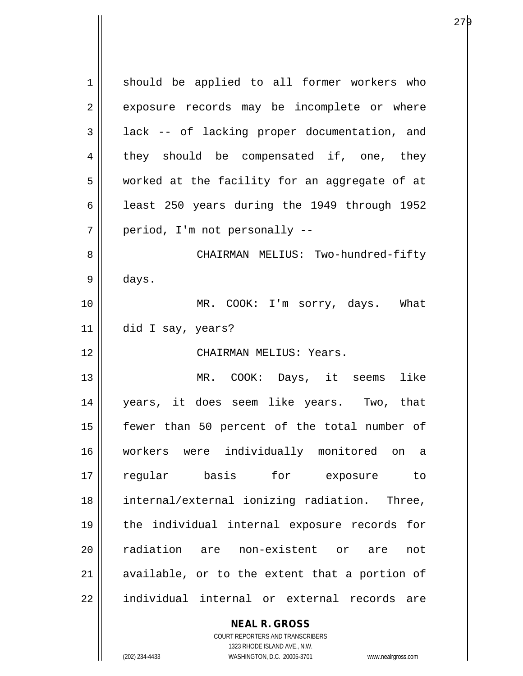1 || should be applied to all former workers who 2 exposure records may be incomplete or where  $3 \parallel$  lack -- of lacking proper documentation, and  $4 \parallel$  they should be compensated if, one, they 5 worked at the facility for an aggregate of at 6  $\vert$  least 250 years during the 1949 through 1952 7 || period, I'm not personally --8 CHAIRMAN MELIUS: Two-hundred-fifty  $9 \parallel$  days. 10 MR. COOK: I'm sorry, days. What 11 did I say, years? 12 CHAIRMAN MELIUS: Years. 13 MR. COOK: Days, it seems like 14 years, it does seem like years. Two, that 15 fewer than 50 percent of the total number of 16 workers were individually monitored on a 17 regular basis for exposure to 18 internal/external ionizing radiation. Three, 19 the individual internal exposure records for 20 || radiation are non-existent or are not  $21$  available, or to the extent that a portion of 22 individual internal or external records are

> **NEAL R. GROSS** COURT REPORTERS AND TRANSCRIBERS

1323 RHODE ISLAND AVE., N.W. (202) 234-4433 WASHINGTON, D.C. 20005-3701 www.nealrgross.com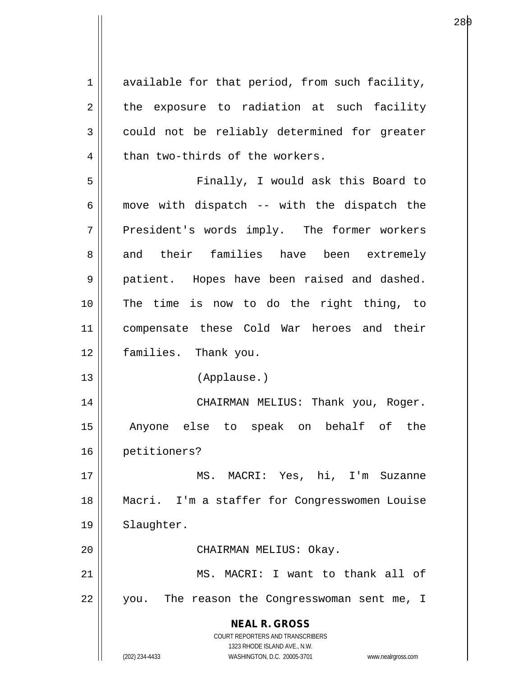$1 \parallel$  available for that period, from such facility,  $2 \parallel$  the exposure to radiation at such facility  $3 \parallel$  could not be reliably determined for greater  $4$  | than two-thirds of the workers.

5 Finally, I would ask this Board to  $6 \parallel$  move with dispatch -- with the dispatch the 7 President's words imply. The former workers 8 and their families have been extremely 9 || patient. Hopes have been raised and dashed. 10 The time is now to do the right thing, to 11 compensate these Cold War heroes and their 12 families. Thank you.

13 (Applause.)

14 CHAIRMAN MELIUS: Thank you, Roger. 15 Anyone else to speak on behalf of the 16 petitioners?

17 MS. MACRI: Yes, hi, I'm Suzanne 18 Macri. I'm a staffer for Congresswomen Louise 19 || Slaughter.

20 || CHAIRMAN MELIUS: Okay.

21 MS. MACRI: I want to thank all of 22 || you. The reason the Congresswoman sent me, I

> **NEAL R. GROSS** COURT REPORTERS AND TRANSCRIBERS

> > 1323 RHODE ISLAND AVE., N.W.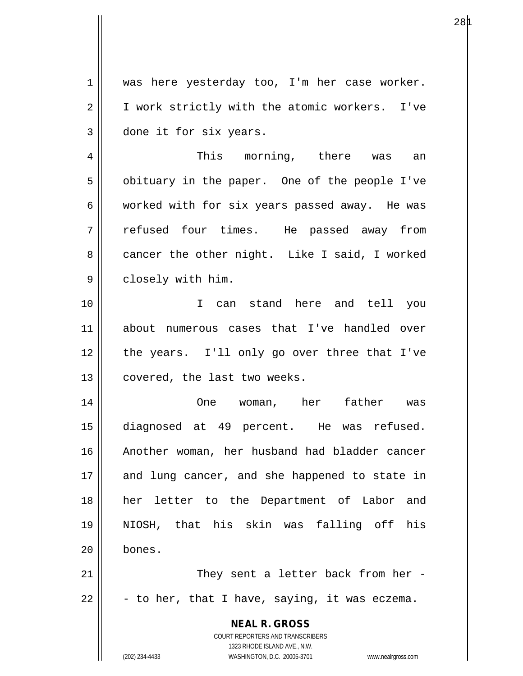1 was here yesterday too, I'm her case worker. 2 | I work strictly with the atomic workers. I've 3 done it for six years.

4 This morning, there was an  $5 \parallel$  obituary in the paper. One of the people I've 6 | worked with for six years passed away. He was 7 refused four times. He passed away from 8 cancer the other night. Like I said, I worked 9 | closely with him.

10 I can stand here and tell you 11 about numerous cases that I've handled over 12 || the years. I'll only go over three that I've 13 | covered, the last two weeks.

14 One woman, her father was 15 diagnosed at 49 percent. He was refused. 16 Another woman, her husband had bladder cancer 17 || and lung cancer, and she happened to state in 18 her letter to the Department of Labor and 19 NIOSH, that his skin was falling off his 20 bones.

21 || They sent a letter back from her - $22 \parallel$  - to her, that I have, saying, it was eczema.

> **NEAL R. GROSS** COURT REPORTERS AND TRANSCRIBERS 1323 RHODE ISLAND AVE., N.W.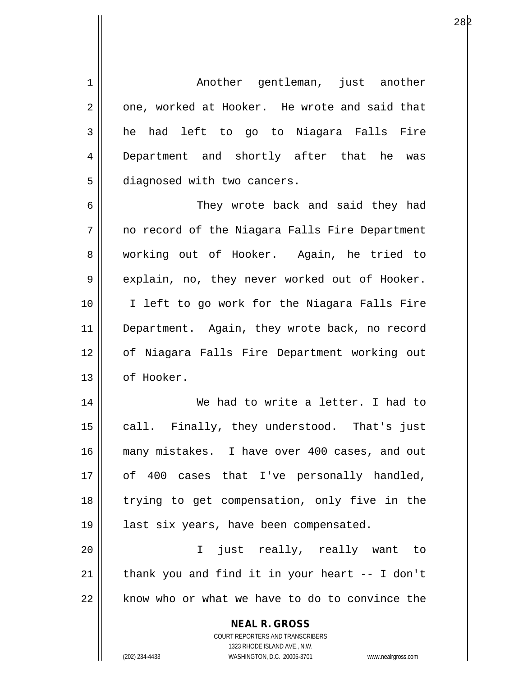1 Another gentleman, just another  $2 \parallel$  one, worked at Hooker. He wrote and said that  $3 \parallel$  he had left to go to Niagara Falls Fire 4 Department and shortly after that he was 5 | diagnosed with two cancers.

6 || They wrote back and said they had  $7 \parallel$  no record of the Niagara Falls Fire Department 8 working out of Hooker. Again, he tried to  $9 \parallel$  explain, no, they never worked out of Hooker. 10 || I left to go work for the Niagara Falls Fire 11 || Department. Again, they wrote back, no record 12 of Niagara Falls Fire Department working out 13 | of Hooker.

14 We had to write a letter. I had to 15 || call. Finally, they understood. That's just 16 many mistakes. I have over 400 cases, and out 17 || of 400 cases that I've personally handled, 18 || trying to get compensation, only five in the 19 || last six years, have been compensated.

20 I just really, really want to  $21$  | thank you and find it in your heart  $-$  I don't  $22$  | know who or what we have to do to convince the

> **NEAL R. GROSS** COURT REPORTERS AND TRANSCRIBERS 1323 RHODE ISLAND AVE., N.W.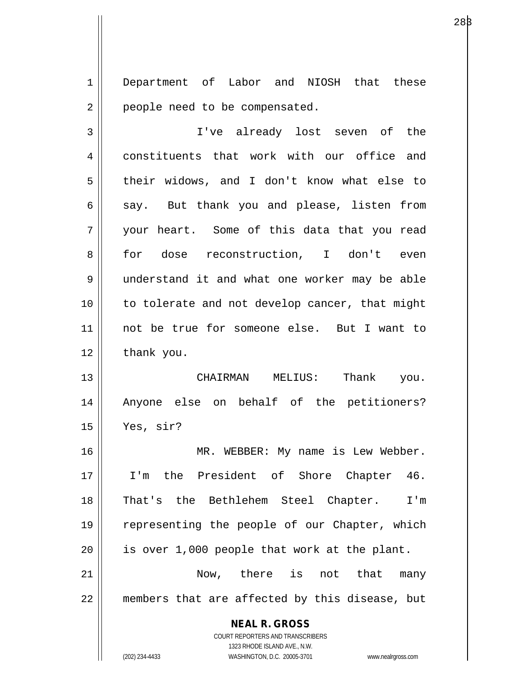1 Department of Labor and NIOSH that these 2 | people need to be compensated.

3 I've already lost seven of the 4 constituents that work with our office and 5 | their widows, and I don't know what else to  $6 \parallel$  say. But thank you and please, listen from 7 your heart. Some of this data that you read 8 || for dose reconstruction, I don't even 9 || understand it and what one worker may be able 10 || to tolerate and not develop cancer, that might 11 not be true for someone else. But I want to  $12 \parallel$  thank you.

13 CHAIRMAN MELIUS: Thank you. 14 Anyone else on behalf of the petitioners? 15 Yes, sir?

16 MR. WEBBER: My name is Lew Webber. 17 I'm the President of Shore Chapter 46. 18 That's the Bethlehem Steel Chapter. I'm 19 || representing the people of our Chapter, which  $20$  || is over 1,000 people that work at the plant. 21 Now, there is not that many

 $22$  || members that are affected by this disease, but

**NEAL R. GROSS**

COURT REPORTERS AND TRANSCRIBERS 1323 RHODE ISLAND AVE., N.W. (202) 234-4433 WASHINGTON, D.C. 20005-3701 www.nealrgross.com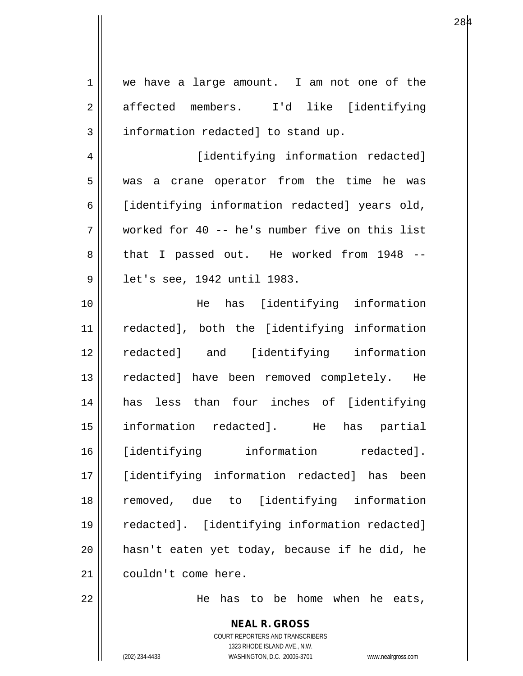| $\mathbf 1$ | we have a large amount. I am not one of the       |
|-------------|---------------------------------------------------|
| 2           | affected members. I'd like [identifying           |
| 3           | information redacted] to stand up.                |
| 4           | [identifying information redacted]                |
| 5           | was a crane operator from the time he was         |
| 6           | [identifying information redacted] years old,     |
| 7           | worked for 40 -- he's number five on this list    |
| 8           | that I passed out. He worked from 1948 --         |
| 9           | let's see, 1942 until 1983.                       |
| 10          | He has [identifying information                   |
| 11          | redacted], both the [identifying information      |
| 12          | redacted] and [identifying information            |
| 13          | redacted] have been removed completely. He        |
| 14          | has less than four inches of [identifying         |
| 15          | information redacted]. He<br>has<br>partial       |
| 16          | [identifying information<br>redacted].            |
| 17          | [identifying information redacted]<br>has<br>been |
| 18          | removed, due to [identifying information          |
| 19          | redacted]. [identifying information redacted]     |
| 20          | hasn't eaten yet today, because if he did, he     |
| 21          | couldn't come here.                               |
| 22          | has to be home when<br>he eats,<br>He             |
|             | <b>NEAL R. GROSS</b>                              |

COURT REPORTERS AND TRANSCRIBERS 1323 RHODE ISLAND AVE., N.W.

 $\mathsf{II}$ 

(202) 234-4433 WASHINGTON, D.C. 20005-3701 www.nealrgross.com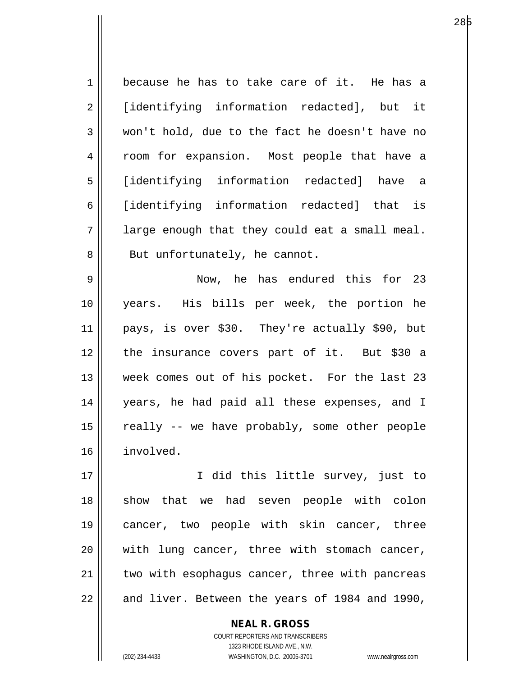| $\mathbf 1$    | because he has to take care of it. He has a    |
|----------------|------------------------------------------------|
| $\overline{2}$ | [identifying information redacted], but it     |
| 3              | won't hold, due to the fact he doesn't have no |
| $\overline{4}$ | room for expansion. Most people that have a    |
| 5              | [identifying information redacted] have a      |
| 6              | [identifying information redacted] that is     |
| 7              | large enough that they could eat a small meal. |
| 8              | But unfortunately, he cannot.                  |
| $\mathsf 9$    | Now, he has endured this for 23                |
| 10             | years. His bills per week, the portion he      |
| 11             | pays, is over \$30. They're actually \$90, but |
| 12             | the insurance covers part of it. But \$30 a    |
| 13             | week comes out of his pocket. For the last 23  |
| 14             | years, he had paid all these expenses, and I   |
| 15             | really -- we have probably, some other people  |
| 16             | involved.                                      |
| 17             | I did this little survey, just to              |
| 18             | show that we had seven people with colon       |
| 19             | cancer, two people with skin cancer, three     |
| 20             | with lung cancer, three with stomach cancer,   |
| 21             | two with esophagus cancer, three with pancreas |
|                |                                                |

22  $\parallel$  and liver. Between the years of 1984 and 1990,

COURT REPORTERS AND TRANSCRIBERS 1323 RHODE ISLAND AVE., N.W. (202) 234-4433 WASHINGTON, D.C. 20005-3701 www.nealrgross.com

**NEAL R. GROSS**

е производите производите на 1986 година в 28 року на 1980 године и 1980 године и 1980 године и 1980 године пр<br>В 1980 године при представительно при представительно при представительно при представительно при представител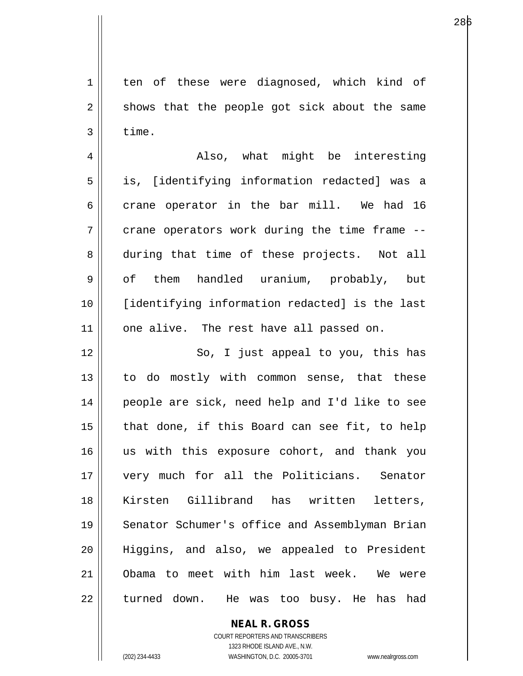1 ten of these were diagnosed, which kind of  $2 \parallel$  shows that the people got sick about the same  $3 \parallel$  time.

4 Also, what might be interesting 5 || is, [identifying information redacted] was a  $6$  || crane operator in the bar mill. We had 16  $7 \parallel$  crane operators work during the time frame  $-$ -8 during that time of these projects. Not all 9 || of them handled uranium, probably, but 10 [identifying information redacted] is the last 11 || one alive. The rest have all passed on.

12 || So, I just appeal to you, this has 13 || to do mostly with common sense, that these 14 people are sick, need help and I'd like to see  $15$  | that done, if this Board can see fit, to help 16 || us with this exposure cohort, and thank you 17 very much for all the Politicians. Senator 18 Kirsten Gillibrand has written letters, 19 || Senator Schumer's office and Assemblyman Brian 20 Higgins, and also, we appealed to President 21 Obama to meet with him last week. We were 22 || turned down. He was too busy. He has had

> **NEAL R. GROSS** COURT REPORTERS AND TRANSCRIBERS 1323 RHODE ISLAND AVE., N.W. (202) 234-4433 WASHINGTON, D.C. 20005-3701 www.nealrgross.com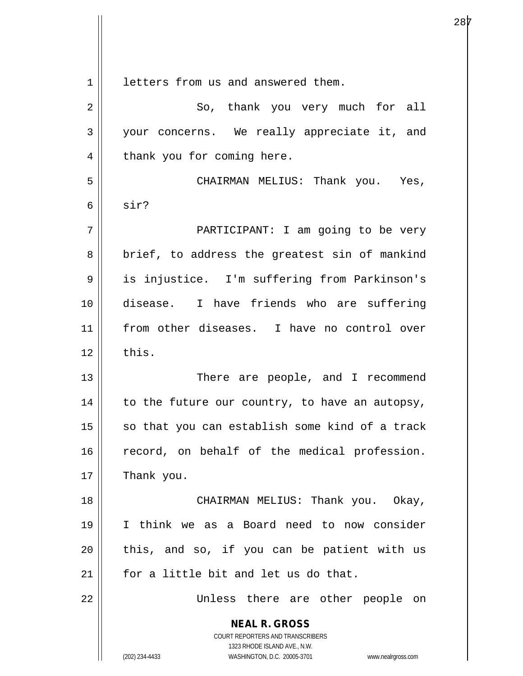**NEAL R. GROSS** COURT REPORTERS AND TRANSCRIBERS 1323 RHODE ISLAND AVE., N.W. (202) 234-4433 WASHINGTON, D.C. 20005-3701 www.nealrgross.com 1 letters from us and answered them. 2 || So, thank you very much for all 3 your concerns. We really appreciate it, and  $4 \parallel$  thank you for coming here. 5 CHAIRMAN MELIUS: Thank you. Yes,  $6 \parallel$  sir? 7 PARTICIPANT: I am going to be very  $8 \parallel$  brief, to address the greatest sin of mankind 9 || is injustice. I'm suffering from Parkinson's 10 disease. I have friends who are suffering 11 from other diseases. I have no control over  $12 \parallel$  this. 13 || There are people, and I recommend  $14$  | to the future our country, to have an autopsy,  $15$  so that you can establish some kind of a track 16 || record, on behalf of the medical profession.  $17$  | Thank you. 18 || CHAIRMAN MELIUS: Thank you. Okay, 19 I think we as a Board need to now consider  $20$  || this, and so, if you can be patient with us 21  $\parallel$  for a little bit and let us do that. 22 Unless there are other people on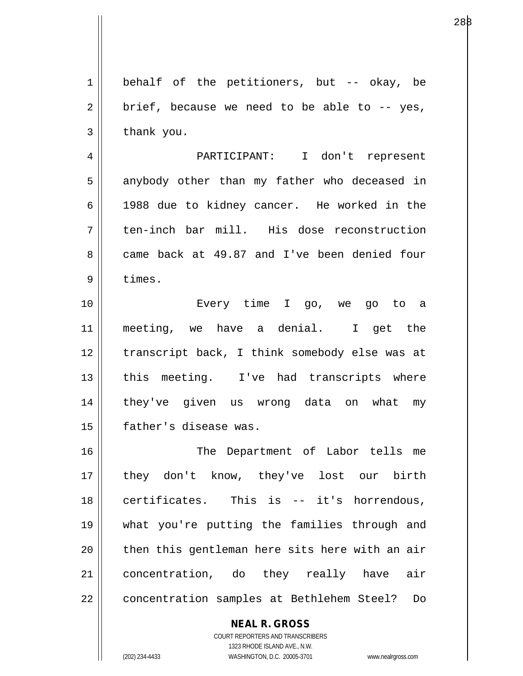$1 \parallel$  behalf of the petitioners, but -- okay, be  $2 \parallel$  brief, because we need to be able to -- yes,  $3 \parallel$  thank you.

4 PARTICIPANT: I don't represent  $5 \parallel$  anybody other than my father who deceased in 6 1988 due to kidney cancer. He worked in the 7 ten-inch bar mill. His dose reconstruction 8 came back at 49.87 and I've been denied four 9 | times.

10 Every time I go, we go to a 11 meeting, we have a denial. I get the 12 || transcript back, I think somebody else was at 13 || this meeting. I've had transcripts where 14 they've given us wrong data on what my 15 father's disease was.

16 || The Department of Labor tells me 17 || they don't know, they've lost our birth  $18$  || certificates. This is -- it's horrendous, 19 what you're putting the families through and  $20$  || then this gentleman here sits here with an air 21 concentration, do they really have air 22 || concentration samples at Bethlehem Steel? Do

## **NEAL R. GROSS**

COURT REPORTERS AND TRANSCRIBERS 1323 RHODE ISLAND AVE., N.W. (202) 234-4433 WASHINGTON, D.C. 20005-3701 www.nealrgross.com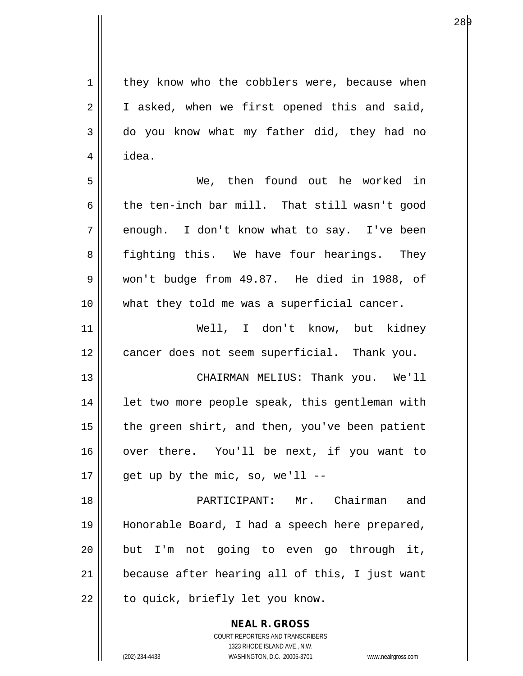1 they know who the cobblers were, because when  $2 \parallel$  I asked, when we first opened this and said, 3 do you know what my father did, they had no

5 We, then found out he worked in 6 the ten-inch bar mill. That still wasn't good  $7 \parallel$  enough. I don't know what to say. I've been 8 || fighting this. We have four hearings. They 9 won't budge from 49.87. He died in 1988, of 10 what they told me was a superficial cancer.

 $4 \mid$  idea.

11 Well, I don't know, but kidney 12 cancer does not seem superficial. Thank you.

13 CHAIRMAN MELIUS: Thank you. We'll 14 || let two more people speak, this gentleman with  $15$  | the green shirt, and then, you've been patient 16 || over there. You'll be next, if you want to  $17 \parallel$  get up by the mic, so, we'll --

18 PARTICIPANT: Mr. Chairman and 19 Honorable Board, I had a speech here prepared,  $20$  but I'm not going to even go through it,  $21$  | because after hearing all of this, I just want 22 || to quick, briefly let you know.

> **NEAL R. GROSS** COURT REPORTERS AND TRANSCRIBERS 1323 RHODE ISLAND AVE., N.W. (202) 234-4433 WASHINGTON, D.C. 20005-3701 www.nealrgross.com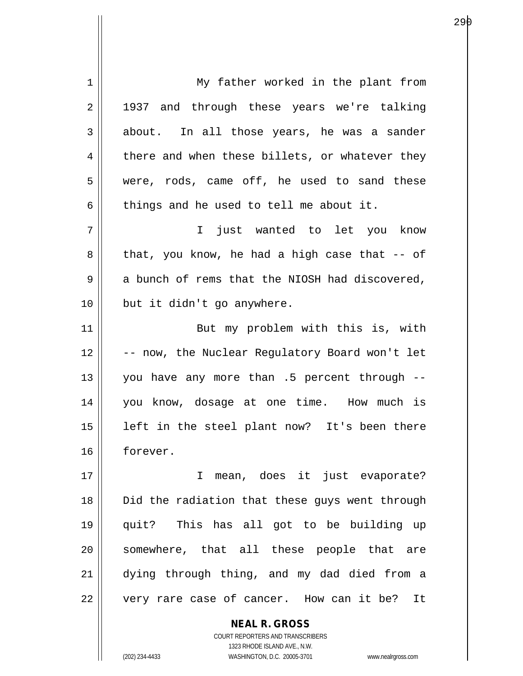1 || My father worked in the plant from 2 || 1937 and through these years we're talking  $3 \parallel$  about. In all those years, he was a sander  $4 \parallel$  there and when these billets, or whatever they 5 were, rods, came off, he used to sand these  $6 \parallel$  things and he used to tell me about it. 7 I just wanted to let you know  $8 ||$  that, you know, he had a high case that -- of  $9 \parallel$  a bunch of rems that the NIOSH had discovered, 10 || but it didn't go anywhere. 11 || But my problem with this is, with 12 || -- now, the Nuclear Requlatory Board won't let 13 || you have any more than  $.5$  percent through  $-$ 14 you know, dosage at one time. How much is  $15$  || left in the steel plant now? It's been there 16 forever. 17 || I mean, does it just evaporate? 18 || Did the radiation that these guys went through 19 quit? This has all got to be building up 20 || somewhere, that all these people that are 21 dying through thing, and my dad died from a 22 || very rare case of cancer. How can it be? It

> COURT REPORTERS AND TRANSCRIBERS 1323 RHODE ISLAND AVE., N.W. (202) 234-4433 WASHINGTON, D.C. 20005-3701 www.nealrgross.com

**NEAL R. GROSS**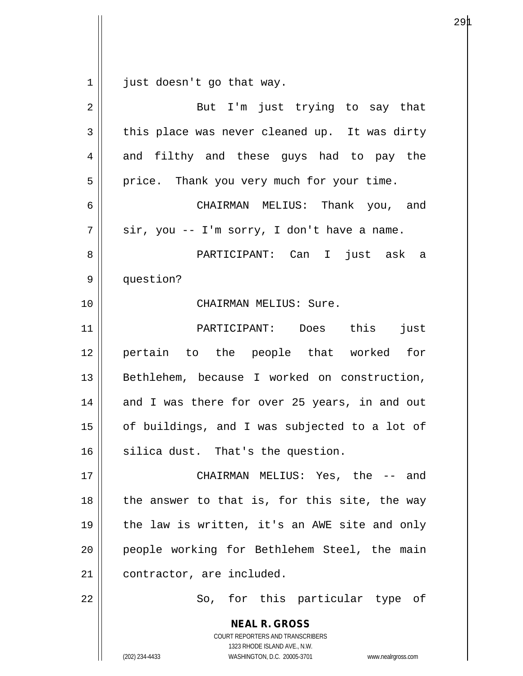$1 \parallel$  just doesn't go that way.

| $\overline{2}$ | But I'm just trying to say that                                                                                                                                 |
|----------------|-----------------------------------------------------------------------------------------------------------------------------------------------------------------|
| $\mathbf{3}$   | this place was never cleaned up. It was dirty                                                                                                                   |
| $\overline{4}$ | and filthy and these guys had to pay the                                                                                                                        |
| 5              | price. Thank you very much for your time.                                                                                                                       |
| 6              | CHAIRMAN MELIUS: Thank you, and                                                                                                                                 |
| 7              | sir, you -- I'm sorry, I don't have a name.                                                                                                                     |
| 8              | PARTICIPANT: Can I just ask a                                                                                                                                   |
| $\mathsf 9$    | question?                                                                                                                                                       |
| 10             | CHAIRMAN MELIUS: Sure.                                                                                                                                          |
| 11             | PARTICIPANT: Does this<br>just                                                                                                                                  |
| 12             | pertain to the people that worked for                                                                                                                           |
| 13             | Bethlehem, because I worked on construction,                                                                                                                    |
| 14             | and I was there for over 25 years, in and out                                                                                                                   |
| 15             | of buildings, and I was subjected to a lot of                                                                                                                   |
| 16             | silica dust. That's the question.                                                                                                                               |
| 17             | CHAIRMAN MELIUS: Yes, the -- and                                                                                                                                |
| 18             | the answer to that is, for this site, the way                                                                                                                   |
| 19             | the law is written, it's an AWE site and only                                                                                                                   |
| 20             | people working for Bethlehem Steel, the main                                                                                                                    |
| 21             | contractor, are included.                                                                                                                                       |
| 22             | So, for this particular type of                                                                                                                                 |
|                | <b>NEAL R. GROSS</b><br>COURT REPORTERS AND TRANSCRIBERS<br>1323 RHODE ISLAND AVE., N.W.<br>(202) 234-4433<br>WASHINGTON, D.C. 20005-3701<br>www.nealrgross.com |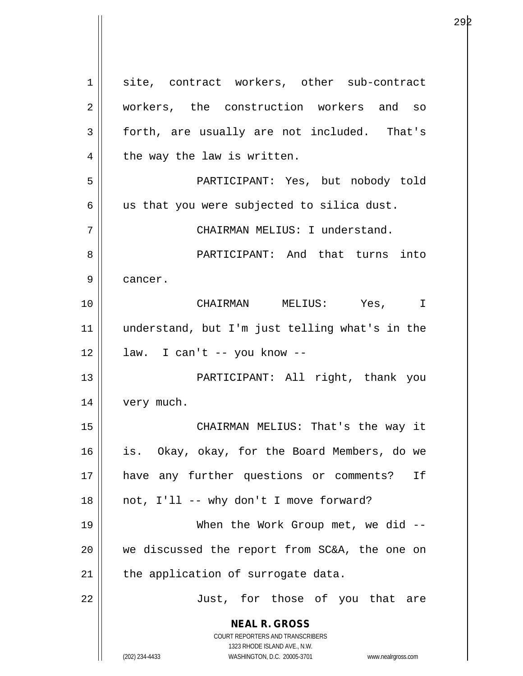**NEAL R. GROSS** COURT REPORTERS AND TRANSCRIBERS 1323 RHODE ISLAND AVE., N.W. (202) 234-4433 WASHINGTON, D.C. 20005-3701 www.nealrgross.com 1 site, contract workers, other sub-contract 2 || workers, the construction workers and so 3 forth, are usually are not included. That's  $4 \parallel$  the way the law is written. 5 PARTICIPANT: Yes, but nobody told  $6 \parallel$  us that you were subjected to silica dust. 7 CHAIRMAN MELIUS: I understand. 8 PARTICIPANT: And that turns into 9 | cancer. 10 CHAIRMAN MELIUS: Yes, I 11 understand, but I'm just telling what's in the  $12 \parallel$  law. I can't -- you know --13 || PARTICIPANT: All right, thank you 14 | very much. 15 || CHAIRMAN MELIUS: That's the way it 16 is. Okay, okay, for the Board Members, do we 17 have any further questions or comments? If  $18$  || not, I'll -- why don't I move forward? 19 || When the Work Group met, we did --20 we discussed the report from SC&A, the one on  $21$  | the application of surrogate data. 22 || Just, for those of you that are

е производство на селото на 1920 година в 29 раното на 1940 година од 29 раното на 1940 година, кои 1940 годин<br>Селото на 1940 година од селото на 1940 година, кои 1940 година од селото на 1940 година, кои 1940 година од с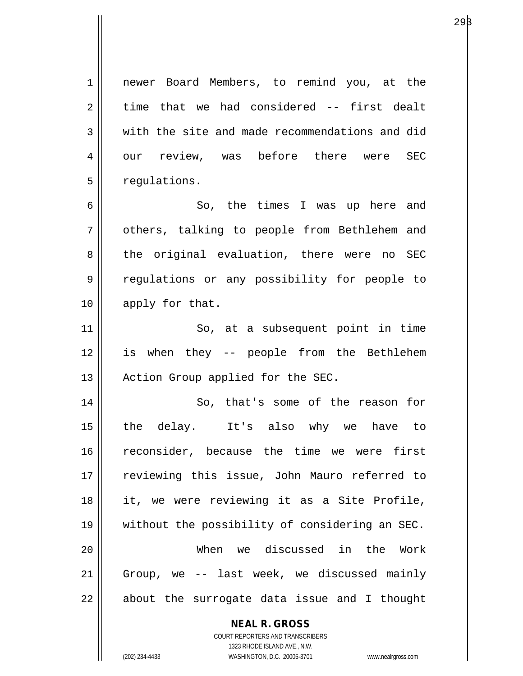**NEAL R. GROSS** 1 || newer Board Members, to remind you, at the  $2 \parallel$  time that we had considered -- first dealt  $3$   $\parallel$  with the site and made recommendations and did 4 || our review, was before there were SEC  $5$  | requlations. 6 So, the times I was up here and 7 | others, talking to people from Bethlehem and 8 || the original evaluation, there were no SEC 9 || regulations or any possibility for people to 10 || apply for that. 11 || So, at a subsequent point in time 12 is when they -- people from the Bethlehem 13 || Action Group applied for the SEC. 14 || So, that's some of the reason for 15 the delay. It's also why we have to 16 reconsider, because the time we were first 17 reviewing this issue, John Mauro referred to 18 it, we were reviewing it as a Site Profile, 19 without the possibility of considering an SEC. 20 When we discussed in the Work 21 Group, we -- last week, we discussed mainly  $22$  || about the surrogate data issue and I thought

> COURT REPORTERS AND TRANSCRIBERS 1323 RHODE ISLAND AVE., N.W.

(202) 234-4433 WASHINGTON, D.C. 20005-3701 www.nealrgross.com

 $29\beta$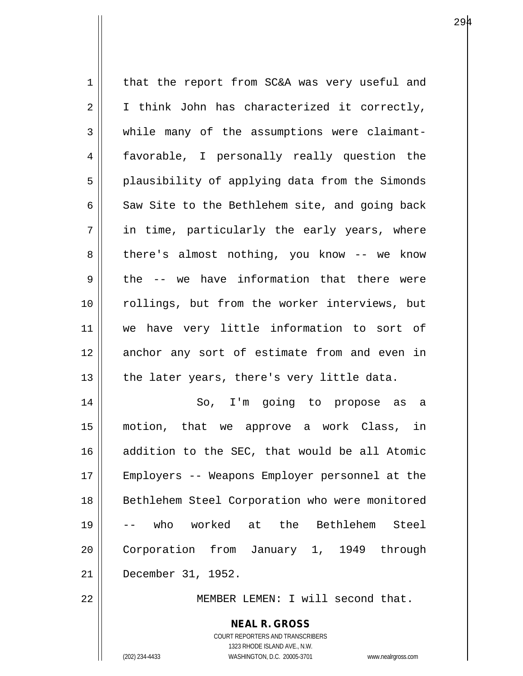$1$  that the report from SC&A was very useful and  $2 \parallel$  I think John has characterized it correctly, 3 while many of the assumptions were claimant-4 favorable, I personally really question the 5 || plausibility of applying data from the Simonds 6  $\parallel$  Saw Site to the Bethlehem site, and going back  $7 \parallel$  in time, particularly the early years, where  $8 \parallel$  there's almost nothing, you know -- we know  $9 \parallel$  the -- we have information that there were 10 rollings, but from the worker interviews, but 11 we have very little information to sort of 12 || anchor any sort of estimate from and even in  $13$  | the later years, there's very little data. 14 So, I'm going to propose as a 15 motion, that we approve a work Class, in 16 addition to the SEC, that would be all Atomic 17 Employers -- Weapons Employer personnel at the 18 || Bethlehem Steel Corporation who were monitored 19 -- who worked at the Bethlehem Steel 20 | Corporation from January 1, 1949 through 21 December 31, 1952. 22 MEMBER LEMEN: I will second that.

> COURT REPORTERS AND TRANSCRIBERS 1323 RHODE ISLAND AVE., N.W. (202) 234-4433 WASHINGTON, D.C. 20005-3701 www.nealrgross.com

**NEAL R. GROSS**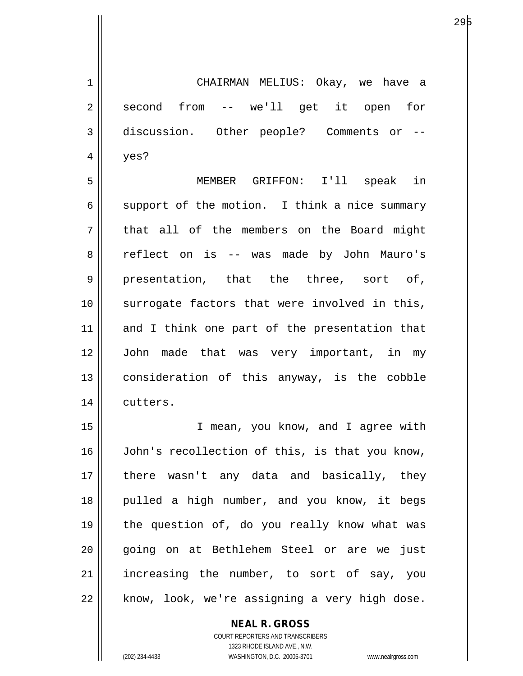1 CHAIRMAN MELIUS: Okay, we have a  $2 \parallel$  second from -- we'll get it open for 3 discussion. Other people? Comments or --  $4 \parallel$  yes?

е процесс производство на 1946 године в 1946 године производство на 1946 године и 1946 године при 1946 године<br>В 1946 године при 1946 године при 1946 године при 1946 године при 1946 године при 1946 године при 1946 године

5 MEMBER GRIFFON: I'll speak in  $6 \parallel$  support of the motion. I think a nice summary 7 || that all of the members on the Board might 8 || reflect on is -- was made by John Mauro's  $9 \parallel$  presentation, that the three, sort of, 10 surrogate factors that were involved in this, 11 and I think one part of the presentation that 12 John made that was very important, in my 13 || consideration of this anyway, is the cobble 14 | cutters.

15 I mean, you know, and I agree with 16 John's recollection of this, is that you know, 17 || there wasn't any data and basically, they 18 || pulled a high number, and you know, it begs 19 the question of, do you really know what was 20 || qoing on at Bethlehem Steel or are we just 21 || increasing the number, to sort of say, you 22 || know, look, we're assigning a very high dose.

## **NEAL R. GROSS**

COURT REPORTERS AND TRANSCRIBERS 1323 RHODE ISLAND AVE., N.W. (202) 234-4433 WASHINGTON, D.C. 20005-3701 www.nealrgross.com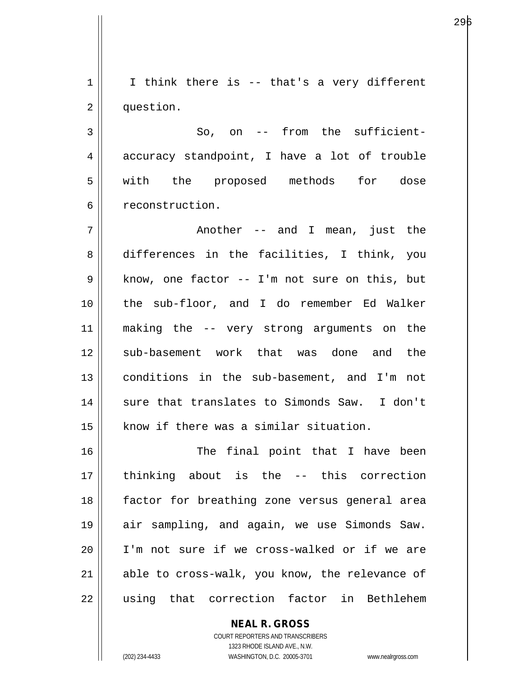$1 ||$  I think there is -- that's a very different 2 | question.

296

 $3 \parallel$  So, on -- from the sufficient-4 accuracy standpoint, I have a lot of trouble 5 || with the proposed methods for dose 6 | reconstruction.

 $7 \parallel$  another -- and I mean, just the 8 differences in the facilities, I think, you  $9 \parallel$  know, one factor -- I'm not sure on this, but 10 the sub-floor, and I do remember Ed Walker 11 making the -- very strong arguments on the 12 sub-basement work that was done and the 13 conditions in the sub-basement, and I'm not 14 || sure that translates to Simonds Saw. I don't 15 | know if there was a similar situation.

16 || The final point that I have been 17 thinking about is the -- this correction 18 factor for breathing zone versus general area 19 air sampling, and again, we use Simonds Saw. 20 || I'm not sure if we cross-walked or if we are 21 able to cross-walk, you know, the relevance of 22 || using that correction factor in Bethlehem

> COURT REPORTERS AND TRANSCRIBERS 1323 RHODE ISLAND AVE., N.W. (202) 234-4433 WASHINGTON, D.C. 20005-3701 www.nealrgross.com

**NEAL R. GROSS**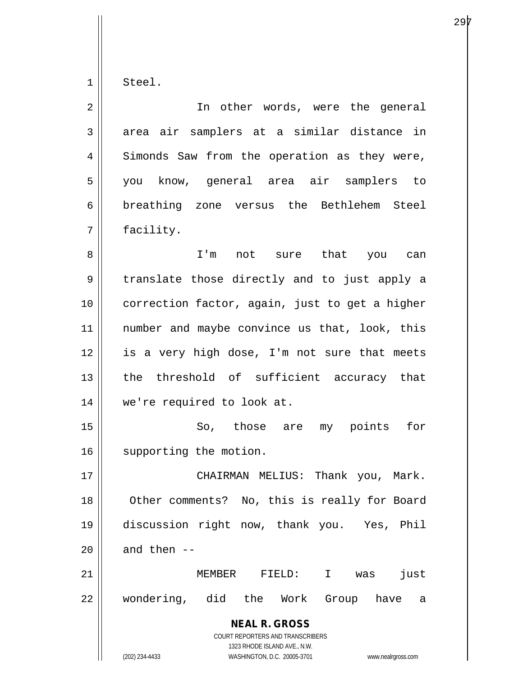$1 \parallel$  Steel.

| $\overline{2}$ | In other words, were the general                                                         |
|----------------|------------------------------------------------------------------------------------------|
| 3              | area air samplers at a similar distance in                                               |
| 4              | Simonds Saw from the operation as they were,                                             |
| 5              | you know, general area air samplers to                                                   |
| 6              | breathing zone versus the Bethlehem Steel                                                |
| 7              | facility.                                                                                |
| 8              | I'm not sure that you can                                                                |
| 9              | translate those directly and to just apply a                                             |
| 10             | correction factor, again, just to get a higher                                           |
| 11             | number and maybe convince us that, look, this                                            |
| 12             | is a very high dose, I'm not sure that meets                                             |
| 13             | the threshold of sufficient accuracy that                                                |
| 14             | we're required to look at.                                                               |
| 15             | So, those are my points for                                                              |
| 16             | supporting the motion.                                                                   |
| 17             | Thank you, Mark.<br>CHAIRMAN MELIUS:                                                     |
| 18             | Other comments? No, this is really for Board                                             |
| 19             | discussion right now, thank you. Yes, Phil                                               |
| 20             | and then --                                                                              |
| 21             | MEMBER<br>just<br>FIELD:<br>$\mathbf{I}$<br>was                                          |
| 22             | wondering, did the Work<br>Group have<br>а                                               |
|                | <b>NEAL R. GROSS</b><br>COURT REPORTERS AND TRANSCRIBERS<br>1323 RHODE ISLAND AVE., N.W. |
|                | (202) 234-4433<br>WASHINGTON, D.C. 20005-3701<br>www.nealrgross.com                      |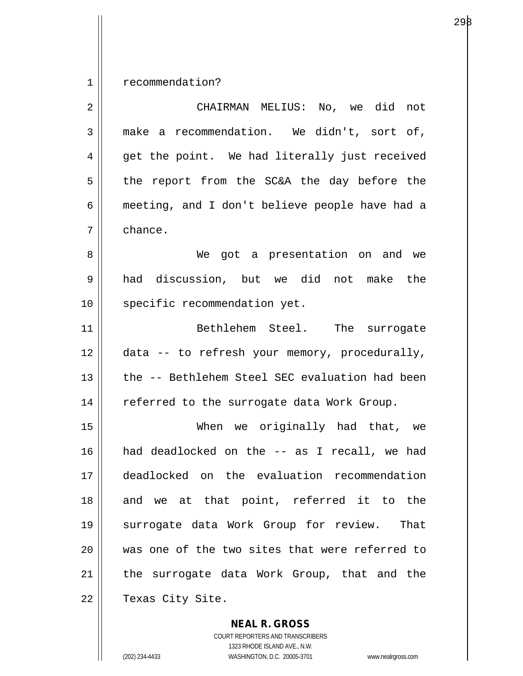1 | recommendation?

| 2  | CHAIRMAN MELIUS: No, we did not                |
|----|------------------------------------------------|
| 3  | make a recommendation. We didn't, sort of,     |
| 4  | get the point. We had literally just received  |
| 5  | the report from the SC&A the day before the    |
| 6  | meeting, and I don't believe people have had a |
| 7  | chance.                                        |
| 8  | We got a presentation on and we                |
| 9  | had discussion, but we did<br>not make the     |
| 10 | specific recommendation yet.                   |
| 11 | Bethlehem Steel. The surrogate                 |
| 12 | data -- to refresh your memory, procedurally,  |
| 13 | the -- Bethlehem Steel SEC evaluation had been |
| 14 | referred to the surrogate data Work Group.     |
| 15 | When we originally had that, we                |
| 16 | had deadlocked on the -- as I recall, we had   |
| 17 | deadlocked on the evaluation recommendation    |
| 18 | and we at that point, referred it to the       |
| 19 | surrogate data Work Group for review. That     |
| 20 | was one of the two sites that were referred to |
| 21 | the surrogate data Work Group, that and the    |
| 22 | Texas City Site.                               |

**NEAL R. GROSS** COURT REPORTERS AND TRANSCRIBERS

1323 RHODE ISLAND AVE., N.W.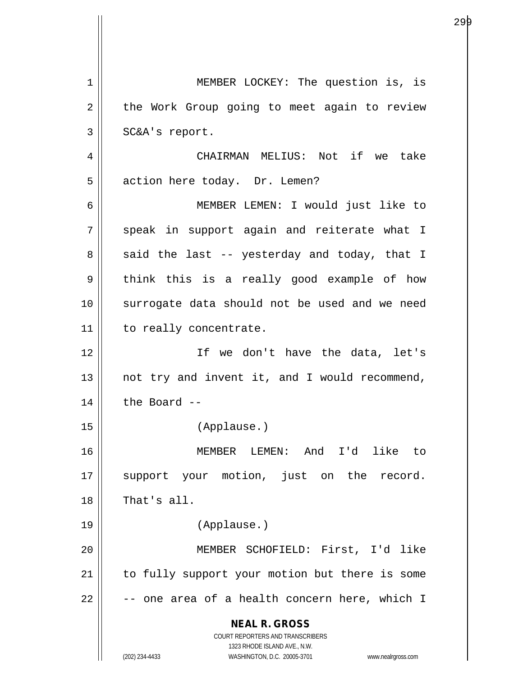**NEAL R. GROSS** COURT REPORTERS AND TRANSCRIBERS 1323 RHODE ISLAND AVE., N.W. (202) 234-4433 WASHINGTON, D.C. 20005-3701 www.nealrgross.com 1 || MEMBER LOCKEY: The question is, is 2 | the Work Group going to meet again to review  $3 \parallel$  SC&A's report. 4 CHAIRMAN MELIUS: Not if we take 5 | action here today. Dr. Lemen? 6 MEMBER LEMEN: I would just like to  $7 \parallel$  speak in support again and reiterate what I  $8 \parallel$  said the last -- yesterday and today, that I  $9 \parallel$  think this is a really good example of how 10 || surrogate data should not be used and we need 11 | to really concentrate. 12 If we don't have the data, let's  $13$  || not try and invent it, and I would recommend,  $14$  | the Board --15 (Applause.) 16 MEMBER LEMEN: And I'd like to 17 || support your motion, just on the record.  $18$   $\parallel$  That's all. 19 (Applause.) 20 MEMBER SCHOFIELD: First, I'd like 21 || to fully support your motion but there is some  $22$   $\parallel$  -- one area of a health concern here, which I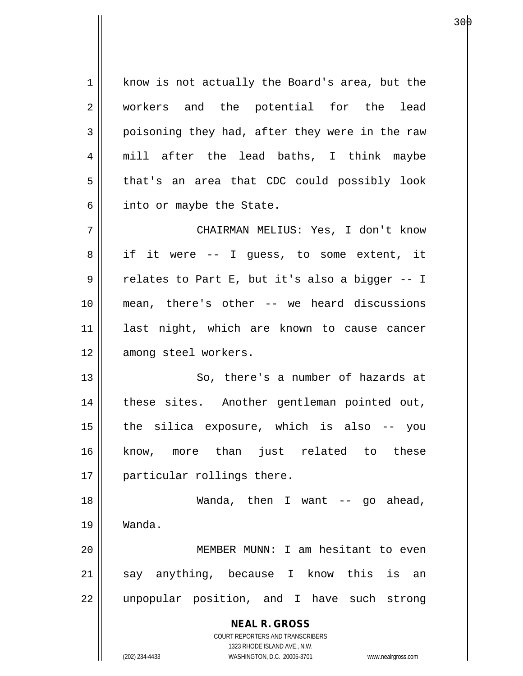1 | know is not actually the Board's area, but the 2 || workers and the potential for the lead  $3 \parallel$  poisoning they had, after they were in the raw 4 || mill after the lead baths, I think maybe 5 || that's an area that CDC could possibly look  $6 \parallel$  into or maybe the State.

7 CHAIRMAN MELIUS: Yes, I don't know 8 || if it were -- I guess, to some extent, it 9 || relates to Part E, but it's also a bigger -- I 10 mean, there's other -- we heard discussions 11 last night, which are known to cause cancer 12 || among steel workers.

13 || So, there's a number of hazards at 14 || these sites. Another gentleman pointed out,  $15$  | the silica exposure, which is also  $-$ - you 16 know, more than just related to these 17 || particular rollings there.

18 Wanda, then I want -- go ahead, 19 Wanda.

20 MEMBER MUNN: I am hesitant to even 21 || say anything, because I know this is an 22 || unpopular position, and I have such strong

> **NEAL R. GROSS** COURT REPORTERS AND TRANSCRIBERS 1323 RHODE ISLAND AVE., N.W.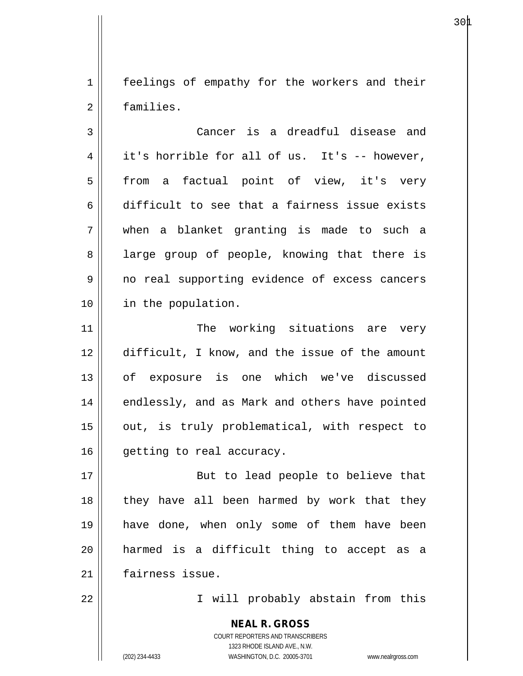1 | feelings of empathy for the workers and their 2 families.

 $30\text{\AA}$ 

3 Cancer is a dreadful disease and  $4 \parallel$  it's horrible for all of us. It's -- however, 5 || from a factual point of view, it's very 6 difficult to see that a fairness issue exists 7 when a blanket granting is made to such a 8 all large group of people, knowing that there is 9 || no real supporting evidence of excess cancers 10 in the population.

11 || The working situations are very 12 difficult, I know, and the issue of the amount 13 of exposure is one which we've discussed 14 || endlessly, and as Mark and others have pointed 15 || out, is truly problematical, with respect to 16 | getting to real accuracy.

17 || But to lead people to believe that  $18$  || they have all been harmed by work that they 19 have done, when only some of them have been 20 harmed is a difficult thing to accept as a 21 fairness issue.

22 || I will probably abstain from this

**NEAL R. GROSS** COURT REPORTERS AND TRANSCRIBERS 1323 RHODE ISLAND AVE., N.W. (202) 234-4433 WASHINGTON, D.C. 20005-3701 www.nealrgross.com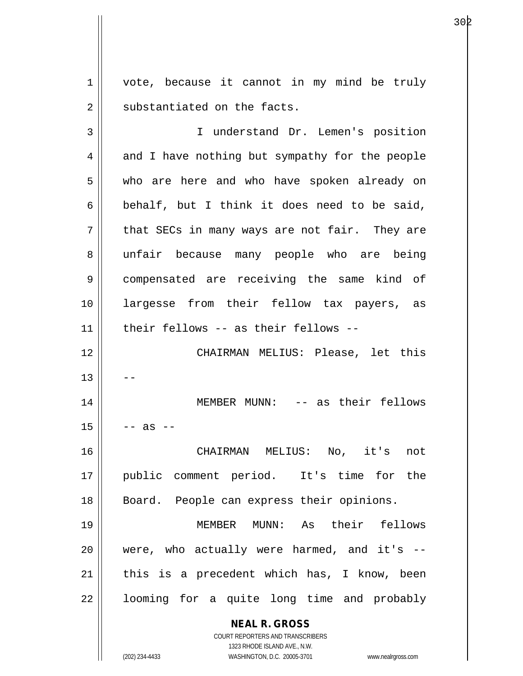1 | vote, because it cannot in my mind be truly  $2 \parallel$  substantiated on the facts.

3 I understand Dr. Lemen's position  $4 \parallel$  and I have nothing but sympathy for the people 5 who are here and who have spoken already on 6 behalf, but I think it does need to be said,  $7$  || that SECs in many ways are not fair. They are 8 || unfair because many people who are being 9 || compensated are receiving the same kind of 10 largesse from their fellow tax payers, as 11 their fellows -- as their fellows -- 12 || CHAIRMAN MELIUS: Please, let this  $13$ 14 || MEMBER MUNN: -- as their fellows  $15$   $\parallel$  -- as --16 CHAIRMAN MELIUS: No, it's not 17 public comment period. It's time for the 18 || Board. People can express their opinions. 19 MEMBER MUNN: As their fellows  $20$  || were, who actually were harmed, and it's  $21$  | this is a precedent which has, I know, been  $22$  || looming for a quite long time and probably

COURT REPORTERS AND TRANSCRIBERS

**NEAL R. GROSS**

1323 RHODE ISLAND AVE., N.W.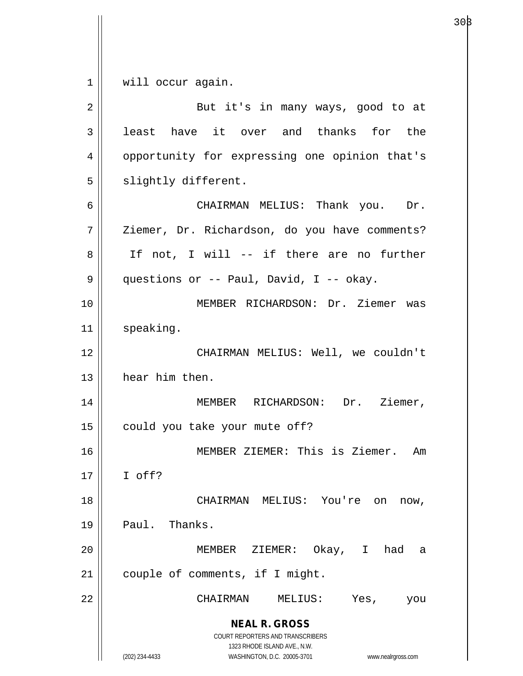$1 \parallel$  will occur again.

| 2  | But it's in many ways, good to at                                                                                                                                      |
|----|------------------------------------------------------------------------------------------------------------------------------------------------------------------------|
| 3  | least have it over and thanks for the                                                                                                                                  |
| 4  | opportunity for expressing one opinion that's                                                                                                                          |
| 5  | slightly different.                                                                                                                                                    |
| 6  | CHAIRMAN MELIUS: Thank you. Dr.                                                                                                                                        |
| 7  | Ziemer, Dr. Richardson, do you have comments?                                                                                                                          |
| 8  | If not, I will -- if there are no further                                                                                                                              |
| 9  | questions or -- Paul, David, I -- okay.                                                                                                                                |
| 10 | MEMBER RICHARDSON: Dr. Ziemer was                                                                                                                                      |
| 11 | speaking.                                                                                                                                                              |
| 12 | CHAIRMAN MELIUS: Well, we couldn't                                                                                                                                     |
| 13 | hear him then.                                                                                                                                                         |
| 14 | MEMBER RICHARDSON: Dr. Ziemer,                                                                                                                                         |
| 15 | could you take your mute off?                                                                                                                                          |
| 16 | MEMBER ZIEMER: This is Ziemer. Am                                                                                                                                      |
| 17 | I off?                                                                                                                                                                 |
| 18 | CHAIRMAN MELIUS: You're on<br>now,                                                                                                                                     |
| 19 | Paul. Thanks.                                                                                                                                                          |
| 20 | MEMBER ZIEMER: Okay, I had<br>a                                                                                                                                        |
| 21 | couple of comments, if I might.                                                                                                                                        |
| 22 | CHAIRMAN<br>MELIUS:<br>Yes,<br>you                                                                                                                                     |
|    | <b>NEAL R. GROSS</b><br><b>COURT REPORTERS AND TRANSCRIBERS</b><br>1323 RHODE ISLAND AVE., N.W.<br>(202) 234-4433<br>WASHINGTON, D.C. 20005-3701<br>www.nealrgross.com |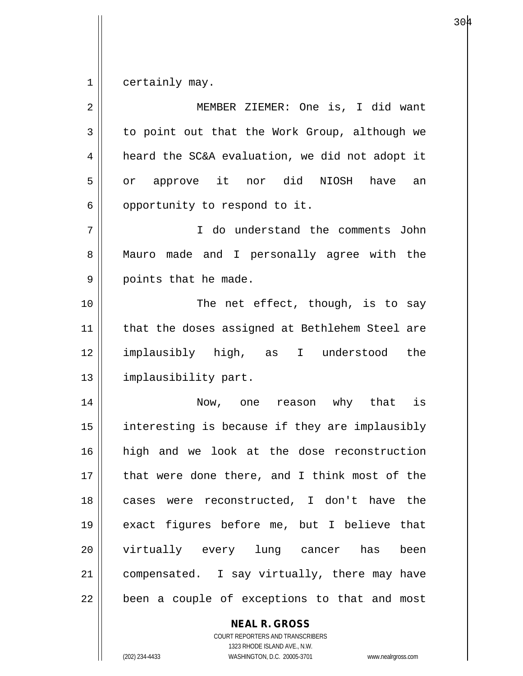1 certainly may.

| 2  | MEMBER ZIEMER: One is, I did want              |
|----|------------------------------------------------|
| 3  | to point out that the Work Group, although we  |
| 4  | heard the SC&A evaluation, we did not adopt it |
| 5  | or approve it nor did NIOSH<br>have an         |
| 6  | opportunity to respond to it.                  |
| 7  | I do understand the comments John              |
| 8  | Mauro made and I personally agree with the     |
| 9  | points that he made.                           |
| 10 | The net effect, though, is to say              |
| 11 | that the doses assigned at Bethlehem Steel are |
| 12 | implausibly high, as<br>I understood<br>the    |
| 13 | implausibility part.                           |
| 14 | Now, one reason why that is                    |
| 15 | interesting is because if they are implausibly |
| 16 | high and we look at the dose reconstruction    |
| 17 | that were done there, and I think most of the  |
| 18 | cases were reconstructed, I don't have the     |
| 19 | exact figures before me, but I believe that    |
| 20 | virtually every lung cancer has been           |
| 21 | compensated. I say virtually, there may have   |
| 22 | been a couple of exceptions to that and most   |
|    | <b>NEAL R. GROSS</b>                           |

COURT REPORTERS AND TRANSCRIBERS 1323 RHODE ISLAND AVE., N.W.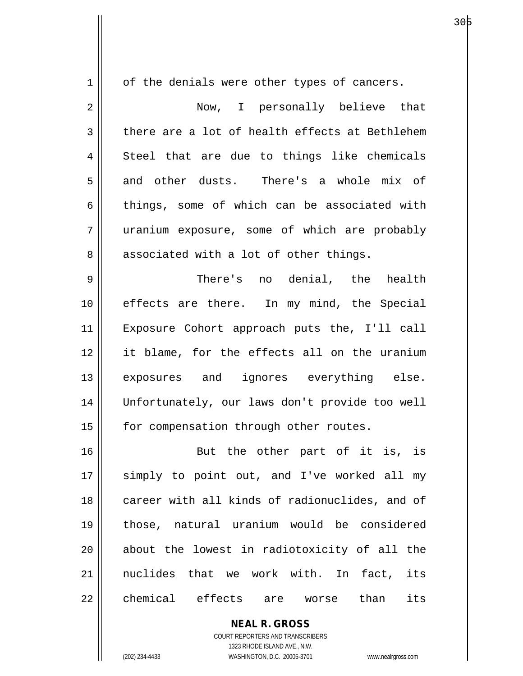| $\mathbf 1$ | of the denials were other types of cancers.    |
|-------------|------------------------------------------------|
| 2           | Now, I personally believe that                 |
| 3           | there are a lot of health effects at Bethlehem |
| 4           | Steel that are due to things like chemicals    |
| 5           | and other dusts. There's a whole mix of        |
| 6           | things, some of which can be associated with   |
| 7           | uranium exposure, some of which are probably   |
| 8           | associated with a lot of other things.         |
| 9           | There's no denial, the health                  |
| 10          | effects are there. In my mind, the Special     |
| 11          | Exposure Cohort approach puts the, I'll call   |
| 12          | it blame, for the effects all on the uranium   |
| 13          | exposures and ignores everything else.         |
| 14          | Unfortunately, our laws don't provide too well |
| 15          | for compensation through other routes.         |
| 16          | But the other part of it is, is                |
| 17          | simply to point out, and I've worked all my    |
| 18          | career with all kinds of radionuclides, and of |
| 19          | those, natural uranium would be considered     |
| 20          | about the lowest in radiotoxicity of all the   |
| 21          | nuclides that we work with. In fact,<br>its    |
| 22          | chemical effects are<br>than<br>its<br>worse   |

COURT REPORTERS AND TRANSCRIBERS 1323 RHODE ISLAND AVE., N.W. (202) 234-4433 WASHINGTON, D.C. 20005-3701 www.nealrgross.com

**NEAL R. GROSS**

а в селото на селото на 1966 година в 1968 година в 1968 година в 1968 година в 1968 година в 1969 година в 19<br>В 1969 година в 1969 година в 1969 година в 1969 година в 1969 година в 1969 година в 1969 година в 1969 годин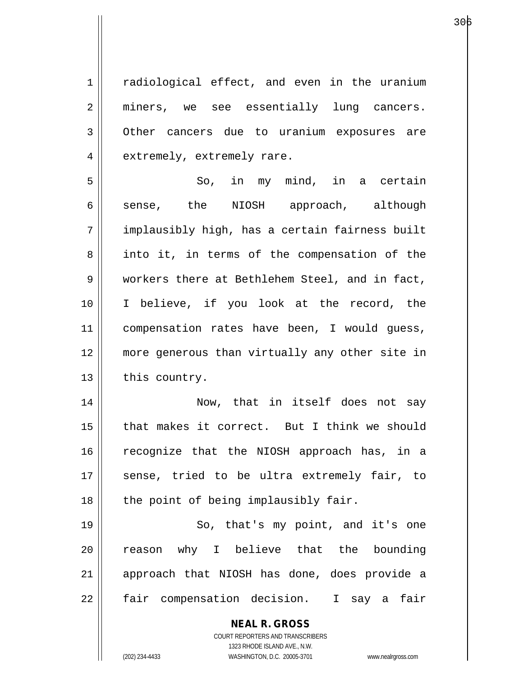1 || radiological effect, and even in the uranium 2 || miners, we see essentially lung cancers. 3 Other cancers due to uranium exposures are 4 | extremely, extremely rare.

 $5 \parallel$  So, in my mind, in a certain 6 sense, the NIOSH approach, although 7 implausibly high, has a certain fairness built 8 into it, in terms of the compensation of the 9 workers there at Bethlehem Steel, and in fact, 10 I believe, if you look at the record, the 11 || compensation rates have been, I would guess, 12 more generous than virtually any other site in  $13$  | this country.

14 || Now, that in itself does not say 15 that makes it correct. But I think we should 16 || recognize that the NIOSH approach has, in a 17 || sense, tried to be ultra extremely fair, to  $18$  || the point of being implausibly fair.

19 || So, that's my point, and it's one  $20$  reason why I believe that the bounding 21 || approach that NIOSH has done, does provide a 22 | fair compensation decision. I say a fair

> **NEAL R. GROSS** COURT REPORTERS AND TRANSCRIBERS

> > 1323 RHODE ISLAND AVE., N.W.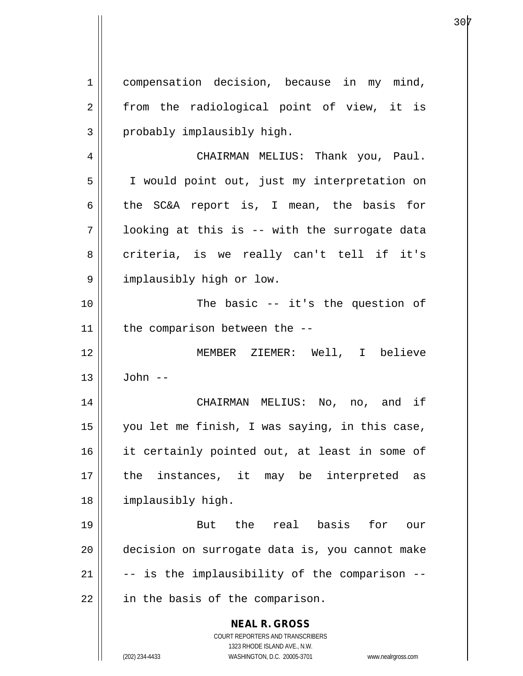**NEAL R. GROSS** COURT REPORTERS AND TRANSCRIBERS 1323 RHODE ISLAND AVE., N.W. (202) 234-4433 WASHINGTON, D.C. 20005-3701 www.nealrgross.com 1 compensation decision, because in my mind,  $2 \parallel$  from the radiological point of view, it is  $3 \parallel$  probably implausibly high. 4 | CHAIRMAN MELIUS: Thank you, Paul. 5 I would point out, just my interpretation on 6 the SC&A report is, I mean, the basis for  $7$  | looking at this is -- with the surrogate data 8 criteria, is we really can't tell if it's 9 | implausibly high or low. 10 || The basic -- it's the question of  $11$  | the comparison between the  $-$ -12 MEMBER ZIEMER: Well, I believe  $13 \parallel$  John --14 CHAIRMAN MELIUS: No, no, and if 15 you let me finish, I was saying, in this case, 16 || it certainly pointed out, at least in some of 17 the instances, it may be interpreted as 18 | implausibly high. 19 But the real basis for our 20 decision on surrogate data is, you cannot make  $21$   $\parallel$  -- is the implausibility of the comparison -- $22$  | in the basis of the comparison.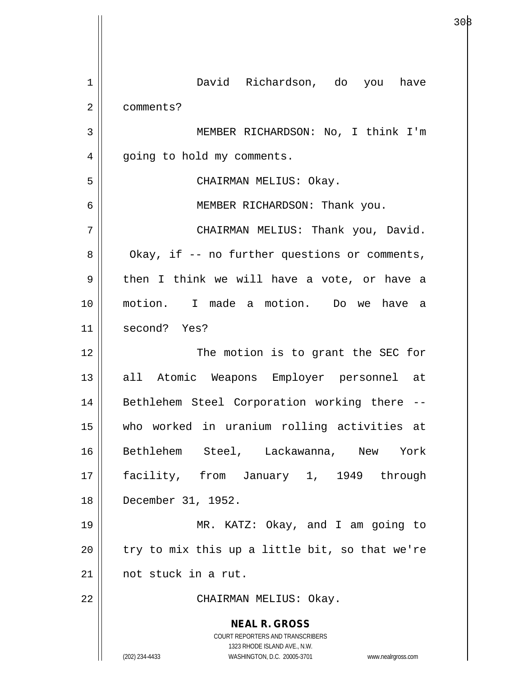| $\mathbf 1$    | David Richardson, do you have                                                                                                                                   |
|----------------|-----------------------------------------------------------------------------------------------------------------------------------------------------------------|
| $\overline{a}$ | comments?                                                                                                                                                       |
| 3              | MEMBER RICHARDSON: No, I think I'm                                                                                                                              |
| $\overline{4}$ | going to hold my comments.                                                                                                                                      |
| 5              | CHAIRMAN MELIUS: Okay.                                                                                                                                          |
| 6              | MEMBER RICHARDSON: Thank you.                                                                                                                                   |
| 7              | CHAIRMAN MELIUS: Thank you, David.                                                                                                                              |
| 8              | Okay, if -- no further questions or comments,                                                                                                                   |
| 9              | then I think we will have a vote, or have a                                                                                                                     |
| 10             | motion. I made a motion. Do we have a                                                                                                                           |
| 11             | second? Yes?                                                                                                                                                    |
| 12             | The motion is to grant the SEC for                                                                                                                              |
| 13             | all Atomic Weapons Employer personnel at                                                                                                                        |
| 14             | Bethlehem Steel Corporation working there --                                                                                                                    |
| 15             | who worked in uranium rolling activities at                                                                                                                     |
| 16             | Bethlehem Steel, Lackawanna, New York                                                                                                                           |
| 17             | facility, from January 1, 1949 through                                                                                                                          |
| 18             | December 31, 1952.                                                                                                                                              |
| 19             | MR. KATZ: Okay, and I am going to                                                                                                                               |
| 20             | try to mix this up a little bit, so that we're                                                                                                                  |
| 21             | not stuck in a rut.                                                                                                                                             |
| 22             | CHAIRMAN MELIUS: Okay.                                                                                                                                          |
|                | <b>NEAL R. GROSS</b><br>COURT REPORTERS AND TRANSCRIBERS<br>1323 RHODE ISLAND AVE., N.W.<br>(202) 234-4433<br>WASHINGTON, D.C. 20005-3701<br>www.nealrgross.com |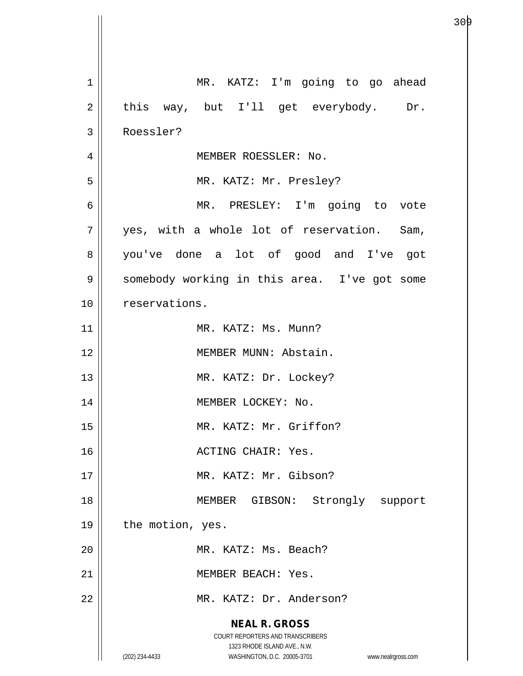| $\mathbf 1$    | MR. KATZ: I'm going to go ahead                                                                     |
|----------------|-----------------------------------------------------------------------------------------------------|
| $\overline{2}$ | this way, but I'll get everybody. Dr.                                                               |
| 3              | Roessler?                                                                                           |
| 4              | MEMBER ROESSLER: No.                                                                                |
| 5              | MR. KATZ: Mr. Presley?                                                                              |
| 6              | MR. PRESLEY: I'm going to vote                                                                      |
| 7              | yes, with a whole lot of reservation. Sam,                                                          |
| 8              | you've done a lot of good and I've got                                                              |
| 9              | somebody working in this area. I've got some                                                        |
| 10             | reservations.                                                                                       |
| 11             | MR. KATZ: Ms. Munn?                                                                                 |
| 12             | MEMBER MUNN: Abstain.                                                                               |
| 13             | MR. KATZ: Dr. Lockey?                                                                               |
| 14             | MEMBER LOCKEY: No.                                                                                  |
| 15             | MR. KATZ: Mr. Griffon?                                                                              |
| 16             | ACTING CHAIR: Yes.                                                                                  |
| 17             | MR. KATZ: Mr. Gibson?                                                                               |
| 18             | MEMBER GIBSON: Strongly support                                                                     |
| 19             | the motion, yes.                                                                                    |
| 20             | MR. KATZ: Ms. Beach?                                                                                |
| 21             | MEMBER BEACH: Yes.                                                                                  |
| 22             | MR. KATZ: Dr. Anderson?                                                                             |
|                | <b>NEAL R. GROSS</b><br><b>COURT REPORTERS AND TRANSCRIBERS</b>                                     |
|                | 1323 RHODE ISLAND AVE., N.W.<br>WASHINGTON, D.C. 20005-3701<br>(202) 234-4433<br>www.nealrgross.com |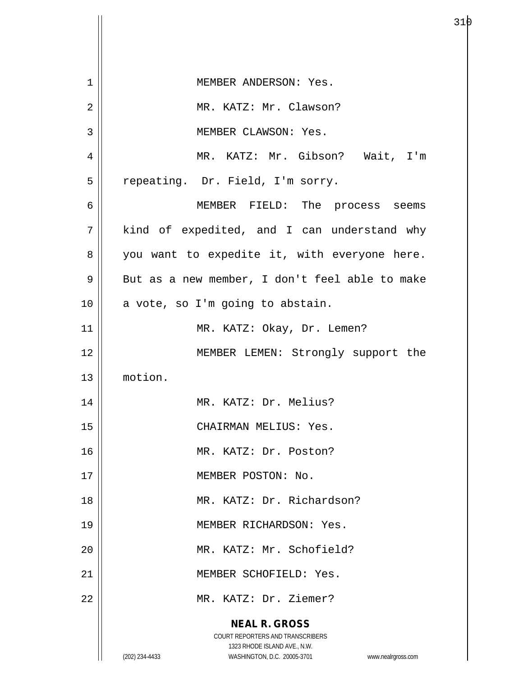| $\mathbf 1$ | MEMBER ANDERSON: Yes.                                                                                   |
|-------------|---------------------------------------------------------------------------------------------------------|
| 2           | MR. KATZ: Mr. Clawson?                                                                                  |
| 3           | MEMBER CLAWSON: Yes.                                                                                    |
| 4           | MR. KATZ: Mr. Gibson? Wait, I'm                                                                         |
| 5           | repeating. Dr. Field, I'm sorry.                                                                        |
| 6           | MEMBER FIELD: The process seems                                                                         |
| 7           | kind of expedited, and I can understand why                                                             |
| 8           | you want to expedite it, with everyone here.                                                            |
| 9           | But as a new member, I don't feel able to make                                                          |
| 10          | a vote, so I'm going to abstain.                                                                        |
| 11          | MR. KATZ: Okay, Dr. Lemen?                                                                              |
| 12          | MEMBER LEMEN: Strongly support the                                                                      |
| 13          | motion.                                                                                                 |
| 14          | MR. KATZ: Dr. Melius?                                                                                   |
| 15          | CHAIRMAN MELIUS: Yes.                                                                                   |
| 16          | MR. KATZ: Dr. Poston?                                                                                   |
| 17          | MEMBER POSTON: No.                                                                                      |
| 18          | MR. KATZ: Dr. Richardson?                                                                               |
| 19          | MEMBER RICHARDSON: Yes.                                                                                 |
| 20          | MR. KATZ: Mr. Schofield?                                                                                |
| 21          | MEMBER SCHOFIELD: Yes.                                                                                  |
| 22          | MR. KATZ: Dr. Ziemer?                                                                                   |
|             | <b>NEAL R. GROSS</b>                                                                                    |
|             | 1323 RHODE ISLAND AVE., N.W.                                                                            |
|             | COURT REPORTERS AND TRANSCRIBERS<br>(202) 234-4433<br>WASHINGTON, D.C. 20005-3701<br>www.nealrgross.com |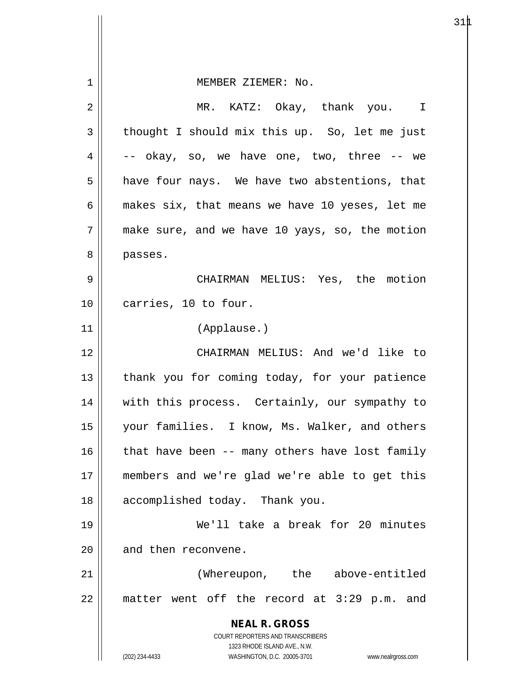| 1  | MEMBER ZIEMER: No.                                                  |
|----|---------------------------------------------------------------------|
| 2  | MR. KATZ: Okay, thank you. I                                        |
| 3  | thought I should mix this up. So, let me just                       |
| 4  | -- okay, so, we have one, two, three -- we                          |
| 5  | have four nays. We have two abstentions, that                       |
| 6  | makes six, that means we have 10 yeses, let me                      |
| 7  | make sure, and we have 10 yays, so, the motion                      |
| 8  | passes.                                                             |
| 9  | CHAIRMAN MELIUS: Yes, the motion                                    |
| 10 | carries, 10 to four.                                                |
| 11 | (Applause.)                                                         |
| 12 | CHAIRMAN MELIUS: And we'd like to                                   |
| 13 | thank you for coming today, for your patience                       |
| 14 | with this process. Certainly, our sympathy to                       |
| 15 | your families. I know, Ms. Walker, and others                       |
| 16 | that have been -- many others have lost family                      |
| 17 | members and we're glad we're able to get this                       |
| 18 | accomplished today. Thank you.                                      |
| 19 | We'll take a break for 20 minutes                                   |
| 20 | and then reconvene.                                                 |
| 21 | (Whereupon, the above-entitled                                      |
| 22 | matter went off the record at 3:29 p.m. and                         |
|    | <b>NEAL R. GROSS</b>                                                |
|    | COURT REPORTERS AND TRANSCRIBERS<br>1323 RHODE ISLAND AVE., N.W.    |
|    | (202) 234-4433<br>WASHINGTON, D.C. 20005-3701<br>www.nealrgross.com |

 $\mathsf{I}$ 

 $31\text{\AA}$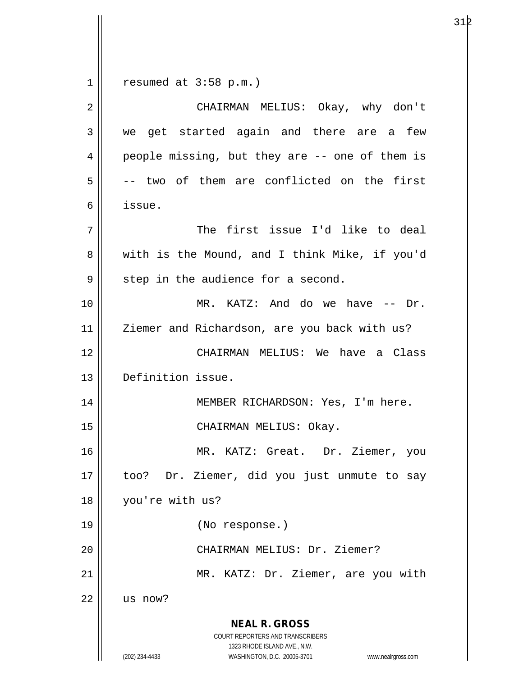1  $\parallel$  resumed at 3:58 p.m.)

| $\overline{2}$ | CHAIRMAN MELIUS: Okay, why don't                                                                                                                                |
|----------------|-----------------------------------------------------------------------------------------------------------------------------------------------------------------|
| 3              | we get started again and there are a few                                                                                                                        |
|                |                                                                                                                                                                 |
| 4              | people missing, but they are -- one of them is                                                                                                                  |
| 5              | -- two of them are conflicted on the first                                                                                                                      |
| 6              | issue.                                                                                                                                                          |
| 7              | The first issue I'd like to deal                                                                                                                                |
| 8              | with is the Mound, and I think Mike, if you'd                                                                                                                   |
| 9              | step in the audience for a second.                                                                                                                              |
| 10             | MR. KATZ: And do we have -- Dr.                                                                                                                                 |
| 11             | Ziemer and Richardson, are you back with us?                                                                                                                    |
| 12             | CHAIRMAN MELIUS: We have a Class                                                                                                                                |
| 13             | Definition issue.                                                                                                                                               |
| 14             | MEMBER RICHARDSON: Yes, I'm here.                                                                                                                               |
| 15             | CHAIRMAN MELIUS: Okay.                                                                                                                                          |
| 16             | MR. KATZ: Great. Dr. Ziemer, you                                                                                                                                |
| 17             | Dr. Ziemer, did you just unmute to say<br>too?                                                                                                                  |
| 18             | you're with us?                                                                                                                                                 |
| 19             | (No response.)                                                                                                                                                  |
| 20             | CHAIRMAN MELIUS: Dr. Ziemer?                                                                                                                                    |
| 21             | MR. KATZ: Dr. Ziemer, are you with                                                                                                                              |
| 22             | us now?                                                                                                                                                         |
|                | <b>NEAL R. GROSS</b><br>COURT REPORTERS AND TRANSCRIBERS<br>1323 RHODE ISLAND AVE., N.W.<br>(202) 234-4433<br>WASHINGTON, D.C. 20005-3701<br>www.nealrgross.com |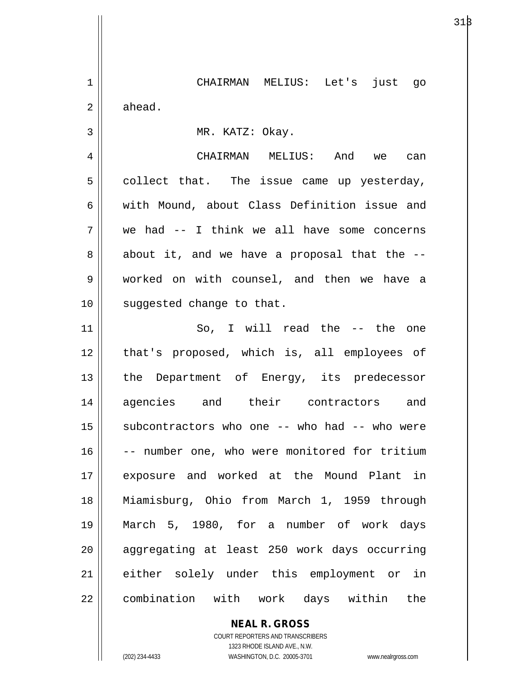1 CHAIRMAN MELIUS: Let's just go  $2 \parallel$  ahead. 3 || MR. KATZ: Okay. 4 CHAIRMAN MELIUS: And we can  $5 \parallel$  collect that. The issue came up yesterday, 6 with Mound, about Class Definition issue and  $7 \parallel$  we had -- I think we all have some concerns  $8 \parallel$  about it, and we have a proposal that the  $-$ 9 worked on with counsel, and then we have a 10 || suggested change to that. 11 So, I will read the -- the one 12 || that's proposed, which is, all employees of 13 || the Department of Energy, its predecessor 14 agencies and their contractors and 15  $\parallel$  subcontractors who one -- who had -- who were 16 || -- number one, who were monitored for tritium 17 exposure and worked at the Mound Plant in 18 Miamisburg, Ohio from March 1, 1959 through

19 March 5, 1980, for a number of work days 20 aggregating at least 250 work days occurring 21 either solely under this employment or in 22 | combination with work days within the

> **NEAL R. GROSS** COURT REPORTERS AND TRANSCRIBERS 1323 RHODE ISLAND AVE., N.W.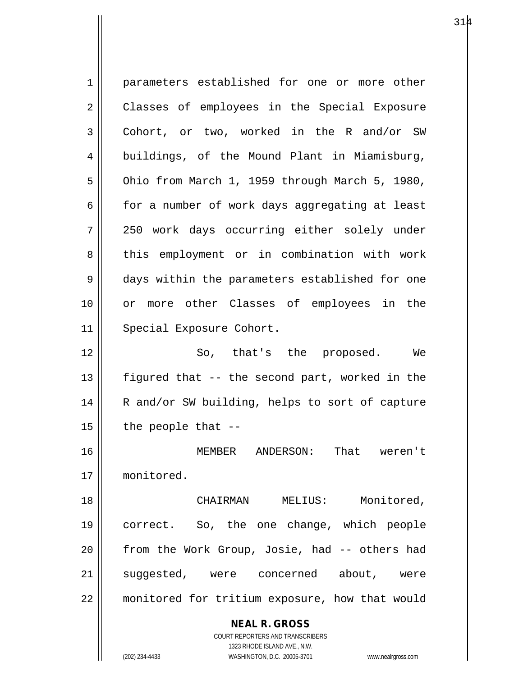| 1              | parameters established for one or more other                        |
|----------------|---------------------------------------------------------------------|
| 2              | Classes of employees in the Special Exposure                        |
| 3              | Cohort, or two, worked in the R and/or SW                           |
| $\overline{4}$ | buildings, of the Mound Plant in Miamisburg,                        |
| 5              | Ohio from March 1, 1959 through March 5, 1980,                      |
| 6              | for a number of work days aggregating at least                      |
| 7              | 250 work days occurring either solely under                         |
| 8              | this employment or in combination with work                         |
| 9              | days within the parameters established for one                      |
| 10             | or more other Classes of employees in the                           |
| 11             | Special Exposure Cohort.                                            |
| 12             | So, that's the proposed. We                                         |
| 13             | figured that -- the second part, worked in the                      |
| 14             | R and/or SW building, helps to sort of capture                      |
| 15             | the people that --                                                  |
| 16             | ANDERSON:<br>That<br>MEMBER<br>weren't                              |
| 17             | monitored.                                                          |
|                |                                                                     |
| 18             | Monitored,<br>CHAIRMAN MELIUS:                                      |
| 19             | correct. So, the one change, which people                           |
| 20             | from the Work Group, Josie, had -- others had                       |
| 21             | suggested, were concerned about, were                               |
| 22             | monitored for tritium exposure, how that would                      |
|                | <b>NEAL R. GROSS</b>                                                |
|                | COURT REPORTERS AND TRANSCRIBERS                                    |
|                | 1323 RHODE ISLAND AVE., N.W.                                        |
|                | (202) 234-4433<br>WASHINGTON, D.C. 20005-3701<br>www.nealrgross.com |

 $\mathsf{I}$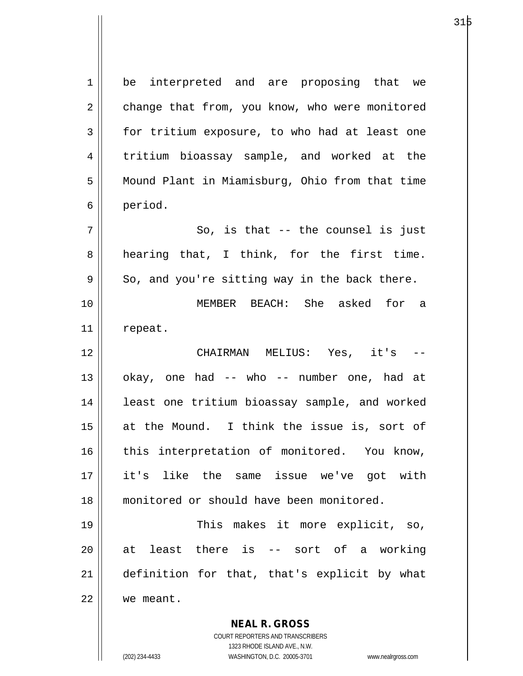| $\mathbf 1$ | be interpreted and are proposing that we       |
|-------------|------------------------------------------------|
| 2           | change that from, you know, who were monitored |
| 3           | for tritium exposure, to who had at least one  |
| 4           | tritium bioassay sample, and worked at the     |
| 5           | Mound Plant in Miamisburg, Ohio from that time |
| 6           | period.                                        |
| 7           | So, is that -- the counsel is just             |
| 8           | hearing that, I think, for the first time.     |
| 9           | So, and you're sitting way in the back there.  |
| 10          | MEMBER BEACH: She asked for a                  |
| 11          | repeat.                                        |
| 12          | CHAIRMAN MELIUS: Yes, it's<br>$-\,-$           |
| 13          | okay, one had -- who -- number one, had at     |
| 14          | least one tritium bioassay sample, and worked  |
| 15          | at the Mound. I think the issue is, sort of    |
| 16          | this interpretation of monitored. You know,    |
| 17          | it's like the same issue we've got with        |
| 18          | monitored or should have been monitored.       |
| 19          | This makes it more explicit, so,               |
| 20          | least there is -- sort of a working<br>at      |
| 21          | definition for that, that's explicit by what   |
| 22          | we meant.                                      |
|             | <b>NEAL R. GROSS</b>                           |

COURT REPORTERS AND TRANSCRIBERS 1323 RHODE ISLAND AVE., N.W.

 $\mathsf{II}$ 

 $\mathsf{l}$ 

(202) 234-4433 WASHINGTON, D.C. 20005-3701 www.nealrgross.com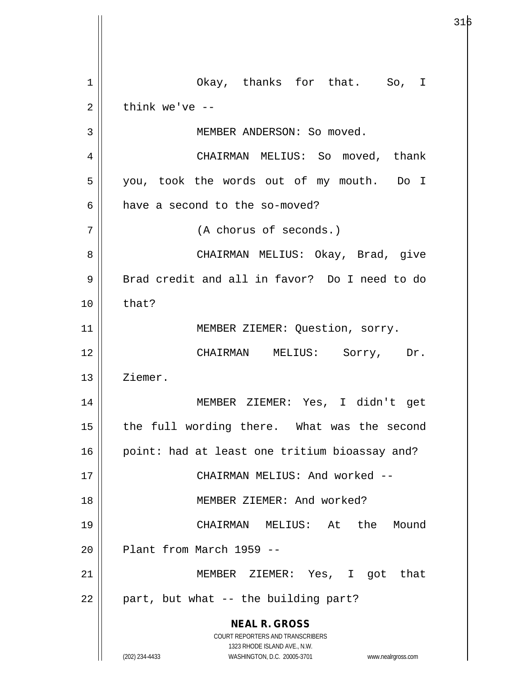**NEAL R. GROSS** COURT REPORTERS AND TRANSCRIBERS 1323 RHODE ISLAND AVE., N.W. (202) 234-4433 WASHINGTON, D.C. 20005-3701 www.nealrgross.com 1 || Okay, thanks for that. So, I  $2 \parallel$  think we've --3 | MEMBER ANDERSON: So moved. 4 | CHAIRMAN MELIUS: So moved, thank 5 || you, took the words out of my mouth. Do I  $6 \parallel$  have a second to the so-moved? 7 (A chorus of seconds.) 8 CHAIRMAN MELIUS: Okay, Brad, give 9 | Brad credit and all in favor? Do I need to do  $10 \parallel$  that? 11 || MEMBER ZIEMER: Question, sorry. 12 CHAIRMAN MELIUS: Sorry, Dr. 13 || Ziemer. 14 MEMBER ZIEMER: Yes, I didn't get 15 || the full wording there. What was the second 16 || point: had at least one tritium bioassay and? 17 CHAIRMAN MELIUS: And worked -- 18 MEMBER ZIEMER: And worked? 19 CHAIRMAN MELIUS: At the Mound  $20$  | Plant from March 1959 --21 || MEMBER ZIEMER: Yes, I got that  $22$  || part, but what -- the building part?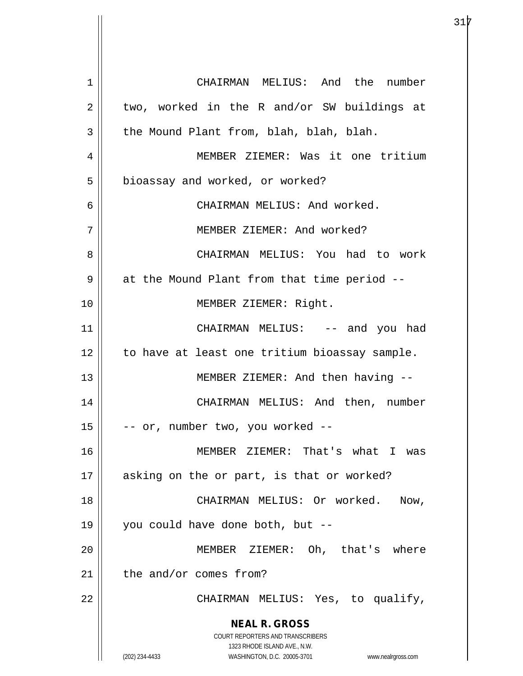**NEAL R. GROSS** COURT REPORTERS AND TRANSCRIBERS 1323 RHODE ISLAND AVE., N.W. (202) 234-4433 WASHINGTON, D.C. 20005-3701 www.nealrgross.com 1 CHAIRMAN MELIUS: And the number  $2 \parallel$  two, worked in the R and/or SW buildings at  $3 \parallel$  the Mound Plant from, blah, blah, blah. 4 MEMBER ZIEMER: Was it one tritium 5 | bioassay and worked, or worked? 6 CHAIRMAN MELIUS: And worked. 7 MEMBER ZIEMER: And worked? 8 CHAIRMAN MELIUS: You had to work 9 || at the Mound Plant from that time period --10 MEMBER ZIEMER: Right. 11 CHAIRMAN MELIUS: -- and you had 12 | to have at least one tritium bioassay sample. 13 || MEMBER ZIEMER: And then having --14 CHAIRMAN MELIUS: And then, number  $15$   $\vert$  -- or, number two, you worked --16 MEMBER ZIEMER: That's what I was 17 || asking on the or part, is that or worked? 18 || CHAIRMAN MELIUS: Or worked. Now, 19 you could have done both, but -- 20 MEMBER ZIEMER: Oh, that's where  $21$  the and/or comes from? 22 || CHAIRMAN MELIUS: Yes, to qualify,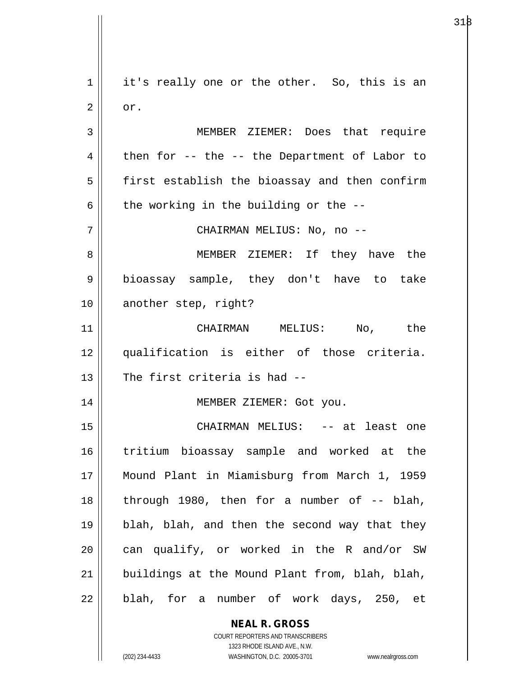**NEAL R. GROSS** COURT REPORTERS AND TRANSCRIBERS 1 || it's really one or the other. So, this is an  $2 \parallel$  or. 3 MEMBER ZIEMER: Does that require  $4 \parallel$  then for -- the -- the Department of Labor to 5 | first establish the bioassay and then confirm  $6 \parallel$  the working in the building or the --7 CHAIRMAN MELIUS: No, no -- 8 MEMBER ZIEMER: If they have the 9 bioassay sample, they don't have to take 10 || another step, right? 11 CHAIRMAN MELIUS: No, the 12 qualification is either of those criteria.  $13$   $\parallel$  The first criteria is had --14 MEMBER ZIEMER: Got you. 15 CHAIRMAN MELIUS: -- at least one 16 tritium bioassay sample and worked at the 17 Mound Plant in Miamisburg from March 1, 1959 18  $\parallel$  through 1980, then for a number of  $-$  blah, 19 blah, blah, and then the second way that they 20  $\parallel$  can qualify, or worked in the R and/or SW  $21$  || buildings at the Mound Plant from, blah, blah,  $22$  || blah, for a number of work days, 250, et

 $318$ 

1323 RHODE ISLAND AVE., N.W.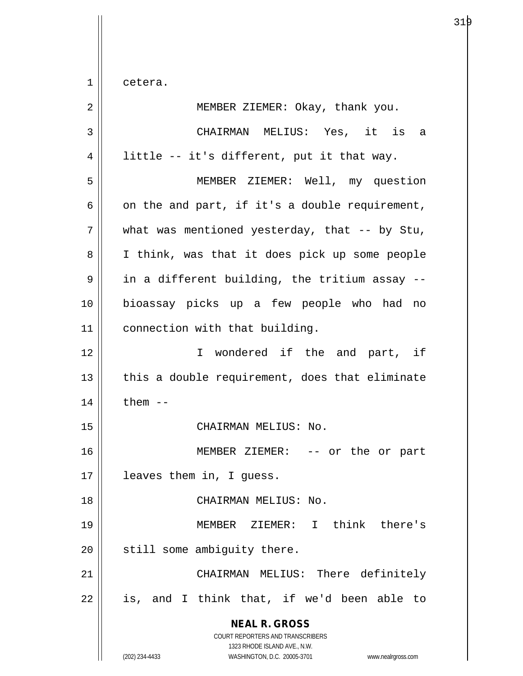$1 \parallel$  cetera.

| 2  | MEMBER ZIEMER: Okay, thank you.                                                                                                                                 |
|----|-----------------------------------------------------------------------------------------------------------------------------------------------------------------|
| 3  | CHAIRMAN MELIUS: Yes, it is a                                                                                                                                   |
| 4  | little -- it's different, put it that way.                                                                                                                      |
| 5  | MEMBER ZIEMER: Well, my question                                                                                                                                |
| 6  | on the and part, if it's a double requirement,                                                                                                                  |
| 7  | what was mentioned yesterday, that $-$ by Stu,                                                                                                                  |
| 8  | I think, was that it does pick up some people                                                                                                                   |
| 9  | in a different building, the tritium assay --                                                                                                                   |
| 10 | bioassay picks up a few people who had no                                                                                                                       |
| 11 | connection with that building.                                                                                                                                  |
| 12 | I wondered if the and part, if                                                                                                                                  |
| 13 | this a double requirement, does that eliminate                                                                                                                  |
| 14 | them $--$                                                                                                                                                       |
| 15 | CHAIRMAN MELIUS: No.                                                                                                                                            |
| 16 | MEMBER ZIEMER: -- or the or part                                                                                                                                |
| 17 | leaves them in, I quess.                                                                                                                                        |
| 18 | CHAIRMAN MELIUS: No.                                                                                                                                            |
| 19 | MEMBER ZIEMER: I think there's                                                                                                                                  |
| 20 | still some ambiguity there.                                                                                                                                     |
| 21 | CHAIRMAN MELIUS: There definitely                                                                                                                               |
| 22 | is, and I think that, if we'd been able to                                                                                                                      |
|    | <b>NEAL R. GROSS</b><br>COURT REPORTERS AND TRANSCRIBERS<br>1323 RHODE ISLAND AVE., N.W.<br>(202) 234-4433<br>WASHINGTON, D.C. 20005-3701<br>www.nealrgross.com |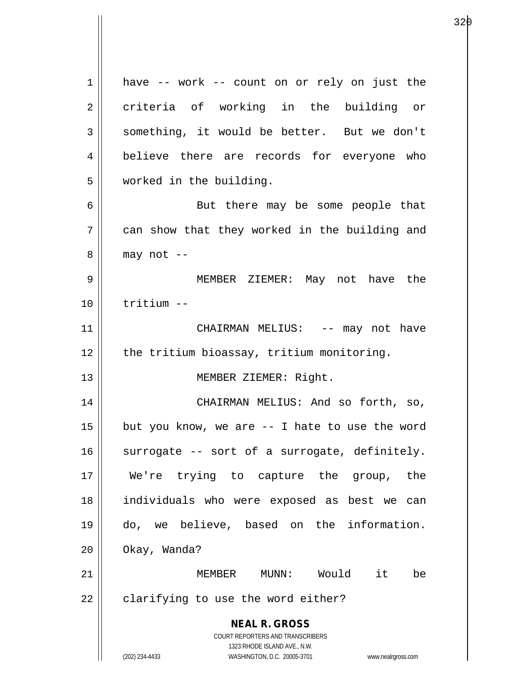**NEAL R. GROSS** COURT REPORTERS AND TRANSCRIBERS 1323 RHODE ISLAND AVE., N.W. (202) 234-4433 WASHINGTON, D.C. 20005-3701 www.nealrgross.com 1 || have -- work -- count on or rely on just the 2 criteria of working in the building or  $3 \parallel$  something, it would be better. But we don't 4 believe there are records for everyone who 5 worked in the building. 6 || But there may be some people that 7 can show that they worked in the building and  $8 \parallel$  may not --9 MEMBER ZIEMER: May not have the 10 tritium -- 11 || CHAIRMAN MELIUS: -- may not have 12 | the tritium bioassay, tritium monitoring. 13 || MEMBER ZIEMER: Right. 14 CHAIRMAN MELIUS: And so forth, so, 15  $\parallel$  but you know, we are -- I hate to use the word  $16$  surrogate -- sort of a surrogate, definitely. 17 We're trying to capture the group, the 18 individuals who were exposed as best we can 19 do, we believe, based on the information. 20 Okay, Wanda? 21 MEMBER MUNN: Would it be  $22$  | clarifying to use the word either?

е в селото в селото на 1920 година в 1920 година в 1920 година в 1920 година в 1920 година в 1920 година в 192<br>В 1920 година в 1920 година в 1920 година в 1920 година в 1920 година в 1920 година в 1920 година в 1920 годин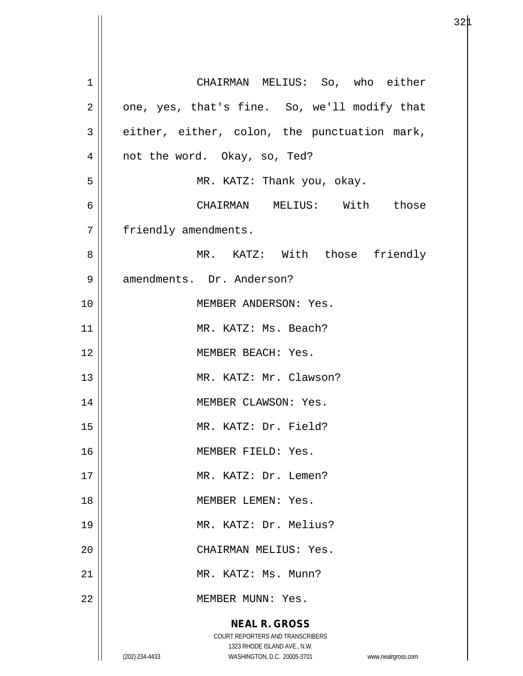| $\mathbf 1$    | CHAIRMAN MELIUS: So, who either                                     |
|----------------|---------------------------------------------------------------------|
| 2              | one, yes, that's fine. So, we'll modify that                        |
| 3              | either, either, colon, the punctuation mark,                        |
| $\overline{4}$ | not the word. Okay, so, Ted?                                        |
| 5              | MR. KATZ: Thank you, okay.                                          |
| 6              | CHAIRMAN MELIUS: With those                                         |
| 7              | friendly amendments.                                                |
| 8              | MR. KATZ: With those friendly                                       |
| 9              | amendments. Dr. Anderson?                                           |
| 10             | MEMBER ANDERSON: Yes.                                               |
| 11             | MR. KATZ: Ms. Beach?                                                |
| 12             | MEMBER BEACH: Yes.                                                  |
| 13             | MR. KATZ: Mr. Clawson?                                              |
| 14             | MEMBER CLAWSON: Yes.                                                |
| 15             | MR. KATZ: Dr. Field?                                                |
| 16             | MEMBER FIELD: Yes.                                                  |
| 17             | MR. KATZ: Dr. Lemen?                                                |
| 18             | MEMBER LEMEN: Yes.                                                  |
| 19             | MR. KATZ: Dr. Melius?                                               |
| 20             | CHAIRMAN MELIUS: Yes.                                               |
| 21             | MR. KATZ: Ms. Munn?                                                 |
| 22             | MEMBER MUNN: Yes.                                                   |
|                | <b>NEAL R. GROSS</b>                                                |
|                | COURT REPORTERS AND TRANSCRIBERS<br>1323 RHODE ISLAND AVE., N.W.    |
|                | (202) 234-4433<br>WASHINGTON, D.C. 20005-3701<br>www.nealrgross.com |

 $32\mu$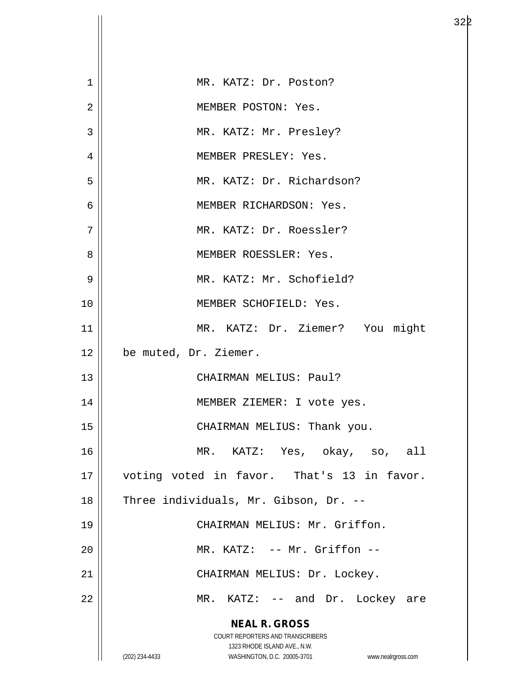| $\mathbf 1$    | MR. KATZ: Dr. Poston?                                               |
|----------------|---------------------------------------------------------------------|
| $\overline{2}$ | MEMBER POSTON: Yes.                                                 |
| 3              | MR. KATZ: Mr. Presley?                                              |
| $\overline{4}$ | MEMBER PRESLEY: Yes.                                                |
| 5              | MR. KATZ: Dr. Richardson?                                           |
| $\overline{6}$ | MEMBER RICHARDSON: Yes.                                             |
| 7              | MR. KATZ: Dr. Roessler?                                             |
| 8              | MEMBER ROESSLER: Yes.                                               |
| 9              | MR. KATZ: Mr. Schofield?                                            |
| 10             | MEMBER SCHOFIELD: Yes.                                              |
| 11             | MR. KATZ: Dr. Ziemer? You might                                     |
| 12             | be muted, Dr. Ziemer.                                               |
| 13             | CHAIRMAN MELIUS: Paul?                                              |
| 14             | MEMBER ZIEMER: I vote yes.                                          |
| 15             | CHAIRMAN MELIUS: Thank you.                                         |
| 16             | MR. KATZ: Yes, okay, so, all                                        |
| 17             | voting voted in favor. That's 13 in favor.                          |
| 18             | Three individuals, Mr. Gibson, Dr. --                               |
| 19             | CHAIRMAN MELIUS: Mr. Griffon.                                       |
| 20             | MR. KATZ: -- Mr. Griffon --                                         |
| 21             | CHAIRMAN MELIUS: Dr. Lockey.                                        |
| 22             | MR. KATZ: -- and Dr. Lockey are                                     |
|                | <b>NEAL R. GROSS</b>                                                |
|                | COURT REPORTERS AND TRANSCRIBERS<br>1323 RHODE ISLAND AVE., N.W.    |
|                | (202) 234-4433<br>WASHINGTON, D.C. 20005-3701<br>www.nealrgross.com |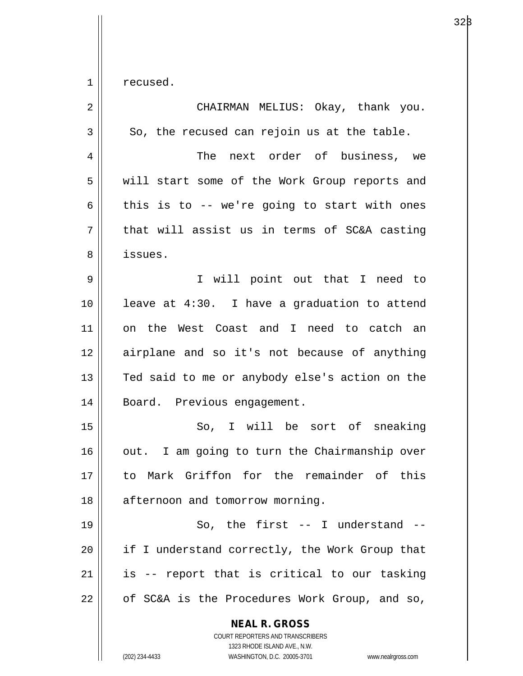$1 \parallel$  recused.

| $\overline{2}$ | CHAIRMAN MELIUS: Okay, thank you.                                                                                                                               |
|----------------|-----------------------------------------------------------------------------------------------------------------------------------------------------------------|
| 3              | So, the recused can rejoin us at the table.                                                                                                                     |
| $\overline{4}$ | The next order of business, we                                                                                                                                  |
| 5              | will start some of the Work Group reports and                                                                                                                   |
| 6              | this is to -- we're going to start with ones                                                                                                                    |
| 7              | that will assist us in terms of SC&A casting                                                                                                                    |
| 8              | issues.                                                                                                                                                         |
| $\mathsf 9$    | I will point out that I need to                                                                                                                                 |
| 10             | leave at 4:30. I have a graduation to attend                                                                                                                    |
| 11             | on the West Coast and I need to catch an                                                                                                                        |
| 12             | airplane and so it's not because of anything                                                                                                                    |
| 13             | Ted said to me or anybody else's action on the                                                                                                                  |
| 14             | Board. Previous engagement.                                                                                                                                     |
| 15             | So, I will be sort of sneaking                                                                                                                                  |
| 16             | out. I am going to turn the Chairmanship over                                                                                                                   |
| 17             | to Mark Griffon for the remainder of this                                                                                                                       |
| 18             | afternoon and tomorrow morning.                                                                                                                                 |
| 19             | So, the first $--$ I understand $--$                                                                                                                            |
| 20             | if I understand correctly, the Work Group that                                                                                                                  |
| 21             | is -- report that is critical to our tasking                                                                                                                    |
| 22             | of SC&A is the Procedures Work Group, and so,                                                                                                                   |
|                | <b>NEAL R. GROSS</b><br>COURT REPORTERS AND TRANSCRIBERS<br>1323 RHODE ISLAND AVE., N.W.<br>(202) 234-4433<br>WASHINGTON, D.C. 20005-3701<br>www.nealrgross.com |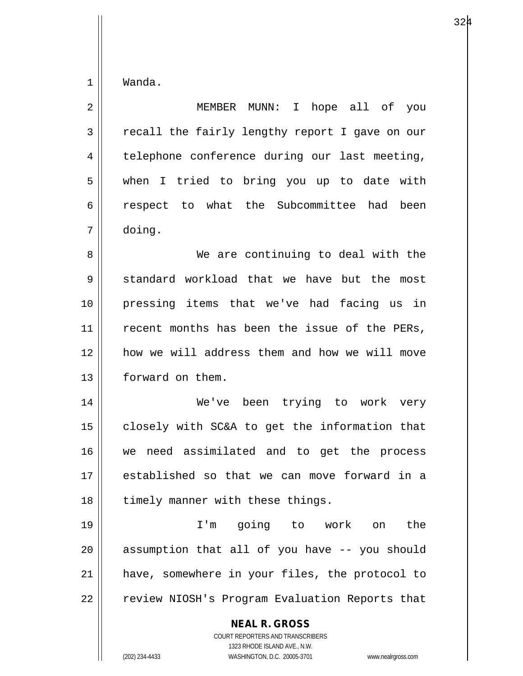$1 \parallel$  Wanda.

| $\overline{2}$ | MEMBER MUNN: I hope all of you                                                                                                                                  |
|----------------|-----------------------------------------------------------------------------------------------------------------------------------------------------------------|
| 3              | recall the fairly lengthy report I gave on our                                                                                                                  |
| 4              | telephone conference during our last meeting,                                                                                                                   |
| 5              | when I tried to bring you up to date with                                                                                                                       |
| 6              | respect to what the Subcommittee had<br>been                                                                                                                    |
| 7              | doing.                                                                                                                                                          |
| 8              | We are continuing to deal with the                                                                                                                              |
| 9              | standard workload that we have but the most                                                                                                                     |
| 10             | pressing items that we've had facing us in                                                                                                                      |
| 11             | recent months has been the issue of the PERs,                                                                                                                   |
| 12             | how we will address them and how we will move                                                                                                                   |
| 13             | forward on them.                                                                                                                                                |
| 14             | We've been trying to work very                                                                                                                                  |
| 15             | closely with SC&A to get the information that                                                                                                                   |
| 16             | need assimilated and to get the process<br>we                                                                                                                   |
| 17             | established so that we can move forward in a                                                                                                                    |
| 18             | timely manner with these things.                                                                                                                                |
| 19             | I'm going to work on<br>the                                                                                                                                     |
| 20             | assumption that all of you have -- you should                                                                                                                   |
| 21             | have, somewhere in your files, the protocol to                                                                                                                  |
| 22             | review NIOSH's Program Evaluation Reports that                                                                                                                  |
|                | <b>NEAL R. GROSS</b><br>COURT REPORTERS AND TRANSCRIBERS<br>1323 RHODE ISLAND AVE., N.W.<br>WASHINGTON, D.C. 20005-3701<br>(202) 234-4433<br>www.nealrgross.com |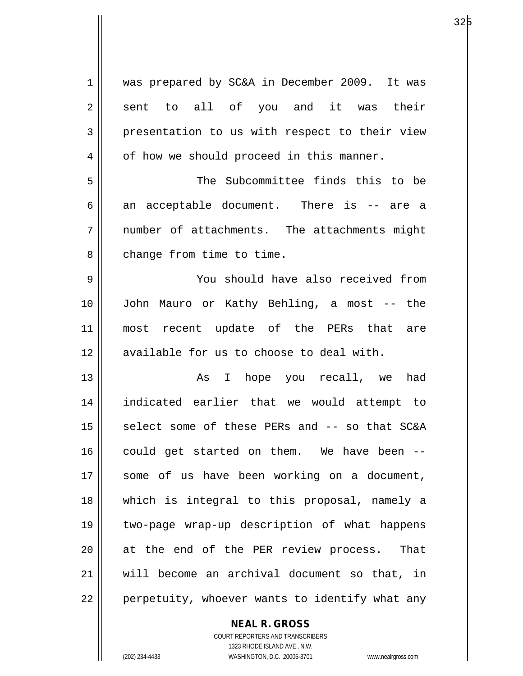| $\mathbf 1$ | was prepared by SC&A in December 2009. It was  |
|-------------|------------------------------------------------|
| 2           | sent to all of you and it was their            |
| 3           | presentation to us with respect to their view  |
| 4           | of how we should proceed in this manner.       |
| 5           | The Subcommittee finds this to be              |
| 6           | an acceptable document. There is -- are a      |
| 7           | number of attachments. The attachments might   |
| 8           | change from time to time.                      |
| 9           | You should have also received from             |
| 10          | John Mauro or Kathy Behling, a most -- the     |
| 11          | most recent update of the PERs that are        |
| 12          | available for us to choose to deal with.       |
| 13          | As I hope you recall, we<br>had                |
| 14          | indicated earlier that we would attempt to     |
| 15          | select some of these PERs and -- so that SC&A  |
| 16          | could get started on them. We have been --     |
| 17          | some of us have been working on a document,    |
| 18          | which is integral to this proposal, namely a   |
| 19          | two-page wrap-up description of what happens   |
| 20          | at the end of the PER review process.<br>That  |
| 21          | will become an archival document so that, in   |
| 22          | perpetuity, whoever wants to identify what any |

**NEAL R. GROSS**

COURT REPORTERS AND TRANSCRIBERS 1323 RHODE ISLAND AVE., N.W. (202) 234-4433 WASHINGTON, D.C. 20005-3701 www.nealrgross.com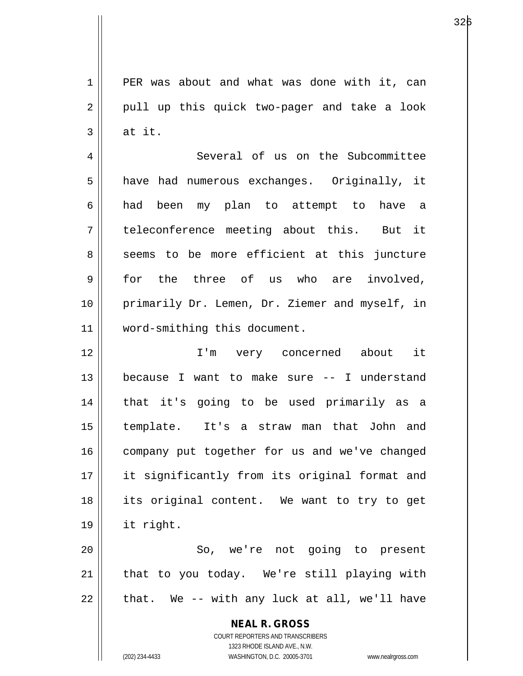1 PER was about and what was done with it, can  $2 \parallel$  pull up this quick two-pager and take a look  $3 \parallel$  at it.

4 | Several of us on the Subcommittee 5 || have had numerous exchanges. Originally, it 6 had been my plan to attempt to have a 7 teleconference meeting about this. But it 8 seems to be more efficient at this juncture 9 for the three of us who are involved, 10 primarily Dr. Lemen, Dr. Ziemer and myself, in 11 word-smithing this document.

12 || T'm very concerned about it 13 because I want to make sure -- I understand 14 that it's going to be used primarily as a 15 template. It's a straw man that John and 16 | company put together for us and we've changed 17 it significantly from its original format and 18 its original content. We want to try to get 19 it right.

20 || So, we're not going to present 21 || that to you today. We're still playing with  $22$  || that. We -- with any luck at all, we'll have

> **NEAL R. GROSS** COURT REPORTERS AND TRANSCRIBERS

1323 RHODE ISLAND AVE., N.W. (202) 234-4433 WASHINGTON, D.C. 20005-3701 www.nealrgross.com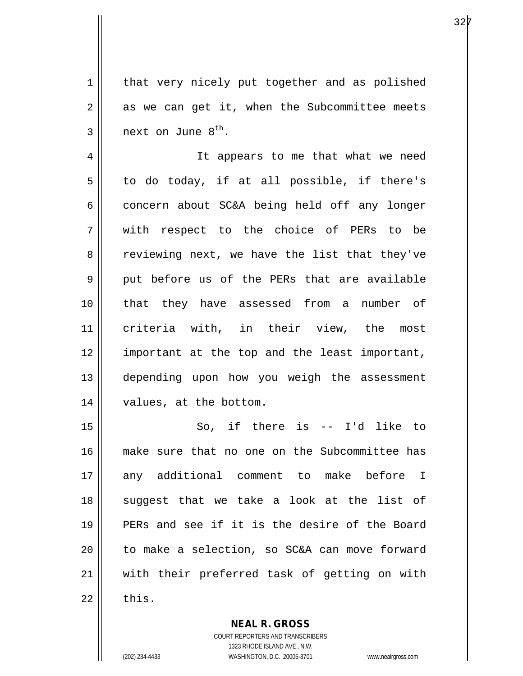$1$  that very nicely put together and as polished  $2 \parallel$  as we can get it, when the Subcommittee meets  $3 \parallel$  next on June  $8^{th}$ .

4 || It appears to me that what we need  $5 \parallel$  to do today, if at all possible, if there's  $6 \parallel$  concern about SC&A being held off any longer 7 with respect to the choice of PERs to be 8 Teviewing next, we have the list that they've 9 put before us of the PERs that are available 10 that they have assessed from a number of 11 criteria with, in their view, the most 12 || important at the top and the least important, 13 depending upon how you weigh the assessment 14 | values, at the bottom.

15 So, if there is -- I'd like to 16 make sure that no one on the Subcommittee has 17 || any additional comment to make before I 18 || suggest that we take a look at the list of 19 PERs and see if it is the desire of the Board  $20$  | to make a selection, so SC&A can move forward 21 with their preferred task of getting on with  $22$  | this.

> COURT REPORTERS AND TRANSCRIBERS 1323 RHODE ISLAND AVE., N.W. (202) 234-4433 WASHINGTON, D.C. 20005-3701 www.nealrgross.com

**NEAL R. GROSS**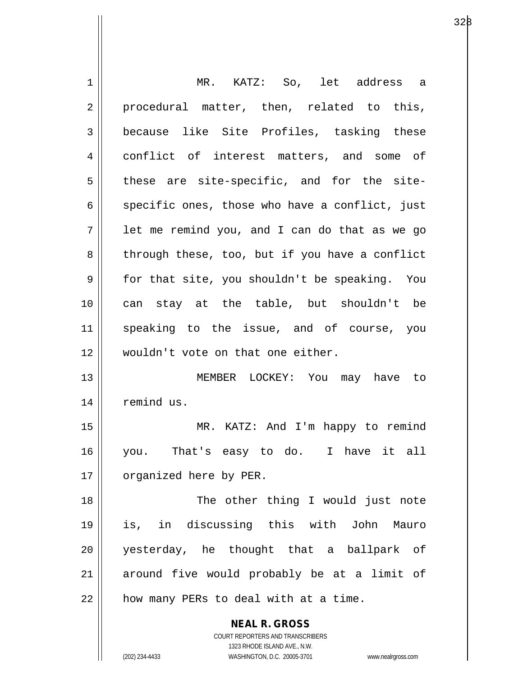| 1  | MR. KATZ: So, let address a                                         |
|----|---------------------------------------------------------------------|
| 2  | procedural matter, then, related to this,                           |
| 3  | because like Site Profiles, tasking these                           |
| 4  | conflict of interest matters, and some of                           |
| 5  | these are site-specific, and for the site-                          |
| 6  | specific ones, those who have a conflict, just                      |
| 7  | let me remind you, and I can do that as we go                       |
| 8  | through these, too, but if you have a conflict                      |
| 9  | for that site, you shouldn't be speaking. You                       |
| 10 | can stay at the table, but shouldn't be                             |
| 11 | speaking to the issue, and of course, you                           |
| 12 | wouldn't vote on that one either.                                   |
| 13 | MEMBER LOCKEY: You may have to                                      |
| 14 | remind us.                                                          |
| 15 | MR. KATZ: And I'm happy to remind                                   |
| 16 | you. That's easy to do. I have it all                               |
| 17 | organized here by PER.                                              |
| 18 | The other thing I would just note                                   |
| 19 | is, in discussing this with John Mauro                              |
| 20 | yesterday, he thought that a ballpark of                            |
| 21 | around five would probably be at a limit of                         |
| 22 | how many PERs to deal with at a time.                               |
|    |                                                                     |
|    | <b>NEAL R. GROSS</b><br>COURT REPORTERS AND TRANSCRIBERS            |
|    | 1323 RHODE ISLAND AVE., N.W.                                        |
|    | (202) 234-4433<br>WASHINGTON, D.C. 20005-3701<br>www.nealrgross.com |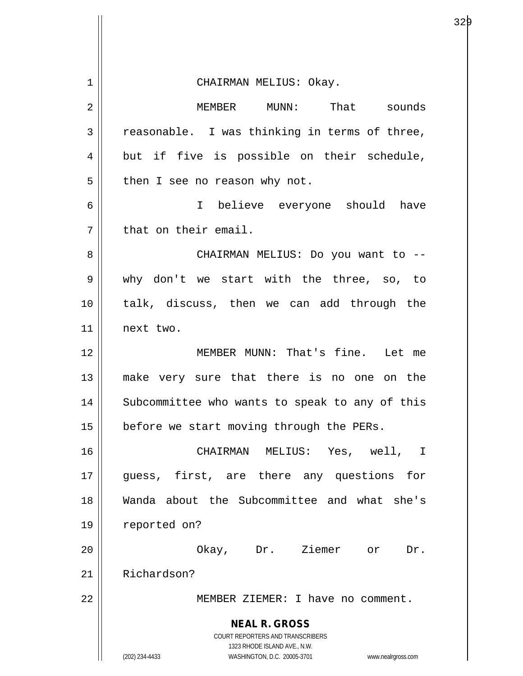| 1              | CHAIRMAN MELIUS: Okay.                                                  |
|----------------|-------------------------------------------------------------------------|
| $\overline{2}$ | MEMBER MUNN: That sounds                                                |
| 3              | reasonable. I was thinking in terms of three,                           |
| 4              | but if five is possible on their schedule,                              |
| 5              | then I see no reason why not.                                           |
| 6              | I believe everyone should have                                          |
| 7              | that on their email.                                                    |
| 8              | CHAIRMAN MELIUS: Do you want to --                                      |
| 9              | why don't we start with the three, so, to                               |
| 10             | talk, discuss, then we can add through the                              |
| 11             | next two.                                                               |
| 12             | MEMBER MUNN: That's fine. Let me                                        |
| 13             | make very sure that there is no one on the                              |
| 14             | Subcommittee who wants to speak to any of this                          |
| 15             | before we start moving through the PERs.                                |
| 16             | CHAIRMAN MELIUS: Yes, well, I                                           |
| 17             | guess, first, are there any questions for                               |
| 18             | Wanda about the Subcommittee and what she's                             |
| 19             | reported on?                                                            |
| 20             | Okay, Dr. Ziemer or<br>Dr.                                              |
| 21             | Richardson?                                                             |
| 22             | MEMBER ZIEMER: I have no comment.                                       |
|                | <b>NEAL R. GROSS</b>                                                    |
|                | <b>COURT REPORTERS AND TRANSCRIBERS</b><br>1323 RHODE ISLAND AVE., N.W. |
|                | (202) 234-4433<br>WASHINGTON, D.C. 20005-3701 www.nealrgross.com        |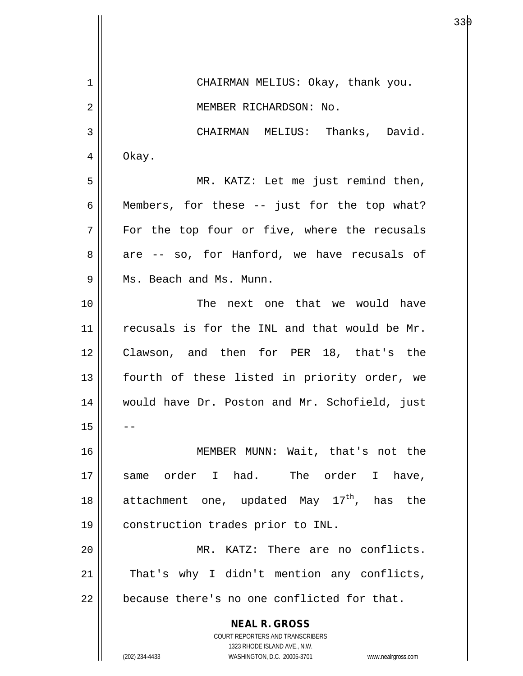**NEAL R. GROSS** COURT REPORTERS AND TRANSCRIBERS 1323 RHODE ISLAND AVE., N.W. (202) 234-4433 WASHINGTON, D.C. 20005-3701 www.nealrgross.com 1 || CHAIRMAN MELIUS: Okay, thank you. 2 || MEMBER RICHARDSON: No. 3 | CHAIRMAN MELIUS: Thanks, David.  $4 \parallel$  Okay. 5 MR. KATZ: Let me just remind then,  $6 \parallel$  Members, for these  $-$  just for the top what? 7 For the top four or five, where the recusals  $8 \parallel$  are -- so, for Hanford, we have recusals of 9 || Ms. Beach and Ms. Munn. 10 The next one that we would have  $11$  recusals is for the INL and that would be Mr. 12 Clawson, and then for PER 18, that's the 13 || fourth of these listed in priority order, we 14 would have Dr. Poston and Mr. Schofield, just  $15$ 16 MEMBER MUNN: Wait, that's not the 17 same order I had. The order I have, 18  $\parallel$  attachment one, updated May 17<sup>th</sup>, has the 19 | construction trades prior to INL. 20 MR. KATZ: There are no conflicts.  $21$  | That's why I didn't mention any conflicts,  $22$  | because there's no one conflicted for that.

а в селото в селото в селото в 1930 година в 1930 година в 1930 година в 1930 година в 1930 година в 1930 годи<br>В 1930 година в 1930 година в 1930 година в 1930 година в 1930 година в 1930 година в 1930 година в 1930 годин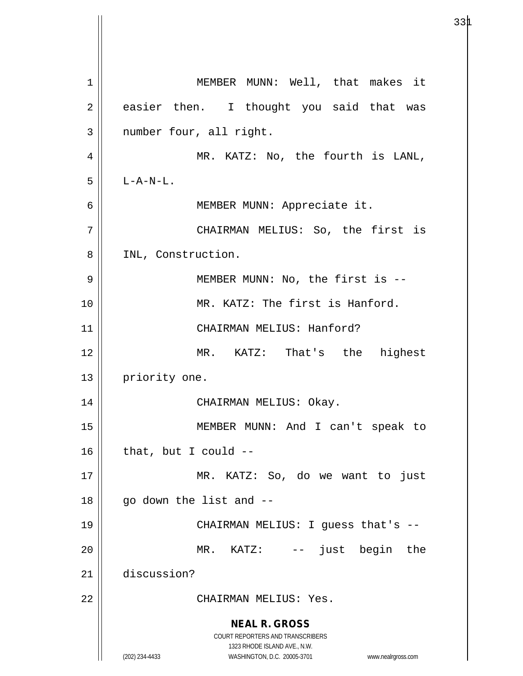**NEAL R. GROSS** COURT REPORTERS AND TRANSCRIBERS 1323 RHODE ISLAND AVE., N.W. (202) 234-4433 WASHINGTON, D.C. 20005-3701 www.nealrgross.com 1 MEMBER MUNN: Well, that makes it  $2 \parallel$  easier then. I thought you said that was 3 || number four, all right. 4 || MR. KATZ: No, the fourth is LANL,  $5$  | L-A-N-L. 6 MEMBER MUNN: Appreciate it. 7 CHAIRMAN MELIUS: So, the first is 8 || INL, Construction. 9 || MEMBER MUNN: No, the first is --10 || MR. KATZ: The first is Hanford. 11 CHAIRMAN MELIUS: Hanford? 12 MR. KATZ: That's the highest 13 | priority one. 14 CHAIRMAN MELIUS: Okay. 15 MEMBER MUNN: And I can't speak to  $16$  | that, but I could  $-$ 17 MR. KATZ: So, do we want to just  $18$  || go down the list and  $-$ 19 CHAIRMAN MELIUS: I guess that's -- 20 || MR. KATZ: -- just begin the 21 discussion? 22 CHAIRMAN MELIUS: Yes.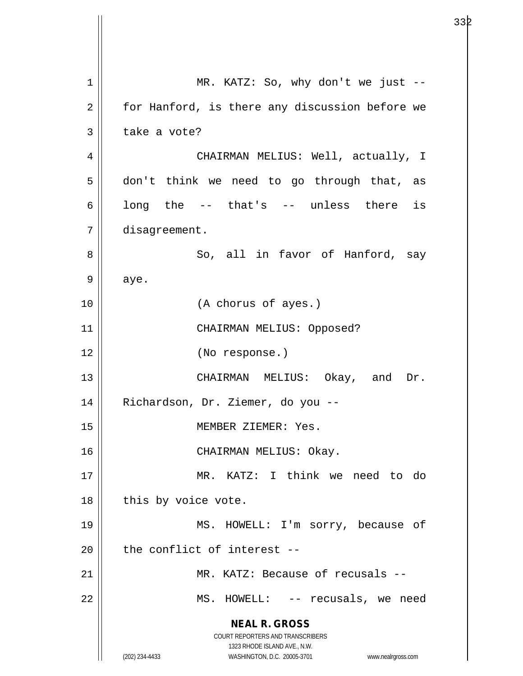**NEAL R. GROSS** COURT REPORTERS AND TRANSCRIBERS 1323 RHODE ISLAND AVE., N.W. (202) 234-4433 WASHINGTON, D.C. 20005-3701 www.nealrgross.com 1 | MR. KATZ: So, why don't we just -- $2 \parallel$  for Hanford, is there any discussion before we  $3 \parallel$  take a vote? 4 CHAIRMAN MELIUS: Well, actually, I  $5 \parallel$  don't think we need to go through that, as 6 ||  $long$  the  $--$  that's  $--$  unless there is 7 disagreement. 8 So, all in favor of Hanford, say  $9 \parallel$  aye. 10 (A chorus of ayes.) 11 CHAIRMAN MELIUS: Opposed? 12 (No response.) 13 CHAIRMAN MELIUS: Okay, and Dr. 14 Richardson, Dr. Ziemer, do you -- 15 || MEMBER ZIEMER: Yes. 16 || CHAIRMAN MELIUS: Okay. 17 MR. KATZ: I think we need to do  $18$  | this by voice vote. 19 MS. HOWELL: I'm sorry, because of  $20$  | the conflict of interest --21 MR. KATZ: Because of recusals -- 22 || MS. HOWELL: -- recusals, we need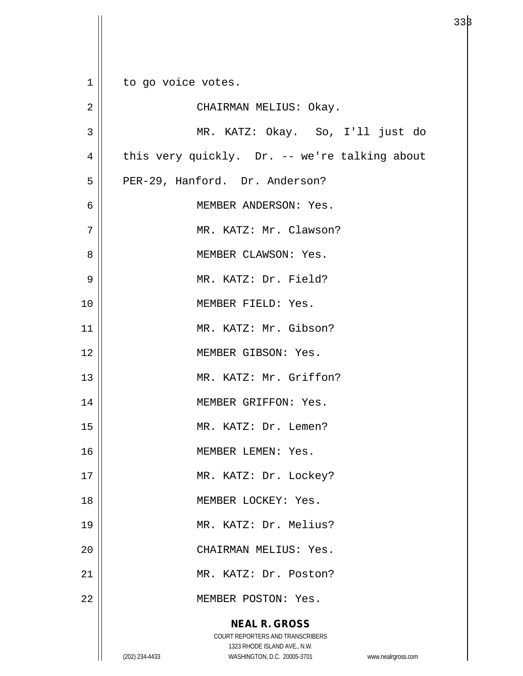**NEAL R. GROSS** COURT REPORTERS AND TRANSCRIBERS 1323 RHODE ISLAND AVE., N.W. 1 | to go voice votes. 2 CHAIRMAN MELIUS: Okay. 3 MR. KATZ: Okay. So, I'll just do  $4 \parallel$  this very quickly. Dr. -- we're talking about 5 | PER-29, Hanford. Dr. Anderson? 6 MEMBER ANDERSON: Yes. 7 || MR. KATZ: Mr. Clawson? 8 MEMBER CLAWSON: Yes. 9 MR. KATZ: Dr. Field? 10 MEMBER FIELD: Yes. 11 || MR. KATZ: Mr. Gibson? 12 MEMBER GIBSON: Yes. 13 || MR. KATZ: Mr. Griffon? 14 MEMBER GRIFFON: Yes. 15 || MR. KATZ: Dr. Lemen? 16 MEMBER LEMEN: Yes. 17 || MR. KATZ: Dr. Lockey? 18 MEMBER LOCKEY: Yes. 19 || MR. KATZ: Dr. Melius? 20 || CHAIRMAN MELIUS: Yes. 21 MR. KATZ: Dr. Poston? 22 | MEMBER POSTON: Yes.

(202) 234-4433 WASHINGTON, D.C. 20005-3701 www.nealrgross.com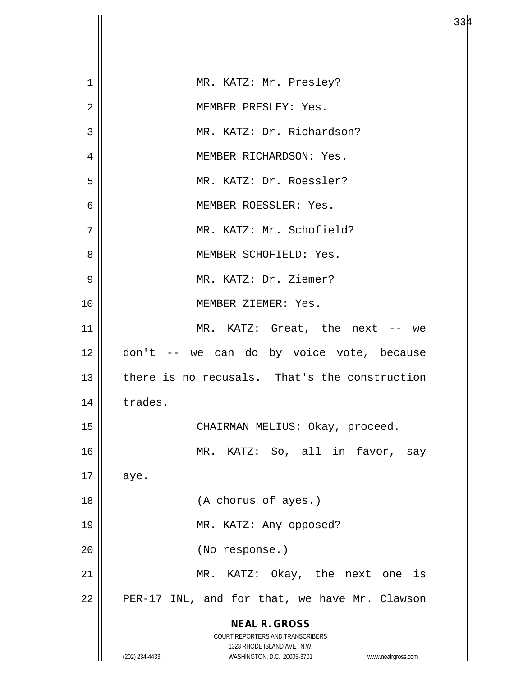| 1  | MR. KATZ: Mr. Presley?                                              |
|----|---------------------------------------------------------------------|
| 2  | MEMBER PRESLEY: Yes.                                                |
| 3  | MR. KATZ: Dr. Richardson?                                           |
| 4  | MEMBER RICHARDSON: Yes.                                             |
| 5  | MR. KATZ: Dr. Roessler?                                             |
| 6  | MEMBER ROESSLER: Yes.                                               |
| 7  | MR. KATZ: Mr. Schofield?                                            |
| 8  | MEMBER SCHOFIELD: Yes.                                              |
| 9  | MR. KATZ: Dr. Ziemer?                                               |
| 10 | MEMBER ZIEMER: Yes.                                                 |
| 11 | MR. KATZ: Great, the next -- we                                     |
| 12 | don't -- we can do by voice vote, because                           |
| 13 | there is no recusals. That's the construction                       |
| 14 | trades.                                                             |
| 15 | CHAIRMAN MELIUS: Okay, proceed.                                     |
| 16 | MR. KATZ: So, all in favor, say                                     |
| 17 | aye.                                                                |
| 18 | (A chorus of ayes.)                                                 |
| 19 | MR. KATZ: Any opposed?                                              |
| 20 | (No response.)                                                      |
| 21 | MR. KATZ: Okay, the next one is                                     |
| 22 | PER-17 INL, and for that, we have Mr. Clawson                       |
|    | <b>NEAL R. GROSS</b><br><b>COURT REPORTERS AND TRANSCRIBERS</b>     |
|    | 1323 RHODE ISLAND AVE., N.W.                                        |
|    | (202) 234-4433<br>WASHINGTON, D.C. 20005-3701<br>www.nealrgross.com |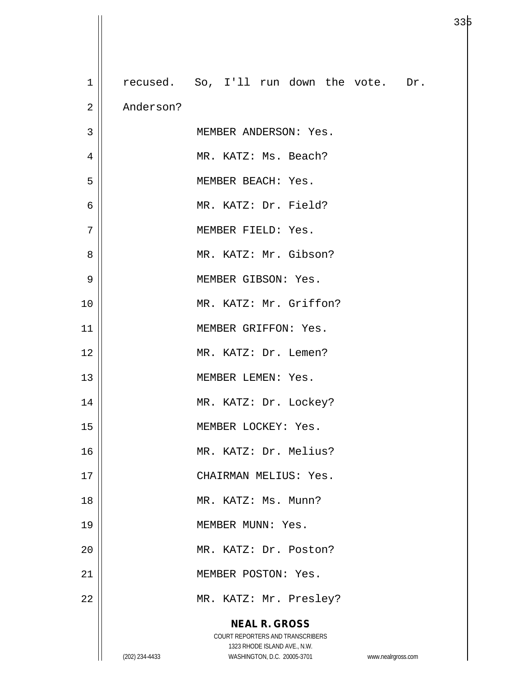| $\mathbf{1}$   |                | recused. So, I'll run down the vote. Dr.                         |                    |
|----------------|----------------|------------------------------------------------------------------|--------------------|
| $\overline{2}$ | Anderson?      |                                                                  |                    |
| 3              |                | MEMBER ANDERSON: Yes.                                            |                    |
| 4              |                | MR. KATZ: Ms. Beach?                                             |                    |
| 5              |                | MEMBER BEACH: Yes.                                               |                    |
| 6              |                | MR. KATZ: Dr. Field?                                             |                    |
| 7              |                | MEMBER FIELD: Yes.                                               |                    |
| 8              |                | MR. KATZ: Mr. Gibson?                                            |                    |
| 9              |                | MEMBER GIBSON: Yes.                                              |                    |
| 10             |                | MR. KATZ: Mr. Griffon?                                           |                    |
| 11             |                | MEMBER GRIFFON: Yes.                                             |                    |
| 12             |                | MR. KATZ: Dr. Lemen?                                             |                    |
| 13             |                | MEMBER LEMEN: Yes.                                               |                    |
| 14             |                | MR. KATZ: Dr. Lockey?                                            |                    |
| 15             |                | MEMBER LOCKEY: Yes.                                              |                    |
| 16             |                | MR. KATZ: Dr. Melius?                                            |                    |
| 17             |                | CHAIRMAN MELIUS: Yes.                                            |                    |
| 18             |                | MR. KATZ: Ms. Munn?                                              |                    |
| 19             |                | MEMBER MUNN: Yes.                                                |                    |
| 20             |                | MR. KATZ: Dr. Poston?                                            |                    |
| 21             |                | MEMBER POSTON: Yes.                                              |                    |
| 22             |                | MR. KATZ: Mr. Presley?                                           |                    |
|                |                | <b>NEAL R. GROSS</b>                                             |                    |
|                |                | COURT REPORTERS AND TRANSCRIBERS<br>1323 RHODE ISLAND AVE., N.W. |                    |
|                | (202) 234-4433 | WASHINGTON, D.C. 20005-3701                                      | www.nealrgross.com |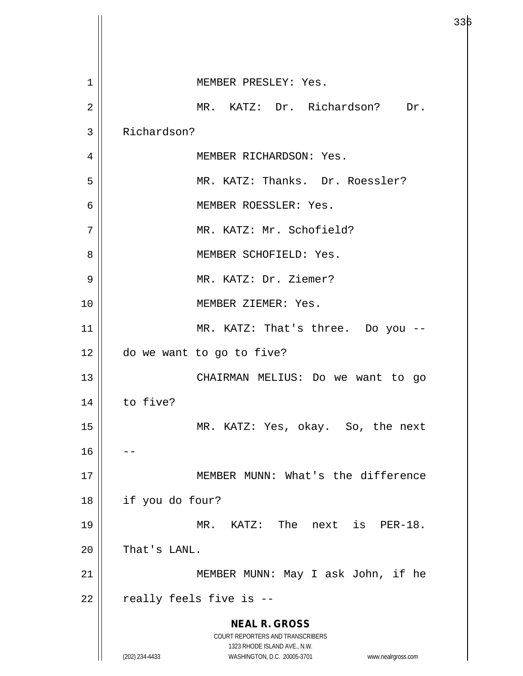**NEAL R. GROSS** COURT REPORTERS AND TRANSCRIBERS 1323 RHODE ISLAND AVE., N.W. (202) 234-4433 WASHINGTON, D.C. 20005-3701 www.nealrgross.com 1 || MEMBER PRESLEY: Yes. 2 MR. KATZ: Dr. Richardson? Dr. 3 Richardson? 4 MEMBER RICHARDSON: Yes. 5 MR. KATZ: Thanks. Dr. Roessler? 6 MEMBER ROESSLER: Yes. 7 || MR. KATZ: Mr. Schofield? 8 MEMBER SCHOFIELD: Yes. 9 || MR. KATZ: Dr. Ziemer? 10 MEMBER ZIEMER: Yes. 11 || MR. KATZ: That's three. Do you --12 do we want to go to five? 13 || CHAIRMAN MELIUS: Do we want to go  $14$  to five? 15 || MR. KATZ: Yes, okay. So, the next  $16$ 17 || MEMBER MUNN: What's the difference 18 if you do four? 19 MR. KATZ: The next is PER-18.  $20$  | That's LANL. 21 || MEMBER MUNN: May I ask John, if he  $22$  | really feels five is  $-$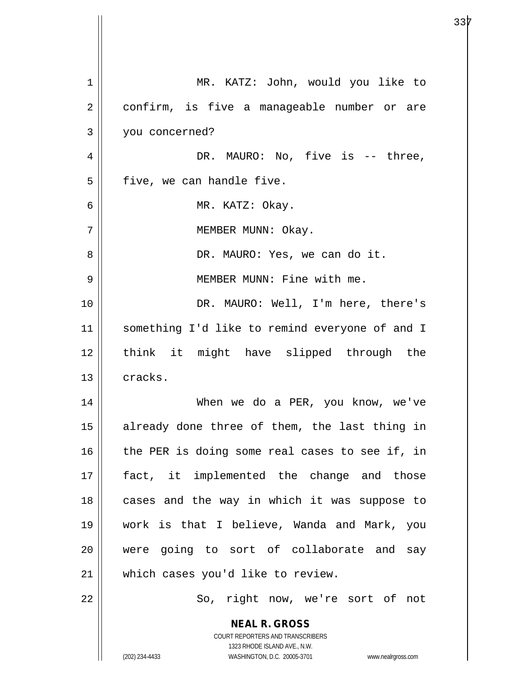| $\mathbf 1$    | MR. KATZ: John, would you like to                                                                   |
|----------------|-----------------------------------------------------------------------------------------------------|
| $\mathbf 2$    | confirm, is five a manageable number or are                                                         |
| $\mathfrak{Z}$ | you concerned?                                                                                      |
| $\overline{4}$ | DR. MAURO: No, five is -- three,                                                                    |
| 5              | five, we can handle five.                                                                           |
| 6              | MR. KATZ: Okay.                                                                                     |
| 7              | MEMBER MUNN: Okay.                                                                                  |
| 8              | DR. MAURO: Yes, we can do it.                                                                       |
| 9              | MEMBER MUNN: Fine with me.                                                                          |
| 10             | DR. MAURO: Well, I'm here, there's                                                                  |
| 11             | something I'd like to remind everyone of and I                                                      |
| 12             | think it might have slipped through the                                                             |
| 13             | cracks.                                                                                             |
| 14             | When we do a PER, you know, we've                                                                   |
| 15             | already done three of them, the last thing in                                                       |
| 16             | the PER is doing some real cases to see if, in                                                      |
| 17             | fact, it implemented the change and those                                                           |
| 18             | cases and the way in which it was suppose to                                                        |
| 19             | work is that I believe, Wanda and Mark, you                                                         |
| 20             | were going to sort of collaborate and say                                                           |
| 21             | which cases you'd like to review.                                                                   |
| 22             | So, right now, we're sort of not                                                                    |
|                | <b>NEAL R. GROSS</b>                                                                                |
|                | COURT REPORTERS AND TRANSCRIBERS                                                                    |
|                | 1323 RHODE ISLAND AVE., N.W.<br>(202) 234-4433<br>WASHINGTON, D.C. 20005-3701<br>www.nealrgross.com |

 $\overline{\phantom{a}}$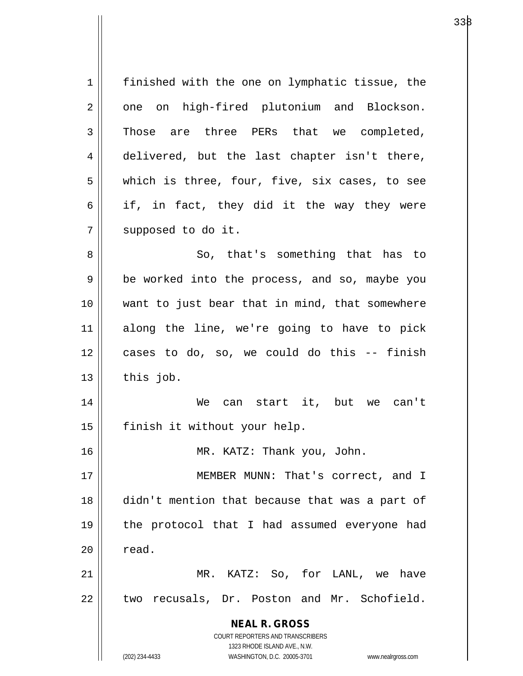**NEAL R. GROSS** COURT REPORTERS AND TRANSCRIBERS 1323 RHODE ISLAND AVE., N.W. (202) 234-4433 WASHINGTON, D.C. 20005-3701 www.nealrgross.com 1 | finished with the one on lymphatic tissue, the 2 || one on high-fired plutonium and Blockson.  $3 \parallel$  Those are three PERs that we completed, 4 delivered, but the last chapter isn't there, 5 || which is three, four, five, six cases, to see  $6 \parallel$  if, in fact, they did it the way they were 7 | supposed to do it. 8 || So, that's something that has to 9 || be worked into the process, and so, maybe you 10 || want to just bear that in mind, that somewhere 11 along the line, we're going to have to pick 12 cases to do, so, we could do this -- finish  $13$  this job. 14 We can start it, but we can't 15 | finish it without your help. 16 || MR. KATZ: Thank you, John. 17 || **MEMBER MUNN: That's correct, and I** 18 didn't mention that because that was a part of 19 the protocol that I had assumed everyone had  $20$   $\parallel$  read. 21 MR. KATZ: So, for LANL, we have  $22$  | two recusals, Dr. Poston and Mr. Schofield.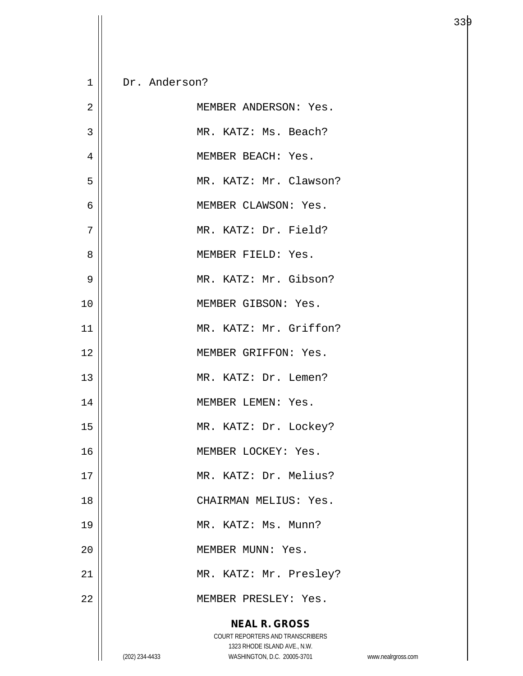| $\mathbf 1$    | Dr. Anderson?                                                                 |                    |
|----------------|-------------------------------------------------------------------------------|--------------------|
| $\overline{2}$ | MEMBER ANDERSON: Yes.                                                         |                    |
| $\overline{3}$ | MR. KATZ: Ms. Beach?                                                          |                    |
| 4              | MEMBER BEACH: Yes.                                                            |                    |
| 5              | MR. KATZ: Mr. Clawson?                                                        |                    |
| 6              | MEMBER CLAWSON: Yes.                                                          |                    |
| 7              | MR. KATZ: Dr. Field?                                                          |                    |
| 8              | MEMBER FIELD: Yes.                                                            |                    |
| 9              | MR. KATZ: Mr. Gibson?                                                         |                    |
| 10             | MEMBER GIBSON: Yes.                                                           |                    |
| 11             | MR. KATZ: Mr. Griffon?                                                        |                    |
| 12             | MEMBER GRIFFON: Yes.                                                          |                    |
| 13             | MR. KATZ: Dr. Lemen?                                                          |                    |
| 14             | MEMBER LEMEN: Yes.                                                            |                    |
| 15             | MR. KATZ: Dr. Lockey?                                                         |                    |
| 16             | MEMBER LOCKEY: Yes.                                                           |                    |
| 17             | MR. KATZ: Dr. Melius?                                                         |                    |
| 18             | CHAIRMAN MELIUS: Yes.                                                         |                    |
| 19             | MR. KATZ: Ms. Munn?                                                           |                    |
| 20             | MEMBER MUNN: Yes.                                                             |                    |
| 21             | MR. KATZ: Mr. Presley?                                                        |                    |
| 22             | MEMBER PRESLEY: Yes.                                                          |                    |
|                | <b>NEAL R. GROSS</b><br>COURT REPORTERS AND TRANSCRIBERS                      |                    |
|                | 1323 RHODE ISLAND AVE., N.W.<br>(202) 234-4433<br>WASHINGTON, D.C. 20005-3701 | www.nealrgross.com |

 $\overline{\mathsf{I}}$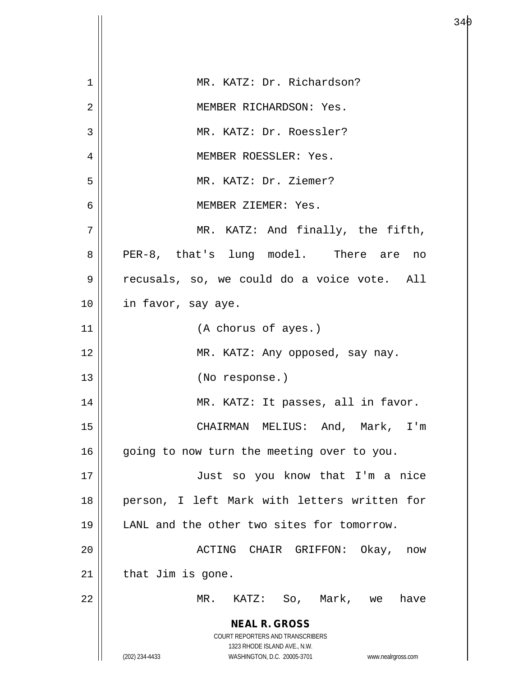| 1  | MR. KATZ: Dr. Richardson?                                           |
|----|---------------------------------------------------------------------|
| 2  | MEMBER RICHARDSON: Yes.                                             |
| 3  | MR. KATZ: Dr. Roessler?                                             |
| 4  | MEMBER ROESSLER: Yes.                                               |
| 5  | MR. KATZ: Dr. Ziemer?                                               |
| 6  | MEMBER ZIEMER: Yes.                                                 |
| 7  | MR. KATZ: And finally, the fifth,                                   |
| 8  | PER-8, that's lung model. There are<br>no                           |
| 9  | recusals, so, we could do a voice vote. All                         |
| 10 | in favor, say aye.                                                  |
| 11 | (A chorus of ayes.)                                                 |
| 12 | MR. KATZ: Any opposed, say nay.                                     |
| 13 | (No response.)                                                      |
| 14 | MR. KATZ: It passes, all in favor.                                  |
| 15 | CHAIRMAN MELIUS: And, Mark, I'm                                     |
| 16 | going to now turn the meeting over to you.                          |
| 17 | Just so you know that I'm a nice                                    |
| 18 | person, I left Mark with letters written for                        |
| 19 | LANL and the other two sites for tomorrow.                          |
| 20 | ACTING CHAIR GRIFFON: Okay, now                                     |
| 21 | that Jim is gone.                                                   |
| 22 | KATZ: So, Mark, we<br>MR.<br>have                                   |
|    | <b>NEAL R. GROSS</b><br><b>COURT REPORTERS AND TRANSCRIBERS</b>     |
|    | 1323 RHODE ISLAND AVE., N.W.                                        |
|    | (202) 234-4433<br>WASHINGTON, D.C. 20005-3701<br>www.nealrgross.com |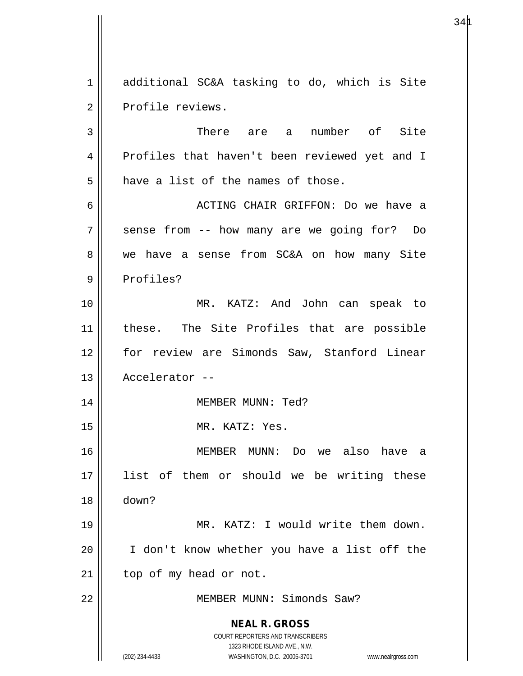1 additional SC&A tasking to do, which is Site 2 || Profile reviews. 3 There are a number of Site

4 Profiles that haven't been reviewed yet and I  $5$  have a list of the names of those. 6 ACTING CHAIR GRIFFON: Do we have a 7 || sense from -- how many are we going for? Do 8 we have a sense from SC&A on how many Site 9 || Profiles? 10 MR. KATZ: And John can speak to 11 these. The Site Profiles that are possible 12 for review are Simonds Saw, Stanford Linear 13 Accelerator -- 14 || MEMBER MUNN: Ted? 15 || MR. KATZ: Yes. 16 MEMBER MUNN: Do we also have a 17 list of them or should we be writing these 18 down? 19 || MR. KATZ: I would write them down. 20 I don't know whether you have a list off the  $21$  | top of my head or not.

22 MEMBER MUNN: Simonds Saw?

**NEAL R. GROSS** COURT REPORTERS AND TRANSCRIBERS

1323 RHODE ISLAND AVE., N.W.

(202) 234-4433 WASHINGTON, D.C. 20005-3701 www.nealrgross.com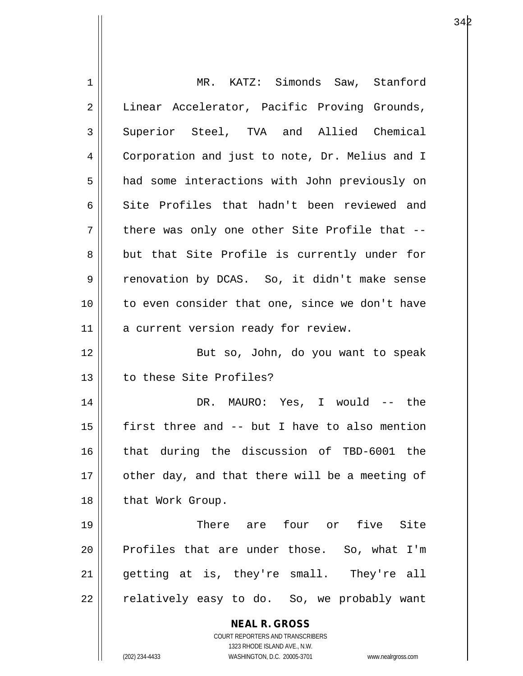| 1  | MR. KATZ: Simonds Saw, Stanford                                     |
|----|---------------------------------------------------------------------|
| 2  | Linear Accelerator, Pacific Proving Grounds,                        |
| 3  | Superior Steel, TVA and Allied Chemical                             |
| 4  | Corporation and just to note, Dr. Melius and I                      |
| 5  | had some interactions with John previously on                       |
| 6  | Site Profiles that hadn't been reviewed and                         |
| 7  | there was only one other Site Profile that --                       |
| 8  | but that Site Profile is currently under for                        |
| 9  | renovation by DCAS. So, it didn't make sense                        |
| 10 | to even consider that one, since we don't have                      |
| 11 | a current version ready for review.                                 |
| 12 | But so, John, do you want to speak                                  |
| 13 | to these Site Profiles?                                             |
| 14 | DR. MAURO: Yes, I would -- the                                      |
| 15 | first three and -- but I have to also mention                       |
| 16 | that during the discussion of TBD-6001 the                          |
| 17 | other day, and that there will be a meeting of                      |
| 18 | that Work Group.                                                    |
| 19 | There are four or five Site                                         |
| 20 | Profiles that are under those. So, what I'm                         |
| 21 | getting at is, they're small. They're all                           |
| 22 | relatively easy to do. So, we probably want                         |
|    | <b>NEAL R. GROSS</b>                                                |
|    | <b>COURT REPORTERS AND TRANSCRIBERS</b>                             |
|    | 1323 RHODE ISLAND AVE., N.W.                                        |
|    | WASHINGTON, D.C. 20005-3701<br>(202) 234-4433<br>www.nealrgross.com |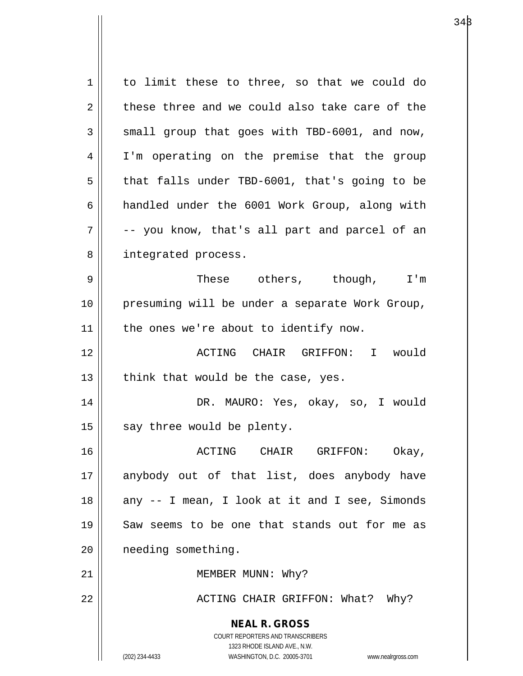**NEAL R. GROSS** COURT REPORTERS AND TRANSCRIBERS 1323 RHODE ISLAND AVE., N.W. (202) 234-4433 WASHINGTON, D.C. 20005-3701 www.nealrgross.com 1 | to limit these to three, so that we could do  $2 \parallel$  these three and we could also take care of the  $3 \parallel$  small group that goes with TBD-6001, and now, 4 || I'm operating on the premise that the group  $5 \parallel$  that falls under TBD-6001, that's going to be 6 andled under the 6001 Work Group, along with  $7 \parallel$  -- you know, that's all part and parcel of an 8 || integrated process. 9 These others, though, I'm 10 presuming will be under a separate Work Group, 11 || the ones we're about to identify now. 12 ACTING CHAIR GRIFFON: I would 13  $\parallel$  think that would be the case, yes. 14 DR. MAURO: Yes, okay, so, I would  $15$  say three would be plenty. 16 ACTING CHAIR GRIFFON: Okay, 17 || anybody out of that list, does anybody have 18 || any -- I mean, I look at it and I see, Simonds 19 Saw seems to be one that stands out for me as 20 needing something. 21 || MEMBER MUNN: Why? 22 | ACTING CHAIR GRIFFON: What? Why?

 $34\beta$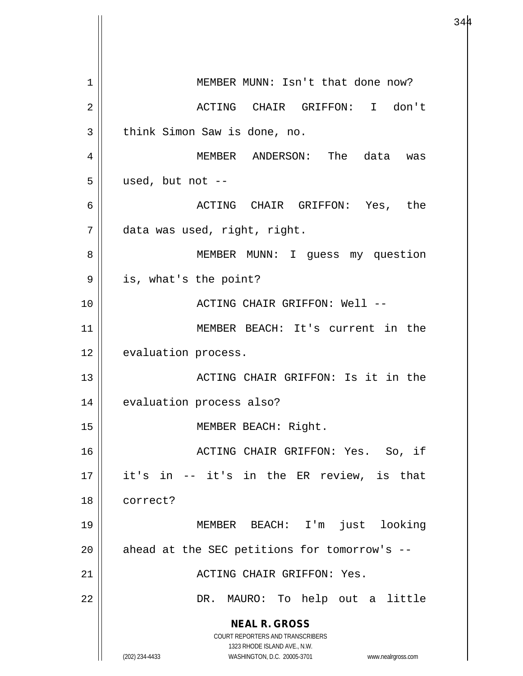**NEAL R. GROSS** COURT REPORTERS AND TRANSCRIBERS 1323 RHODE ISLAND AVE., N.W. (202) 234-4433 WASHINGTON, D.C. 20005-3701 www.nealrgross.com 1 || MEMBER MUNN: Isn't that done now? 2 ACTING CHAIR GRIFFON: I don't 3 | think Simon Saw is done, no. 4 MEMBER ANDERSON: The data was  $5 \parallel$  used, but not --6 ACTING CHAIR GRIFFON: Yes, the 7 data was used, right, right. 8 || MEMBER MUNN: I guess my question  $9 \parallel$  is, what's the point? 10 ACTING CHAIR GRIFFON: Well -- 11 MEMBER BEACH: It's current in the 12 | evaluation process. 13 ACTING CHAIR GRIFFON: Is it in the 14 | evaluation process also? 15 || MEMBER BEACH: Right. 16 || ACTING CHAIR GRIFFON: Yes. So, if 17 it's in -- it's in the ER review, is that 18 correct? 19 MEMBER BEACH: I'm just looking 20  $\parallel$  ahead at the SEC petitions for tomorrow's --21 ACTING CHAIR GRIFFON: Yes. 22 DR. MAURO: To help out a little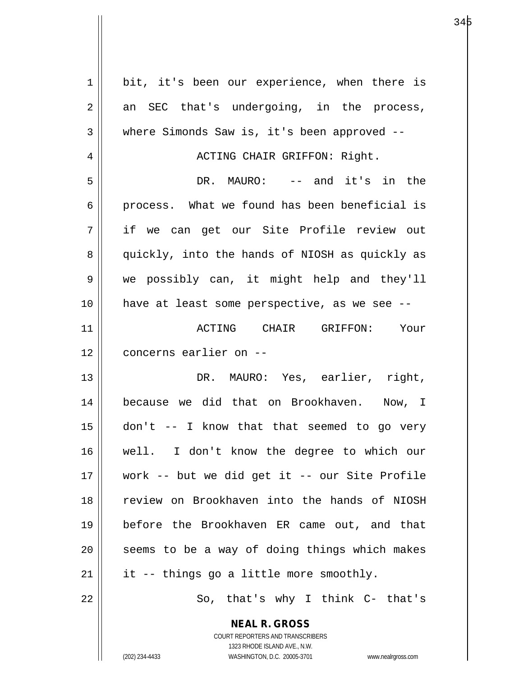| $\mathbf 1$    | bit, it's been our experience, when there is                                                        |
|----------------|-----------------------------------------------------------------------------------------------------|
| $\overline{2}$ | an SEC that's undergoing, in the process,                                                           |
| 3              | where Simonds Saw is, it's been approved --                                                         |
| 4              | ACTING CHAIR GRIFFON: Right.                                                                        |
| 5              | DR. MAURO: -- and it's in the                                                                       |
| 6              | process. What we found has been beneficial is                                                       |
| 7              | if we can get our Site Profile review out                                                           |
| 8              | quickly, into the hands of NIOSH as quickly as                                                      |
| 9              | we possibly can, it might help and they'll                                                          |
| 10             | have at least some perspective, as we see --                                                        |
| 11             | ACTING CHAIR GRIFFON: Your                                                                          |
| 12             | concerns earlier on --                                                                              |
| 13             | DR. MAURO: Yes, earlier, right,                                                                     |
| 14             | because we did that on Brookhaven. Now, I                                                           |
| 15             | don't -- I know that that seemed to go very                                                         |
| 16             | well. I don't know the degree to which our                                                          |
| 17             | work -- but we did get it -- our Site Profile                                                       |
| 18             | review on Brookhaven into the hands of NIOSH                                                        |
| 19             | before the Brookhaven ER came out, and that                                                         |
| 20             | seems to be a way of doing things which makes                                                       |
| 21             | it -- things go a little more smoothly.                                                             |
| 22             | So, that's why I think C- that's                                                                    |
|                | <b>NEAL R. GROSS</b>                                                                                |
|                | COURT REPORTERS AND TRANSCRIBERS                                                                    |
|                | 1323 RHODE ISLAND AVE., N.W.<br>(202) 234-4433<br>WASHINGTON, D.C. 20005-3701<br>www.nealrgross.com |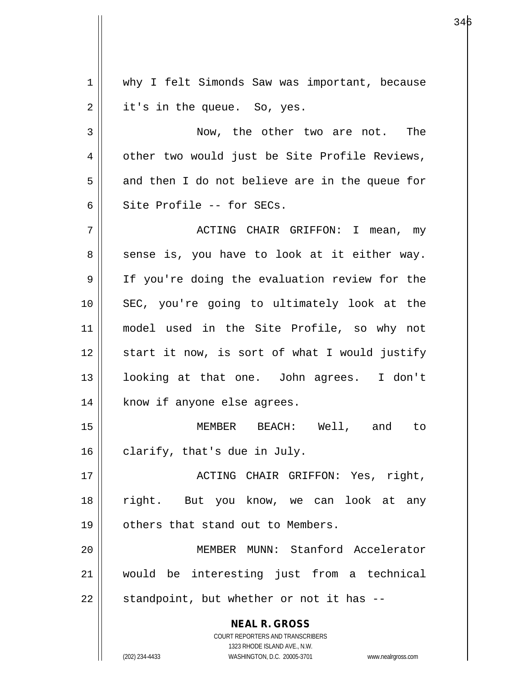**NEAL R. GROSS** COURT REPORTERS AND TRANSCRIBERS 1323 RHODE ISLAND AVE., N.W. (202) 234-4433 WASHINGTON, D.C. 20005-3701 www.nealrgross.com 1 || why I felt Simonds Saw was important, because  $2 \parallel$  it's in the queue. So, yes. 3 Now, the other two are not. The 4 | other two would just be Site Profile Reviews,  $5 \parallel$  and then I do not believe are in the queue for  $6 \parallel$  Site Profile -- for SECs. 7 ACTING CHAIR GRIFFON: I mean, my  $8 \parallel$  sense is, you have to look at it either way. 9 If you're doing the evaluation review for the 10 SEC, you're going to ultimately look at the 11 model used in the Site Profile, so why not  $12$  start it now, is sort of what I would justify 13 looking at that one. John agrees. I don't 14 || know if anyone else agrees. 15 MEMBER BEACH: Well, and to  $16$  | clarify, that's due in July. 17 || ACTING CHAIR GRIFFON: Yes, right, 18 right. But you know, we can look at any 19 | others that stand out to Members. 20 MEMBER MUNN: Stanford Accelerator 21 would be interesting just from a technical  $22$  || standpoint, but whether or not it has  $-$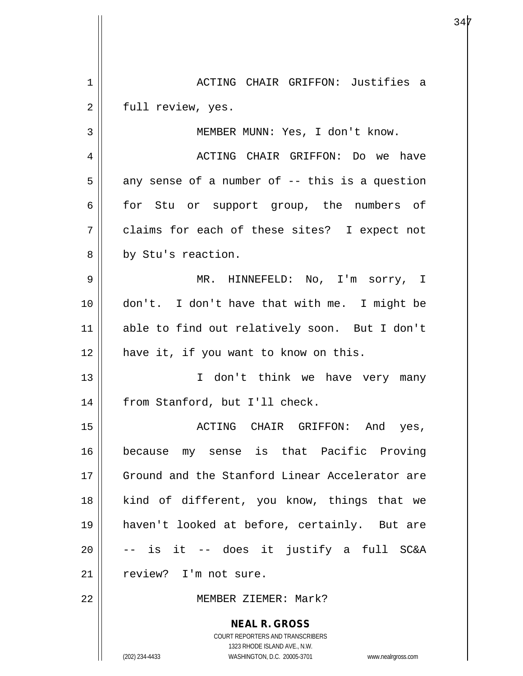**NEAL R. GROSS** COURT REPORTERS AND TRANSCRIBERS 1323 RHODE ISLAND AVE., N.W. (202) 234-4433 WASHINGTON, D.C. 20005-3701 www.nealrgross.com 1 ACTING CHAIR GRIFFON: Justifies a 2 | full review, yes. 3 MEMBER MUNN: Yes, I don't know. 4 ACTING CHAIR GRIFFON: Do we have  $5 \parallel$  any sense of a number of -- this is a question 6 for Stu or support group, the numbers of 7 claims for each of these sites? I expect not 8 by Stu's reaction. 9 MR. HINNEFELD: No, I'm sorry, I 10 don't. I don't have that with me. I might be 11 able to find out relatively soon. But I don't 12 || have it, if you want to know on this. 13 || I don't think we have very many 14 | from Stanford, but I'll check. 15 ACTING CHAIR GRIFFON: And yes, 16 because my sense is that Pacific Proving 17 Ground and the Stanford Linear Accelerator are 18 || kind of different, you know, things that we 19 haven't looked at before, certainly. But are  $20$   $\vert$  -- is it -- does it justify a full SC&A 21 | review? I'm not sure. 22 MEMBER ZIEMER: Mark?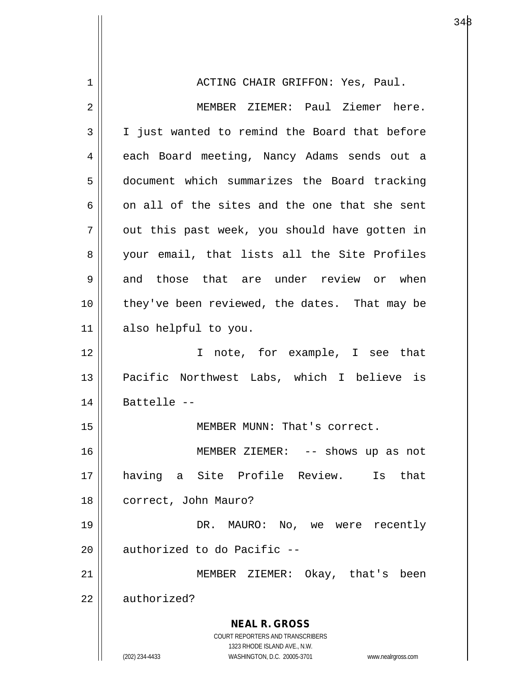**NEAL R. GROSS** COURT REPORTERS AND TRANSCRIBERS 1323 RHODE ISLAND AVE., N.W. (202) 234-4433 WASHINGTON, D.C. 20005-3701 www.nealrgross.com 1 || ACTING CHAIR GRIFFON: Yes, Paul. 2 MEMBER ZIEMER: Paul Ziemer here. 3 || I just wanted to remind the Board that before 4 | each Board meeting, Nancy Adams sends out a 5 document which summarizes the Board tracking 6  $\parallel$  on all of the sites and the one that she sent  $7 \parallel$  out this past week, you should have gotten in 8 your email, that lists all the Site Profiles  $9 \parallel$  and those that are under review or when 10 || they've been reviewed, the dates. That may be 11 also helpful to you. 12 || Thote, for example, I see that 13 || Pacific Northwest Labs, which I believe is  $14$  || Battelle --15 | MEMBER MUNN: That's correct. 16 MEMBER ZIEMER: -- shows up as not 17 having a Site Profile Review. Is that 18 | correct, John Mauro? 19 DR. MAURO: No, we were recently  $20$  | authorized to do Pacific  $-$ 21 || MEMBER ZIEMER: Okay, that's been 22 | authorized?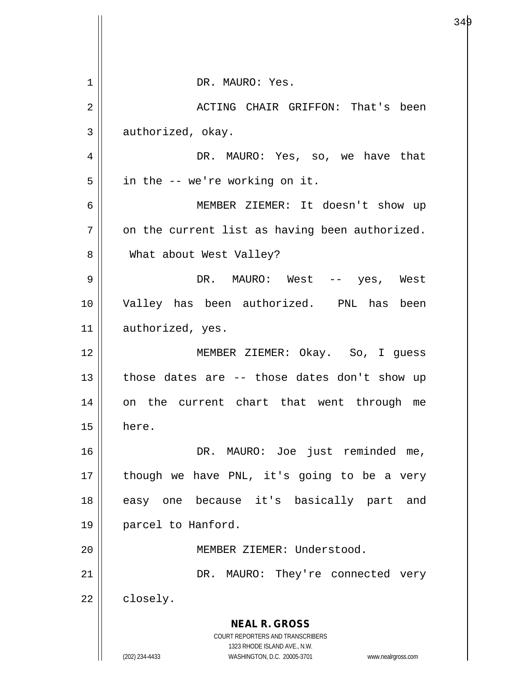| 1  | DR. MAURO: Yes.                                                                                     |
|----|-----------------------------------------------------------------------------------------------------|
| 2  | ACTING CHAIR GRIFFON: That's been                                                                   |
| 3  | authorized, okay.                                                                                   |
| 4  | DR. MAURO: Yes, so, we have that                                                                    |
| 5  | in the -- we're working on it.                                                                      |
| 6  | MEMBER ZIEMER: It doesn't show up                                                                   |
| 7  | on the current list as having been authorized.                                                      |
| 8  | What about West Valley?                                                                             |
| 9  | DR. MAURO: West -- yes, West                                                                        |
| 10 | Valley has been authorized. PNL has been                                                            |
| 11 | authorized, yes.                                                                                    |
| 12 | MEMBER ZIEMER: Okay. So, I guess                                                                    |
| 13 | those dates are -- those dates don't show up                                                        |
| 14 | the current chart that went through<br>on<br>me                                                     |
| 15 | here.                                                                                               |
| 16 | DR. MAURO: Joe just reminded me,                                                                    |
| 17 | though we have PNL, it's going to be a very                                                         |
| 18 | easy one because it's basically part and                                                            |
| 19 | parcel to Hanford.                                                                                  |
| 20 | MEMBER ZIEMER: Understood.                                                                          |
| 21 | DR. MAURO: They're connected very                                                                   |
| 22 | closely.                                                                                            |
|    | <b>NEAL R. GROSS</b>                                                                                |
|    | COURT REPORTERS AND TRANSCRIBERS                                                                    |
|    | 1323 RHODE ISLAND AVE., N.W.<br>(202) 234-4433<br>WASHINGTON, D.C. 20005-3701<br>www.nealrgross.com |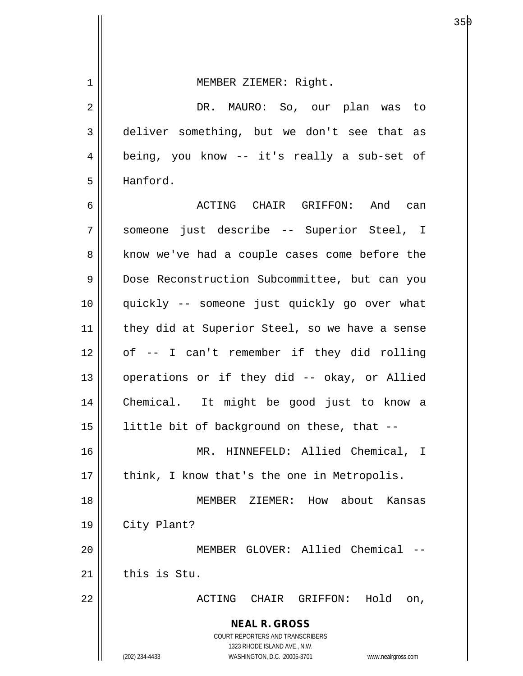**NEAL R. GROSS** COURT REPORTERS AND TRANSCRIBERS 1323 RHODE ISLAND AVE., N.W. (202) 234-4433 WASHINGTON, D.C. 20005-3701 www.nealrgross.com 1 || MEMBER ZIEMER: Right. 2 DR. MAURO: So, our plan was to 3 deliver something, but we don't see that as 4 || being, you know -- it's really a sub-set of 5 Hanford. 6 ACTING CHAIR GRIFFON: And can 7 someone just describe -- Superior Steel, I 8 || know we've had a couple cases come before the 9 Dose Reconstruction Subcommittee, but can you 10 quickly -- someone just quickly go over what 11 || they did at Superior Steel, so we have a sense  $12 \parallel$  of -- I can't remember if they did rolling 13 || operations or if they did -- okay, or Allied 14 Chemical. It might be good just to know a 15 little bit of background on these, that -- 16 MR. HINNEFELD: Allied Chemical, I  $17$  | think, I know that's the one in Metropolis. 18 MEMBER ZIEMER: How about Kansas 19 City Plant? 20 || MEMBER GLOVER: Allied Chemical -- $21$  this is Stu. 22 ACTING CHAIR GRIFFON: Hold on,

en de la construction de la construction de la construction de la construction de la construction de la constr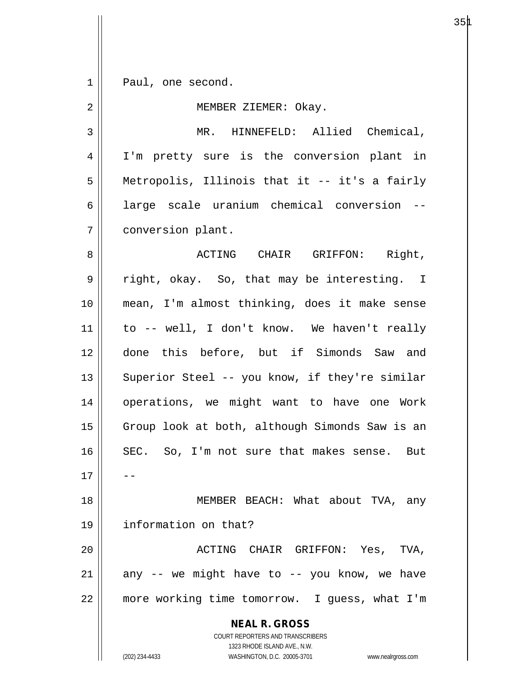1 || Paul, one second.

**NEAL R. GROSS** 2 | MEMBER ZIEMER: Okay. 3 || MR. HINNEFELD: Allied Chemical, 4 || I'm pretty sure is the conversion plant in 5 Metropolis, Illinois that it -- it's a fairly 6 || large scale uranium chemical conversion --7 | conversion plant. 8 ACTING CHAIR GRIFFON: Right, 9 || right, okay. So, that may be interesting. I 10 mean, I'm almost thinking, does it make sense 11 to -- well, I don't know. We haven't really 12 done this before, but if Simonds Saw and 13 || Superior Steel -- you know, if they're similar 14 || operations, we might want to have one Work 15 || Group look at both, although Simonds Saw is an 16 SEC. So, I'm not sure that makes sense. But  $17$ 18 || MEMBER BEACH: What about TVA, any 19 information on that? 20 ACTING CHAIR GRIFFON: Yes, TVA,  $21$  any -- we might have to -- you know, we have 22 more working time tomorrow. I guess, what I'm

1323 RHODE ISLAND AVE., N.W. (202) 234-4433 WASHINGTON, D.C. 20005-3701 www.nealrgross.com

COURT REPORTERS AND TRANSCRIBERS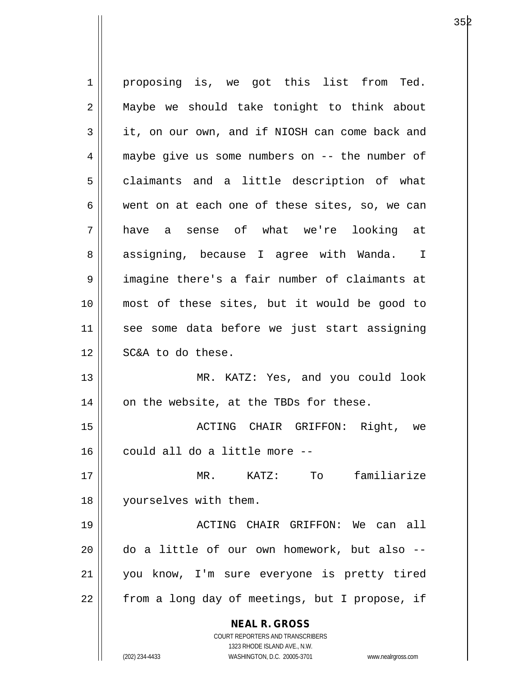**NEAL R. GROSS** COURT REPORTERS AND TRANSCRIBERS 1323 RHODE ISLAND AVE., N.W. 1 || proposing is, we got this list from Ted. 2 || Maybe we should take tonight to think about 3 it, on our own, and if NIOSH can come back and 4 maybe give us some numbers on -- the number of 5 | claimants and a little description of what 6 went on at each one of these sites, so, we can 7 have a sense of what we're looking at 8 assigning, because I agree with Wanda. I 9 || imagine there's a fair number of claimants at 10 most of these sites, but it would be good to 11 see some data before we just start assigning 12 || SC&A to do these. 13 MR. KATZ: Yes, and you could look  $14$  | on the website, at the TBDs for these. 15 ACTING CHAIR GRIFFON: Right, we 16 || could all do a little more --17 MR. KATZ: To familiarize 18 yourselves with them. 19 ACTING CHAIR GRIFFON: We can all 20 do a little of our own homework, but also -- 21 you know, I'm sure everyone is pretty tired 22 || from a long day of meetings, but I propose, if

(202) 234-4433 WASHINGTON, D.C. 20005-3701 www.nealrgross.com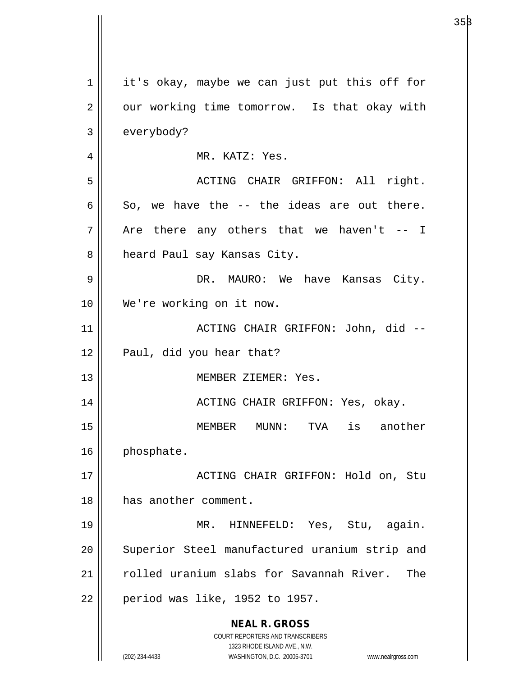| $\mathbf 1$    | it's okay, maybe we can just put this off for                       |
|----------------|---------------------------------------------------------------------|
| $\overline{2}$ | our working time tomorrow. Is that okay with                        |
| 3              | everybody?                                                          |
| 4              | MR. KATZ: Yes.                                                      |
| 5              | ACTING CHAIR GRIFFON: All right.                                    |
| 6              | So, we have the -- the ideas are out there.                         |
| 7              | Are there any others that we haven't $-$ I                          |
| 8              | heard Paul say Kansas City.                                         |
| 9              | DR. MAURO: We have Kansas City.                                     |
| 10             | We're working on it now.                                            |
| 11             | ACTING CHAIR GRIFFON: John, did --                                  |
| 12             | Paul, did you hear that?                                            |
| 13             | MEMBER ZIEMER: Yes.                                                 |
| 14             | ACTING CHAIR GRIFFON: Yes, okay.                                    |
| 15             | MEMBER<br>$MUNN$ :<br>TVA<br>is another                             |
| 16             | phosphate.                                                          |
| 17             | ACTING CHAIR GRIFFON: Hold on, Stu                                  |
| 18             | has another comment.                                                |
| 19             | MR. HINNEFELD: Yes, Stu, again.                                     |
| 20             | Superior Steel manufactured uranium strip and                       |
| 21             | rolled uranium slabs for Savannah River. The                        |
| 22             | period was like, 1952 to 1957.                                      |
|                | <b>NEAL R. GROSS</b>                                                |
|                | COURT REPORTERS AND TRANSCRIBERS<br>1323 RHODE ISLAND AVE., N.W.    |
|                | (202) 234-4433<br>WASHINGTON, D.C. 20005-3701<br>www.nealrgross.com |

 $35\beta$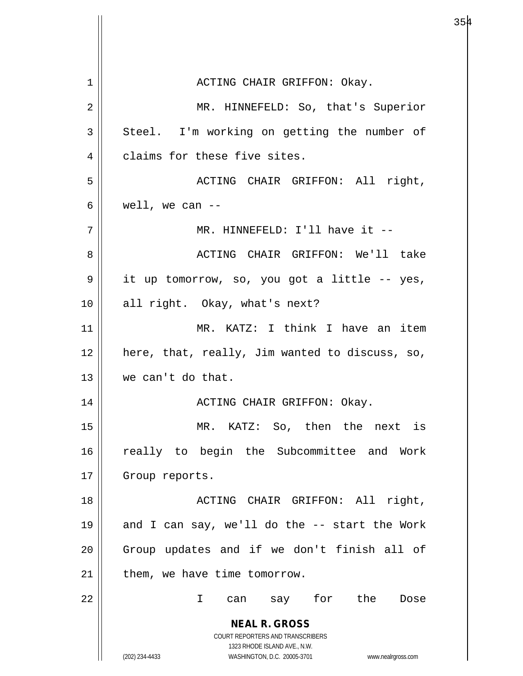**NEAL R. GROSS** COURT REPORTERS AND TRANSCRIBERS 1323 RHODE ISLAND AVE., N.W. (202) 234-4433 WASHINGTON, D.C. 20005-3701 www.nealrgross.com 1 ACTING CHAIR GRIFFON: Okay. 2 || MR. HINNEFELD: So, that's Superior  $3 \parallel$  Steel. I'm working on getting the number of 4 | claims for these five sites. 5 ACTING CHAIR GRIFFON: All right,  $6 \parallel$  well, we can --7 MR. HINNEFELD: I'll have it -- 8 ACTING CHAIR GRIFFON: We'll take 9 it up tomorrow, so, you got a little -- yes, 10 || all right. Okay, what's next? 11 MR. KATZ: I think I have an item  $12$  | here, that, really, Jim wanted to discuss, so, 13 we can't do that. 14 ACTING CHAIR GRIFFON: Okay. 15 MR. KATZ: So, then the next is 16 || really to begin the Subcommittee and Work 17 | Group reports. 18 || ACTING CHAIR GRIFFON: All right, 19  $\parallel$  and I can say, we'll do the -- start the Work 20 || Group updates and if we don't finish all of  $21$  | them, we have time tomorrow. 22 I can say for the Dose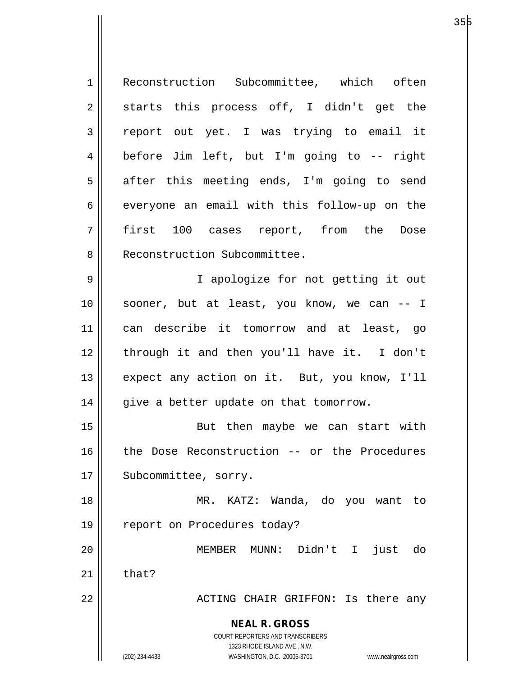**NEAL R. GROSS** COURT REPORTERS AND TRANSCRIBERS 1323 RHODE ISLAND AVE., N.W. (202) 234-4433 WASHINGTON, D.C. 20005-3701 www.nealrgross.com 1 Reconstruction Subcommittee, which often  $2 \parallel$  starts this process off, I didn't get the 3 report out yet. I was trying to email it 4 before Jim left, but I'm going to -- right 5 || after this meeting ends, I'm going to send  $6 \parallel$  everyone an email with this follow-up on the 7 first 100 cases report, from the Dose 8 || Reconstruction Subcommittee. 9 || I apologize for not getting it out 10 || sooner, but at least, you know, we can -- I 11 can describe it tomorrow and at least, go 12 || through it and then you'll have it. I don't 13 || expect any action on it. But, you know, I'll  $14$  | give a better update on that tomorrow. 15 || But then maybe we can start with 16 || the Dose Reconstruction -- or the Procedures 17 | Subcommittee, sorry. 18 MR. KATZ: Wanda, do you want to 19 || report on Procedures today? 20 MEMBER MUNN: Didn't I just do  $21$   $\parallel$  that? 22 ACTING CHAIR GRIFFON: Is there any

а о производите производите на 1935 година в 1946 година в 1946 године и 1946 година в 1946 година и 1946 годи<br>В 1946 година в 1946 година в 1946 година в 1946 година в 1946 година в 1946 година в 1946 година в 1946 годин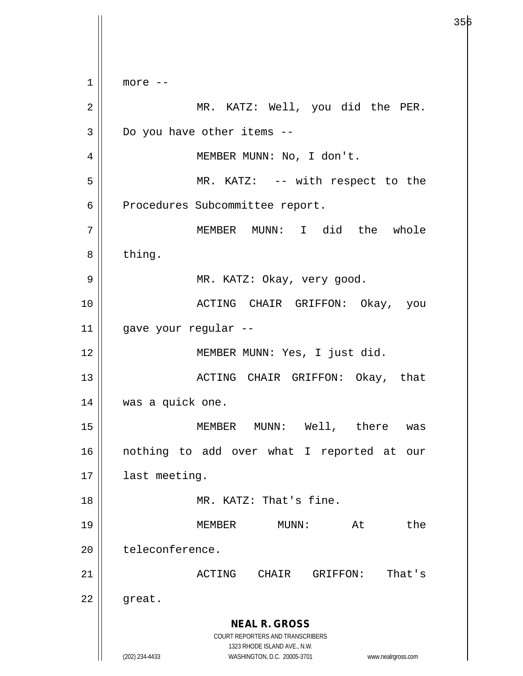**NEAL R. GROSS** COURT REPORTERS AND TRANSCRIBERS 1323 RHODE ISLAND AVE., N.W. (202) 234-4433 WASHINGTON, D.C. 20005-3701 www.nealrgross.com  $1 \parallel$  more  $-$ 2 MR. KATZ: Well, you did the PER.  $3 \parallel$  Do you have other items --4 || MEMBER MUNN: No, I don't. 5 || MR. KATZ: -- with respect to the 6 | Procedures Subcommittee report. 7 MEMBER MUNN: I did the whole 8 bthing. 9 MR. KATZ: Okay, very good. 10 ACTING CHAIR GRIFFON: Okay, you 11 gave your regular -- 12 || MEMBER MUNN: Yes, I just did. 13 ACTING CHAIR GRIFFON: Okay, that 14 | was a quick one. 15 MEMBER MUNN: Well, there was 16 nothing to add over what I reported at our 17 | last meeting. 18 MR. KATZ: That's fine. 19 MEMBER MUNN: At the 20 | teleconference. 21 ACTING CHAIR GRIFFON: That's  $22 \parallel$  great.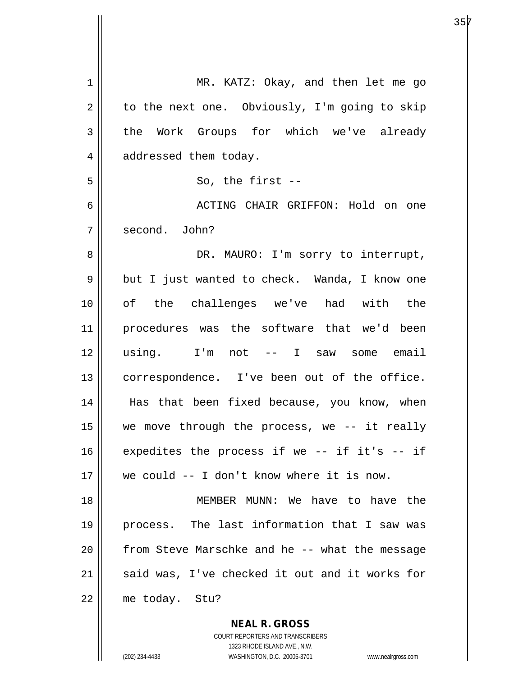| $\mathbf 1$ | MR. KATZ: Okay, and then let me go             |
|-------------|------------------------------------------------|
| 2           | to the next one. Obviously, I'm going to skip  |
| 3           | the Work Groups for which we've already        |
| 4           | addressed them today.                          |
| 5           | So, the first $--$                             |
| 6           | ACTING CHAIR GRIFFON: Hold on one              |
| 7           | second. John?                                  |
| 8           | DR. MAURO: I'm sorry to interrupt,             |
| $\mathsf 9$ | but I just wanted to check. Wanda, I know one  |
| 10          | of the challenges we've had with the           |
| 11          | procedures was the software that we'd been     |
| 12          | using. I'm not -- I saw some email             |
| 13          | correspondence. I've been out of the office.   |
| 14          | Has that been fixed because, you know, when    |
| 15          | we move through the process, we $-$ it really  |
| 16          | expedites the process if we -- if it's -- if   |
| 17          | we could -- I don't know where it is now.      |
| 18          | MEMBER MUNN: We have to have the               |
| 19          | process. The last information that I saw was   |
| 20          | from Steve Marschke and he -- what the message |
| 21          | said was, I've checked it out and it works for |
| 22          | me today. Stu?                                 |
|             | <b>NEAL R. GROSS</b>                           |

COURT REPORTERS AND TRANSCRIBERS 1323 RHODE ISLAND AVE., N.W.

 $\mathsf{II}$ 

(202) 234-4433 WASHINGTON, D.C. 20005-3701 www.nealrgross.com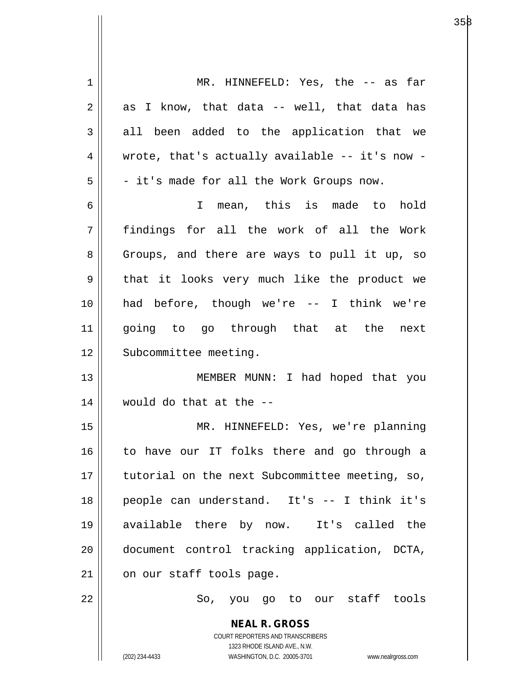| 1  | MR. HINNEFELD: Yes, the -- as far                                                                   |
|----|-----------------------------------------------------------------------------------------------------|
| 2  | as I know, that data -- well, that data has                                                         |
| 3  | all been added to the application that we                                                           |
| 4  | wrote, that's actually available -- it's now -                                                      |
| 5  | - it's made for all the Work Groups now.                                                            |
| 6  | I mean, this is made to<br>hold                                                                     |
| 7  | findings for all the work of all the Work                                                           |
| 8  | Groups, and there are ways to pull it up, so                                                        |
| 9  | that it looks very much like the product we                                                         |
| 10 | had before, though we're -- I think we're                                                           |
| 11 | going to go through that at the next                                                                |
| 12 | Subcommittee meeting.                                                                               |
| 13 | MEMBER MUNN: I had hoped that you                                                                   |
| 14 | would do that at the --                                                                             |
| 15 | MR. HINNEFELD: Yes, we're planning                                                                  |
| 16 | to have our IT folks there and go through a                                                         |
| 17 | tutorial on the next Subcommittee meeting, so,                                                      |
| 18 | people can understand. It's -- I think it's                                                         |
| 19 | available there by now. It's called the                                                             |
| 20 | document control tracking application, DCTA,                                                        |
|    |                                                                                                     |
| 21 | on our staff tools page.                                                                            |
| 22 | So, you go to our staff tools                                                                       |
|    | <b>NEAL R. GROSS</b>                                                                                |
|    | COURT REPORTERS AND TRANSCRIBERS                                                                    |
|    | 1323 RHODE ISLAND AVE., N.W.<br>(202) 234-4433<br>WASHINGTON, D.C. 20005-3701<br>www.nealrgross.com |
|    |                                                                                                     |

 $\mathsf{I}$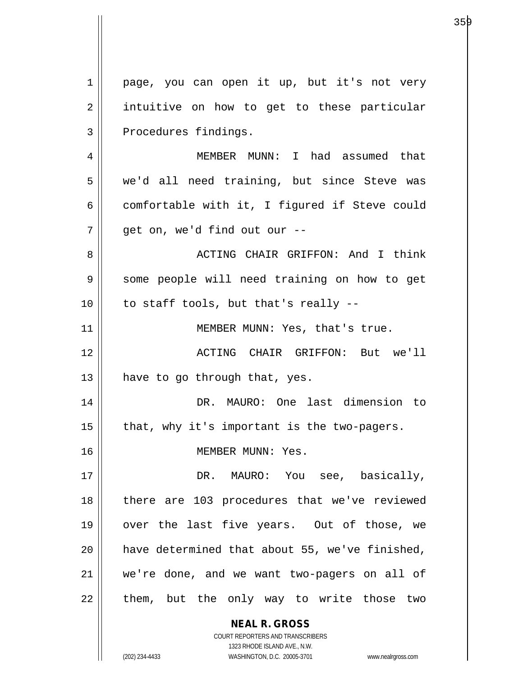**NEAL R. GROSS** COURT REPORTERS AND TRANSCRIBERS 1 || page, you can open it up, but it's not very 2 || intuitive on how to get to these particular 3 | Procedures findings. 4 MEMBER MUNN: I had assumed that 5 we'd all need training, but since Steve was  $6 \parallel$  comfortable with it, I figured if Steve could  $7 \parallel$  qet on, we'd find out our  $-$ 8 ACTING CHAIR GRIFFON: And I think 9 | some people will need training on how to get  $10$  || to staff tools, but that's really --11 || MEMBER MUNN: Yes, that's true. 12 ACTING CHAIR GRIFFON: But we'll  $13$  | have to go through that, yes. 14 DR. MAURO: One last dimension to  $15$  | that, why it's important is the two-pagers. 16 MEMBER MUNN: Yes. 17 DR. MAURO: You see, basically, 18 || there are 103 procedures that we've reviewed 19 || over the last five years. Out of those, we 20 || have determined that about 55, we've finished, 21 we're done, and we want two-pagers on all of 22 || them, but the only way to write those two

1323 RHODE ISLAND AVE., N.W.

359

(202) 234-4433 WASHINGTON, D.C. 20005-3701 www.nealrgross.com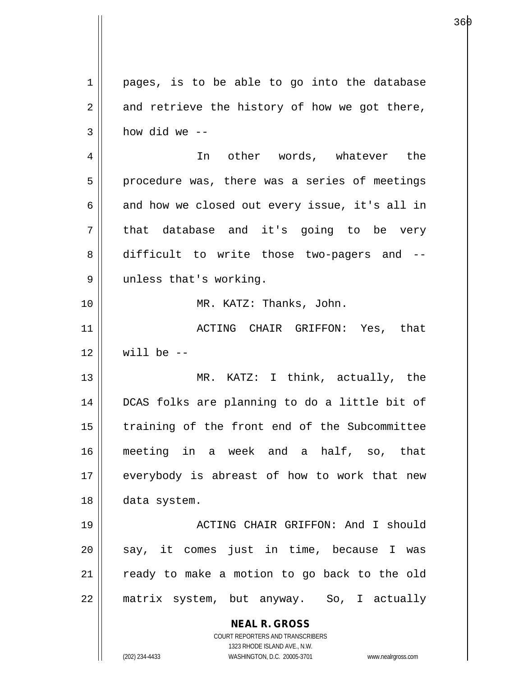| $\mathbf 1$    | pages, is to be able to go into the database                                                        |
|----------------|-----------------------------------------------------------------------------------------------------|
| 2              | and retrieve the history of how we got there,                                                       |
| 3              | how did we --                                                                                       |
| $\overline{4}$ | In other words, whatever the                                                                        |
| 5              | procedure was, there was a series of meetings                                                       |
| 6              | and how we closed out every issue, it's all in                                                      |
| 7              | that database and it's going to be very                                                             |
| 8              | difficult to write those two-pagers and --                                                          |
| 9              | unless that's working.                                                                              |
| 10             | MR. KATZ: Thanks, John.                                                                             |
| 11             | ACTING CHAIR GRIFFON: Yes, that                                                                     |
| 12             | will be $-$                                                                                         |
| 13             | MR. KATZ: I think, actually, the                                                                    |
| 14             | DCAS folks are planning to do a little bit of                                                       |
| 15             | training of the front end of the Subcommittee                                                       |
| 16             | meeting in a week and a half, so, that                                                              |
| 17             | everybody is abreast of how to work that new                                                        |
| 18             | data system.                                                                                        |
| 19             | ACTING CHAIR GRIFFON: And I should                                                                  |
| 20             | say, it comes just in time, because I was                                                           |
| 21             | ready to make a motion to go back to the old                                                        |
| 22             | matrix system, but anyway. So, I actually                                                           |
|                | <b>NEAL R. GROSS</b>                                                                                |
|                | <b>COURT REPORTERS AND TRANSCRIBERS</b>                                                             |
|                | 1323 RHODE ISLAND AVE., N.W.<br>WASHINGTON, D.C. 20005-3701<br>(202) 234-4433<br>www.nealrgross.com |
|                |                                                                                                     |

 $\mathsf{I}$ 

е в последници производите в 1960 године в 1960 године в 1960 године в 1960 године в 1960 године в 1960 године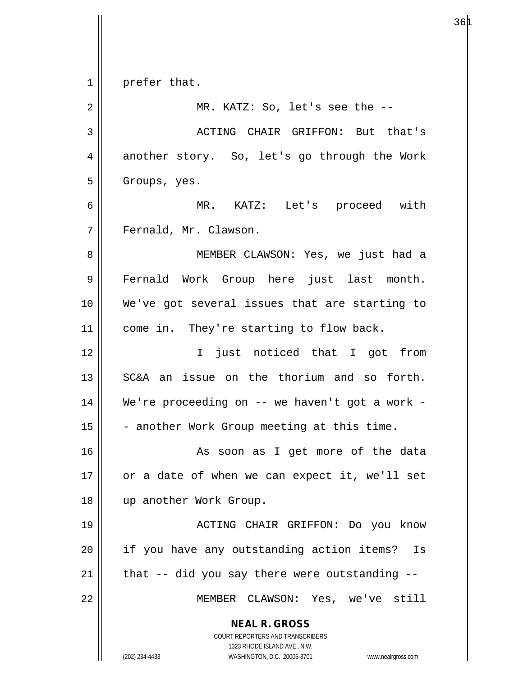**NEAL R. GROSS** COURT REPORTERS AND TRANSCRIBERS 1323 RHODE ISLAND AVE., N.W. (202) 234-4433 WASHINGTON, D.C. 20005-3701 www.nealrgross.com  $1 \parallel$  prefer that. 2 || MR. KATZ: So, let's see the --3 ACTING CHAIR GRIFFON: But that's 4 another story. So, let's go through the Work 5 | Groups, yes. 6 MR. KATZ: Let's proceed with 7 | Fernald, Mr. Clawson. 8 || MEMBER CLAWSON: Yes, we just had a 9 || Fernald Work Group here just last month. 10 We've got several issues that are starting to 11 || come in. They're starting to flow back. 12 I just noticed that I got from 13 || SC&A an issue on the thorium and so forth. 14 We're proceeding on -- we haven't got a work -  $15$  - another Work Group meeting at this time. 16 || As soon as I get more of the data  $17$  | or a date of when we can expect it, we'll set 18 up another Work Group. 19 ACTING CHAIR GRIFFON: Do you know 20 || if you have any outstanding action items? Is  $21$  | that -- did you say there were outstanding --22 MEMBER CLAWSON: Yes, we've still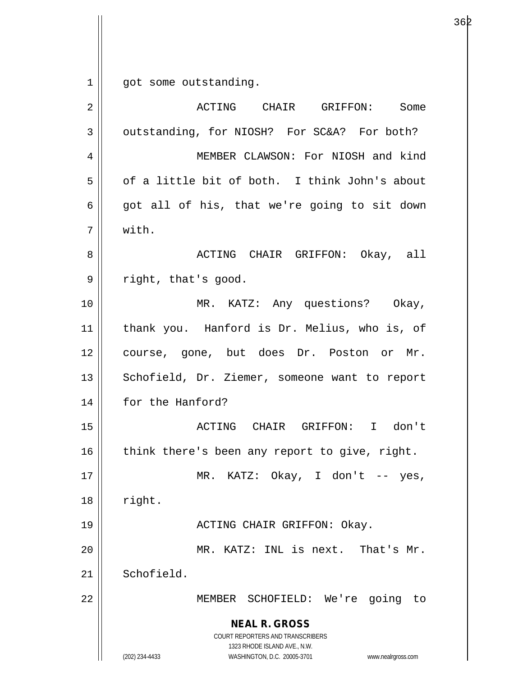$1 \parallel$  got some outstanding.

| 2  | ACTING CHAIR GRIFFON:<br>Some                                                                                                                                          |
|----|------------------------------------------------------------------------------------------------------------------------------------------------------------------------|
| 3  | outstanding, for NIOSH? For SC&A? For both?                                                                                                                            |
| 4  | MEMBER CLAWSON: For NIOSH and kind                                                                                                                                     |
| 5  | of a little bit of both. I think John's about                                                                                                                          |
| 6  | got all of his, that we're going to sit down                                                                                                                           |
| 7  | with.                                                                                                                                                                  |
| 8  | ACTING CHAIR GRIFFON: Okay, all                                                                                                                                        |
| 9  | right, that's good.                                                                                                                                                    |
| 10 | MR. KATZ: Any questions? Okay,                                                                                                                                         |
| 11 | thank you. Hanford is Dr. Melius, who is, of                                                                                                                           |
| 12 | course, gone, but does Dr. Poston or Mr.                                                                                                                               |
| 13 | Schofield, Dr. Ziemer, someone want to report                                                                                                                          |
| 14 | for the Hanford?                                                                                                                                                       |
| 15 | ACTING CHAIR GRIFFON: I don't                                                                                                                                          |
| 16 | think there's been any report to give, right.                                                                                                                          |
| 17 | MR. KATZ: $Okay$ , I don't -- yes,                                                                                                                                     |
| 18 | right.                                                                                                                                                                 |
| 19 | ACTING CHAIR GRIFFON: Okay.                                                                                                                                            |
| 20 | MR. KATZ: INL is next.<br>That's Mr.                                                                                                                                   |
| 21 | Schofield.                                                                                                                                                             |
| 22 | MEMBER SCHOFIELD: We're<br>going<br>to                                                                                                                                 |
|    | <b>NEAL R. GROSS</b><br><b>COURT REPORTERS AND TRANSCRIBERS</b><br>1323 RHODE ISLAND AVE., N.W.<br>(202) 234-4433<br>WASHINGTON, D.C. 20005-3701<br>www.nealrgross.com |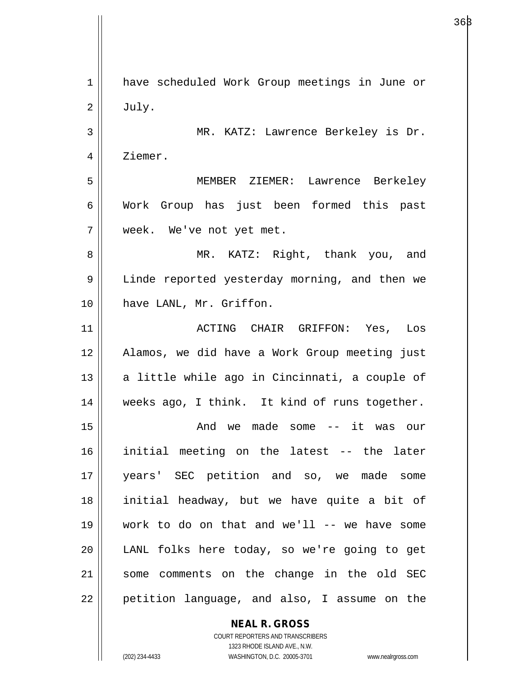1 || have scheduled Work Group meetings in June or  $2 \parallel$  July. 3 MR. KATZ: Lawrence Berkeley is Dr. 4 | Ziemer. 5 MEMBER ZIEMER: Lawrence Berkeley 6 Work Group has just been formed this past 7 week. We've not yet met. 8 MR. KATZ: Right, thank you, and 9 | Linde reported yesterday morning, and then we 10 have LANL, Mr. Griffon. 11 ACTING CHAIR GRIFFON: Yes, Los 12 Alamos, we did have a Work Group meeting just  $13$  a little while ago in Cincinnati, a couple of 14 || weeks ago, I think. It kind of runs together. 15 And we made some -- it was our 16 initial meeting on the latest -- the later 17 years' SEC petition and so, we made some 18 initial headway, but we have quite a bit of 19 work to do on that and we'll -- we have some 20 LANL folks here today, so we're going to get 21 || some comments on the change in the old SEC  $22$  | petition language, and also, I assume on the

**NEAL R. GROSS**

COURT REPORTERS AND TRANSCRIBERS 1323 RHODE ISLAND AVE., N.W. (202) 234-4433 WASHINGTON, D.C. 20005-3701 www.nealrgross.com

 $36\beta$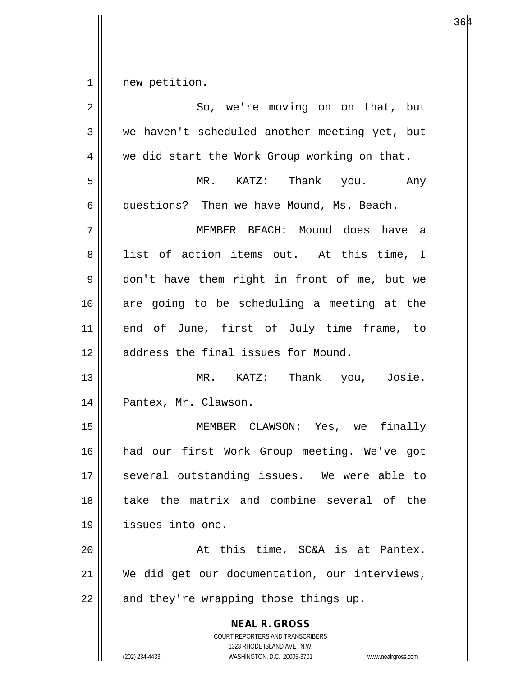1 new petition.

| $\overline{2}$ | So, we're moving on on that, but                                                                                                                                |
|----------------|-----------------------------------------------------------------------------------------------------------------------------------------------------------------|
| $\mathfrak{Z}$ | we haven't scheduled another meeting yet, but                                                                                                                   |
| 4              | we did start the Work Group working on that.                                                                                                                    |
| 5              | MR. KATZ: Thank you. Any                                                                                                                                        |
| 6              | questions? Then we have Mound, Ms. Beach.                                                                                                                       |
| 7              | MEMBER BEACH: Mound does have a                                                                                                                                 |
| 8              | list of action items out. At this time, I                                                                                                                       |
| 9              | don't have them right in front of me, but we                                                                                                                    |
| 10             | are going to be scheduling a meeting at the                                                                                                                     |
| 11             | end of June, first of July time frame, to                                                                                                                       |
| 12             | address the final issues for Mound.                                                                                                                             |
| 13             | MR. KATZ: Thank you, Josie.                                                                                                                                     |
| 14             | Pantex, Mr. Clawson.                                                                                                                                            |
| 15             | MEMBER CLAWSON: Yes, we finally                                                                                                                                 |
| 16             | had our first Work Group meeting. We've got                                                                                                                     |
| 17             | several outstanding issues. We were able to                                                                                                                     |
| 18             | take the matrix and combine several of the                                                                                                                      |
| 19             | issues into one.                                                                                                                                                |
| 20             | At this time, SC&A is at Pantex.                                                                                                                                |
| 21             | We did get our documentation, our interviews,                                                                                                                   |
| 22             | and they're wrapping those things up.                                                                                                                           |
|                | <b>NEAL R. GROSS</b><br>COURT REPORTERS AND TRANSCRIBERS<br>1323 RHODE ISLAND AVE., N.W.<br>(202) 234-4433<br>WASHINGTON, D.C. 20005-3701<br>www.nealrgross.com |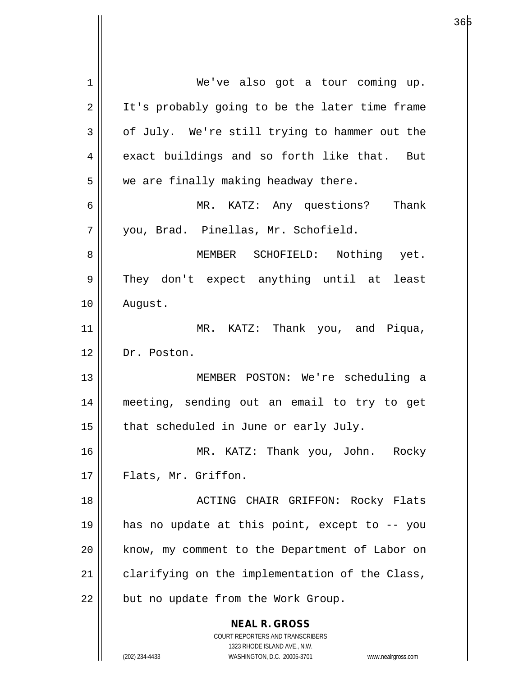| 1  | We've also got a tour coming up.                                    |
|----|---------------------------------------------------------------------|
| 2  | It's probably going to be the later time frame                      |
| 3  | of July. We're still trying to hammer out the                       |
| 4  | exact buildings and so forth like that. But                         |
| 5  | we are finally making headway there.                                |
| 6  | MR. KATZ: Any questions? Thank                                      |
| 7  | you, Brad. Pinellas, Mr. Schofield.                                 |
| 8  | MEMBER SCHOFIELD: Nothing yet.                                      |
| 9  | They don't expect anything until at least                           |
| 10 | August.                                                             |
| 11 | MR. KATZ: Thank you, and Piqua,                                     |
| 12 | Dr. Poston.                                                         |
| 13 | MEMBER POSTON: We're scheduling a                                   |
| 14 | meeting, sending out an email to try to get                         |
| 15 | that scheduled in June or early July.                               |
| 16 | MR. KATZ: Thank you, John. Rocky                                    |
| 17 | Flats, Mr. Griffon.                                                 |
| 18 | ACTING CHAIR GRIFFON: Rocky Flats                                   |
|    |                                                                     |
| 19 | has no update at this point, except to -- you                       |
| 20 | know, my comment to the Department of Labor on                      |
| 21 | clarifying on the implementation of the Class,                      |
| 22 | but no update from the Work Group.                                  |
|    | <b>NEAL R. GROSS</b>                                                |
|    | COURT REPORTERS AND TRANSCRIBERS                                    |
|    | 1323 RHODE ISLAND AVE., N.W.                                        |
|    | (202) 234-4433<br>WASHINGTON, D.C. 20005-3701<br>www.nealrgross.com |

 $\mathsf{I}$ 

а в област 1966 година в селото в 1965 година в 1965 година в 1965 година в 1965 година в 1965 година в 1965 г<br>В 1965 година в 1965 година в 1965 година в 1965 година в 1965 година в 1965 година в 1965 година в 1965 годин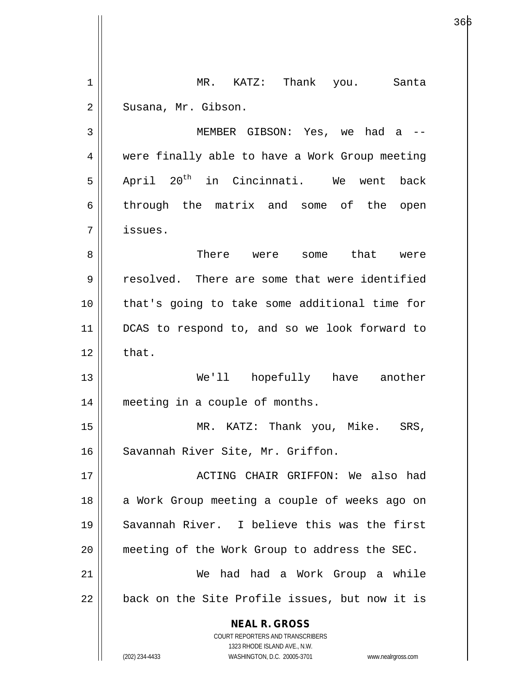**NEAL R. GROSS** COURT REPORTERS AND TRANSCRIBERS 1323 RHODE ISLAND AVE., N.W. (202) 234-4433 WASHINGTON, D.C. 20005-3701 www.nealrgross.com 1 || MR. KATZ: Thank you. Santa 2 | Susana, Mr. Gibson. 3 MEMBER GIBSON: Yes, we had a -- 4 || were finally able to have a Work Group meeting  $5$  April 20<sup>th</sup> in Cincinnati. We went back 6 through the matrix and some of the open 7 issues. 8 There were some that were 9 Tesolved. There are some that were identified 10 that's going to take some additional time for 11 DCAS to respond to, and so we look forward to  $12 \parallel$  that. 13 We'll hopefully have another 14 || meeting in a couple of months. 15 MR. KATZ: Thank you, Mike. SRS, 16 || Savannah River Site, Mr. Griffon. 17 ACTING CHAIR GRIFFON: We also had 18 || a Work Group meeting a couple of weeks ago on 19 Savannah River. I believe this was the first 20 meeting of the Work Group to address the SEC. 21 We had had a Work Group a while  $22$   $\parallel$  back on the Site Profile issues, but now it is

а в село во село во 1966 година, во 1966 година, во 1960 година, во 1960 година, во 1960 година, во 1960 годин<br>Во 1960 година, во 1960 година, во 1960 година, во 1960 година, во 1960 година, во 1960 година, во 1960 година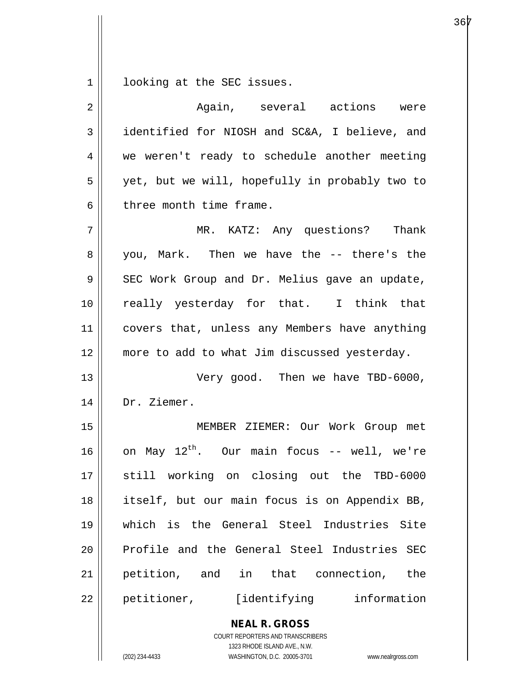$1 \parallel$  looking at the SEC issues.

| $\overline{2}$ | Again, several actions were                              |
|----------------|----------------------------------------------------------|
| 3              | identified for NIOSH and SC&A, I believe, and            |
| 4              | we weren't ready to schedule another meeting             |
| 5              | yet, but we will, hopefully in probably two to           |
| 6              | three month time frame.                                  |
| 7              | MR. KATZ: Any questions? Thank                           |
| 8              | you, Mark. Then we have the -- there's the               |
| 9              | SEC Work Group and Dr. Melius gave an update,            |
| 10             | really yesterday for that. I think that                  |
| 11             | covers that, unless any Members have anything            |
| 12             | more to add to what Jim discussed yesterday.             |
| 13             | Very good. Then we have TBD-6000,                        |
| 14             | Dr. Ziemer.                                              |
| 15             | MEMBER ZIEMER: Our Work Group met                        |
| 16             | on May $12^{th}$ . Our main focus -- well, we're         |
| 17             | still working on closing out the TBD-6000                |
| 18             | itself, but our main focus is on Appendix BB,            |
| 19             | which is the General Steel Industries Site               |
| 20             | Profile and the General Steel Industries SEC             |
| 21             | petition, and in that connection, the                    |
| 22             | petitioner, [identifying information                     |
|                | <b>NEAL R. GROSS</b><br>COURT REPORTERS AND TRANSCRIBERS |

1323 RHODE ISLAND AVE., N.W.

 $\begin{array}{c} \hline \end{array}$ 

(202) 234-4433 WASHINGTON, D.C. 20005-3701 www.nealrgross.com

е в селото в 1967 година в 1967 година в 1967 година в 1968 година в 1968 година в 1968 година в 196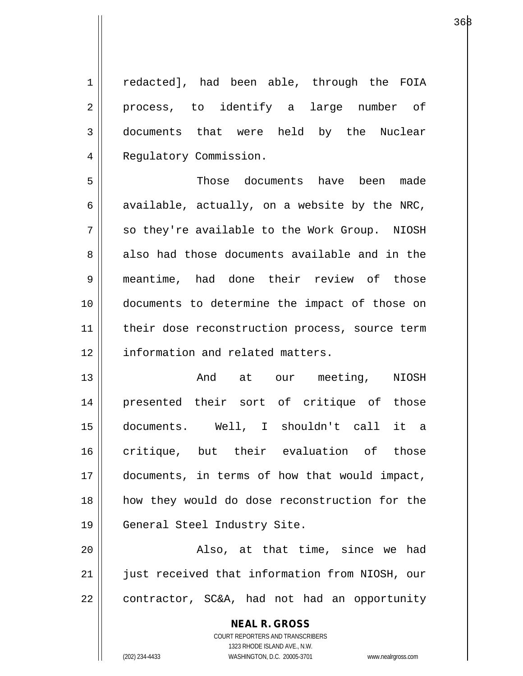1 || redacted], had been able, through the FOIA 2 || process, to identify a large number of 3 documents that were held by the Nuclear 4 | Regulatory Commission. 5 Those documents have been made 6 available, actually, on a website by the NRC,

7 || so they're available to the Work Group. NIOSH 8 also had those documents available and in the 9 meantime, had done their review of those 10 documents to determine the impact of those on 11 || their dose reconstruction process, source term 12 | information and related matters.

13 And at our meeting, NIOSH 14 presented their sort of critique of those 15 documents. Well, I shouldn't call it a 16 critique, but their evaluation of those 17 || documents, in terms of how that would impact, 18 how they would do dose reconstruction for the 19 || General Steel Industry Site.

20 || Also, at that time, since we had 21 || just received that information from NIOSH, our  $22$  | contractor, SC&A, had not had an opportunity

> **NEAL R. GROSS** COURT REPORTERS AND TRANSCRIBERS 1323 RHODE ISLAND AVE., N.W. (202) 234-4433 WASHINGTON, D.C. 20005-3701 www.nealrgross.com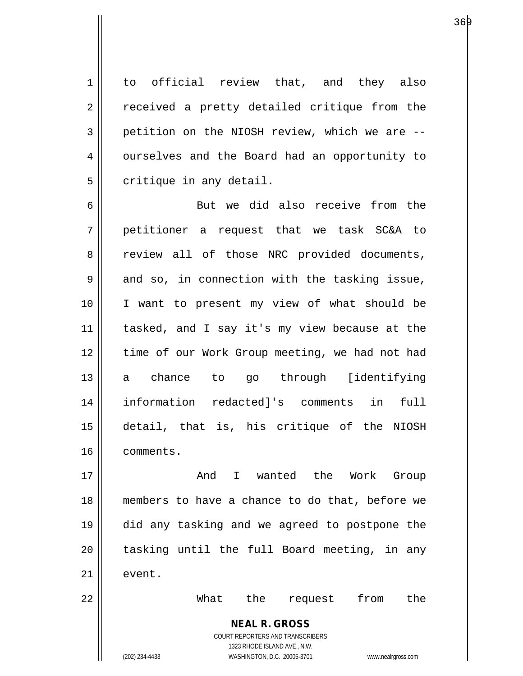1 to official review that, and they also 2 || received a pretty detailed critique from the  $3 \parallel$  petition on the NIOSH review, which we are  $-$ 4 | ourselves and the Board had an opportunity to  $5$  | critique in any detail.

6 || But we did also receive from the 7 petitioner a request that we task SC&A to 8 review all of those NRC provided documents,  $9 \parallel$  and so, in connection with the tasking issue, 10 I want to present my view of what should be 11 || tasked, and I say it's my view because at the 12 || time of our Work Group meeting, we had not had 13 a chance to go through [identifying 14 information redacted]'s comments in full 15 detail, that is, his critique of the NIOSH 16 comments.

17 And I wanted the Work Group 18 members to have a chance to do that, before we 19 did any tasking and we agreed to postpone the  $20$  || tasking until the full Board meeting, in any  $21$   $\parallel$  event.

> **NEAL R. GROSS** COURT REPORTERS AND TRANSCRIBERS 1323 RHODE ISLAND AVE., N.W.

22 What the request from the

(202) 234-4433 WASHINGTON, D.C. 20005-3701 www.nealrgross.com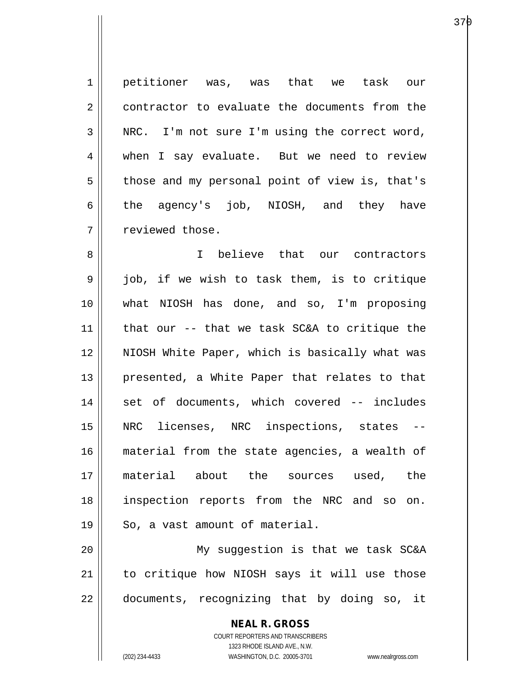1 petitioner was, was that we task our 2 contractor to evaluate the documents from the  $3 \parallel$  NRC. I'm not sure I'm using the correct word, 4 when I say evaluate. But we need to review  $5 \parallel$  those and my personal point of view is, that's  $6 \parallel$  the agency's job, NIOSH, and they have 7 | reviewed those.

8 I believe that our contractors 9 job, if we wish to task them, is to critique 10 what NIOSH has done, and so, I'm proposing 11  $\parallel$  that our -- that we task SC&A to critique the 12 NIOSH White Paper, which is basically what was 13 || presented, a White Paper that relates to that 14 || set of documents, which covered -- includes 15 NRC licenses, NRC inspections, states -- 16 material from the state agencies, a wealth of 17 material about the sources used, the 18 inspection reports from the NRC and so on.  $19 \parallel$  So, a vast amount of material.

20 My suggestion is that we task SC&A 21 || to critique how NIOSH says it will use those 22 || documents, recognizing that by doing so, it

> **NEAL R. GROSS** COURT REPORTERS AND TRANSCRIBERS 1323 RHODE ISLAND AVE., N.W. (202) 234-4433 WASHINGTON, D.C. 20005-3701 www.nealrgross.com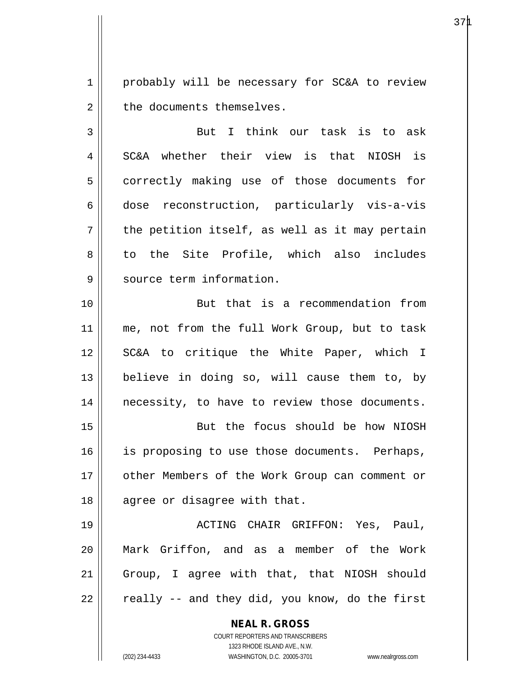1 || probably will be necessary for SC&A to review  $2 \parallel$  the documents themselves.

3 || But I think our task is to ask 4 SC&A whether their view is that NIOSH is 5 | correctly making use of those documents for 6 dose reconstruction, particularly vis-a-vis  $7 \parallel$  the petition itself, as well as it may pertain 8 to the Site Profile, which also includes 9 | source term information.

10 But that is a recommendation from 11 || me, not from the full Work Group, but to task 12 || SC&A to critique the White Paper, which I 13  $\parallel$  believe in doing so, will cause them to, by 14 || necessity, to have to review those documents.

15 || But the focus should be how NIOSH 16 || is proposing to use those documents. Perhaps, 17 other Members of the Work Group can comment or 18 || agree or disagree with that.

19 ACTING CHAIR GRIFFON: Yes, Paul, 20 Mark Griffon, and as a member of the Work 21 || Group, I agree with that, that NIOSH should  $22 \parallel$  really -- and they did, you know, do the first

> **NEAL R. GROSS** COURT REPORTERS AND TRANSCRIBERS

> > 1323 RHODE ISLAND AVE., N.W.

(202) 234-4433 WASHINGTON, D.C. 20005-3701 www.nealrgross.com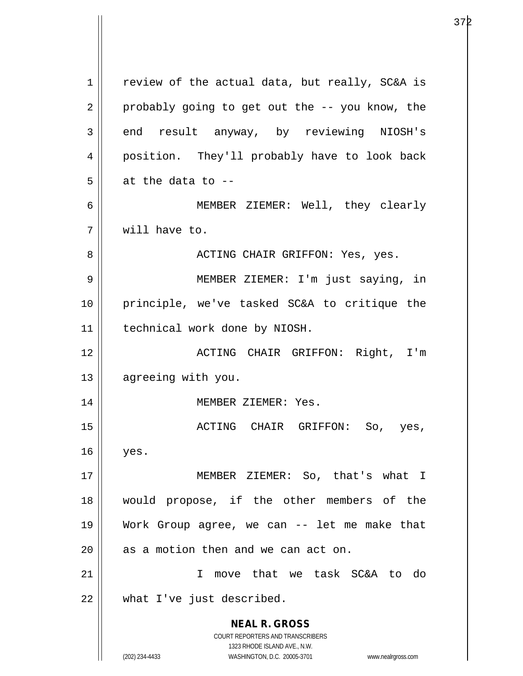**NEAL R. GROSS** COURT REPORTERS AND TRANSCRIBERS 1323 RHODE ISLAND AVE., N.W. (202) 234-4433 WASHINGTON, D.C. 20005-3701 www.nealrgross.com  $1 \parallel$  review of the actual data, but really, SC&A is  $2 \parallel$  probably going to get out the  $-$ - you know, the 3 end result anyway, by reviewing NIOSH's 4 || position. They'll probably have to look back  $5 \parallel$  at the data to --6 MEMBER ZIEMER: Well, they clearly 7 will have to. 8 ACTING CHAIR GRIFFON: Yes, yes. 9 MEMBER ZIEMER: I'm just saying, in 10 principle, we've tasked SC&A to critique the 11 | technical work done by NIOSH. 12 ACTING CHAIR GRIFFON: Right, I'm 13 | agreeing with you. 14 || MEMBER ZIEMER: Yes. 15 ACTING CHAIR GRIFFON: So, yes,  $16 \parallel$  yes. 17 MEMBER ZIEMER: So, that's what I 18 would propose, if the other members of the 19 Work Group agree, we can -- let me make that  $20$  | as a motion then and we can act on. 21 I move that we task SC&A to do 22 what I've just described.

е в селото в 1972 година в 197<u>2 година в 1974 година в 1974 година в 1974 година в 1974 година в 1974 година в </u>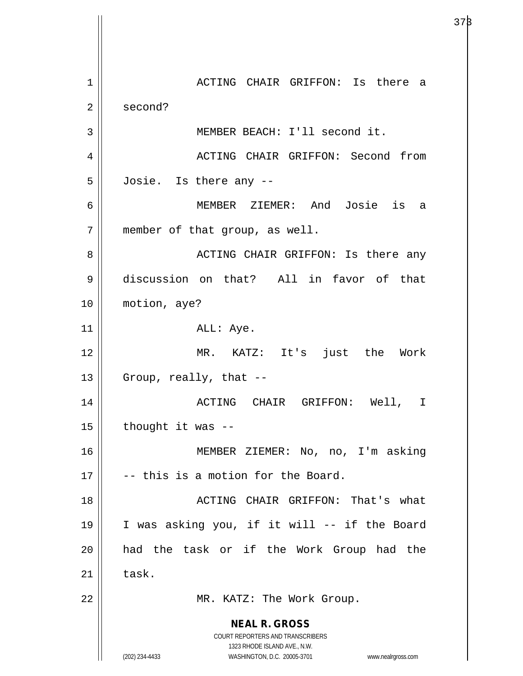**NEAL R. GROSS** COURT REPORTERS AND TRANSCRIBERS 1323 RHODE ISLAND AVE., N.W. (202) 234-4433 WASHINGTON, D.C. 20005-3701 www.nealrgross.com 1 ACTING CHAIR GRIFFON: Is there a 2 second? 3 MEMBER BEACH: I'll second it. 4 ACTING CHAIR GRIFFON: Second from  $5 \parallel$  Josie. Is there any  $-$ 6 MEMBER ZIEMER: And Josie is a 7 || member of that group, as well. 8 ACTING CHAIR GRIFFON: Is there any 9 discussion on that? All in favor of that 10 motion, aye?  $11$  ||  $\qquad \qquad$  ALL: Aye. 12 MR. KATZ: It's just the Work  $13$  || Group, really, that  $-$ 14 ACTING CHAIR GRIFFON: Well, I  $15$  || thought it was  $-$ 16 MEMBER ZIEMER: No, no, I'm asking  $17$   $\parallel$  -- this is a motion for the Board. 18 || ACTING CHAIR GRIFFON: That's what 19 I was asking you, if it will -- if the Board 20 had the task or if the Work Group had the  $21$  task. 22 || MR. KATZ: The Work Group.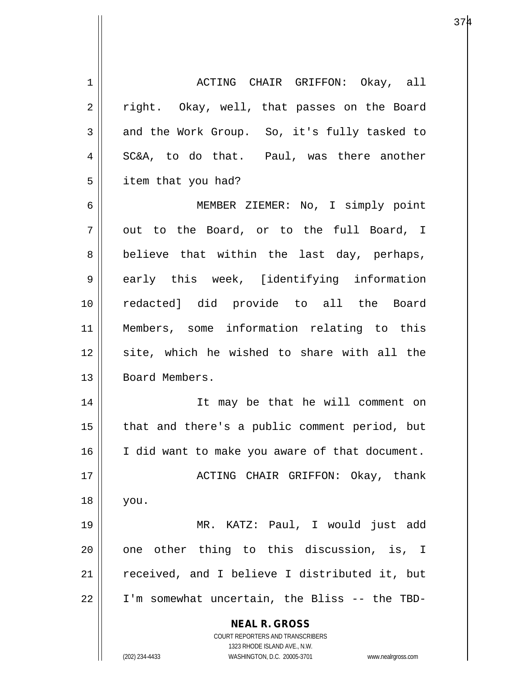**NEAL R. GROSS** COURT REPORTERS AND TRANSCRIBERS 1323 RHODE ISLAND AVE., N.W. (202) 234-4433 WASHINGTON, D.C. 20005-3701 www.nealrgross.com 1 ACTING CHAIR GRIFFON: Okay, all 2 || right. Okay, well, that passes on the Board  $3 \parallel$  and the Work Group. So, it's fully tasked to  $4 \parallel$  SC&A, to do that. Paul, was there another 5 | item that you had? 6 MEMBER ZIEMER: No, I simply point  $7 \parallel$  out to the Board, or to the full Board, I  $8 \parallel$  believe that within the last day, perhaps, 9 early this week, [identifying information 10 redacted] did provide to all the Board 11 Members, some information relating to this 12 || site, which he wished to share with all the 13 | Board Members. 14 It may be that he will comment on 15 || that and there's a public comment period, but 16 I did want to make you aware of that document. 17 ACTING CHAIR GRIFFON: Okay, thank 18 you. 19 MR. KATZ: Paul, I would just add  $20$  || one other thing to this discussion, is, I 21 || received, and I believe I distributed it, but 22 I'm somewhat uncertain, the Bliss -- the TBD-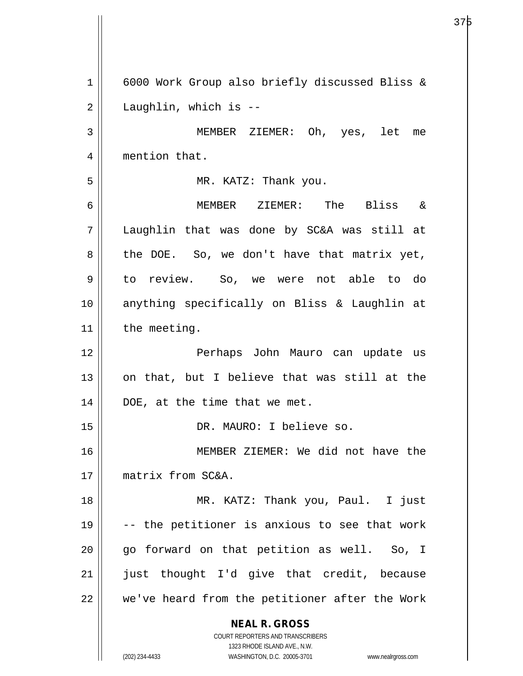**NEAL R. GROSS** COURT REPORTERS AND TRANSCRIBERS 1323 RHODE ISLAND AVE., N.W. (202) 234-4433 WASHINGTON, D.C. 20005-3701 www.nealrgross.com 1 6000 Work Group also briefly discussed Bliss &  $2 \parallel$  Laughlin, which is --3 MEMBER ZIEMER: Oh, yes, let me 4 | mention that. 5 | MR. KATZ: Thank you. 6 MEMBER ZIEMER: The Bliss & 7 Laughlin that was done by SC&A was still at  $8 \parallel$  the DOE. So, we don't have that matrix yet, 9 || to review. So, we were not able to do 10 anything specifically on Bliss & Laughlin at  $11$  | the meeting. 12 Perhaps John Mauro can update us  $13$  on that, but I believe that was still at the  $14$  | DOE, at the time that we met. 15 || DR. MAURO: I believe so. 16 MEMBER ZIEMER: We did not have the 17 matrix from SC&A. 18 || MR. KATZ: Thank you, Paul. I just 19  $\vert$  -- the petitioner is anxious to see that work  $20$  || go forward on that petition as well. So, I  $21$  || just thought I'd give that credit, because  $22$   $\parallel$  we've heard from the petitioner after the Work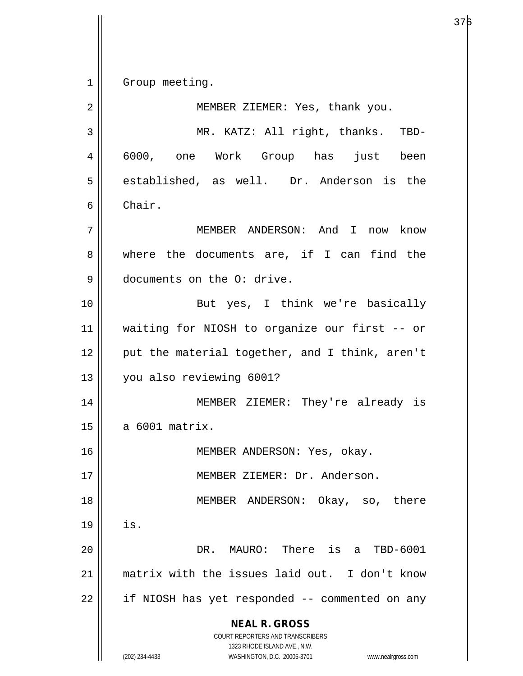1 | Group meeting.

**NEAL R. GROSS** COURT REPORTERS AND TRANSCRIBERS 1323 RHODE ISLAND AVE., N.W. (202) 234-4433 WASHINGTON, D.C. 20005-3701 www.nealrgross.com 2 || MEMBER ZIEMER: Yes, thank you. 3 MR. KATZ: All right, thanks. TBD-4 6000, one Work Group has just been 5 || established, as well. Dr. Anderson is the 6 Chair. 7 MEMBER ANDERSON: And I now know 8 where the documents are, if I can find the 9 documents on the O: drive. 10 || But yes, I think we're basically 11 waiting for NIOSH to organize our first -- or 12  $\parallel$  put the material together, and I think, aren't 13 you also reviewing 6001? 14 MEMBER ZIEMER: They're already is  $15 \parallel$  a 6001 matrix. 16 || MEMBER ANDERSON: Yes, okay. 17 MEMBER ZIEMER: Dr. Anderson. 18 MEMBER ANDERSON: Okay, so, there  $19$   $\parallel$  is. 20 DR. MAURO: There is a TBD-6001 21 matrix with the issues laid out. I don't know 22 || if NIOSH has yet responded -- commented on any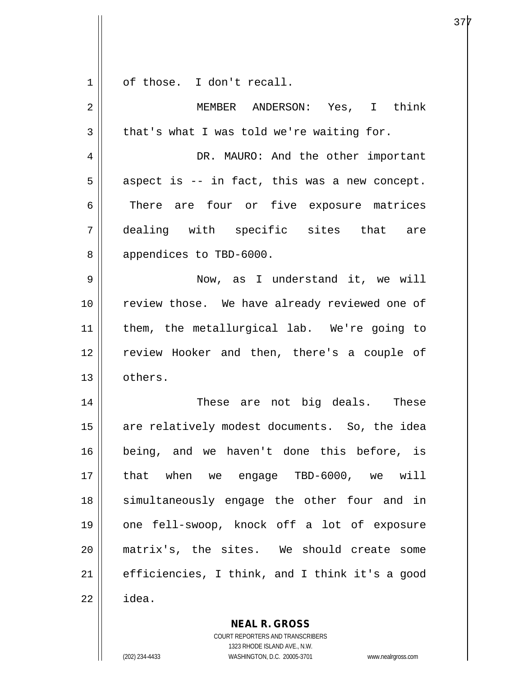$1 \parallel$  of those. I don't recall.

| 2  | MEMBER ANDERSON: Yes, I think                  |
|----|------------------------------------------------|
| 3  | that's what I was told we're waiting for.      |
| 4  | DR. MAURO: And the other important             |
| 5  | aspect is -- in fact, this was a new concept.  |
| 6  | There are four or five exposure matrices       |
| 7  | dealing with specific sites that are           |
| 8  | appendices to TBD-6000.                        |
| 9  | Now, as I understand it, we will               |
| 10 | review those. We have already reviewed one of  |
| 11 | them, the metallurgical lab. We're going to    |
| 12 | review Hooker and then, there's a couple of    |
| 13 | others.                                        |
| 14 | These are not big deals. These                 |
| 15 | are relatively modest documents. So, the idea  |
| 16 | being, and we haven't done this before, is     |
| 17 | we engage TBD-6000, we will<br>that when       |
| 18 | simultaneously engage the other four and in    |
| 19 | one fell-swoop, knock off a lot of exposure    |
| 20 | matrix's, the sites. We should create some     |
| 21 | efficiencies, I think, and I think it's a good |
| 22 | idea.                                          |

**NEAL R. GROSS** COURT REPORTERS AND TRANSCRIBERS

1323 RHODE ISLAND AVE., N.W.

(202) 234-4433 WASHINGTON, D.C. 20005-3701 www.nealrgross.com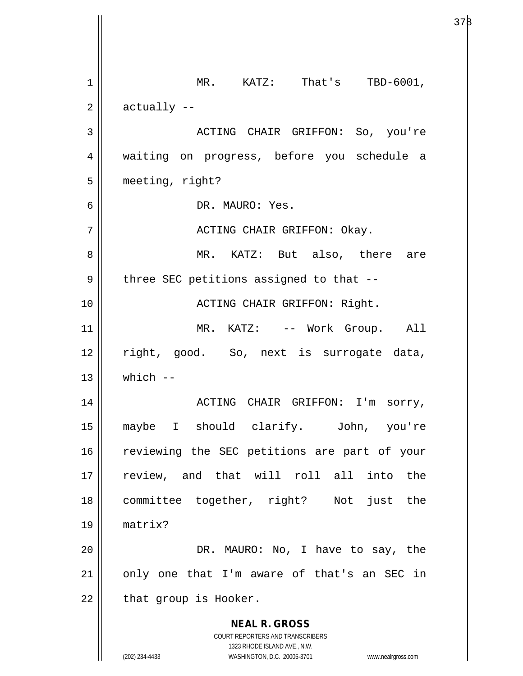**NEAL R. GROSS** COURT REPORTERS AND TRANSCRIBERS 1323 RHODE ISLAND AVE., N.W. (202) 234-4433 WASHINGTON, D.C. 20005-3701 www.nealrgross.com 1 || MR. KATZ: That's TBD-6001,  $2 \parallel$  actually  $-$ 3 ACTING CHAIR GRIFFON: So, you're 4 waiting on progress, before you schedule a 5 meeting, right? 6 DR. MAURO: Yes. 7 ACTING CHAIR GRIFFON: Okay. 8 MR. KATZ: But also, there are  $9 \parallel$  three SEC petitions assigned to that --10 ACTING CHAIR GRIFFON: Right. 11 || MR. KATZ: -- Work Group. All 12 || right, good. So, next is surrogate data,  $13$  which  $-$ 14 || ACTING CHAIR GRIFFON: I'm sorry, 15 maybe I should clarify. John, you're 16 || reviewing the SEC petitions are part of your 17 || review, and that will roll all into the 18 committee together, right? Not just the 19 matrix? 20 DR. MAURO: No, I have to say, the  $21$  | only one that I'm aware of that's an SEC in  $22$  | that group is Hooker.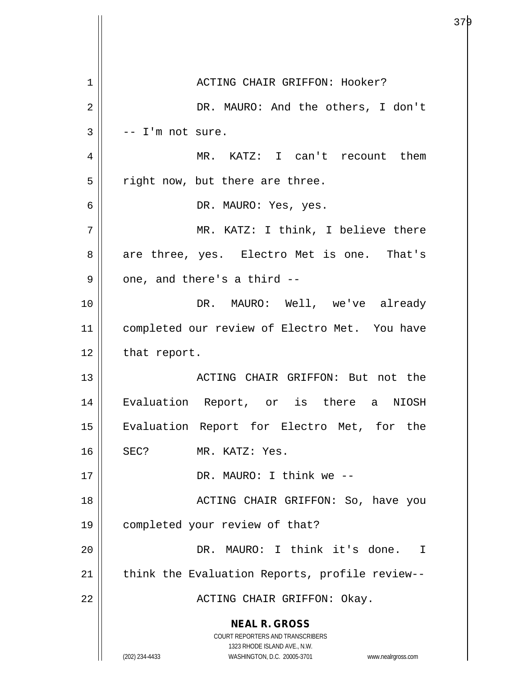| 1              | ACTING CHAIR GRIFFON: Hooker?                                       |
|----------------|---------------------------------------------------------------------|
| $\overline{2}$ | DR. MAURO: And the others, I don't                                  |
| 3              | -- I'm not sure.                                                    |
| 4              | MR. KATZ: I can't recount them                                      |
| 5              | right now, but there are three.                                     |
| 6              | DR. MAURO: Yes, yes.                                                |
| 7              | MR. KATZ: I think, I believe there                                  |
| 8              | are three, yes. Electro Met is one. That's                          |
| 9              | one, and there's a third --                                         |
| 10             | DR. MAURO: Well, we've already                                      |
| 11             | completed our review of Electro Met. You have                       |
| 12             | that report.                                                        |
| 13             | ACTING CHAIR GRIFFON: But not the                                   |
| 14             | Evaluation Report, or is there a<br>NIOSH                           |
| 15             | Evaluation Report for Electro Met, for the                          |
| 16             | SEC?<br>MR. KATZ: Yes.                                              |
| 17             | DR. MAURO: I think we --                                            |
| 18             | ACTING CHAIR GRIFFON: So, have you                                  |
| 19             | completed your review of that?                                      |
| 20             | DR. MAURO: I think it's done. I                                     |
| 21             | think the Evaluation Reports, profile review--                      |
| 22             | ACTING CHAIR GRIFFON: Okay.                                         |
|                | <b>NEAL R. GROSS</b>                                                |
|                | COURT REPORTERS AND TRANSCRIBERS<br>1323 RHODE ISLAND AVE., N.W.    |
|                | (202) 234-4433<br>WASHINGTON, D.C. 20005-3701<br>www.nealrgross.com |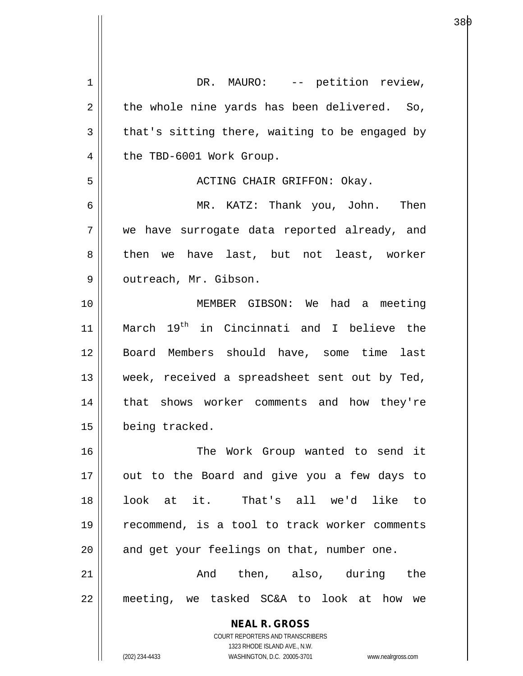**NEAL R. GROSS** COURT REPORTERS AND TRANSCRIBERS 1323 RHODE ISLAND AVE., N.W. 1 || DR. MAURO: -- petition review,  $2 \parallel$  the whole nine yards has been delivered. So,  $3 \parallel$  that's sitting there, waiting to be engaged by 4 | the TBD-6001 Work Group. 5 ACTING CHAIR GRIFFON: Okay. 6 MR. KATZ: Thank you, John. Then 7 || we have surrogate data reported already, and 8 then we have last, but not least, worker 9 | outreach, Mr. Gibson. 10 MEMBER GIBSON: We had a meeting 11 || March 19<sup>th</sup> in Cincinnati and I believe the 12 Board Members should have, some time last 13 || week, received a spreadsheet sent out by Ted, 14 || that shows worker comments and how they're 15 | being tracked. 16 The Work Group wanted to send it  $17$  || out to the Board and give you a few days to 18 look at it. That's all we'd like to 19 || recommend, is a tool to track worker comments 20 || and get your feelings on that, number one. 21 And then, also, during the 22 meeting, we tasked SC&A to look at how we

(202) 234-4433 WASHINGTON, D.C. 20005-3701 www.nealrgross.com

en die staatsland van die Soos-Afrikaanse koning van die Soos-Afrikaanse koning van die Soos-Afrikaanse koning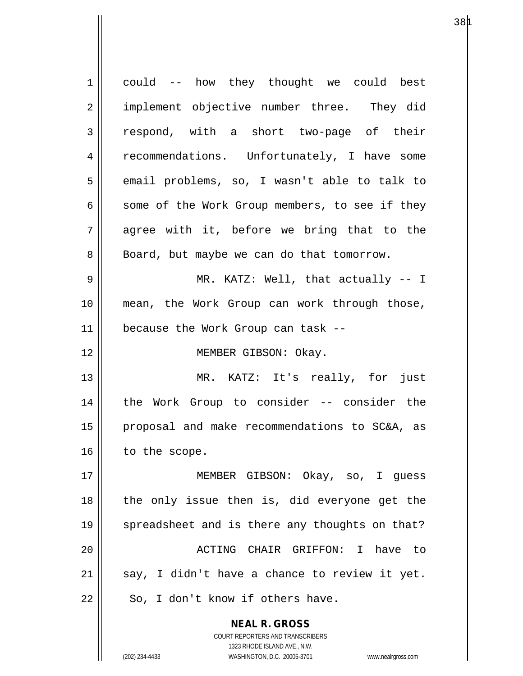| $\mathbf{1}$   | could -- how they thought we could best                                                             |
|----------------|-----------------------------------------------------------------------------------------------------|
| $\overline{2}$ | implement objective number three. They did                                                          |
| 3              | respond, with a short two-page of their                                                             |
| 4              | recommendations. Unfortunately, I have some                                                         |
| 5              | email problems, so, I wasn't able to talk to                                                        |
| 6              | some of the Work Group members, to see if they                                                      |
| 7              | agree with it, before we bring that to the                                                          |
| 8              | Board, but maybe we can do that tomorrow.                                                           |
| 9              | MR. KATZ: Well, that actually -- I                                                                  |
| 10             | mean, the Work Group can work through those,                                                        |
| 11             | because the Work Group can task --                                                                  |
| 12             | MEMBER GIBSON: Okay.                                                                                |
| 13             | MR. KATZ: It's really, for just                                                                     |
| 14             | the Work Group to consider -- consider the                                                          |
| 15             | proposal and make recommendations to SC&A, as                                                       |
| 16             | to the scope.                                                                                       |
| 17             | MEMBER GIBSON: Okay, so, I quess                                                                    |
| 18             | the only issue then is, did everyone get the                                                        |
| 19             | spreadsheet and is there any thoughts on that?                                                      |
| 20             | ACTING CHAIR GRIFFON: I have<br>to to                                                               |
| 21             | say, I didn't have a chance to review it yet.                                                       |
| 22             | So, I don't know if others have.                                                                    |
|                | <b>NEAL R. GROSS</b>                                                                                |
|                | COURT REPORTERS AND TRANSCRIBERS                                                                    |
|                | 1323 RHODE ISLAND AVE., N.W.<br>(202) 234-4433<br>WASHINGTON, D.C. 20005-3701<br>www.nealrgross.com |

 $38\mu$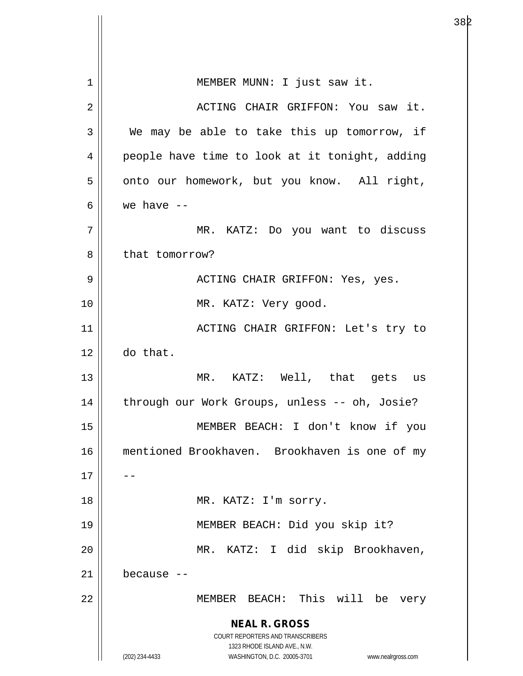**NEAL R. GROSS** COURT REPORTERS AND TRANSCRIBERS 1323 RHODE ISLAND AVE., N.W. (202) 234-4433 WASHINGTON, D.C. 20005-3701 www.nealrgross.com 1 || MEMBER MUNN: I just saw it. 2 || ACTING CHAIR GRIFFON: You saw it. 3 We may be able to take this up tomorrow, if 4 || people have time to look at it tonight, adding  $5 \parallel$  onto our homework, but you know. All right, 6  $\vert$  we have  $\vert$  -7 MR. KATZ: Do you want to discuss 8 || that tomorrow? 9 ACTING CHAIR GRIFFON: Yes, yes. 10 || MR. KATZ: Very good. 11 || ACTING CHAIR GRIFFON: Let's try to 12 do that. 13 || MR. KATZ: Well, that gets us 14 || through our Work Groups, unless -- oh, Josie? 15 MEMBER BEACH: I don't know if you 16 mentioned Brookhaven. Brookhaven is one of my  $17$ 18 || MR. KATZ: I'm sorry. 19 MEMBER BEACH: Did you skip it? 20 MR. KATZ: I did skip Brookhaven, 21 because -- 22 MEMBER BEACH: This will be very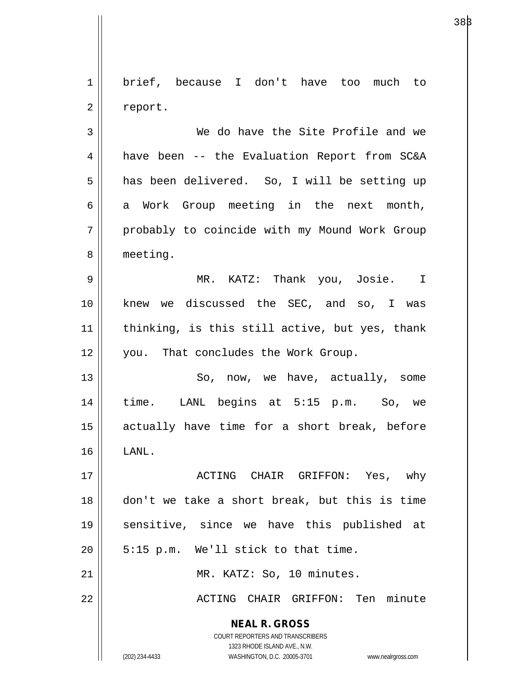1 brief, because I don't have too much to  $2 \parallel$  report.

3 We do have the Site Profile and we 4 have been -- the Evaluation Report from SC&A 5 || has been delivered. So, I will be setting up  $6 \parallel$  a Work Group meeting in the next month, 7 probably to coincide with my Mound Work Group 8 | meeting.

9 MR. KATZ: Thank you, Josie. I 10 || knew we discussed the SEC, and so, I was  $11$  | thinking, is this still active, but yes, thank 12 || you. That concludes the Work Group.

13 || So, now, we have, actually, some 14 time. LANL begins at 5:15 p.m. So, we 15 actually have time for a short break, before  $16$   $\parallel$  LANL.

17 ACTING CHAIR GRIFFON: Yes, why 18 don't we take a short break, but this is time 19 sensitive, since we have this published at  $20$  | 5:15 p.m. We'll stick to that time.

21 || MR. KATZ: So, 10 minutes.

22 || ACTING CHAIR GRIFFON: Ten minute

**NEAL R. GROSS** COURT REPORTERS AND TRANSCRIBERS

1323 RHODE ISLAND AVE., N.W.

(202) 234-4433 WASHINGTON, D.C. 20005-3701 www.nealrgross.com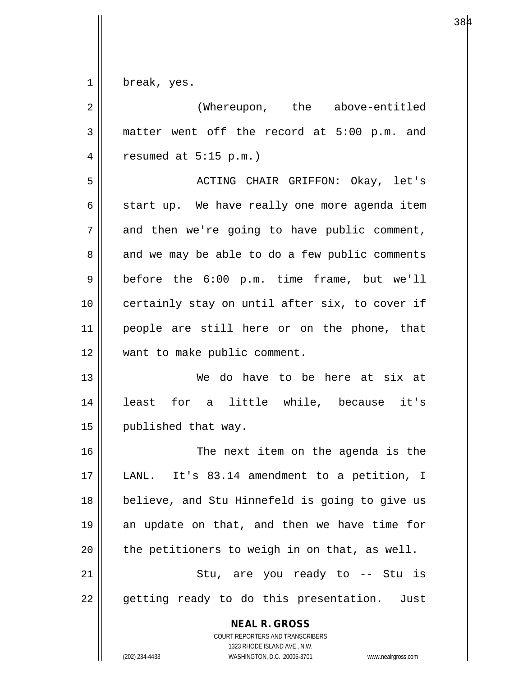$1 \parallel$  break, yes.

| $\overline{2}$ | (Whereupon, the above-entitled                                                                                                                                         |
|----------------|------------------------------------------------------------------------------------------------------------------------------------------------------------------------|
| 3              | matter went off the record at 5:00 p.m. and                                                                                                                            |
| 4              | resumed at $5:15$ p.m.)                                                                                                                                                |
| 5              | ACTING CHAIR GRIFFON: Okay, let's                                                                                                                                      |
| 6              | start up. We have really one more agenda item                                                                                                                          |
| 7              | and then we're going to have public comment,                                                                                                                           |
| 8              | and we may be able to do a few public comments                                                                                                                         |
| $\mathsf 9$    | before the 6:00 p.m. time frame, but we'll                                                                                                                             |
| 10             | certainly stay on until after six, to cover if                                                                                                                         |
| 11             | people are still here or on the phone, that                                                                                                                            |
| 12             | want to make public comment.                                                                                                                                           |
| 13             | We do have to be here at six at                                                                                                                                        |
| 14             | least for a little while, because it's                                                                                                                                 |
| 15             | published that way.                                                                                                                                                    |
| 16             | The next item on the agenda is the                                                                                                                                     |
| 17             | It's 83.14 amendment to a petition, I<br>LANL.                                                                                                                         |
| 18             | believe, and Stu Hinnefeld is going to give us                                                                                                                         |
| 19             | an update on that, and then we have time for                                                                                                                           |
| 20             | the petitioners to weigh in on that, as well.                                                                                                                          |
| 21             | Stu, are you ready to -- Stu is                                                                                                                                        |
| 22             | getting ready to do this presentation. Just                                                                                                                            |
|                | <b>NEAL R. GROSS</b><br><b>COURT REPORTERS AND TRANSCRIBERS</b><br>1323 RHODE ISLAND AVE., N.W.<br>(202) 234-4433<br>WASHINGTON, D.C. 20005-3701<br>www.nealrgross.com |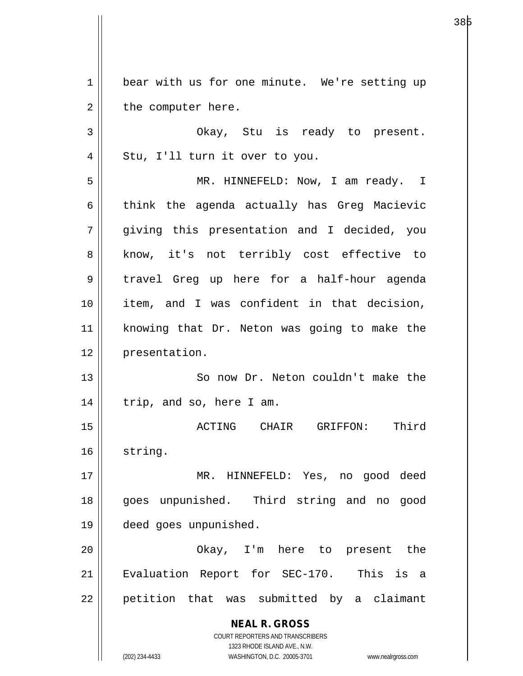1 bear with us for one minute. We're setting up  $2 \parallel$  the computer here.

3 Okay, Stu is ready to present.  $4 \parallel$  Stu, I'll turn it over to you.

5 MR. HINNEFELD: Now, I am ready. I 6 || think the agenda actually has Greg Macievic 7 giving this presentation and I decided, you 8 || know, it's not terribly cost effective to 9 travel Greg up here for a half-hour agenda 10 item, and I was confident in that decision, 11 knowing that Dr. Neton was going to make the 12 | presentation.

13 || So now Dr. Neton couldn't make the  $14$  | trip, and so, here I am.

15 ACTING CHAIR GRIFFON: Third 16 | string.

17 || MR. HINNEFELD: Yes, no good deed 18 goes unpunished. Third string and no good 19 deed goes unpunished.

20 Okay, I'm here to present the 21 || Evaluation Report for SEC-170. This is a 22 || petition that was submitted by a claimant

> **NEAL R. GROSS** COURT REPORTERS AND TRANSCRIBERS 1323 RHODE ISLAND AVE., N.W.

(202) 234-4433 WASHINGTON, D.C. 20005-3701 www.nealrgross.com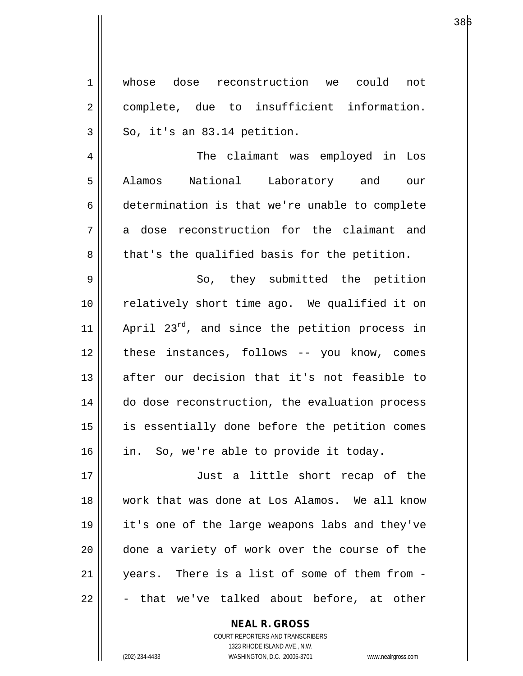| 1              | whose dose reconstruction we could not         |
|----------------|------------------------------------------------|
| $\overline{2}$ | complete, due to insufficient information.     |
| 3              | So, it's an 83.14 petition.                    |
| 4              | The claimant was employed in Los               |
| 5              | Alamos National Laboratory and our             |
| 6              | determination is that we're unable to complete |
| 7              | a dose reconstruction for the claimant and     |
| 8              | that's the qualified basis for the petition.   |
| 9              | So, they submitted the petition                |
| 10             | relatively short time ago. We qualified it on  |
| 11             | April 23rd, and since the petition process in  |
| 12             | these instances, follows -- you know, comes    |
| 13             | after our decision that it's not feasible to   |
| 14             | do dose reconstruction, the evaluation process |
| 15             | is essentially done before the petition comes  |
| 16             | in. So, we're able to provide it today.        |
| 17             | Just a little short recap of the               |
| 18             | work that was done at Los Alamos. We all know  |
| 19             | it's one of the large weapons labs and they've |
| 20             | done a variety of work over the course of the  |
| 21             | years. There is a list of some of them from -  |
| 22             | that we've talked about before, at other       |

**NEAL R. GROSS** COURT REPORTERS AND TRANSCRIBERS

1323 RHODE ISLAND AVE., N.W.

(202) 234-4433 WASHINGTON, D.C. 20005-3701 www.nealrgross.com

 $\mathsf{II}$ 

а в селото на селото на 1938 година в 1938 година в 1940 година в 1940 година в 1940 година в 1940 година в 19<br>В 1940 година в 1940 година в 1940 година в 1940 година в 1940 година в 1940 година в 1940 година в 1940 годин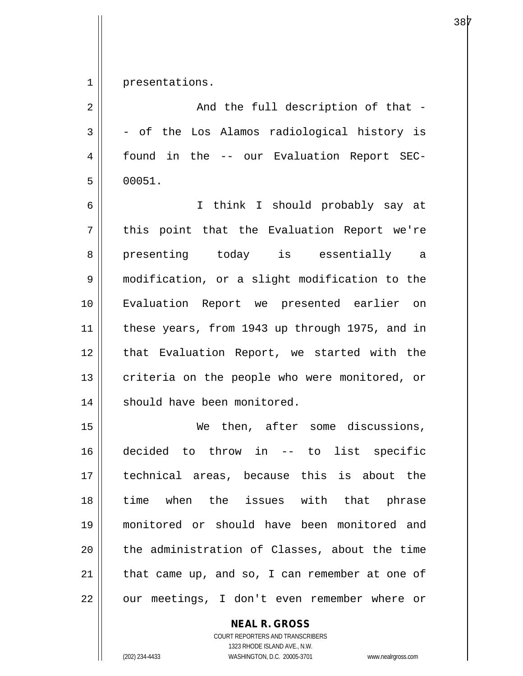1 presentations.

| 2  | And the full description of that -             |
|----|------------------------------------------------|
| 3  | - of the Los Alamos radiological history is    |
| 4  | found in the -- our Evaluation Report SEC-     |
| 5  | 00051.                                         |
| 6  | I think I should probably say at               |
| 7  | this point that the Evaluation Report we're    |
| 8  | presenting today is essentially a              |
| 9  | modification, or a slight modification to the  |
| 10 | Evaluation Report we presented earlier on      |
| 11 | these years, from 1943 up through 1975, and in |
| 12 | that Evaluation Report, we started with the    |
| 13 | criteria on the people who were monitored, or  |
| 14 | should have been monitored.                    |
| 15 | We then, after some discussions,               |
| 16 | decided to throw in -- to list specific        |
| 17 | technical areas, because this is about the     |
| 18 | when the issues with that phrase<br>time       |
| 19 | monitored or should have been monitored and    |
| 20 | the administration of Classes, about the time  |
| 21 | that came up, and so, I can remember at one of |
| 22 | our meetings, I don't even remember where or   |

**NEAL R. GROSS**

COURT REPORTERS AND TRANSCRIBERS 1323 RHODE ISLAND AVE., N.W. (202) 234-4433 WASHINGTON, D.C. 20005-3701 www.nealrgross.com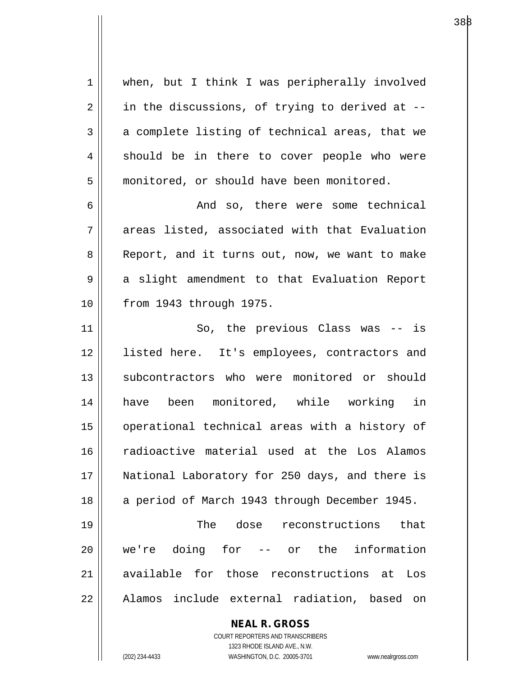**NEAL R. GROSS** 1 || when, but I think I was peripherally involved  $2 \parallel$  in the discussions, of trying to derived at -- $3 \parallel$  a complete listing of technical areas, that we 4 || should be in there to cover people who were 5 | monitored, or should have been monitored. 6 And so, there were some technical  $7 \parallel$  areas listed, associated with that Evaluation 8 || Report, and it turns out, now, we want to make 9 || a slight amendment to that Evaluation Report 10 from 1943 through 1975. 11 || So, the previous Class was -- is 12 || listed here. It's employees, contractors and 13 || subcontractors who were monitored or should 14 have been monitored, while working in 15 || operational technical areas with a history of 16 radioactive material used at the Los Alamos 17 || National Laboratory for 250 days, and there is 18 || a period of March 1943 through December 1945. 19 The dose reconstructions that 20 we're doing for -- or the information 21 available for those reconstructions at Los 22 || Alamos include external radiation, based on

> COURT REPORTERS AND TRANSCRIBERS 1323 RHODE ISLAND AVE., N.W.

(202) 234-4433 WASHINGTON, D.C. 20005-3701 www.nealrgross.com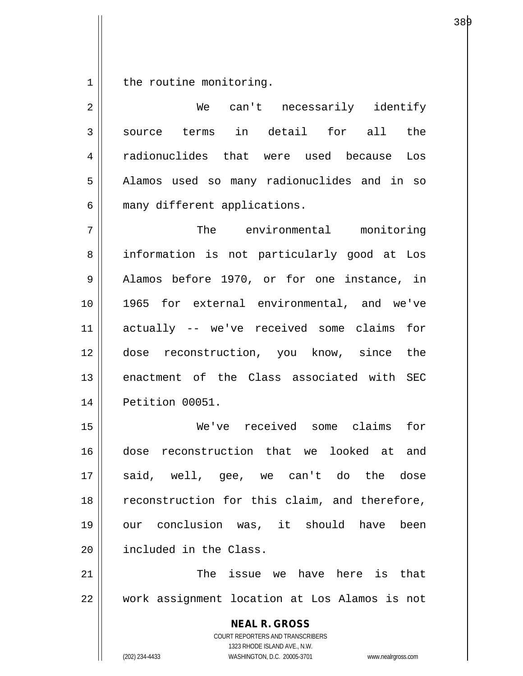$1$  the routine monitoring.

| $\overline{2}$ | We can't necessarily identify                                           |
|----------------|-------------------------------------------------------------------------|
| 3              | source terms in detail for all the                                      |
| 4              | radionuclides that were used because Los                                |
| 5              | Alamos used so many radionuclides and in so                             |
| 6              | many different applications.                                            |
| 7              | The environmental monitoring                                            |
| 8              | information is not particularly good at Los                             |
| 9              | Alamos before 1970, or for one instance, in                             |
| 10             | 1965 for external environmental, and we've                              |
| 11             | actually -- we've received some claims for                              |
| 12             | dose reconstruction, you know, since the                                |
| 13             | enactment of the Class associated with SEC                              |
| 14             | Petition 00051.                                                         |
| 15             | We've received some claims<br>for                                       |
| 16             | dose reconstruction that we looked at and                               |
| 17             | said, well, gee, we can't do the dose                                   |
| 18             | reconstruction for this claim, and therefore,                           |
| 19             | our conclusion was, it should have<br>been                              |
| 20             | included in the Class.                                                  |
| 21             | The issue we have here is that                                          |
| 22             | work assignment location at Los Alamos is not                           |
|                | <b>NEAL R. GROSS</b>                                                    |
|                | <b>COURT REPORTERS AND TRANSCRIBERS</b><br>1323 RHODE ISLAND AVE., N.W. |
|                | WASHINGTON, D.C. 20005-3701<br>(202) 234-4433<br>www.nealrgross.com     |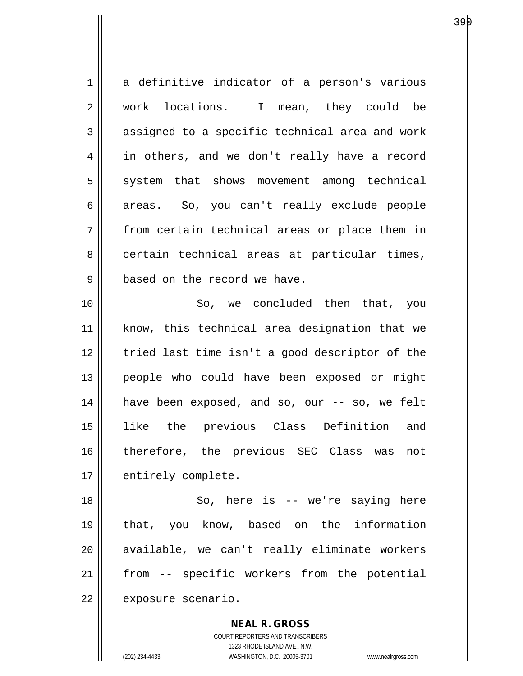1 a definitive indicator of a person's various 2 || work locations. I mean, they could be  $3 \parallel$  assigned to a specific technical area and work 4 in others, and we don't really have a record 5 || system that shows movement among technical 6 areas. So, you can't really exclude people 7 from certain technical areas or place them in 8 certain technical areas at particular times, 9 || based on the record we have. 10 || So, we concluded then that, you 11 || know, this technical area designation that we 12 || tried last time isn't a good descriptor of the 13 || people who could have been exposed or might 14 have been exposed, and so, our -- so, we felt 15 like the previous Class Definition and 16 therefore, the previous SEC Class was not 17 | entirely complete. 18 || So, here is -- we're saying here 19 that, you know, based on the information 20 || available, we can't really eliminate workers 21 || from -- specific workers from the potential

22 | exposure scenario.

**NEAL R. GROSS** COURT REPORTERS AND TRANSCRIBERS

1323 RHODE ISLAND AVE., N.W.

(202) 234-4433 WASHINGTON, D.C. 20005-3701 www.nealrgross.com

а се од селото на 1930 година во 1940 година, кои 1940 година од селото на 1940 година, кои 1940 година од 194<br>Во 1940 година од селото на 1940 година, кои 1940 година, кои 1940 година, кои 1940 година, кои 1940 година, к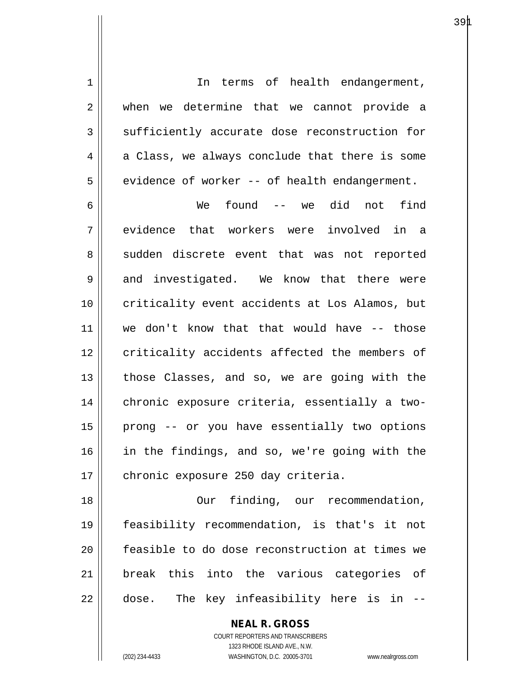| $\mathbf 1$    | In terms of health endangerment,               |
|----------------|------------------------------------------------|
| $\overline{2}$ | when we determine that we cannot provide a     |
| $\mathbf{3}$   | sufficiently accurate dose reconstruction for  |
| 4              | a Class, we always conclude that there is some |
| 5              | evidence of worker -- of health endangerment.  |
| 6              | found -- we did not<br>find<br>We              |
| 7              | evidence that workers were involved in a       |
| 8              | sudden discrete event that was not reported    |
| 9              | and investigated. We know that there were      |
| 10             | criticality event accidents at Los Alamos, but |
| 11             | we don't know that that would have -- those    |
| 12             | criticality accidents affected the members of  |
| 13             | those Classes, and so, we are going with the   |
| 14             | chronic exposure criteria, essentially a two-  |
| 15             | prong -- or you have essentially two options   |
| 16             | in the findings, and so, we're going with the  |
| 17             | chronic exposure 250 day criteria.             |
| 18             | finding, our recommendation,<br>Our            |
| 19             | feasibility recommendation, is that's it not   |
| 20             | feasible to do dose reconstruction at times we |
| 21             | break this into the various categories of      |
| 22             | The key infeasibility here is in --<br>dose.   |

**NEAL R. GROSS** COURT REPORTERS AND TRANSCRIBERS

1323 RHODE ISLAND AVE., N.W.

(202) 234-4433 WASHINGTON, D.C. 20005-3701 www.nealrgross.com

 $\mathsf{I}$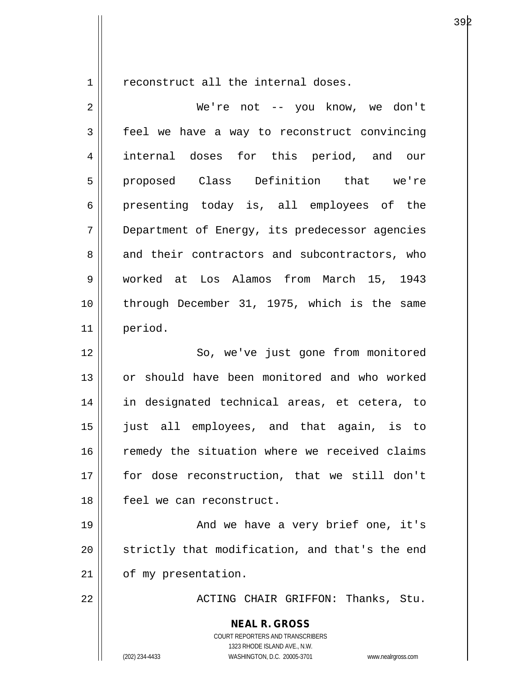$1 \parallel$  reconstruct all the internal doses.

| $\overline{2}$ | We're not -- you know, we don't                                                                                                                                 |
|----------------|-----------------------------------------------------------------------------------------------------------------------------------------------------------------|
| 3              | feel we have a way to reconstruct convincing                                                                                                                    |
| 4              | internal doses for this period, and our                                                                                                                         |
| 5              | proposed Class Definition that we're                                                                                                                            |
| 6              | presenting today is, all employees of the                                                                                                                       |
| 7              | Department of Energy, its predecessor agencies                                                                                                                  |
| 8              | and their contractors and subcontractors, who                                                                                                                   |
| 9              | worked at Los Alamos from March 15, 1943                                                                                                                        |
| 10             | through December 31, 1975, which is the same                                                                                                                    |
| 11             | period.                                                                                                                                                         |
| 12             | So, we've just gone from monitored                                                                                                                              |
| 13             | or should have been monitored and who worked                                                                                                                    |
| 14             | in designated technical areas, et cetera, to                                                                                                                    |
| 15             | just all employees, and that again, is to                                                                                                                       |
| 16             | remedy the situation where we received claims                                                                                                                   |
| 17             | for dose reconstruction, that we still don't                                                                                                                    |
| 18             | feel we can reconstruct.                                                                                                                                        |
| 19             | And we have a very brief one, it's                                                                                                                              |
| 20             | strictly that modification, and that's the end                                                                                                                  |
| 21             | of my presentation.                                                                                                                                             |
| 22             | ACTING CHAIR GRIFFON: Thanks, Stu.                                                                                                                              |
|                | <b>NEAL R. GROSS</b><br>COURT REPORTERS AND TRANSCRIBERS<br>1323 RHODE ISLAND AVE., N.W.<br>(202) 234-4433<br>WASHINGTON, D.C. 20005-3701<br>www.nealrgross.com |

а о производите представа во 1939 година од селото на 1942 година, кои 1942 година од селото на 1942 година, п<br>Во 1942 година, постојат се постојат се постојат се постојат се постојат се постојат се постојат се постојат с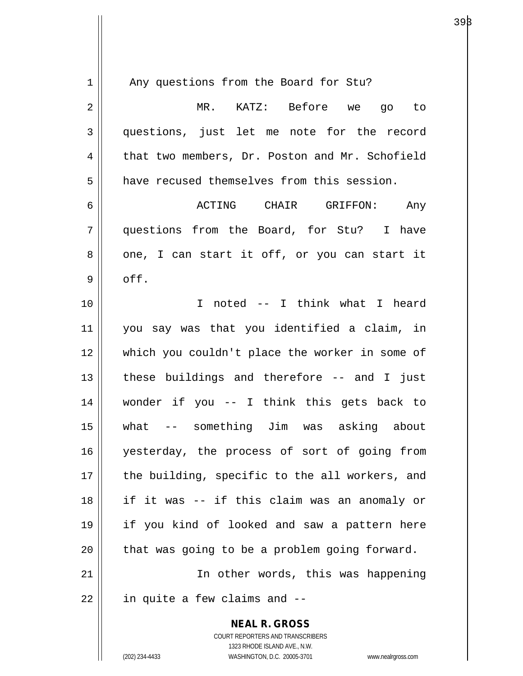| $1\,$          | Any questions from the Board for Stu?                               |
|----------------|---------------------------------------------------------------------|
| $\overline{2}$ | MR. KATZ: Before we go to                                           |
| 3              | questions, just let me note for the record                          |
| 4              | that two members, Dr. Poston and Mr. Schofield                      |
| 5              | have recused themselves from this session.                          |
| 6              | ACTING CHAIR GRIFFON: Any                                           |
| 7              | questions from the Board, for Stu? I have                           |
| 8              | one, I can start it off, or you can start it                        |
| 9              | off.                                                                |
| 10             | I noted -- I think what I heard                                     |
| 11             | you say was that you identified a claim, in                         |
| 12             | which you couldn't place the worker in some of                      |
| 13             | these buildings and therefore -- and I just                         |
| 14             | wonder if you -- I think this gets back to                          |
| 15             | -- something Jim was asking about<br>what                           |
| 16             | yesterday, the process of sort of going from                        |
| 17             | the building, specific to the all workers, and                      |
| 18             | if it was -- if this claim was an anomaly or                        |
| 19             | if you kind of looked and saw a pattern here                        |
| 20             | that was going to be a problem going forward.                       |
| 21             | In other words, this was happening                                  |
| 22             | in quite a few claims and --                                        |
|                | <b>NEAL R. GROSS</b>                                                |
|                | COURT REPORTERS AND TRANSCRIBERS                                    |
|                | 1323 RHODE ISLAND AVE., N.W.                                        |
|                | (202) 234-4433<br>WASHINGTON, D.C. 20005-3701<br>www.nealrgross.com |

 $39\beta$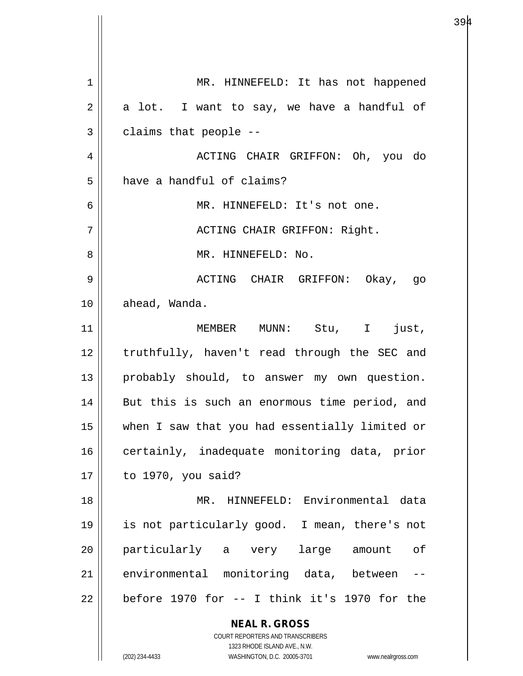| 1  | MR. HINNEFELD: It has not happened                                                                  |
|----|-----------------------------------------------------------------------------------------------------|
| 2  | a lot. I want to say, we have a handful of                                                          |
| 3  | claims that people --                                                                               |
| 4  | ACTING CHAIR GRIFFON: Oh, you do                                                                    |
| 5  | have a handful of claims?                                                                           |
| 6  | MR. HINNEFELD: It's not one.                                                                        |
| 7  | ACTING CHAIR GRIFFON: Right.                                                                        |
| 8  | MR. HINNEFELD: No.                                                                                  |
| 9  | ACTING CHAIR GRIFFON: Okay, go                                                                      |
| 10 | ahead, Wanda.                                                                                       |
| 11 | MEMBER MUNN: Stu, I just,                                                                           |
| 12 | truthfully, haven't read through the SEC and                                                        |
| 13 | probably should, to answer my own question.                                                         |
| 14 | But this is such an enormous time period, and                                                       |
| 15 | when I saw that you had essentially limited or                                                      |
| 16 | certainly, inadequate monitoring data, prior                                                        |
| 17 | to 1970, you said?                                                                                  |
| 18 | MR. HINNEFELD: Environmental data                                                                   |
| 19 | is not particularly good. I mean, there's not                                                       |
| 20 | particularly a very large amount<br>of                                                              |
| 21 | environmental monitoring data, between                                                              |
| 22 | before 1970 for -- I think it's 1970 for the                                                        |
|    | <b>NEAL R. GROSS</b>                                                                                |
|    | COURT REPORTERS AND TRANSCRIBERS                                                                    |
|    | 1323 RHODE ISLAND AVE., N.W.<br>(202) 234-4433<br>WASHINGTON, D.C. 20005-3701<br>www.nealrgross.com |
|    |                                                                                                     |

 $\mathsf{I}$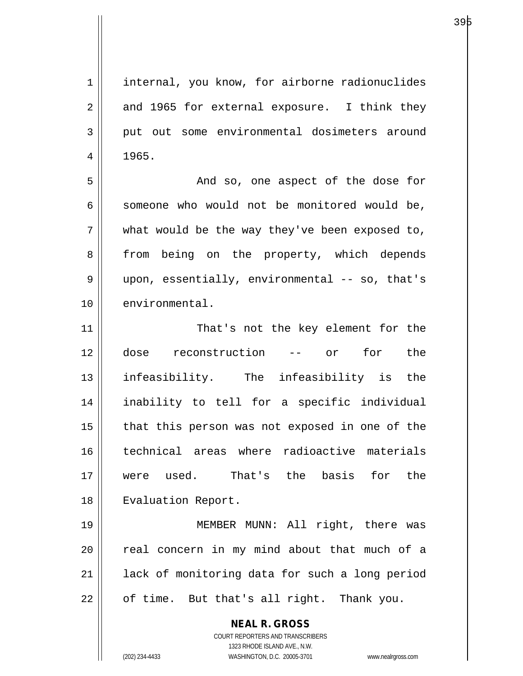**NEAL R. GROSS** COURT REPORTERS AND TRANSCRIBERS 1323 RHODE ISLAND AVE., N.W. 1 | internal, you know, for airborne radionuclides  $2 \parallel$  and 1965 for external exposure. I think they 3 put out some environmental dosimeters around  $4 \mid 1965.$ 5 And so, one aspect of the dose for  $6 \parallel$  someone who would not be monitored would be,  $7$  || what would be the way they've been exposed to, 8 || from being on the property, which depends 9 || upon, essentially, environmental -- so, that's 10 | environmental. 11 || That's not the key element for the 12 dose reconstruction -- or for the 13 infeasibility. The infeasibility is the 14 inability to tell for a specific individual  $15$  | that this person was not exposed in one of the 16 technical areas where radioactive materials 17 were used. That's the basis for the 18 | Evaluation Report. 19 MEMBER MUNN: All right, there was  $20$  || real concern in my mind about that much of a 21 || lack of monitoring data for such a long period  $22$  | of time. But that's all right. Thank you.

(202) 234-4433 WASHINGTON, D.C. 20005-3701 www.nealrgross.com

а о производите на 1936 године на 1946 године на 1946 године на 1946 године и 1946 године и 1946 године и 1940<br>В 1940 године 1940 године на 1940 године и 1940 године 1940 године и 1940 године 1940 године 1940 године 1940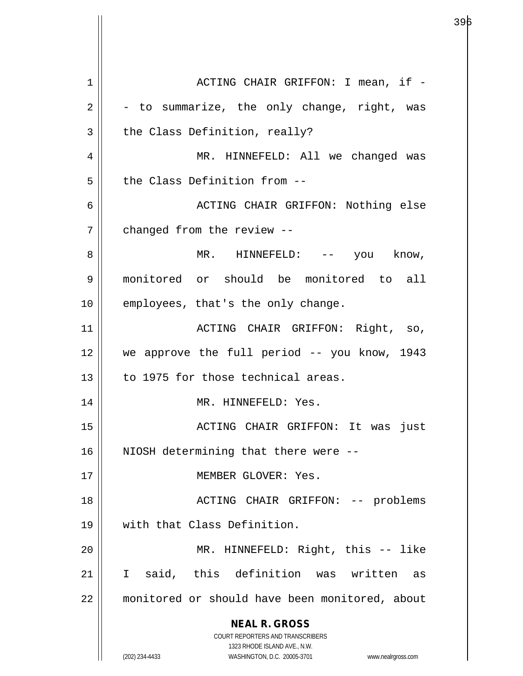**NEAL R. GROSS** COURT REPORTERS AND TRANSCRIBERS 1323 RHODE ISLAND AVE., N.W. (202) 234-4433 WASHINGTON, D.C. 20005-3701 www.nealrgross.com 1 ACTING CHAIR GRIFFON: I mean, if -  $2 \parallel$  - to summarize, the only change, right, was  $3 \parallel$  the Class Definition, really? 4 MR. HINNEFELD: All we changed was 5 d the Class Definition from --6 ACTING CHAIR GRIFFON: Nothing else 7 | changed from the review --8 MR. HINNEFELD: -- you know, 9 monitored or should be monitored to all 10 || employees, that's the only change. 11 ACTING CHAIR GRIFFON: Right, so, 12 we approve the full period -- you know, 1943 13 to 1975 for those technical areas. 14 || MR. HINNEFELD: Yes. 15 ACTING CHAIR GRIFFON: It was just 16 || NIOSH determining that there were --17 || **MEMBER GLOVER: Yes.** 18 ACTING CHAIR GRIFFON: -- problems 19 with that Class Definition. 20 MR. HINNEFELD: Right, this -- like 21 I said, this definition was written as 22 monitored or should have been monitored, about

а се од селото на 1946 година во 1946 година, кои 1946 година од селото на 1940 година, кои 1940 година од 194<br>Во 1940 година од селото на 1940 година, кои 1940 година, кои 1940 година, кои 1940 година, кои 1940 година, к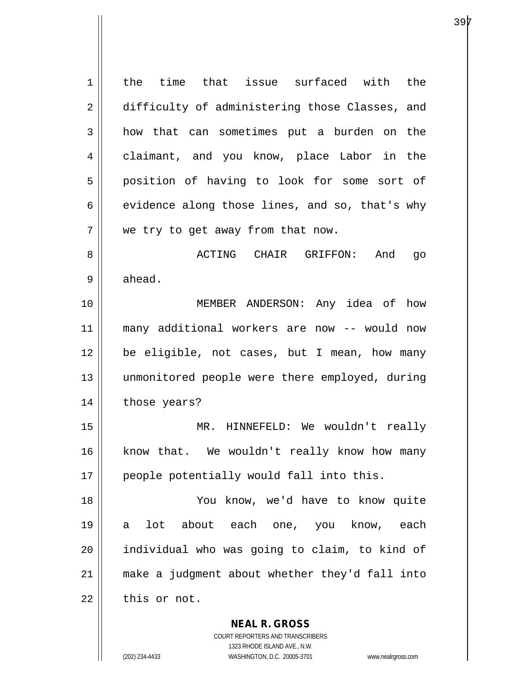1 | the time that issue surfaced with the 2 difficulty of administering those Classes, and 3 how that can sometimes put a burden on the 4 claimant, and you know, place Labor in the 5 || position of having to look for some sort of  $6 \parallel$  evidence along those lines, and so, that's why  $7$  | we try to get away from that now. 8 ACTING CHAIR GRIFFON: And go  $9 \parallel$  ahead. 10 MEMBER ANDERSON: Any idea of how 11 many additional workers are now -- would now 12 be eligible, not cases, but I mean, how many 13 unmonitored people were there employed, during 14 | those years? 15 MR. HINNEFELD: We wouldn't really 16 || know that. We wouldn't really know how many 17 || people potentially would fall into this. 18 You know, we'd have to know quite 19 a lot about each one, you know, each  $20$  || individual who was going to claim, to kind of 21 make a judgment about whether they'd fall into  $22$   $\parallel$  this or not.

> **NEAL R. GROSS** COURT REPORTERS AND TRANSCRIBERS 1323 RHODE ISLAND AVE., N.W.

(202) 234-4433 WASHINGTON, D.C. 20005-3701 www.nealrgross.com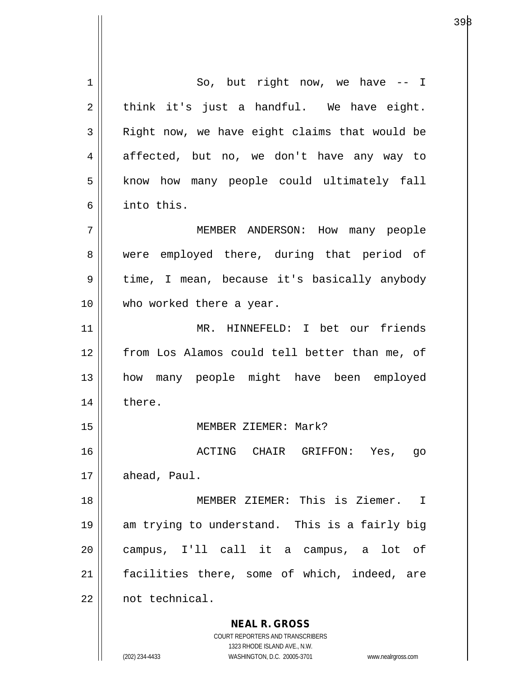**NEAL R. GROSS** COURT REPORTERS AND TRANSCRIBERS 1323 RHODE ISLAND AVE., N.W. (202) 234-4433 WASHINGTON, D.C. 20005-3701 www.nealrgross.com  $1 \parallel$  So, but right now, we have  $-1$  $2 \parallel$  think it's just a handful. We have eight. 3 | Right now, we have eight claims that would be 4 affected, but no, we don't have any way to 5 || know how many people could ultimately fall 6 into this. 7 MEMBER ANDERSON: How many people 8 || were employed there, during that period of 9 || time, I mean, because it's basically anybody 10 || who worked there a year. 11 MR. HINNEFELD: I bet our friends 12 from Los Alamos could tell better than me, of 13 how many people might have been employed 14 || there. 15 MEMBER ZIEMER: Mark? 16 ACTING CHAIR GRIFFON: Yes, go 17 | ahead, Paul. 18 || **MEMBER ZIEMER:** This is Ziemer. I 19 am trying to understand. This is a fairly big 20 campus, I'll call it a campus, a lot of 21 || facilities there, some of which, indeed, are 22 not technical.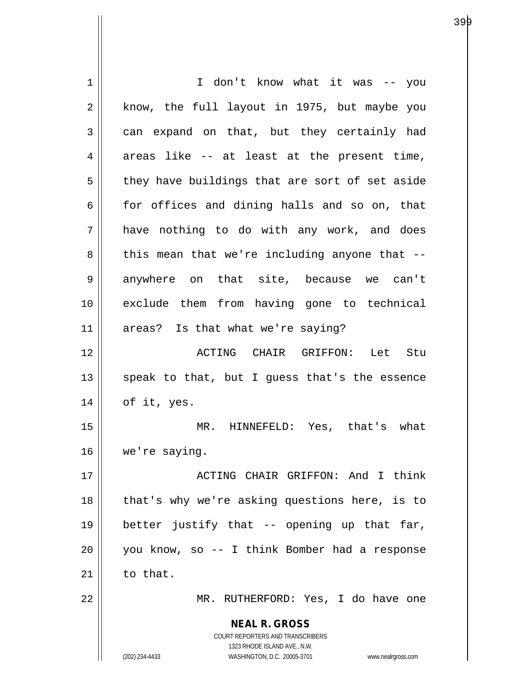| 1              | I don't know what it was -- you                                     |
|----------------|---------------------------------------------------------------------|
| $\overline{2}$ | know, the full layout in 1975, but maybe you                        |
| 3              | can expand on that, but they certainly had                          |
| 4              | areas like -- at least at the present time,                         |
| 5              | they have buildings that are sort of set aside                      |
| 6              | for offices and dining halls and so on, that                        |
| 7              | have nothing to do with any work, and does                          |
| 8              | this mean that we're including anyone that --                       |
| 9              | anywhere on that site, because we can't                             |
| 10             | exclude them from having gone to technical                          |
| 11             | areas? Is that what we're saying?                                   |
| 12             | ACTING CHAIR GRIFFON: Let Stu                                       |
| 13             | speak to that, but I guess that's the essence                       |
| 14             | of it, yes.                                                         |
| 15             | MR. HINNEFELD: Yes, that's what                                     |
| 16             | we're saying.                                                       |
| 17             | ACTING CHAIR GRIFFON: And I think                                   |
| 18             | that's why we're asking questions here, is to                       |
| 19             | better justify that -- opening up that far,                         |
| 20             | you know, so -- I think Bomber had a response                       |
| 21             | to that.                                                            |
| 22             | MR. RUTHERFORD: Yes, I do have one                                  |
|                | <b>NEAL R. GROSS</b>                                                |
|                | COURT REPORTERS AND TRANSCRIBERS<br>1323 RHODE ISLAND AVE., N.W.    |
|                | (202) 234-4433<br>WASHINGTON, D.C. 20005-3701<br>www.nealrgross.com |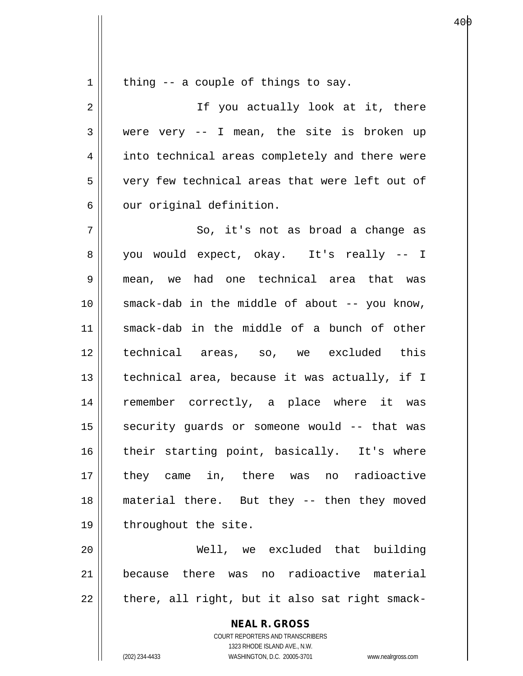$1 \parallel$  thing -- a couple of things to say.

2 || If you actually look at it, there 3 were very -- I mean, the site is broken up 4 || into technical areas completely and there were 5 || very few technical areas that were left out of  $6 \parallel$  our original definition.  $7 \parallel$  So, it's not as broad a change as

8 you would expect, okay. It's really -- I 9 mean, we had one technical area that was  $10$  || smack-dab in the middle of about -- you know, 11 smack-dab in the middle of a bunch of other 12 technical areas, so, we excluded this  $13$  | technical area, because it was actually, if I 14 remember correctly, a place where it was 15 || security guards or someone would -- that was 16 || their starting point, basically. It's where 17 they came in, there was no radioactive 18 material there. But they -- then they moved 19 | throughout the site.

20 Well, we excluded that building 21 because there was no radioactive material  $22$  || there, all right, but it also sat right smack-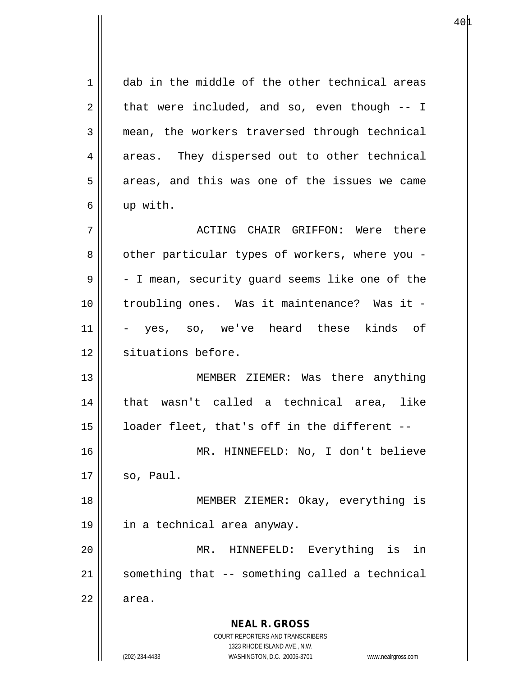**NEAL R. GROSS** COURT REPORTERS AND TRANSCRIBERS 1323 RHODE ISLAND AVE., N.W. (202) 234-4433 WASHINGTON, D.C. 20005-3701 www.nealrgross.com 1 dab in the middle of the other technical areas  $2 \parallel$  that were included, and so, even though  $-1$ 3 mean, the workers traversed through technical 4 || areas. They dispersed out to other technical  $5 \parallel$  areas, and this was one of the issues we came 6 up with. 7 ACTING CHAIR GRIFFON: Were there 8 || other particular types of workers, where you - $9 \parallel$  - I mean, security guard seems like one of the 10 troubling ones. Was it maintenance? Was it - 11 - yes, so, we've heard these kinds of 12 || situations before. 13 || MEMBER ZIEMER: Was there anything 14 that wasn't called a technical area, like 15  $\parallel$  1 oader fleet, that's off in the different --16 MR. HINNEFELD: No, I don't believe  $17$  so, Paul. 18 MEMBER ZIEMER: Okay, everything is 19 in a technical area anyway. 20 MR. HINNEFELD: Everything is in 21 || something that -- something called a technical  $22 \parallel$  area.

 $40\text{\AA}$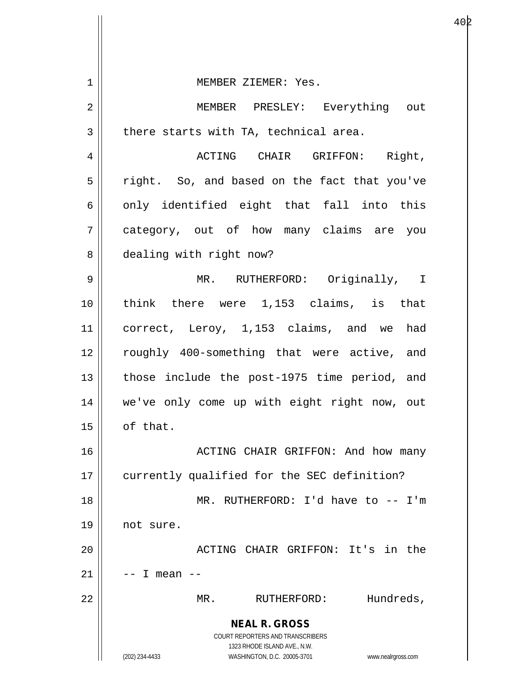| 1  | MEMBER ZIEMER: Yes.                                                 |
|----|---------------------------------------------------------------------|
| 2  | MEMBER PRESLEY: Everything out                                      |
| 3  | there starts with TA, technical area.                               |
| 4  | ACTING CHAIR GRIFFON: Right,                                        |
| 5  | right. So, and based on the fact that you've                        |
| 6  | only identified eight that fall into this                           |
| 7  | category, out of how many claims are you                            |
| 8  | dealing with right now?                                             |
| 9  | MR. RUTHERFORD: Originally, I                                       |
| 10 | think there were 1,153 claims, is that                              |
| 11 | correct, Leroy, 1,153 claims, and we had                            |
| 12 | roughly 400-something that were active, and                         |
| 13 | those include the post-1975 time period, and                        |
| 14 | we've only come up with eight right now, out                        |
| 15 | of that.                                                            |
| 16 | ACTING CHAIR GRIFFON: And how many                                  |
| 17 | currently qualified for the SEC definition?                         |
| 18 | MR. RUTHERFORD: I'd have to -- I'm                                  |
| 19 | not sure.                                                           |
| 20 | ACTING CHAIR GRIFFON: It's in the                                   |
| 21 | $--$ I mean $--$                                                    |
| 22 | Hundreds,<br>MR.<br>RUTHERFORD:                                     |
|    | <b>NEAL R. GROSS</b><br><b>COURT REPORTERS AND TRANSCRIBERS</b>     |
|    | 1323 RHODE ISLAND AVE., N.W.                                        |
|    | (202) 234-4433<br>WASHINGTON, D.C. 20005-3701<br>www.nealrgross.com |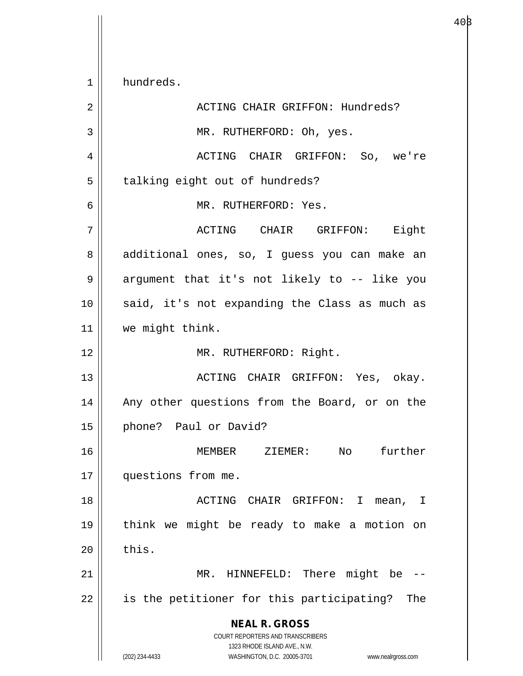**NEAL R. GROSS** COURT REPORTERS AND TRANSCRIBERS 1323 RHODE ISLAND AVE., N.W. (202) 234-4433 WASHINGTON, D.C. 20005-3701 www.nealrgross.com 1 hundreds. 2 ACTING CHAIR GRIFFON: Hundreds? 3 || MR. RUTHERFORD: Oh, yes. 4 ACTING CHAIR GRIFFON: So, we're 5 | talking eight out of hundreds? 6 MR. RUTHERFORD: Yes. 7 ACTING CHAIR GRIFFON: Eight 8 | additional ones, so, I guess you can make an 9 || argument that it's not likely to -- like you 10 || said, it's not expanding the Class as much as 11 | we might think. 12 || MR. RUTHERFORD: Right. 13 ACTING CHAIR GRIFFON: Yes, okay. 14 || Any other questions from the Board, or on the 15 || phone? Paul or David? 16 MEMBER ZIEMER: No further 17 | questions from me. 18 || ACTING CHAIR GRIFFON: I mean, I 19 think we might be ready to make a motion on  $20$   $\parallel$  this. 21 || MR. HINNEFELD: There might be -- $22$  || is the petitioner for this participating? The

 $40\beta$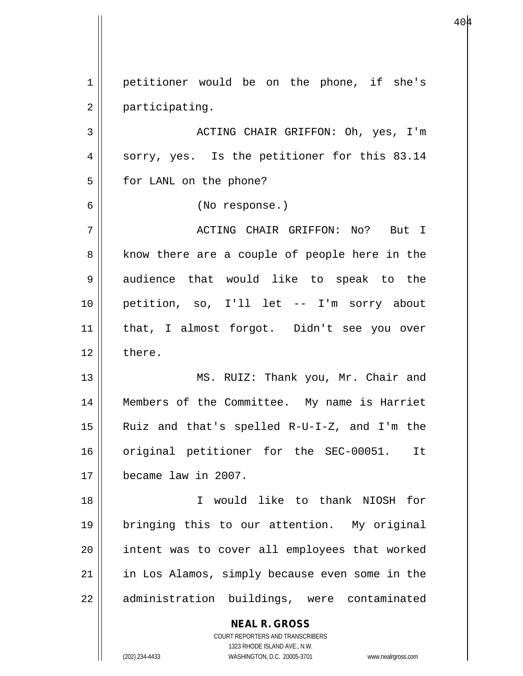**NEAL R. GROSS** COURT REPORTERS AND TRANSCRIBERS 1 | petitioner would be on the phone, if she's 2 | participating. 3 ACTING CHAIR GRIFFON: Oh, yes, I'm 4 || sorry, yes. Is the petitioner for this 83.14 5 | for LANL on the phone? 6 (No response.) 7 ACTING CHAIR GRIFFON: No? But I 8 || know there are a couple of people here in the 9 audience that would like to speak to the 10 petition, so, I'll let -- I'm sorry about 11 that, I almost forgot. Didn't see you over  $12 \parallel$  there. 13 || MS. RUIZ: Thank you, Mr. Chair and 14 Members of the Committee. My name is Harriet 15 Ruiz and that's spelled R-U-I-Z, and I'm the 16 || original petitioner for the SEC-00051. It 17 became law in 2007. 18 I would like to thank NIOSH for 19 bringing this to our attention. My original 20 intent was to cover all employees that worked 21 || in Los Alamos, simply because even some in the 22 | administration buildings, were contaminated

1323 RHODE ISLAND AVE., N.W.

(202) 234-4433 WASHINGTON, D.C. 20005-3701 www.nealrgross.com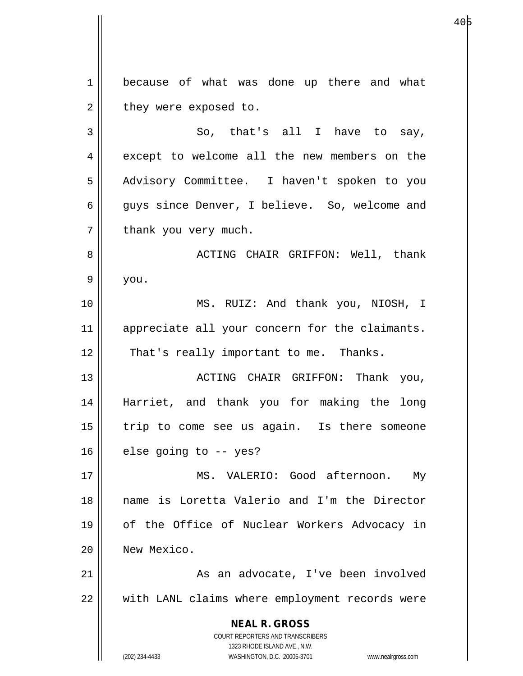**NEAL R. GROSS** COURT REPORTERS AND TRANSCRIBERS 1323 RHODE ISLAND AVE., N.W. (202) 234-4433 WASHINGTON, D.C. 20005-3701 www.nealrgross.com 1 because of what was done up there and what  $2 \parallel$  they were exposed to.  $3 \parallel$  So, that's all I have to say, 4 except to welcome all the new members on the 5 | Advisory Committee. I haven't spoken to you 6 guys since Denver, I believe. So, welcome and  $7$  | thank you very much. 8 ACTING CHAIR GRIFFON: Well, thank  $9 \parallel$  you. 10 || MS. RUIZ: And thank you, NIOSH, I 11 || appreciate all your concern for the claimants.  $12$  | That's really important to me. Thanks. 13 || ACTING CHAIR GRIFFON: Thank you, 14 Harriet, and thank you for making the long 15 || trip to come see us again. Is there someone  $16$  | else going to -- yes? 17 MS. VALERIO: Good afternoon. My 18 name is Loretta Valerio and I'm the Director 19 of the Office of Nuclear Workers Advocacy in 20 New Mexico. 21 || As an advocate, I've been involved 22 with LANL claims where employment records were

е в 1966 године в 1966 године в 1966 године в 1966 године в 1966 године в 1966 године в 1966 године в 1966 год<br>В 1966 године в 1966 године в 1966 године в 1966 године в 1966 године в 1966 године в 1966 године в 1966 годин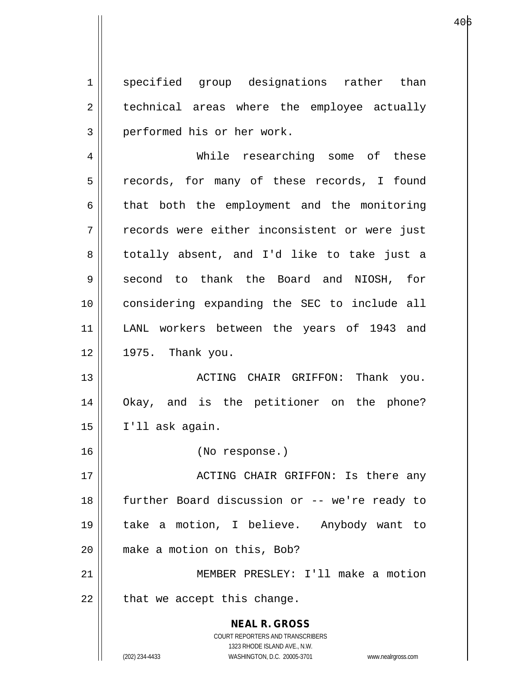1 || specified group designations rather than 2 || technical areas where the employee actually 3 || performed his or her work.

4 While researching some of these 5 || records, for many of these records, I found  $6 \parallel$  that both the employment and the monitoring 7 || records were either inconsistent or were just 8 || totally absent, and I'd like to take just a 9 Second to thank the Board and NIOSH, for 10 considering expanding the SEC to include all 11 LANL workers between the years of 1943 and 12 1975. Thank you.

13 || ACTING CHAIR GRIFFON: Thank you. 14 Okay, and is the petitioner on the phone?  $15 \parallel$  I'll ask again.

16 (No response.)

17 ACTING CHAIR GRIFFON: Is there any 18 || further Board discussion or -- we're ready to 19 take a motion, I believe. Anybody want to 20 || make a motion on this, Bob?

21 MEMBER PRESLEY: I'll make a motion  $22$  | that we accept this change.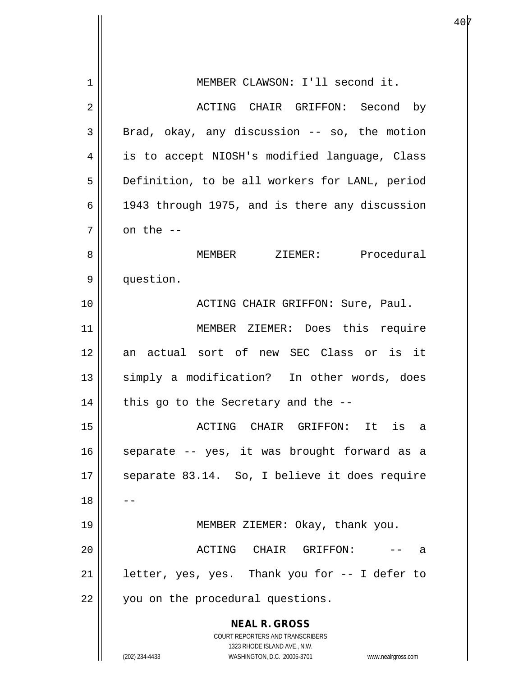| $\mathbf 1$ | MEMBER CLAWSON: I'll second it.                                     |
|-------------|---------------------------------------------------------------------|
| 2           | ACTING CHAIR GRIFFON: Second by                                     |
| 3           | Brad, okay, any discussion -- so, the motion                        |
| 4           | is to accept NIOSH's modified language, Class                       |
| 5           | Definition, to be all workers for LANL, period                      |
| 6           | 1943 through 1975, and is there any discussion                      |
| 7           | on the --                                                           |
| 8           | MEMBER ZIEMER: Procedural                                           |
| 9           | question.                                                           |
| 10          | ACTING CHAIR GRIFFON: Sure, Paul.                                   |
| 11          | MEMBER ZIEMER: Does this require                                    |
| 12          | an actual sort of new SEC Class or is it                            |
| 13          | simply a modification? In other words, does                         |
| 14          | this go to the Secretary and the --                                 |
| 15          | ACTING CHAIR GRIFFON: It is<br>a                                    |
| 16          | separate -- yes, it was brought forward as a                        |
| 17          | separate 83.14. So, I believe it does require                       |
| 18          |                                                                     |
| 19          | MEMBER ZIEMER: Okay, thank you.                                     |
| 20          | ACTING CHAIR GRIFFON:<br>а                                          |
| 21          | letter, yes, yes. Thank you for -- I defer to                       |
| 22          | you on the procedural questions.                                    |
|             | <b>NEAL R. GROSS</b>                                                |
|             | COURT REPORTERS AND TRANSCRIBERS<br>1323 RHODE ISLAND AVE., N.W.    |
|             | (202) 234-4433<br>WASHINGTON, D.C. 20005-3701<br>www.nealrgross.com |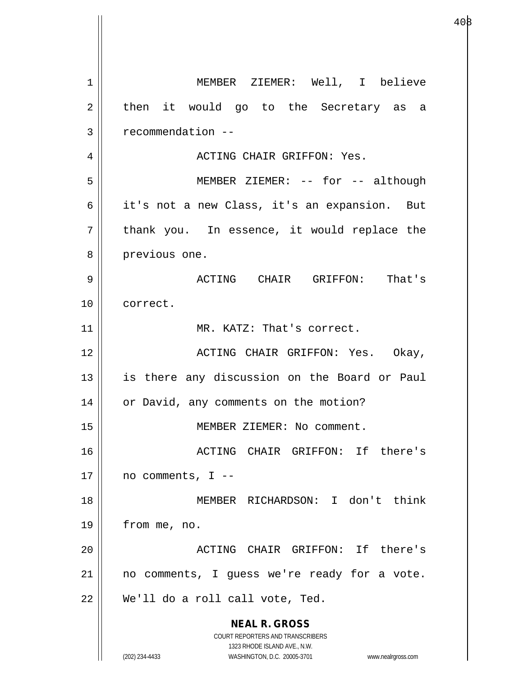**NEAL R. GROSS** COURT REPORTERS AND TRANSCRIBERS 1323 RHODE ISLAND AVE., N.W. (202) 234-4433 WASHINGTON, D.C. 20005-3701 www.nealrgross.com 1 MEMBER ZIEMER: Well, I believe  $2 \parallel$  then it would go to the Secretary as a  $3 \parallel$  recommendation  $-$ 4 ACTING CHAIR GRIFFON: Yes. 5 MEMBER ZIEMER: -- for -- although 6 || it's not a new Class, it's an expansion. But  $7 \parallel$  thank you. In essence, it would replace the 8 || previous one. 9 ACTING CHAIR GRIFFON: That's 10 correct. 11 || MR. KATZ: That's correct. 12 ACTING CHAIR GRIFFON: Yes. Okay, 13 || is there any discussion on the Board or Paul 14 | or David, any comments on the motion? 15 || MEMBER ZIEMER: No comment. 16 ACTING CHAIR GRIFFON: If there's  $17 \parallel$  no comments, I --18 MEMBER RICHARDSON: I don't think 19 from me, no. 20 ACTING CHAIR GRIFFON: If there's 21 || no comments, I guess we're ready for a vote.  $22 \parallel$  We'll do a roll call vote, Ted.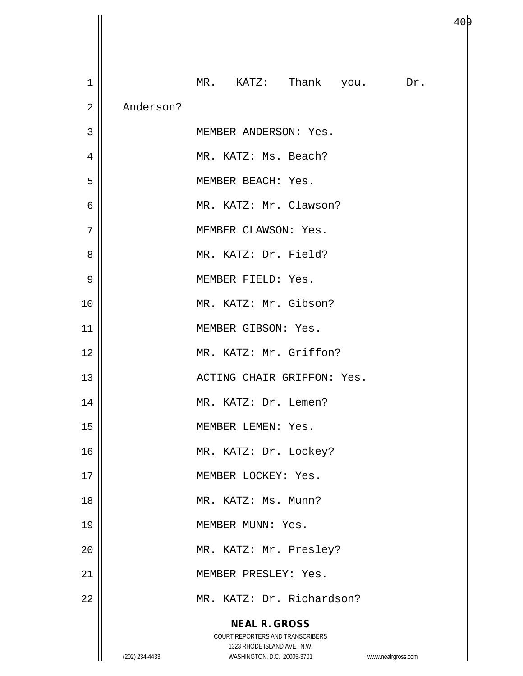| MR. KATZ: Thank you. Dr. |
|--------------------------|
|                          |
|                          |
|                          |
|                          |
|                          |
|                          |
|                          |
|                          |
|                          |
|                          |
|                          |
|                          |
|                          |
|                          |
|                          |
|                          |
|                          |
|                          |
|                          |
|                          |
|                          |
|                          |
|                          |
|                          |
|                          |
|                          |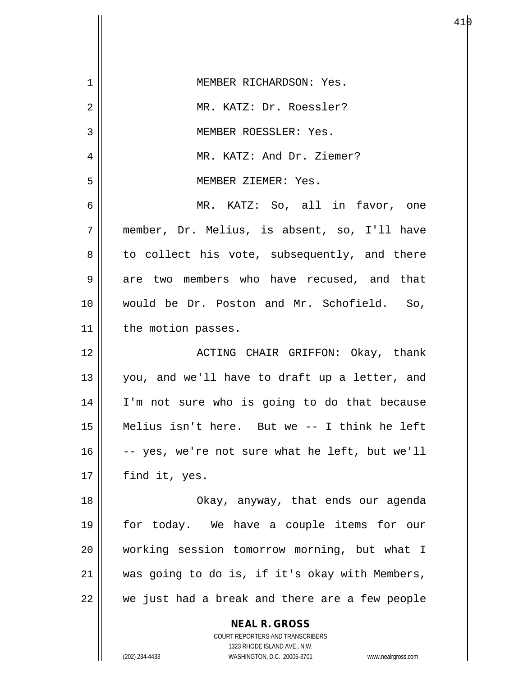| $\mathbf 1$ | MEMBER RICHARDSON: Yes.                                  |
|-------------|----------------------------------------------------------|
| 2           | MR. KATZ: Dr. Roessler?                                  |
| 3           | MEMBER ROESSLER: Yes.                                    |
| 4           | MR. KATZ: And Dr. Ziemer?                                |
| 5           | MEMBER ZIEMER: Yes.                                      |
| 6           | MR. KATZ: So, all in favor, one                          |
| 7           | member, Dr. Melius, is absent, so, I'll have             |
| 8           | to collect his vote, subsequently, and there             |
| 9           | are two members who have recused, and that               |
| 10          | would be Dr. Poston and Mr. Schofield. So,               |
| 11          | the motion passes.                                       |
| 12          | ACTING CHAIR GRIFFON: Okay, thank                        |
| 13          | you, and we'll have to draft up a letter, and            |
| 14          | I'm not sure who is going to do that because             |
| 15          | Melius isn't here. But we -- I think he left             |
| 16          | -- yes, we're not sure what he left, but we'll           |
| 17          | find it, yes.                                            |
| 18          | Okay, anyway, that ends our agenda                       |
| 19          | for today. We have a couple items for our                |
| 20          | working session tomorrow morning, but what I             |
| 21          | was going to do is, if it's okay with Members,           |
| 22          | we just had a break and there are a few people           |
|             | <b>NEAL R. GROSS</b><br>COURT REPORTERS AND TRANSCRIBERS |

1323 RHODE ISLAND AVE., N.W.

 $\mathbf{I}$  $\prod$ 

 $\mathsf{I}$ 

(202) 234-4433 WASHINGTON, D.C. 20005-3701 www.nealrgross.com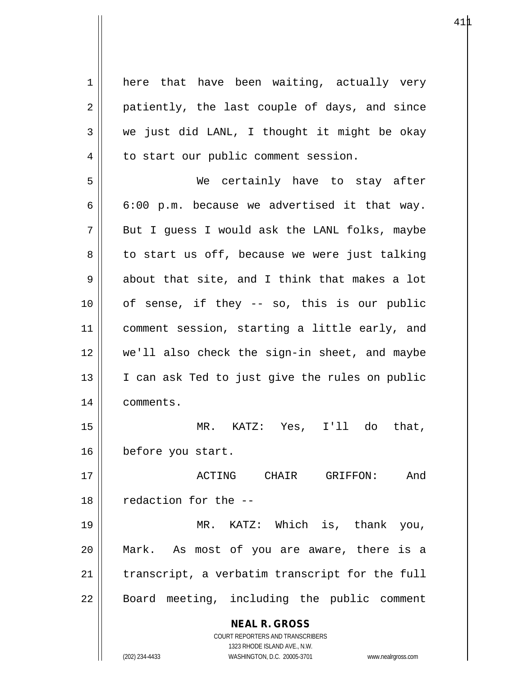**NEAL R. GROSS** COURT REPORTERS AND TRANSCRIBERS 1323 RHODE ISLAND AVE., N.W. 1 || here that have been waiting, actually very  $2 \parallel$  patiently, the last couple of days, and since  $3 \parallel$  we just did LANL, I thought it might be okay  $4 \parallel$  to start our public comment session. 5 We certainly have to stay after  $6 \parallel 6:00 \text{ p.m.}$  because we advertised it that way.  $7 \parallel$  But I guess I would ask the LANL folks, maybe  $8 \parallel$  to start us off, because we were just talking  $9 \parallel$  about that site, and I think that makes a lot  $10$  | of sense, if they -- so, this is our public 11 comment session, starting a little early, and 12 we'll also check the sign-in sheet, and maybe 13 || I can ask Ted to just give the rules on public 14 | comments. 15 MR. KATZ: Yes, I'll do that, 16 before you start. 17 ACTING CHAIR GRIFFON: And 18 || redaction for the --19 MR. KATZ: Which is, thank you, 20 Mark. As most of you are aware, there is a  $21$  | transcript, a verbatim transcript for the full 22 || Board meeting, including the public comment

(202) 234-4433 WASHINGTON, D.C. 20005-3701 www.nealrgross.com

 $41\mu$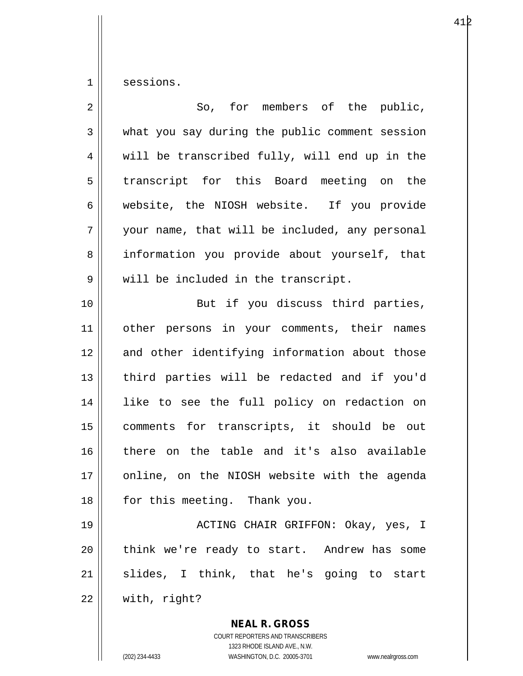1 sessions.

| $\overline{2}$ | So, for members of the public,                                                                                                                                  |
|----------------|-----------------------------------------------------------------------------------------------------------------------------------------------------------------|
| 3              | what you say during the public comment session                                                                                                                  |
| 4              | will be transcribed fully, will end up in the                                                                                                                   |
| 5              | transcript for this Board meeting on the                                                                                                                        |
| 6              | website, the NIOSH website. If you provide                                                                                                                      |
| 7              | your name, that will be included, any personal                                                                                                                  |
| 8              | information you provide about yourself, that                                                                                                                    |
| 9              | will be included in the transcript.                                                                                                                             |
| 10             | But if you discuss third parties,                                                                                                                               |
| 11             | other persons in your comments, their names                                                                                                                     |
| 12             | and other identifying information about those                                                                                                                   |
| 13             | third parties will be redacted and if you'd                                                                                                                     |
| 14             | like to see the full policy on redaction on                                                                                                                     |
| 15             | comments for transcripts, it should be out                                                                                                                      |
| 16             | there on the table and it's also available                                                                                                                      |
| 17             | online, on the NIOSH website with the agenda                                                                                                                    |
| 18             | for this meeting. Thank you.                                                                                                                                    |
| 19             | ACTING CHAIR GRIFFON: Okay, yes, I                                                                                                                              |
| 20             | think we're ready to start. Andrew has some                                                                                                                     |
| 21             | slides, I think, that he's going to start                                                                                                                       |
| 22             | with, right?                                                                                                                                                    |
|                | <b>NEAL R. GROSS</b><br>COURT REPORTERS AND TRANSCRIBERS<br>1323 RHODE ISLAND AVE., N.W.<br>(202) 234-4433<br>WASHINGTON, D.C. 20005-3701<br>www.nealrgross.com |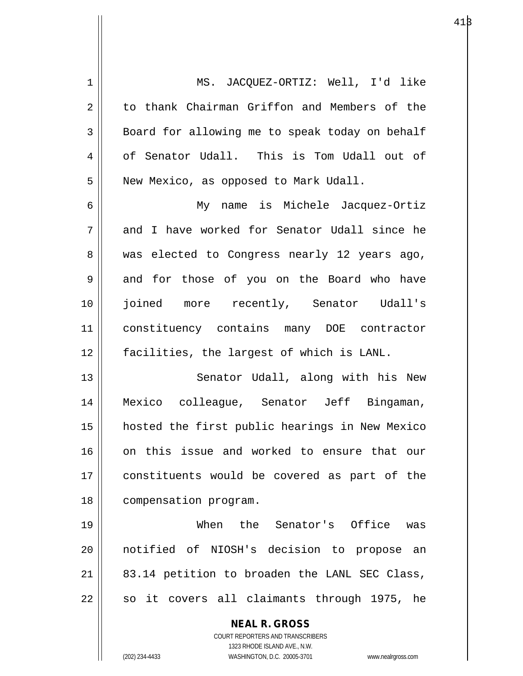| $\mathbf 1$ | MS. JACQUEZ-ORTIZ: Well, I'd like                                   |
|-------------|---------------------------------------------------------------------|
| 2           | to thank Chairman Griffon and Members of the                        |
| 3           | Board for allowing me to speak today on behalf                      |
| 4           | of Senator Udall. This is Tom Udall out of                          |
| 5           | New Mexico, as opposed to Mark Udall.                               |
| 6           | My name is Michele Jacquez-Ortiz                                    |
| 7           | and I have worked for Senator Udall since he                        |
| 8           | was elected to Congress nearly 12 years ago,                        |
| 9           | and for those of you on the Board who have                          |
| 10          | joined more recently, Senator Udall's                               |
| 11          | constituency contains many DOE contractor                           |
| 12          | facilities, the largest of which is LANL.                           |
| 13          | Senator Udall, along with his New                                   |
| 14          | Mexico colleague, Senator Jeff Bingaman,                            |
| 15          | hosted the first public hearings in New Mexico                      |
| 16          | on this issue and worked to ensure that our                         |
| 17          | constituents would be covered as part of the                        |
| 18          | compensation program.                                               |
| 19          | When the Senator's Office<br>was                                    |
| 20          | notified of NIOSH's decision to propose an                          |
| 21          | 83.14 petition to broaden the LANL SEC Class,                       |
| 22          | it covers all claimants through 1975, he<br>SO                      |
|             | <b>NEAL R. GROSS</b>                                                |
|             | COURT REPORTERS AND TRANSCRIBERS                                    |
|             | 1323 RHODE ISLAND AVE., N.W.                                        |
|             | (202) 234-4433<br>WASHINGTON, D.C. 20005-3701<br>www.nealrgross.com |

 $41\beta$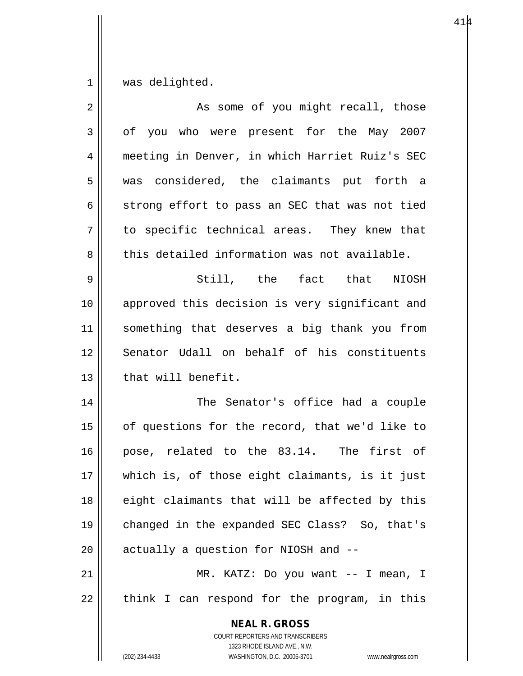$1$  was delighted.

| $\overline{2}$ | As some of you might recall, those                                                                                                                              |
|----------------|-----------------------------------------------------------------------------------------------------------------------------------------------------------------|
| $\mathfrak{Z}$ | of you who were present for the May 2007                                                                                                                        |
| 4              | meeting in Denver, in which Harriet Ruiz's SEC                                                                                                                  |
| 5              | was considered, the claimants put forth a                                                                                                                       |
| 6              | strong effort to pass an SEC that was not tied                                                                                                                  |
| 7              | to specific technical areas. They knew that                                                                                                                     |
| 8              | this detailed information was not available.                                                                                                                    |
| 9              | Still, the fact that NIOSH                                                                                                                                      |
| 10             | approved this decision is very significant and                                                                                                                  |
| 11             | something that deserves a big thank you from                                                                                                                    |
| 12             | Senator Udall on behalf of his constituents                                                                                                                     |
| 13             | that will benefit.                                                                                                                                              |
| 14             | The Senator's office had a couple                                                                                                                               |
| 15             | of questions for the record, that we'd like to                                                                                                                  |
| 16             | pose, related to the 83.14. The first of                                                                                                                        |
| 17             | which is, of those eight claimants, is it just                                                                                                                  |
| 18             | eight claimants that will be affected by this                                                                                                                   |
| 19             | changed in the expanded SEC Class? So, that's                                                                                                                   |
| 20             | actually a question for NIOSH and --                                                                                                                            |
| 21             | MR. KATZ: Do you want -- I mean, I                                                                                                                              |
| 22             | think I can respond for the program, in this                                                                                                                    |
|                | <b>NEAL R. GROSS</b><br>COURT REPORTERS AND TRANSCRIBERS<br>1323 RHODE ISLAND AVE., N.W.<br>(202) 234-4433<br>WASHINGTON, D.C. 20005-3701<br>www.nealrgross.com |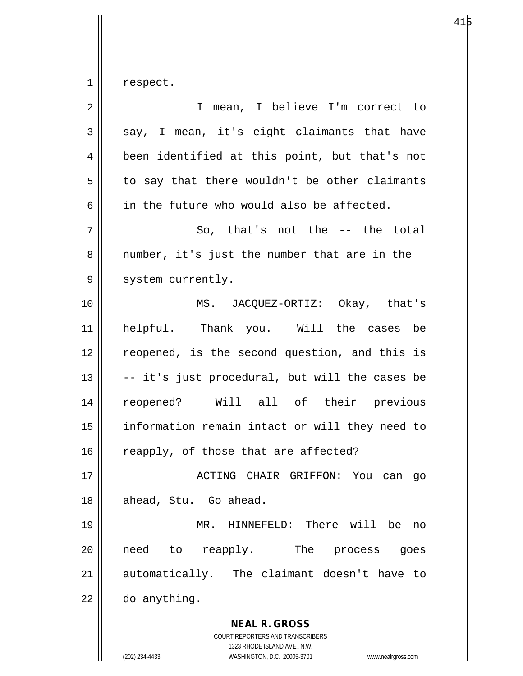$1 \parallel$  respect.

| $\overline{2}$ | I mean, I believe I'm correct to                                                                                                                                |
|----------------|-----------------------------------------------------------------------------------------------------------------------------------------------------------------|
| 3              | say, I mean, it's eight claimants that have                                                                                                                     |
| 4              | been identified at this point, but that's not                                                                                                                   |
| 5              | to say that there wouldn't be other claimants                                                                                                                   |
| 6              | in the future who would also be affected.                                                                                                                       |
| 7              | So, that's not the -- the total                                                                                                                                 |
| 8              | number, it's just the number that are in the                                                                                                                    |
| 9              | system currently.                                                                                                                                               |
| 10             | MS. JACQUEZ-ORTIZ: Okay, that's                                                                                                                                 |
| 11             | helpful. Thank you. Will the cases be                                                                                                                           |
| 12             | reopened, is the second question, and this is                                                                                                                   |
| 13             | -- it's just procedural, but will the cases be                                                                                                                  |
| 14             | reopened? Will all of their previous                                                                                                                            |
| 15             | information remain intact or will they need to                                                                                                                  |
| 16             | reapply, of those that are affected?                                                                                                                            |
| 17             | ACTING CHAIR GRIFFON: You can<br>go                                                                                                                             |
| 18             | ahead, Stu. Go ahead.                                                                                                                                           |
| 19             | HINNEFELD: There will<br>MR.<br>be<br>no                                                                                                                        |
| 20             | reapply.<br>The<br>need<br>to<br>process<br>goes                                                                                                                |
| 21             | automatically. The claimant doesn't have<br>to                                                                                                                  |
| 22             | do anything.                                                                                                                                                    |
|                | <b>NEAL R. GROSS</b><br>COURT REPORTERS AND TRANSCRIBERS<br>1323 RHODE ISLAND AVE., N.W.<br>(202) 234-4433<br>WASHINGTON, D.C. 20005-3701<br>www.nealrgross.com |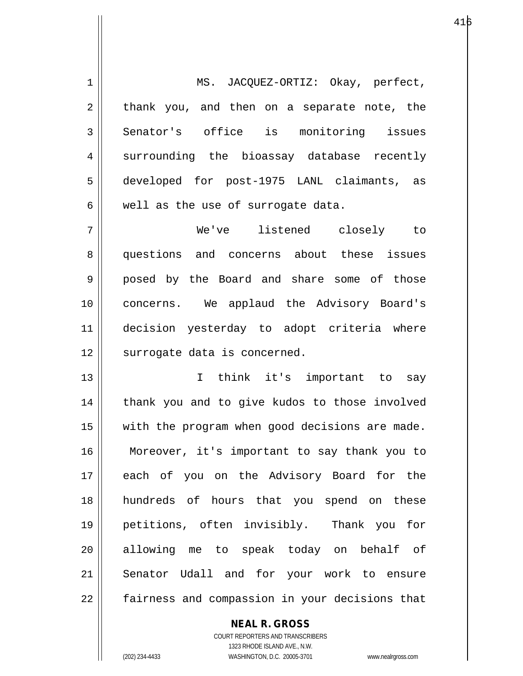1 || MS. JACQUEZ-ORTIZ: Okay, perfect,  $2 \parallel$  thank you, and then on a separate note, the 3 | Senator's office is monitoring issues 4 surrounding the bioassay database recently 5 developed for post-1975 LANL claimants, as  $6 \parallel$  well as the use of surrogate data.

7 We've listened closely to 8 questions and concerns about these issues 9 || posed by the Board and share some of those 10 concerns. We applaud the Advisory Board's 11 decision yesterday to adopt criteria where 12 | surrogate data is concerned.

13 I think it's important to say 14 || thank you and to give kudos to those involved 15 || with the program when good decisions are made. 16 Moreover, it's important to say thank you to 17 each of you on the Advisory Board for the 18 hundreds of hours that you spend on these 19 petitions, often invisibly. Thank you for 20 allowing me to speak today on behalf of 21 Senator Udall and for your work to ensure 22 || fairness and compassion in your decisions that

> COURT REPORTERS AND TRANSCRIBERS 1323 RHODE ISLAND AVE., N.W. (202) 234-4433 WASHINGTON, D.C. 20005-3701 www.nealrgross.com

**NEAL R. GROSS**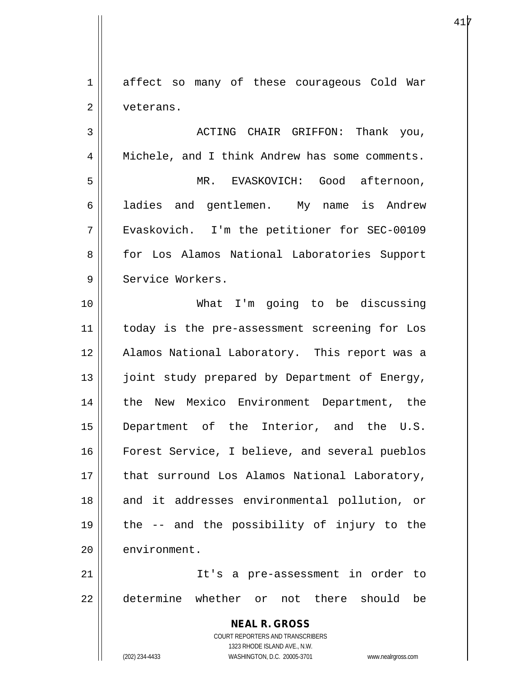1 affect so many of these courageous Cold War 2 | veterans.

3 ACTING CHAIR GRIFFON: Thank you, 4 || Michele, and I think Andrew has some comments. 5 MR. EVASKOVICH: Good afternoon, 6 and gentlemen. My name is Andrew 7 Evaskovich. I'm the petitioner for SEC-00109 8 for Los Alamos National Laboratories Support 9 H Service Workers. 10 What I'm going to be discussing 11 || today is the pre-assessment screening for Los 12 || Alamos National Laboratory. This report was a 13 || joint study prepared by Department of Energy, 14 || the New Mexico Environment Department, the 15 Department of the Interior, and the U.S. 16 Forest Service, I believe, and several pueblos 17 || that surround Los Alamos National Laboratory, 18 || and it addresses environmental pollution, or

20 environment.

21 It's a pre-assessment in order to 22 determine whether or not there should be

19 the -- and the possibility of injury to the

**NEAL R. GROSS** COURT REPORTERS AND TRANSCRIBERS 1323 RHODE ISLAND AVE., N.W. (202) 234-4433 WASHINGTON, D.C. 20005-3701 www.nealrgross.com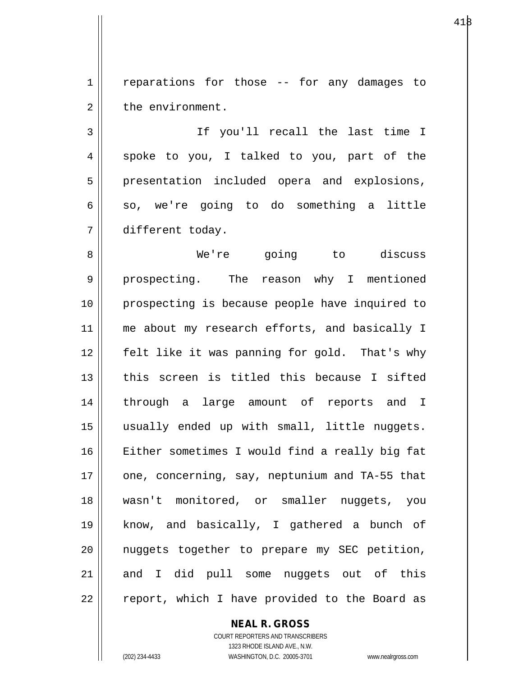1 | reparations for those -- for any damages to 2 | the environment.

3 If you'll recall the last time I  $4 \parallel$  spoke to you, I talked to you, part of the 5 || presentation included opera and explosions,  $6 \parallel$  so, we're going to do something a little 7 different today.

8 We're going to discuss 9 || prospecting. The reason why I mentioned 10 prospecting is because people have inquired to 11 || me about my research efforts, and basically I 12 felt like it was panning for gold. That's why 13 this screen is titled this because I sifted 14 through a large amount of reports and I 15 usually ended up with small, little nuggets. 16 Either sometimes I would find a really big fat 17  $\parallel$  one, concerning, say, neptunium and TA-55 that 18 wasn't monitored, or smaller nuggets, you 19 know, and basically, I gathered a bunch of  $20$  || nuggets together to prepare my SEC petition,  $21$  and I did pull some nuggets out of this 22 || report, which I have provided to the Board as

**NEAL R. GROSS**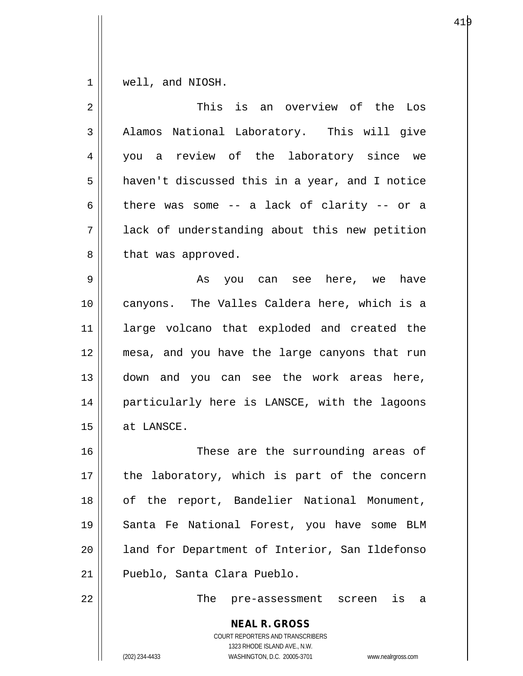$1 \parallel$  well, and NIOSH.

| $\overline{a}$ | This is an overview of the Los                                                                                                                                         |
|----------------|------------------------------------------------------------------------------------------------------------------------------------------------------------------------|
| $\mathfrak{Z}$ | Alamos National Laboratory. This will give                                                                                                                             |
| $\overline{4}$ | you a review of the laboratory since we                                                                                                                                |
| 5              | haven't discussed this in a year, and I notice                                                                                                                         |
| 6              | there was some -- a lack of clarity -- or a                                                                                                                            |
| 7              | lack of understanding about this new petition                                                                                                                          |
| 8              | that was approved.                                                                                                                                                     |
| 9              | As you can see here, we<br>have                                                                                                                                        |
| 10             | canyons. The Valles Caldera here, which is a                                                                                                                           |
| 11             | large volcano that exploded and created the                                                                                                                            |
| 12             | mesa, and you have the large canyons that run                                                                                                                          |
| 13             | down and you can see the work areas here,                                                                                                                              |
| 14             | particularly here is LANSCE, with the lagoons                                                                                                                          |
| 15             | at LANSCE.                                                                                                                                                             |
| 16             | These are the surrounding areas of                                                                                                                                     |
| 17             | the laboratory, which is part of the concern                                                                                                                           |
| 18             | of the report, Bandelier National Monument,                                                                                                                            |
| 19             | Santa Fe National Forest, you have some BLM                                                                                                                            |
| 20             | land for Department of Interior, San Ildefonso                                                                                                                         |
| 21             | Pueblo, Santa Clara Pueblo.                                                                                                                                            |
| 22             | The pre-assessment screen<br>is<br>a                                                                                                                                   |
|                | <b>NEAL R. GROSS</b><br><b>COURT REPORTERS AND TRANSCRIBERS</b><br>1323 RHODE ISLAND AVE., N.W.<br>(202) 234-4433<br>WASHINGTON, D.C. 20005-3701<br>www.nealrgross.com |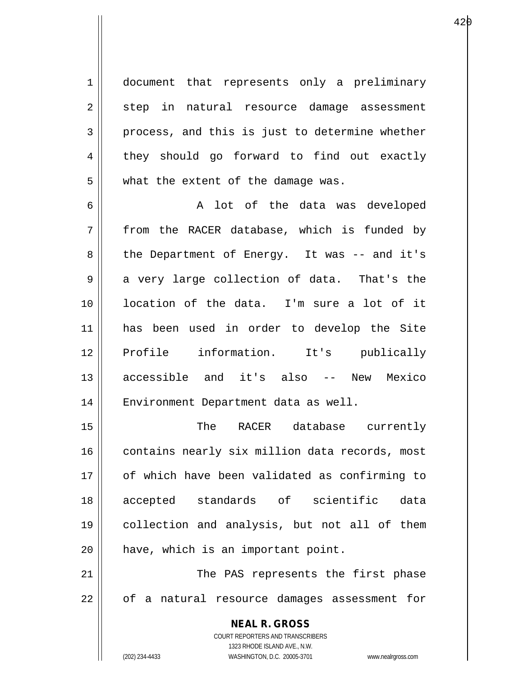1 document that represents only a preliminary 2 || step in natural resource damage assessment  $3 \parallel$  process, and this is just to determine whether 4 they should go forward to find out exactly  $5 \parallel$  what the extent of the damage was.

6 A lot of the data was developed  $7 \parallel$  from the RACER database, which is funded by 8 || the Department of Energy. It was -- and it's  $9 \parallel$  a very large collection of data. That's the 10 location of the data. I'm sure a lot of it 11 has been used in order to develop the Site 12 Profile information. It's publically 13 accessible and it's also -- New Mexico 14 || Environment Department data as well.

15 The RACER database currently 16 contains nearly six million data records, most 17 of which have been validated as confirming to 18 accepted standards of scientific data 19 collection and analysis, but not all of them 20 | have, which is an important point.

21 || The PAS represents the first phase 22 || of a natural resource damages assessment for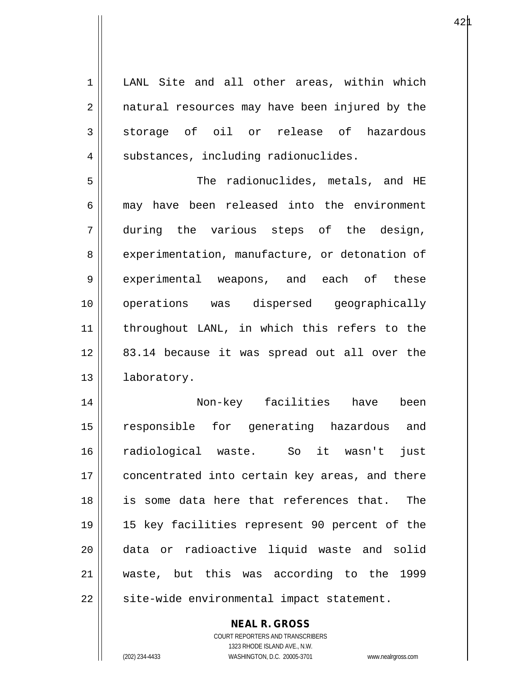1 || LANL Site and all other areas, within which 2 || natural resources may have been injured by the  $3 \parallel$  storage of oil or release of hazardous  $4 \parallel$  substances, including radionuclides. 5 The radionuclides, metals, and HE 6 || may have been released into the environment 7 during the various steps of the design, 8 experimentation, manufacture, or detonation of 9 experimental weapons, and each of these 10 operations was dispersed geographically 11 throughout LANL, in which this refers to the 12 83.14 because it was spread out all over the 13 | laboratory. 14 Non-key facilities have been

15 responsible for generating hazardous and 16 radiological waste. So it wasn't just 17 || concentrated into certain key areas, and there 18 is some data here that references that. The 19 15 key facilities represent 90 percent of the 20 data or radioactive liquid waste and solid 21 waste, but this was according to the 1999  $22$  | site-wide environmental impact statement.

> COURT REPORTERS AND TRANSCRIBERS 1323 RHODE ISLAND AVE., N.W. (202) 234-4433 WASHINGTON, D.C. 20005-3701 www.nealrgross.com

**NEAL R. GROSS**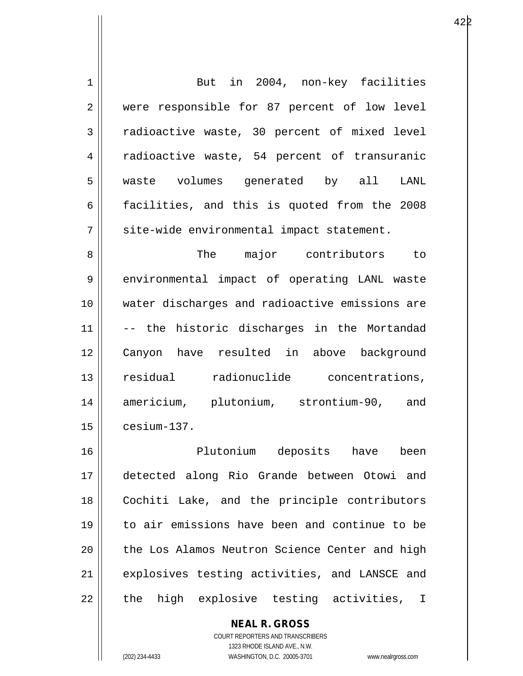| $\mathbf 1$    | But in 2004, non-key facilities                |
|----------------|------------------------------------------------|
| $\overline{2}$ | were responsible for 87 percent of low level   |
| 3              | radioactive waste, 30 percent of mixed level   |
| 4              | radioactive waste, 54 percent of transuranic   |
| 5              | waste volumes generated by all LANL            |
| 6              | facilities, and this is quoted from the 2008   |
| 7              | site-wide environmental impact statement.      |
| 8              | The major contributors to                      |
| 9              | environmental impact of operating LANL waste   |
| 10             | water discharges and radioactive emissions are |
| 11             | -- the historic discharges in the Mortandad    |
| 12             | Canyon have resulted in above background       |
| 13             | residual radionuclide concentrations,          |
| 14             | americium, plutonium, strontium-90, and        |
| 15             | cesium-137.                                    |
| 16             | Plutonium deposits have been                   |
| 17             | detected along Rio Grande between Otowi and    |
| 18             | Cochiti Lake, and the principle contributors   |
| 19             | to air emissions have been and continue to be  |
| 20             | the Los Alamos Neutron Science Center and high |
| 21             | explosives testing activities, and LANSCE and  |
|                |                                                |

22 the high explosive testing activities, I

## **NEAL R. GROSS**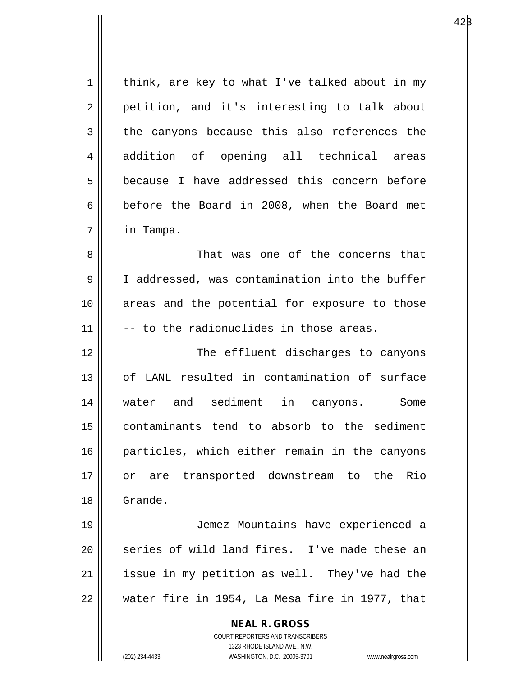$1 \parallel$  think, are key to what I've talked about in my 2 || petition, and it's interesting to talk about  $3 \parallel$  the canyons because this also references the 4 || addition of opening all technical areas 5 **b**ecause I have addressed this concern before  $6 \parallel$  before the Board in 2008, when the Board met 7 in Tampa. 8 That was one of the concerns that

9 I addressed, was contamination into the buffer 10 areas and the potential for exposure to those  $11$   $\parallel$  -- to the radionuclides in those areas.

12 The effluent discharges to canyons 13 of LANL resulted in contamination of surface 14 water and sediment in canyons. Some 15 contaminants tend to absorb to the sediment 16 particles, which either remain in the canyons 17 or are transported downstream to the Rio 18 Grande.

19 Jemez Mountains have experienced a  $20$  || series of wild land fires. I've made these an  $21$  | issue in my petition as well. They've had the 22 water fire in 1954, La Mesa fire in 1977, that

> **NEAL R. GROSS** COURT REPORTERS AND TRANSCRIBERS 1323 RHODE ISLAND AVE., N.W. (202) 234-4433 WASHINGTON, D.C. 20005-3701 www.nealrgross.com

 $42\beta$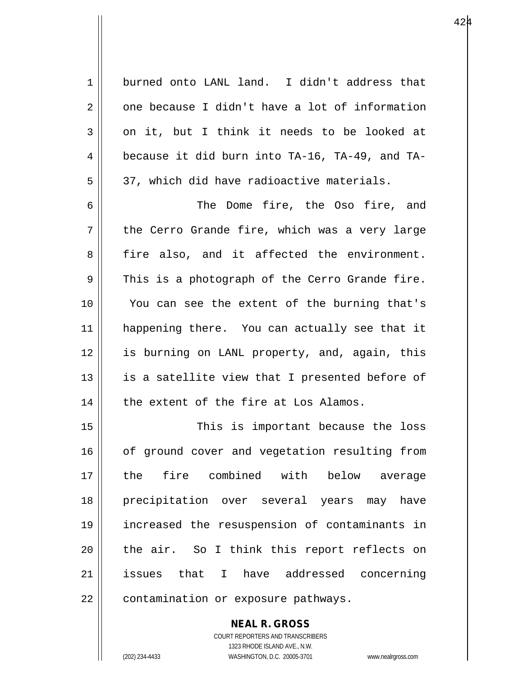1 burned onto LANL land. I didn't address that  $2 \parallel$  one because I didn't have a lot of information  $3 \parallel$  on it, but I think it needs to be looked at 4  $\parallel$  because it did burn into TA-16, TA-49, and TA- $5 \parallel$  37, which did have radioactive materials. 6 The Dome fire, the Oso fire, and

 $7 \parallel$  the Cerro Grande fire, which was a very large 8 fire also, and it affected the environment.  $9 \parallel$  This is a photograph of the Cerro Grande fire. 10 || You can see the extent of the burning that's 11 || happening there. You can actually see that it 12 is burning on LANL property, and, again, this  $13$  || is a satellite view that I presented before of  $14$  | the extent of the fire at Los Alamos.

15 || This is important because the loss 16 | of ground cover and vegetation resulting from 17 the fire combined with below average 18 precipitation over several years may have 19 increased the resuspension of contaminants in 20 || the air. So I think this report reflects on 21 issues that I have addressed concerning 22 | contamination or exposure pathways.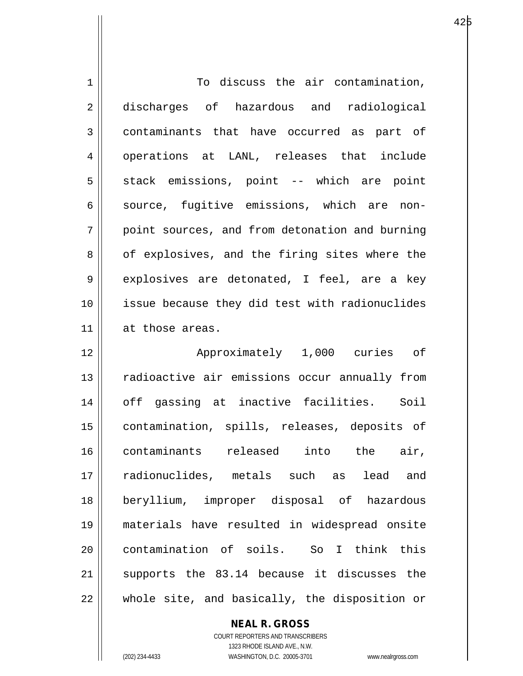| $\mathbf 1$    | To discuss the air contamination,              |
|----------------|------------------------------------------------|
| 2              | discharges of hazardous and radiological       |
| 3              | contaminants that have occurred as part of     |
| $\overline{4}$ | operations at LANL, releases that include      |
| 5              | stack emissions, point -- which are point      |
| 6              | source, fugitive emissions, which are non-     |
| 7              | point sources, and from detonation and burning |
| 8              | of explosives, and the firing sites where the  |
| 9              | explosives are detonated, I feel, are a key    |
| 10             | issue because they did test with radionuclides |
| 11             | at those areas.                                |
| 12             | Approximately 1,000 curies of                  |
| 13             | radioactive air emissions occur annually from  |
| 14             | off gassing at inactive facilities. Soil       |
| 15             |                                                |
|                | contamination, spills, releases, deposits of   |
| 16             | contaminants released into the air,            |
| 17             | radionuclides, metals such as<br>lead<br>and   |
| 18             | beryllium, improper disposal of hazardous      |
| 19             | materials have resulted in widespread onsite   |
| 20             | contamination of soils. So I think this        |
| 21             | supports the 83.14 because it discusses the    |

**NEAL R. GROSS** COURT REPORTERS AND TRANSCRIBERS

1323 RHODE ISLAND AVE., N.W.

(202) 234-4433 WASHINGTON, D.C. 20005-3701 www.nealrgross.com

 $\mathsf{II}$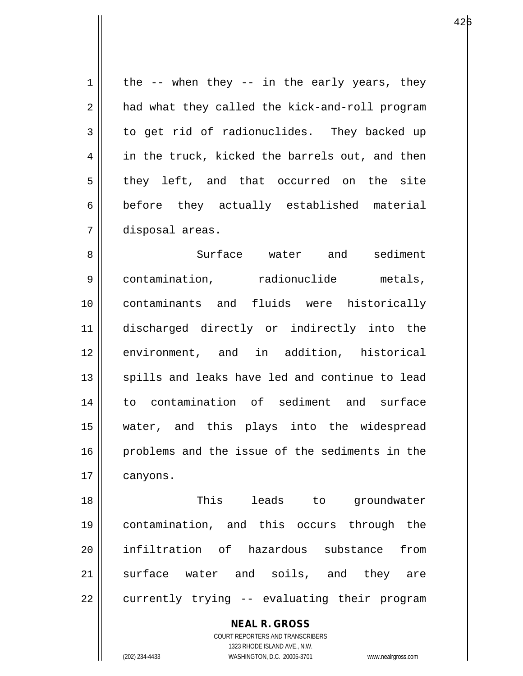$1 \parallel$  the -- when they -- in the early years, they 2 || had what they called the kick-and-roll program  $3 \parallel$  to get rid of radionuclides. They backed up 4 || in the truck, kicked the barrels out, and then  $5 \parallel$  they left, and that occurred on the site 6 before they actually established material 7 disposal areas.

8 Surface water and sediment 9 | contamination, radionuclide metals, 10 contaminants and fluids were historically 11 discharged directly or indirectly into the 12 environment, and in addition, historical 13 || spills and leaks have led and continue to lead 14 to contamination of sediment and surface 15 water, and this plays into the widespread 16 problems and the issue of the sediments in the 17 | canyons.

18 This leads to groundwater 19 contamination, and this occurs through the 20 infiltration of hazardous substance from 21 || surface water and soils, and they are  $22$  || currently trying  $-$  evaluating their program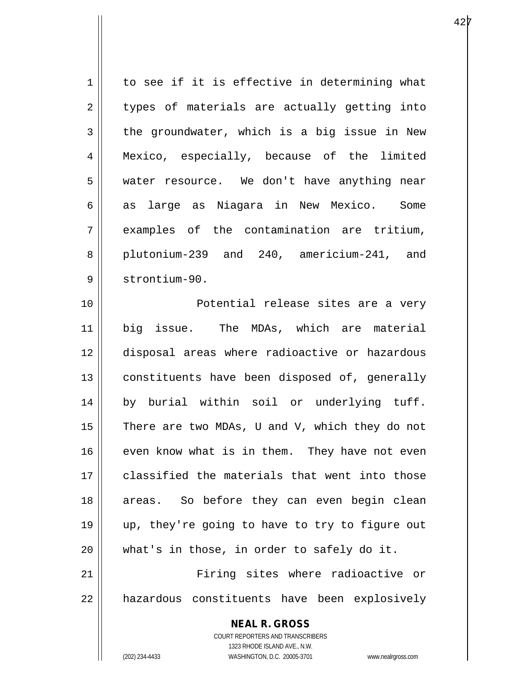| $\mathbf 1$ | to see if it is effective in determining what  |
|-------------|------------------------------------------------|
| 2           | types of materials are actually getting into   |
| 3           | the groundwater, which is a big issue in New   |
| 4           | Mexico, especially, because of the limited     |
| 5           | water resource. We don't have anything near    |
| 6           | as large as Niagara in New Mexico. Some        |
| 7           | examples of the contamination are tritium,     |
| 8           | plutonium-239 and 240, americium-241, and      |
| 9           | strontium-90.                                  |
| 10          | Potential release sites are a very             |
| 11          | big issue. The MDAs, which are material        |
| 12          | disposal areas where radioactive or hazardous  |
| 13          | constituents have been disposed of, generally  |
| 14          | by burial within soil or underlying tuff.      |
| 15          | There are two MDAs, U and V, which they do not |
| 16          | even know what is in them. They have not even  |
| 17          | classified the materials that went into those  |
| 18          | areas. So before they can even begin clean     |
| 19          | up, they're going to have to try to figure out |
| 20          | what's in those, in order to safely do it.     |
| 21          | Firing sites where radioactive or              |
| 22          | hazardous constituents have been explosively   |
|             |                                                |

**NEAL R. GROSS** COURT REPORTERS AND TRANSCRIBERS 1323 RHODE ISLAND AVE., N.W.

 $\mathsf{II}$ 

(202) 234-4433 WASHINGTON, D.C. 20005-3701 www.nealrgross.com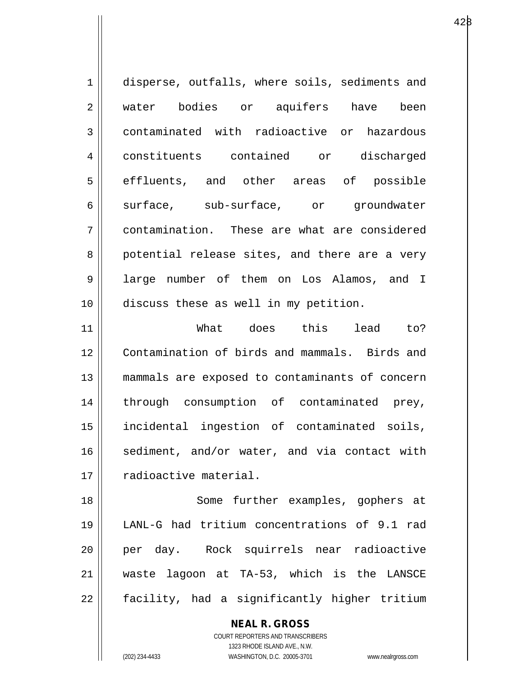1 disperse, outfalls, where soils, sediments and 2 || water bodies or aquifers have been 3 contaminated with radioactive or hazardous 4 constituents contained or discharged 5 || effluents, and other areas of possible 6 || surface, sub-surface, or groundwater 7 contamination. These are what are considered 8 || potential release sites, and there are a very 9 || large number of them on Los Alamos, and I 10 discuss these as well in my petition.

11 What does this lead to? 12 Contamination of birds and mammals. Birds and 13 mammals are exposed to contaminants of concern 14 || through consumption of contaminated prey, 15 incidental ingestion of contaminated soils,  $16$  sediment, and/or water, and via contact with 17 | radioactive material.

18 || Some further examples, gophers at 19 LANL-G had tritium concentrations of 9.1 rad 20 || per day. Rock squirrels near radioactive 21 waste lagoon at TA-53, which is the LANSCE  $22 \parallel$  facility, had a significantly higher tritium

> **NEAL R. GROSS** COURT REPORTERS AND TRANSCRIBERS 1323 RHODE ISLAND AVE., N.W.

(202) 234-4433 WASHINGTON, D.C. 20005-3701 www.nealrgross.com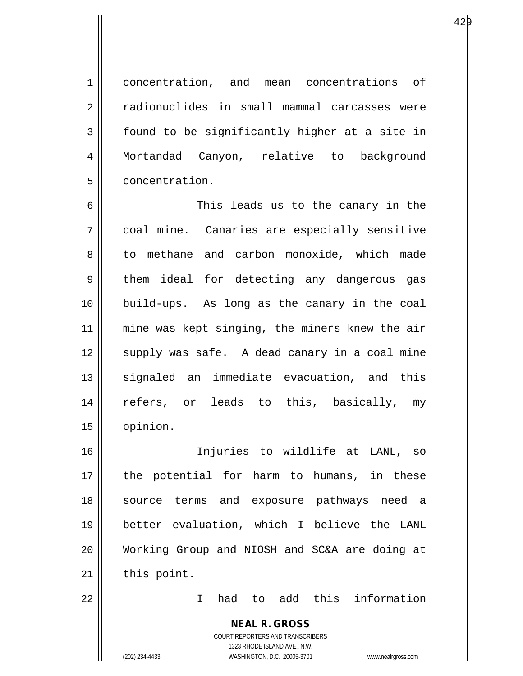1 concentration, and mean concentrations of 2 radionuclides in small mammal carcasses were  $3 \parallel$  found to be significantly higher at a site in 4 Mortandad Canyon, relative to background 5 | concentration.

6 This leads us to the canary in the 7 coal mine. Canaries are especially sensitive 8 || to methane and carbon monoxide, which made  $9 \parallel$  them ideal for detecting any dangerous gas 10 build-ups. As long as the canary in the coal 11 || mine was kept singing, the miners knew the air  $12$   $\parallel$  supply was safe. A dead canary in a coal mine 13 || signaled an immediate evacuation, and this 14 refers, or leads to this, basically, my 15 opinion.

16 Injuries to wildlife at LANL, so 17 || the potential for harm to humans, in these 18 source terms and exposure pathways need a 19 better evaluation, which I believe the LANL 20 Working Group and NIOSH and SC&A are doing at  $21$  this point.

22 I had to add this information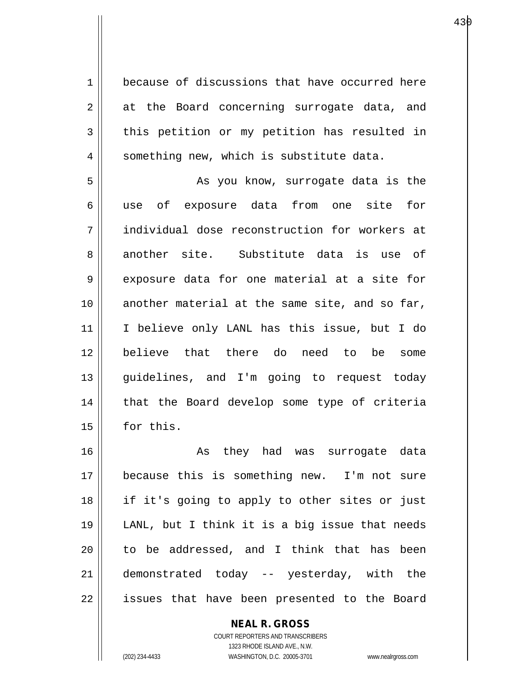1 because of discussions that have occurred here  $2 \parallel$  at the Board concerning surrogate data, and  $3 \parallel$  this petition or my petition has resulted in 4 || something new, which is substitute data.

5 || As you know, surrogate data is the 6 || use of exposure data from one site for 7 || individual dose reconstruction for workers at 8 another site. Substitute data is use of 9 || exposure data for one material at a site for 10 another material at the same site, and so far, 11 I believe only LANL has this issue, but I do 12 believe that there do need to be some 13 guidelines, and I'm going to request today 14 || that the Board develop some type of criteria 15 | for this.

16 || As they had was surrogate data 17 because this is something new. I'm not sure 18 if it's going to apply to other sites or just 19 LANL, but I think it is a big issue that needs  $20$  || to be addressed, and I think that has been 21 demonstrated today -- yesterday, with the  $22$  || issues that have been presented to the Board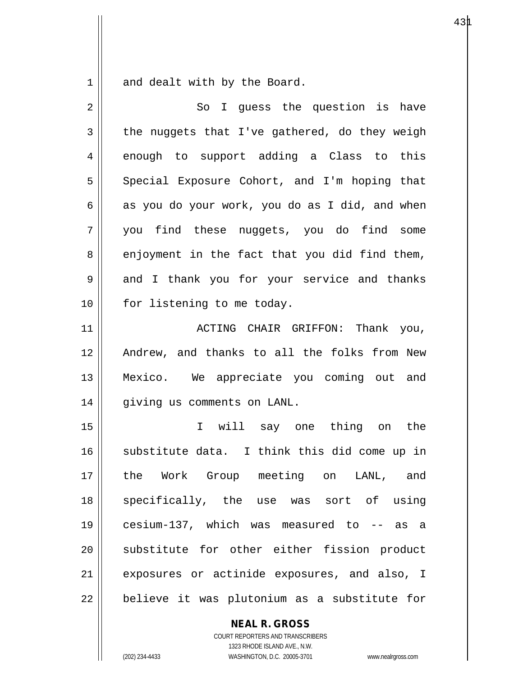$1 \parallel$  and dealt with by the Board.

| $\overline{2}$ | So I guess the question is have                |
|----------------|------------------------------------------------|
| 3              | the nuggets that I've gathered, do they weigh  |
| 4              | enough to support adding a Class to this       |
| 5              | Special Exposure Cohort, and I'm hoping that   |
| 6              | as you do your work, you do as I did, and when |
| 7              | you find these nuggets, you do find some       |
| 8              | enjoyment in the fact that you did find them,  |
| 9              | and I thank you for your service and thanks    |
| 10             | for listening to me today.                     |
| 11             | ACTING CHAIR GRIFFON: Thank you,               |
| 12             | Andrew, and thanks to all the folks from New   |
| 13             | Mexico. We appreciate you coming out and       |
| 14             | giving us comments on LANL.                    |
| 15             | I will say one thing on the                    |
| 16             | substitute data. I think this did come up in   |
| 17             | the Work Group meeting on<br>LANL, and         |
| 18             | specifically, the use was sort of using        |
| 19             | cesium-137, which was measured to -- as a      |
| 20             | substitute for other either fission product    |
| 21             | exposures or actinide exposures, and also, I   |
| 22             | believe it was plutonium as a substitute for   |

**NEAL R. GROSS**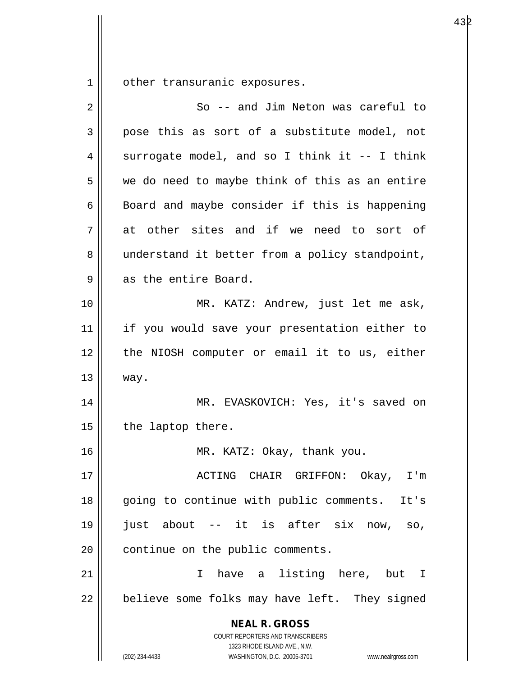1 | other transuranic exposures.

| 2              | So -- and Jim Neton was careful to                                                                                                                              |
|----------------|-----------------------------------------------------------------------------------------------------------------------------------------------------------------|
| $\mathfrak{Z}$ | pose this as sort of a substitute model, not                                                                                                                    |
| 4              | surrogate model, and so I think it -- I think                                                                                                                   |
| 5              | we do need to maybe think of this as an entire                                                                                                                  |
| 6              | Board and maybe consider if this is happening                                                                                                                   |
| 7              | at other sites and if we need to sort of                                                                                                                        |
| 8              | understand it better from a policy standpoint,                                                                                                                  |
| 9              | as the entire Board.                                                                                                                                            |
| 10             | MR. KATZ: Andrew, just let me ask,                                                                                                                              |
| 11             | if you would save your presentation either to                                                                                                                   |
| 12             | the NIOSH computer or email it to us, either                                                                                                                    |
| 13             | way.                                                                                                                                                            |
| 14             | MR. EVASKOVICH: Yes, it's saved on                                                                                                                              |
| 15             | the laptop there.                                                                                                                                               |
| 16             | MR. KATZ: Okay, thank you.                                                                                                                                      |
| 17             | ACTING CHAIR GRIFFON:<br>0kay,<br>$I'$ m                                                                                                                        |
| 18             | going to continue with public comments.<br>It's                                                                                                                 |
| 19             | just about -- it is after six now,<br>SO,                                                                                                                       |
| 20             | continue on the public comments.                                                                                                                                |
| 21             | have a listing here, but<br>T.<br>$\mathbf{I}$                                                                                                                  |
| 22             | believe some folks may have left. They signed                                                                                                                   |
|                | <b>NEAL R. GROSS</b><br>COURT REPORTERS AND TRANSCRIBERS<br>1323 RHODE ISLAND AVE., N.W.<br>(202) 234-4433<br>WASHINGTON, D.C. 20005-3701<br>www.nealrgross.com |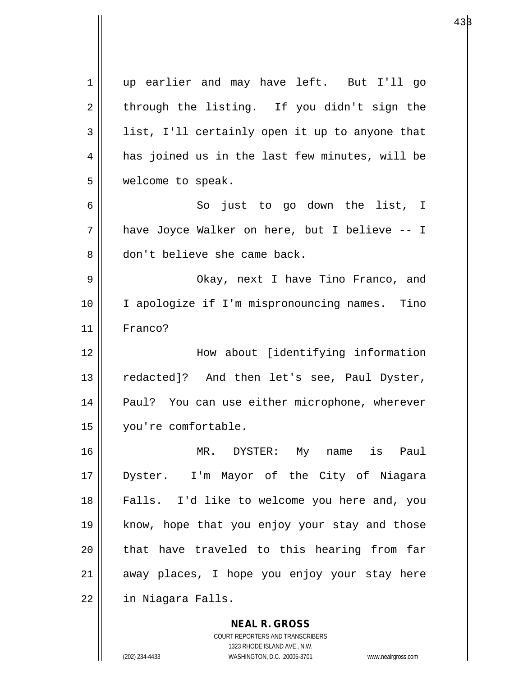|    | <b>NEAL R. GROSS</b>                           |
|----|------------------------------------------------|
| 22 | in Niagara Falls.                              |
| 21 | away places, I hope you enjoy your stay here   |
| 20 | that have traveled to this hearing from far    |
| 19 | know, hope that you enjoy your stay and those  |
| 18 | Falls. I'd like to welcome you here and, you   |
| 17 | Dyster. I'm Mayor of the City of Niagara       |
| 16 | MR. DYSTER: My name is<br>Paul                 |
| 15 | you're comfortable.                            |
| 14 | Paul? You can use either microphone, wherever  |
| 13 | redacted]? And then let's see, Paul Dyster,    |
| 12 | How about [identifying information             |
| 11 | Franco?                                        |
| 10 | I apologize if I'm mispronouncing names. Tino  |
| 9  | Okay, next I have Tino Franco, and             |
| 8  | don't believe she came back.                   |
| 7  | have Joyce Walker on here, but I believe -- I  |
| 6  | So just to go down the list, I                 |
| 5  | welcome to speak.                              |
| 4  | has joined us in the last few minutes, will be |
| 3  | list, I'll certainly open it up to anyone that |
| 2  | through the listing. If you didn't sign the    |
| 1  | up earlier and may have left. But I'll go      |
|    |                                                |

COURT REPORTERS AND TRANSCRIBERS 1323 RHODE ISLAND AVE., N.W. (202) 234-4433 WASHINGTON, D.C. 20005-3701 www.nealrgross.com

 $\mathbf{I}$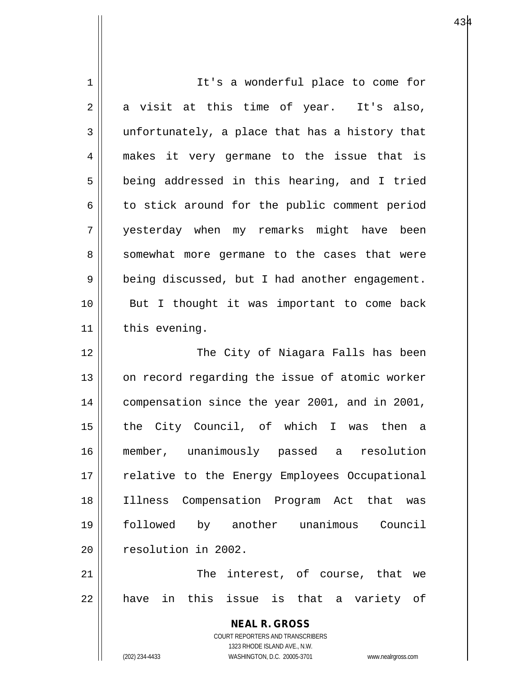| 1  | It's a wonderful place to come for                                  |
|----|---------------------------------------------------------------------|
| 2  | a visit at this time of year. It's also,                            |
| 3  | unfortunately, a place that has a history that                      |
| 4  | makes it very germane to the issue that is                          |
| 5  | being addressed in this hearing, and I tried                        |
| 6  | to stick around for the public comment period                       |
| 7  | yesterday when my remarks might have been                           |
| 8  | somewhat more germane to the cases that were                        |
| 9  | being discussed, but I had another engagement.                      |
| 10 | But I thought it was important to come back                         |
| 11 | this evening.                                                       |
| 12 | The City of Niagara Falls has been                                  |
| 13 | on record regarding the issue of atomic worker                      |
| 14 | compensation since the year 2001, and in 2001,                      |
| 15 | the City Council, of which I was then a                             |
| 16 | member, unanimously passed a resolution                             |
| 17 | relative to the Energy Employees Occupational                       |
| 18 | Compensation Program Act that was<br>Illness                        |
| 19 | followed by another unanimous Council                               |
| 20 | resolution in 2002.                                                 |
| 21 | The interest, of course, that we                                    |
| 22 | have in this issue is that a variety of                             |
|    |                                                                     |
|    | <b>NEAL R. GROSS</b>                                                |
|    | COURT REPORTERS AND TRANSCRIBERS<br>1323 RHODE ISLAND AVE., N.W.    |
|    | (202) 234-4433<br>WASHINGTON, D.C. 20005-3701<br>www.nealrgross.com |

 $\mathsf{l}$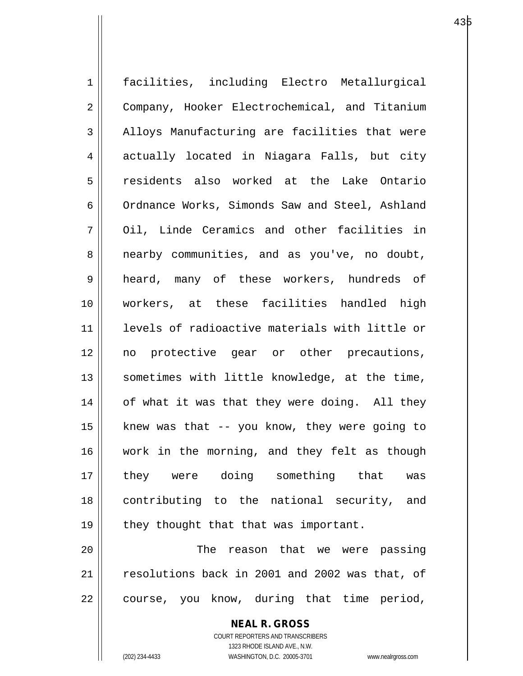1 facilities, including Electro Metallurgical 2 Company, Hooker Electrochemical, and Titanium 3 | Alloys Manufacturing are facilities that were 4 actually located in Niagara Falls, but city 5 residents also worked at the Lake Ontario 6 | Ordnance Works, Simonds Saw and Steel, Ashland 7 || Oil, Linde Ceramics and other facilities in 8 | nearby communities, and as you've, no doubt, 9 heard, many of these workers, hundreds of 10 workers, at these facilities handled high 11 levels of radioactive materials with little or 12 no protective gear or other precautions, 13 || sometimes with little knowledge, at the time, 14 || of what it was that they were doing. All they 15  $\parallel$  knew was that -- you know, they were going to 16 work in the morning, and they felt as though 17 they were doing something that was 18 contributing to the national security, and 19  $\parallel$  they thought that that was important. 20 The reason that we were passing 21 || resolutions back in 2001 and 2002 was that, of

 $22 \parallel$  course, you know, during that time period,

**NEAL R. GROSS** COURT REPORTERS AND TRANSCRIBERS

1323 RHODE ISLAND AVE., N.W.

(202) 234-4433 WASHINGTON, D.C. 20005-3701 www.nealrgross.com

е в 135 року на 135 року на 135 року 143 року 143 року 143 року 143 року 143 року 143 року 143 року 143 року 1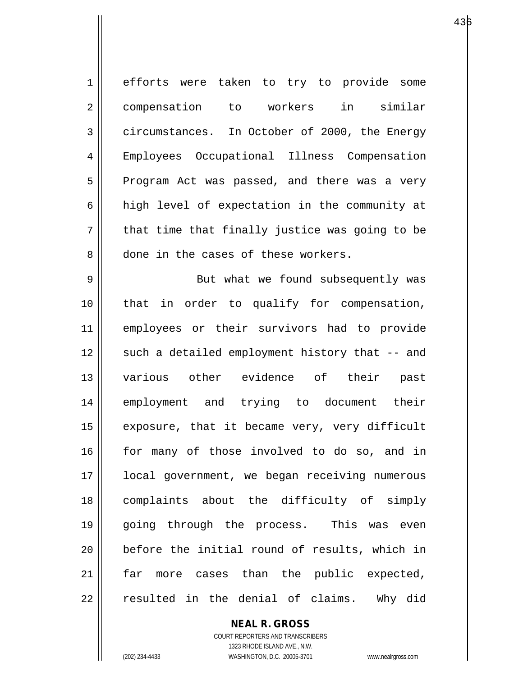| $\mathbf 1$    | efforts were taken to try to provide some      |
|----------------|------------------------------------------------|
| $\overline{2}$ | compensation to workers in similar             |
| 3              | circumstances. In October of 2000, the Energy  |
| 4              | Employees Occupational Illness Compensation    |
| 5              | Program Act was passed, and there was a very   |
| 6              | high level of expectation in the community at  |
| 7              | that time that finally justice was going to be |
| 8              | done in the cases of these workers.            |
| 9              | But what we found subsequently was             |
| 10             | that in order to qualify for compensation,     |
| 11             | employees or their survivors had to provide    |
| 12             | such a detailed employment history that -- and |
| 13             | various other evidence of their past           |
| 14             | employment and trying to document their        |
| 15             | exposure, that it became very, very difficult  |
| 16             | for many of those involved to do so, and in    |
| 17             | local government, we began receiving numerous  |
| 18             | complaints about the difficulty of simply      |
| 19             | going through the process. This was even       |
| 20             | before the initial round of results, which in  |
| 21             | more cases than the public expected,<br>far    |
| 22             | resulted in the denial of claims. Why did      |

## **NEAL R. GROSS**

COURT REPORTERS AND TRANSCRIBERS 1323 RHODE ISLAND AVE., N.W. (202) 234-4433 WASHINGTON, D.C. 20005-3701 www.nealrgross.com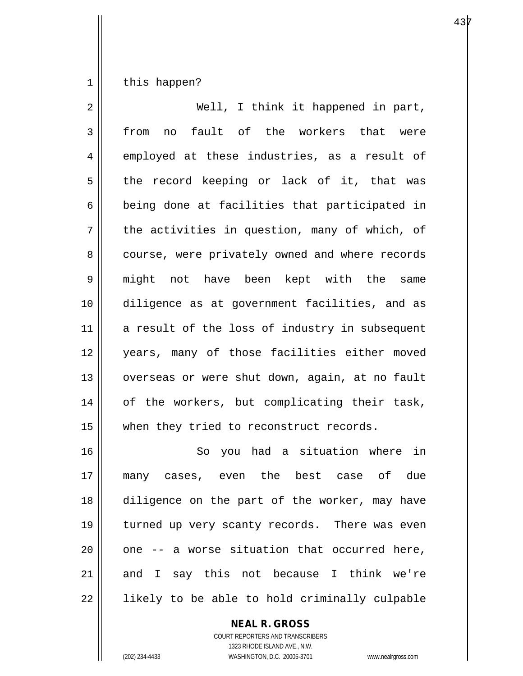$1 \parallel$  this happen?

| 2  | Well, I think it happened in part,             |
|----|------------------------------------------------|
| 3  | fault of the workers that were<br>from<br>no   |
| 4  | employed at these industries, as a result of   |
| 5  | the record keeping or lack of it, that was     |
| 6  | being done at facilities that participated in  |
| 7  | the activities in question, many of which, of  |
| 8  | course, were privately owned and where records |
| 9  | might not have been kept with the same         |
| 10 | diligence as at government facilities, and as  |
| 11 | a result of the loss of industry in subsequent |
| 12 | years, many of those facilities either moved   |
| 13 | overseas or were shut down, again, at no fault |
| 14 | of the workers, but complicating their task,   |
| 15 | when they tried to reconstruct records.        |
| 16 | So you had a situation where in                |
| 17 | many cases, even the best case of due          |
| 18 | diligence on the part of the worker, may have  |
| 19 | turned up very scanty records. There was even  |
| 20 | one -- a worse situation that occurred here,   |
| 21 | and I say this not because I think we're       |
| 22 | likely to be able to hold criminally culpable  |

## **NEAL R. GROSS**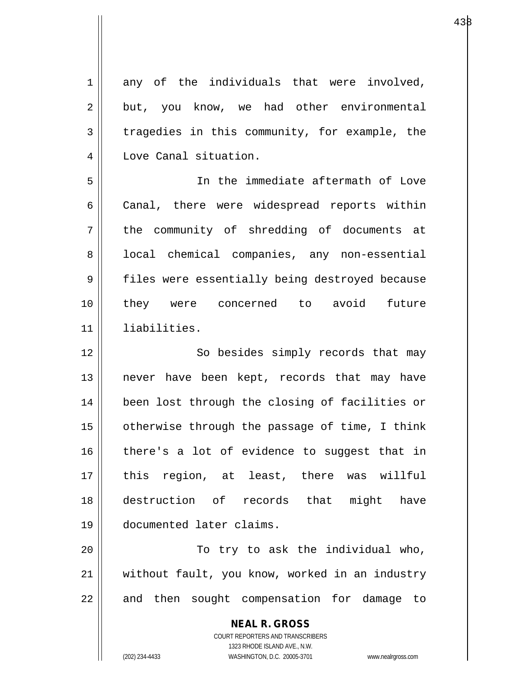**NEAL R. GROSS** COURT REPORTERS AND TRANSCRIBERS 1323 RHODE ISLAND AVE., N.W.  $1 \parallel$  any of the individuals that were involved,  $2 \parallel$  but, you know, we had other environmental  $3 \parallel$  tragedies in this community, for example, the 4 Love Canal situation. 5 In the immediate aftermath of Love 6 Canal, there were widespread reports within 7 || the community of shredding of documents at 8 | local chemical companies, any non-essential 9 | files were essentially being destroyed because 10 they were concerned to avoid future 11 liabilities. 12 || So besides simply records that may 13 || never have been kept, records that may have 14 || been lost through the closing of facilities or 15 | otherwise through the passage of time, I think 16 there's a lot of evidence to suggest that in 17 this region, at least, there was willful 18 destruction of records that might have 19 documented later claims. 20 || To try to ask the individual who, 21 || without fault, you know, worked in an industry  $22$  || and then sought compensation for damage to

(202) 234-4433 WASHINGTON, D.C. 20005-3701 www.nealrgross.com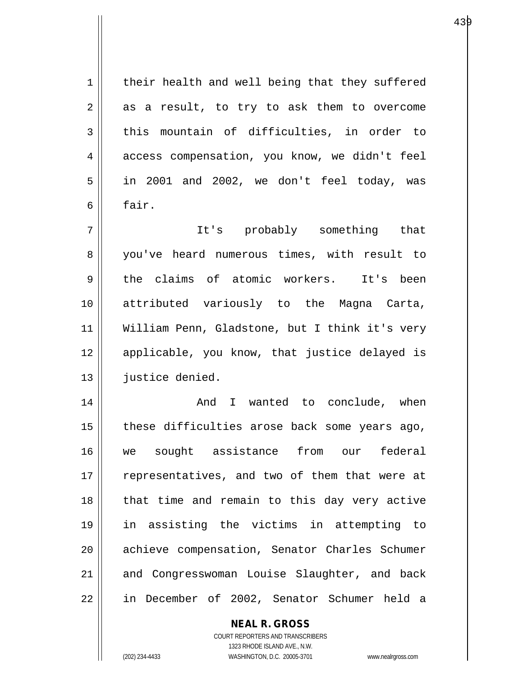1 | their health and well being that they suffered  $2 \parallel$  as a result, to try to ask them to overcome  $3$  this mountain of difficulties, in order to 4 access compensation, you know, we didn't feel  $5 \parallel$  in 2001 and 2002, we don't feel today, was  $6 \parallel$  fair. 7 It's probably something that 8 you've heard numerous times, with result to 9 the claims of atomic workers. It's been 10 attributed variously to the Magna Carta, 11 William Penn, Gladstone, but I think it's very 12 || applicable, you know, that justice delayed is 13 | justice denied. 14 And I wanted to conclude, when  $15$  | these difficulties arose back some years ago, 16 we sought assistance from our federal 17 || representatives, and two of them that were at 18 || that time and remain to this day very active 19 in assisting the victims in attempting to 20 || achieve compensation, Senator Charles Schumer 21 || and Congresswoman Louise Slaughter, and back

22 | in December of 2002, Senator Schumer held a

**NEAL R. GROSS**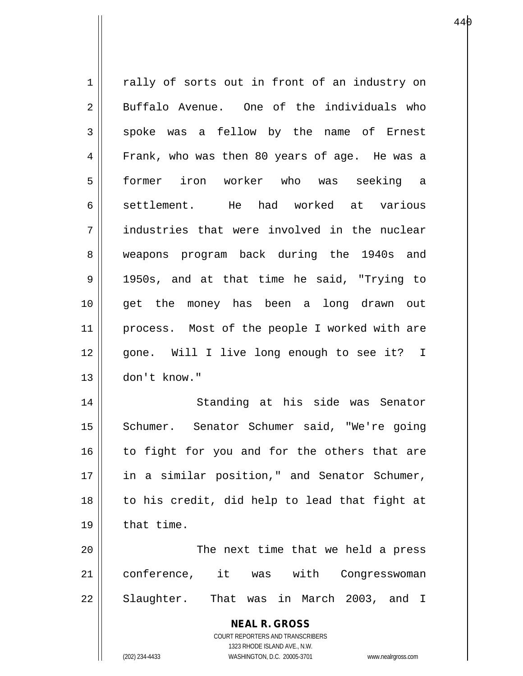| $\mathbf 1$    | rally of sorts out in front of an industry on                                                       |
|----------------|-----------------------------------------------------------------------------------------------------|
| 2              | Buffalo Avenue. One of the individuals who                                                          |
| 3              | spoke was a fellow by the name of Ernest                                                            |
| $\overline{4}$ | Frank, who was then 80 years of age. He was a                                                       |
| 5              | former iron worker who was seeking a                                                                |
| 6              | settlement. He had worked at various                                                                |
| 7              | industries that were involved in the nuclear                                                        |
| 8              | weapons program back during the 1940s and                                                           |
| 9              | 1950s, and at that time he said, "Trying to                                                         |
| 10             | get the money has been a long drawn out                                                             |
| 11             | process. Most of the people I worked with are                                                       |
| 12             | gone. Will I live long enough to see it? I                                                          |
| 13             | don't know."                                                                                        |
| 14             | Standing at his side was Senator                                                                    |
| 15             | Schumer. Senator Schumer said, "We're going                                                         |
| 16             | to fight for you and for the others that are                                                        |
| 17             | in a similar position," and Senator Schumer,                                                        |
| 18             | to his credit, did help to lead that fight at                                                       |
| 19             | that time.                                                                                          |
| 20             | The next time that we held a press                                                                  |
| 21             | conference, it was with<br>Congresswoman                                                            |
| 22             | Slaughter. That was in March 2003, and I                                                            |
|                | <b>NEAL R. GROSS</b>                                                                                |
|                | COURT REPORTERS AND TRANSCRIBERS                                                                    |
|                | 1323 RHODE ISLAND AVE., N.W.<br>(202) 234-4433<br>WASHINGTON, D.C. 20005-3701<br>www.nealrgross.com |
|                |                                                                                                     |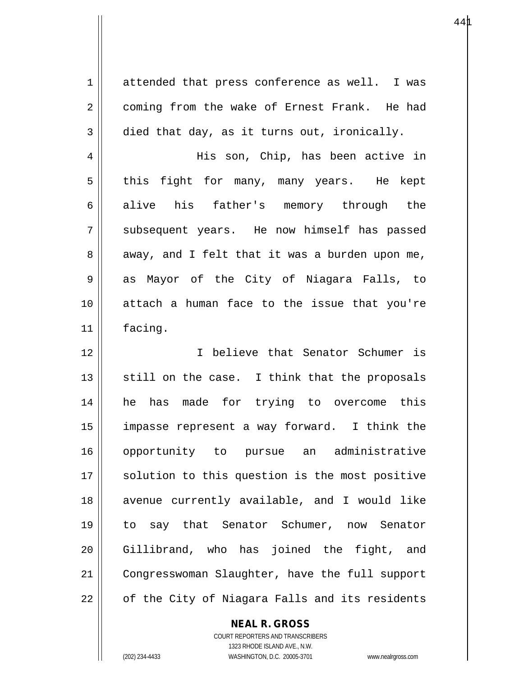1 attended that press conference as well. I was 2 | coming from the wake of Ernest Frank. He had  $3 \parallel$  died that day, as it turns out, ironically. 4 His son, Chip, has been active in 5 || this fight for many, many years. He kept 6 alive his father's memory through the  $7 \parallel$  subsequent years. He now himself has passed  $8 \parallel$  away, and I felt that it was a burden upon me, 9 as Mayor of the City of Niagara Falls, to 10 attach a human face to the issue that you're 11 facing. 12 I believe that Senator Schumer is  $13$  still on the case. I think that the proposals 14 he has made for trying to overcome this 15 impasse represent a way forward. I think the 16 opportunity to pursue an administrative 17 || solution to this question is the most positive 18 avenue currently available, and I would like 19 to say that Senator Schumer, now Senator 20 Gillibrand, who has joined the fight, and 21 | Congresswoman Slaughter, have the full support  $22 \parallel$  of the City of Niagara Falls and its residents

**NEAL R. GROSS**

COURT REPORTERS AND TRANSCRIBERS 1323 RHODE ISLAND AVE., N.W. (202) 234-4433 WASHINGTON, D.C. 20005-3701 www.nealrgross.com

 $44\mu$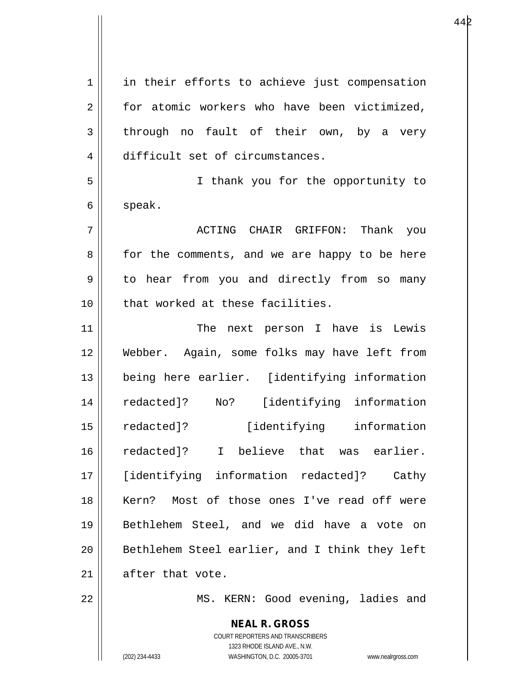**NEAL R. GROSS** 1 || in their efforts to achieve just compensation 2 for atomic workers who have been victimized, 3 through no fault of their own, by a very 4 difficult set of circumstances. 5 I thank you for the opportunity to  $6 \parallel$  speak. 7 ACTING CHAIR GRIFFON: Thank you 8 for the comments, and we are happy to be here 9 | to hear from you and directly from so many 10 || that worked at these facilities. 11 || The next person I have is Lewis 12 Webber. Again, some folks may have left from 13 being here earlier. [identifying information 14 redacted]? No? [identifying information 15 redacted]? [identifying information 16 redacted]? I believe that was earlier. 17 [identifying information redacted]? Cathy 18 || Kern? Most of those ones I've read off were 19 Bethlehem Steel, and we did have a vote on 20 || Bethlehem Steel earlier, and I think they left  $21$  | after that vote. 22 || MS. KERN: Good evening, ladies and

> COURT REPORTERS AND TRANSCRIBERS 1323 RHODE ISLAND AVE., N.W.

(202) 234-4433 WASHINGTON, D.C. 20005-3701 www.nealrgross.com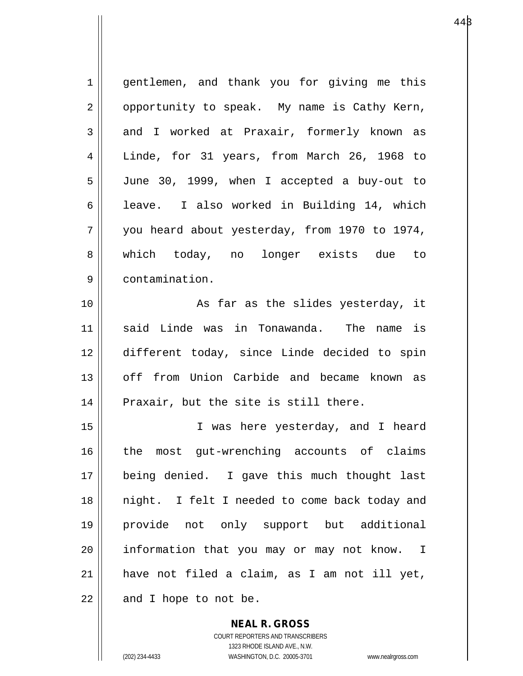| $\mathbf 1$ | gentlemen, and thank you for giving me this   |
|-------------|-----------------------------------------------|
| 2           | opportunity to speak. My name is Cathy Kern,  |
| 3           | and I worked at Praxair, formerly known as    |
| 4           | Linde, for 31 years, from March 26, 1968 to   |
| 5           | June 30, 1999, when I accepted a buy-out to   |
| 6           | leave. I also worked in Building 14, which    |
| 7           | you heard about yesterday, from 1970 to 1974, |
| 8           | which today, no longer exists due to          |
| 9           | contamination.                                |
| 10          | As far as the slides yesterday, it            |
| 11          | said Linde was in Tonawanda. The name is      |
| 12          | different today, since Linde decided to spin  |
| 13          | off from Union Carbide and became known as    |
| 14          | Praxair, but the site is still there.         |
| 15          | I was here yesterday, and I heard             |
| 16          | the most gut-wrenching accounts of claims     |
| 17          | being denied. I gave this much thought last   |
| 18          | night. I felt I needed to come back today and |
| 19          | provide not only support but additional       |
| 20          | information that you may or may not know. I   |
|             |                                               |
| 21          | have not filed a claim, as I am not ill yet,  |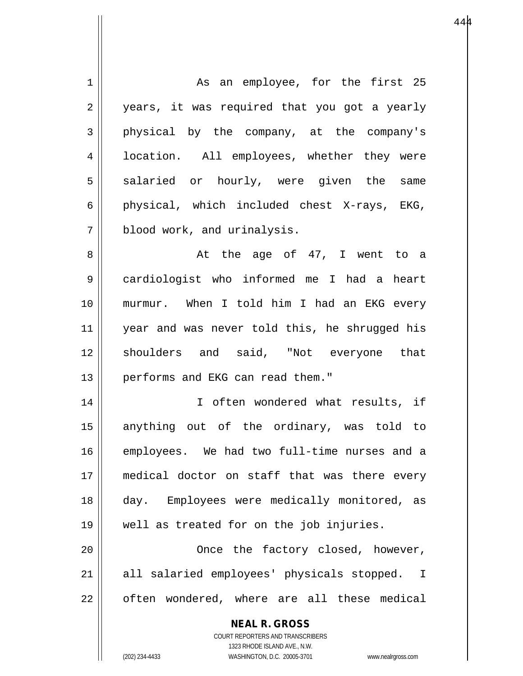**NEAL R. GROSS** COURT REPORTERS AND TRANSCRIBERS 1 || As an employee, for the first 25 2 || years, it was required that you got a yearly 3 physical by the company, at the company's 4 | location. All employees, whether they were  $5 \parallel$  salaried or hourly, were given the same 6 || physical, which included chest X-rays, EKG, 7 | blood work, and urinalysis. 8 at the age of 47, I went to a 9 cardiologist who informed me I had a heart 10 murmur. When I told him I had an EKG every 11 year and was never told this, he shrugged his 12 shoulders and said, "Not everyone that 13 || performs and EKG can read them." 14 || I often wondered what results, if 15 anything out of the ordinary, was told to 16 employees. We had two full-time nurses and a 17 medical doctor on staff that was there every 18 day. Employees were medically monitored, as 19 well as treated for on the job injuries. 20 Once the factory closed, however, 21 || all salaried employees' physicals stopped. I  $22$  || often wondered, where are all these medical

1323 RHODE ISLAND AVE., N.W.

(202) 234-4433 WASHINGTON, D.C. 20005-3701 www.nealrgross.com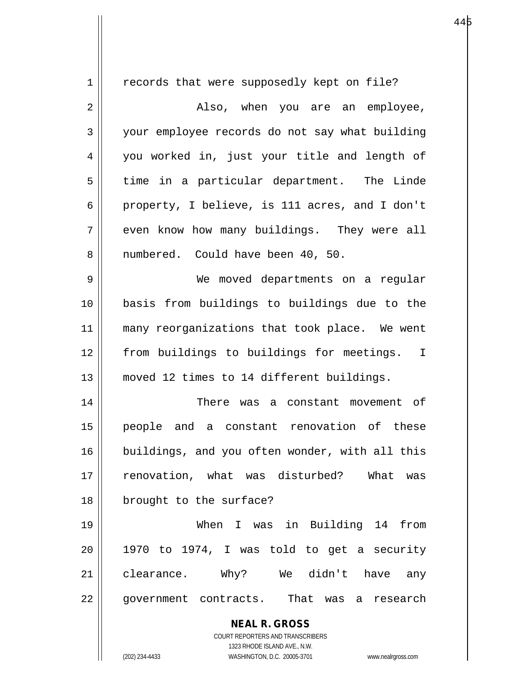| $\mathbf 1$ | records that were supposedly kept on file?                          |
|-------------|---------------------------------------------------------------------|
| 2           | Also, when you are an employee,                                     |
| 3           | your employee records do not say what building                      |
| 4           | you worked in, just your title and length of                        |
| 5           | time in a particular department. The Linde                          |
| 6           | property, I believe, is 111 acres, and I don't                      |
| 7           | even know how many buildings. They were all                         |
| 8           | numbered. Could have been 40, 50.                                   |
| 9           | We moved departments on a regular                                   |
| 10          | basis from buildings to buildings due to the                        |
| 11          | many reorganizations that took place. We went                       |
|             |                                                                     |
| 12          | from buildings to buildings for meetings. I                         |
| 13          | moved 12 times to 14 different buildings.                           |
| 14          | There was a constant movement of                                    |
| 15          | people and a constant renovation of these                           |
| 16          | buildings, and you often wonder, with all this                      |
| 17          | renovation, what was disturbed? What was                            |
| 18          | brought to the surface?                                             |
| 19          | When I was in Building 14 from                                      |
| 20          | 1970 to 1974, I was told to get a security                          |
| 21          | clearance. Why? We didn't have<br>any                               |
| 22          | government contracts. That was a research                           |
|             |                                                                     |
|             | <b>NEAL R. GROSS</b><br>COURT REPORTERS AND TRANSCRIBERS            |
|             | 1323 RHODE ISLAND AVE., N.W.                                        |
|             | (202) 234-4433<br>WASHINGTON, D.C. 20005-3701<br>www.nealrgross.com |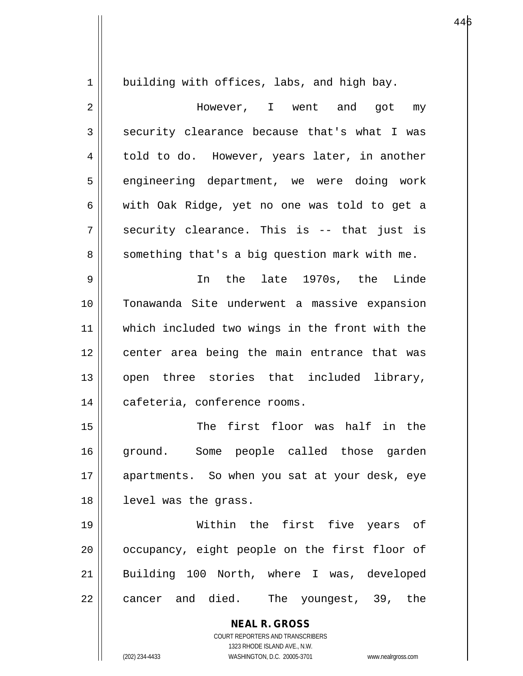1 | building with offices, labs, and high bay. 2 However, I went and got my  $3 \parallel$  security clearance because that's what I was 4 | told to do. However, years later, in another 5 || engineering department, we were doing work 6 with Oak Ridge, yet no one was told to get a  $7 \parallel$  security clearance. This is -- that just is 8 || something that's a big question mark with me. 9 In the late 1970s, the Linde 10 Tonawanda Site underwent a massive expansion 11 which included two wings in the front with the 12 || center area being the main entrance that was 13 || open three stories that included library, 14 | cafeteria, conference rooms. 15 The first floor was half in the

 $446$ 

16 ground. Some people called those garden 17 apartments. So when you sat at your desk, eye 18 level was the grass.

19 Within the first five years of  $20$  |  $\circ$  occupancy, eight people on the first floor of 21 Building 100 North, where I was, developed  $22 \parallel$  cancer and died. The youngest, 39, the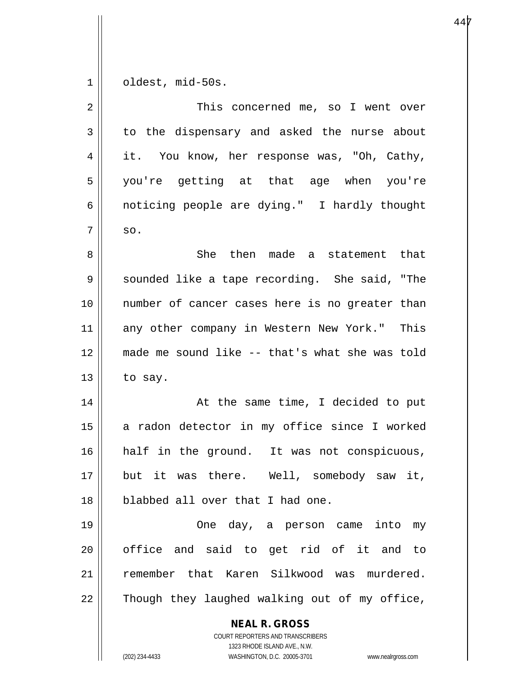$1 \parallel$  oldest, mid-50s.

| $\overline{2}$ | This concerned me, so I went over                                                                                                                               |
|----------------|-----------------------------------------------------------------------------------------------------------------------------------------------------------------|
| 3              | to the dispensary and asked the nurse about                                                                                                                     |
| 4              | it. You know, her response was, "Oh, Cathy,                                                                                                                     |
| 5              | you're getting at that age when you're                                                                                                                          |
| 6              | noticing people are dying." I hardly thought                                                                                                                    |
| 7              | SO.                                                                                                                                                             |
| 8              | She then made a statement that                                                                                                                                  |
| 9              | sounded like a tape recording. She said, "The                                                                                                                   |
| 10             | number of cancer cases here is no greater than                                                                                                                  |
| 11             | any other company in Western New York." This                                                                                                                    |
| 12             | made me sound like -- that's what she was told                                                                                                                  |
| 13             | to say.                                                                                                                                                         |
| 14             | At the same time, I decided to put                                                                                                                              |
| 15             | a radon detector in my office since I worked                                                                                                                    |
| 16             | half in the ground. It was not conspicuous,                                                                                                                     |
| 17             | but it was there. Well, somebody saw it,                                                                                                                        |
| 18             | blabbed all over that I had one.                                                                                                                                |
| 19             | One day, a person came into my                                                                                                                                  |
| 20             | office and said to get rid of it and to                                                                                                                         |
| 21             | remember that Karen Silkwood was murdered.                                                                                                                      |
| 22             | Though they laughed walking out of my office,                                                                                                                   |
|                | <b>NEAL R. GROSS</b><br>COURT REPORTERS AND TRANSCRIBERS<br>1323 RHODE ISLAND AVE., N.W.<br>(202) 234-4433<br>WASHINGTON, D.C. 20005-3701<br>www.nealrgross.com |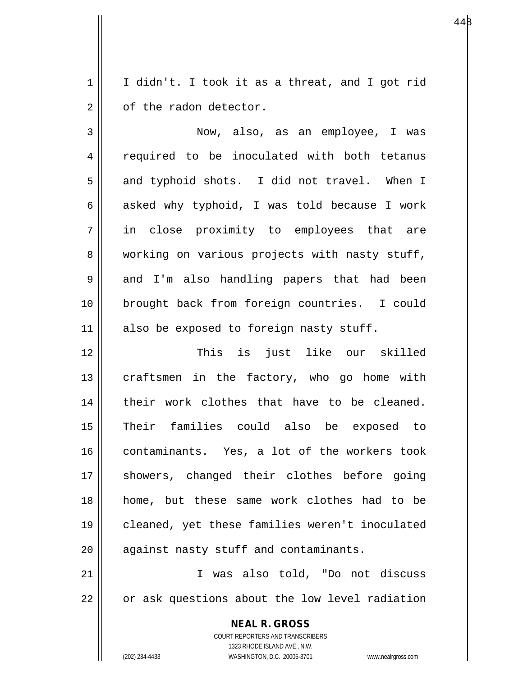$1 \parallel$  I didn't. I took it as a threat, and I got rid  $2 \parallel$  of the radon detector.

3 Now, also, as an employee, I was 4 || required to be inoculated with both tetanus 5 and typhoid shots. I did not travel. When I 6  $\parallel$  asked why typhoid, I was told because I work 7 in close proximity to employees that are 8 working on various projects with nasty stuff, 9 || and I'm also handling papers that had been 10 brought back from foreign countries. I could 11 also be exposed to foreign nasty stuff.

12 This is just like our skilled  $13$  craftsmen in the factory, who go home with 14 || their work clothes that have to be cleaned. 15 Their families could also be exposed to 16 contaminants. Yes, a lot of the workers took 17 || showers, changed their clothes before going 18 home, but these same work clothes had to be 19 cleaned, yet these families weren't inoculated  $20$  || against nasty stuff and contaminants.

21 I was also told, "Do not discuss  $22 \parallel$  or ask questions about the low level radiation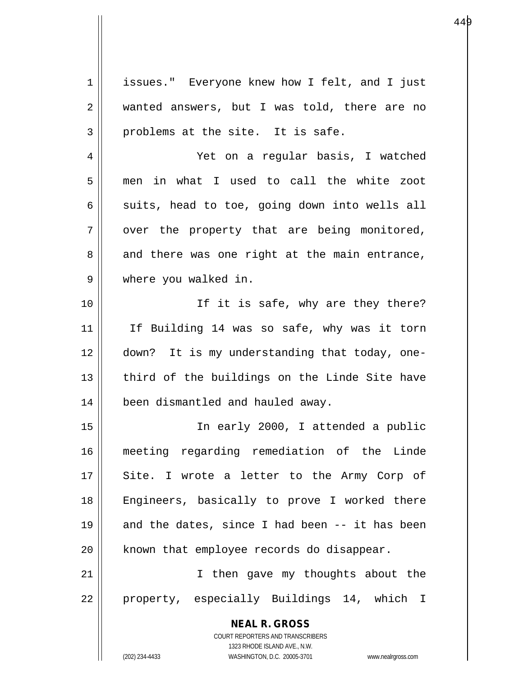**NEAL R. GROSS** COURT REPORTERS AND TRANSCRIBERS 1323 RHODE ISLAND AVE., N.W. 1 | issues." Everyone knew how I felt, and I just 2 wanted answers, but I was told, there are no  $3 \parallel$  problems at the site. It is safe. 4 Yet on a regular basis, I watched 5 men in what I used to call the white zoot  $6 \parallel$  suits, head to toe, going down into wells all  $7 \parallel$  over the property that are being monitored,  $8$  || and there was one right at the main entrance, 9 || where you walked in. 10 || The it is safe, why are they there? 11 || If Building 14 was so safe, why was it torn 12 down? It is my understanding that today, one-13 || third of the buildings on the Linde Site have 14 | been dismantled and hauled away. 15 In early 2000, I attended a public 16 meeting regarding remediation of the Linde 17 || Site. I wrote a letter to the Army Corp of 18 || Engineers, basically to prove I worked there 19  $\parallel$  and the dates, since I had been -- it has been  $20$  | known that employee records do disappear. 21 || Then gave my thoughts about the 22 || property, especially Buildings 14, which I

(202) 234-4433 WASHINGTON, D.C. 20005-3701 www.nealrgross.com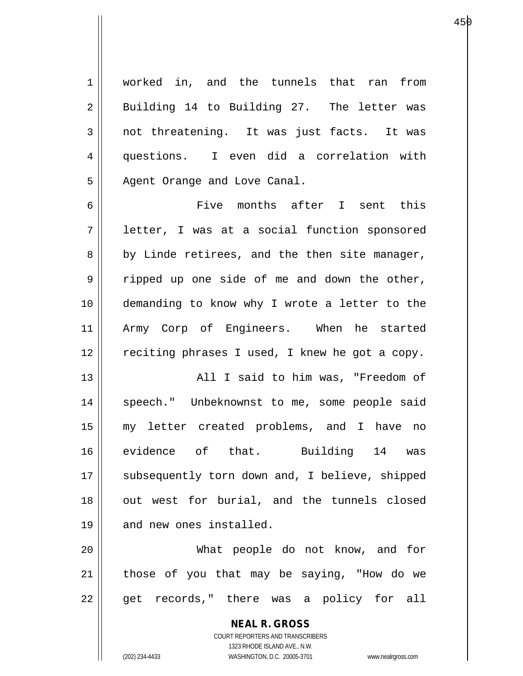1 | worked in, and the tunnels that ran from 2 || Building 14 to Building 27. The letter was 3 not threatening. It was just facts. It was 4 questions. I even did a correlation with 5 || Agent Orange and Love Canal.

6 Five months after I sent this 7 letter, I was at a social function sponsored 8 || by Linde retirees, and the then site manager,  $9 \parallel$  ripped up one side of me and down the other, 10 demanding to know why I wrote a letter to the 11 Army Corp of Engineers. When he started  $12$   $\parallel$  reciting phrases I used, I knew he got a copy.

13 All I said to him was, "Freedom of 14 || speech." Unbeknownst to me, some people said 15 my letter created problems, and I have no 16 evidence of that. Building 14 was 17 || subsequently torn down and, I believe, shipped 18 || out west for burial, and the tunnels closed 19 || and new ones installed.

20 What people do not know, and for  $21$  | those of you that may be saying, "How do we 22 || get records," there was a policy for all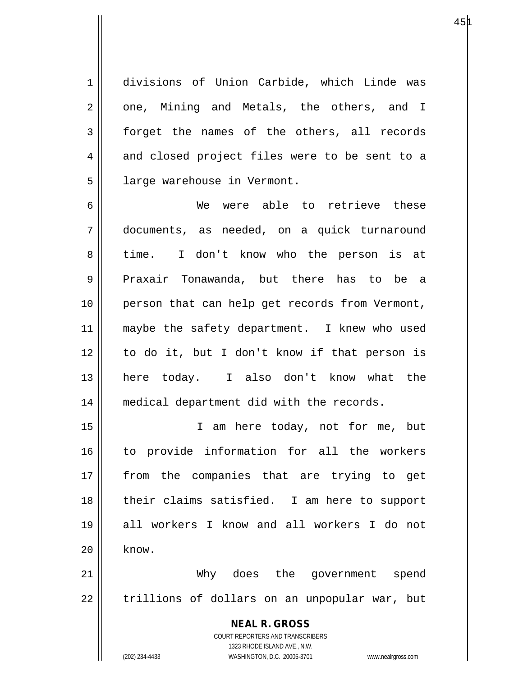1 divisions of Union Carbide, which Linde was  $2 \parallel$  one, Mining and Metals, the others, and I  $3 \parallel$  forget the names of the others, all records 4 and closed project files were to be sent to a 5 | large warehouse in Vermont.

6 We were able to retrieve these 7 documents, as needed, on a quick turnaround 8 time. I don't know who the person is at 9 || Praxair Tonawanda, but there has to be a 10 person that can help get records from Vermont, 11 || maybe the safety department. I knew who used 12 to do it, but I don't know if that person is 13 here today. I also don't know what the 14 || medical department did with the records.

15 I am here today, not for me, but 16 to provide information for all the workers 17 || from the companies that are trying to get 18 their claims satisfied. I am here to support 19 all workers I know and all workers I do not  $20$   $\parallel$  know.

21 Why does the government spend 22 || trillions of dollars on an unpopular war, but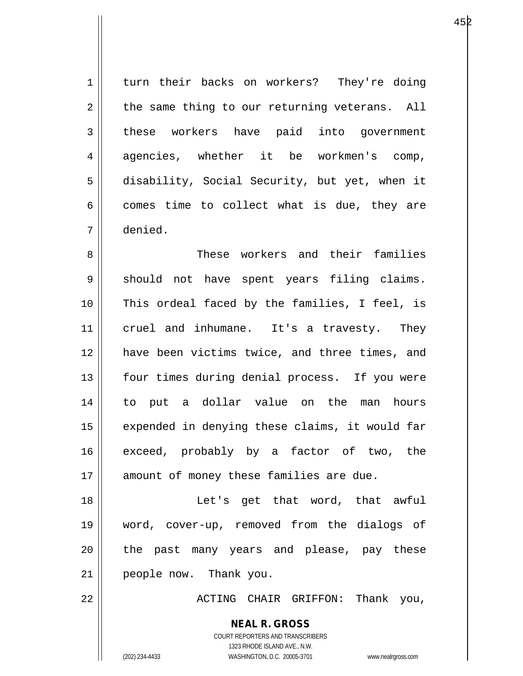1 turn their backs on workers? They're doing  $2 \parallel$  the same thing to our returning veterans. All 3 these workers have paid into government 4 agencies, whether it be workmen's comp, 5 disability, Social Security, but yet, when it  $6 \parallel$  comes time to collect what is due, they are 7 denied.

8 Samman Musse workers and their families 9 || should not have spent years filing claims. 10 || This ordeal faced by the families, I feel, is 11 || cruel and inhumane. It's a travesty. They 12 have been victims twice, and three times, and 13 || four times during denial process. If you were 14 to put a dollar value on the man hours 15 || expended in denying these claims, it would far 16 exceed, probably by a factor of two, the 17 || amount of money these families are due.

18 Let's get that word, that awful 19 word, cover-up, removed from the dialogs of 20 || the past many years and please, pay these 21 people now. Thank you.

22 ACTING CHAIR GRIFFON: Thank you,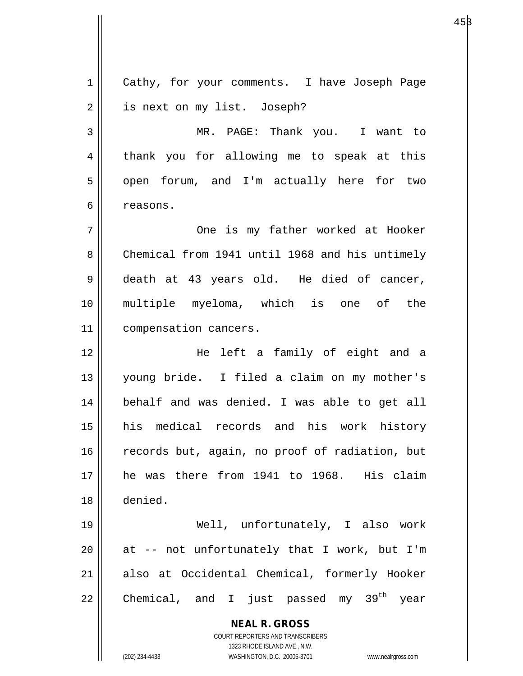**NEAL R. GROSS** COURT REPORTERS AND TRANSCRIBERS 1323 RHODE ISLAND AVE., N.W. (202) 234-4433 WASHINGTON, D.C. 20005-3701 www.nealrgross.com 1 | Cathy, for your comments. I have Joseph Page 2 | is next on my list. Joseph? 3 MR. PAGE: Thank you. I want to 4 || thank you for allowing me to speak at this 5 | open forum, and I'm actually here for two 6 l reasons. 7 One is my father worked at Hooker 8 Chemical from 1941 until 1968 and his untimely 9 death at 43 years old. He died of cancer, 10 multiple myeloma, which is one of the 11 || compensation cancers. 12 He left a family of eight and a 13 young bride. I filed a claim on my mother's 14 || behalf and was denied. I was able to get all 15 his medical records and his work history 16 || records but, again, no proof of radiation, but 17 he was there from 1941 to 1968. His claim 18 denied. 19 Well, unfortunately, I also work  $20$  || at -- not unfortunately that I work, but I'm 21 also at Occidental Chemical, formerly Hooker 22  $\parallel$  Chemical, and I just passed my 39<sup>th</sup> year

 $45\beta$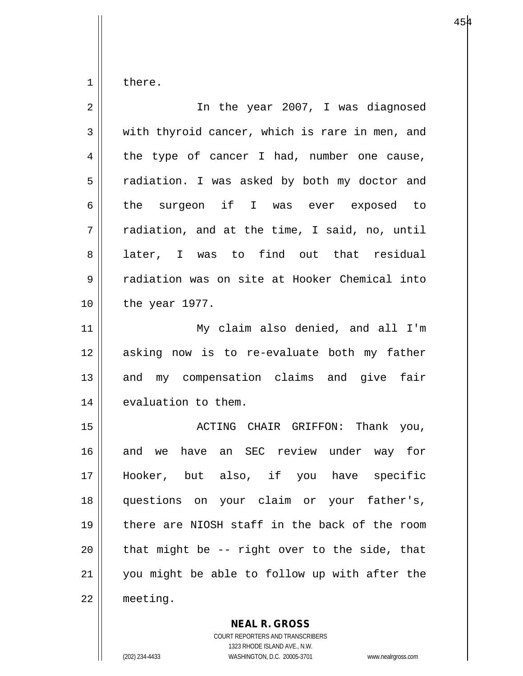$1 \parallel$  there.

| $\overline{2}$ | In the year 2007, I was diagnosed              |
|----------------|------------------------------------------------|
| 3              | with thyroid cancer, which is rare in men, and |
| 4              | the type of cancer I had, number one cause,    |
| 5              | radiation. I was asked by both my doctor and   |
| 6              | the surgeon if I was ever exposed to           |
| 7              | radiation, and at the time, I said, no, until  |
| 8              | later, I was to find out that residual         |
| 9              | radiation was on site at Hooker Chemical into  |
| 10             | the year 1977.                                 |
| 11             | My claim also denied, and all I'm              |
| 12             | asking now is to re-evaluate both my father    |
| 13             | and my compensation claims and give fair       |
| 14             | evaluation to them.                            |
| 15             | ACTING CHAIR GRIFFON: Thank you,               |
| 16             | and we have an SEC review under way for        |
| 17             | Hooker, but also, if you have specific         |
| 18             | questions on your claim or your father's,      |
| 19             | there are NIOSH staff in the back of the room  |
| 20             | that might be -- right over to the side, that  |
| 21             | you might be able to follow up with after the  |
| 22             | meeting.                                       |

**NEAL R. GROSS**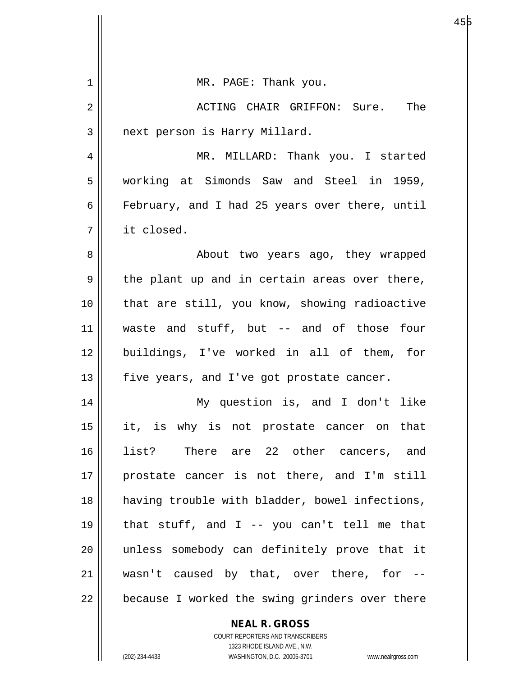| 1  | MR. PAGE: Thank you.                           |
|----|------------------------------------------------|
| 2  | ACTING CHAIR GRIFFON: Sure. The                |
| 3  | next person is Harry Millard.                  |
| 4  | MR. MILLARD: Thank you. I started              |
| 5  | working at Simonds Saw and Steel in 1959,      |
| 6  | February, and I had 25 years over there, until |
| 7  | it closed.                                     |
| 8  | About two years ago, they wrapped              |
| 9  | the plant up and in certain areas over there,  |
| 10 | that are still, you know, showing radioactive  |
| 11 | waste and stuff, but -- and of those four      |
| 12 | buildings, I've worked in all of them, for     |
| 13 | five years, and I've got prostate cancer.      |
| 14 | My question is, and I don't like               |
| 15 | it, is why is not prostate cancer on that      |
| 16 | list? There are 22 other cancers, and          |
| 17 | prostate cancer is not there, and I'm still    |
| 18 | having trouble with bladder, bowel infections, |
| 19 | that stuff, and $I$ -- you can't tell me that  |
| 20 | unless somebody can definitely prove that it   |
| 21 | wasn't caused by that, over there, for --      |
| 22 | because I worked the swing grinders over there |
|    | <b>NEAL R. GROSS</b>                           |

е в 1955 године в 1956 године в 1956 године в 1956 године в 1956 године в 1956 године в 1956 године в 1956 год

COURT REPORTERS AND TRANSCRIBERS 1323 RHODE ISLAND AVE., N.W.

 $\mathbf{\mathsf{I}}$ 

 $\mathsf{I}$ 

(202) 234-4433 WASHINGTON, D.C. 20005-3701 www.nealrgross.com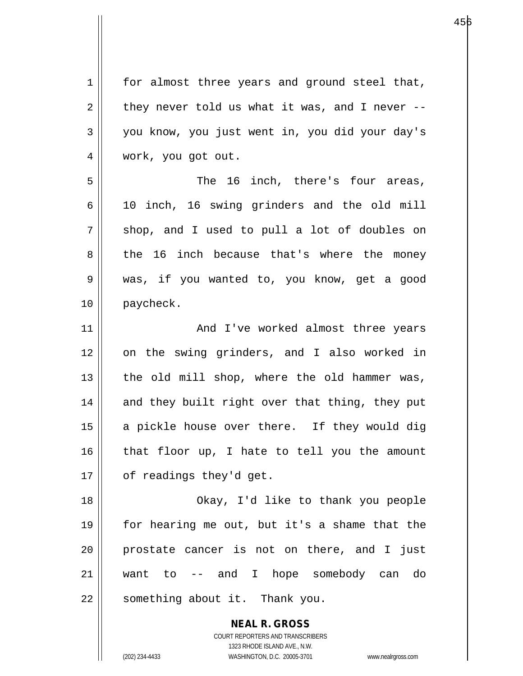**NEAL R. GROSS** COURT REPORTERS AND TRANSCRIBERS 1 || for almost three years and ground steel that,  $2 \parallel$  they never told us what it was, and I never --3 you know, you just went in, you did your day's 4 || work, you got out. 5 The 16 inch, there's four areas, 6 10 inch, 16 swing grinders and the old mill  $7 \parallel$  shop, and I used to pull a lot of doubles on 8 the 16 inch because that's where the money 9 was, if you wanted to, you know, get a good 10 paycheck. 11 || And I've worked almost three years 12 on the swing grinders, and I also worked in  $13$  | the old mill shop, where the old hammer was, 14 || and they built right over that thing, they put  $15$  a pickle house over there. If they would dig  $16$  | that floor up, I hate to tell you the amount  $17 \parallel$  of readings they'd get. 18 Okay, I'd like to thank you people 19 for hearing me out, but it's a shame that the 20 || prostate cancer is not on there, and I just 21 want to -- and I hope somebody can do 22 || something about it. Thank you.

1323 RHODE ISLAND AVE., N.W.

(202) 234-4433 WASHINGTON, D.C. 20005-3701 www.nealrgross.com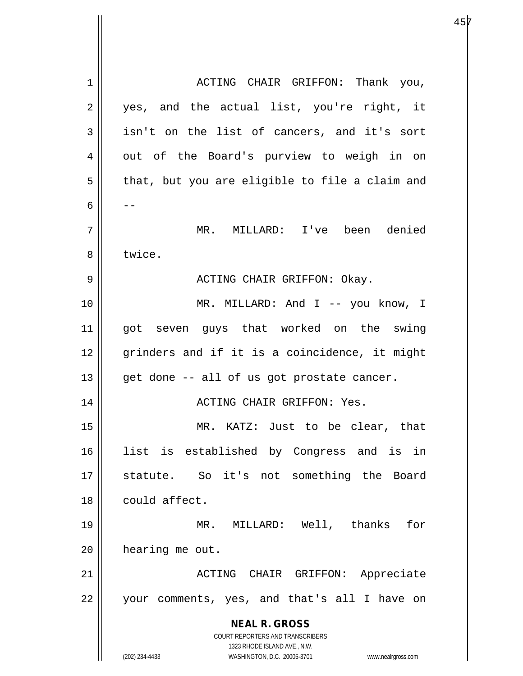**NEAL R. GROSS** COURT REPORTERS AND TRANSCRIBERS 1323 RHODE ISLAND AVE., N.W. (202) 234-4433 WASHINGTON, D.C. 20005-3701 www.nealrgross.com 1 | | ACTING CHAIR GRIFFON: Thank you, 2 || yes, and the actual list, you're right, it  $3 \parallel$  isn't on the list of cancers, and it's sort 4 || out of the Board's purview to weigh in on  $5 \parallel$  that, but you are eligible to file a claim and 6  $\| -$ 7 MR. MILLARD: I've been denied 8 l twice. 9 ACTING CHAIR GRIFFON: Okay. 10 MR. MILLARD: And I -- you know, I 11 || got seven guys that worked on the swing 12 || grinders and if it is a coincidence, it might  $13$  | get done -- all of us got prostate cancer. 14 ACTING CHAIR GRIFFON: Yes. 15 MR. KATZ: Just to be clear, that 16 list is established by Congress and is in 17 statute. So it's not something the Board 18 | could affect. 19 MR. MILLARD: Well, thanks for 20 | hearing me out. 21 || ACTING CHAIR GRIFFON: Appreciate 22 your comments, yes, and that's all I have on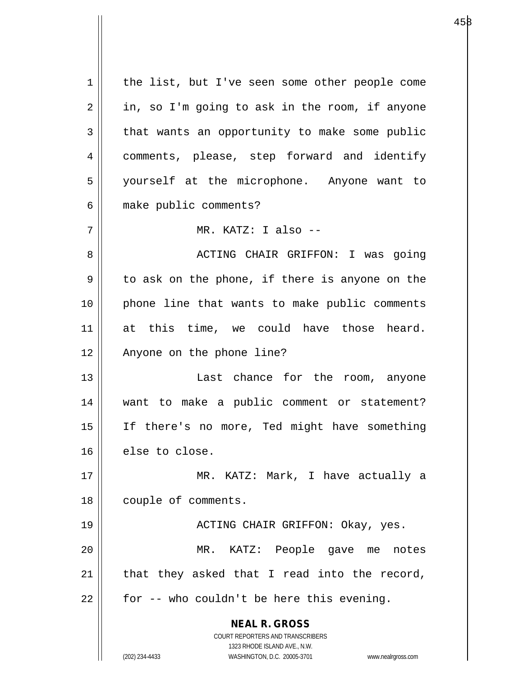| 1  | the list, but I've seen some other people come                                                      |
|----|-----------------------------------------------------------------------------------------------------|
| 2  | in, so I'm going to ask in the room, if anyone                                                      |
| 3  | that wants an opportunity to make some public                                                       |
| 4  | comments, please, step forward and identify                                                         |
| 5  | yourself at the microphone. Anyone want to                                                          |
| 6  | make public comments?                                                                               |
| 7  | MR. KATZ: I also --                                                                                 |
| 8  | ACTING CHAIR GRIFFON: I was going                                                                   |
| 9  | to ask on the phone, if there is anyone on the                                                      |
| 10 | phone line that wants to make public comments                                                       |
| 11 | at this time, we could have those heard.                                                            |
| 12 | Anyone on the phone line?                                                                           |
| 13 | Last chance for the room, anyone                                                                    |
| 14 | want to make a public comment or statement?                                                         |
| 15 | If there's no more, Ted might have something                                                        |
| 16 | else to close.                                                                                      |
| 17 | MR. KATZ: Mark, I have actually a                                                                   |
| 18 | couple of comments.                                                                                 |
| 19 | ACTING CHAIR GRIFFON: Okay, yes.                                                                    |
| 20 | KATZ: People gave me notes<br>MR.                                                                   |
| 21 | that they asked that I read into the record,                                                        |
| 22 | for -- who couldn't be here this evening.                                                           |
|    |                                                                                                     |
|    | <b>NEAL R. GROSS</b>                                                                                |
|    | COURT REPORTERS AND TRANSCRIBERS                                                                    |
|    | 1323 RHODE ISLAND AVE., N.W.<br>(202) 234-4433<br>WASHINGTON, D.C. 20005-3701<br>www.nealrgross.com |
|    |                                                                                                     |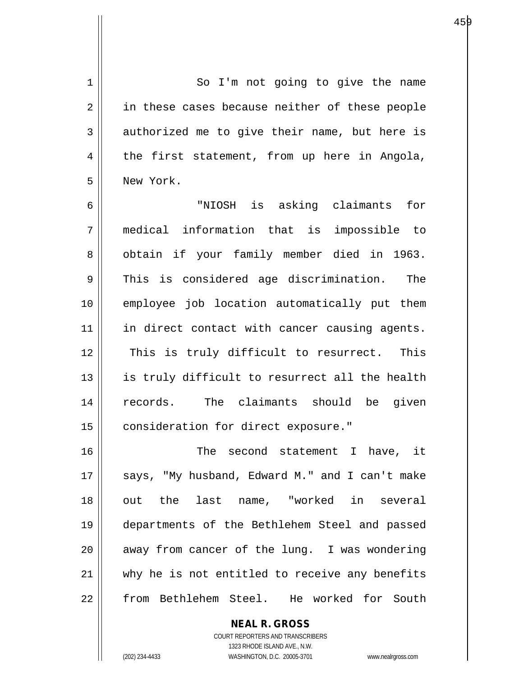1 || So I'm not going to give the name 2 || in these cases because neither of these people  $3 \parallel$  authorized me to give their name, but here is  $4 \parallel$  the first statement, from up here in Angola, 5 New York.

6 "NIOSH is asking claimants for 7 medical information that is impossible to 8 || obtain if your family member died in 1963.  $9 \parallel$  This is considered age discrimination. The 10 employee job location automatically put them 11 || in direct contact with cancer causing agents. 12 || This is truly difficult to resurrect. This 13 || is truly difficult to resurrect all the health 14 || records. The claimants should be given 15 | consideration for direct exposure."

16 The second statement I have, it 17 || says, "My husband, Edward M." and I can't make 18 || out the last name, "worked in several 19 departments of the Bethlehem Steel and passed  $20$  || away from cancer of the lung. I was wondering 21 || why he is not entitled to receive any benefits 22 from Bethlehem Steel. He worked for South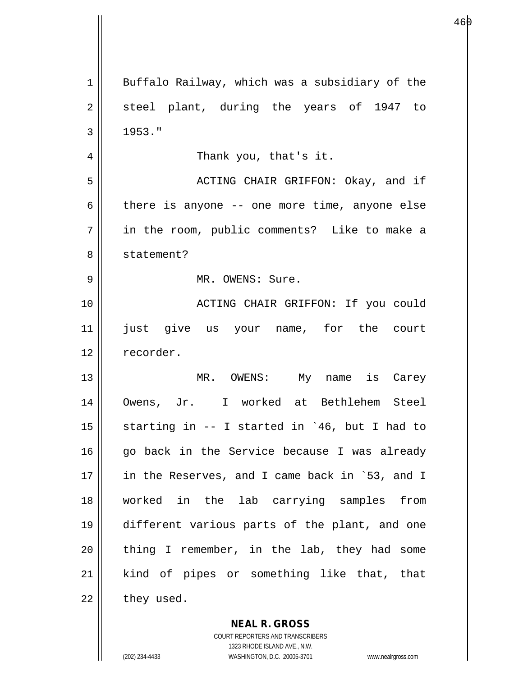| 1  | Buffalo Railway, which was a subsidiary of the |
|----|------------------------------------------------|
| 2  | steel plant, during the years of 1947 to       |
| 3  | 1953."                                         |
| 4  | Thank you, that's it.                          |
| 5  | ACTING CHAIR GRIFFON: Okay, and if             |
| 6  | there is anyone -- one more time, anyone else  |
| 7  | in the room, public comments? Like to make a   |
| 8  | statement?                                     |
| 9  | MR. OWENS: Sure.                               |
| 10 | ACTING CHAIR GRIFFON: If you could             |
| 11 | just give us your name, for the court          |
| 12 | recorder.                                      |
| 13 | MR. OWENS: My name is Carey                    |
| 14 | Owens, Jr. I worked at Bethlehem Steel         |
| 15 | starting in -- I started in `46, but I had to  |
| 16 | go back in the Service because I was already   |
| 17 | in the Reserves, and I came back in `53, and I |
| 18 | worked in the lab carrying samples from        |
| 19 | different various parts of the plant, and one  |
| 20 | thing I remember, in the lab, they had some    |
| 21 | kind of pipes or something like that, that     |
| 22 | they used.                                     |

**NEAL R. GROSS** COURT REPORTERS AND TRANSCRIBERS

1323 RHODE ISLAND AVE., N.W.

(202) 234-4433 WASHINGTON, D.C. 20005-3701 www.nealrgross.com

 $\mathbf{I}$ 

е в 146 рока на 146 рока на 146 рока на 146 рока на 146 рока на 146 рока на 146 рока на 146 рока на 147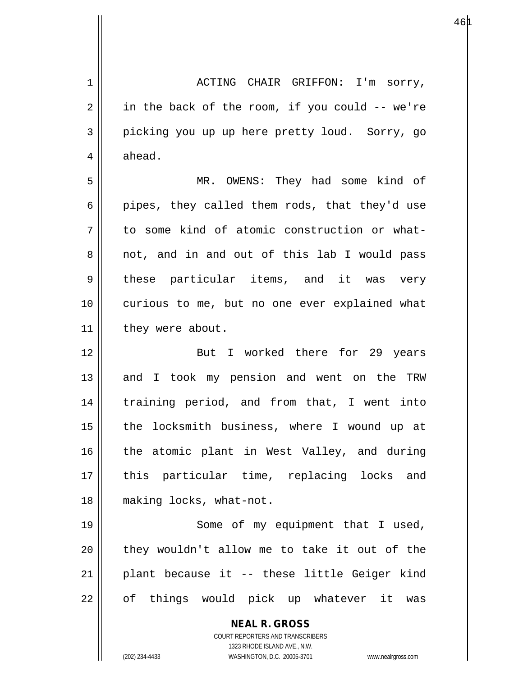1 ACTING CHAIR GRIFFON: I'm sorry,  $2 \parallel$  in the back of the room, if you could -- we're 3 picking you up up here pretty loud. Sorry, go  $4 \parallel$  ahead.

5 MR. OWENS: They had some kind of  $6 ||$  pipes, they called them rods, that they'd use  $7 \parallel$  to some kind of atomic construction or what-8 || not, and in and out of this lab I would pass 9 || these particular items, and it was very 10 curious to me, but no one ever explained what 11 | they were about.

12 But I worked there for 29 years 13 || and I took my pension and went on the TRW 14 || training period, and from that, I went into 15 || the locksmith business, where I wound up at 16 || the atomic plant in West Valley, and during 17 || this particular time, replacing locks and 18 making locks, what-not.

19 || Some of my equipment that I used, 20 || they wouldn't allow me to take it out of the  $21$  || plant because it -- these little Geiger kind 22 || of things would pick up whatever it was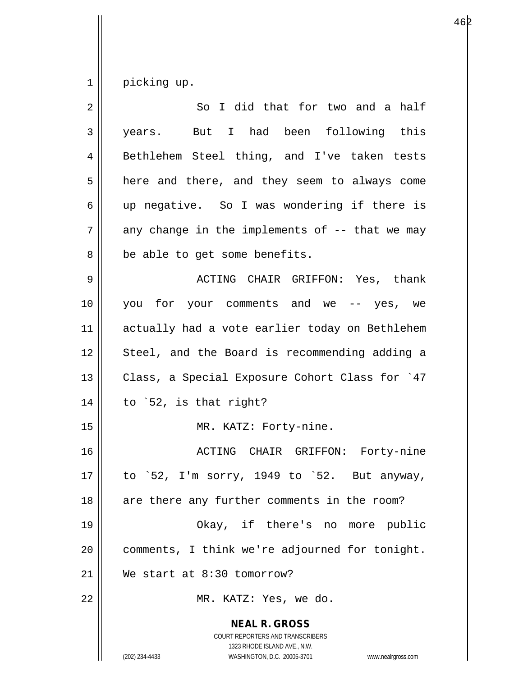$1 \parallel$  picking up.

| $\overline{2}$ | So I did that for two and a half                                                                                                                                |
|----------------|-----------------------------------------------------------------------------------------------------------------------------------------------------------------|
| 3              | years. But I had been following this                                                                                                                            |
| 4              | Bethlehem Steel thing, and I've taken tests                                                                                                                     |
| 5              | here and there, and they seem to always come                                                                                                                    |
| 6              | up negative. So I was wondering if there is                                                                                                                     |
| 7              | any change in the implements of $-$ - that we may                                                                                                               |
| 8              | be able to get some benefits.                                                                                                                                   |
| 9              | ACTING CHAIR GRIFFON: Yes, thank                                                                                                                                |
| 10             | you for your comments and we -- yes, we                                                                                                                         |
| 11             | actually had a vote earlier today on Bethlehem                                                                                                                  |
| 12             | Steel, and the Board is recommending adding a                                                                                                                   |
| 13             | Class, a Special Exposure Cohort Class for `47                                                                                                                  |
| 14             | to `52, is that right?                                                                                                                                          |
| 15             | MR. KATZ: Forty-nine.                                                                                                                                           |
| 16             | ACTING CHAIR GRIFFON: Forty-nine                                                                                                                                |
| 17             | to `52, I'm sorry, 1949 to `52. But anyway,                                                                                                                     |
| 18             | are there any further comments in the room?                                                                                                                     |
| 19             | Okay, if there's no more public                                                                                                                                 |
| 20             | comments, I think we're adjourned for tonight.                                                                                                                  |
| 21             | We start at 8:30 tomorrow?                                                                                                                                      |
| 22             | MR. KATZ: Yes, we do.                                                                                                                                           |
|                | <b>NEAL R. GROSS</b><br>COURT REPORTERS AND TRANSCRIBERS<br>1323 RHODE ISLAND AVE., N.W.<br>(202) 234-4433<br>WASHINGTON, D.C. 20005-3701<br>www.nealrgross.com |

е в 1962 — в 1963 — в 1963 — в 1963 — в 1963 — в 1963 — в 1963 — в 1963 — в 1963 — в 1974 — в 1974 — в 1974 —